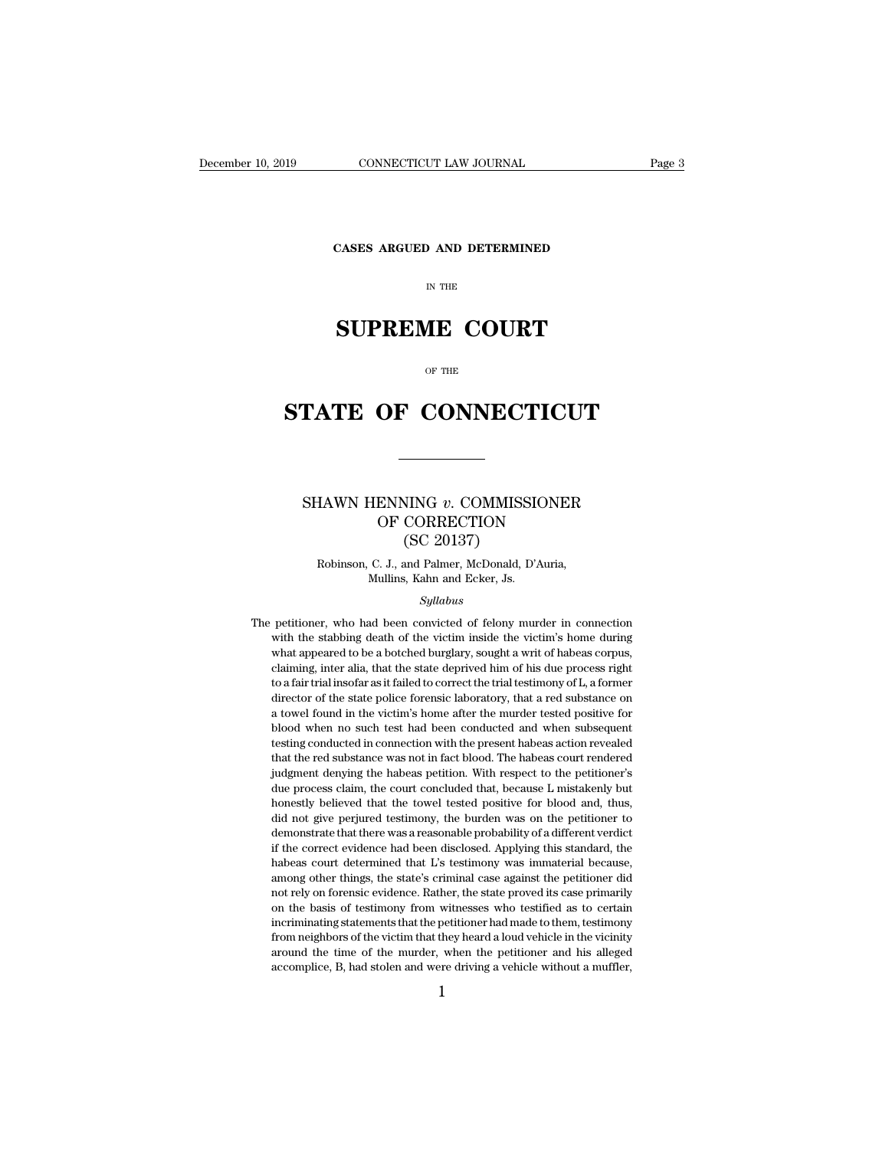**CONNECTICUT LAW JOURNAL**<br>**CASES ARGUED AND DETERMINED** 

# CONNECTICUT LAW JOURNAL<br>
Fage 3<br>
CASES ARGUED AND DETERMINED<br>
IN THE<br> **SUPREME COURT**<br>
OF THE

# CASES ARGUED AND DETERMINED<br>
IN THE<br>
SUPREME COURT<br>
OF THE<br>
STATE OF CONNECTICUT

### **TATE OF CONNECTICUT**<br>
SHAWN HENNING *v*. COMMISSIONER<br>
OF CORRECTION **STATE OF CONNECTICUT**<br>
SHAWN HENNING v. COMMISSIONER<br>
OF CORRECTION<br>
(SC 20137)<br>
Robinson, C. J., and Palmer, McDonald, D'Auria, VING v. COMMISSI<br>CORRECTION<br>(SC 20137)<br>and Palmer, McDonald, D' HAWN HENNING v. COMMISSIONER<br>OF CORRECTION<br>(SC 20137)<br>Robinson, C. J., and Palmer, McDonald, D'Auria,<br>Mullins, Kahn and Ecker, Js. HENNING v. COMMISSIC<br>
OF CORRECTION<br>
(SC 20137)<br>
C. J., and Palmer, McDonald, D'A<br>
Mullins, Kahn and Ecker, Js.<br>
Syllabus

*Syllabus*

(SC 20137)<br>
Robinson, C. J., and Palmer, McDonald, D'Auria,<br>
Mullins, Kahn and Ecker, Js.<br>
Syllabus<br>
The petitioner, who had been convicted of felony murder in connection<br>
with the stabbing death of the victim inside the Robinson, C. J., and Palmer, McDonald, D'Auria,<br>Mullins, Kahn and Ecker, Js.<br>Syllabus<br>petitioner, who had been convicted of felony murder in connection<br>with the stabbing death of the victim inside the victim's home during<br> What appeared to be a botched burglary, sought a writ of habeas corpus,<br>claiming inter all a, that the stabbing death of the victim inside the victim's home during<br>what appeared to be a botched burglary, sought a writ of h Syllabus<br>Syllabus<br>petitioner, who had been convicted of felony murder in connection<br>with the stabbing death of the victim inside the victim's home during<br>what appeared to be a botched burglary, sought a writ of habeas corp Syllabus<br>
petitioner, who had been convicted of felony murder in connection<br>
with the stabbing death of the victim inside the victim's home during<br>
what appeared to be a botched burglary, sought a writ of habeas corpus,<br>
c petitioner, who had been convicted of felony murder in connection<br>with the stabbing death of the victim inside the victim's home during<br>what appeared to be a botched burglary, sought a writ of habeas corpus,<br>claiming, inte pearaoner, who had been convided of relation in sumediation with the stabbing death of the victim inside the victim's home during what appeared to be a botched burglary, sought a writ of habeas corpus, claiming, inter alia what appeared to be a botched burglary, sought a writ of habeas corpus, claiming, inter alia, that the state deprived him of his due process right to a fair trial insofar as it failed to correct the trial testimony of L, a mata appearate to be a bootened burgain), bought a wife or habeas corpus, claiming, inter alia, that the state deprived him of his due process right to a fair trial insofar as it failed to correct the trial testimony of L, that the red substance was not in fact blood. The habeas court render's substance on a towel found in the victim's home after the murder tested positive for blood when no such test had been conducted and when subsequent te for a natural distribution as a rank of correct the dial desinfiedly of  $\mu$ , a former director of the state police forensic laboratory, that a red substance on a towel found in the victim's home after the murder tested po due to the state point of the victim's home after the murder tested positive for a towel found in the victim's home after the murder tested positive for blood when no such test had been conducted and when subsequent testin a concrete to the towel test had been conducted and when subsequent testing conducted in connection with the present habeas action revealed that the red substance was not in fact blood. The habeas court rendered judgment d did not give perjured test man exercise that when subsequent desting conducted in connection with the present habeas action revealed that the red substance was not in fact blood. The habeas court rendered judgment denying desing conducted in connection what the present master denote readed that the red substance was not in fact blood. The habeas court rendered judgment denying the habeas petition. With respect to the petitioner's due proces indicate the correct evidence was not in fact blood. The nations contributed in<br>digingent denying the habeas petition. With respect to the petitioner's<br>due process claim, the court concluded that, because L mistakenly but<br> judgment denying the habeas petition. With respect to the petitioner's due process claim, the court concluded that, because L mistakenly but honestly believed that the towel tested positive for blood and, thus, did not giv and process claim, at each concluded and, occluded *I* misdatelly bala honestly believed that the towel tested positive for blood and, thus, did not give perjured testimony, the burden was on the petitioner to demonstrate nonesay beneved that the tower tested postave for blood and, thus,<br>did not give perjured testimony, the burden was on the petitioner to<br>demonstrate that there was a reasonable probability of a different verdict<br>if the corr dua not give perjained assumony, are buildent was on the perfactored demonstrate that there was a reasonable probability of a different verdict if the correct evidence had been disclosed. Applying this standard, the habeas incrimination and the period of the disclosed. Applying this standard, the habeas court determined that L's testimony was immaterial because, among other things, the state's criminal case against the petitioner did not rel from neighbors of the victim that they heard a loud vehicle in the vicinity on the basis of testimony was immaterial because, among other things, the state's criminal case against the petitioner did not rely on forensic ev ranceas court determined that *Ls* assumbly was immaterial occause, among other things, the state's criminal case against the petitioner did not rely on forensic evidence. Rather, the state proved its case primarily on the not rely on forensic evidence. Rather, the state proved its case primarily on the basis of testimony from witnesses who testified as to certain incriminating statements that the petitioner had made to them, testimony from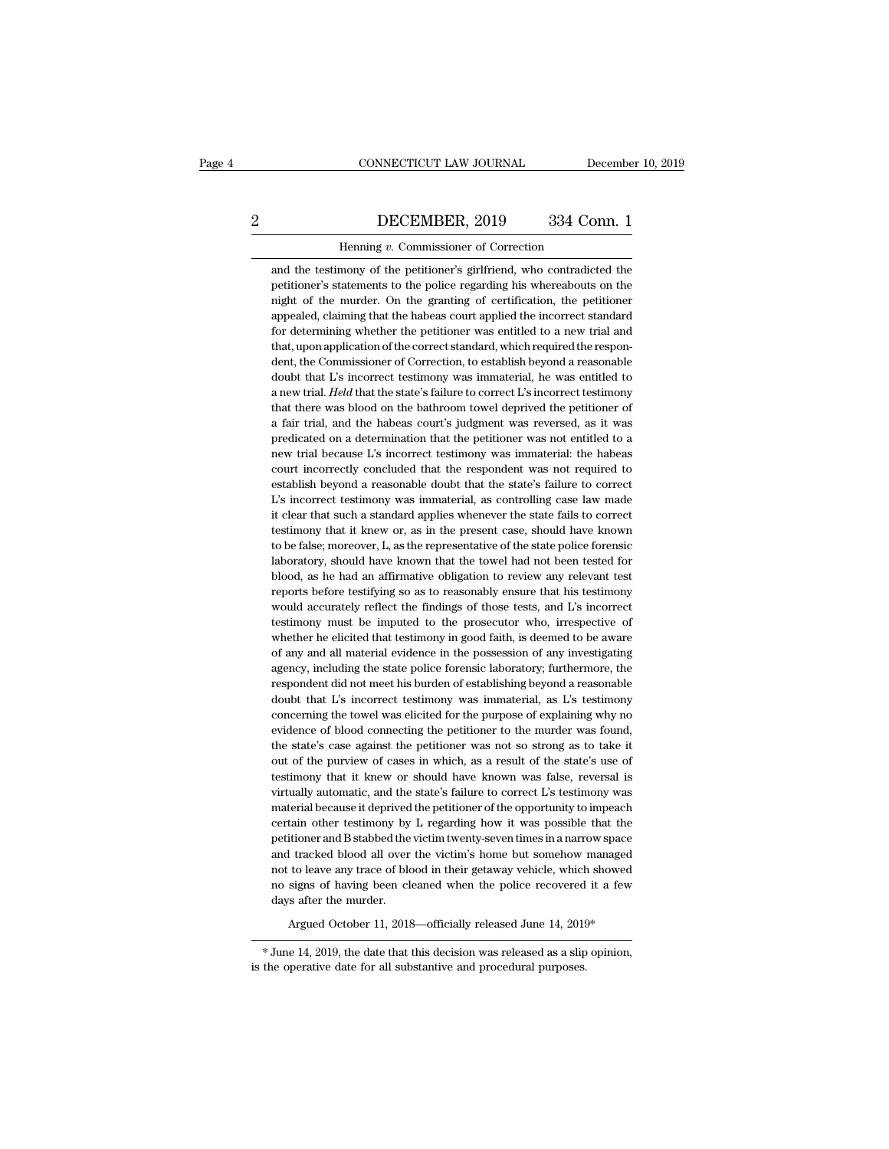## CONNECTICUT LAW JOURNAL December 10, 2019<br>2 DECEMBER, 2019 334 Conn. 1<br>Henning v. Commissioner of Correction

CONNECTICUT LAW JOURNAL Defined the Default of Correction Henning *v*. Commissioner of Correction mony of the petitioner's girlfriend, who contradicted DECEMBER, 2019 334 Conn. 1<br>Henning v. Commissioner of Correction<br>and the testimony of the petitioner's girlfriend, who contradicted the<br>petitioner's statements to the police regarding his whereabouts on the DECEMBER, 2019 334 Conn. 1<br>
Henning v. Commissioner of Correction<br>
and the testimony of the petitioner's girlfriend, who contradicted the<br>
petitioner's statements to the police regarding his whereabouts on the<br>
night of th DECEMBER, 2019 334 Conn. 1<br>
Henning v. Commissioner of Correction<br>
and the testimony of the petitioner's girlfriend, who contradicted the<br>
petitioner's statements to the police regarding his whereabouts on the<br>
night of th Henning v. Commissioner of Correction<br>and the testimony of the petitioner's girlfriend, who contradicted the<br>petitioner's statements to the police regarding his whereabouts on the<br>night of the murder. On the granting of ce Henning  $v$ . Commissioner of Correction<br>and the testimony of the petitioner's girlfriend, who contradicted the<br>petitioner's statements to the police regarding his whereabouts on the<br>night of the murder. On the granting of and the testimony of the petitioner's girlfriend, who contradicted the petitioner's statements to the police regarding his whereabouts on the night of the murder. On the granting of certification, the petitioner appealed, petitioner's statements to the police regarding his whereabouts on the night of the murder. On the granting of certification, the petitioner appealed, claiming that the habeas court applied the incorrect standard for deter night of the murder. On the granting of certification, the petitioner appealed, claiming that the habeas court applied the incorrect standard for determining whether the petitioner was entitled to a new trial and that, up appealed, claiming that the habeas court applied the incorrect standard<br>for determining whether the petitioner was entitled to a new trial and<br>that, upon application of the correct standard, which required the respon-<br>dent for determining whether the petitioner was entitled to a new trial and that, upon application of the correct standard, which required the respondent, the Commissioner of Correction, to establish beyond a reasonable doubt t that, upon application of the correct standard, which required the respondent, the Commissioner of Correction, to establish beyond a reasonable doubt that L's incorrect testimony was immaterial, he was entitled to a new tr dent, the Commissioner of Correction, to establish beyond a reasonable doubt that L's incorrect testimony was immaterial, he was entitled to a new trial. *Held* that the state's failure to correct L's incorrect testimony t doubt that L's incorrect testimony was immaterial, he was entitled to a new trial. *Held* that the state's failure to correct L's incorrect testimony that there was blood on the bathroom towel deprived the petitioner of a a new trial. *Held* that the state's failure to correct L's incorrect testimony that there was blood on the bathroom towel deprived the petitioner of a fair trial, and the habeas court's judgment was reversed, as it was pr that there was blood on the bathroom towel deprived the petitioner of<br>a fair trial, and the habeas court's judgment was reversed, as it was<br>predicated on a determination that the petitioner was not entitled to a<br>new trial a fair trial, and the habeas court's judgment was reversed, as it was predicated on a determination that the petitioner was not entitled to a new trial because L's incorrect testimony was immaterial: the habeas court incor predicated on a determination that the petitioner was not entitled to a new trial because L's incorrect testimony was immaterial: the habeas court incorrectly concluded that the respondent was not required to establish bey new trial because L's incorrect testimony was immaterial: the habeas court incorrectly concluded that the respondent was not required to establish beyond a reasonable doubt that the state's failure to correct L's incorrect court incorrectly concluded that the respondent was not required to establish beyond a reasonable doubt that the state's failure to correct L's incorrect testimony was immaterial, as controlling case law made it clear that establish beyond a reasonable doubt that the state's failure to correct L's incorrect testimony was immaterial, as controlling case law made it clear that such a standard applies whenever the state fails to correct testimo L's incorrect testimony was immaterial, as controlling case law made it clear that such a standard applies whenever the state fails to correct testimony that it knew or, as in the present case, should have known to be fals it clear that such a standard applies whenever the state fails to correct testimony that it knew or, as in the present case, should have known to be false; moreover, L, as the representative of the state police forensic la testimony that it knew or, as in the present case, should have known to be false; moreover, L, as the representative of the state police forensic laboratory, should have known that the towel had not been tested for blood, to be false; moreover, L, as the representative of the state police forensic laboratory, should have known that the towel had not been tested for blood, as he had an affirmative obligation to review any relevant test repor laboratory, should have known that the towel had not been tested for blood, as he had an affirmative obligation to review any relevant test reports before testifying so as to reasonably ensure that his testimony would accu blood, as he had an affirmative obligation to review any relevant test reports before testifying so as to reasonably ensure that his testimony would accurately reflect the findings of those tests, and L's incorrect testimo reports before testifying so as to reasonably ensure that his testimony would accurately reflect the findings of those tests, and L's incorrect testimony must be imputed to the prosecutor who, irrespective of whether he el would accurately reflect the findings of those tests, and L's incorrect testimony must be imputed to the prosecutor who, irrespective of whether he elicited that testimony in good faith, is deemed to be aware of any and al testimony must be imputed to the prosecutor who, irrespective of whether he elicited that testimony in good faith, is deemed to be aware of any and all material evidence in the possession of any investigating agency, inclu whether he elicited that testimony in good faith, is deemed to be aware<br>of any and all material evidence in the possession of any investigating<br>agency, including the state police forensic laboratory; furthermore, the<br>respo of any and all material evidence in the possession of any investigating<br>agency, including the state police forensic laboratory; furthermore, the<br>respondent did not meet his burden of establishing beyond a reasonable<br>doubt agency, including the state police forensic laboratory; furthermore, the respondent did not meet his burden of establishing beyond a reasonable doubt that L's incorrect testimony was immaterial, as L's testimony concerning respondent did not meet his burden of establishing beyond a reasonable<br>doubt that L's incorrect testimony was immaterial, as L's testimony<br>concerning the towel was elicited for the purpose of explaining why no<br>evidence of doubt that L's incorrect testimony was immaterial, as L's testimony concerning the towel was elicited for the purpose of explaining why no evidence of blood connecting the petitioner to the murder was found, the state's ca concerning the towel was elicited for the purpose of explaining why no evidence of blood connecting the petitioner to the murder was found, the state's case against the petitioner was not so strong as to take it out of the evidence of blood connecting the petitioner to the murder was found, the state's case against the petitioner was not so strong as to take it out of the purview of cases in which, as a result of the state's use of testimony the state's case against the petitioner was not so strong as to take it<br>out of the purview of cases in which, as a result of the state's use of<br>testimony that it knew or should have known was false, reversal is<br>virtually a out of the purview of cases in which, as a result of the state's use of testimony that it knew or should have known was false, reversal is virtually automatic, and the state's failure to correct L's testimony was material testimony that it knew or should have known was false, reversal is<br>virtually automatic, and the state's failure to correct L's testimony was<br>material because it deprived the petitioner of the opportunity to impeach<br>certain virtually automatic, and the state's failure to correct L's testimony was material because it deprived the petitioner of the opportunity to impeach certain other testimony by L regarding how it was possible that the petiti material because it deprived the petitioner of the opportunity to impeach<br>certain other testimony by L regarding how it was possible that the<br>petitioner and B stabbed the victim twenty-seven times in a narrow space<br>and tra material because it deprived the petitioner of the opportunity to impeach certain other testimony by  $L$  regarding how it was possible that the petitioner and B stabbed the victim twenty-seven times in a narrow space and % and tracked blood all over the victim's home but somehow managed<br>not to leave any trace of blood in their getaway vehicle, which showed<br>no signs of having been cleaned when the police recovered it a few<br>days after the m % not to leave any trace of blood in their getaway vehicle, which showed<br>no signs of having been cleaned when the police recovered it a few<br>days after the murder.<br> $\triangle$  Argued October 11, 2018—officially released June 14,

Argued October 11, 2018—officially released June 14, 2019\*<br>
\*June 14, 2019, the date that this decision was released as a slip c<br>
is the operative date for all substantive and procedural purposes.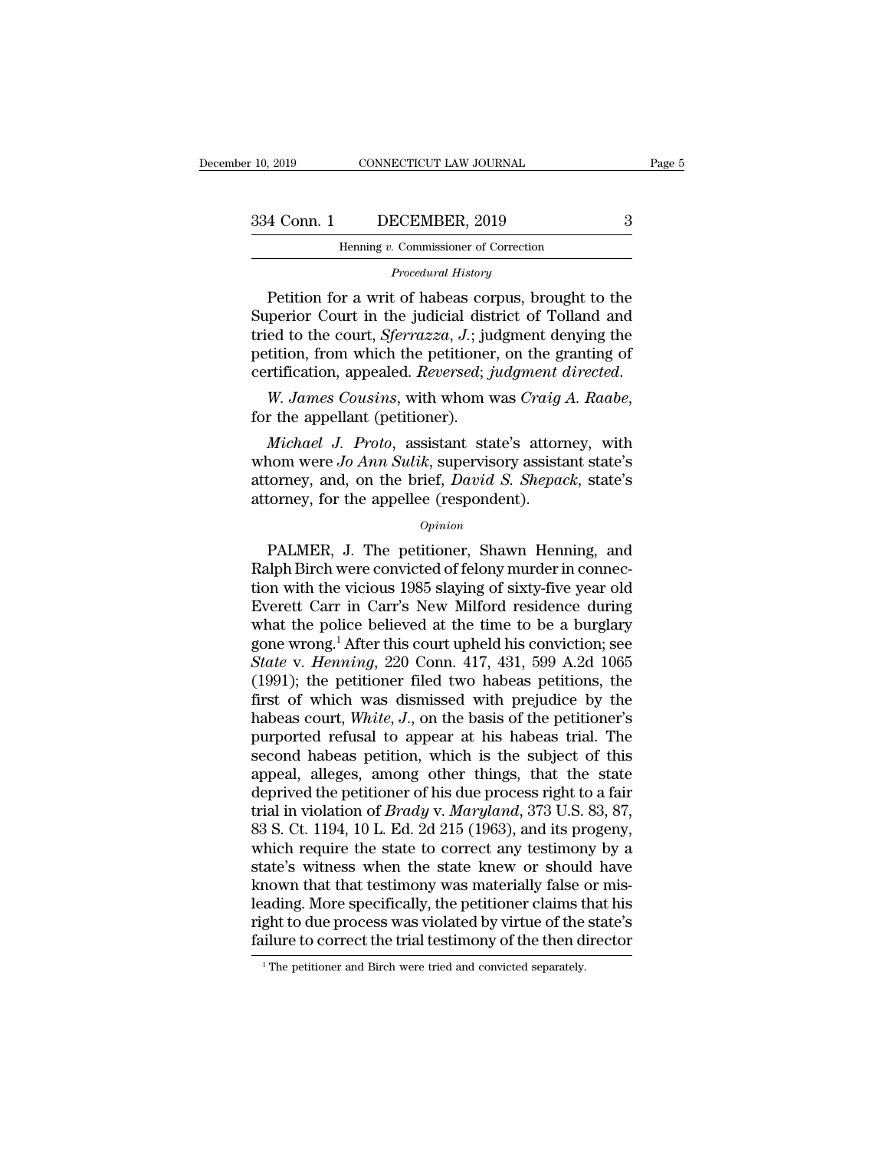| r 10, 2019  | CONNECTICUT LAW JOURNAL                  |   | Page 5 |
|-------------|------------------------------------------|---|--------|
| 334 Conn. 1 | DECEMBER, 2019                           | З |        |
|             | Henning $v$ . Commissioner of Correction |   |        |
|             | Procedural History                       |   |        |

*Procedural History*<br>*Procedural History*<br>Petition for a writ of habeas corpus, brought to the 4 Conn. 1 DECEMBER, 2019 3<br>
Henning v. Commissioner of Correction<br>
Procedural History<br>
Petition for a writ of habeas corpus, brought to the<br>
perior Court in the judicial district of Tolland and<br>
ed to the court *Sterrazza*  $\begin{array}{r} \text{334 Conn.} \text{1} \quad \text{DECEMBER, 2019} \quad \text{3} \ \text{Henning } v. \text{ Commissioner of Correction} \ \text{*Proceedural History} \ \text{Petition for a writ of habeas corpus, brought to the Superior Court in the judicial district of Tolland and tried to the court, Sferrazza, J.; judgment denying the notation from which the notification can the starting of a specific dataset.} \end{array}*$ 334 Conn. 1 DECEMBER, 2019<br>
Henning v. Commissioner of Correction<br> *Procedural History*<br>
Petition for a writ of habeas corpus, brought to the<br>
Superior Court in the judicial district of Tolland and<br>
tried to the court, *Sf* From Benning v. Commissioner of Correction<br>
Procedural History<br>
Petition for a writ of habeas corpus, brought to the<br>
Superior Court in the judicial district of Tolland and<br>
tried to the court, *Sferrazza*, J.; judgment de *Procedural History*<br>*Procedural History*<br>Superior Court in the judicial district of Tolland and<br>tried to the court, *Sferrazza*, *J*.; judgment denying the<br>petition, from which the petitioner, on the granting of<br>certifica *Michael J. Proto, assistant state's attorney and on the principal propenditors and on the state's attorney and on the heating of the appellant (petitioner).<br>
<i>Michael J. Proto, assistant state's attorney, with nom were Jo* 

petition, from which the petitioner, on the granting of<br>certification, appealed. *Reversed*; *judgment directed.*<br>W. James Cousins, with whom was Craig A. Raabe,<br>for the appellant (petitioner).<br>Michael J. Proto, assistant Function, appealed. *Reversed*; *judgment directed.*<br>W. James Cousins, with whom was Craig A. Raabe,<br>for the appellant (petitioner).<br>Michael J. Proto, assistant state's attorney, with<br>whom were Jo Ann Sulik, supervisory a *W. James Cousins, with whom was Craig.*<br>for the appellant (petitioner).<br>*Michael J. Proto, assistant state's attorney whom were Jo Ann Sulik, supervisory assistattorney, and, on the brief, David S. Shepattorney, for the* Michael J. Proto, assistant state's attorney, with<br>nom were Jo Ann Sulik, supervisory assistant state's<br>torney, and, on the brief, David S. Shepack, state's<br>torney, for the appellee (respondent).<br> $opinion$ <br>PALMER, J. The petiti

### *Opinion*

whom were *Jo Ann Sulik*, supervisory assistant state's<br>attorney, and, on the brief, *David S. Shepack*, state's<br>attorney, for the appellee (respondent).<br> $o$ <sub>*opinion*<br>PALMER, J. The petitioner, Shawn Henning, and<br>Ralph B</sub> attorney, and, on the brief, *David S. Shepack*, state's<br>attorney, for the appellee (respondent).<br>*Opinion*<br>PALMER, J. The petitioner, Shawn Henning, and<br>Ralph Birch were convicted of felony murder in connec-<br>tion with the attorney, for the appellee (respondent).<br>  $\frac{Opinion}{opinion}$ <br>
PALMER, J. The petitioner, Shawn Henning, and<br>
Ralph Birch were convicted of felony murder in connec-<br>
tion with the vicious 1985 slaying of sixty-five year old<br>
Eve  $opinion$ <br>  $opinion$ <br>  $PathER$ , J. The petitioner, Shawn Henning, and<br>
Ralph Birch were convicted of felony murder in connec-<br>
tion with the vicious 1985 slaying of sixty-five year old<br>
Everett Carr in Carr's New Milford residence duri *Opinion*<br>
PALMER, J. The petitioner, Shawn Henning, and<br>
Ralph Birch were convicted of felony murder in connec-<br>
tion with the vicious 1985 slaying of sixty-five year old<br>
Everett Carr in Carr's New Milford residence dur PALMER, J. The petitioner, Shawn Henning, and<br>
Ralph Birch were convicted of felony murder in connec-<br>
tion with the vicious 1985 slaying of sixty-five year old<br>
Everett Carr in Carr's New Milford residence during<br>
what th Ralph Birch were convicted of felony murder in connection with the vicious 1985 slaying of sixty-five year old Everett Carr in Carr's New Milford residence during what the police believed at the time to be a burglary gone tion with the vicious 1985 slaying of sixty-five year old Everett Carr in Carr's New Milford residence during<br>what the police believed at the time to be a burglary<br>gone wrong.<sup>1</sup> After this court upheld his conviction; se Everett Carr in Carr's New Milford residence during<br>what the police believed at the time to be a burglary<br>gone wrong.<sup>1</sup> After this court upheld his conviction; see<br>State v. *Henning*, 220 Conn. 417, 431, 599 A.2d 1065<br>(19 what the police believed at the time to be a burglary<br>gone wrong.<sup>1</sup> After this court upheld his conviction; see<br>*State v. Henning*, 220 Conn. 417, 431, 599 A.2d 1065<br>(1991); the petitioner filed two habeas petitions, the gone wrong.<sup>1</sup> After this court upheld his conviction; see<br>State v. Henning, 220 Conn. 417, 431, 599 A.2d 1065<br>(1991); the petitioner filed two habeas petitions, the<br>first of which was dismissed with prejudice by the<br>habea State v. Henning, 220 Conn. 417, 431, 599 A.2d 1065 (1991); the petitioner filed two habeas petitions, the first of which was dismissed with prejudice by the habeas court, *White*, *J*., on the basis of the petitioner's p (1991); the petitioner filed two habeas petitions, the first of which was dismissed with prejudice by the habeas court, *White*, *J*., on the basis of the petitioner's purported refusal to appear at his habeas trial. The first of which was dismissed with prejudice by the<br>habeas court, *White*, *J*., on the basis of the petitioner's<br>purported refusal to appear at his habeas trial. The<br>second habeas petition, which is the subject of this<br>app habeas court, *White*, *J.*, on the basis of the petitioner's purported refusal to appear at his habeas trial. The second habeas petition, which is the subject of this appeal, alleges, among other things, that the state de purported refusal to appear at his habeas trial. The<br>second habeas petition, which is the subject of this<br>appeal, alleges, among other things, that the state<br>deprived the petitioner of his due process right to a fair<br>trial second habeas petition, which is the subject of this<br>appeal, alleges, among other things, that the state<br>deprived the petitioner of his due process right to a fair<br>trial in violation of *Brady* v. *Maryland*, 373 U.S. 83, appeal, alleges, among other things, that the state<br>deprived the petitioner of his due process right to a fair<br>trial in violation of *Brady* v. *Maryland*, 373 U.S. 83, 87,<br>83 S. Ct. 1194, 10 L. Ed. 2d 215 (1963), and its deprived the petitioner of his due process right to a fair<br>trial in violation of *Brady* v. *Maryland*, 373 U.S. 83, 87,<br>83 S. Ct. 1194, 10 L. Ed. 2d 215 (1963), and its progeny,<br>which require the state to correct any test trial in violation of *Brady* v. *Maryland*, 373 U.S. 83, 87, 83 S. Ct. 1194, 10 L. Ed. 2d 215 (1963), and its progeny, which require the state to correct any testimony by a state's witness when the state knew or should ha 83 S. Ct. 1194, 10 L. Ed. 2d 215 (1963), and its progeny, which require the state to correct any testimony by a state's witness when the state knew or should have known that that testimony was materially false or misleadi known that that testimony was materially false or misleading. More specifically, the petitioner claims that his right to due process was violated by virtue of the state's failure to correct the trial testimony of the then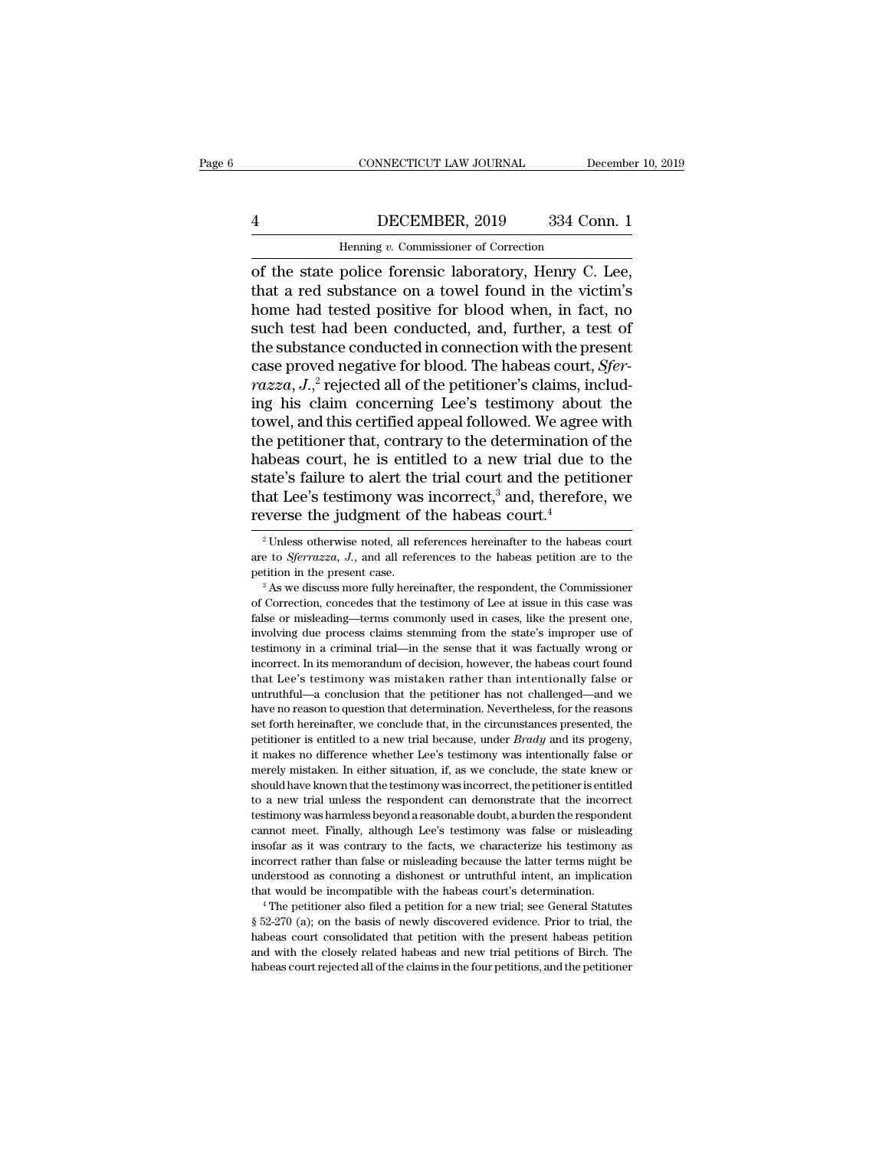### CONNECTICUT LAW JOURNAL December 10, 2019<br>
4 DECEMBER, 2019 334 Conn. 1<br>
Henning v. Commissioner of Correction EXECTICUT LAW JOURNAL Deferences the Deference of Correction<br>Henning *v.* Commissioner of Correction<br>Produce forentic laboratory Henry C

CONNECTICUT LAW JOURNAL December 10, 2<br>
4<br>
DECEMBER, 2019 334 Conn. 1<br>
Henning v. Commissioner of Correction<br>
of the state police forensic laboratory, Henry C. Lee,<br>
that a red substance on a towel found in the victim's<br>
h The Substance on a towel further a test of<br>the state police forensic laboratory, Henry C. Lee,<br>that a red substance on a towel found in the victim's<br>home had tested positive for blood when, in fact, no<br>such test had been c Henning v. Commissioner of Correction<br>
of the state police forensic laboratory, Henry C. Lee,<br>
that a red substance on a towel found in the victim's<br>
home had tested positive for blood when, in fact, no<br>
such test had bee **SUPER 4** DECEMBER, 2019 334 Conn. 1<br>
Henning *v*. Commissioner of Correction<br>
of the state police forensic laboratory, Henry C. Lee,<br>
that a red substance on a towel found in the victim's<br>
home had tested positive for bl Henning v. Commissioner of Correction<br>
of the state police forensic laboratory, Henry C. Lee,<br>
that a red substance on a towel found in the victim's<br>
home had tested positive for blood when, in fact, no<br>
such test had bee Henning *v*. Commissioner of Correction<br>
of the state police forensic laboratory, Henry C. Lee,<br>
that a red substance on a towel found in the victim's<br>
home had tested positive for blood when, in fact, no<br>
such test had be of the state police forensic laboratory, Henry C. Lee, that a red substance on a towel found in the victim's home had tested positive for blood when, in fact, no such test had been conducted, and, further, a test of the su that a red substance on a towel found in the victim's<br>home had tested positive for blood when, in fact, no<br>such test had been conducted, and, further, a test of<br>the substance conducted in connection with the present<br>case home had tested positive for blood when, in fact, no<br>such test had been conducted, and, further, a test of<br>the substance conducted in connection with the present<br>case proved negative for blood. The habeas court, *Sfer-<br>ra* such test had been conducted, and, further, a test of<br>the substance conducted in connection with the present<br>case proved negative for blood. The habeas court, *Sfer-<br>razza*,  $J$ ,<sup>2</sup> rejected all of the petitioner's claims the substance conducted in connection with the present<br>case proved negative for blood. The habeas court, *Sfer-<br>razza*,  $J$ ,<sup>2</sup> rejected all of the petitioner's claims, includ-<br>ing his claim concerning Lee's testimony abo case proved negative for blood. The habeas court, *Sfer-*<br>*razza*, *J*.,<sup>2</sup> rejected all of the petitioner's claims, includ-<br>ing his claim concerning Lee's testimony about the<br>towel, and this certified appeal followed. We *razza*,  $J_{\cdot,\cdot}^{2}$  rejected all of the petitioner's claims, including his claim concerning Lee's testimony about the towel, and this certified appeal followed. We agree with the petitioner that, contrary to the determi ing his claim concerning Lee's testimony about<br>towel, and this certified appeal followed. We agree<br>the petitioner that, contrary to the determination of<br>habeas court, he is entitled to a new trial due t<br>state's failure to abeas court, he is entitled to a new trial due to the ate's failure to alert the trial court and the petitioner at Lee's testimony was incorrect,<sup>3</sup> and, therefore, we everse the judgment of the habeas court.<sup>4</sup><br><sup>2</sup> Unles state's failure to alert the trial court and the petitioner<br>that Lee's testimony was incorrect,<sup>3</sup> and, therefore, we<br>reverse the judgment of the habeas court.<sup>4</sup><br><sup>2</sup> Unless otherwise noted, all references hereinafter to

mcorrect rather than false or misleading because the latter terms might be understood as connoting a dishonest or untruthful intent, an implication that would be incompatible with the habeas court's determination.<br>
<sup>4</sup> Th understood as connoting a dishonest or untruthful intent, an implication that would be incompatible with the habeas court's determination.<br>
<sup>4</sup> The petitioner also filed a petition for a new trial; see General Statutes  $\S$ that would be incompatible with the habeas court's determination.<br>
<sup>4</sup> The petitioner also filed a petition for a new trial; see General Statutes  $\S$  52-270 (a); on the basis of newly discovered evidence. Prior to trial,

that Lee's testimony was incorrect,<sup>3</sup> and, therefore, we reverse the judgment of the habeas court.<sup>4</sup><br><sup>2</sup> Unless otherwise noted, all references hereinafter to the habeas court are to *Sferrazza*, *J*., and all reference

The Correction, concedes that the testimony of Lee at issue in this case.<br>
The testimon in the present case.<br>
The testimon in the present case.<br>
The testimony of Lee at issue in this case was<br>
The commissioner of Correcti <sup>2</sup> Unless otherwise noted, all references hereinafter to the habeas court are to *Sferrazza*, *J.*, and all references to the habeas petition are to the petition in the present case.<br><sup>3</sup> As we discuss more fully hereinaf are to *Sferrazza*, *J.*, and all references to the habeas petition are to the petition in the present case.<br><sup>3</sup> As we discuss more fully hereinafter, the respondent, the Commissioner of Correction, concedes that the test petition in the present case.<br>
<sup>3</sup> As we discuss more fully hereinafter, the respondent, the Commissioner of Correction, concedes that the testimony of Lee at issue in this case was false or misleading—terms commonly used <sup>3</sup> As we discuss more fully hereinafter, the respondent, the Commissioner<br><sup>3</sup> As we discuss more fully hereinafter, the respondent, the Commissioner<br>false or misleading—terms commonly used in cases, like the present one, of Correction, concedes that the testimony of Lee at issue in this case was false or misleading—terms commonly used in cases, like the present one, involving due process claims stemming from the state's improper use of tes alse or misleading—terms commonly used in cases, like the present one, fractually due process claims stemming from the state's improper use of testimony in a criminal trial—in the sense that it was factually wrong or incor involving due process claims stemming from the state's improper use of testimony in a criminal trial—in the sense that it was factually wrong or incorrect. In its memorandum of decision, however, the habeas court found tha testimony in a criminal trial—in the sense that it was factually wrong or incorrect. In its memorandum of decision, however, the habeas court found that Lee's testimony was mistaken rather than intentionally false or untru incorrect. In its memorandum of decision, however, the habeas court found<br>that Lee's testimony was mistaken rather than intentionally false or<br>untruthful—a conclusion that the petitioner has not challenged—and we<br>have no r that Lee's testimony was mistaken rather than intentionally false or untruthful—a conclusion that the petitioner has not challenged—and we have no reason to question that determination. Nevertheless, for the reasons set f untruthful—a conclusion that the petitioner has not challenged—and we have no reason to question that determination. Nevertheless, for the reasons set forth hereinafter, we conclude that, in the circumstances presented, t have no reason to question that determination. Nevertheless, for the reasons set forth hereinafter, we conclude that, in the circumstances presented, the petitioner is entitled to a new trial because, under *Brady* and its the set forth hereinafter, we conclude that, in the circumstances presented, the petitioner is entitled to a new trial because, under *Brady* and its progeny, it makes no difference whether Lee's testimony was intentional petitioner is entitled to a new trial because, under *Brady* and its progeny, it makes no difference whether Lee's testimony was intentionally false or merely mistaken. In either situation, if, as we conclude, the state k process in makes no difference whether Lee's testimony was intentionally false or merely mistaken. In either situation, if, as we conclude, the state knew or should have known that the testimony was incorrect, the petition it makes no difference whether Lee's testimony was intentionally false or merely mistaken. In either situation, if, as we conclude, the state knew or should have known that the testimony was incorrect, the petitioner is e ishould have known that the testimony was incorrect, the petitioner is entitled to a new trial unless the respondent can demonstrate that the incorrect testimony was harmless beyond a reasonable doubt, a burden the respond to a new trial unless the respondent can demonstrate that the incorrect testimony was harmless beyond a reasonable doubt, a burden the respondent cannot meet. Finally, although Lee's testimony was false or misleading insof testimony was harmless beyond a reasonable doubt, a burden the respondent cannot meet. Finally, although Lee's testimony was false or misleading insofar as it was contrary to the facts, we characterize his testimony as inc exists and the facts, we characterize his testimony as incorrect rather than false or misleading because the latter terms might be understood as connoting a dishonest or untruthful intent, an implication that would be inc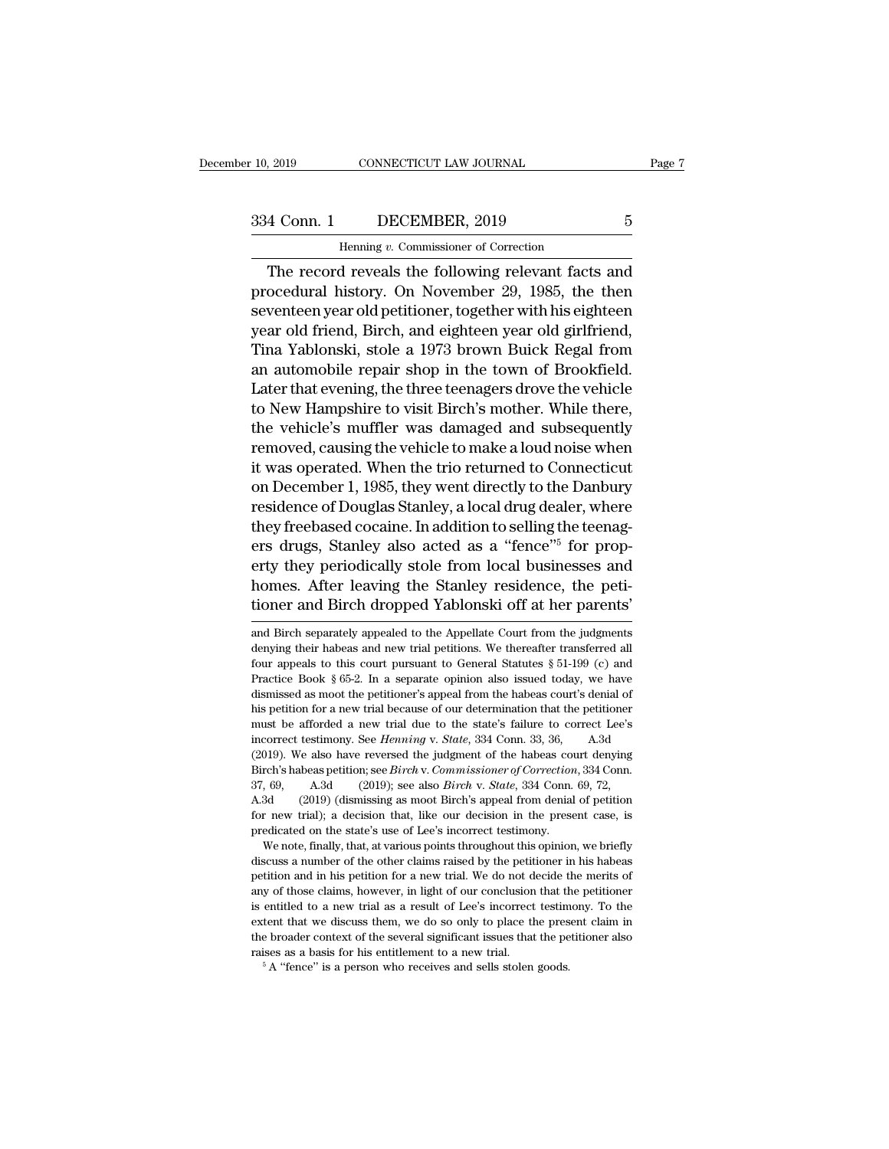EXECTICUT LAW JOURNAL<br>DECEMBER, 2019<br>Henning *v.* Commissioner of Correction<br>dreveals the following relevant facts The record reveals the following relevant facts and<br>
The record reveals the following relevant facts and<br>
condural history. On November 29, 1985, the then<br>
transformation record reveals the following relevant facts and<br>
th 334 Conn. 1 DECEMBER, 2019 5<br>
Henning v. Commissioner of Correction<br>
The record reveals the following relevant facts and<br>
procedural history. On November 29, 1985, the then<br>
seventeen year old petitioner, together with his 334 Conn. 1 DECEMBER, 2019 5<br>
Henning v. Commissioner of Correction<br>
The record reveals the following relevant facts and<br>
procedural history. On November 29, 1985, the then<br>
seventeen year old petitioner, together with hi 334 Conn. 1 DECEMBER, 2019 5<br>
Henning v. Commissioner of Correction<br>
The record reveals the following relevant facts and<br>
procedural history. On November 29, 1985, the then<br>
seventeen year old petitioner, together with hi Henning v. Commissioner of Correction<br>
The record reveals the following relevant facts and<br>
procedural history. On November 29, 1985, the then<br>
seventeen year old petitioner, together with his eighteen<br>
year old friend, B The record reveals the following relevant facts and<br>procedural history. On November 29, 1985, the then<br>seventeen year old petitioner, together with his eighteen<br>year old friend, Birch, and eighteen year old girlfriend,<br>Tin The record reveals the following relevant facts and<br>procedural history. On November 29, 1985, the then<br>seventeen year old petitioner, together with his eighteen<br>year old friend, Birch, and eighteen year old girlfriend,<br>Tin procedural history. On November 29, 1985, the then<br>seventeen year old petitioner, together with his eighteen<br>year old friend, Birch, and eighteen year old girlfriend,<br>Tina Yablonski, stole a 1973 brown Buick Regal from<br>an seventeen year old petitioner, together with his eighteen<br>year old friend, Birch, and eighteen year old girlfriend,<br>Tina Yablonski, stole a 1973 brown Buick Regal from<br>an automobile repair shop in the town of Brookfield.<br>L year old friend, Birch, and eighteen year old girlfriend,<br>Tina Yablonski, stole a 1973 brown Buick Regal from<br>an automobile repair shop in the town of Brookfield.<br>Later that evening, the three teenagers drove the vehicle<br>t Tina Yablonski, stole a 1973 brown Buick Regal from<br>an automobile repair shop in the town of Brookfield.<br>Later that evening, the three teenagers drove the vehicle<br>to New Hampshire to visit Birch's mother. While there,<br>the an automobile repair shop in the town of Brookfield.<br>Later that evening, the three teenagers drove the vehicle<br>to New Hampshire to visit Birch's mother. While there,<br>the vehicle's muffler was damaged and subsequently<br>remov Later that evening, the three teenagers drove the vehicle<br>to New Hampshire to visit Birch's mother. While there,<br>the vehicle's muffler was damaged and subsequently<br>removed, causing the vehicle to make a loud noise when<br>it to New Hampshire to visit Birch's mother. While there,<br>the vehicle's muffler was damaged and subsequently<br>removed, causing the vehicle to make a loud noise when<br>it was operated. When the trio returned to Connecticut<br>on Dec the vehicle's muttler was damaged and subsequently<br>removed, causing the vehicle to make a loud noise when<br>it was operated. When the trio returned to Connecticut<br>on December 1, 1985, they went directly to the Danbury<br>reside removed, causing the vehicle to make a loud noise when<br>it was operated. When the trio returned to Connecticut<br>on December 1, 1985, they went directly to the Danbury<br>residence of Douglas Stanley, a local drug dealer, where<br> it was operated. When the trio returned to Connecticut<br>on December 1, 1985, they went directly to the Danbury<br>residence of Douglas Stanley, a local drug dealer, where<br>they freebased cocaine. In addition to selling the teen on December 1, 1985, they went directly to the Danbury<br>residence of Douglas Stanley, a local drug dealer, where<br>they freebased cocaine. In addition to selling the teenag-<br>ers drugs, Stanley also acted as a "fence"<sup>5</sup> for p ers drugs, Stanley also acted as a "fence"<sup>5</sup> for property they periodically stole from local businesses and homes. After leaving the Stanley residence, the petitioner and Birch dropped Yablonski off at her parents' and B erty they periodically stole from local businesses and<br>homes. After leaving the Stanley residence, the peti-<br>tioner and Birch dropped Yablonski off at her parents'<br>and Birch separately appealed to the Appellate Court from

A.3d (2019) (dismissing as moot Birch's appeal from denial of petition<br>for new trial); a decision that, like our decision in the present case, is<br>predicated on the state's use of Lee's incorrect testimony.<br>We note, finally From the trial); a decision that, like our decision in the present case, is predicated on the state's use of Lee's incorrect testimony.<br>We note, finally, that, at various points throughout this opinion, we briefly discuss predicated on the state's use of Lee's incorrect testimony.<br>We note, finally, that, at various points throughout this opinion, we briefly<br>discuss a number of the other claims raised by the petitioner in his habeas<br>petition We note, finally, that, at various points throughout this opinion, we briefly discuss a number of the other claims raised by the petitioner in his habeas petition and in his petition for a new trial. We do not decide the m discuss a number of the other claims raised by the petitioner in his habeas<br>discuss a number of the other claims raised by the petitioner in his habeas<br>petition and in his petition for a new trial. We do not decide the mer ration and in his petition for a new trial. We do not decide to any of those claims, however, in light of our conclusion that the is entitled to a new trial as a result of Lee's incorrect testim extent that we discuss them

homes. After leaving the Stanley residence, the petitioner and Birch dropped Yablonski off at her parents'<br>and Birch separately appealed to the Appellate Court from the judgments<br>denying their habeas and new trial petition tioner and Birch dropped Yablonski off at her parents'<br>and Birch separately appealed to the Appellate Court from the judgments<br>denying their habeas and new trial petitions. We thereafter transferred all<br>four appeals to thi and Birch separately appealed to the Appellate Court from the judgments<br>and Birch separately appealed to the Appellate Court from the judgments<br>denying their habeas and new trial petitions. We thereafter transferred all<br>fo and Birch separately appealed to the Appellate Court from the judgments denying their habeas and new trial petitions. We thereafter transferred all four appeals to this court pursuant to General Statutes  $\S 51-199$  (c) an denying their habeas and new trial petitions. We thereafter transferred all four appeals to this court pursuant to General Statutes  $\S 51-199$  (c) and Practice Book  $\S 65-2$ . In a separate opinion also issued today, we ha four appeals to this court pursuant to General Statutes § 51-199 (c) and Practice Book § 65-2. In a separate opinion also issued today, we have dismissed as moot the petitioner's appeal from the habeas court's denial of hi Practice Book § 65-2. In a separate opinion also issued today, we have dismissed as moot the petitioner's appeal from the habeas court's denial of his petition for a new trial because of our determination that the petitio Interact Book 3 oo L. In a separate option also issued caus), we have<br>dismissed as moot the petitioner's appeal from the habeas court's denial of<br>his petition for a new trial because of our determination that the petitione dismissed as moot the petitioner's appeal from the habeas court's denial of<br>his petition for a new trial because of our determination that the petitioner<br>must be afforded a new trial due to the state's failure to correct L must be afforded a new trial due to the state's failure to correct Lee's<br>incorrect testimony. See *Henning* v. *State*, 334 Conn. 33, 36, A.3d<br>(2019). We also have reversed the judgment of the habeas court denying<br>Birch's incorrect testimony. See *Henning* v. *State*, 334 Conn. 33, 36, A.3d (2019). We also have reversed the judgment of the habeas court denying Birch's habeas petition; see *Birch* v. *Commissioner of Correction*, 334 Conn. 3 for new trial); a decision that, like our decision in the present case, is predicated on the state's use of Lee's incorrect testimony.<br>We note, finally, that, at various points throughout this opinion, we briefly Freh's habeas petition; see *Birch* v. Commissioner of Correction, 334 Conn.<br>
69, A.3d (2019); see also *Birch* v. *State*, 334 Conn. 69, 72, 3d (2019) (dismissing as moot Birch's appeal from denial of petition r new tria 37, 69, A.3d (2019); see also *Birch* v. *State*, 334 Conn. 69, 72, A.3d (2019) (dismissing as moot Birch's appeal from denial of petition for new trial); a decision that, like our decision in the present case, is predica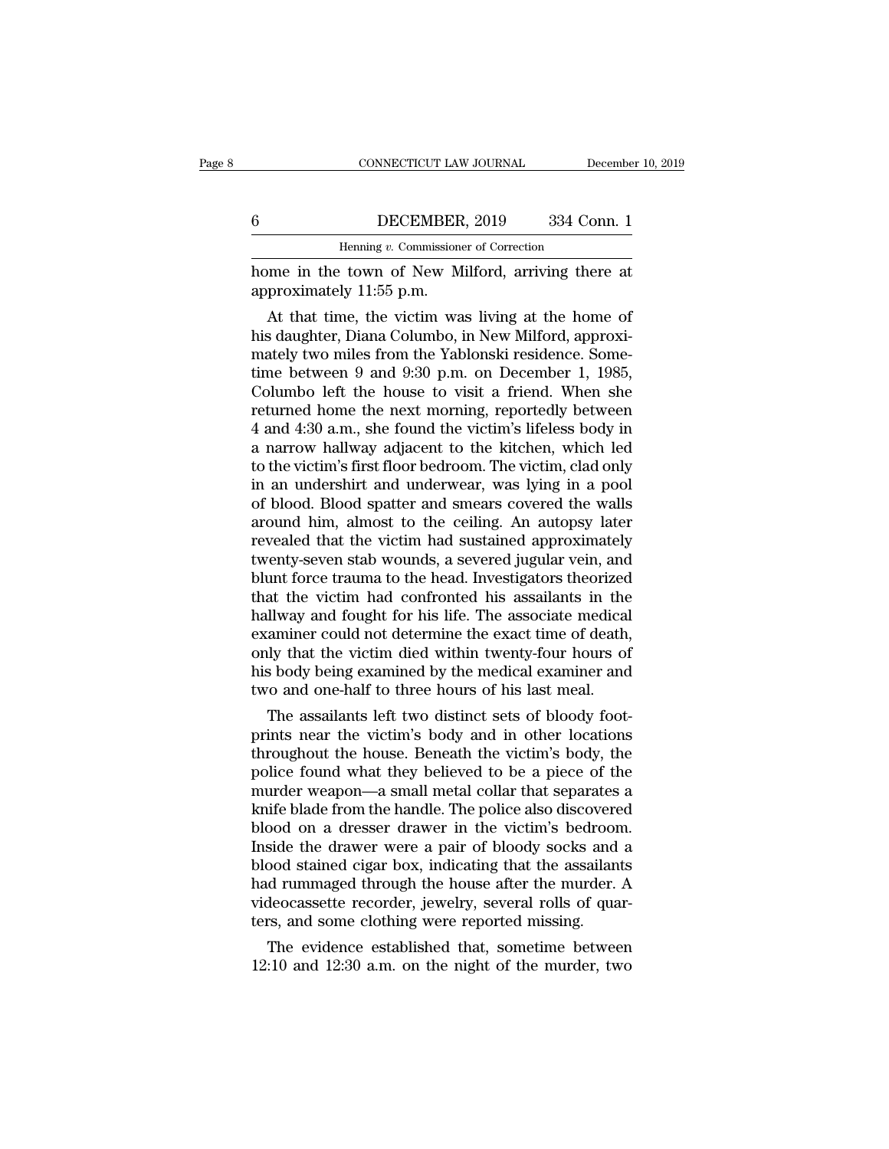### CONNECTICUT LAW JOURNAL December 10, 2019<br>6 DECEMBER, 2019 334 Conn. 1<br>Henning v. Commissioner of Correction CONNECTICUT LAW JOURNAL Defined the Default of Correction Henning *v.* Commissioner of Correction<br>Henning *v.* Commissioner of Correction

CONNECTICUT LAW JOURNAL December 10, 2019<br> **6** DECEMBER, 2019 334 Conn. 1<br>
Henning v. Commissioner of Correction<br>
home in the town of New Milford, arriving there at<br>
approximately 11:55 p.m. EXEMBER<br>
Henning v. Commissione<br>
home in the town of New M<br>
approximately 11:55 p.m.<br>
At that time, the victim wa

DECEMBER, 2019 334 Conn. 1<br>
Henning v. Commissioner of Correction<br>
The victim was living there at<br>
proximately 11:55 p.m.<br>
At that time, the victim was living at the home of<br>
s daughter, Diana Columbo, in New Milford, appr  $\frac{6}{\text{Henning } v. \text{ Commissioner of Correction}}$ <br>
Henning v. Commissioner of Correction<br>
home in the town of New Milford, arriving there at<br>
approximately 11:55 p.m.<br>
At that time, the victim was living at the home of<br>
his daughter, Diana Columb Henning v. Commissioner of Correction<br>home in the town of New Milford, arriving there at<br>approximately 11:55 p.m.<br>At that time, the victim was living at the home of<br>his daughter, Diana Columbo, in New Milford, approxi-<br>mat home in the town of New Milford, arriving there at<br>approximately 11:55 p.m.<br>At that time, the victim was living at the home of<br>his daughter, Diana Columbo, in New Milford, approxi-<br>mately two miles from the Yablonski resid nome in the town of New Milliord, arriving there at<br>approximately 11:55 p.m.<br>At that time, the victim was living at the home of<br>his daughter, Diana Columbo, in New Milford, approxi-<br>mately two miles from the Yablonski res approximately 11:55 p.m.<br>
At that time, the victim was living at the home of<br>
his daughter, Diana Columbo, in New Milford, approxi-<br>
mately two miles from the Yablonski residence. Some-<br>
time between 9 and 9:30 p.m. on Dec At that time, the victim was living at the home of<br>his daughter, Diana Columbo, in New Milford, approxi-<br>mately two miles from the Yablonski residence. Some-<br>time between 9 and 9:30 p.m. on December 1, 1985,<br>Columbo left t his daughter, Diana Columbo, in New Milford, approximately two miles from the Yablonski residence. Some-<br>time between 9 and 9:30 p.m. on December 1, 1985,<br>Columbo left the house to visit a friend. When she<br>returned home th mately two miles from the Yablonski residence. Some-<br>time between 9 and 9:30 p.m. on December 1, 1985,<br>Columbo left the house to visit a friend. When she<br>returned home the next morning, reportedly between<br>4 and 4:30 a.m., time between 9 and 9:30 p.m. on December 1, 1985,<br>Columbo left the house to visit a friend. When she<br>returned home the next morning, reportedly between<br>4 and 4:30 a.m., she found the victim's lifeless body in<br>a narrow hall Columbo left the house to visit a friend. When she<br>returned home the next morning, reportedly between<br>4 and 4:30 a.m., she found the victim's lifeless body in<br>a narrow hallway adjacent to the kitchen, which led<br>to the vict returned home the next morning, reportedly between<br>4 and 4:30 a.m., she found the victim's lifeless body in<br>a narrow hallway adjacent to the kitchen, which led<br>to the victim's first floor bedroom. The victim, clad only<br>in 4 and 4:30 a.m., she found the victim's lifeless body in<br>a narrow hallway adjacent to the kitchen, which led<br>to the victim's first floor bedroom. The victim, clad only<br>in an undershirt and underwear, was lying in a pool<br>of a narrow hallway adjacent to the kitchen, which led<br>to the victim's first floor bedroom. The victim, clad only<br>in an undershirt and underwear, was lying in a pool<br>of blood. Blood spatter and smears covered the walls<br>around to the victim's first floor bedroom. The victim, clad only<br>in an undershirt and underwear, was lying in a pool<br>of blood. Blood spatter and smears covered the walls<br>around him, almost to the ceiling. An autopsy later<br>reveal in an undershirt and underwear, was lying in a pool<br>of blood. Blood spatter and smears covered the walls<br>around him, almost to the ceiling. An autopsy later<br>revealed that the victim had sustained approximately<br>twenty-seven of blood. Blood spatter and smears covered the walls<br>around him, almost to the ceiling. An autopsy later<br>revealed that the victim had sustained approximately<br>twenty-seven stab wounds, a severed jugular vein, and<br>blunt forc around him, almost to the ceiling. An autopsy later<br>revealed that the victim had sustained approximately<br>twenty-seven stab wounds, a severed jugular vein, and<br>blunt force trauma to the head. Investigators theorized<br>that th revealed that the victim had sustained approximately<br>twenty-seven stab wounds, a severed jugular vein, and<br>blunt force trauma to the head. Investigators theorized<br>that the victim had confronted his assailants in the<br>hallwa twenty-seven stab wounds, a severed jugular vein, and<br>blunt force trauma to the head. Investigators theorized<br>that the victim had confronted his assailants in the<br>hallway and fought for his life. The associate medical<br>exam blunt force trauma to the head. Investigators theorized<br>that the victim had confronted his assailants in the<br>hallway and fought for his life. The associate medical<br>examiner could not determine the exact time of death,<br>only at the victim nad confronted his assailants in the<br>Illway and fought for his life. The associate medical<br>aminer could not determine the exact time of death,<br>ly that the victim died within twenty-four hours of<br>s body being nanway and rought for his life. The associate medical<br>examiner could not determine the exact time of death,<br>only that the victim died within twenty-four hours of<br>his body being examined by the medical examiner and<br>two and

examiner could not determine the exact time of death,<br>only that the victim died within twenty-four hours of<br>his body being examined by the medical examiner and<br>two and one-half to three hours of his last meal.<br>The assailan only that the victim died within twenty-four hours of<br>his body being examined by the medical examiner and<br>two and one-half to three hours of his last meal.<br>The assailants left two distinct sets of bloody foot-<br>prints near mus body being examined by the medical examiner and<br>two and one-half to three hours of his last meal.<br>The assailants left two distinct sets of bloody foot-<br>prints near the victim's body and in other locations<br>throughout th two and one-nair to three nours of his last meal.<br>The assailants left two distinct sets of bloody foot-<br>prints near the victim's body and in other locations<br>throughout the house. Beneath the victim's body, the<br>police found The assailants left two distinct sets of bloody foot-<br>prints near the victim's body and in other locations<br>throughout the house. Beneath the victim's body, the<br>police found what they believed to be a piece of the<br>murder we prints near the victim's body and in other locations<br>throughout the house. Beneath the victim's body, the<br>police found what they believed to be a piece of the<br>murder weapon—a small metal collar that separates a<br>knife blade throughout the house. Beneath the victim's body, the police found what they believed to be a piece of the murder weapon—a small metal collar that separates a knife blade from the handle. The police also discovered blood on police found what they believed to be a piece of the<br>murder weapon—a small metal collar that separates a<br>knife blade from the handle. The police also discovered<br>blood on a dresser drawer in the victim's bedroom.<br>Inside the murder weapon—a small metal collar that separates a<br>knife blade from the handle. The police also discovered<br>blood on a dresser drawer in the victim's bedroom.<br>Inside the drawer were a pair of bloody socks and a<br>blood stain knife blade from the handle. The police also discovere<br>blood on a dresser drawer in the victim's bedroor<br>Inside the drawer were a pair of bloody socks and<br>blood stained cigar box, indicating that the assailan<br>had rummaged bod on a dresser drawer in the victim's bedroom.<br>
side the drawer were a pair of bloody socks and a<br>
bod stained cigar box, indicating that the assailants<br>
d runmaged through the house after the murder. A<br>
deocassette reco mside the drawer were a pair of bloody socks and a<br>blood stained cigar box, indicating that the assailants<br>had rummaged through the house after the murder. A<br>videocassette recorder, jewelry, several rolls of quar-<br>ters, an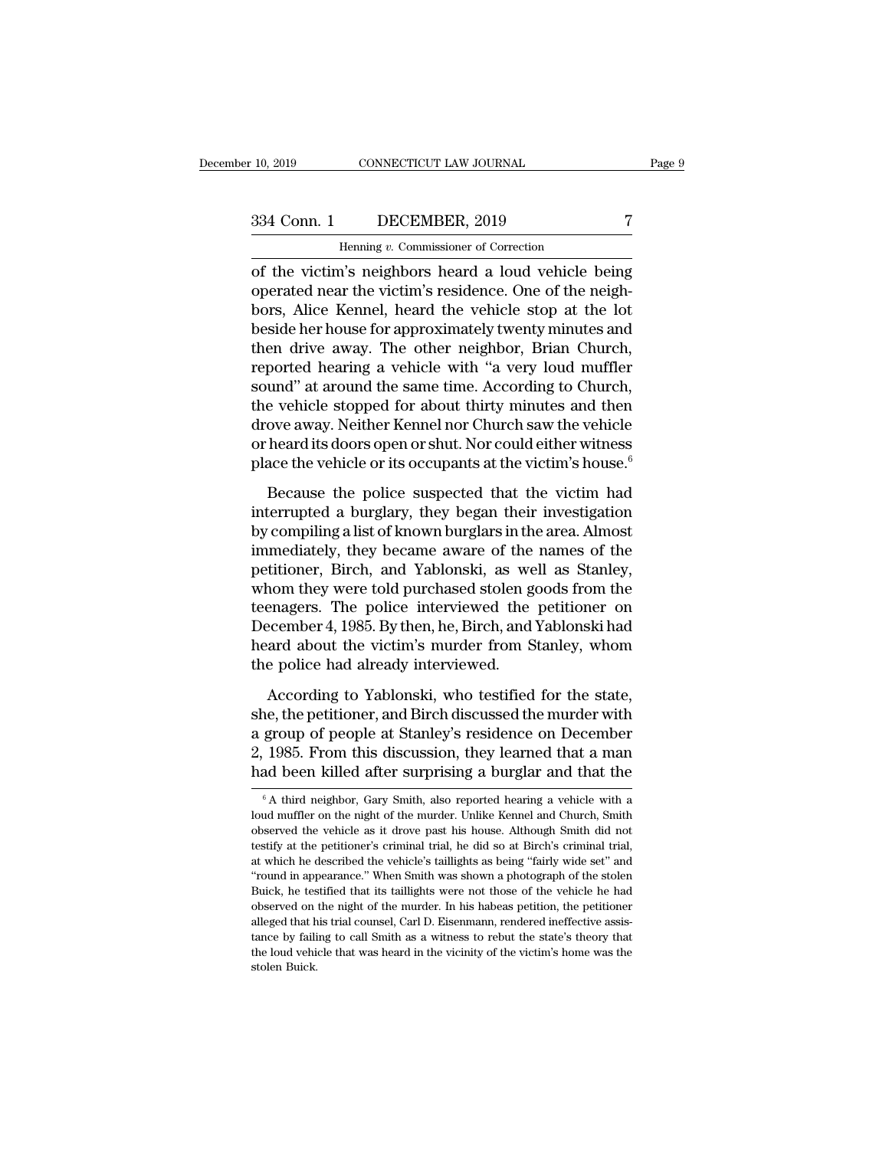## 10, 2019 CONNECTICUT LAW JOURNAL Page 9<br>334 Conn. 1 DECEMBER, 2019 7<br>Henning v. Commissioner of Correction

CONNECTICUT LAW JOURNAL<br>DECEMBER, 2019<br>Henning *v.* Commissioner of Correction<br>'s neighbors heard a loud vehicle b THE VALUATE TRANSITY OF THE VALUATE TRANSITY OF THE VALUATED ASSESSMENT OF THE VALUATED THEN THE VALUATED VALUATED VALUATED A local vehicle being<br>The victim's neighbors heard a loud vehicle being<br>operated near the victim's 334 Conn. 1 DECEMBER, 2019 7<br>
Henning v. Commissioner of Correction<br>
of the victim's neighbors heard a loud vehicle being<br>
operated near the victim's residence. One of the neigh-<br>
bors, Alice Kennel, heard the vehicle sto  $\begin{array}{c|c} \text{334 Conn.} & \text{DECEMBER, 2019} & \text{7} \\ \hline \text{Hening } v. \text{ Commissioner of Correction} \\ \hline \text{of the victim's neighbors heard a loud vehicle being} \\ \text{operated near the victim's residence. One of the neighbors, Alice Kenneth, heard the vehicle stop at the lot beside her house for approximately twenty minutes and then drive away. The other neighbor, Brian Church.} \end{array}$  $\frac{334 \text{ Conn. } 1}{1}$  DECEMBER, 2019 7<br>
Henning v. Commissioner of Correction<br>
of the victim's neighbors heard a loud vehicle being<br>
operated near the victim's residence. One of the neigh-<br>
bors, Alice Kennel, heard the veh Henning v. Commissioner of Correction<br>
of the victim's neighbors heard a loud vehicle being<br>
operated near the victim's residence. One of the neigh-<br>
bors, Alice Kennel, heard the vehicle stop at the lot<br>
beside her house renting *v*. Commissioner of Correction<br>
of the victim's neighbors heard a loud vehicle being<br>
operated near the victim's residence. One of the neigh-<br>
bors, Alice Kennel, heard the vehicle stop at the lot<br>
beside her hous of the victim's neighbors heard a loud vehicle being<br>operated near the victim's residence. One of the neigh-<br>bors, Alice Kennel, heard the vehicle stop at the lot<br>beside her house for approximately twenty minutes and<br>then operated near the victim's residence. One of the neigh-<br>bors, Alice Kennel, heard the vehicle stop at the lot<br>beside her house for approximately twenty minutes and<br>then drive away. The other neighbor, Brian Church,<br>reporte bors, Alice Kennel, heard the vehicle stop at the lot<br>beside her house for approximately twenty minutes and<br>then drive away. The other neighbor, Brian Church,<br>reported hearing a vehicle with "a very loud muffler<br>sound" at beside her house for approximately twenty minutes and<br>then drive away. The other neighbor, Brian Church,<br>reported hearing a vehicle with "a very loud muffler<br>sound" at around the same time. According to Church,<br>the vehicle then drive away. The other neighbor, Brian Church,<br>reported hearing a vehicle with "a very loud muffler<br>sound" at around the same time. According to Church,<br>the vehicle stopped for about thirty minutes and then<br>drove away. and" at around the same time. According to Church,<br>a vehicle stopped for about thirty minutes and then<br>ove away. Neither Kennel nor Church saw the vehicle<br>heard its doors open or shut. Nor could either witness<br>ace the vehi Interval a burglary, they began their windows of the vehicle stopped for about thirty minutes and then<br>drove away. Neither Kennel nor Church saw the vehicle<br>or heard its doors open or shut. Nor could either witness<br>place t

by compiling a list of known burglars in the vehicle<br>or heard its doors open or shut. Nor could either witness<br>place the vehicle or its occupants at the victim's house.<sup>6</sup><br>Because the police suspected that the victim had<br>i in the last of the solid either witness<br>or heard its doors open or shut. Nor could either witness<br>place the vehicle or its occupants at the victim's house.<sup>6</sup><br>Because the police suspected that the victim had<br>interrupted a place the vehicle or its occupants at the victim's house.<sup>6</sup><br>Because the police suspected that the victim had<br>interrupted a burglary, they began their investigation<br>by compiling a list of known burglars in the area. Almost Because the police suspected that the victim had<br>interrupted a burglary, they began their investigation<br>by compiling a list of known burglars in the area. Almost<br>immediately, they became aware of the names of the<br>petitione Because the police suspected that the victim had<br>interrupted a burglary, they began their investigation<br>by compiling a list of known burglars in the area. Almost<br>immediately, they became aware of the names of the<br>petitione interrupted a burglary, they began their investigation<br>by compiling a list of known burglars in the area. Almost<br>immediately, they became aware of the names of the<br>petitioner, Birch, and Yablonski, as well as Stanley,<br>whom by compiling a list of known burglars in the area. Almost<br>immediately, they became aware of the names of the<br>petitioner, Birch, and Yablonski, as well as Stanley,<br>whom they were told purchased stolen goods from the<br>teenage immediately, they became aware of the<br>petitioner, Birch, and Yablonski, as we<br>whom they were told purchased stolen g<br>teenagers. The police interviewed the<br>December 4, 1985. By then, he, Birch, and<br>heard about the victim's Finance, 2012, and Puchased stolen goods from the<br>headers. The police interviewed the petitioner on<br>ecember 4, 1985. By then, he, Birch, and Yablonski had<br>ard about the victim's murder from Stanley, whom<br>e police had alrea teenagers. The police interviewed the petitioner on<br>December 4, 1985. By then, he, Birch, and Yablonski had<br>heard about the victim's murder from Stanley, whom<br>the police had already interviewed.<br>According to Yablonski, who

December 4, 1985. By then, he, Birch, and Yablonski had<br>heard about the victim's murder from Stanley, whom<br>the police had already interviewed.<br>According to Yablonski, who testified for the state,<br>she, the petitioner, and B heard about the victim's murder from Stanley, whom<br>the police had already interviewed.<br>According to Yablonski, who testified for the state,<br>she, the petitioner, and Birch discussed the murder with<br>a group of people at Stan the police had already interviewed.<br>
According to Yablonski, who testified for the state,<br>
she, the petitioner, and Birch discussed the murder with<br>
a group of people at Stanley's residence on December<br>
2, 1985. From this she, the petitioner, and Birch discussed the murder with<br>a group of people at Stanley's residence on December<br>2, 1985. From this discussion, they learned that a man<br>had been killed after surprising a burglar and that the<br> a group of people at Stanley's residence on December 2, 1985. From this discussion, they learned that a man had been killed after surprising a burglar and that the  $\frac{6}{10}$  A third neighbor, Gary Smith, also reported he

<sup>2, 1985.</sup> From this discussion, they learned that a man had been killed after surprising a burglar and that the  $\frac{6}{4}$  A third neighbor, Gary Smith, also reported hearing a vehicle with a loud muffler on the night of th A third neighbor, Gary Smith, also reported hearing a vehicle with a  $\frac{1}{6}$  A third neighbor, Gary Smith, also reported hearing a vehicle with a loud muffler on the night of the murder. Unlike Kennel and Church, Smith Fract been Kineti after Surprising a burgiar and that the  $\overline{ }$ <sup>6</sup>A third neighbor, Gary Smith, also reported hearing a vehicle with a loud muffler on the night of the murder. Unlike Kennel and Church, Smith observed th  $\,^6$ A third neighbor, Gary Smith, also reported hearing a vehicle with a loud muffler on the night of the murder. Unlike Kennel and Church, Smith observed the vehicle as it drove past his house. Although Smith did not t I build muffler on the night of the murder. Unlike Kennel and Church, Smith observed the vehicle as it drove past his house. Although Smith did not testify at the petitioner's criminal trial, he did so at Birch's criminal observed the vehicle as it drove past his house. Although Smith did not testify at the petitioner's criminal trial, he did so at Birch's criminal trial, at which he described the vehicle's taillights as being "fairly wide testify at the petitioner's criminal trial, he did so at Birch's criminal trial, at which he described the vehicle's taillights as being "fairly wide set" and "round in appearance." When Smith was shown a photograph of the at which he described the vehicle's taillights as being "fairly wide set" and "round in appearance." When Smith was shown a photograph of the stolen Buick, he testified that its taillights were not those of the vehicle he " cound in appearance." When Smith was shown a photograph of the stolen Buick, he testified that its taillights were not those of the vehicle he had observed on the night of the murder. In his habeas petition, the petition Buick, he testified that its taillights were not those of the vehicle he had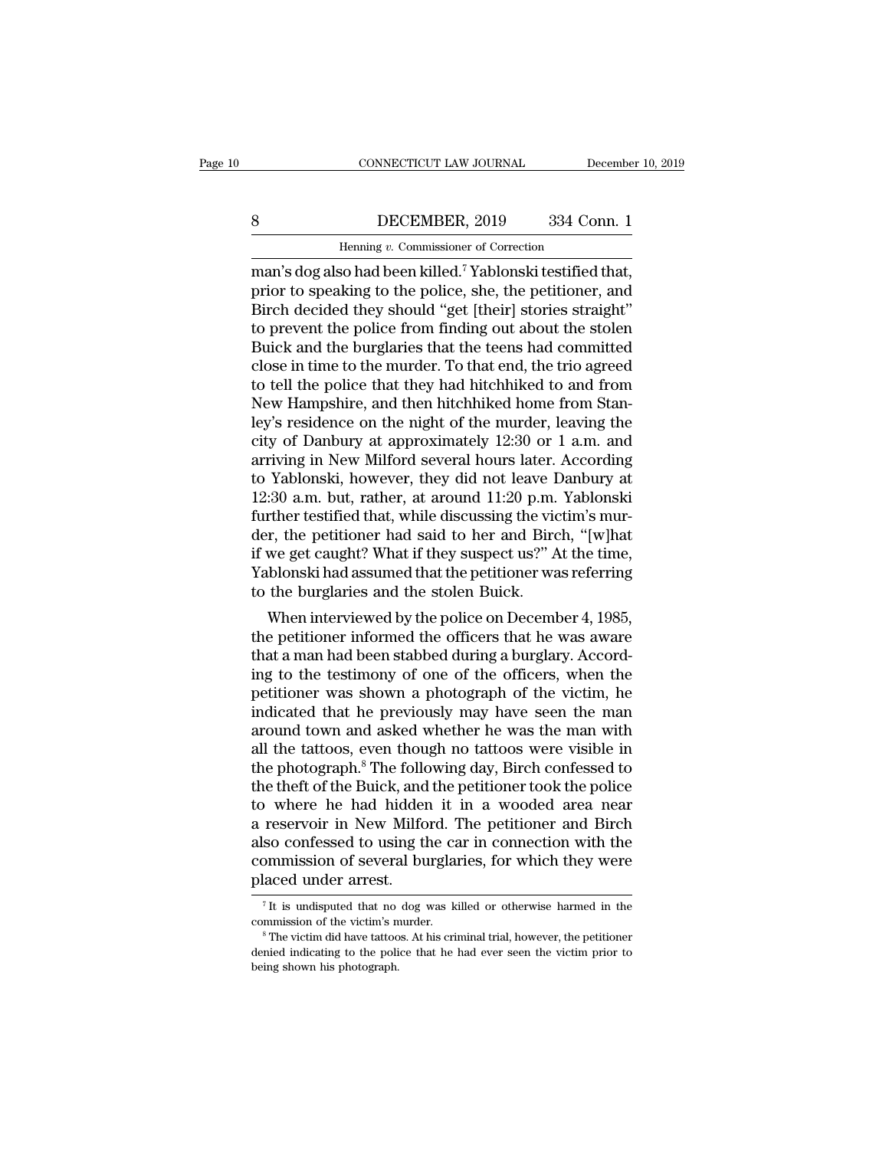### CONNECTICUT LAW JOURNAL December 10, 2019<br>
BECEMBER, 2019 334 Conn. 1<br>
Henning v. Commissioner of Correction EXECTICUT LAW JOURNAL Definition of Correction<br>DECEMBER, 2019 334 Correction<br>Henning *v.* Commissioner of Correction<br>So had been killed <sup>7</sup> Yablonski testified

CONNECTICUT LAW JOURNAL December 10, 2<br>
BECEMBER, 2019 334 Conn. 1<br>
Henning v. Commissioner of Correction<br>
man's dog also had been killed.<sup>7</sup> Yablonski testified that,<br>
prior to speaking to the police, she, the petitioner, BECEMBER, 2019 334 Conn. 1<br>
Henning v. Commissioner of Correction<br>
man's dog also had been killed.<sup>7</sup> Yablonski testified that,<br>
prior to speaking to the police, she, the petitioner, and<br>
Birch decided they should "get [th BECEMBER, 2019 334 Conn. 1<br>
Henning v. Commissioner of Correction<br>
man's dog also had been killed.<sup>7</sup> Yablonski testified that,<br>
prior to speaking to the police, she, the petitioner, and<br>
Birch decided they should "get [th BECEMBER, 2019 334 Conn. 1<br>
Henning v. Commissioner of Correction<br>
man's dog also had been killed.<sup>7</sup> Yablonski testified that,<br>
prior to speaking to the police, she, the petitioner, and<br>
Birch decided they should "get [t Building *v.* Commissioner of Correction<br>man's dog also had been killed.<sup>7</sup> Yablonski testified that,<br>prior to speaking to the police, she, the petitioner, and<br>Birch decided they should "get [their] stories straight"<br>to p Henning v. Commissioner of Correction<br>man's dog also had been killed.<sup>7</sup> Yablonski testified that,<br>prior to speaking to the police, she, the petitioner, and<br>Birch decided they should "get [their] stories straight"<br>to preve man's dog also had been killed.<sup>7</sup> Yablonski testified that,<br>prior to speaking to the police, she, the petitioner, and<br>Birch decided they should "get [their] stories straight"<br>to prevent the police from finding out about t prior to speaking to the police, she, the petitioner, and<br>Birch decided they should "get [their] stories straight"<br>to prevent the police from finding out about the stolen<br>Buick and the burglaries that the teens had committ Birch decided they should "get [their] stories straight"<br>to prevent the police from finding out about the stolen<br>Buick and the burglaries that the teens had committed<br>close in time to the murder. To that end, the trio agre to prevent the police from finding out about the stolen<br>Buick and the burglaries that the teens had committed<br>close in time to the murder. To that end, the trio agreed<br>to tell the police that they had hitchhiked to and fro Buick and the burglaries that the teens had committed<br>close in time to the murder. To that end, the trio agreed<br>to tell the police that they had hitchhiked to and from<br>New Hampshire, and then hitchhiked home from Stan-<br>ley close in time to the murder. To that end, the trio agreed<br>to tell the police that they had hitchhiked to and from<br>New Hampshire, and then hitchhiked home from Stan-<br>ley's residence on the night of the murder, leaving the<br>c to tell the police that they had hitchhiked to and from<br>New Hampshire, and then hitchhiked home from Stan-<br>ley's residence on the night of the murder, leaving the<br>city of Danbury at approximately 12:30 or 1 a.m. and<br>arrivi New Hampshire, and then hitchhiked home from Stan-<br>ley's residence on the night of the murder, leaving the<br>city of Danbury at approximately 12:30 or 1 a.m. and<br>arriving in New Milford several hours later. According<br>to Yab ley's residence on the night of the murder, leaving the<br>city of Danbury at approximately 12:30 or 1 a.m. and<br>arriving in New Milford several hours later. According<br>to Yablonski, however, they did not leave Danbury at<br>12:30 city of Danbury at approximately 12:30 or 1 a.m. and<br>arriving in New Milford several hours later. According<br>to Yablonski, however, they did not leave Danbury at<br>12:30 a.m. but, rather, at around 11:20 p.m. Yablonski<br>furthe arriving in New Milford several hours later. According<br>to Yablonski, however, they did not leave Danbury at<br>12:30 a.m. but, rather, at around 11:20 p.m. Yablonski<br>further testified that, while discussing the victim's mur-<br> to Yablonski, however, they did not leave I<br>12:30 a.m. but, rather, at around 11:20 p.m.<br>further testified that, while discussing the vider, the petitioner had said to her and Birc<br>if we get caught? What if they suspect us So a.n. but, rather, at around 11:20 p.m. rabionski<br>rther testified that, while discussing the victim's mur-<br>r, the petitioner had said to her and Birch, "[w]hat<br>we get caught? What if they suspect us?" At the time,<br>blonsk further testined that, while discussing the victility situation<br>der, the petitioner had said to her and Birch, "[w]hat<br>if we get caught? What if they suspect us?" At the time,<br>Yablonski had assumed that the petitioner was

der, the pethology had said to her and Birch, [w]nat<br>if we get caught? What if they suspect us?" At the time,<br>Yablonski had assumed that the petitioner was referring<br>to the burglaries and the stolen Buick.<br>When interviewed In we get caught? What II they suspect us? At the time,<br>Yablonski had assumed that the petitioner was referring<br>to the burglaries and the stolen Buick.<br>When interviewed by the police on December 4, 1985,<br>the petitioner inf Prabioliski had assumed that the petitioner was referring<br>to the burglaries and the stolen Buick.<br>When interviewed by the police on December 4, 1985,<br>the petitioner informed the officers that he was aware<br>that a man had be to the burgiaries and the stolen buck.<br>
When interviewed by the police on December 4, 1985,<br>
the petitioner informed the officers that he was aware<br>
that a man had been stabbed during a burglary. Accord-<br>
ing to the testim When interviewed by the police on December 4, 1985,<br>the petitioner informed the officers that he was aware<br>that a man had been stabbed during a burglary. Accord-<br>ing to the testimony of one of the officers, when the<br>petit the petitioner informed the officers that he was aware<br>that a man had been stabbed during a burglary. Accord-<br>ing to the testimony of one of the officers, when the<br>petitioner was shown a photograph of the victim, he<br>indica that a man had been stabbed during a burglary. According to the testimony of one of the officers, when the petitioner was shown a photograph of the victim, he indicated that he previously may have seen the man around town ing to the testimony of one of the officers, when the petitioner was shown a photograph of the victim, he indicated that he previously may have seen the man around town and asked whether he was the man with all the tattoos petitioner was shown a photograph of the victim, he<br>indicated that he previously may have seen the man<br>around town and asked whether he was the man with<br>all the tattoos, even though no tattoos were visible in<br>the photograp indicated that he previously may have seen the man<br>around town and asked whether he was the man with<br>all the tattoos, even though no tattoos were visible in<br>the photograph.<sup>8</sup> The following day, Birch confessed to<br>the thef around town and asked whether he was the man with<br>all the tattoos, even though no tattoos were visible in<br>the photograph.<sup>8</sup> The following day, Birch confessed to<br>the theft of the Buick, and the petitioner took the police<br> all the tattoos, even though no tattoos were visible in<br>the photograph.<sup>8</sup> The following day, Birch confessed to<br>the theft of the Buick, and the petitioner took the police<br>to where he had hidden it in a wooded area near<br>a the photograph.<sup>8</sup> The follo<br>the theft of the Buick, and<br>to where he had hidder<br>a reservoir in New Milfo<br>also confessed to using th<br>commission of several bu<br>placed under arrest. reservoir in New Milford. The petitioner and Birch<br>so confessed to using the car in connection with the<br>pommission of several burglaries, for which they were<br>laced under arrest.<br><sup>7</sup>It is undisputed that no dog was killed o commission of several burglaries, for which they were<br>placed under arrest.<br> $\frac{1}{1}$  The victimis murder.<br> $\frac{1}{1}$  The victimis murder.<br> $\frac{1}{1}$  The victim did have tattoos. At his criminal trial, however, the petitione

placed under arrest.<br>
<sup>7</sup>It is undisputed that no dog was killed or otherwise harmed in the<br>
commission of the victim's murder.<br>
<sup>8</sup>The victim did have tattoos. At his criminal trial, however, the petitioner<br>
denied indica placed under arrest.<br> $\frac{1}{1}$  is undisputed that no<br>commission of the victim's n<br> $\frac{1}{1}$  The victim did have tattoo<br>denied indicating to the poli<br>being shown his photograph.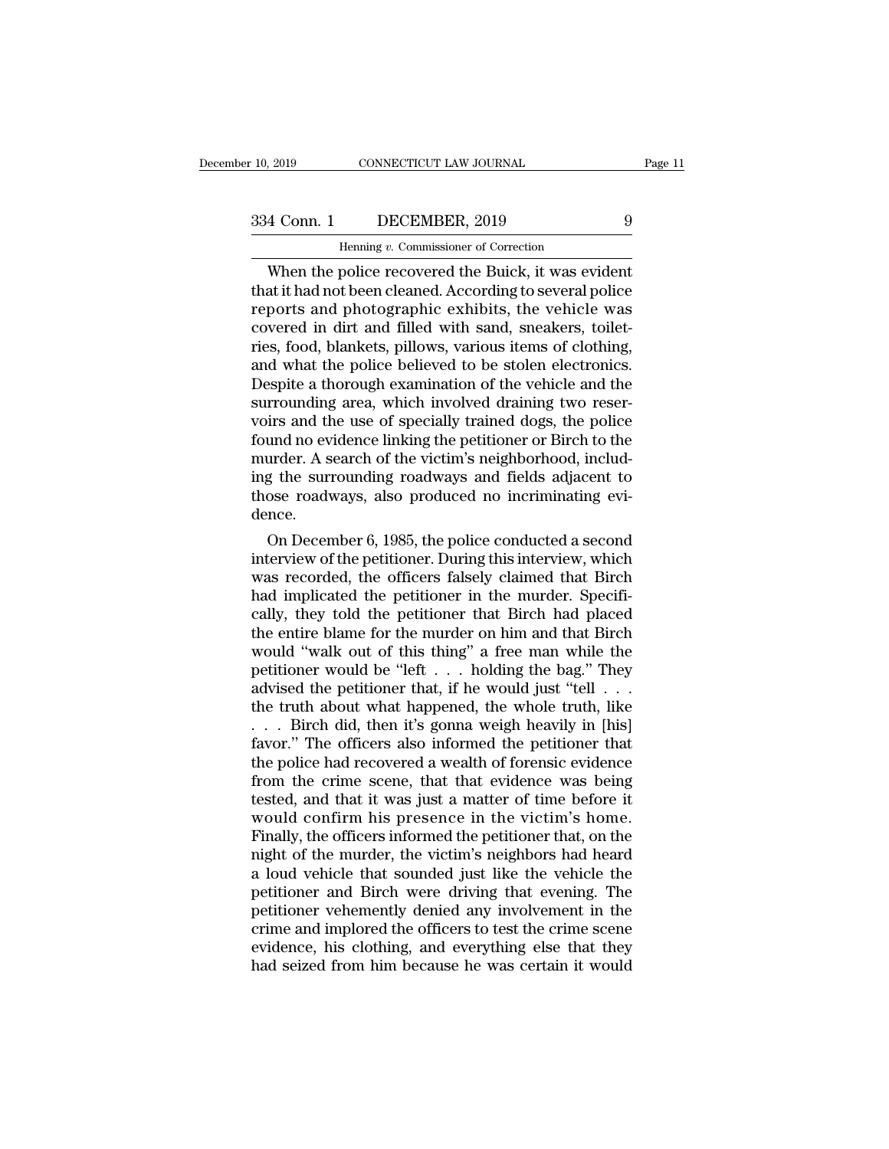EXECTICUT LAW JOURNAL<br>DECEMBER, 2019<br>Henning *v.* Commissioner of Correction<br>police recovered the Buick it was evi 9 (2019 CONNECTICUT LAW JOURNAL Page 1)<br>
4 Conn. 1 DECEMBER, 2019 9<br>
Henning v. Commissioner of Correction<br>
When the police recovered the Buick, it was evident<br>
at it had not been cleaned. According to several police<br>
nort 334 Conn. 1 DECEMBER, 2019 9<br>
Henning v. Commissioner of Correction<br>
When the police recovered the Buick, it was evident<br>
that it had not been cleaned. According to several police<br>
reports and photographic exhibits, the ve  $\frac{334 \text{ Conn. } 1}{\text{Hening } v. \text{ Commissioner of Correction}}$ <br>When the police recovered the Buick, it was evident<br>that it had not been cleaned. According to several police<br>reports and photographic exhibits, the vehicle was<br>covered in dirt and filled 334 Conn. 1 DECEMBER, 2019 9<br>
Henning v. Commissioner of Correction<br>
When the police recovered the Buick, it was evident<br>
that it had not been cleaned. According to several police<br>
reports and photographic exhibits, the v From the police recovered the Buick, it was evident<br>that it had not been cleaned. According to several police<br>reports and photographic exhibits, the vehicle was<br>covered in dirt and filled with sand, sneakers, toilet-<br>ries Henning v. Commissioner of Correction<br>
When the police recovered the Buick, it was evident<br>
that it had not been cleaned. According to several police<br>
reports and photographic exhibits, the vehicle was<br>
covered in dirt and When the police recovered the Buick, it was evident<br>that it had not been cleaned. According to several police<br>reports and photographic exhibits, the vehicle was<br>covered in dirt and filled with sand, sneakers, toilet-<br>ries, that it had not been cleaned. According to several police<br>reports and photographic exhibits, the vehicle was<br>covered in dirt and filled with sand, sneakers, toilet-<br>ries, food, blankets, pillows, various items of clothing, reports and photographic exhibits, the vehicle was<br>covered in dirt and filled with sand, sneakers, toilet-<br>ries, food, blankets, pillows, various items of clothing,<br>and what the police believed to be stolen electronics.<br>De covered in dirt and filled with sand, sneakers, toilet-<br>ries, food, blankets, pillows, various items of clothing,<br>and what the police believed to be stolen electronics.<br>Despite a thorough examination of the vehicle and the ries, food, blankets, pillows, various items of clothing, and what the police believed to be stolen electronics.<br>Despite a thorough examination of the vehicle and the surrounding area, which involved draining two reservoir and what the police believed to be stolen electronics.<br>Despite a thorough examination of the vehicle and the<br>surrounding area, which involved draining two reser-<br>voirs and the use of specially trained dogs, the police<br>foun Despite a thorough examination of the vehicle and the surrounding area, which involved draining two reservoirs and the use of specially trained dogs, the police found no evidence linking the petitioner or Birch to the murd dence. irs and the use of specially trained dogs, the police<br>und no evidence linking the petitioner or Birch to the<br>urder. A search of the victim's neighborhood, includ-<br>g the surrounding roadways and fields adjacent to<br>ose roadw round no evidence inking the petitioner or Birch to the<br>murder. A search of the victim's neighborhood, includ-<br>ing the surrounding roadways and fields adjacent to<br>those roadways, also produced no incriminating evi-<br>dence.<br>

muraer. A search of the victim's neighborhood, includ-<br>ing the surrounding roadways and fields adjacent to<br>those roadways, also produced no incriminating evi-<br>dence.<br>On December 6, 1985, the police conducted a second<br>inter ing the surrounding roadways and fields adjacent to<br>those roadways, also produced no incriminating evi-<br>dence.<br>On December 6, 1985, the police conducted a second<br>interview of the petitioner. During this interview, which<br>wa those roadways, also produced no incriminating evi-<br>dence.<br>On December 6, 1985, the police conducted a second<br>interview of the petitioner. During this interview, which<br>was recorded, the officers falsely claimed that Birch<br> dence.<br>
On December 6, 1985, the police conducted a second<br>
interview of the petitioner. During this interview, which<br>
was recorded, the officers falsely claimed that Birch<br>
had implicated the petitioner in the murder. Spe On December 6, 1985, the police conducted a second<br>interview of the petitioner. During this interview, which<br>was recorded, the officers falsely claimed that Birch<br>had implicated the petitioner in the murder. Specifi-<br>call interview of the petitioner. During this interview, which<br>was recorded, the officers falsely claimed that Birch<br>had implicated the petitioner in the murder. Specifi-<br>cally, they told the petitioner that Birch had placed<br>th was recorded, the officers falsely claimed that Birch<br>had implicated the petitioner in the murder. Specifi-<br>cally, they told the petitioner that Birch had placed<br>the entire blame for the murder on him and that Birch<br>would had implicated the petitioner in the murder. Specifically, they told the petitioner that Birch had placed<br>the entire blame for the murder on him and that Birch<br>would "walk out of this thing" a free man while the<br>petitione cally, they told the petitioner that Birch had placed<br>the entire blame for the murder on him and that Birch<br>would "walk out of this thing" a free man while the<br>petitioner would be "left  $\ldots$  holding the bag." They<br>advise the entire blame for the murder on him and that Birch<br>would "walk out of this thing" a free man while the<br>petitioner would be "left  $\ldots$  holding the bag." They<br>advised the petitioner that, if he would just "tell  $\ldots$ <br>th would "walk out of this thing" a free man while the<br>petitioner would be "left . . . holding the bag." They<br>advised the petitioner that, if he would just "tell . . .<br>the truth about what happened, the whole truth, like<br> $\ld$ petitioner would be "left . . . holding the bag." They<br>advised the petitioner that, if he would just "tell . . .<br>the truth about what happened, the whole truth, like<br>. . . Birch did, then it's gonna weigh heavily in [his]<br> advised the petitioner that, if he would just "tell  $\ldots$ .<br>the truth about what happened, the whole truth, like<br> $\ldots$  Birch did, then it's gonna weigh heavily in [his]<br>favor." The officers also informed the petitioner tha the truth about what happened, the whole truth, like<br>
. . . Birch did, then it's gonna weigh heavily in [his]<br>
favor." The officers also informed the petitioner that<br>
the police had recovered a wealth of forensic evidence<br> ... Birch did, then it's gonna weigh heavily in [his]<br>favor." The officers also informed the petitioner that<br>the police had recovered a wealth of forensic evidence<br>from the crime scene, that that evidence was being<br>tested, favor." The officers also informed the petitioner that<br>the police had recovered a wealth of forensic evidence<br>from the crime scene, that that evidence was being<br>tested, and that it was just a matter of time before it<br>would the police had recovered a wealth of forensic evidence<br>from the crime scene, that that evidence was being<br>tested, and that it was just a matter of time before it<br>would confirm his presence in the victim's home.<br>Finally, th from the crime scene, that that evidence was being<br>tested, and that it was just a matter of time before it<br>would confirm his presence in the victim's home.<br>Finally, the officers informed the petitioner that, on the<br>night o tested, and that it was just a matter of time before it<br>would confirm his presence in the victim's home.<br>Finally, the officers informed the petitioner that, on the<br>night of the murder, the victim's neighbors had heard<br>a lo would confirm his presence in the victim's home.<br>Finally, the officers informed the petitioner that, on the<br>night of the murder, the victim's neighbors had heard<br>a loud vehicle that sounded just like the vehicle the<br>petiti Finally, the officers informed the petitioner that, on the night of the murder, the victim's neighbors had heard a loud vehicle that sounded just like the vehicle the petitioner and Birch were driving that evening. The pet might of the murder, the victim's neighbors had heard<br>a loud vehicle that sounded just like the vehicle the<br>petitioner and Birch were driving that evening. The<br>petitioner vehemently denied any involvement in the<br>crime and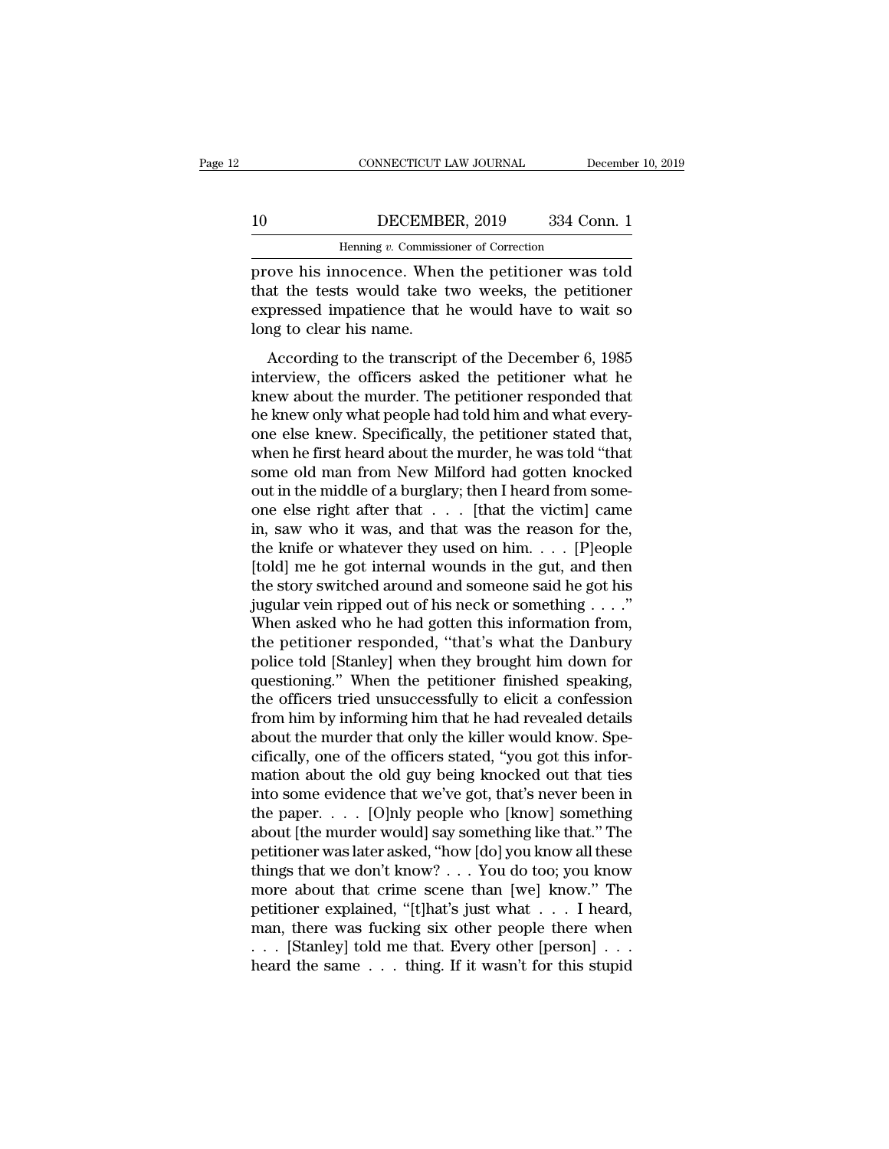### CONNECTICUT LAW JOURNAL December 10, 2019<br>10 DECEMBER, 2019 334 Conn. 1<br>Henning v. Commissioner of Correction CONNECTICUT LAW JOURNAL Deference DECEMBER, 2019 334 Correction<br>Henning *v.* Commissioner of Correction<br>DOCEDCE When the petitioner was

FREE CONNECTICUT LAW JOURNAL December 10, 2019<br>
10 DECEMBER, 2019 334 Conn. 1<br>
Henning v. Commissioner of Correction<br>
prove his innocence. When the petitioner was told<br>
that the tests would take two weeks, the petitioner<br> The tests would take two weeks, the petitioner of the tests would take two weeks, the petitioner expressed impatience that he would have to wait so  $\begin{tabular}{ll} 10 & DECEMBER, 2019 & 334 Conn. 1 \\ \hline \hline \end{tabular}$  Henning v. Commissioner of Correction<br>prove his innocence. When the petitioner was told<br>that the tests would take two weeks, the petitioner<br>expressed impatience that he would 10 DECEMBI<br>
Henning v. Commissi<br>
prove his innocence. When<br>
that the tests would take t<br>
expressed impatience that l<br>
long to clear his name.<br>
According to the transcrip Henning v. Commissioner of Correction<br>
ove his innocence. When the petitioner was told<br>
at the tests would take two weeks, the petitioner<br>
pressed impatience that he would have to wait so<br>
ng to clear his name.<br>
According prove his innocence. When the petitioner was told<br>that the tests would take two weeks, the petitioner<br>expressed impatience that he would have to wait so<br>long to clear his name.<br>According to the transcript of the December 6

that the tests would take two weeks, the petitioner<br>expressed impatience that he would have to wait so<br>long to clear his name.<br>According to the transcript of the December 6, 1985<br>interview, the officers asked the petitione expressed impatience that he would have to wait so<br>long to clear his name.<br>According to the transcript of the December 6, 1985<br>interview, the officers asked the petitioner what he<br>knew about the murder. The petitioner resp one to clear his name.<br>
According to the transcript of the December 6, 1985<br>
interview, the officers asked the petitioner what he<br>
knew about the murder. The petitioner responded that<br>
the knew only what people had told hi According to the transcript of the December 6, 1985<br>interview, the officers asked the petitioner what he<br>knew about the murder. The petitioner responded that<br>he knew only what people had told him and what every-<br>one else k According to the transcript of the December 6, 1985<br>interview, the officers asked the petitioner what he<br>knew about the murder. The petitioner responded that<br>he knew only what people had told him and what every-<br>one else k interview, the officers asked the petitioner what he<br>knew about the murder. The petitioner responded that<br>he knew only what people had told him and what every-<br>one else knew. Specifically, the petitioner stated that,<br>when knew about the murder. The petitioner responded that<br>he knew only what people had told him and what every-<br>one else knew. Specifically, the petitioner stated that,<br>when he first heard about the murder, he was told "that<br>s he knew only what people had told him and what every-<br>one else knew. Specifically, the petitioner stated that,<br>when he first heard about the murder, he was told "that<br>some old man from New Milford had gotten knocked<br>out in one else knew. Specifically, the petitioner stated that,<br>when he first heard about the murder, he was told "that<br>some old man from New Milford had gotten knocked<br>out in the middle of a burglary; then I heard from some-<br>on when he first heard about the murder, he was told "that<br>some old man from New Milford had gotten knocked<br>out in the middle of a burglary; then I heard from some-<br>one else right after that  $\dots$  [that the victim] came<br>in, s some old man from New Milford had gotten knocked<br>out in the middle of a burglary; then I heard from some-<br>one else right after that  $\ldots$  [that the victim] came<br>in, saw who it was, and that was the reason for the,<br>the kni out in the middle of a burglary; then I heard from some-<br>one else right after that . . . [that the victim] came<br>in, saw who it was, and that was the reason for the,<br>the knife or whatever they used on him. . . . [P]eople<br>[ one else right after that  $\dots$  [that the victim] came<br>in, saw who it was, and that was the reason for the,<br>the knife or whatever they used on him.  $\dots$  [P]eople<br>[told] me he got internal wounds in the gut, and then<br>the st in, saw who it was, and that was the reason for the,<br>the knife or whatever they used on him. . . . [P]eople<br>[told] me he got internal wounds in the gut, and then<br>the story switched around and someone said he got his<br>jugul the knife or whatever they used on him. . . . . [P]eople [told] me he got internal wounds in the gut, and then<br>the story switched around and someone said he got his<br>jugular vein ripped out of his neck or something . . . . [told] me he got internal wounds in the gut, and then<br>the story switched around and someone said he got his<br>jugular vein ripped out of his neck or something  $\ldots$ ."<br>When asked who he had gotten this information from,<br>the the story switched around and someone said he got his<br>jugular vein ripped out of his neck or something  $\ldots$ ."<br>When asked who he had gotten this information from,<br>the petitioner responded, "that's what the Danbury<br>police jugular vein ripped out of his neck or something  $\ldots$ ."<br>When asked who he had gotten this information from,<br>the petitioner responded, "that's what the Danbury<br>police told [Stanley] when they brought him down for<br>question When asked who he had gotten this information from,<br>the petitioner responded, "that's what the Danbury<br>police told [Stanley] when they brought him down for<br>questioning." When the petitioner finished speaking,<br>the officers the petitioner responded, "that's what the Danbury<br>police told [Stanley] when they brought him down for<br>questioning." When the petitioner finished speaking,<br>the officers tried unsuccessfully to elicit a confession<br>from him police told [Stanley] when they brought him down for<br>questioning." When the petitioner finished speaking,<br>the officers tried unsuccessfully to elicit a confession<br>from him by informing him that he had revealed details<br>abou questioning." When the petitioner finished speaking,<br>the officers tried unsuccessfully to elicit a confession<br>from him by informing him that he had revealed details<br>about the murder that only the killer would know. Spe-<br>ci the officers tried unsuccessfully to elicit a confession<br>from him by informing him that he had revealed details<br>about the murder that only the killer would know. Spe-<br>cifically, one of the officers stated, "you got this in from him by informing him that he had revealed details<br>about the murder that only the killer would know. Spe-<br>cifically, one of the officers stated, "you got this infor-<br>mation about the old guy being knocked out that tie about the murder that only the killer would know. Specifically, one of the officers stated, "you got this information about the old guy being knocked out that ties<br>into some evidence that we've got, that's never been in<br>th cifically, one of the officers stated, "you got this information about the old guy being knocked out that ties<br>into some evidence that we've got, that's never been in<br>the paper. . . . . [O]nly people who [know] something<br>a mation about the old guy being knocked out that ties<br>into some evidence that we've got, that's never been in<br>the paper. . . . . [O]nly people who [know] something<br>about [the murder would] say something like that." The<br>pet into some evidence that we've got, that's never been in<br>the paper. . . . [O]nly people who [know] something<br>about [the murder would] say something like that." The<br>petitioner was later asked, "how [do] you know all these<br>t the paper. . . . . [O]nly people who [know] something<br>about [the murder would] say something like that." The<br>petitioner was later asked, "how [do] you know all these<br>things that we don't know? . . . You do too; you know<br>m about [the murder would] say something like that." The<br>petitioner was later asked, "how [do] you know all these<br>things that we don't know? . . . You do too; you know<br>more about that crime scene than [we] know." The<br>petitio petitioner was later asked, "how [do] you know all these<br>things that we don't know? . . . You do too; you know<br>more about that crime scene than [we] know." The<br>petitioner explained, "[t]hat's just what . . . I heard,<br>man,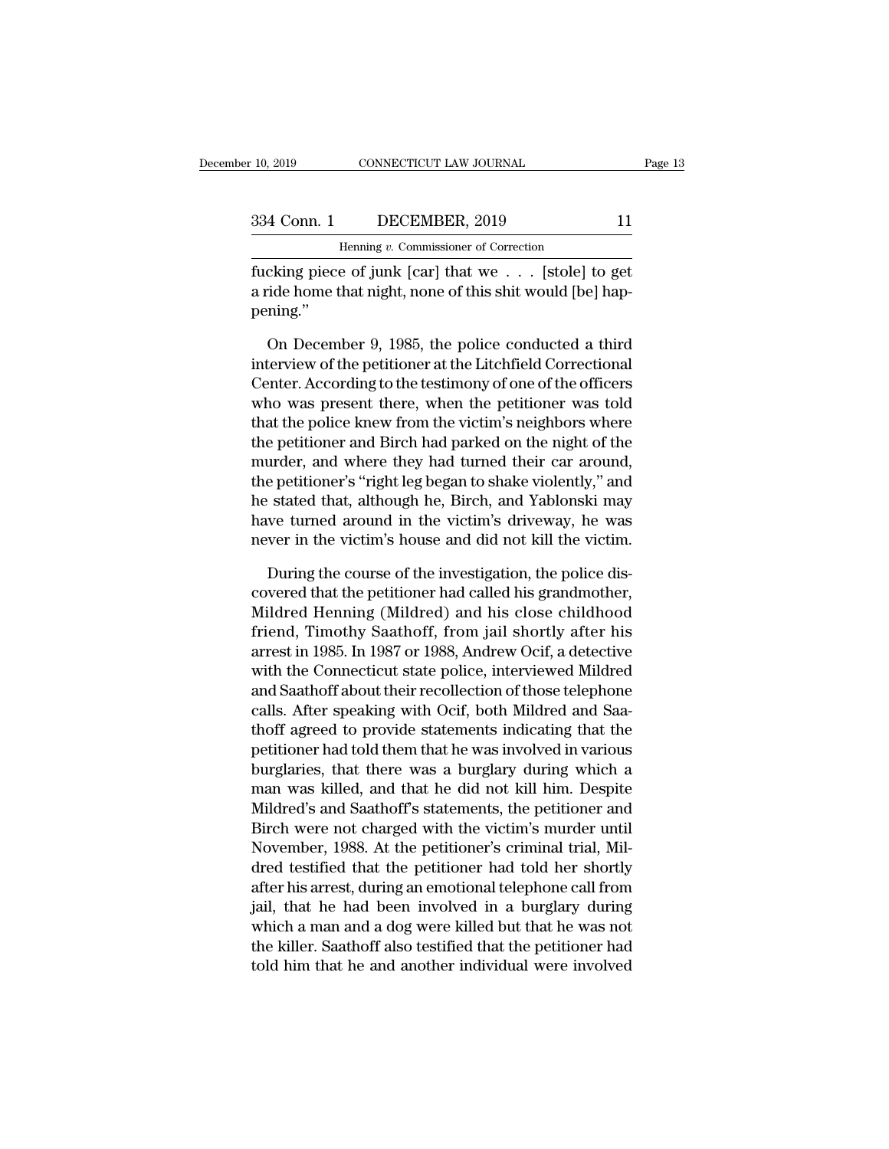pening.''

| 10, 2019    | CONNECTICUT LAW JOURNAL                  | Page 13 |
|-------------|------------------------------------------|---------|
| 334 Conn. 1 | DECEMBER, 2019                           | 11      |
|             | Henning $v$ . Commissioner of Correction |         |

Fig. 2019 CONNECTICUT LAW JOURNAL<br>
334 Conn. 1 DECEMBER, 2019 11<br>
Henning *v*. Commissioner of Correction<br>
fucking piece of junk [car] that we . . . [stole] to get Fage 1:<br>
10, 2019 CONNECTICUT LAW JOURNAL Page 1:<br>
334 Conn. 1 DECEMBER, 2019 11<br>
Henning v. Commissioner of Correction<br>
fucking piece of junk [car] that we . . . [stole] to get<br>
a ride home that night, none of this shit w 334 Conn. 1 DECEMBER, 2019 11<br>
Henning v. Commissioner of Correction<br>
fucking piece of junk [car] that we . . . [stole] to get<br>
a ride home that night, none of this shit would [be] hap-<br>
pening."

Henning v. Commissioner of Correction<br>
cking piece of junk [car] that we . . . [stole] to get<br>
ride home that night, none of this shit would [be] hap-<br>
ning."<br>
On December 9, 1985, the police conducted a third<br>
terview of Framing v. Commissioner of Correction<br>fucking piece of junk [car] that we . . . [stole] to get<br>a ride home that night, none of this shit would [be] hap-<br>pening."<br>On December 9, 1985, the police conducted a third<br>interview fucking piece of junk [car] that we . . . [stole] to get<br>a ride home that night, none of this shit would [be] hap-<br>pening."<br>On December 9, 1985, the police conducted a third<br>interview of the petitioner at the Litchfield Co a ride home that night, none of this shit would [be] happening."<br>
On December 9, 1985, the police conducted a third<br>
interview of the petitioner at the Litchfield Correctional<br>
Center. According to the testimony of one of pening."<br>
On December 9, 1985, the police conducted a third<br>
interview of the petitioner at the Litchfield Correctional<br>
Center. According to the testimony of one of the officers<br>
who was present there, when the petitioner On December 9, 1985, the police conducted a third<br>interview of the petitioner at the Litchfield Correctional<br>Center. According to the testimony of one of the officers<br>who was present there, when the petitioner was told<br>tha On December 9, 1985, the police conducted a third<br>interview of the petitioner at the Litchfield Correctional<br>Center. According to the testimony of one of the officers<br>who was present there, when the petitioner was told<br>tha interview of the petitioner at the Litchfield Correctional<br>Center. According to the testimony of one of the officers<br>who was present there, when the petitioner was told<br>that the police knew from the victim's neighbors wher Center. According to the testimony of one of the officers<br>who was present there, when the petitioner was told<br>that the police knew from the victim's neighbors where<br>the petitioner and Birch had parked on the night of the<br>m who was present there, when the petitioner was told<br>that the police knew from the victim's neighbors where<br>the petitioner and Birch had parked on the night of the<br>murder, and where they had turned their car around,<br>the pet that the police knew from the victim's neighbors where<br>the petitioner and Birch had parked on the night of the<br>murder, and where they had turned their car around,<br>the petitioner's "right leg began to shake violently," and<br> urder, and where they had turned their car around,<br>e petitioner's "right leg began to shake violently," and<br>estated that, although he, Birch, and Yablonski may<br>we turned around in the victim's driveway, he was<br>wer in the v the petitioner's "right leg began to shake violently," and<br>he stated that, although he, Birch, and Yablonski may<br>have turned around in the victim's driveway, he was<br>never in the victim's house and did not kill the victim.<br>

he stated that, although he, Birch, and Yablonski may<br>have turned around in the victim's driveway, he was<br>never in the victim's house and did not kill the victim.<br>During the course of the investigation, the police dis-<br>cov have turned around in the victim's driveway, he was<br>never in the victim's house and did not kill the victim.<br>During the course of the investigation, the police dis-<br>covered that the petitioner had called his grandmother,<br>M never in the victim's house and did not kill the victim.<br>
During the course of the investigation, the police dis-<br>
covered that the petitioner had called his grandmother,<br>
Mildred Henning (Mildred) and his close childhood<br> During the course of the investigation, the police dis-<br>covered that the petitioner had called his grandmother,<br>Mildred Henning (Mildred) and his close childhood<br>friend, Timothy Saathoff, from jail shortly after his<br>arrest During the course of the investigation, the police dis-<br>covered that the petitioner had called his grandmother,<br>Mildred Henning (Mildred) and his close childhood<br>friend, Timothy Saathoff, from jail shortly after his<br>arrest covered that the petitioner had called his grandmother,<br>Mildred Henning (Mildred) and his close childhood<br>friend, Timothy Saathoff, from jail shortly after his<br>arrest in 1985. In 1987 or 1988, Andrew Ocif, a detective<br>with Mildred Henning (Mildred) and his close childhood<br>friend, Timothy Saathoff, from jail shortly after his<br>arrest in 1985. In 1987 or 1988, Andrew Ocif, a detective<br>with the Connecticut state police, interviewed Mildred<br>and S friend, Timothy Saathoff, from jail shortly after his<br>arrest in 1985. In 1987 or 1988, Andrew Ocif, a detective<br>with the Connecticut state police, interviewed Mildred<br>and Saathoff about their recollection of those telephon arrest in 1985. In 1987 or 1988, Andrew Ocit, a detective<br>with the Connecticut state police, interviewed Mildred<br>and Saathoff about their recollection of those telephone<br>calls. After speaking with Ocif, both Mildred and Sa with the Connecticut state police, interviewed Mildred<br>and Saathoff about their recollection of those telephone<br>calls. After speaking with Ocif, both Mildred and Saa-<br>thoff agreed to provide statements indicating that the<br> and Saathoff about their recollection of those telephone<br>calls. After speaking with Ocif, both Mildred and Saa-<br>thoff agreed to provide statements indicating that the<br>petitioner had told them that he was involved in variou calls. After speaking with Ocit, both Mildred and Saathoff agreed to provide statements indicating that the petitioner had told them that he was involved in various burglaries, that there was a burglary during which a man thoff agreed to provide statements indicating that the<br>petitioner had told them that he was involved in various<br>burglaries, that there was a burglary during which a<br>man was killed, and that he did not kill him. Despite<br>Mil petitioner had told them that he was involved in various<br>burglaries, that there was a burglary during which a<br>man was killed, and that he did not kill him. Despite<br>Mildred's and Saathoff's statements, the petitioner and<br>Bi burglaries, that there was a burglary during which a<br>man was killed, and that he did not kill him. Despite<br>Mildred's and Saathoff's statements, the petitioner and<br>Birch were not charged with the victim's murder until<br>Novem man was killed, and that he did not kill him. Despite<br>Mildred's and Saathoff's statements, the petitioner and<br>Birch were not charged with the victim's murder until<br>November, 1988. At the petitioner's criminal trial, Mil-<br>d Mildred's and Saathoff's statements, the petitioner and<br>Birch were not charged with the victim's murder until<br>November, 1988. At the petitioner's criminal trial, Mil-<br>dred testified that the petitioner had told her shortly Birch were not charged with the victim's murder until<br>November, 1988. At the petitioner's criminal trial, Mil-<br>dred testified that the petitioner had told her shortly<br>after his arrest, during an emotional telephone call fr November, 1988. At the petitioner's criminal trial, Mil-<br>dred testified that the petitioner had told her shortly<br>after his arrest, during an emotional telephone call from<br>jail, that he had been involved in a burglary durin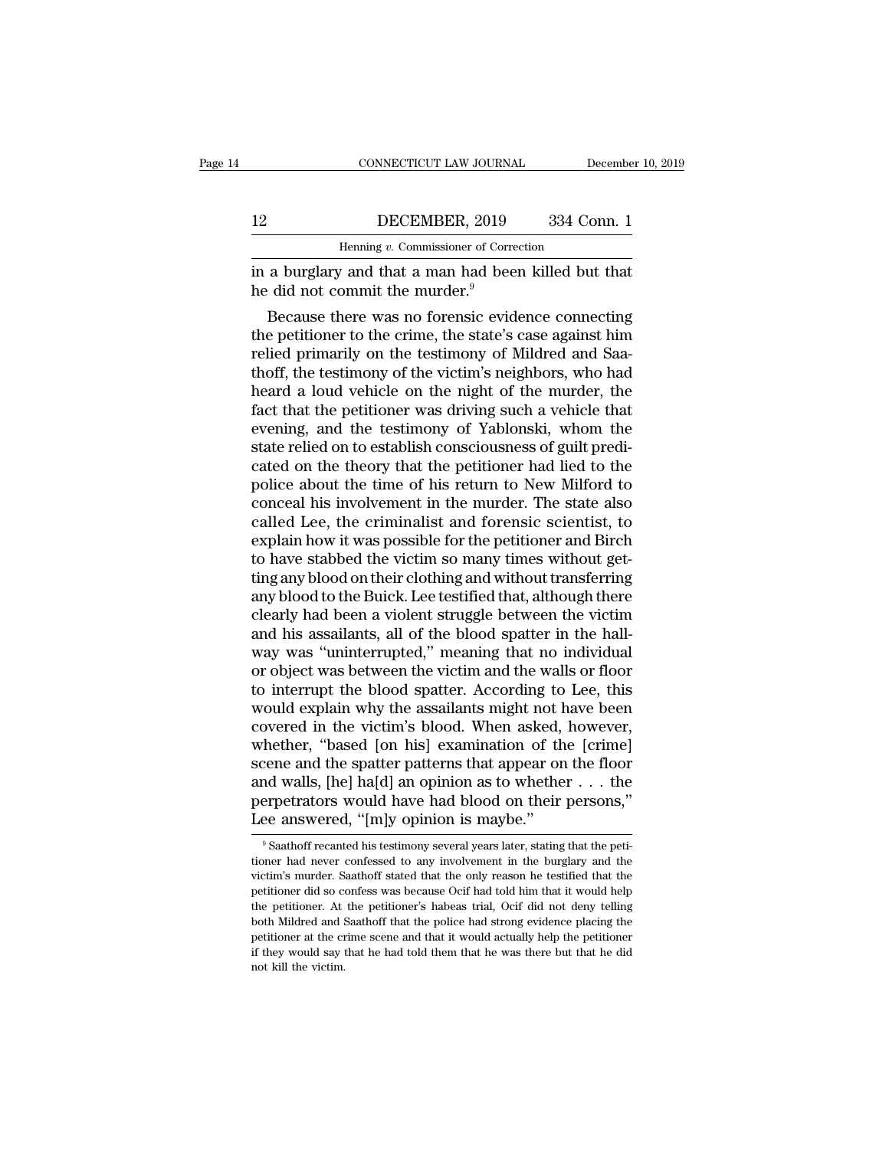|    | CONNECTICUT LAW JOURNAL                               | December 10, 2019 |
|----|-------------------------------------------------------|-------------------|
| 12 | DECEMBER, 2019                                        | 334 Conn. 1       |
|    | Henning v. Commissioner of Correction                 |                   |
|    | in a burglary and that a man had been killed but that |                   |

CONNECTICUT LAW JOURNAL December 10, 2019<br> **I2** DECEMBER, 2019 334 Conn. 1<br>
Henning v. Commissioner of Correction<br>
in a burglary and that a man had been killed but that<br>
the did not commit the murder.<sup>9</sup> Henning v. Commissioner of Corre<br>
in a burglary and that a man had bee<br>
the did not commit the murder.<sup>9</sup><br>
Because there was no forensic evid

DECEMBER, 2019 334 Conn. 1<br>
Henning v. Commissioner of Correction<br>
a burglary and that a man had been killed but that<br>
did not commit the murder.<sup>9</sup><br>
Because there was no forensic evidence connecting<br>
e petitioner to the c 12 DECEMBER, 2019 334 Conn. 1<br>
Henning v. Commissioner of Correction<br>
in a burglary and that a man had been killed but that<br>
he did not commit the murder.<sup>9</sup><br>
Because there was no forensic evidence connecting<br>
the petitio Henning  $v$ . Commissioner of Correction<br>in a burglary and that a man had been killed but that<br>he did not commit the murder.<sup>9</sup><br>Because there was no forensic evidence connecting<br>the petitioner to the crime, the state's cas in a burglary and that a man had been killed but that<br>he did not commit the murder.<sup>9</sup><br>Because there was no forensic evidence connecting<br>the petitioner to the crime, the state's case against him<br>relied primarily on the tes In a burglary and that a man had been killed but that<br>he did not commit the murder.<sup>9</sup><br>Because there was no forensic evidence connecting<br>the petitioner to the crime, the state's case against him<br>relied primarily on the tes factor and not commit the murder.<br>
Because there was no forensic evidence connecting<br>
the petitioner to the crime, the state's case against him<br>
relied primarily on the testimony of Mildred and Saa-<br>
thoff, the testimony o Because there was no forensic evidence connecting<br>the petitioner to the crime, the state's case against him<br>relied primarily on the testimony of Mildred and Saa-<br>thoff, the testimony of the victim's neighbors, who had<br>hear the petitioner to the crime, the state's case against him<br>relied primarily on the testimony of Mildred and Saa-<br>thoff, the testimony of the victim's neighbors, who had<br>heard a loud vehicle on the night of the murder, the<br>f relied primarily on the testimony of Mildred and Saathoff, the testimony of the victim's neighbors, who had heard a loud vehicle on the night of the murder, the fact that the petitioner was driving such a vehicle that even thoff, the testimony of the victim's neighbors, who had<br>heard a loud vehicle on the night of the murder, the<br>fact that the petitioner was driving such a vehicle that<br>evening, and the testimony of Yablonski, whom the<br>state heard a loud vehicle on the night of the murder, the<br>fact that the petitioner was driving such a vehicle that<br>evening, and the testimony of Yablonski, whom the<br>state relied on to establish consciousness of guilt predi-<br>cat fact that the petitioner was driving such a vehicle that<br>evening, and the testimony of Yablonski, whom the<br>state relied on to establish consciousness of guilt predi-<br>cated on the theory that the petitioner had lied to the<br> evening, and the testimony of Yablonski, whom the<br>state relied on to establish consciousness of guilt predi-<br>cated on the theory that the petitioner had lied to the<br>police about the time of his return to New Milford to<br>con state relied on to establish consciousness of guilt predicated on the theory that the petitioner had lied to the police about the time of his return to New Milford to conceal his involvement in the murder. The state also c cated on the theory that the petitioner had lied to the police about the time of his return to New Milford to conceal his involvement in the murder. The state also called Lee, the criminalist and forensic scientist, to exp police about the time of his return to New Milford to conceal his involvement in the murder. The state also called Lee, the criminalist and forensic scientist, to explain how it was possible for the petitioner and Birch to conceal his involvement in the murder. The state also<br>called Lee, the criminalist and forensic scientist, to<br>explain how it was possible for the petitioner and Birch<br>to have stabbed the victim so many times without get-<br>ti called Lee, the criminalist and forensic scientist, to<br>explain how it was possible for the petitioner and Birch<br>to have stabbed the victim so many times without get-<br>ting any blood on their clothing and without transferrin explain how it was possible for the petitioner and Birch<br>to have stabbed the victim so many times without get-<br>ting any blood on their clothing and without transferring<br>any blood to the Buick. Lee testified that, although to have stabbed the victim so many times without get-<br>ting any blood on their clothing and without transferring<br>any blood to the Buick. Lee testified that, although there<br>clearly had been a violent struggle between the vic ting any blood on their clothing and without transferring<br>any blood to the Buick. Lee testified that, although there<br>clearly had been a violent struggle between the victim<br>and his assailants, all of the blood spatter in th any blood to the Buick. Lee testified that, although there clearly had been a violent struggle between the victim and his assailants, all of the blood spatter in the hall-<br>way was "uninterrupted," meaning that no individua clearly had been a violent struggle between the victim<br>and his assailants, all of the blood spatter in the hall-<br>way was "uninterrupted," meaning that no individual<br>or object was between the victim and the walls or floor<br>t and his assailants, all of the blood spatter in the hall-<br>way was "uninterrupted," meaning that no individual<br>or object was between the victim and the walls or floor<br>to interrupt the blood spatter. According to Lee, this<br>w way was "uninterrupted," meaning that no individual<br>or object was between the victim and the walls or floor<br>to interrupt the blood spatter. According to Lee, this<br>would explain why the assailants might not have been<br>covere or object was between the victim and the walls or floor<br>to interrupt the blood spatter. According to Lee, this<br>would explain why the assailants might not have been<br>covered in the victim's blood. When asked, however,<br>whethe to interrupt the blood spatter. According to Lee, this would explain why the assailants might not have been covered in the victim's blood. When asked, however, whether, "based [on his] examination of the [crime] scene and would explain why the assailants might not have been<br>covered in the victim's blood. When asked, however,<br>whether, "based [on his] examination of the [crime]<br>scene and the spatter patterns that appear on the floor<br>and wall cene and the spatter patterns that appear on the floor individuals, [he] ha[d] an opinion as to whether  $\dots$  the erpetrators would have had blood on their persons," see answered, "[m]y opinion is maybe."<br><sup>9</sup> Saathoff reca and walls, [he] ha[d] an opinion as to whether  $\dots$  the perpetrators would have had blood on their persons,"<br>Lee answered, "[m]y opinion is maybe."<br> $^{\circ}$ Saathoff recanted his testimony several years later, stating that t

perpetrators would have had blood on their persons,"<br>Lee answered, "[m]y opinion is maybe."<br><sup>9</sup> Saathoff recanted his testimony several years later, stating that the petitioner had never confessed to any involvement in the Lee answered, "[m]y opinion is maybe."<br>
<sup>9</sup> Saathoff recanted his testimony several years later, stating that the petitioner had never confessed to any involvement in the burglary and the victim's murder. Saathoff stated t Lee answered, [III]y Opmion is maybe.<br>
<sup>9</sup> Saathoff recanted his testimony several years later, stating that the petitioner had never confessed to any involvement in the burglary and the victim's murder. Saathoff stated th  $^{\circ}$  Saathoff recanted his testimony several years later, stating that the petitioner had never confessed to any involvement in the burglary and the victim's murder. Saathoff stated that the only reason he testified tha tioner had never confessed to any involvement in the burglary and the victim's murder. Saathoff stated that the only reason he testified that the petitioner did so confess was because Ocif had told him that it would help t if victim's murder. Saathoff stated that the only reason he testified that the petitioner did so confess was because Ocif had told him that it would help the petitioner. At the petitioner's habeas trial, Ocif did not deny petitioner did so confess was because Ocif had told him that it would help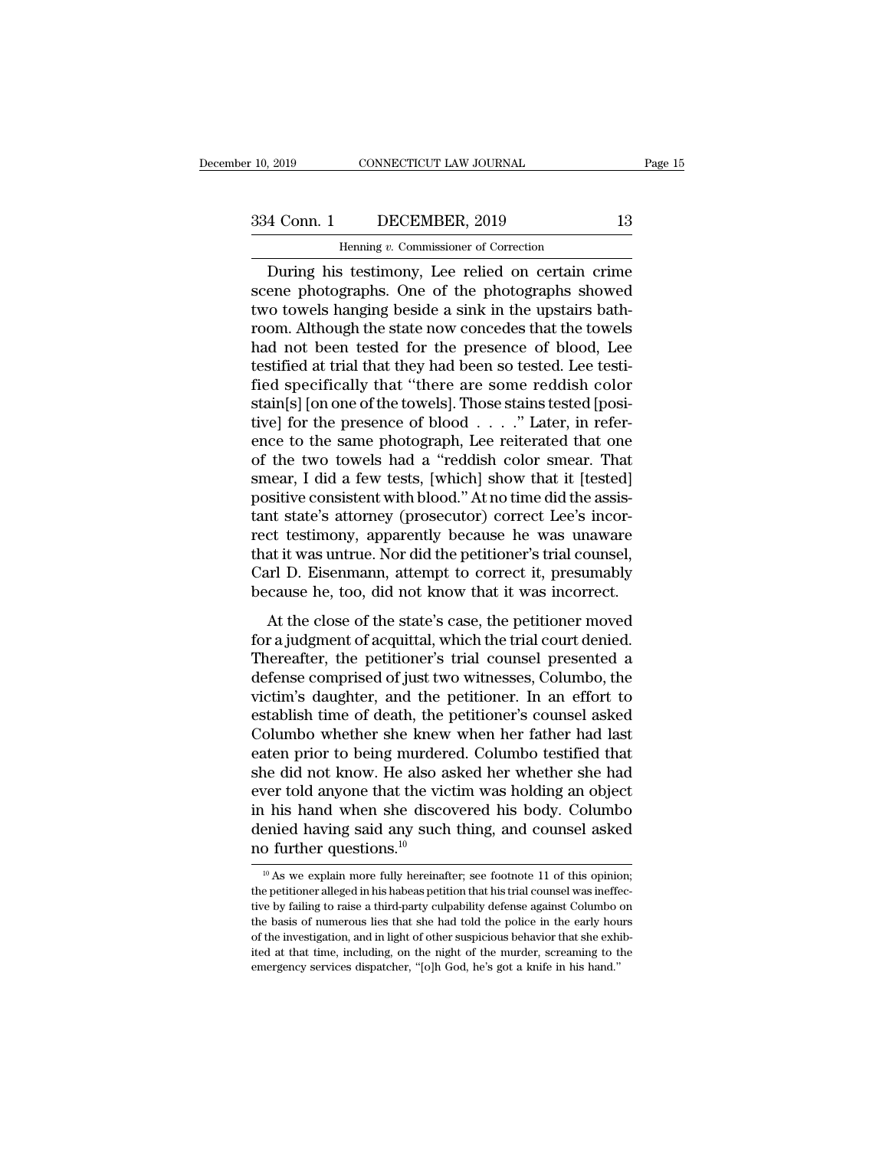Page 15<br>
4 Conn. 1 DECEMBER, 2019 13<br>
Henning v. Commissioner of Correction<br>
During his testimony, Lee relied on certain crime<br>
ene photographs. One of the photographs showed<br>
to towels banging boside a sink in the unstair 334 Conn. 1 DECEMBER, 2019 13<br>
Henning v. Commissioner of Correction<br>
During his testimony, Lee relied on certain crime<br>
scene photographs. One of the photographs showed<br>
two towels hanging beside a sink in the upstairs ba 334 Conn. 1 DECEMBER, 2019 13<br>
Henning v. Commissioner of Correction<br>
During his testimony, Lee relied on certain crime<br>
scene photographs. One of the photographs showed<br>
two towels hanging beside a sink in the upstairs b 334 Conn. 1 DECEMBER, 2019 13<br>
Henning  $v$ . Commissioner of Correction<br>
During his testimony, Lee relied on certain crime<br>
scene photographs. One of the photographs showed<br>
two towels hanging beside a sink in the upstairs Henning v. Commissioner of Correction<br>During his testimony, Lee relied on certain crime<br>scene photographs. One of the photographs showed<br>two towels hanging beside a sink in the upstairs bath-<br>room. Although the state now c Henning v. Commissioner of Correction<br>
During his testimony, Lee relied on certain crime<br>
scene photographs. One of the photographs showed<br>
two towels hanging beside a sink in the upstairs bath-<br>
room. Although the state n During his testimony, Lee relied on certain crime<br>scene photographs. One of the photographs showed<br>two towels hanging beside a sink in the upstairs bath-<br>room. Although the state now concedes that the towels<br>had not been t scene photographs. One of the photographs showed<br>two towels hanging beside a sink in the upstairs bath-<br>room. Although the state now concedes that the towels<br>had not been tested for the presence of blood, Lee<br>testified at two towels hanging beside a sink in the upstairs bath-<br>room. Although the state now concedes that the towels<br>had not been tested for the presence of blood, Lee<br>testified at trial that they had been so tested. Lee testi-<br>fi room. Although the state now concedes that the towels<br>had not been tested for the presence of blood, Lee<br>testified at trial that they had been so tested. Lee testi-<br>fied specifically that "there are some reddish color<br>stai had not been tested for the presence of blood, Lee<br>testified at trial that they had been so tested. Lee testi-<br>fied specifically that "there are some reddish color<br>stain[s] [on one of the towels]. Those stains tested [posi testified at trial that they had been so tested. Lee testified specifically that "there are some reddish color<br>stain[s] [on one of the towels]. Those stains tested [posi-<br>tive] for the presence of blood . . . ." Later, in fied specifically that "there are some reddish color stain[s] [on one of the towels]. Those stains tested [positive] for the presence of blood  $\ldots$ ." Later, in reference to the same photograph, Lee reiterated that one of stain[s] [on one of the towels]. Those stains tested [positive] for the presence of blood  $\ldots$ ." Later, in reference to the same photograph, Lee reiterated that one of the two towels had a "reddish color smear. That smea tive] for the presence of blood . . . ." Later, in reference to the same photograph, Lee reiterated that one<br>of the two towels had a "reddish color smear. That<br>smear, I did a few tests, [which] show that it [tested]<br>positi ence to the same photograph, Lee reiterated that one<br>of the two towels had a "reddish color smear. That<br>smear, I did a few tests, [which] show that it [tested]<br>positive consistent with blood." At no time did the assis-<br>tan of the two towels had a "reddish color smear. That<br>smear, I did a few tests, [which] show that it [tested]<br>positive consistent with blood." At no time did the assis-<br>tant state's attorney (prosecutor) correct Lee's incor-<br> smear, I did a few tests, [which] show that it [tested] positive consistent with blood." At no time did the assistant state's attorney (prosecutor) correct Lee's incorrect testimony, apparently because he was unaware that Sharve consistent while bood. The finite did the assistent state's attorney (prosecutor) correct Lee's incorder testimony, apparently because he was unaware at it was untrue. Nor did the petitioner's trial counsel, when D. faint state's attorney (prosection) correct Lee's incorrect testimony, apparently because he was unaware that it was untrue. Nor did the petitioner's trial counsel, Carl D. Eisenmann, attempt to correct it, presumably beca

Thereafter, the petitioner's trial counsel,<br>Carl D. Eisenmann, attempt to correct it, presumably<br>because he, too, did not know that it was incorrect.<br>At the close of the state's case, the petitioner moved<br>for a judgment of dua to was diffract. For did the perficiencer s trial counser,<br>Carl D. Eisenmann, attempt to correct it, presumably<br>because he, too, did not know that it was incorrect.<br>At the close of the state's case, the petitioner move vari *B*: Enseminant, attempt to correct it, presumally<br>because he, too, did not know that it was incorrect.<br>At the close of the state's case, the petitioner moved<br>for a judgment of acquittal, which the trial court denied. Exercise Inc., too, that not know that it was incorrect.<br>
At the close of the state's case, the petitioner moved<br>
for a judgment of acquittal, which the trial count denied.<br>
Thereafter, the petitioner's trial counsel prese At the close of the state's case, the petitioner moved<br>for a judgment of acquittal, which the trial court denied.<br>Thereafter, the petitioner's trial counsel presented a<br>defense comprised of just two witnesses, Columbo, the for a judgment of acquittal, which the trial court denied.<br>Thereafter, the petitioner's trial counsel presented a<br>defense comprised of just two witnesses, Columbo, the<br>victim's daughter, and the petitioner. In an effort to Thereafter, the petitioner's trial counsel presented a<br>defense comprised of just two witnesses, Columbo, the<br>victim's daughter, and the petitioner. In an effort to<br>establish time of death, the petitioner's counsel asked<br>Co defense comprised of just two witnesses, Columbo, the victim's daughter, and the petitioner. In an effort to establish time of death, the petitioner's counsel asked Columbo whether she knew when her father had last eaten p victim's daughter, and the petitioner. In an effort to<br>establish time of death, the petitioner's counsel asked<br>Columbo whether she knew when her father had last<br>eaten prior to being murdered. Columbo testified that<br>she did establish time of death, the petitioner's counsel asked<br>Columbo whether she knew when her father had last<br>eaten prior to being murdered. Columbo testified that<br>she did not know. He also asked her whether she had<br>ever told Columbo whether she knew<br>eaten prior to being murder<br>she did not know. He also a<br>ever told anyone that the vic<br>in his hand when she disco<br>denied having said any such<br>no further questions.<sup>10</sup> For total anyone that the victim was holding an object<br>
1 his hand when she discovered his body. Columbo<br>
enied having said any such thing, and counsel asked<br>
10 further questions.<sup>10</sup><br>
<sup>10</sup> As we explain more fully herei in his hand when she discovered his body. Columbo<br>denied having said any such thing, and counsel asked<br>no further questions.<sup>10</sup><br> $\frac{10}{10}$  As we explain more fully hereinafter; see footnote 11 of this opinion;<br>the petit

denied having said any such thing, and counsel asked<br>no further questions.<sup>10</sup><br> $^{10}$  As we explain more fully hereinafter; see footnote 11 of this opinion;<br>the petitioner alleged in his habeas petition that his trial cou The basis of numerous lies that she had told the police in the early hourse in the petitioner alleged in his habeas petition that his trial counsel was ineffective by failing to raise a third-party culpability defense aga The investigation, and in light of other suspicious behavior.<br>
The petitioner alleged in his habeas petition that his trial counsel was ineffective by failing to raise a third-party culpability defense against Columbo on <sup>10</sup> As we explain more fully hereinafter; see footnote 11 of this opinion; the petitioner alleged in his habeas petition that his trial counsel was ineffective by failing to raise a third-party culpability defense agains the petitioner alleged in his habeas petition that his trial counsel was ineffective by failing to raise a third-party culpability defense against Columbo on the basis of numerous lies that she had told the police in the e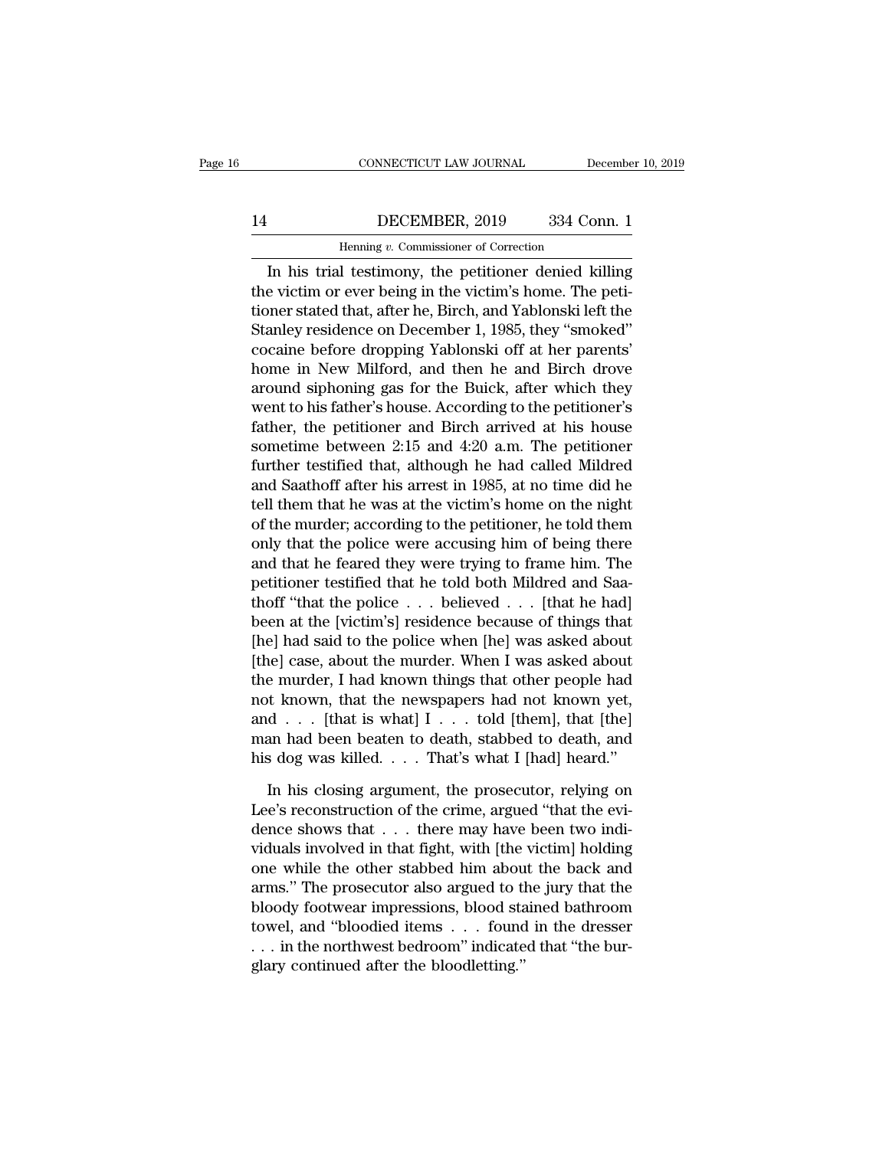### CONNECTICUT LAW JOURNAL December 10, 2019<br>14 DECEMBER, 2019 334 Conn. 1<br>Henning v. Commissioner of Correction CONNECTICUT LAW JOURNAL Deferences the DECEMBER, 2019 and 334 Correction of Correction and the Metal Determines of Correction and the Metal Determines of Correction and the Metal Determines of Correction and the Metal Dete

### CONNECTICUT LAW JOURNAL December 10, 2019<br>
DECEMBER, 2019 334 Conn. 1<br>
Henning v. Commissioner of Correction<br>
In his trial testimony, the petitioner denied killing<br>
e victim or ever being in the victim's home. The peti-14 DECEMBER, 2019 334 Conn. 1<br>
Henning v. Commissioner of Correction<br>
In his trial testimony, the petitioner denied killing<br>
the victim or ever being in the victim's home. The peti-<br>
tioner stated that, after he, Birch, an  $\begin{tabular}{ c c c c} \multicolumn{1}{c|}{\textbf{HEC}} & \multicolumn{1}{c}{\textbf{DEC}} & \multicolumn{1}{c}{\textbf{334 Conn. 1}}\\ \hline \multicolumn{1}{c}{\textbf{Henning }v. \textbf{ Commissioner of Correction}}\\ \hline \multicolumn{1}{c}{\textbf{In his trial testimony, the pertinent denied killing} }\\ \textbf{the victim or ever being in the victim's home. The peti-tioner stated that, after he, Birch, and Yablonski left the \\ \textbf{Stanley residence on December 1, 1985, they "smoked"}\\ \textbf{8000ine before dropping Voblonoli off et her nearest'}\\ \end{tab$ I4 DECEMBER, 2019 334 Conn. 1<br>
Henning v. Commissioner of Correction<br>
In his trial testimony, the petitioner denied killing<br>
the victim or ever being in the victim's home. The peti-<br>
tioner stated that, after he, Birch, an Henning  $v$ . Commissioner of Correction<br>
In his trial testimony, the petitioner denied killing<br>
the victim or ever being in the victim's home. The peti-<br>
tioner stated that, after he, Birch, and Yablonski left the<br>
Stanle In his trial testimony, the petitioner denied killing<br>the victim or ever being in the victim's home. The peti-<br>tioner stated that, after he, Birch, and Yablonski left the<br>Stanley residence on December 1, 1985, they "smoked In his trial testimony, the petitioner denied killing<br>the victim or ever being in the victim's home. The peti-<br>tioner stated that, after he, Birch, and Yablonski left the<br>Stanley residence on December 1, 1985, they "smoked the victim or ever being in the victim's home. The petitioner stated that, after he, Birch, and Yablonski left the Stanley residence on December 1, 1985, they "smoked" cocaine before dropping Yablonski off at her parents' tioner stated that, after he, Birch, and Yablonski left the<br>Stanley residence on December 1, 1985, they "smoked"<br>cocaine before dropping Yablonski off at her parents'<br>home in New Milford, and then he and Birch drove<br>around Stanley residence on December 1, 1985, they "smoked"<br>cocaine before dropping Yablonski off at her parents'<br>home in New Milford, and then he and Birch drove<br>around siphoning gas for the Buick, after which they<br>went to his f cocaine before dropping Yablonski off at her parents'<br>home in New Milford, and then he and Birch drove<br>around siphoning gas for the Buick, after which they<br>went to his father's house. According to the petitioner's<br>father, home in New Milford, and then he and Birch drove<br>around siphoning gas for the Buick, after which they<br>went to his father's house. According to the petitioner's<br>father, the petitioner and Birch arrived at his house<br>sometime around siphoning gas for the Buick, after which they<br>went to his father's house. According to the petitioner's<br>father, the petitioner and Birch arrived at his house<br>sometime between 2:15 and 4:20 a.m. The petitioner<br>furthe went to his father's house. According to the petitioner's<br>father, the petitioner and Birch arrived at his house<br>sometime between 2:15 and 4:20 a.m. The petitioner<br>further testified that, although he had called Mildred<br>and father, the petitioner and Birch arrived at his house<br>sometime between 2:15 and 4:20 a.m. The petitioner<br>further testified that, although he had called Mildred<br>and Saathoff after his arrest in 1985, at no time did he<br>tell sometime between 2:15 and 4:20 a.m. The petitioner<br>further testified that, although he had called Mildred<br>and Saathoff after his arrest in 1985, at no time did he<br>tell them that he was at the victim's home on the night<br>of further testified that, although he had called Mildred<br>and Saathoff after his arrest in 1985, at no time did he<br>tell them that he was at the victim's home on the night<br>of the murder; according to the petitioner, he told th and Saathoff after his arrest in 1985, at no time did he<br>tell them that he was at the victim's home on the night<br>of the murder; according to the petitioner, he told them<br>only that the police were accusing him of being ther tell them that he was at the victim's home on the night<br>of the murder; according to the petitioner, he told them<br>only that the police were accusing him of being there<br>and that he feared they were trying to frame him. The<br> of the murder; according to the petitioner, he told them<br>only that the police were accusing him of being there<br>and that he feared they were trying to frame him. The<br>petitioner testified that he told both Mildred and Saa-<br>t only that the police were accusing him of being there<br>and that he feared they were trying to frame him. The<br>petitioner testified that he told both Mildred and Saa-<br>thoff "that the police . . . believed . . . [that he had]<br> and that he feared they were trying to frame him. The<br>petitioner testified that he told both Mildred and Saa-<br>thoff "that the police . . . believed . . . [that he had]<br>been at the [victim's] residence because of things tha petitioner testified that he told both Mildred and Saathoff "that the police . . . believed . . . [that he had] been at the [victim's] residence because of things that [he] had said to the police when [he] was asked about thoff "that the police . . . believed . . . [that he had]<br>been at the [victim's] residence because of things that<br>[he] had said to the police when [he] was asked about<br>[the] case, about the murder. When I was asked about<br> been at the [victim's] residence because of things that [he] had said to the police when [he] was asked about [the] case, about the murder. When I was asked about the murder, I had known things that other people had not k [he] had said to the police when [he] was asked about<br>[the] case, about the murder. When I was asked about<br>the murder, I had known things that other people had<br>not known, that the newspapers had not known yet,<br>and . . . [ e murder, I had known things that other people had<br>t known, that the newspapers had not known yet,<br>d . . . [that is what] I . . . told [them], that [the]<br>an had been beaten to death, stabbed to death, and<br>s dog was killed.

not known, that the newspapers had not known yet,<br>and . . . [that is what]  $I \tcdot \tcdot$  told [them], that [the]<br>man had been beaten to death, stabbed to death, and<br>his dog was killed. . . . That's what I [had] heard."<br>In his and . . . [that is what] I . . . told [them], that [the]<br>man had been beaten to death, stabbed to death, and<br>his dog was killed. . . . That's what I [had] heard."<br>In his closing argument, the prosecutor, relying on<br>Lee's man had been beaten to death, stabbed to death, and<br>his dog was killed.... That's what I [had] heard."<br>In his closing argument, the prosecutor, relying on<br>Lee's reconstruction of the crime, argued "that the evi-<br>dence sho his dog was killed. . . . That's what I [had] heard."<br>In his closing argument, the prosecutor, relying on<br>Lee's reconstruction of the crime, argued "that the evi-<br>dence shows that . . . there may have been two indi-<br>vidua In his closing argument, the prosecutor, relying on<br>Lee's reconstruction of the crime, argued "that the evi-<br>dence shows that  $\dots$  there may have been two indi-<br>viduals involved in that fight, with [the victim] holding<br>on In his closing argument, the prosecutor, relying on<br>Lee's reconstruction of the crime, argued "that the evi-<br>dence shows that  $\dots$  there may have been two indi-<br>viduals involved in that fight, with [the victim] holding<br>on Lee's reconstruction of the crime, argued "that the evidence shows that . . . there may have been two individuals involved in that fight, with [the victim] holding one while the other stabbed him about the back and arms." dence shows that . . . there may have been two individuals involved in that fight, with [the victim] holding<br>one while the other stabbed him about the back and<br>arms." The prosecutor also argued to the jury that the<br>bloody viduals involved in that fight, with [the one while the other stabbed him about arms." The prosecutor also argued to the bloody footwear impressions, blood statowel, and "bloodied items . . . found . . . in the northwest b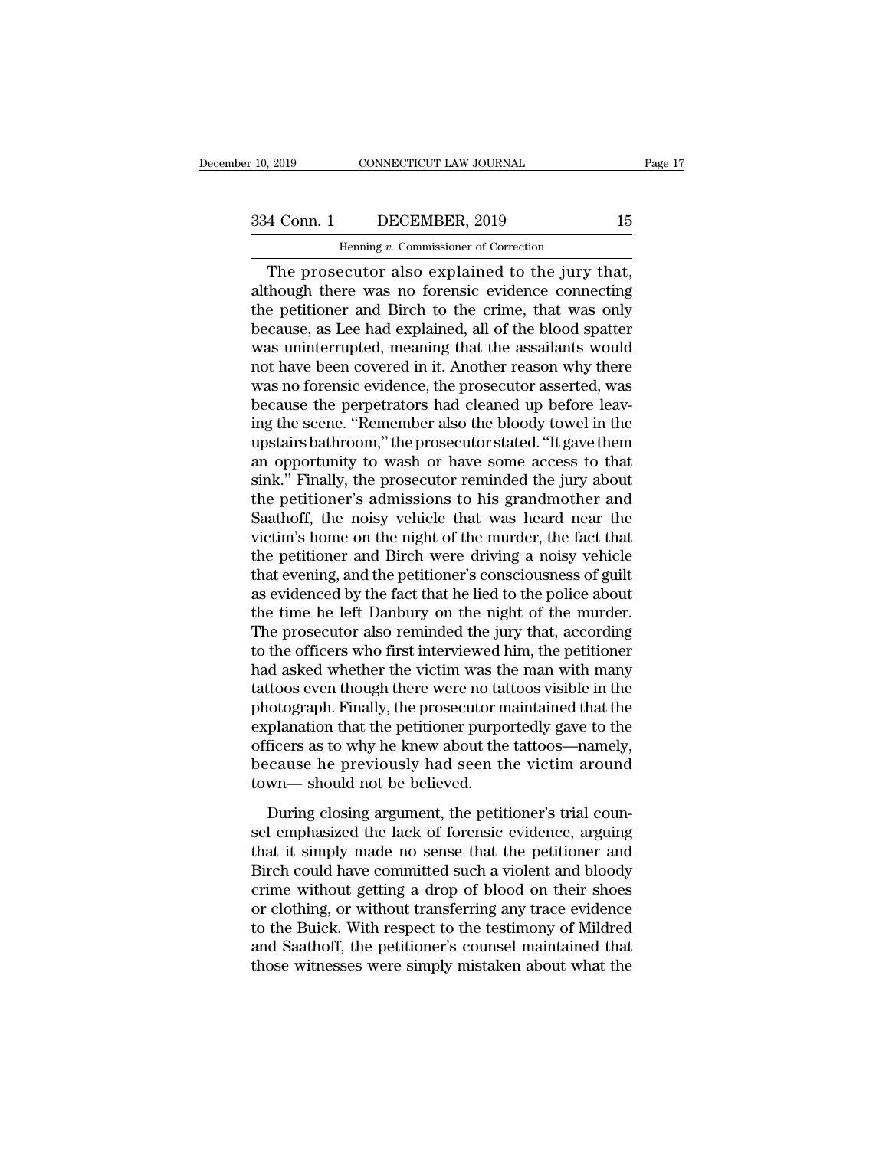CONNECTICUT LAW JOURNAL<br>DECEMBER, 2019<br>Henning *v.* Commissioner of Correction<br>PCULTOT also explained to the jury t Fage<br>
The prosecutor also explained to the jury that,<br>
The prosecutor also explained to the jury that,<br>
though there was no forensic evidence connecting<br>
a positioner and Birch to the grime, that was only 334 Conn. 1 DECEMBER, 2019 15<br>
Henning v. Commissioner of Correction<br>
The prosecutor also explained to the jury that,<br>
although there was no forensic evidence connecting<br>
the petitioner and Birch to the crime, that was onl 334 Conn. 1 DECEMBER, 2019 15<br>
Henning v. Commissioner of Correction<br>
The prosecutor also explained to the jury that,<br>
although there was no forensic evidence connecting<br>
the petitioner and Birch to the crime, that was on  $\begin{array}{ccc}\n 334 \text{ Conn.} & \text{DECEMBER, 2019} & \text{15} \\
 \hline\n \end{array}$ Henning v. Commissioner of Correction<br>
The prosecutor also explained to the jury that,<br>
although there was no forensic evidence connecting<br>
the petitioner and Birch to t Henning v. Commissioner of Correction<br>
The prosecutor also explained to the jury that,<br>
although there was no forensic evidence connecting<br>
the petitioner and Birch to the crime, that was only<br>
because, as Lee had explain Henning v. Commissioner of Correction<br>The prosecutor also explained to the jury that,<br>although there was no forensic evidence connecting<br>the petitioner and Birch to the crime, that was only<br>because, as Lee had explained, a The prosecutor also explained to the jury that,<br>although there was no forensic evidence connecting<br>the petitioner and Birch to the crime, that was only<br>because, as Lee had explained, all of the blood spatter<br>was uninterrup although there was no forensic evidence connecting<br>the petitioner and Birch to the crime, that was only<br>because, as Lee had explained, all of the blood spatter<br>was uninterrupted, meaning that the assailants would<br>not have the petitioner and Birch to the crime, that was only<br>because, as Lee had explained, all of the blood spatter<br>was uninterrupted, meaning that the assailants would<br>not have been covered in it. Another reason why there<br>was no because, as Lee had explained, all of the blood spatter<br>was uninterrupted, meaning that the assailants would<br>not have been covered in it. Another reason why there<br>was no forensic evidence, the prosecutor asserted, was<br>beca was uninterrupted, meaning that the assailants would<br>not have been covered in it. Another reason why there<br>was no forensic evidence, the prosecutor asserted, was<br>because the perpetrators had cleaned up before leav-<br>ing the not have been covered in it. Another reason why there was no forensic evidence, the prosecutor asserted, was because the perpetrators had cleaned up before leaving the scene. "Remember also the bloody towel in the upstairs was no forensic evidence, the prosecutor asserted, was<br>because the perpetrators had cleaned up before leav-<br>ing the scene. "Remember also the bloody towel in the<br>upstairs bathroom," the prosecutor stated. "It gave them<br>an because the perpetrators had cleaned up before leaving the scene. "Remember also the bloody towel in the upstairs bathroom," the prosecutor stated. "It gave them an opportunity to wash or have some access to that sink." Fi ing the scene. "Remember also the bloody towel in the upstairs bathroom," the prosecutor stated. "It gave them<br>an opportunity to wash or have some access to that<br>sink." Finally, the prosecutor reminded the jury about<br>the p upstairs bathroom," the prosecutor stated. "It gave them<br>an opportunity to wash or have some access to that<br>sink." Finally, the prosecutor reminded the jury about<br>the petitioner's admissions to his grandmother and<br>Saathoff an opportunity to wash or have some access to that<br>sink." Finally, the prosecutor reminded the jury about<br>the petitioner's admissions to his grandmother and<br>Saathoff, the noisy vehicle that was heard near the<br>victim's home sink." Finally, the prosecutor reminded the jury about<br>the petitioner's admissions to his grandmother and<br>Saathoff, the noisy vehicle that was heard near the<br>victim's home on the night of the murder, the fact that<br>the peti the petitioner's admissions to his grandmother and<br>Saathoff, the noisy vehicle that was heard near the<br>victim's home on the night of the murder, the fact that<br>the petitioner and Birch were driving a noisy vehicle<br>that even Saathoff, the noisy vehicle that was heard near the<br>victim's home on the night of the murder, the fact that<br>the petitioner and Birch were driving a noisy vehicle<br>that evening, and the petitioner's consciousness of guilt<br>as victim's home on the night of the murder, the fact that<br>the petitioner and Birch were driving a noisy vehicle<br>that evening, and the petitioner's consciousness of guilt<br>as evidenced by the fact that he lied to the police ab the petitioner and Birch were driving a noisy vehicle<br>that evening, and the petitioner's consciousness of guilt<br>as evidenced by the fact that he lied to the police about<br>the time he left Danbury on the night of the murder. that evening, and the petitioner's consciousness of guilt<br>as evidenced by the fact that he lied to the police about<br>the time he left Danbury on the night of the murder.<br>The prosecutor also reminded the jury that, according as evidenced by the fact that he lied to the police about<br>the time he left Danbury on the night of the murder.<br>The prosecutor also reminded the jury that, according<br>to the officers who first interviewed him, the petitioner the time he left Danbury on the night of the murder.<br>The prosecutor also reminded the jury that, according<br>to the officers who first interviewed him, the petitioner<br>had asked whether the victim was the man with many<br>tattoo The prosecutor also reminded the jury that, according<br>to the officers who first interviewed him, the petitioner<br>had asked whether the victim was the man with many<br>tattoos even though there were no tattoos visible in the<br>ph to the officers who first interviewed him, the petitioner<br>had asked whether the victim was the man with many<br>tattoos even though there were no tattoos visible in the<br>photograph. Finally, the prosecutor maintained that the<br> had asked whether the victim was the<br>tattoos even though there were no tat<br>photograph. Finally, the prosecutor no<br>explanation that the petitioner purpo<br>officers as to why he knew about the<br>because he previously had seen th Musical contributions of the procedure in the distribution that the planation that the petitioner purportedly gave to the ficers as to why he knew about the tattoos—namely, cause he previously had seen the victim around wn procegraph. That, the preseduct hamilantied and the explanation that the petitioner purportedly gave to the officers as to why he knew about the tattoos—namely, because he previously had seen the victim around town— should

officers as to why he knew about the tattoos—namely,<br>because he previously had seen the victim around<br>town—should not be believed.<br>During closing argument, the petitioner's trial coun-<br>sel emphasized the lack of forensic e because he previously had seen the victim around<br>town—should not be believed.<br>During closing argument, the petitioner's trial coun-<br>sel emphasized the lack of forensic evidence, arguing<br>that it simply made no sense that th croatise it providely had seen the vielin around<br>town—should not be believed.<br>During closing argument, the petitioner's trial coun-<br>sel emphasized the lack of forensic evidence, arguing<br>that it simply made no sense that th buring closing argument, the petitioner's trial counsel emphasized the lack of forensic evidence, arguing that it simply made no sense that the petitioner and Birch could have committed such a violent and bloody crime with During closing argument, the petitioner's trial counsel emphasized the lack of forensic evidence, arguing<br>that it simply made no sense that the petitioner and<br>Birch could have committed such a violent and bloody<br>crime with sel emphasized the lack of forensic evidence, arguing<br>that it simply made no sense that the petitioner and<br>Birch could have committed such a violent and bloody<br>crime without getting a drop of blood on their shoes<br>or clothi that it simply made no sense that the petitioner and<br>Birch could have committed such a violent and bloody<br>crime without getting a drop of blood on their shoes<br>or clothing, or without transferring any trace evidence<br>to the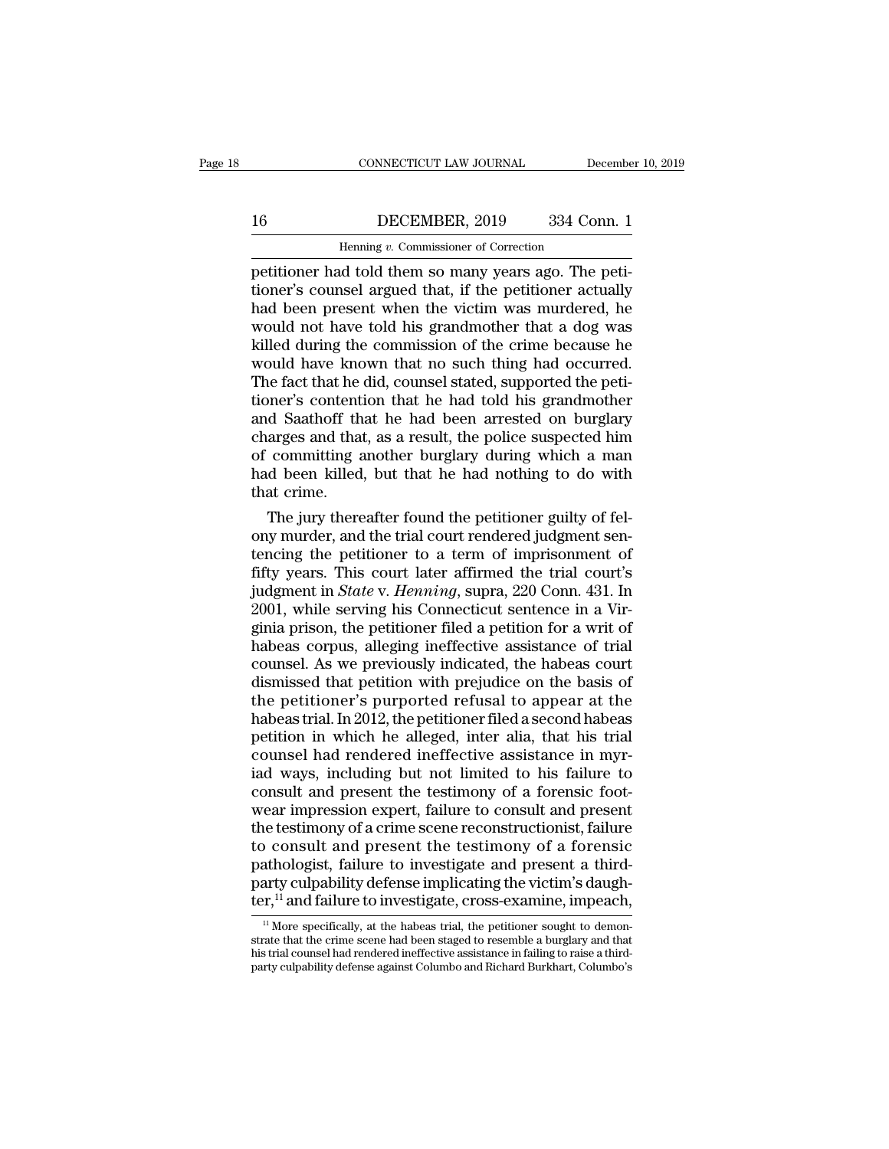### CONNECTICUT LAW JOURNAL December 10, 2019<br>16 DECEMBER, 2019 334 Conn. 1<br>Henning v. Commissioner of Correction CONNECTICUT LAW JOURNAL Deferences the DECEMBER, 2019 and Correction of Correction of the commissioner of Correction of the commissioner of Correction of the commissioner of Correction of the commissioner of Correction of

CONNECTICUT LAW JOURNAL December<br>16 DECEMBER, 2019 334 Conn. 1<br>Henning v. Commissioner of Correction<br>petitioner had told them so many years ago. The peti-<br>tioner's counsel argued that, if the petitioner actually<br>had been p The same of Correction<br>
Thenning v. Commissioner of Correction<br>
petitioner had told them so many years ago. The petitioner's counsel argued that, if the petitioner actually<br>
had been present when the victim was murdered, h  $\frac{\text{16}}{\text{Hening } v \cdot \text{Commissioner of Correction}}$ <br>
Henning v. Commissioner of Correction<br>
petitioner had told them so many years ago. The petitioner's counsel argued that, if the petitioner actually<br>
had been present when the victim was murde 16 DECEMBER, 2019 334 Conn. 1<br>
Henning  $v$ . Commissioner of Correction<br>
petitioner had told them so many years ago. The peti-<br>
tioner's counsel argued that, if the petitioner actually<br>
had been present when the victim was Henning v. Commissioner of Correction<br>
petitioner had told them so many years ago. The peti-<br>
tioner's counsel argued that, if the petitioner actually<br>
had been present when the victim was murdered, he<br>
would not have tol Henning v. Commissioner of Correction<br>petitioner had told them so many years ago. The peti-<br>tioner's counsel argued that, if the petitioner actually<br>had been present when the victim was murdered, he<br>would not have told his petitioner had told them so many years ago. The petitioner's counsel argued that, if the petitioner actually had been present when the victim was murdered, he would not have told his grandmother that a dog was killed durin tioner's counsel argued that, if the petitioner actually<br>had been present when the victim was murdered, he<br>would not have told his grandmother that a dog was<br>killed during the commission of the crime because he<br>would have had been present when the victim was murdered, he<br>would not have told his grandmother that a dog was<br>killed during the commission of the crime because he<br>would have known that no such thing had occurred.<br>The fact that he d would not have told his grandmother that a dog was<br>killed during the commission of the crime because he<br>would have known that no such thing had occurred.<br>The fact that he did, counsel stated, supported the peti-<br>tioner's c killed during the commission of the crime because he<br>would have known that no such thing had occurred.<br>The fact that he did, counsel stated, supported the peti-<br>tioner's contention that he had told his grandmother<br>and Saat would have known that no such thing had occurred.<br>The fact that he did, counsel stated, supported the petitioner's contention that he had told his grandmother<br>and Saathoff that he had been arrested on burglary<br>charges and The fact that he<br>tioner's content<br>and Saathoff th<br>charges and tha<br>of committing a<br>had been killed<br>that crime.<br>The jury there mer's contention that he had told his grandmother<br>d Saathoff that he had been arrested on burglary<br>arges and that, as a result, the police suspected him<br>committing another burglary during which a man<br>d been killed, but tha and Saathoff that he had been arrested on burglary<br>charges and that, as a result, the police suspected him<br>of committing another burglary during which a man<br>had been killed, but that he had nothing to do with<br>that crime.<br>T

charges and that, as a result, the police suspected him<br>of committing another burglary during which a man<br>had been killed, but that he had nothing to do with<br>that crime.<br>The jury thereafter found the petitioner guilty of of committing another burglary during which a man<br>had been killed, but that he had nothing to do with<br>that crime.<br>The jury thereafter found the petitioner guilty of fel-<br>ony murder, and the trial court rendered judgment se had been killed, but that he had nothing to do with<br>that crime.<br>The jury thereafter found the petitioner guilty of fel-<br>ony murder, and the trial court rendered judgment sen-<br>tencing the petitioner to a term of imprisonmen that crime.<br>
The jury thereafter found the petitioner guilty of fel-<br>
ony murder, and the trial court rendered judgment sen-<br>
tencing the petitioner to a term of imprisonment of<br>
fifty years. This court later affirmed the The jury thereafter found the petitioner guilty of fel-<br>ony murder, and the trial court rendered judgment sen-<br>tencing the petitioner to a term of imprisonment of<br>fifty years. This court later affirmed the trial court's<br>ju ony murder, and the trial court rendered judgment sentancing the petitioner to a term of imprisonment of fifty years. This court later affirmed the trial court's judgment in *State* v. *Henning*, supra, 220 Conn. 431. In 2 tencing the petitioner to a term of imprisonment of<br>fifty years. This court later affirmed the trial court's<br>judgment in *State* v. *Henning*, supra, 220 Conn. 431. In<br>2001, while serving his Connecticut sentence in a Virfifty years. This court later affirmed the trial court's<br>judgment in *State* v. *Henning*, supra, 220 Conn. 431. In<br>2001, while serving his Connecticut sentence in a Vir-<br>ginia prison, the petitioner filed a petition for judgment in *State* v. *Henning*, supra, 220 Conn. 431. In 2001, while serving his Connecticut sentence in a Virginia prison, the petitioner filed a petition for a writ of habeas corpus, alleging ineffective assistance of  $2001$ , while serving his Connecticut sentence in a Virginia prison, the petitioner filed a petition for a writ of habeas corpus, alleging ineffective assistance of trial counsel. As we previously indicated, the habeas co ginia prison, the petitioner filed a petition for a writ of<br>habeas corpus, alleging ineffective assistance of trial<br>counsel. As we previously indicated, the habeas court<br>dismissed that petition with prejudice on the basis habeas corpus, alleging ineffective assistance of trial<br>counsel. As we previously indicated, the habeas court<br>dismissed that petition with prejudice on the basis of<br>the petitioner's purported refusal to appear at the<br>habea counsel. As we previously indicated, the habeas court<br>dismissed that petition with prejudice on the basis of<br>the petitioner's purported refusal to appear at the<br>habeas trial. In 2012, the petitioner filed a second habeas<br>p dismissed that petition with prejudice on the basis of<br>the petitioner's purported refusal to appear at the<br>habeas trial. In 2012, the petitioner filed a second habeas<br>petition in which he alleged, inter alia, that his tria the petitioner's purported refusal to appear at the<br>habeas trial. In 2012, the petitioner filed a second habeas<br>petition in which he alleged, inter alia, that his trial<br>counsel had rendered ineffective assistance in myr-<br>i habeas trial. In 2012, the petitioner filed a second habeas<br>petition in which he alleged, inter alia, that his trial<br>counsel had rendered ineffective assistance in myr-<br>iad ways, including but not limited to his failure to petition in which he alleged, inter alia, that his trial<br>counsel had rendered ineffective assistance in myr-<br>iad ways, including but not limited to his failure to<br>consult and present the testimony of a forensic foot-<br>wear counsel had rendered ineffective assistance in myriad ways, including but not limited to his failure to consult and present the testimony of a forensic footwear impression expert, failure to consult and present the testim iad ways, including but not limited to his failure to consult and present the testimony of a forensic footwear impression expert, failure to consult and present the testimony of a crime scene reconstructionist, failure to consult and present the testimony of a forensic foot-<br>wear impression expert, failure to consult and present<br>the testimony of a crime scene reconstructionist, failure<br>to consult and present the testimony of a forensic<br>pat 11 More specifically, at the habeas trial, the petitioner sought to demon-<br>
11 More specifically, at the habeas trial, the petitioner sought to demon-<br>
11 More specifically, at the habeas trial, the petitioner sought to d pathologist, failure to investigate and present a third-<br>party culpability defense implicating the victim's daugh-<br>ter,<sup>11</sup> and failure to investigate, cross-examine, impeach,<br> $\frac{11}{10}$  More specifically, at the habeas

pathologist, randre to investigate and present a diffusery party culpability defense implicating the victim's daugh-<br>ter,<sup>11</sup> and failure to investigate, cross-examine, impeach,<br><sup>11</sup> More specifically, at the habeas trial, ter,<sup>11</sup> and failure to investigate, cross-examine, impeach,<br> $\frac{11}{10}$  More specifically, at the habeas trial, the petitioner sought to demonstrate that the crime scene had been staged to resemble a burglary and that<br>hi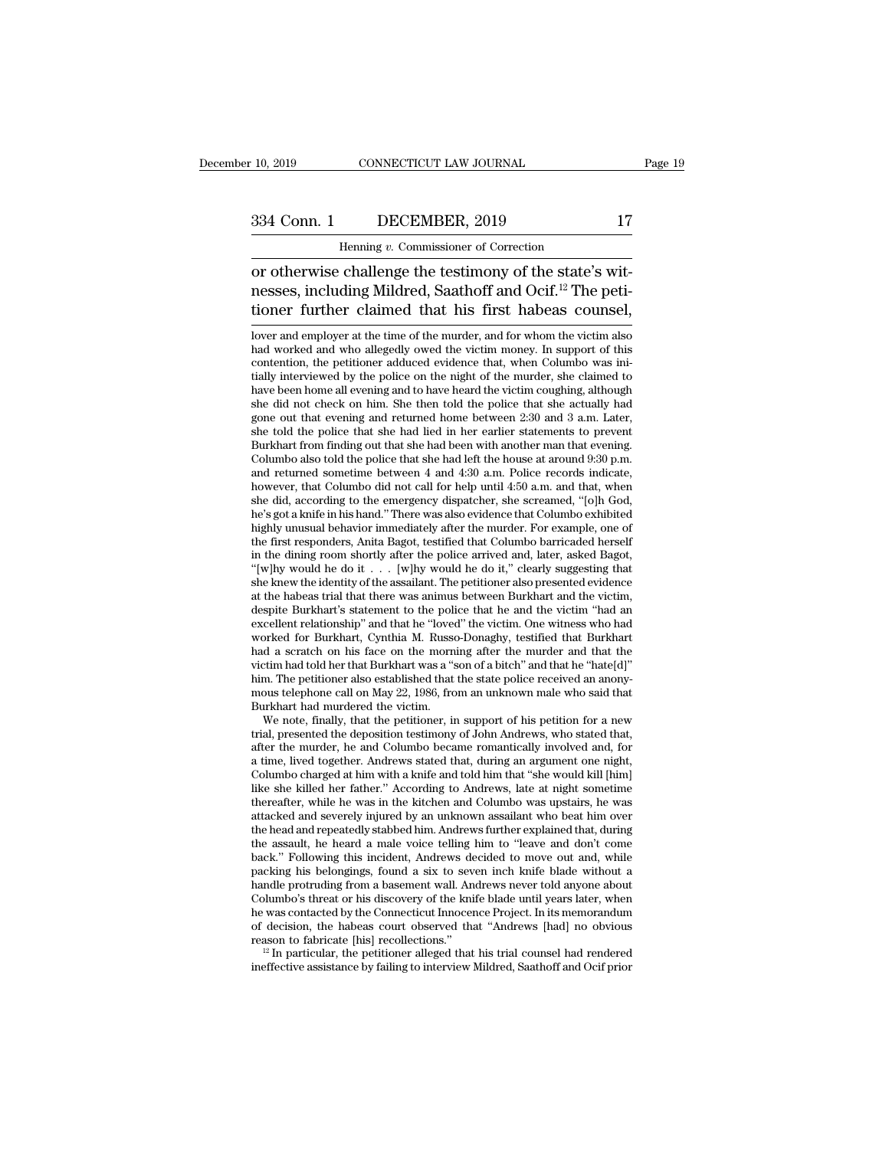### EXECTICUT LAW JOURNAL<br>DECEMBER, 2019<br>Henning *v.* Commissioner of Correction<br>Challenge the testimony of the state's 10, 2019 CONNECTICUT LAW JOURNAL<br>
334 Conn. 1 DECEMBER, 2019 17<br>
Henning v. Commissioner of Correction<br>
or otherwise challenge the testimony of the state's wit-<br>
nesses, including Mildred, Saathoff and Ocif.<sup>12</sup> The peti-<br> 334 Conn. 1 DECEMBER, 2019 17<br>
Henning v. Commissioner of Correction<br>
or otherwise challenge the testimony of the state's wit-<br>
nesses, including Mildred, Saathoff and Ocif.<sup>12</sup> The peti-<br>
tioner further claimed that his f 334 Conn. 1 DECEMBER, 2019 17<br>
Henning v. Commissioner of Correction<br>
or otherwise challenge the testimony of the state's wit-<br>
nesses, including Mildred, Saathoff and Ocif.<sup>12</sup> The peti-<br>
tioner further claimed that his IT THE COMMISSIONET OF CORECLED TO THE CONTROLLED TO THE CONTROLLED TO THE SERVERT PRESSES, including Mildred, Saathoff and Ocif.<sup>12</sup> The petitioner further claimed that his first habeas counsel, lover and employer at the or otherwise challenge the testimony of the state's wit-<br>nesses, including Mildred, Saathoff and Ocif.<sup>12</sup> The peti-<br>tioner further claimed that his first habeas counsel,<br>lover and employer at the time of the murder, and f

contention, the change are tests into y of the state is who messes, including Mildred, Saathoff and Ocif.<sup>12</sup> The petitioner further claimed that his first habeas counsel, lover and employer at the time of the murder, and tioner further claimed that his first habeas counsel,<br>lover and employer at the time of the murder, and for whom the victim also<br>had worked and who allegedly owed the victim money. In support of this<br>contention, the petiti tioner further claimed that his first habeas counsel,<br>
lover and employer at the time of the murder, and for whom the victim also<br>
had worked and who allegedly owed the victim money. In support of this<br>
contention, the pet she did not employer at the time of the murder, and for whom the victim also had worked and who allegedly owed the victim money. In support of this contention, the petitioner adduced evidence that, when Columbo was initial lover and employer at the time of the murder, and for whom the victim also<br>had worked and who allegedly owed the victim money. In support of this<br>contention, the petitioner adduced evidence that, when Columbo was ini-<br>tial had worked and who allegedly owed the victim money. In support of this contention, the petitioner adduced evidence that, when Columbo was initially interviewed by the police on the night of the murder, she claimed to have contention, the petitioner adduced evidence that, when Columbo was initially interviewed by the police on the night of the murder, she claimed to have been home all evening and to have heard the victim coughing, although tially interviewed by the police on the night of the murder, she claimed to have been home all evening and to have heard the victim coughing, although she did not check on him. She then told the police that she actually h have been home all evening and to have heard the victim coughing, although she did not check on him. She then told the police that she actually had gone out that evening and returned home between 2:30 and 3 a.m. Later, she she did not check on him. She then told the police that she actually had<br>gone out that evening and returned home between 2:30 and 3 a.m. Later,<br>she told the police that she had lied in her earlier statements to prevent<br>Bur gone out that evening and returned home between 2:30 and 3 a.m. Later, she told the police that she had lied in her earlier statements to prevent Burkhart from finding out that she had been with another man that evening. C she told the police that she had lied in her earlier statements to prevent<br>Burkhart from finding out that she had been with another man that evening.<br>Columbo also told the police that she had left the house at around 9:30 Burkhart from finding out that she had been with another man that evening.<br>Columbo also told the police that she had left the house at around 9:30 p.m.<br>and returned sometime between 4 and 4:30 a.m. Police records indicate, Columbo also told the police that she had left the house at around  $9:30$  p.m.<br>and returned sometime between 4 and  $4:30$  a.m. Police records indicate,<br>however, that Columbo did not call for help until  $4:50$  a.m. and tha and returned sometime between 4 and 4:30 a.m. Police records indicate, however, that Columbo did not call for help until 4:50 a.m. and that, when she did, according to the emergency dispatcher, she screamed, "[o]h God, he however, that Columbo did not call for help until 4:50 a.m. and that, when<br>she did, according to the emergency dispatcher, she screamed, "[o]h God,<br>he's got a knife in his hand." There was also evidence that Columbo exhib she did, according to the emergency dispatcher, she screamed, "[0]h God, he's got a knife in his hand." There was also evidence that Columbo exhibited highly unusual behavior immediately after the murder. For example, one he's got a knife in his hand." There was also evidence that Columbo exhibited<br>highly unusual behavior immediately after the murder. For example, one of<br>the first responders, Anita Bagot, testified that Columbo barricaded highly unusual behavior immediately after the murder. For example, one of<br>the first responders, Anita Bagot, testified that Columbo barricaded herself<br>in the dining room shortly after the police arrived and, later, asked the first responders, Anita Bagot, testified that Columbo barricaded herself<br>in the dining room shortly after the police arrived and, later, asked Bagot,<br>"[w]hy would he do it  $\ldots$  [w]hy would he do it," clearly suggesti in the dining room shortly after the police arrived and, later, asked Bagot, "[w]hy would he do it... [w]hy would he do it," clearly suggesting that she knew the identity of the assailant. The petitioner also presented ev "[w]hy would he do it . . . [w]hy would he do it," clearly suggesting that she knew the identity of the assailant. The petitioner also presented evidence at the habeas trial that there was animus between Burkhart and the she knew the identity of the assailant. The petitioner also presented evidence<br>at the habeas trial that there was animus between Burkhart and the victim,<br>despite Burkhart's statement to the police that he and the victim "h at the habeas trial that there was animus between Burkhart and the victim, despite Burkhart's statement to the police that he and the victim "had an excellent relationship" and that he "loved" the victim. One witness who h despite Burkhart's statement to the police that he and the victim "had an excellent relationship" and that he "loved" the victim. One witness who had worked for Burkhart, Cynthia M. Russo-Donaghy, testified that Burkhart h excellent relationship" and that he "loved worked for Burkhart, Cynthia M. Russe<br>had a scratch on his face on the morn<br>victim had told her that Burkhart was a "shim. The petitioner also established that<br>mous telephone call brked for Burkhart, Cynthia M. Russo-Donaghy, testified that Burkhart<br>d a scratch on his face on the morning after the murder and that the<br>tim had told her that Burkhart was a "son of a bitch" and that he "hate[d]"<br>m. The had a scratch on his face on the morning after the murder and that the victim had told her that Burkhart was a "son of a bitch" and that he "hate[d]" him. The petitioner also established that the state police received an

victim had told her that Burkhart was a "son of a bitch" and that he "hate[d]"<br>him. The petitioner also established that the state police received an anony-<br>mous telephone call on May 22, 1986, from an unknown male who sai him. The petitioner also established that the state police received an anony-<br>mous telephone call on May 22, 1986, from an unknown male who said that<br>Burkhart had murdered the victim.<br>We note, finally, that the petitioner, mous telephone call on May 22, 1986, from an unknown male who said that<br>Burkhart had murdered the victim.<br>We note, finally, that the petitioner, in support of his petition for a new<br>trial, presented the deposition testimon Burkhart had murdered the victim.<br>We note, finally, that the petitioner, in support of his petition for a new<br>trial, presented the deposition testimony of John Andrews, who stated that,<br>after the murder, he and Columbo bec We note, finally, that the petitioner, in support of his petition for a new<br>trial, presented the deposition testimony of John Andrews, who stated that,<br>after the murder, he and Columbo became romantically involved and, for trial, presented the deposition testimony of John Andrews, who stated that, after the murder, he and Columbo became romantically involved and, for a time, lived together. Andrews stated that, during an argument one night, after the murder, he and Columbo became romantically involved and, for<br>a time, lived together. Andrews stated that, during an argument one night,<br>Columbo charged at him with a knife and told him that "she would kill [him]<br> a time, lived together. Andrews stated that, during an argument one night,<br>Columbo charged at him with a knife and told him that "she would kill [him]<br>like she killed her father." According to Andrews, late at night someti Columbo charged at him with a knife and told him that "she would kill [him]<br>like she killed her father." According to Andrews, late at night sometime<br>thereafter, while he was in the kitchen and Columbo was upstairs, he was like she killed her father." According to Andrews, late at night sometime thereafter, while he was in the kitchen and Columbo was upstairs, he was attacked and severely injured by an unknown assailant who beat him over the thereafter, while he was in the kitchen and Columbo was upstairs, he was attacked and severely injured by an unknown assailant who beat him over the head and repeatedly stabbed him. Andrews further explained that, during t attacked and severely injured by an unknown assailant who beat him over<br>the head and repeatedly stabbed him. Andrews further explained that, during<br>the assault, he heard a male voice telling him to "leave and don't come<br>ba the head and repeatedly stabbed him. Andrews further explained that, during<br>the assault, he heard a male voice telling him to "leave and don't come<br>back." Following this incident, Andrews decided to move out and, while<br>pac the assault, he heard a male voice telling him to "leave and don't come back." Following this incident, Andrews decided to move out and, while packing his belongings, found a six to seven inch knife blade without a handle back." Following this incident, Andrews decided to move out and, while packing his belongings, found a six to seven inch knife blade without a handle protruding from a basement wall. Andrews never told anyone about Columb handle protruding from a basement wall. Andrews never told anyone about Columbo's threat or his discovery of the knife blade until years later, when he was contacted by the Connecticut Innocence Project. In its memorandum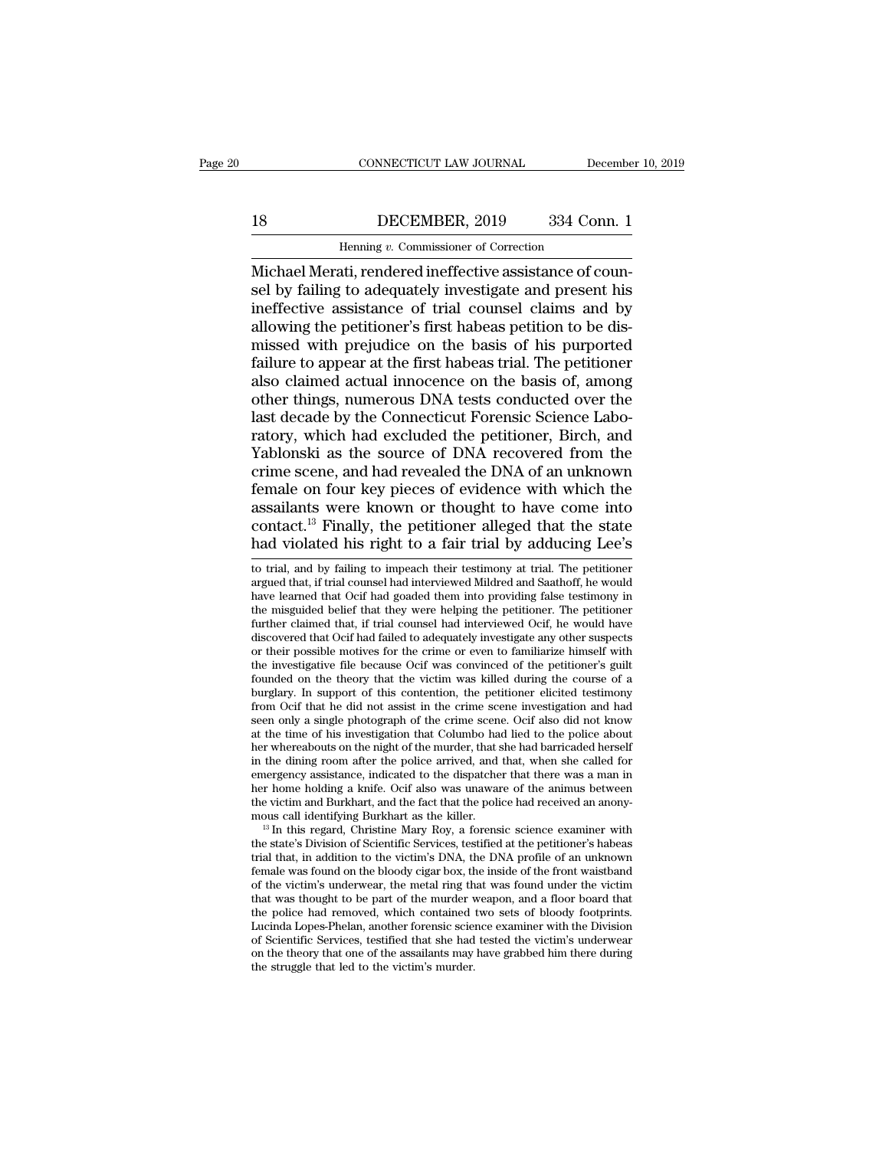## CONNECTICUT LAW JOURNAL December 10, 2019<br>18 DECEMBER, 2019 334 Conn. 1<br>Henning v. Commissioner of Correction

CONNECTICUT LAW JOURNAL December<br>
18 DECEMBER, 2019 334 Conn. 1<br>
Henning *v*. Commissioner of Correction<br>
Michael Merati, rendered ineffective assistance of coun-<br>
sel by failing to adequately investigate and present his<br> Sel by failing to adequately investigate and present his<br>single pair of the adequately investigate and present his<br>ineffective assistance of trial counsel claims and by<br>allowing the netitioner's first habes netition to be 18 DECEMBER, 2019 334 Conn. 1<br>
Henning v. Commissioner of Correction<br>
Michael Merati, rendered ineffective assistance of counsel by failing to adequately investigate and present his<br>
ineffective assistance of trial counse 18 DECEMBER, 2019 334 Conn. 1<br>
Henning v. Commissioner of Correction<br>
Michael Merati, rendered ineffective assistance of counsel<br>
by failing to adequately investigate and present his<br>
ineffective assistance of trial counse  $\frac{1}{2000}$  Henning v. Commissioner of Correction<br>Michael Merati, rendered ineffective assistance of counsel by failing to adequately investigate and present his<br>ineffective assistance of trial counsel claims and by<br>allo Henning v. Commissioner of Correction<br>Michael Merati, rendered ineffective assistance of counsel<br>by failing to adequately investigate and present his<br>ineffective assistance of trial counsel claims and by<br>allowing the petit Michael Merati, rendered ineffective assistance of counsel by failing to adequately investigate and present his<br>ineffective assistance of trial counsel claims and by<br>allowing the petitioner's first habeas petition to be di sel by failing to adequately investigate and present his<br>ineffective assistance of trial counsel claims and by<br>allowing the petitioner's first habeas petition to be dis-<br>missed with prejudice on the basis of his purported<br> ineffective assistance of trial counsel claims and by<br>allowing the petitioner's first habeas petition to be dis-<br>missed with prejudice on the basis of his purported<br>failure to appear at the first habeas trial. The petition allowing the petitioner's first habeas petition to be dis-<br>missed with prejudice on the basis of his purported<br>failure to appear at the first habeas trial. The petitioner<br>also claimed actual innocence on the basis of, amon missed with prejudice on the basis of his purported<br>failure to appear at the first habeas trial. The petitioner<br>also claimed actual innocence on the basis of, among<br>other things, numerous DNA tests conducted over the<br>last failure to appear at the first habeas trial. The petitioner<br>also claimed actual innocence on the basis of, among<br>other things, numerous DNA tests conducted over the<br>last decade by the Connecticut Forensic Science Labo-<br>rat also claimed actual innocence on the basis of, among<br>other things, numerous DNA tests conducted over the<br>last decade by the Connecticut Forensic Science Labo-<br>ratory, which had excluded the petitioner, Birch, and<br>Yablonski other things, numerous DNA tests conducted over the<br>last decade by the Connecticut Forensic Science Labo-<br>ratory, which had excluded the petitioner, Birch, and<br>Yablonski as the source of DNA recovered from the<br>crime scene, last decade by the Connecticut Forensic Science Laboratory, which had excluded the petitioner, Birch, and Yablonski as the source of DNA recovered from the crime scene, and had revealed the DNA of an unknown female on four ratory, which had excluded the petitioner, Birch, and Yablonski as the source of DNA recovered from the crime scene, and had revealed the DNA of an unknown female on four key pieces of evidence with which the assailants w female on four key pieces of evidence with which the assailants were known or thought to have come into contact.<sup>13</sup> Finally, the petitioner alleged that the state had violated his right to a fair trial by adducing Lee's assailants were known or thought to have come into contact.<sup>13</sup> Finally, the petitioner alleged that the state had violated his right to a fair trial by adducing Lee's to trial, and by failing to impeach their testimony a

assamants were known of thought to have come into<br>contact.<sup>13</sup> Finally, the petitioner alleged that the state<br>had violated his right to a fair trial by adducing Lee's<br>to trial, and by failing to impeach their testimony at contact.<sup>13</sup> Finally, the petitioner alleged that the state had violated his right to a fair trial by adducing Lee's to trial, and by failing to impeach their testimony at trial. The petitioner argued that, if trial counse had violated his right to a fair trial by adducing Lee's<br>to trial, and by failing to impeach their testimony at trial. The petitioner<br>argued that, if trial counsel had interviewed Mildred and Saathoff, he would<br>have learne discovered that of their testimony at trial. The petitioner argued that, if trial counsel had interviewed Mildred and Saathoff, he would have learned that Ocif had goaded them into providing false testimony in the misguide to trial, and by failing to impeach their testimony at trial. The petitioner argued that, if trial counsel had interviewed Mildred and Saathoff, he would have learned that Ocif had goaded them into providing false testimon argued that, if trial counsel had interviewed Mildred and Saathoff, he would<br>have learned that Ocif had goaded them into providing false testimony in<br>the misguided belief that they were helping the petitioner. The petition have learned that Ocif had goaded them into providing false testimony in<br>the misguided belief that they were helping the petitioner. The petitioner<br>further claimed that, if trial counsel had interviewed Ocif, he would have the misguided belief that they were helping the petitioner. The petitioner further claimed that, if trial counsel had interviewed Ocif, he would have discovered that Ocif had failed to adequately investigate any other susp further claimed that, if trial counsel had interviewed Ocif, he would have discovered that Ocif had failed to adequately investigate any other suspects or their possible motives for the crime or even to familiarize himself discovered that Ocif had failed to adequately investigate any other suspects<br>or their possible motives for the crime or even to familiarize himself with<br>the investigative file because Ocif was convinced of the petitioner's or their possible motives for the crime or even to familiarize himself with the investigative file because Ocif was convinced of the petitioner's guilt founded on the theory that the victim was killed during the course of the investigative file because Ocif was convinced of the petitioner's guilt founded on the theory that the victim was killed during the course of a burglary. In support of this contention, the petitioner elicited testimony founded on the theory that the victim was killed during the course of a burglary. In support of this contention, the petitioner elicited testimony from Ocif that he did not assist in the crime scene investigation and had s burglary. In support of this contention, the petitioner elicited testimony<br>from Ocif that he did not assist in the crime scene investigation and had<br>seen only a single photograph of the crime scene. Ocif also did not know<br> from Ocif that he did not assist in the crime scene investigation and had<br>seen only a single photograph of the crime scene. Ocif also did not know<br>at the time of his investigation that Columbo had lied to the police about<br> seen only a single photograph of the crime scene. Ocif also did not know<br>at the time of his investigation that Columbo had lied to the police about<br>her whereabouts on the night of the murder, that she had barricaded herse at the time of his investigation that Columbo had lied to the police about<br>her whereabouts on the night of the murder, that she had barricaded herself<br>in the dining room after the police arrived, and that, when she called in the dining room after the police arrived, and that, when she called for emergency assistance, indicated to the dispatcher that there was a man in her home holding a knife. Ocif also was unaware of the animus between th

emergency assistance, indicated to the dispatcher that there was a man in<br>her home holding a knife. Ocif also was unaware of the animus between<br>the victim and Burkhart, and the fact that the police had received an anony-<br>m her home holding a knife. Ocif also was unaware of the animus between<br>the victim and Burkhart, and the fact that the police had received an anony-<br>mous call identifying Burkhart as the killer.<br><sup>13</sup> In this regard, Christin the victim and Burkhart, and the fact that the police had received an anony-<br>mous call identifying Burkhart as the killer.<br><sup>13</sup> In this regard, Christine Mary Roy, a forensic science examiner with<br>the state's Division of S mous call identifying Burkhart as the killer.<br><sup>13</sup> In this regard, Christine Mary Roy, a forensic science examiner with<br>the state's Division of Scientific Services, testified at the petitioner's habeas<br>trial that, in addit  $^{13}$  In this regard, Christine Mary Roy, a forensic science examiner with the state's Division of Scientific Services, testified at the petitioner's habeas trial that, in addition to the victim's DNA, the DNA profile of the state's Division of Scientific Services, testified at the petitioner's habeas<br>trial that, in addition to the victim's DNA, the DNA profile of an unknown<br>female was found on the bloody cigar box, the inside of the front trial that, in addition to the victim's DNA, the DNA profile of an unknown<br>female was found on the bloody cigar box, the inside of the front waistband<br>of the victim's underwear, the metal ring that was found under the vict female was found on the bloody cigar box, the inside of the front waistband<br>of the victim's underwear, the metal ring that was found under the victim<br>that was thought to be part of the murder weapon, and a floor board that of the victim's underwear, the metal ring th<br>that was thought to be part of the murder v<br>the police had removed, which contained<br>Lucinda Lopes-Phelan, another forensic scie-<br>of Scientific Services, testified that she had<br>o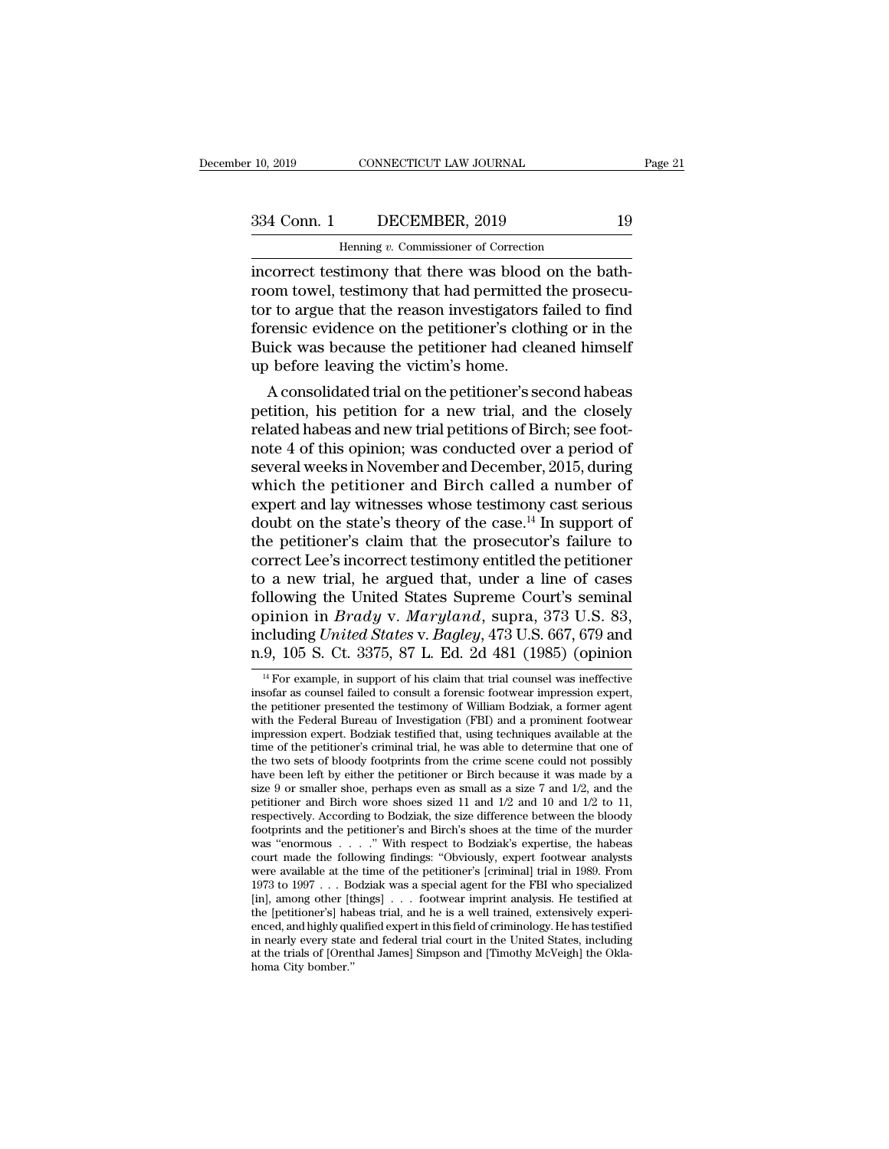10, 2019 CONNECTICUT LAW JOURNAL Page 21<br>334 Conn. 1 DECEMBER, 2019 19<br>Henning v. Commissioner of Correction

incorrect testimony that there was blood on the bath-<br>incorrect testimony that there was blood on the bath-<br>incorrect testimony that there was blood on the bath-<br>room towel, testimony that had permitted the prosecu-<br>tor to 334 Conn. 1 DECEMBER, 2019 19<br>
Henning v. Commissioner of Correction<br>
incorrect testimony that there was blood on the bath-<br>
room towel, testimony that had permitted the prosecu-<br>
tor to argue that the reason investigators 334 Conn. 1 DECEMBER, 2019 19<br>
Henning v. Commissioner of Correction<br>
incorrect testimony that there was blood on the bath-<br>
room towel, testimony that had permitted the prosecu-<br>
tor to argue that the reason investigator  $\frac{334 \text{ Conn. } 1}{\text{Hanning } v. \text{ Commissioner of Correction}}$ <br>
incorrect testimony that there was blood on the bath-<br>
room towel, testimony that had permitted the prosecu-<br>
tor to argue that the reason investigators failed to find<br>
forensic evidence Henning v. Commissioner of Correction<br>incorrect testimony that there was blood on the bath-<br>room towel, testimony that had permitted the prosecu-<br>tor to argue that the reason investigators failed to find<br>forensic evidence Henning v. Commissioner of Correction<br>incorrect testimony that there was blood<br>room towel, testimony that had permitted<br>tor to argue that the reason investigators is<br>forensic evidence on the petitioner's cloth<br>Buick was be correct testimony that there was blood on the bath-<br>om towel, testimony that had permitted the prosecu-<br>r to argue that the reason investigators failed to find<br>rensic evidence on the petitioner's clothing or in the<br>lick wa proof tower, testimony that had permitted the prosecutor to argue that the reason investigators failed to find<br>forensic evidence on the petitioner's clothing or in the<br>Buick was because the petitioner had cleaned himself<br>u

forensic evidence on the petitioner's clothing or in the<br>Buick was because the petitioner's clothing or in the<br>Buick was because the petitioner had cleaned himself<br>up before leaving the victim's home.<br>A consolidated trial norensic evidence on the petitioner s clothing or in the Buick was because the petitioner had cleaned himself<br>up before leaving the victim's home.<br>A consolidated trial on the petitioner's second habeas<br>petition, his petiti Buck was because the petitioner had cleaned himself<br>up before leaving the victim's home.<br>A consolidated trial on the petitioner's second habeas<br>petition, his petition for a new trial, and the closely<br>related habeas and new We before leaving the victim's nome.<br>
A consolidated trial on the petitioner's second habeas<br>
petition, his petition for a new trial, and the closely<br>
related habeas and new trial petitions of Birch; see foot-<br>
note 4 of A consolidated trial on the petitioner's second habeas<br>petition, his petition for a new trial, and the closely<br>related habeas and new trial petitions of Birch; see foot-<br>note 4 of this opinion; was conducted over a period petition, his petition for a new trial, and the closely<br>related habeas and new trial petitions of Birch; see foot-<br>note 4 of this opinion; was conducted over a period of<br>several weeks in November and December, 2015, during related habeas and new trial petitions of Birch; see foot-<br>note 4 of this opinion; was conducted over a period of<br>several weeks in November and December, 2015, during<br>which the petitioner and Birch called a number of<br>exper note 4 of this opinion; was conducted over a period of<br>several weeks in November and December, 2015, during<br>which the petitioner and Birch called a number of<br>expert and lay witnesses whose testimony cast serious<br>doubt on t several weeks in November and December, 2015, during<br>which the petitioner and Birch called a number of<br>expert and lay witnesses whose testimony cast serious<br>doubt on the state's theory of the case.<sup>14</sup> In support of<br>the p which the petitioner and Birch called a number of<br>expert and lay witnesses whose testimony cast serious<br>doubt on the state's theory of the case.<sup>14</sup> In support of<br>the petitioner's claim that the prosecutor's failure to<br>co expert and lay witnesses whose testimony cast serious<br>doubt on the state's theory of the case.<sup>14</sup> In support of<br>the petitioner's claim that the prosecutor's failure to<br>correct Lee's incorrect testimony entitled the petiti doubt on the state's theory of the case.<sup>14</sup> In support of<br>the petitioner's claim that the prosecutor's failure to<br>correct Lee's incorrect testimony entitled the petitioner<br>to a new trial, he argued that, under a line of c the petitioner's claim that the prosecutor's failure to<br>correct Lee's incorrect testimony entitled the petitioner<br>to a new trial, he argued that, under a line of cases<br>following the United States Supreme Court's seminal<br>op by induction in Brady v. Maryland, suppra, 373 U.S. 83,<br>cluding United States v. Bagley, 473 U.S. 667, 679 and<br>9, 105 S. Ct. 3375, 87 L. Ed. 2d 481 (1985) (opinion<br><sup>14</sup> For example, in support of his claim that trial coun opinion in *Brady* v. *Maryland*, supra, 373 U.S. 83,<br>including *United States* v. *Bagley*, 473 U.S. 667, 679 and<br>n.9, 105 S. Ct. 3375, 87 L. Ed. 2d 481 (1985) (opinion<br><sup>14</sup> For example, in support of his claim that tria

the petitioner presented the testimony of William Bodziak, a former agent with the Federal Burstle mass of Number of Number of William Bodziak, a former agent with the Federal Burstle mass of meetitioner presented the tes including United States v. Bagley, 473 U.S. 667, 679 and<br>n.9, 105 S. Ct. 3375, 87 L. Ed. 2d 481 (1985) (opinion<br> $^{14}$  For example, in support of his claim that trial counsel was ineffective<br>insofar as counsel failed to c n.9, 105 S. Ct. 3375, 87 L. Ed. 2d 481 (1985) (opinion  $\frac{14}{14}$  For example, in support of his claim that trial counsel was ineffective insofar as counsel failed to consult a forensic footwear impression expert, the pe  $^{14}$  For example, in support of his claim that trial counsel was ineffective insofar as counsel failed to consult a forensic footwear impression expert, the petitioner presented the testimony of William Bodziak, a forme <sup>14</sup> For example, in support of his claim that trial counsel was ineffective insofar as counsel failed to consult a forensic footwear impression expert, the petitioner presented the testimony of William Bodziak, a former insofar as counsel failed to consult a forensic footwear impression expert,<br>the petitioner presented the testimony of William Bodziak, a former agent<br>with the Federal Bureau of Investigation (FBI) and a prominent footwear the petitioner presented the testimony of William Bodziak, a former agent<br>with the Federal Bureau of Investigation (FBI) and a prominent footwear<br>impression expert. Bodziak testified that, using techniques available at th with the Federal Bureau of Investigation (FBI) and a prominent footwear<br>impression expert. Bodziak testified that, using techniques available at the<br>time of the petitioner's criminal trial, he was able to determine that on impression expert. Bodziak testified that, using techniques available at the time of the petitioner's criminal trial, he was able to determine that one of the two sets of bloody footprints from the crime scene could not p time of the petitioner's criminal trial, he was able to determine that one of<br>the two sets of bloody footprints from the crime scene could not possibly<br>have been left by either the petitioner or Birch because it was made the two sets of bloody footprints from the crime scene could not possibly<br>have been left by either the petitioner or Birch because it was made by a<br>size 9 or smaller shoe, perhaps even as small as a size 7 and 1/2, and th size 9 or smaller shoe, perhaps even as small as a size 7 and 1/2, and the petitioner and Birch wore shoes sized 11 and 1/2 and 10 and 1/2 to 11, respectively. According to Bodziak, the size difference between the bloody size 9 or smaller shoe, perhaps even as small as a size 7 and  $1/2$ , and the petitioner and Birch wore shoes sized 11 and  $1/2$  and  $10$  and  $1/2$  to 11, respectively. According to Bodziak, the size difference between the petitioner and Birch wore shoes sized 11 and 1/2 and 10 and 1/2 to 11, respectively. According to Bodziak, the size difference between the bloody footprints and the petitioner's and Birch's shoes at the time of the murder respectively. According to Bodziak, the size difference between the bloody footprints and the petitioner's and Birch's shoes at the time of the murder was "enormous . . . . " With respect to Bodziak's expertise, the habeas footprints and the petitioner's and Birch's shoes at the time of the murder was "enormous . . . . ." With respect to Bodziak's expertise, the habeas court made the following findings: "Obviously, expert footwear analysts w was "enormous  $\dots$ " With respect to Bodziak's expertise, the habeas court made the following findings: "Obviously, expert footwear analysts were available at the time of the petitioner's [criminal] trial in 1989. From 197 court made the following findings: "Obviously, expert footwear analysts<br>were available at the time of the petitioner's [criminal] trial in 1989. From<br>1973 to 1997 . . . Bodziak was a special agent for the FBI who specializ were available at the time of the petitioner's [criminal] trial in 1989. From 1973 to 1997 . . . Bodziak was a special agent for the FBI who specialized [in], among other [things] . . . footwear imprint analysis. He testif 1973 to 1997  $\dots$  Bomber (Ith summer (Ith the [petitioner's] had enced, and highly quantity every state at the trials of [Oren homa City bomber."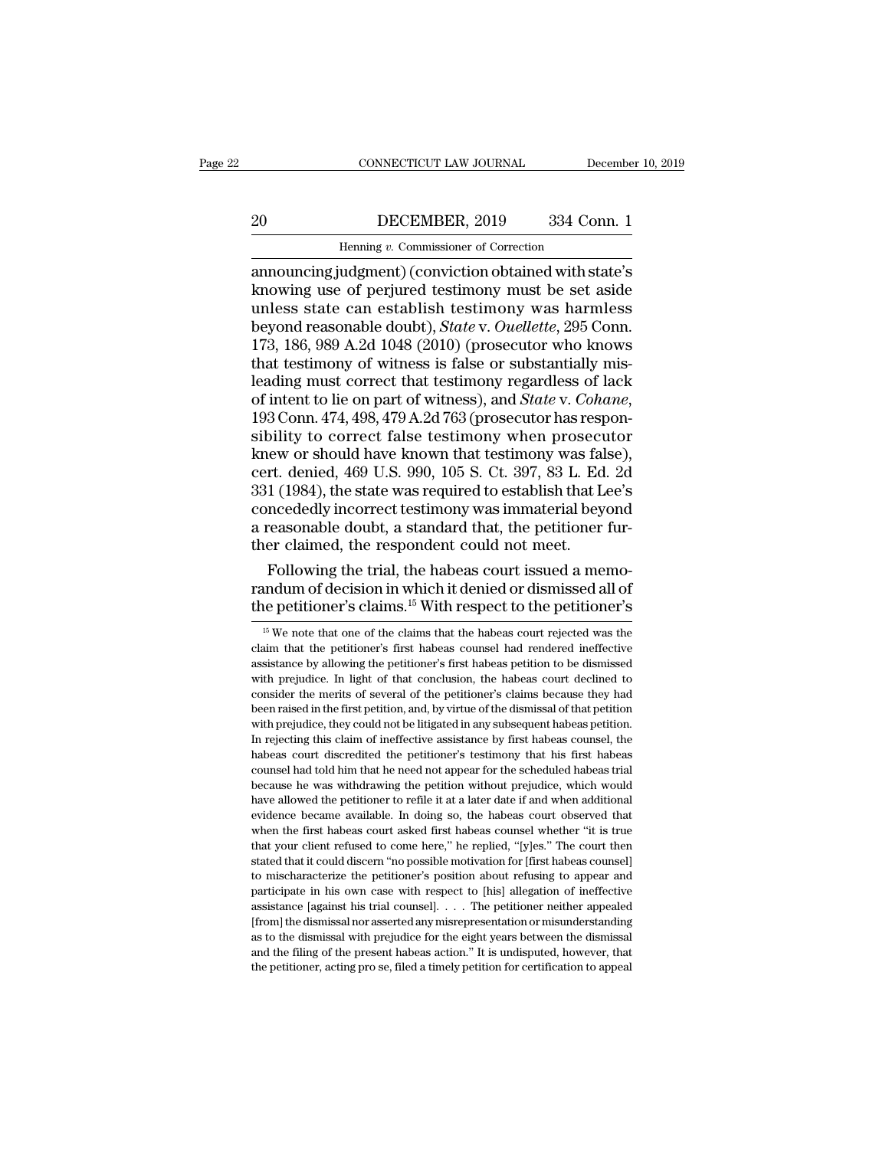### CONNECTICUT LAW JOURNAL December 10, 2019<br>20 DECEMBER, 2019 334 Conn. 1<br>Henning v. Commissioner of Correction EXECTICUT LAW JOURNAL Deferences the CONNECTICUT LAW JOURNAL Deferences the Correction of Correction and Connection of Correction and Connection of Correction and Connection of the State of Correction of the State of Corre

CONNECTICUT LAW JOURNAL December 10, 2019<br>
20 DECEMBER, 2019 334 Conn. 1<br>
Henning v. Commissioner of Correction<br>
20 DECEMBER, 2019 334 Conn. 1<br>
20 Henning v. Commissioner of Correction<br>
21 Announcing judgment) (conviction EDECEMBER, 2019 334 Conn. 1<br>
Henning v. Commissioner of Correction<br>
announcing judgment) (conviction obtained with state's<br>
knowing use of perjured testimony must be set aside<br>
unless state can establish testimony was harm DECEMBER, 2019 334 Conn. 1<br>
Henning v. Commissioner of Correction<br>
announcing judgment) (conviction obtained with state's<br>
knowing use of perjured testimony must be set aside<br>
unless state can establish testimony was harml <u>BeceMBER, 2019</u> 334 Conn. 1<br>
Henning *v*. Commissioner of Correction<br>
announcing judgment) (conviction obtained with state's<br>
knowing use of perjured testimony must be set aside<br>
unless state can establish testimony was h Henning v. Commissioner of Correction<br>
announcing judgment) (conviction obtained with state's<br>
knowing use of perjured testimony must be set aside<br>
unless state can establish testimony was harmless<br>
beyond reasonable doub Henning v. Commissioner of Correction<br>announcing judgment) (conviction obtained with state's<br>knowing use of perjured testimony must be set aside<br>unless state can establish testimony was harmless<br>beyond reasonable doubt), announcing judgment) (conviction obtained with state's<br>knowing use of perjured testimony must be set aside<br>unless state can establish testimony was harmless<br>beyond reasonable doubt), *State* v. *Ouellette*, 295 Conn.<br>173, knowing use of perjured testimony must be set aside<br>unless state can establish testimony was harmless<br>beyond reasonable doubt), *State* v. *Ouellette*, 295 Conn.<br>173, 186, 989 A.2d 1048 (2010) (prosecutor who knows<br>that te beyond reasonable doubt), *State* v. *Ouellette*, 295 Conn.<br>173, 186, 989 A.2d 1048 (2010) (prosecutor who knows<br>that testimony of witness is false or substantially mis-<br>leading must correct that testimony regardless of la 173, 186, 989 A.2d 1048 (2010) (prosecutor who knows<br>that testimony of witness is false or substantially mis-<br>leading must correct that testimony regardless of lack<br>of intent to lie on part of witness), and *State* v. *Co* that testimony of witness is false or substantially mis-<br>leading must correct that testimony regardless of lack<br>of intent to lie on part of witness), and *State* v. *Cohane*,<br>193 Conn. 474, 498, 479 A.2d 763 (prosecutor ha leading must correct that testimony regardless of lack<br>of intent to lie on part of witness), and *State* v. *Cohane*,<br>193 Conn. 474, 498, 479 A.2d 763 (prosecutor has respon-<br>sibility to correct false testimony when prosec of intent to lie on part of witness), and *State* v. *Cohane*,<br>193 Conn. 474, 498, 479 A.2d 763 (prosecutor has respon-<br>sibility to correct false testimony when prosecutor<br>knew or should have known that testimony was false 193 Conn. 474, 498, 479 A.2d 763 (prosecutor has responsibility to correct false testimony when prosecutor knew or should have known that testimony was false), cert. denied, 469 U.S. 990, 105 S. Ct. 397, 83 L. Ed. 2d 331 sibility to correct false testimony when prosecular<br>knew or should have known that testimony was fall<br>cert. denied, 469 U.S. 990, 105 S. Ct. 397, 83 L. Ed<br>331 (1984), the state was required to establish that L<br>concededly i iew or should have known that testimony was false),<br>rt. denied, 469 U.S. 990, 105 S. Ct. 397, 83 L. Ed. 2d<br>1 (1984), the state was required to establish that Lee's<br>ncededly incorrect testimony was immaterial beyond<br>reasona cert. denied, 469 U.S. 990, 105 S. Ct. 397, 83 L. Ed. 2d<br>331 (1984), the state was required to establish that Lee's<br>concededly incorrect testimony was immaterial beyond<br>a reasonable doubt, a standard that, the petitioner f 331 (1984), the state was required to establish that Lee's concededly incorrect testimony was immaterial beyond a reasonable doubt, a standard that, the petitioner further claimed, the respondent could not meet.<br>Following

Following the trial, the habeas court issued a memo-<br>
indum of decision in which it denied or dismissed all of<br>
ie petitioner's claims.<sup>15</sup> With respect to the petitioner's<br>
<sup>15</sup> We note that one of the claims that the ha Following the trial, the habeas court issued a memo-<br>randum of decision in which it denied or dismissed all of<br>the petitioner's claims.<sup>15</sup> With respect to the petitioner's<br><sup>15</sup> We note that one of the claims that the hab

randum of decision in which it denied or dismissed all of the petitioner's claims.<sup>15</sup> With respect to the petitioner's  $\frac{15 \text{ We}}{15 \text{ We}}$  note that one of the claims that the habeas court rejected was the claim that The petitioner's claims.<sup>15</sup> With respect to the petitioner's  $\frac{15}{15}$  We note that one of the claims that the habeas court rejected was the claim that the petitioner's first habeas coursel had rendered ineffective ass The petitioner's claims. With respect to the petitioner's<br>
<sup>15</sup> We note that one of the claims that the habeas court rejected was the<br>
claim that the petitioner's first habeas counsel had rendered ineffective<br>
assistance <sup>15</sup> We note that one of the claims that the habeas court rejected was the claim that the petitioner's first habeas counsel had rendered ineffective assistance by allowing the petitioner's first habeas petition to be dism claim that the petitioner's first habeas counsel had rendered ineffective assistance by allowing the petitioner's first habeas petition to be dismissed with prejudice. In light of that conclusion, the habeas court declined assistance by allowing the petitioner's first habeas petition to be dismissed with prejudice. In light of that conclusion, the habeas court declined to consider the merits of several of the petitioner's claims because they with prejudice. In light of that conclusion, the habeas court declined to consider the merits of several of the petitioner's claims because they had been raised in the first petition, and, by virtue of the dismissal of tha man per the merits of several of the petitioner's claims because they had been raised in the first petition, and, by virtue of the dismissal of that petition with prejudice, they could not be litigated in any subsequent ha been raised in the first petition, and, by virtue of the dismissal of that petition with prejudice, they could not be litigated in any subsequent habeas petition. In rejecting this claim of ineffective assistance by first with prejudice, they could not be litigated in any subsequent habeas petition.<br>In rejecting this claim of ineffective assistance by first habeas counsel, the habeas court discredited the petitioner's testimony that his fir marpeging this claim of ineffective assistance by first habeas counsel, the habeas court discredited the petitioner's testimony that his first habeas counsel had told him that he need not appear for the scheduled habeas tr In regional material the petitioner's testimony that his first habeas counsel had told him that he need not appear for the scheduled habeas trial because he was withdrawing the petition without prejudice, which would have that your client refused to come here, '' he replied, ''[y]es.'' The counsel had told him that he need not appear for the scheduled habeas trial because he was withdrawing the petition without prejudice, which would have a because he was withdrawing the petition without prejudice, which would have allowed the petitioner to refile it at a later date if and when additional evidence became available. In doing so, the habeas court observed that have allowed the petitioner to refile it at a later date if and when additional evidence became available. In doing so, the habeas court observed that when the first habeas court asked first habeas counsel whether "it is t evidence became available. In doing so, the habeas court observed that when the first habeas court asked first habeas counsel whether "it is true that your client refused to come here," he replied, "[y]es." The court then when the first habeas court asked first habeas counsel whether "it is true<br>that your client refused to come here," he replied, "[y]es." The court then<br>stated that it could discern "no possible motivation for [first habeas "The dismissal of the dismissal with prejudice for the eight years of the dismissal normal that your client refused to come here," he replied, "[y]es." The court then stated that it could discern "no possible motivation fo that your client refused to come here," he replied, "[y]es." The court then stated that it could discern "no possible motivation for [first habeas counsel] to mischaracterize the petitioner's position about refusing to ap to mischaracterize the petitioner's position about refusing to appear and participate in his own case with respect to [his] allegation of ineffective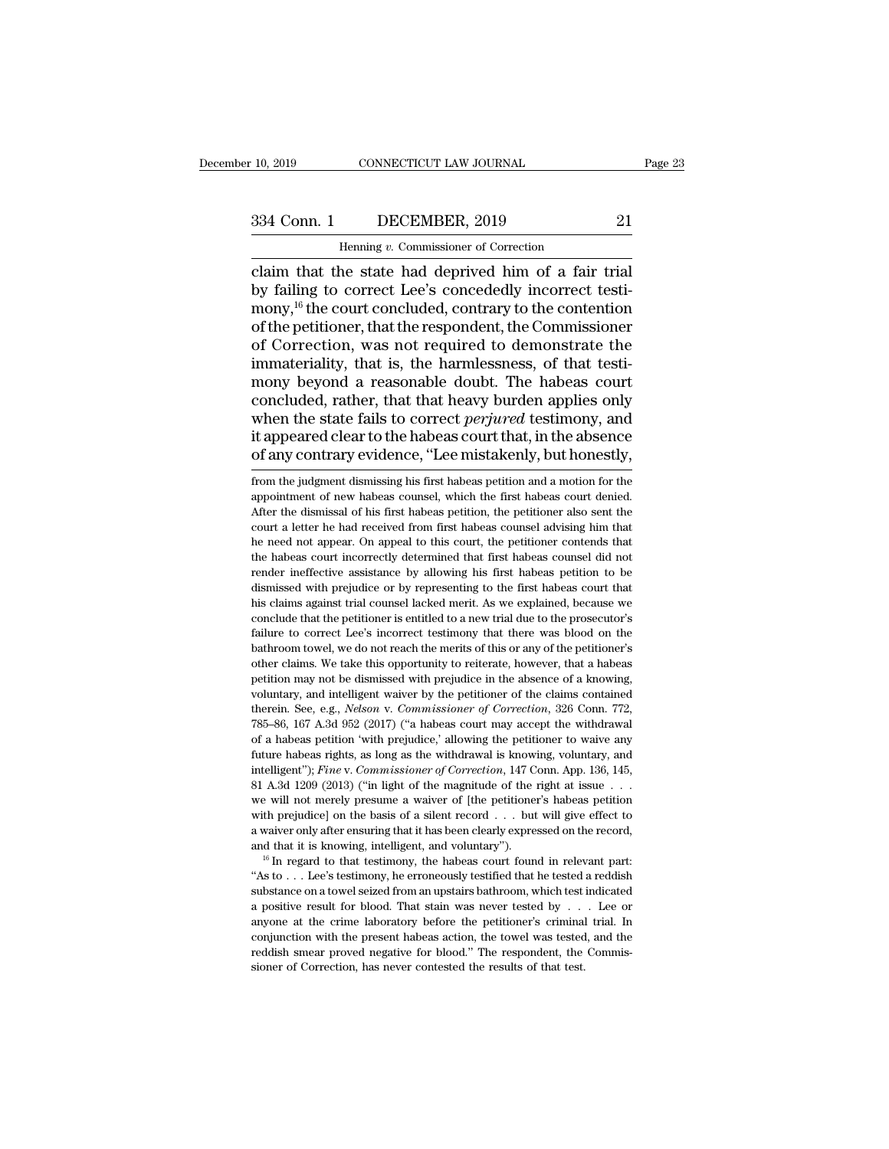CONNECTICUT LAW JOURNAL<br>DECEMBER, 2019<br>Henning *v.* Commissioner of Correction<br>he state had denrived him of a fair claim that the state had deprived him of a fair trial  $\begin{array}{ccc}\n 334 \text{ Conn.} & \text{DECEMBER, 2019} & \text{21} \\
 \hline\n \text{Henning } v. \text{ Commissioner of Correction} \\
 \text{claim that the state had deprived him of a fair trial by failing to correct Lee's concedely incorrect testi-  
\nmany,<sup>16</sup> the court concluded, contrary to the contention of the notificationer that the resonandent the Commissioner\n$ 334 Conn. 1 DECEMBER, 2019 21<br>
Henning v. Commissioner of Correction<br>
claim that the state had deprived him of a fair trial<br>
by failing to correct Lee's concededly incorrect testi-<br>
mony,<sup>16</sup> the court concluded, contrary 334 Conn. 1 DECEMBER, 2019 21<br>
Henning v. Commissioner of Correction<br>
claim that the state had deprived him of a fair trial<br>
by failing to correct Lee's concededly incorrect testi-<br>
mony,<sup>16</sup> the court concluded, contrary Framing v. Commissioner of Correction<br>
claim that the state had deprived him of a fair trial<br>
by failing to correct Lee's concededly incorrect testi-<br>
mony,<sup>16</sup> the court concluded, contrary to the contention<br>
of the peti Henning  $v$ . Commissioner of Correction<br>claim that the state had deprived him of a fair trial<br>by failing to correct Lee's concededly incorrect testi-<br>mony,<sup>16</sup> the court concluded, contrary to the contention<br>of the petiti claim that the state had deprived him of a fair trial<br>by failing to correct Lee's concededly incorrect testi-<br>mony,<sup>16</sup> the court concluded, contrary to the contention<br>of the petitioner, that the respondent, the Commission by failing to correct Lee's concededly incorrect testi-<br>mony,<sup>16</sup> the court concluded, contrary to the contention<br>of the petitioner, that the respondent, the Commissioner<br>of Correction, was not required to demonstrate the<br> mony,<sup>16</sup> the court concluded, contrary to the contention<br>of the petitioner, that the respondent, the Commissioner<br>of Correction, was not required to demonstrate the<br>immateriality, that is, the harmlessness, of that testiof the petitioner, that the respondent, the Commissioner<br>of Correction, was not required to demonstrate the<br>immateriality, that is, the harmlessness, of that testi-<br>mony beyond a reasonable doubt. The habeas court<br>conclude of Correction, was not required to demonstrate the<br>immateriality, that is, the harmlessness, of that testi-<br>mony beyond a reasonable doubt. The habeas court<br>concluded, rather, that that heavy burden applies only<br>when the s concluded, rather, that that heavy burden applies only<br>when the state fails to correct *perjured* testimony, and<br>it appeared clear to the habeas court that, in the absence<br>of any contrary evidence, "Lee mistakenly, but hon when the state fails to correct *perjured* testimony, and<br>it appeared clear to the habeas court that, in the absence<br>of any contrary evidence, "Lee mistakenly, but honestly,<br>from the judgment dismissing his first habeas pe

it appeared clear to the habeas court that, in the absence<br>of any contrary evidence, "Lee mistakenly, but honestly,<br>from the judgment dismissing his first habeas petition and a motion for the<br>appointment of new habeas coun of any contrary evidence, "Lee mistakenly, but honestly,<br>from the judgment dismissing his first habeas petition and a motion for the<br>appointment of new habeas counsel, which the first habeas count denied.<br>After the dismiss or any contrary evidence, Lee mistakenty, but nonestly,<br>from the judgment dismissing his first habeas petition and a motion for the<br>appointment of new habeas counsel, which the first habeas court denied.<br>After the dismissa from the judgment dismissing his first habeas petition and a motion for the appointment of new habeas counsel, which the first habeas court denied.<br>After the dismissal of his first habeas petition, the petitioner also sent render ineffective assistance by allowing the first habeas courderied.<br>After the dismissal of his first habeas petition, the petitioner also sent the court a letter he had received from first habeas counsel advising him th experience in dismissal of his first habeas petition, the petitioner also sent the court a letter he had received from first habeas counsel advising him that he need not appear. On appeal to this court, the petitioner cont From the court a letter he had received from first habeas counsel advising him that he need not appear. On appeal to this court, the petitioner contends that the habeas count incorrectly determined that first habeas counse be need not appear. On appeal to this court, the petitioner contends that the habeas court incorrectly determined that first habeas counsel did not render ineffective assistance by allowing his first habeas petition to be failure to correctly determined that first habeas counsel did not<br>the habeas court incorrectly determined that first habeas counsel did not<br>render ineffective assistance by allowing his first habeas petition to be<br>dismisse render ineffective assistance by allowing his first habeas petition to be dismissed with prejudice or by representing to the first habeas court that his claims against trial counsel lacked merit. As we explained, because w dismissed with prejudice or by representing to the first habeas court that his claims against trial counsel lacked merit. As we explained, because we conclude that the petitioner is entitled to a new trial due to the prose his claims against trial counsel lacked merit. As we explained, because we conclude that the petitioner is entitled to a new trial due to the prosecutor's failure to correct Lee's incorrect testimony that there was blood o conclude that the petitioner is entitled to a new trial due to the prosecutor's failure to correct Lee's incorrect testimony that there was blood on the bathroom towel, we do not reach the merits of this or any of the pet failure to correct Lee's incorrect testimony that there was blood on the bathroom towel, we do not reach the merits of this or any of the petitioner's other claims. We take this opportunity to reiterate, however, that a ha bathroom towel, we do not reach the merits of this or any of the petitioner's other claims. We take this opportunity to reiterate, however, that a habeas petition may not be dismissed with prejudice in the absence of a kno other claims. We take this opportunity to reiterate, however, that a habeas petition may not be dismissed with prejudice in the absence of a knowing, voluntary, and intelligent waiver by the petitioner of the claims contai petition may not be dismissed with prejudice in the absence of a knowing, voluntary, and intelligent waiver by the petitioner of the claims contained therein. See, e.g., *Nelson v. Commissioner of Correction*, 326 Conn. 7 intelligent''); *Fine* v. *Commissioner* of the claims contained therein. See, e.g., *Nelson* v. *Commissioner* of *Correction*, 326 Conn. 772, 785–86, 167 A.3d 952 (2017) ("a habeas court may accept the withdrawal of a ha therein. See, e.g., *Nelson* v. *Commissioner of Correction*, 326 Conn. 772, 185–86, 167 A.3d 952 (2017) ("a habeas court may accept the withdrawal of a habeas petition 'with prejudice,' allowing the petitioner to waive a 785–86, 167 A.3d 952 (2017) ("a habeas court may accept the withdrawal of a habeas petition 'with prejudice,' allowing the petitioner to waive any future habeas rights, as long as the withdrawal is knowing, voluntary, and of a habeas petition 'with prejudice,' allowing the petitioner to waive any future habeas rights, as long as the withdrawal is knowing, voluntary, and intelligent"); *Fine v. Commissioner of Correction*, 147 Conn. App. 13 Future habeas rights, as long as the withdrawal is knowing, voluntary, and intelligent"); *Fine v. Commissioner of Correction*, 147 Conn. App. 136, 145, 81 A.3d 1209 (2013) ("in light of the magnitude of the right at issu intelligent"); *Fine v. Commissioner of Correction*, 147 Conn. App. 136, 145, 81 A.3d 1209 (2013) ("in light of the magnitude of the right at issue . . . we will not merely presume a waiver of [the petitioner's habeas pet we will not merely presume a waiver of [the petitioner's habeas petition<br>with prejudice] on the basis of a silent record . . . but will give effect to<br>a waiver only after ensuring that it has been clearly expressed on the

with prejudice] on the basis of a silent record . . . but will give effect to a waiver only after ensuring that it has been clearly expressed on the record, and that it is knowing, intelligent, and voluntary").<br>
<sup>16</sup> In r a positive result for blood. That stain was never tested by . . . Lee or anyone at the crime laboratory before the performance of a positive result for blood. That stain was never tested by . . . Lee or anyone at the crim and that it is knowing, intelligent, and voluntary").<br>
<sup>16</sup> In regard to that testimony, the habeas court found in relevant part:<br>
"As to . . . Lee's testimony, he erroneously testified that he tested a reddish<br>
substance <sup>cond</sup> in regard to that testimony, the habeas court found in relevant part:<br>"<sup>16</sup> In regard to that testimony, he erroneously testified that he tested a reddish<br>substance on a towel seized from an upstairs bathroom, whic "As to  $\ldots$  Lee's testimony, he erroneously testified that he tested a reddish substance on a towel seized from an upstairs bathroom, which test indicated a positive result for blood. That stain was never tested by  $\ldots$ substance on a towel seized from an upstairs bathroom, which test indicated a positive result for blood. That stain was never tested by  $\ldots$  Lee or anyone at the crime laboratory before the petitioner's criminal trial. I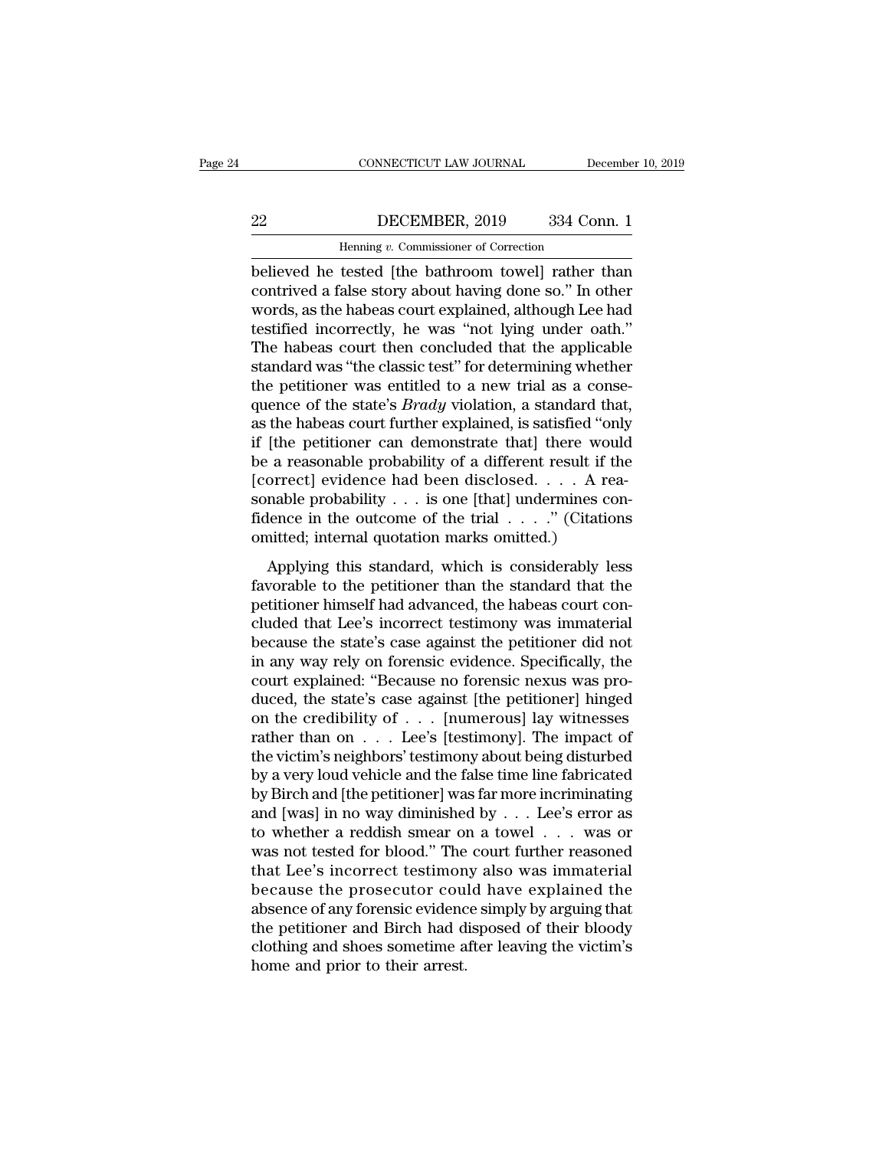### CONNECTICUT LAW JOURNAL December 10, 2019<br>22 DECEMBER, 2019 334 Conn. 1<br>Henning v. Commissioner of Correction CONNECTICUT LAW JOURNAL Deferences the DECEMBER, 2019 and 334 Correction<br>Henning *v.* Commissioner of Correction<br>tested [the bathroom towel] rather

CONNECTICUT LAW JOURNAL December 10, 2019<br>
22 DECEMBER, 2019 334 Conn. 1<br>
Henning v. Commissioner of Correction<br>
believed he tested [the bathroom towel] rather than<br>
contrived a false story about having done so." In other<br> DECEMBER, 2019 334 Conn. 1<br>
Henning v. Commissioner of Correction<br>
believed he tested [the bathroom towel] rather than<br>
contrived a false story about having done so.'' In other<br>
words, as the habeas court explained, althou DECEMBER, 2019 334 Conn. 1<br>
Henning v. Commissioner of Correction<br>
believed he tested [the bathroom towel] rather than<br>
contrived a false story about having done so." In other<br>
words, as the habeas court explained, althou  $\begin{tabular}{ c c c c} \multicolumn{1}{c}{{\bf DECEMBER, 2019}} & {\bf 334 Conn.1} \end{tabular} \vspace{5pt} \begin{tabular}{ c c c c} \multicolumn{1}{c}{{\bf Henning $v$. Commissioner of Correction} \end{tabular} \vspace{5pt} \begin{tabular}{c} \multicolumn{1}{c}{{\bf Heinning $v$. Commissioner of Correction} \end{tabular} \end{tabular} \vspace{5pt} \begin{tabular}{c} {\bf Let {\bf A} is the pathroom to well} \end{tabular} \vspace{5pt} \begin{tabular}{c} {\bf Let {\bf A} is the pathed from the image.} \end{tabular} \v$ Henning v. Commissioner of Correction<br>
believed he tested [the bathroom towel] rather than<br>
contrived a false story about having done so." In other<br>
words, as the habeas court explained, although Lee had<br>
testified incorre Henning *v*. Commissioner of Correction<br>believed he tested [the bathroom towel] rather than<br>contrived a false story about having done so." In other<br>words, as the habeas court explained, although Lee had<br>testified incorrect believed he tested [the bathroom towel] rather than contrived a false story about having done so." In other words, as the habeas court explained, although Lee had testified incorrectly, he was "not lying under oath." The h contrived a false story about having done so." In other words, as the habeas court explained, although Lee had testified incorrectly, he was "not lying under oath." The habeas court then concluded that the applicable stand words, as the habeas court explained, although Lee had<br>testified incorrectly, he was "not lying under oath."<br>The habeas court then concluded that the applicable<br>standard was "the classic test" for determining whether<br>the p testified incorrectly, he was "not lying under oath."<br>The habeas court then concluded that the applicable<br>standard was "the classic test" for determining whether<br>the petitioner was entitled to a new trial as a conse-<br>quen The habeas court then concluded that the applicable<br>standard was "the classic test" for determining whether<br>the petitioner was entitled to a new trial as a conse-<br>quence of the state's *Brady* violation, a standard that,<br> standard was "the classic test" for determining whether<br>the petitioner was entitled to a new trial as a conse<br>quence of the state's *Brady* violation, a standard that<br>as the habeas court further explained, is satisfied "o the petitioner was entitled to a new trial as a consequence of the state's *Brady* violation, a standard that, as the habeas court further explained, is satisfied "only if [the petitioner can demonstrate that] there would quence of the state's *Brady* violation, a standard that, as the habeas court further explained, is satisfied "only if [the petitioner can demonstrate that] there would be a reasonable probability of a different result if as the habeas court further explained, is satisfied "or<br>if [the petitioner can demonstrate that] there wou<br>be a reasonable probability of a different result if  $[correct]$  evidence had been disclosed.  $\ldots$  A re<br>sonable probabi Applying this standard, which is considerably less<br>variable probability of a different result if the<br>orrect] evidence had been disclosed.  $\ldots$  A rea-<br>nable probability  $\ldots$  is one [that] undermines con-<br>lence in the out for a reasonable probability of a different result if the fearborable probability . . . is one [that] undermines confidence in the outcome of the trial  $\ldots$ ." (Citations omitted; internal quotation marks omitted.)<br>Applyi

petitioner performation and seen disclosed.  $\ldots$  in Fig. sonable probability  $\ldots$  is one [that] undermines con-<br>fidence in the outcome of the trial  $\ldots$ ." (Citations<br>omitted; internal quotation marks omitted.)<br>Applying fidence in the outcome of the trial  $\ldots$ ." (Citations<br>omitted; internal quotation marks omitted.)<br>Applying this standard, which is considerably less<br>favorable to the petitioner than the standard that the<br>petitioner himse because the state of the state is considerably less<br>favorable to the petitioner than the standard that the<br>petitioner himself had advanced, the habeas court con-<br>cluded that Lee's incorrect testimony was immaterial<br>becaus Applying this standard, which is considerably less<br>favorable to the petitioner than the standard that the<br>petitioner himself had advanced, the habeas court con-<br>cluded that Lee's incorrect testimony was immaterial<br>because Applying this standard, which is considerably less<br>favorable to the petitioner than the standard that the<br>petitioner himself had advanced, the habeas court con-<br>cluded that Lee's incorrect testimony was immaterial<br>because favorable to the petitioner than the standard that the petitioner himself had advanced, the habeas court concluded that Lee's incorrect testimony was immaterial because the state's case against the petitioner did not in a petitioner himself had advanced, the habeas court concluded that Lee's incorrect testimony was immaterial<br>because the state's case against the petitioner did not<br>in any way rely on forensic evidence. Specifically, the<br>cour cluded that Lee's incorrect testimony was immaterial<br>because the state's case against the petitioner did not<br>in any way rely on forensic evidence. Specifically, the<br>court explained: "Because no forensic nexus was pro-<br>duce because the state's case against the petitioner did not<br>in any way rely on forensic evidence. Specifically, the<br>court explained: "Because no forensic nexus was pro-<br>duced, the state's case against [the petitioner] hinged<br> in any way rely on forensic evidence. Specifically, the<br>court explained: "Because no forensic nexus was pro-<br>duced, the state's case against [the petitioner] hinged<br>on the credibility of  $\ldots$  [numerous] lay witnesses<br>rat court explained: "Because no forensic nexus was produced, the state's case against [the petitioner] hinged<br>on the credibility of . . . [numerous] lay witnesses<br>rather than on . . . Lee's [testimony]. The impact of<br>the vic duced, the state's case against [the petitioner] hinged<br>on the credibility of . . . [numerous] lay witnesses<br>rather than on . . . Lee's [testimony]. The impact of<br>the victim's neighbors' testimony about being disturbed<br>by on the credibility of . . . [numerous] lay witnesses<br>rather than on . . . Lee's [testimony]. The impact of<br>the victim's neighbors' testimony about being disturbed<br>by a very loud vehicle and the false time line fabricated<br> rather than on  $\ldots$  Lee's [testimony]. The impact of<br>the victim's neighbors' testimony about being disturbed<br>by a very loud vehicle and the false time line fabricated<br>by Birch and [the petitioner] was far more incriminat the victim's neighbors' testimony about being disturbed<br>by a very loud vehicle and the false time line fabricated<br>by Birch and [the petitioner] was far more incriminating<br>and [was] in no way diminished by  $\dots$  Lee's error by a very loud vehicle and the false time line fabricated<br>by Birch and [the petitioner] was far more incriminating<br>and [was] in no way diminished by  $\ldots$  Lee's error as<br>to whether a reddish smear on a towel  $\ldots$  was or<br> by Birch and [the petitioner] was far more incriminating<br>and [was] in no way diminished by  $\ldots$  Lee's error as<br>to whether a reddish smear on a towel  $\ldots$  was or<br>was not tested for blood." The court further reasoned<br>that and [was] in no way diminished by . . . Lee's error as<br>to whether a reddish smear on a towel . . . was or<br>was not tested for blood." The court further reasoned<br>that Lee's incorrect testimony also was immaterial<br>because th to whether a reddish smear on a towel . . . was or<br>was not tested for blood." The court further reasoned<br>that Lee's incorrect testimony also was immaterial<br>because the prosecutor could have explained the<br>absence of any for was not tested for blood." The<br>that Lee's incorrect testimon<br>because the prosecutor coul<br>absence of any forensic evidenc<br>the petitioner and Birch had d<br>clothing and shoes sometime a<br>home and prior to their arrest.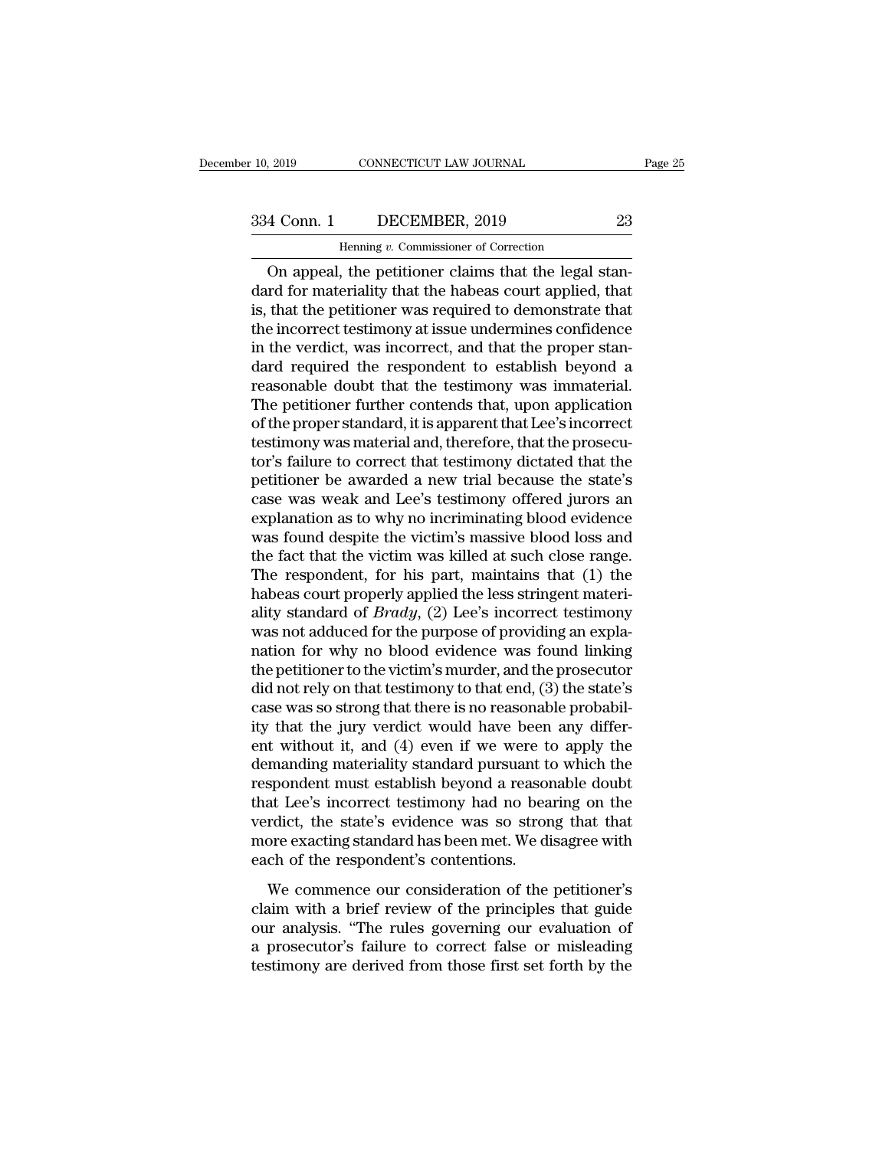CONNECTICUT LAW JOURNAL<br>DECEMBER, 2019<br>Henning *v.* Commissioner of Correction<br>the petitioner claims that the legal s ONNECTICUT LAW JOURNAL<br>
4 Conn. 1 DECEMBER, 2019 23<br>
Henning v. Commissioner of Correction<br>
On appeal, the petitioner claims that the legal stan-<br>
That for materiality that the habeas court applied, that<br>
that the position  $\begin{array}{r} \text{334 Conn.} \text{1} \quad \text{DECEMBER, 2019} \quad \text{23} \ \text{Henning } v. \text{ Commissioner of Correction} \ \hline \text{On appeal, the pertinent that the legal standard for materiality that the habeas court applied, that is, that the pertinent was required to demonstrate that the incorrect totimony at issue undermines confidence.} \end{array}$  $\frac{334 \text{ Conn. } 1}{\text{Hening } v. \text{ Commissioner of Correction}}$ <br>On appeal, the petitioner claims that the legal standard for materiality that the habeas court applied, that is, that the petitioner was required to demonstrate that the incorrect testimo 334 Conn. 1 DECEMBER, 2019 23<br>
Henning v. Commissioner of Correction<br>
On appeal, the petitioner claims that the legal stan-<br>
dard for materiality that the habeas court applied, that<br>
is, that the petitioner was required t Franch Commissioner of Correction<br>
On appeal, the petitioner claims that the legal stan-<br>
dard for materiality that the habeas court applied, that<br>
is, that the petitioner was required to demonstrate that<br>
the incorrect te Henning v. Commissioner of Correction<br>
On appeal, the petitioner claims that the legal stan-<br>
dard for materiality that the habeas court applied, that<br>
is, that the petitioner was required to demonstrate that<br>
the incorrec On appeal, the petitioner claims that the legal standard for materiality that the habeas court applied, that<br>is, that the petitioner was required to demonstrate that<br>the incorrect testimony at issue undermines confidence<br>i dard for materiality that the habeas court applied, that<br>is, that the petitioner was required to demonstrate that<br>the incorrect testimony at issue undermines confidence<br>in the verdict, was incorrect, and that the proper st is, that the petitioner was required to demonstrate that<br>the incorrect testimony at issue undermines confidence<br>in the verdict, was incorrect, and that the proper stan-<br>dard required the respondent to establish beyond a<br>re the incorrect testimony at issue undermines confidence<br>in the verdict, was incorrect, and that the proper stan-<br>dard required the respondent to establish beyond a<br>reasonable doubt that the testimony was immaterial.<br>The pet in the verdict, was incorrect, and that the proper standard required the respondent to establish beyond a reasonable doubt that the testimony was immaterial.<br>The petitioner further contends that, upon application of the pr dard required the respondent to establish beyond a<br>reasonable doubt that the testimony was immaterial.<br>The petitioner further contends that, upon application<br>of the proper standard, it is apparent that Lee's incorrect<br>test reasonable doubt that the testimony was immaterial.<br>The petitioner further contends that, upon application<br>of the proper standard, it is apparent that Lee's incorrect<br>testimony was material and, therefore, that the prosecu The petitioner further contends that, upon application<br>of the proper standard, it is apparent that Lee's incorrect<br>testimony was material and, therefore, that the prosecu-<br>tor's failure to correct that testimony dictated t of the proper standard, it is apparent that Lee's incorrect<br>testimony was material and, therefore, that the prosecu-<br>tor's failure to correct that testimony dictated that the<br>petitioner be awarded a new trial because the s testimony was material and, therefore, that the prosecutor's failure to correct that testimony dictated that the petitioner be awarded a new trial because the state's case was weak and Lee's testimony offered jurors an exp tor's failure to correct that testimony dictated that the<br>petitioner be awarded a new trial because the state's<br>case was weak and Lee's testimony offered jurors an<br>explanation as to why no incriminating blood evidence<br>was petitioner be awarded a new trial because the state's<br>case was weak and Lee's testimony offered jurors an<br>explanation as to why no incriminating blood evidence<br>was found despite the victim's massive blood loss and<br>the fact case was weak and Lee's testimony offered jurors an explanation as to why no incriminating blood evidence was found despite the victim's massive blood loss and the fact that the victim was killed at such close range. The r explanation as to why no incriminating blood evidence<br>was found despite the victim's massive blood loss and<br>the fact that the victim was killed at such close range.<br>The respondent, for his part, maintains that (1) the<br>habe was found despite the victim's massive blood loss and<br>the fact that the victim was killed at such close range.<br>The respondent, for his part, maintains that  $(1)$  the<br>habeas court properly applied the less stringent materi the fact that the victim was killed at such close range.<br>The respondent, for his part, maintains that (1) the<br>habeas court properly applied the less stringent materi-<br>ality standard of *Brady*, (2) Lee's incorrect testimon The respondent, for his part, maintains that  $(1)$  the<br>habeas court properly applied the less stringent materi-<br>ality standard of *Brady*,  $(2)$  Lee's incorrect testimony<br>was not adduced for the purpose of providing an ex habeas court properly applied the less stringent materiality standard of *Brady*, (2) Lee's incorrect testimony was not adduced for the purpose of providing an explanation for why no blood evidence was found linking the p ality standard of *Brady*,  $(2)$  Lee's incorrect testimony<br>was not adduced for the purpose of providing an expla-<br>nation for why no blood evidence was found linking<br>the petitioner to the victim's murder, and the prosecuto was not adduced for the purpose of providing an explanation for why no blood evidence was found linking<br>the petitioner to the victim's murder, and the prosecutor<br>did not rely on that testimony to that end, (3) the state's<br> nation for why no blood evidence was found linking<br>the petitioner to the victim's murder, and the prosecutor<br>did not rely on that testimony to that end, (3) the state's<br>case was so strong that there is no reasonable probab the petitioner to the victim's murder, and the prosecutor<br>did not rely on that testimony to that end, (3) the state's<br>case was so strong that there is no reasonable probabil-<br>ity that the jury verdict would have been any d did not rely on that testimony to that end, (3) the state's<br>case was so strong that there is no reasonable probabil-<br>ity that the jury verdict would have been any differ-<br>ent without it, and (4) even if we were to apply th case was so strong that there is no reasonable probabil-<br>ity that the jury verdict would have been any differ-<br>ent without it, and (4) even if we were to apply the<br>demanding materiality standard pursuant to which the<br>respo ity that the jury verdict would have been any different without it, and (4) even if we were to apply the demanding materiality standard pursuant to which the respondent must establish beyond a reasonable doubt that Lee's i ent without it, and (4) even if we were to<br>demanding materiality standard pursuant to<br>respondent must establish beyond a reasor<br>that Lee's incorrect testimony had no bea<br>verdict, the state's evidence was so stron<br>more exac maniang mascriancy standard pursuant to which the<br>spondent must establish beyond a reasonable doubt<br>at Lee's incorrect testimony had no bearing on the<br>rdict, the state's evidence was so strong that that<br>ore exacting standa claim must establish beyond a reasonable doubt<br>that Lee's incorrect testimony had no bearing on the<br>verdict, the state's evidence was so strong that that<br>more exacting standard has been met. We disagree with<br>each of the re

our and the state's evidence was so strong that that<br>werdict, the state's evidence was so strong that that<br>more exacting standard has been met. We disagree with<br>each of the respondent's contentions.<br>We commence our conside France, the states criticate was set states, and thus<br>more exacting standard has been met. We disagree with<br>each of the respondent's contentions.<br>We commence our consideration of the petitioner's<br>claim with a brief review the charactering standard a rate set from the datagree from each of the respondent's contentions.<br>We commence our consideration of the petitioner's<br>claim with a brief review of the principles that guide<br>our analysis. "The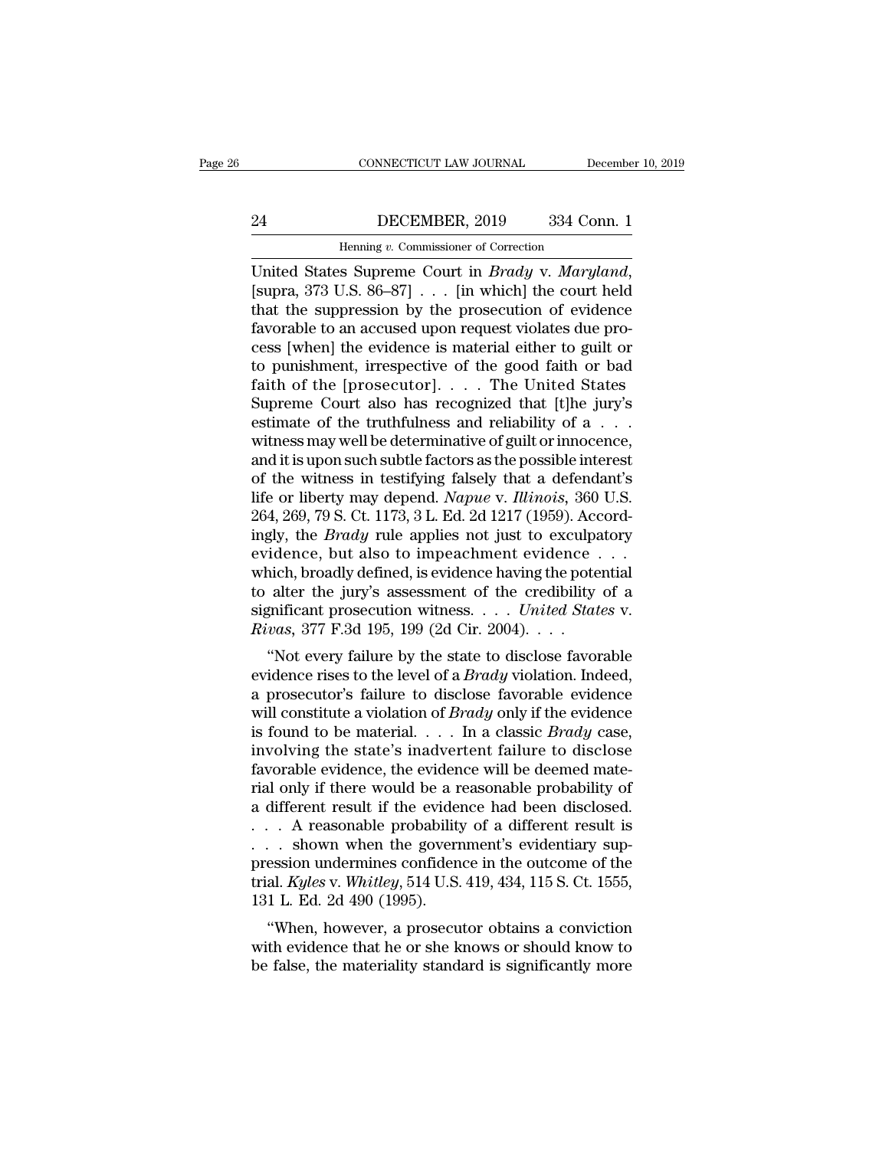### CONNECTICUT LAW JOURNAL December 10, 2019<br>24 DECEMBER, 2019 334 Conn. 1<br>Henning v. Commissioner of Correction EXECTICUT LAW JOURNAL Deferences the DECEMBER, 2019 and S34 Correction<br>Henning *v.* Commissioner of Correction<br>Sa Suppreme Court in *Bradav v. Marul*

UNITED CONNECTICUT LAW JOURNAL December 10, 2019<br>
24 DECEMBER, 2019 334 Conn. 1<br>
1 Henning v. Commissioner of Correction<br>
United States Supreme Court in *Brady* v. *Maryland*, [supra, 373 U.S. 86–87] . . . [in which] the c  $\begin{tabular}{ c c c c} \multicolumn{1}{c|}{\textbf{BECEMBER, 2019}} & \multicolumn{1}{c|}{334}\text{ Conn.} \end{tabular} \vspace{5pt} \begin{tabular}{ c c c} \multicolumn{1}{c|}{\textbf{Henning }v.\text{ Commissioner of Correction}} \\ \hline \multicolumn{1}{c}{\textbf{United States Supreme Court in } Brady~v.\text{ Maryland,} } \\ \textbf{[supra, 373 U.S. 86–87]} & . . . [in which] the court held that the suppression by the prosecution of evidence } \\ \textbf{favorable to an accused upon request violates due process [when] the evidence is material either to quit or.} \end{tabular} \$ 24 DECEMBER, 2019 334 Conn. 1<br>
Henning v. Commissioner of Correction<br>
United States Supreme Court in *Brady* v. *Maryland*,<br>
[supra, 373 U.S. 86–87] . . . [in which] the court held<br>
that the suppression by the prosecution Henning v. Commissioner of Correction<br>
United States Supreme Court in *Brady* v. *Maryland*,<br>
[supra, 373 U.S. 86–87] . . . [in which] the court held<br>
that the suppression by the prosecution of evidence<br>
favorable to an ac Henning v. Commissioner of Correction<br>
United States Supreme Court in *Brady* v. *Maryland*,<br>
[supra, 373 U.S. 86–87] . . . [in which] the court held<br>
that the suppression by the prosecution of evidence<br>
favorable to an a United States Supreme Court in *Brady* v. *Maryland*,<br>[supra, 373 U.S. 86–87] . . . [in which] the court held<br>that the suppression by the prosecution of evidence<br>favorable to an accused upon request violates due pro-<br>cess [supra, 373 U.S. 86–87] . . . [in which] the court held<br>that the suppression by the prosecution of evidence<br>favorable to an accused upon request violates due pro-<br>cess [when] the evidence is material either to guilt or<br>to that the suppression by the prosecution of evidence favorable to an accused upon request violates due process [when] the evidence is material either to guilt or to punishment, irrespective of the good faith or bad faith o favorable to an accused upon request violates due process [when] the evidence is material either to guilt or<br>to punishment, irrespective of the good faith or bad<br>faith of the [prosecutor]....The United States<br>Supreme Cour cess [when] the evidence is material either to guilt or<br>to punishment, irrespective of the good faith or bad<br>faith of the [prosecutor]....The United States<br>Supreme Court also has recognized that [t]he jury's<br>estimate of t to punishment, irrespective of the good faith or bad<br>faith of the [prosecutor].... The United States<br>Supreme Court also has recognized that [t]he jury's<br>estimate of the truthfulness and reliability of a...<br>witness may wel faith of the [prosecutor]. . . . . The United States<br>Supreme Court also has recognized that [t]he jury's<br>estimate of the truthfulness and reliability of a . . .<br>witness may well be determinative of guilt or innocence,<br>and Supreme Court also has recognized that [t]he jury's estimate of the truthfulness and reliability of a . . . witness may well be determinative of guilt or innocence, and it is upon such subtle factors as the possible inter estimate of the truthfulness and reliability of a . . . witness may well be determinative of guilt or innocence,<br>and it is upon such subtle factors as the possible interest<br>of the witness in testifying falsely that a defen witness may well be determinative of guilt or innocence,<br>and it is upon such subtle factors as the possible interest<br>of the witness in testifying falsely that a defendant's<br>life or liberty may depend. *Napue* v. *Illinois* and it is upon such subtle factors as the possible interest<br>of the witness in testifying falsely that a defendant's<br>life or liberty may depend. *Napue* v. *Illinois*, 360 U.S.<br>264, 269, 79 S. Ct. 1173, 3 L. Ed. 2d 1217 (1 of the witness in testifying falsely that a defendant's<br>life or liberty may depend. *Napue* v. *Illinois*, 360 U.S.<br>264, 269, 79 S. Ct. 1173, 3 L. Ed. 2d 1217 (1959). Accord-<br>ingly, the *Brady* rule applies not just to ex life or liberty may depend. *Napue* v. *Illinois*, 360 U.S.<br>264, 269, 79 S. Ct. 1173, 3 L. Ed. 2d 1217 (1959). Accordingly, the *Brady* rule applies not just to exculpatory<br>evidence, but also to impeachment evidence . . .<br> 264, 269, 79 S. Ct. 1173, 3 L. Ed. 2d 1217 (1959). Acc<br>ingly, the *Brady* rule applies not just to exculpa<br>evidence, but also to impeachment evidence.<br>which, broadly defined, is evidence having the pote<br>to alter the jury's gry, the *Bruay* Tule applies not just to excupatory<br>
idence, but also to impeachment evidence ...<br>
inch, broadly defined, is evidence having the potential<br>
alter the jury's assessment of the credibility of a<br>
gnificant p evidence, but also to impeachment evidence . . .<br>which, broadly defined, is evidence having the potential<br>to alter the jury's assessment of the credibility of a<br>significant prosecution witness. . . . *United States* v.<br>*Ri* 

which, broadly defined, is evidence having the potential<br>to alter the jury's assessment of the credibility of a<br>significant prosecution witness. . . . United States v.<br>Rivas, 377 F.3d 195, 199 (2d Cir. 2004). . . .<br>"Not e where the jury's assessment of the credibility of a<br>significant prosecution witness.... United States v.<br>Rivas, 377 F.3d 195, 199 (2d Cir. 2004)....<br>"Not every failure by the state to disclose favorable<br>evidence rises to t significant prosecution whitess. . . . . *Ontied States v.*<br>*Rivas,* 377 F.3d 195, 199 (2d Cir. 2004). . . .<br>"Not every failure by the state to disclose favorable<br>evidence rises to the level of a *Brady* violation. Indeed firms, 377 F.5d 155, 155 (2d Cff. 2004). . . .<br>
"Not every failure by the state to disclose favorable<br>
evidence rises to the level of a *Brady* violation. Indeed,<br>
a prosecutor's failure to disclose favorable evidence<br>
wi "Not every failure by the state to disclose favorable<br>evidence rises to the level of a *Brady* violation. Indeed,<br>a prosecutor's failure to disclose favorable evidence<br>will constitute a violation of *Brady* only if the ev evidence rises to the level of a *Brady* violation. Indeed,<br>a prosecutor's failure to disclose favorable evidence<br>will constitute a violation of *Brady* only if the evidence<br>is found to be material.... In a classic *Brady* a prosecutor's failure to disclose favorable evidence<br>will constitute a violation of *Brady* only if the evidence<br>is found to be material.... In a classic *Brady* case,<br>involving the state's inadvertent failure to disclos will constitute a violation of *Brady* only if the evidence<br>is found to be material. . . . In a classic *Brady* case,<br>involving the state's inadvertent failure to disclose<br>favorable evidence, the evidence will be deemed m is found to be material. . . . In a classic *Brady* case,<br>involving the state's inadvertent failure to disclose<br>favorable evidence, the evidence will be deemed mate-<br>rial only if there would be a reasonable probability of involving the state's inadvertent failure to disclose<br>favorable evidence, the evidence will be deemed mate-<br>rial only if there would be a reasonable probability of<br>a different result if the evidence had been disclosed.<br> $\$ favorable evidence, the evidence will be deemed mate-<br>rial only if there would be a reasonable probability of<br>a different result if the evidence had been disclosed.<br> $\ldots$  A reasonable probability of a different result is<br> rial only if there would be a r<br>a different result if the evider<br> $\ldots$  A reasonable probability<br> $\ldots$  shown when the govern<br>pression undermines confiden<br>trial. *Kyles* v. *Whitley*, 514 U.S.<br>131 L. Ed. 2d 490 (1995).<br>"Whe The evolution of a different result is<br>  $\therefore$  A reasonable probability of a different result is<br>  $\therefore$  shown when the government's evidentiary sup-<br>
ession undermines confidence in the outcome of the<br>
al. *Kyles* v. *Whit* with a Franchiel probability of a unified fiesure is<br>  $\ldots$  shown when the government's evidentiary sup-<br>
pression undermines confidence in the outcome of the<br>
trial. Kyles v. Whitley, 514 U.S. 419, 434, 115 S. Ct. 1555,<br>  $\therefore$  Shown when the government s evidentiary suppression undermines confidence in the outcome of the trial. *Kyles v. Whitley*, 514 U.S. 419, 434, 115 S. Ct. 1555, 131 L. Ed. 2d 490 (1995).<br>
"When, however, a prosecutor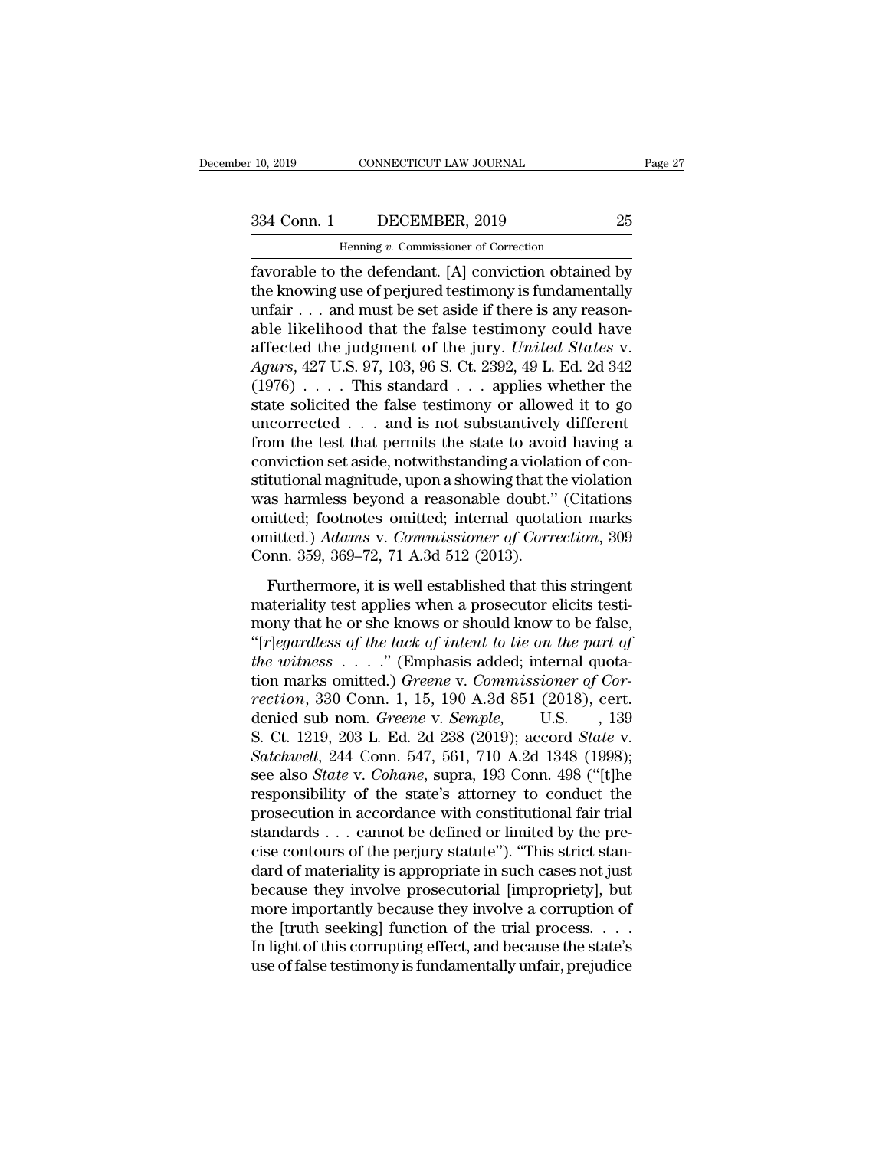## 10, 2019 CONNECTICUT LAW JOURNAL Page 27<br>334 Conn. 1 DECEMBER, 2019 25<br>Henning v. Commissioner of Correction

CONNECTICUT LAW JOURNAL<br>DECEMBER, 2019<br>Henning *v.* Commissioner of Correction<br>the defendant [A] conviction obtaine Fage 27<br>
Fage 27<br>
10, 2019 CONNECTICUT LAW JOURNAL Page 27<br>
1334 Conn. 1 DECEMBER, 2019 25<br>
16 Henning v. Commissioner of Correction<br>
16 Henning v. Conviction obtained by<br>
16 Henning use of perjured testimony is fundamenta 334 Conn. 1 DECEMBER, 2019 25<br>
Henning v. Commissioner of Correction<br>
favorable to the defendant. [A] conviction obtained by<br>
the knowing use of perjured testimony is fundamentally<br>
unfair . . . and must be set aside if th 334 Conn. 1 DECEMBER, 2019 25<br>
Henning v. Commissioner of Correction<br>
favorable to the defendant. [A] conviction obtained by<br>
the knowing use of perjured testimony is fundamentally<br>
unfair . . . and must be set aside if t 334 Conn. 1 DECEMBER, 2019 25<br>
Henning v. Commissioner of Correction<br>
favorable to the defendant. [A] conviction obtained by<br>
the knowing use of perjured testimony is fundamentally<br>
unfair . . . and must be set aside if t From The second of Correction<br>favorable to the defendant. [A] conviction obtained by<br>the knowing use of perjured testimony is fundamentally<br>unfair . . . and must be set aside if there is any reason-<br>able likelihood that th *Agurs Agurs Agurs*, 27 U.S. 97, 103, 96 S. Ct. 2392, 49 L. Ed. 2d 342<br> *Agurs*, 427 U.S. 97, 103, 96 S. Ct. 2392, 49 L. Ed. 2d 342<br>
(1976) . . . . This standard . . . applies whether the<br>
state solicited the false tes favorable to the defendant. [A] conviction obtained by<br>the knowing use of perjured testimony is fundamentally<br>unfair . . . and must be set aside if there is any reason-<br>able likelihood that the false testimony could have<br> the knowing use of perjured testimony is fundamentally<br>unfair . . . and must be set aside if there is any reason-<br>able likelihood that the false testimony could have<br>affected the judgment of the jury. *United States* v.<br>unfair . . . and must be set aside if there is any reasonable likelihood that the false testimony could have affected the judgment of the jury. *United States v.* Agurs, 427 U.S. 97, 103, 96 S. Ct. 2392, 49 L. Ed. 2d 342 able likelihood that the false testimony could have<br>affected the judgment of the jury. *United States v.*<br>Agurs, 427 U.S. 97, 103, 96 S. Ct. 2392, 49 L. Ed. 2d 342<br>(1976) . . . . This standard . . . applies whether the<br>st affected the judgment of the jury. *United States* v.<br>Agurs, 427 U.S. 97, 103, 96 S. Ct. 2392, 49 L. Ed. 2d 342<br>(1976) . . . . This standard . . . applies whether the<br>state solicited the false testimony or allowed it to g Agurs, 427 U.S. 97, 103, 96 S. Ct. 2392, 49 L. Ed. 2d 342 (1976)  $\dots$  This standard  $\dots$  applies whether the state solicited the false testimony or allowed it to go uncorrected  $\dots$  and is not substantively different from (1976) . . . . This standard . . . applies whether the state solicited the false testimony or allowed it to go uncorrected . . . and is not substantively different from the test that permits the state to avoid having a co state solicited the false testimony or allowed it to go<br>uncorrected . . . and is not substantively different<br>from the test that permits the state to avoid having a<br>conviction set aside, notwithstanding a violation of conuncorrected . . . and is not substantively different<br>from the test that permits the state to avoid having a<br>conviction set aside, notwithstanding a violation of con-<br>stitutional magnitude, upon a showing that the violation from the test that permits the state to avoi<br>conviction set aside, notwithstanding a violat<br>stitutional magnitude, upon a showing that th<br>was harmless beyond a reasonable doubt."<br>omitted; footnotes omitted; internal quotat Invectoriset asiae, its mailstanding a violation of est<br>tuttional magnitude, upon a showing that the violation<br>as harmless beyond a reasonable doubt." (Citations<br>nitted.) Adams v. Commissioner of Correction, 309<br>pnn. 359, materiality test applicate, application was harmless beyond a reasonable doubt." (Citations omitted.) Adams v. Commissioner of Correction, 309 Conn. 359, 369–72, 71 A.3d 512 (2013).<br>Furthermore, it is well established tha

mas harmess seyona a reasonable doctor. (enanction<br>omitted; footnotes omitted; internal quotation marks<br>omitted.) Adams v. Commissioner of Correction, 309<br>Conn. 359, 369–72, 71 A.3d 512 (2013).<br>Furthermore, it is well est omitted.) *Adams* v. *Commissioner of Correction*, 309<br>
Conn. 359, 369–72, 71 A.3d 512 (2013).<br>
Furthermore, it is well established that this stringent<br>
materiality test applies when a prosecutor elicits testi-<br>
mony that *the witness of the witnessing of correction, soution.* 359, 369–72, 71 A.3d 512 (2013).<br> **Furthermore, it is well established that this stringent**<br>
materiality test applies when a prosecutor elicits testi-<br>
mony that he o Furthermore, it is well established that this stringent<br>materiality test applies when a prosecutor elicits testi-<br>mony that he or she knows or should know to be false,<br>"[*r]egardless of the lack of intent to lie on the par* Furthermore, it is well established that this stringent<br>materiality test applies when a prosecutor elicits testi-<br>mony that he or she knows or should know to be false,<br>"[*r]egardless of the lack of intent to lie on the par* materiality test applies when a prosecutor elicits testi-<br>mony that he or she knows or should know to be false,<br>"[r]egardless of the lack of intent to lie on the part of<br>the witness . . . ." (Emphasis added; internal quota mony that he or she knows or should know to be false,<br>"[*r]egardless of the lack of intent to lie on the part of*<br>*the witness* . . . ." (Emphasis added; internal quota-<br>tion marks omitted.) *Greene* v. *Commissioner of Co* "[r]egardless of the lack of intent to lie on the part of<br>the witness . . . ." (Emphasis added; internal quota-<br>tion marks omitted.) *Greene* v. *Commissioner of Cor-*<br>rection, 330 Conn. 1, 15, 190 A.3d 851 (2018), cert.<br>d the witness . . . ." (Emphasis added; internal quotation marks omitted.) *Greene* v. *Commissioner of Correction*, 330 Conn. 1, 15, 190 A.3d 851 (2018), cert.<br>denied sub nom. *Greene* v. *Semple*, U.S. , 139<br>S. Ct. 1219, 2 tion marks omitted.) *Greene* v. *Commissioner of Cor-*<br>rection, 330 Conn. 1, 15, 190 A.3d 851 (2018), cert.<br>denied sub nom. *Greene* v. *Semple*, U.S. , 139<br>S. Ct. 1219, 203 L. Ed. 2d 238 (2019); accord *State* v.<br>*Satchw* rection, 330 Conn. 1, 15, 190 A.3d 851 (2018), cert.<br>denied sub nom. *Greene* v. *Semple*, U.S., 139<br>S. Ct. 1219, 203 L. Ed. 2d 238 (2019); accord *State* v.<br>*Satchwell*, 244 Conn. 547, 561, 710 A.2d 1348 (1998);<br>see also denied sub nom. *Greene* v. *Semple*, U.S. , 139<br>S. Ct. 1219, 203 L. Ed. 2d 238 (2019); accord *State* v.<br>*Satchwell*, 244 Conn. 547, 561, 710 A.2d 1348 (1998);<br>see also *State* v. *Cohane*, supra, 193 Conn. 498 ("[t]he<br>re S. Ct. 1219, 203 L. Ed. 2d 238 (2019); accord *State* v. *Satchwell*, 244 Conn. 547, 561, 710 A.2d 1348 (1998); see also *State* v. *Cohane*, supra, 193 Conn. 498 ("[t]he responsibility of the state's attorney to conduct t Satchwell, 244 Conn. 547, 561, 710 A.2d 1348 (1998);<br>see also *State* v. *Cohane*, supra, 193 Conn. 498 ("[t]he<br>responsibility of the state's attorney to conduct the<br>prosecution in accordance with constitutional fair tria see also *State* v. *Cohane*, supra, 193 Conn. 498 ("[t]he<br>responsibility of the state's attorney to conduct the<br>prosecution in accordance with constitutional fair trial<br>standards . . . cannot be defined or limited by the responsibility of the state's attorney to conduct the<br>prosecution in accordance with constitutional fair trial<br>standards . . . cannot be defined or limited by the pre-<br>cise contours of the perjury statute''). "This strict prosecution in accordance with constitutional fair trial<br>standards . . . cannot be defined or limited by the pre-<br>cise contours of the perjury statute''). "This strict stan-<br>dard of materiality is appropriate in such cases standards . . . cannot be defined or limited by the precise contours of the perjury statute"). "This strict standard of materiality is appropriate in such cases not just because they involve prosecutorial [impropriety], bu cise contours of the perjury statute"). "This strict standard of materiality is appropriate in such cases not just<br>because they involve prosecutorial [impropriety], but<br>more importantly because they involve a corruption of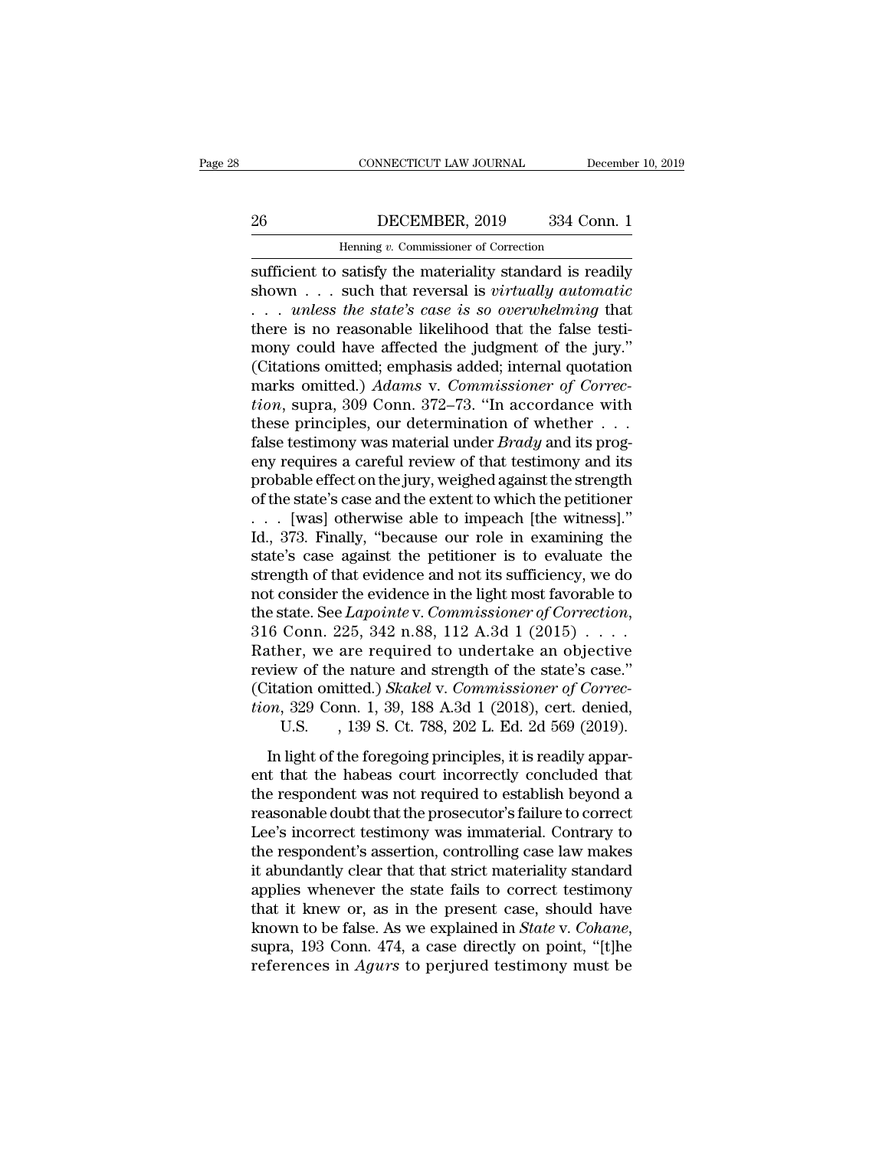### CONNECTICUT LAW JOURNAL December 10, 2019<br>26 DECEMBER, 2019 334 Conn. 1<br>Henning v. Commissioner of Correction CONNECTICUT LAW JOURNAL Deferences the DECEMBER, 2019 334 Correction<br>Henning *v.* Commissioner of Correction<br>satisfy the materiality standard is rea

CONNECTICUT LAW JOURNAL December 10, 2019<br>
26 DECEMBER, 2019 334 Conn. 1<br>
Henning v. Commissioner of Correction<br>
sufficient to satisfy the materiality standard is readily<br>
shown . . . such that reversal is *virtually autom* shown . . . such that reversal is *virtually automatic* DECEMBER, 2019 334 Conn. 1<br>
Henning v. Commissioner of Correction<br>
sufficient to satisfy the materiality standard is readily<br>
shown . . . such that reversal is *virtually automatic*<br>
. . . *unless the state's case is so ov* 26 DECEMBER, 2019 334 Conn. 1<br>
Henning v. Commissioner of Correction<br>
sufficient to satisfy the materiality standard is readily<br>
shown . . . such that reversal is *virtually automatic*<br>
. . . unless the state's case is so Henning v. Commissioner of Correction<br>sufficient to satisfy the materiality standard is readily<br>shown . . . such that reversal is *virtually automatic*<br>. . . *unless the state's case is so overwhelming* that<br>there is no r Henning v. Commissioner of Correction<br>
sufficient to satisfy the materiality standard is readily<br>
shown . . . such that reversal is *virtually automatic*<br>
. . . *unless the state's case is so overwhelming* that<br>
there is sufficient to satisfy the materiality standard is readily<br>shown . . . such that reversal is *virtually automatic*<br>. . . *unless the state's case is so overwhelming* that<br>there is no reasonable likelihood that the false tes shown . . . such that reversal is *virtually automatic*<br>
. . . *unless the state's case is so overwhelming* that<br>
there is no reasonable likelihood that the false testi-<br>
mony could have affected the judgment of the jury." ... *unless the state's case is so overwhelming* that<br>there is no reasonable likelihood that the false testi-<br>mony could have affected the judgment of the jury."<br>(Citations omitted, emphasis added, internal quotation<br>mark there is no reasonable likelihood that the false testi-<br>mony could have affected the judgment of the jury."<br>(Citations omitted; emphasis added; internal quotation<br>marks omitted.) Adams v. Commissioner of Correc-<br>tion, supr mony could have affected the judgment of the jury."<br>(Citations omitted; emphasis added; internal quotation<br>marks omitted.) Adams v. Commissioner of Correc-<br>tion, supra, 309 Conn. 372–73. "In accordance with<br>these principl (Citations omitted; emphasis added; internal quotation<br>marks omitted.) Adams v. Commissioner of Correc-<br>tion, supra, 309 Conn. 372–73. "In accordance with<br>these principles, our determination of whether . . .<br>false testimo marks omitted.) Adams v. Commissioner of Correction, supra, 309 Conn. 372–73. "In accordance with<br>these principles, our determination of whether . . .<br>false testimony was material under *Brady* and its prog-<br>eny requires tion, supra, 309 Conn. 372–73. "In accordance with<br>these principles, our determination of whether . . .<br>false testimony was material under *Brady* and its prog-<br>eny requires a careful review of that testimony and its<br>prob these principles, our determination of whether . . .<br>false testimony was material under *Brady* and its prog-<br>eny requires a careful review of that testimony and its<br>probable effect on the jury, weighed against the streng false testimony was material under *Brady* and its prog-<br>eny requires a careful review of that testimony and its<br>probable effect on the jury, weighed against the strength<br>of the state's case and the extent to which the pe eny requires a careful review of that testimony and its<br>probable effect on the jury, weighed against the strength<br>of the state's case and the extent to which the petitioner<br> $\ldots$  [was] otherwise able to impeach [the witne probable effect on the jury, weighed against the strength<br>of the state's case and the extent to which the petitioner<br>... [was] otherwise able to impeach [the witness]."<br>Id., 373. Finally, "because our role in examining th of the state's case and the extent to which the petitioner<br>
. . . [was] otherwise able to impeach [the witness]."<br>
Id., 373. Finally, "because our role in examining the<br>
state's case against the petitioner is to evaluate t Id., 373. Finally, "because our role in examining the<br>state's case against the petitioner is to evaluate the<br>strength of that evidence and not its sufficiency, we do<br>not consider the evidence in the light most favorable t state's case against the petitioner is to evaluate the<br>strength of that evidence and not its sufficiency, we do<br>not consider the evidence in the light most favorable to<br>the state. See *Lapointe* v. *Commissioner of Correc* strength of that evidence and not its sufficiency, we do<br>not consider the evidence in the light most favorable to<br>the state. See *Lapointe* v. *Commissioner of Correction*,<br>316 Conn. 225, 342 n.88, 112 A.3d 1 (2015) . . . not consider the evidence in the light most favorable to<br>the state. See *Lapointe* v. *Commissioner of Correction*,<br>316 Conn. 225, 342 n.88, 112 A.3d 1 (2015) . . . .<br>Rather, we are required to undertake an objective<br>revie state. See *Lapointe* v. *Commissioner of Correction*,<br>Conn. 225, 342 n.88, 112 A.3d 1 (2015) . . . . .<br>ner, we are required to undertake an objective<br>ew of the nature and strength of the state's case."<br>ation omitted.) *Sk* In light of the nature and strength of the state's case."<br>
itation omitted.) Skakel v. Commissioner of Correc-<br>
itation omitted.) Skakel v. Commissioner of Correc-<br>
m, 329 Conn. 1, 39, 188 A.3d 1 (2018), cert. denied,<br>
U. review of the nature and strength of the state's case."<br>
(Citation omitted.) *Skakel* v. *Commissioner of Correction*, 329 Conn. 1, 39, 188 A.3d 1 (2018), cert. denied,<br>
U.S. , 139 S. Ct. 788, 202 L. Ed. 2d 569 (2019).<br>
I

review of the radate and steright of the state's ease.<br>
(Citation omitted.) Skakel v. Commissioner of Correction, 329 Conn. 1, 39, 188 A.3d 1 (2018), cert. denied,<br>
U.S. , 139 S. Ct. 788, 202 L. Ed. 2d 569 (2019).<br>
In lig tion, 329 Conn. 1, 39, 188 A.3d 1 (2018), cert. denied,<br>U.S. , 139 S. Ct. 788, 202 L. Ed. 2d 569 (2019).<br>In light of the foregoing principles, it is readily apparent that the habeas court incorrectly concluded that<br>the re U.S.  $\,$ , 139 S. Ct. 788, 202 L. Ed. 2d 569 (2019).<br>In light of the foregoing principles, it is readily apparent that the habeas court incorrectly concluded that<br>the respondent was not required to establish beyond a<br>reas In light of the foregoing principles, it is readily apparent that the habeas court incorrectly concluded that<br>the respondent was not required to establish beyond a<br>reasonable doubt that the prosecutor's failure to correct<br> In light of the foregoing principles, it is readily apparent that the habeas court incorrectly concluded that<br>the respondent was not required to establish beyond a<br>reasonable doubt that the prosecutor's failure to correct<br> ent that the habeas court incorrectly concluded that<br>the respondent was not required to establish beyond a<br>reasonable doubt that the prosecutor's failure to correct<br>Lee's incorrect testimony was immaterial. Contrary to<br>the the respondent was not required to establish beyond a<br>reasonable doubt that the prosecutor's failure to correct<br>Lee's incorrect testimony was immaterial. Contrary to<br>the respondent's assertion, controlling case law makes<br>i reasonable doubt that the prosecutor's failure to correct<br>Lee's incorrect testimony was immaterial. Contrary to<br>the respondent's assertion, controlling case law makes<br>it abundantly clear that that strict materiality standa the respondent's assertion, controlling case law makes<br>it abundantly clear that that strict materiality standard<br>applies whenever the state fails to correct testimony<br>that it knew or, as in the present case, should have<br>kn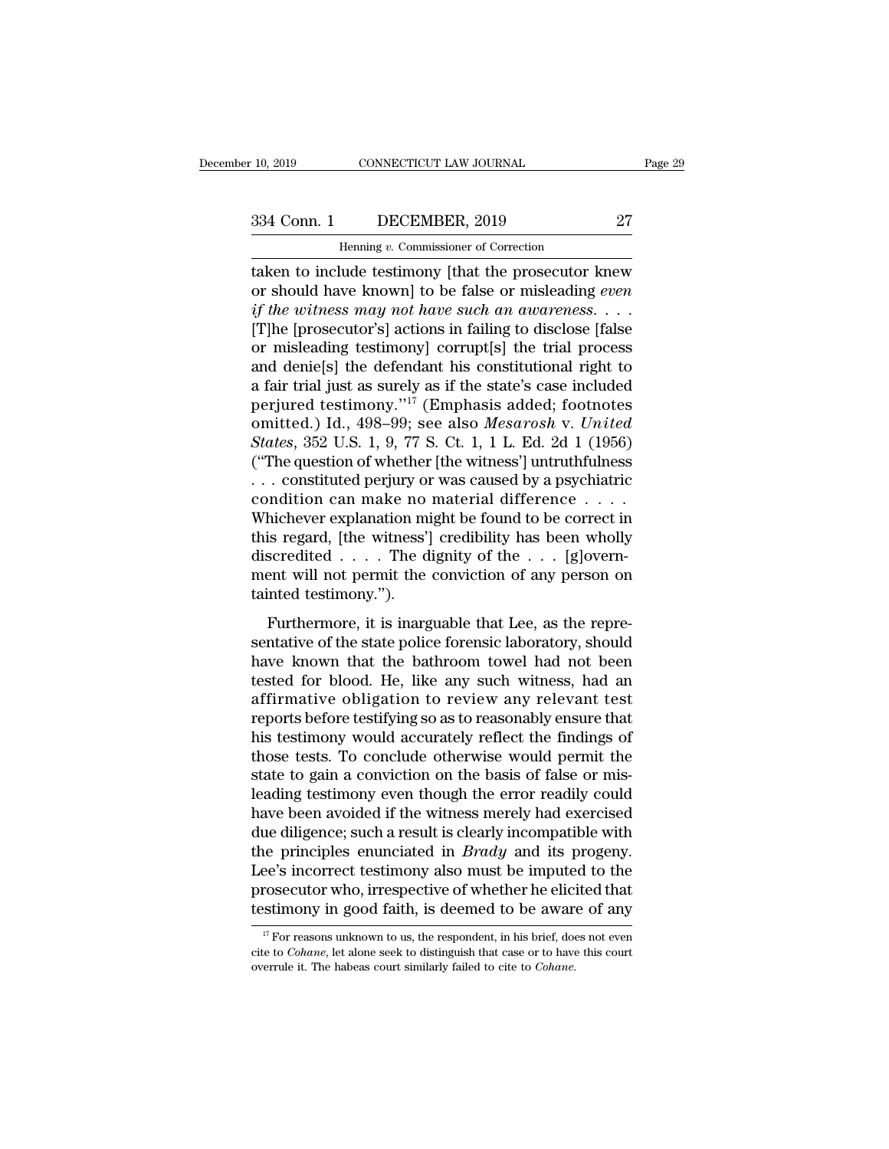CONNECTICUT LAW JOURNAL<br>DECEMBER, 2019<br>Henning *v.* Commissioner of Correction<br>Jude testimony [that the prosecutor k the minimum of the project of the anithmetic matrices of the anti-<br>
tensing v. Commissioner of Correction<br>
taken to include testimony [that the prosecutor knew<br>
or should have known] to be false or misleading *even*<br>
if th 334 Conn. 1 DECEMBER, 2019 27<br>
Henning *v*. Commissioner of Correction<br>
taken to include testimony [that the prosecutor knew<br>
or should have known] to be false or misleading *even*<br> *if the witness may not have such an awa if the witness may not have such an awareness*. . . . [T]he [prosecutor's] actions in failing to disclose [false Henning v. Commissioner of Correction<br>
taken to include testimony [that the prosecutor knew<br>
or should have known] to be false or misleading *even*<br>
if the witness may not have such an awareness....<br>
[T]he [prosecutor's] Henning v. Commissioner of Correction<br>
taken to include testimony [that the prosecutor knew<br>
or should have known] to be false or misleading even<br>
if the witness may not have such an awareness....<br>
[T]he [prosecutor's] ac taken to include testimony [that the prosecutor knew<br>or should have known] to be false or misleading *even*<br>if the witness may not have such an awareness....<br>[T]he [prosecutor's] actions in failing to disclose [false<br>or m or should have known] to be false or misleading *even*<br>if the witness may not have such an awareness....<br>[T]he [prosecutor's] actions in failing to disclose [false<br>or misleading testimony] corrupt[s] the trial process<br>and if the witness may not have such an awareness. . . .<br>[T]he [prosecutor's] actions in failing to disclose [false<br>or misleading testimony] corrupt[s] the trial process<br>and denie[s] the defendant his constitutional right to<br>a [T]he [prosecutor's] actions in failing to disclose [false<br>or misleading testimony] corrupt[s] the trial process<br>and denie[s] the defendant his constitutional right to<br>a fair trial just as surely as if the state's case inc or misleading testimony] corrupt[s] the trial process<br>and denie[s] the defendant his constitutional right to<br>a fair trial just as surely as if the state's case included<br>perjured testimony."<sup>17</sup> (Emphasis added; footnotes<br> and denie[s] the defendant his constitutional right to<br>a fair trial just as surely as if the state's case included<br>perjured testimony."<sup>17</sup> (Emphasis added; footnotes<br>omitted.) Id., 498–99; see also *Mesarosh* v. *United* a fair trial just as surely as if the state's case included<br>perjured testimony."<sup>17</sup> (Emphasis added; footnotes<br>omitted.) Id., 498–99; see also *Mesarosh v. United*<br>*States*, 352 U.S. 1, 9, 77 S. Ct. 1, 1 L. Ed. 2d 1 (195 perjured testimony."<sup>17</sup> (Emphasis added; footnotes<br>omitted.) Id., 498–99; see also *Mesarosh* v. *United*<br>*States*, 352 U.S. 1, 9, 77 S. Ct. 1, 1 L. Ed. 2d 1 (1956)<br>("The question of whether [the witness'] untruthfulness omitted.) Id., 498–99; see also *Mesarosh v. United*<br>States, 352 U.S. 1, 9, 77 S. Ct. 1, 1 L. Ed. 2d 1 (1956)<br>("The question of whether [the witness'] untruthfulness<br>... constituted perjury or was caused by a psychiatric<br> States, 352 U.S. 1, 9, 77 S. Ct. 1, 1 L. Ed. 2d 1 (1956)<br>("The question of whether [the witness'] untruthfulness<br>... constituted perjury or was caused by a psychiatric<br>condition can make no material difference ....<br>Whiche ("The question of whether [the witness'] untruthfulness . . . constituted perjury or was caused by a psychiatric condition can make no material difference . . . . Whichever explanation might be found to be correct in this ... constituted perjury or<br>condition can make no<br>Whichever explanation mi<br>this regard, [the witness']<br>discredited .... The d<br>ment will not permit the<br>tainted testimony.").<br>Furthermore, it is inarg Furthermore, it is inarguable that Lee, as the representative of the state point of the  $\ldots$  (glovern-<br>part will not permit the conviction of any person on inted testimony.").<br>Furthermore, it is inarguable that Lee, as t where  $\alpha$  caparation might se round to see correct in<br>this regard, [the witness'] credibility has been wholly<br>discredited . . . . The dignity of the . . . [g]<br>overn-<br>ment will not permit the conviction of any person on<br>t

discredited  $\dots$ . The dignity of the  $\dots$  [g]overnment will not permit the conviction of any person on tainted testimony.").<br>Furthermore, it is inarguable that Lee, as the representative of the state police forensic labor ment will not permit the conviction of any person on<br>tainted testimony.").<br>Furthermore, it is inarguable that Lee, as the repre-<br>sentative of the state police forensic laboratory, should<br>have known that the bathroom towel Fraction of any person of the trained testimony.").<br>
Furthermore, it is inarguable that Lee, as the representative of the state police forensic laboratory, should<br>
have known that the bathroom towel had not been<br>
tested fo Furthermore, it is inarguable that Lee, as the representative of the state police forensic laboratory, should have known that the bathroom towel had not been tested for blood. He, like any such witness, had an affirmative Furthermore, it is inarguable that Lee, as the representative of the state police forensic laboratory, should have known that the bathroom towel had not been tested for blood. He, like any such witness, had an affirmative sentative of the state police forensic laboratory, should<br>have known that the bathroom towel had not been<br>tested for blood. He, like any such witness, had an<br>affirmative obligation to review any relevant test<br>reports befor have known that the bathroom towel had not been<br>tested for blood. He, like any such witness, had an<br>affirmative obligation to review any relevant test<br>reports before testifying so as to reasonably ensure that<br>his testimony tested for blood. He, like any such witness, had an affirmative obligation to review any relevant test<br>reports before testifying so as to reasonably ensure that<br>his testimony would accurately reflect the findings of<br>those affirmative obligation to review any relevant test<br>reports before testifying so as to reasonably ensure that<br>his testimony would accurately reflect the findings of<br>those tests. To conclude otherwise would permit the<br>state reports before testifying so as to reasonably ensure that<br>his testimony would accurately reflect the findings of<br>those tests. To conclude otherwise would permit the<br>state to gain a conviction on the basis of false or mis-<br> his testimony would accurately reflect the findings of<br>those tests. To conclude otherwise would permit the<br>state to gain a conviction on the basis of false or mis-<br>leading testimony even though the error readily could<br>have those tests. To conclude otherwise would permit the<br>state to gain a conviction on the basis of false or mis-<br>leading testimony even though the error readily could<br>have been avoided if the witness merely had exercised<br>due d state to gain a conviction on the basis of false or mis-<br>leading testimony even though the error readily could<br>have been avoided if the witness merely had exercised<br>due diligence; such a result is clearly incompatible with leading testimony even though the error readily could<br>have been avoided if the witness merely had exercised<br>due diligence; such a result is clearly incompatible with<br>the principles enunciated in *Brady* and its progeny.<br>L 17 For reasons unknown to us, the respondent, in his brief, does not even  $\frac{17}{17}$  For reasons unknown to us, the respondent, in his brief, does not even be to *Cohane*, let alone seek to distinguish that case or to ha Lee's incorrect testimony also must be imputed to the prosecutor who, irrespective of whether he elicited that testimony in good faith, is deemed to be aware of any <sup>17</sup> For reasons unknown to us, the respondent, in his br

prosecutor who, irrespective of whether he elicite<br>testimony in good faith, is deemed to be aware<br> $\frac{17}{17}$  For reasons unknown to us, the respondent, in his brief, does<br>cite to *Cohane*, let alone seek to distinguish th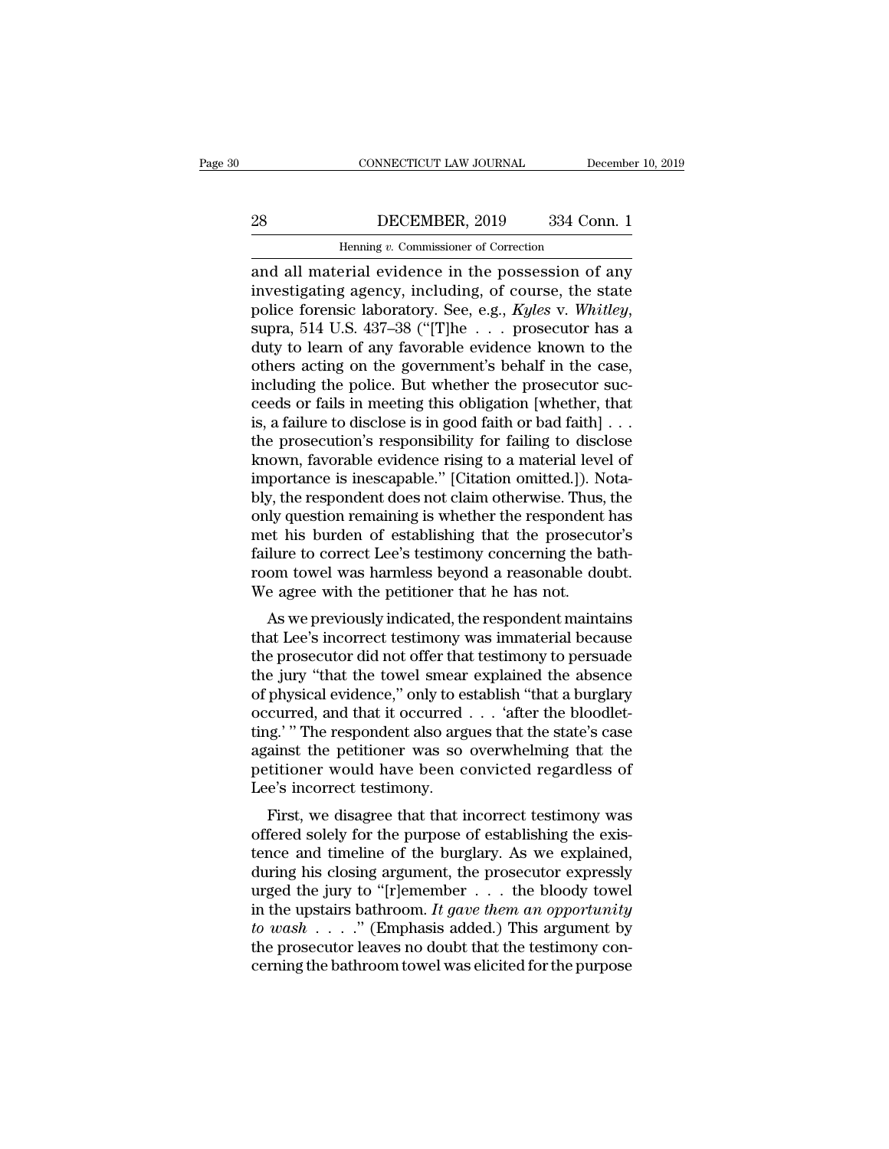### CONNECTICUT LAW JOURNAL December 10, 2019<br>28 DECEMBER, 2019 334 Conn. 1<br>Henning v. Commissioner of Correction CONNECTICUT LAW JOURNAL Deferences the DECEMBER, 2019 and S34 Correction<br>Henning *v.* Commissioner of Correction<br>Perial evidence in the possession of

CONNECTICUT LAW JOURNAL December 10, 2019<br>
28 DECEMBER, 2019 334 Conn. 1<br>
Henning v. Commissioner of Correction<br>
and all material evidence in the possession of any<br>
investigating agency, including, of course, the state<br>
po **increase of Correction**<br> **investigating agency, including, of course, the state**<br> **investigating agency, including, of course, the state**<br> **police forensic laboratory. See, e.g., Kyles v. Whitley,**<br> **supra 514 U.S.** 437-3 police forensic laboratory. See, e.g., *Kyles* v. *Whitley*, supra, 514 U.S. 437–38 ("[T]he . . . prosecutor has a duty to learn of any favorable evidence known to the others acting on the government's behalf in the case. Henning v. Commissioner of Correction<br>and all material evidence in the possession of any<br>investigating agency, including, of course, the state<br>police forensic laboratory. See, e.g., Kyles v. Whitley,<br>supra, 514 U.S. 437–3 Henning v. Commissioner of Correction<br>
and all material evidence in the possession of any<br>
investigating agency, including, of course, the state<br>
police forensic laboratory. See, e.g., Kyles v. Whitley,<br>
supra, 514 U.S. 43 and all material evidence in the possession of any<br>investigating agency, including, of course, the state<br>police forensic laboratory. See, e.g., *Kyles* v. *Whitley*,<br>supra, 514 U.S. 437–38 ("[T]he  $\ldots$  prosecutor has a<br>d investigating agency, including, of course, the state<br>police forensic laboratory. See, e.g., Kyles v. Whitley,<br>supra, 514 U.S. 437–38 ("[T]he . . . prosecutor has a<br>duty to learn of any favorable evidence known to the<br>oth police forensic laboratory. See, e.g., Kyles v. Whitley,<br>supra, 514 U.S. 437–38 ("[T]he . . . prosecutor has a<br>duty to learn of any favorable evidence known to the<br>others acting on the government's behalf in the case,<br>inc supra, 514 U.S. 437–38 ("[T]he . . . prosecutor has a<br>duty to learn of any favorable evidence known to the<br>others acting on the government's behalf in the case,<br>including the police. But whether the prosecutor suc-<br>ceeds duty to learn of any favorable evidence known to the<br>others acting on the government's behalf in the case,<br>including the police. But whether the prosecutor suc-<br>ceeds or fails in meeting this obligation [whether, that<br>is, others acting on the government's behalf in the case,<br>including the police. But whether the prosecutor suc-<br>ceeds or fails in meeting this obligation [whether, that<br>is, a failure to disclose is in good faith or bad faith] including the police. But whether the prosecutor succeeds or fails in meeting this obligation [whether, that<br>is, a failure to disclose is in good faith or bad faith] . . .<br>the prosecution's responsibility for failing to di ceeds or fails in meeting this obligation [whether, that<br>is, a failure to disclose is in good faith or bad faith] . . .<br>the prosecution's responsibility for failing to disclose<br>known, favorable evidence rising to a materia is, a failure to disclose is in good faith or bad faith] . . .<br>the prosecution's responsibility for failing to disclose<br>known, favorable evidence rising to a material level of<br>importance is inescapable." [Citation omitted. the prosecution's responsibility for failing to disclose<br>known, favorable evidence rising to a material level of<br>importance is inescapable." [Citation omitted.]). Nota-<br>bly, the respondent does not claim otherwise. Thus, t known, favorable evidence rising to a material level of<br>importance is inescapable." [Citation omitted.]). Nota-<br>bly, the respondent does not claim otherwise. Thus, the<br>only question remaining is whether the respondent has<br> importance is inescapable." [Citation omitted.]). N<br>bly, the respondent does not claim otherwise. Thus,<br>only question remaining is whether the respondent<br>met his burden of establishing that the prosecut<br>failure to correct by question remaining is whether the respondent has<br>et his burden of establishing that the prosecutor's<br>ilure to correct Lee's testimony concerning the bath-<br>om towel was harmless beyond a reasonable doubt.<br>e agree with th only question remaining is whether the respondent has<br>met his burden of establishing that the prosecutor's<br>failure to correct Lee's testimony concerning the bath-<br>room towel was harmless beyond a reasonable doubt.<br>We agree

the ris burden of establishing that the prosecutor's<br>failure to correct Lee's testimony concerning the bath-<br>room towel was harmless beyond a reasonable doubt.<br>We agree with the petitioner that he has not.<br>As we previously From towel was harmless beyond a reasonable doubt.<br>We agree with the petitioner that he has not.<br>As we previously indicated, the respondent maintains<br>that Lee's incorrect testimony was immaterial because<br>the prosecutor did From tower was namess beyond a reasonable doubt.<br>We agree with the petitioner that he has not.<br>As we previously indicated, the respondent maintains<br>that Lee's incorrect testimony was immaterial because<br>the prosecutor did n As we previously indicated, the respondent maintains<br>that Lee's incorrect testimony was immaterial because<br>the prosecutor did not offer that testimony to persuade<br>the jury "that the towel smear explained the absence<br>of ph As we previously indicated, the respondent maintains<br>that Lee's incorrect testimony was immaterial because<br>the prosecutor did not offer that testimony to persuade<br>the jury "that the towel smear explained the absence<br>of ph that Lee's incorrect testimony was immaterial because<br>the prosecutor did not offer that testimony to persuade<br>the jury "that the towel smear explained the absence<br>of physical evidence," only to establish "that a burglary<br>o the prosecutor did not offer that testimony to persuade<br>the jury "that the towel smear explained the absence<br>of physical evidence," only to establish "that a burglary<br>occurred, and that it occurred . . . 'after the bloodle the jury "that the towel smear<br>of physical evidence," only to es<br>occurred, and that it occurred<br>ting.' " The respondent also arg<br>against the petitioner was so<br>petitioner would have been c<br>Lee's incorrect testimony.<br>First, physical evidence, only to establish that a burglary<br>curred, and that it occurred . . . 'after the bloodlet-<br>ig.' " The respondent also argues that the state's case<br>ainst the petitioner was so overwhelming that the<br>titione occurred, and that it occurred . . . . anter the blooder-<br>ting.' " The respondent also argues that the state's case<br>against the petitioner was so overwhelming that the<br>petitioner would have been convicted regardless of<br>Lee

the respondent also argues that the state's case<br>against the petitioner was so overwhelming that the<br>petitioner would have been convicted regardless of<br>Lee's incorrect testimony.<br>First, we disagree that that incorrect test during that the performal have been convicted regardless of<br>Lee's incorrect testimony.<br>First, we disagree that that incorrect testimony was<br>offered solely for the purpose of establishing the exis-<br>tence and timeline of th Lee's incorrect testimony.<br>
Lee's incorrect testimony.<br>
First, we disagree that that incorrect testimony was<br>
offered solely for the purpose of establishing the exis-<br>
tence and timeline of the burglary. As we explained,<br> Lee's incorrect testimony.<br>
First, we disagree that that incorrect testimony was<br>
offered solely for the purpose of establishing the exis-<br>
tence and timeline of the burglary. As we explained,<br>
during his closing argument, First, we disagree that that incorrect testimony was<br>offered solely for the purpose of establishing the exis-<br>tence and timeline of the burglary. As we explained,<br>during his closing argument, the prosecutor expressly<br>urge offered solely for the purpose of establishing the existence and timeline of the burglary. As we explained, during his closing argument, the prosecutor expressly urged the jury to "[r]emember  $\dots$  the bloody towel in the tence and timeline of the burglary. As we explained,<br>during his closing argument, the prosecutor expressly<br>urged the jury to "[r]emember  $\dots$  the bloody towel<br>in the upstairs bathroom. It gave them an opportunity<br>to wash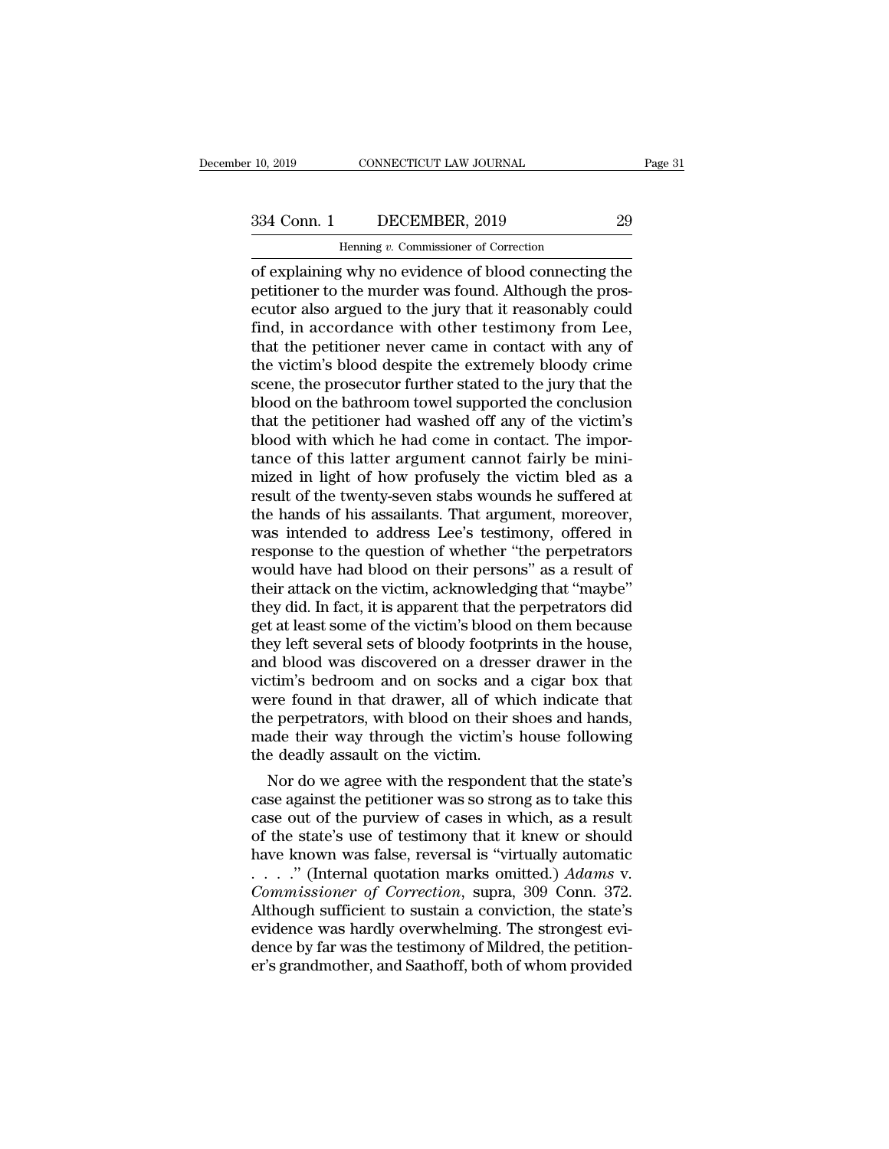CONNECTICUT LAW JOURNAL<br>DECEMBER, 2019<br>Henning *v.* Commissioner of Correction<br>*V* why no evidence of blood connecting of explaining why no evidence of blood connecting the petitioner to the murder was found. Although the prosecutor also argued to the jury that it reasonably could 334 Conn. 1 DECEMBER, 2019 29<br>
Henning v. Commissioner of Correction<br>
of explaining why no evidence of blood connecting the<br>
petitioner to the murder was found. Although the pros-<br>
ecutor also argued to the jury that it re  $\begin{tabular}{ c c c c} \multicolumn{1}{c}{{\bf 334 Conn. 1}} & DECEMBER, 2019 & 29\\ \hline \hline \multicolumn{1}{c}{{\bf 1}} & \multicolumn{1}{c}{{\bf 29}}\\ \hline \multicolumn{1}{c}{{\bf 39}} & \multicolumn{1}{c}{{\bf 29}}\\ \hline \multicolumn{1}{c}{{\bf 30}} & \multicolumn{1}{c}{{\bf 30}} & \multicolumn{1}{c}{{\bf 30}} & \multicolumn{1}{c}{{\bf 30}}\\ \hline \multicolumn{1}{c}{{\bf 30}} & \multicolumn{1$ find, in accordance with other testimony from Lee, Henning v. Commissioner of Correction<br>
of explaining why no evidence of blood connecting the<br>
petitioner to the murder was found. Although the pros-<br>
ecutor also argued to the jury that it reasonably could<br>
find, in accor Henning v. Commissioner of Correction<br>
of explaining why no evidence of blood connecting the<br>
petitioner to the murder was found. Although the pros-<br>
ecutor also argued to the jury that it reasonably could<br>
find, in accord of explaining why no evidence of blood connecting the<br>petitioner to the murder was found. Although the pros-<br>ecutor also argued to the jury that it reasonably could<br>find, in accordance with other testimony from Lee,<br>that t petitioner to the murder was found. Although the prosecutor also argued to the jury that it reasonably could find, in accordance with other testimony from Lee, that the petitioner never came in contact with any of the vict ecutor also argued to the jury that it reasonably could<br>find, in accordance with other testimony from Lee,<br>that the petitioner never came in contact with any of<br>the victim's blood despite the extremely bloody crime<br>scene, find, in accordance with other testimony from Lee,<br>that the petitioner never came in contact with any of<br>the victim's blood despite the extremely bloody crime<br>scene, the prosecutor further stated to the jury that the<br>blood that the petitioner never came in contact with any of<br>the victim's blood despite the extremely bloody crime<br>scene, the prosecutor further stated to the jury that the<br>blood on the bathroom towel supported the conclusion<br>tha the victim's blood despite the extremely bloody crime<br>scene, the prosecutor further stated to the jury that the<br>blood on the bathroom towel supported the conclusion<br>that the petitioner had washed off any of the victim's<br>bl scene, the prosecutor further stated to the jury that the blood on the bathroom towel supported the conclusion<br>that the petitioner had washed off any of the victim's<br>blood with which he had come in contact. The impor-<br>tanc blood on the bathroom towel supported the conclusion<br>that the petitioner had washed off any of the victim's<br>blood with which he had come in contact. The impor-<br>tance of this latter argument cannot fairly be mini-<br>mized in that the petitioner had washed off any of the victim's<br>blood with which he had come in contact. The impor-<br>tance of this latter argument cannot fairly be mini-<br>mized in light of how profusely the victim bled as a<br>result of blood with which he had come in contact. The importance of this latter argument cannot fairly be mini-<br>mized in light of how profusely the victim bled as a<br>result of the twenty-seven stabs wounds he suffered at<br>the hands o tance of this latter argument cannot fairly be mini-<br>mized in light of how profusely the victim bled as a<br>result of the twenty-seven stabs wounds he suffered at<br>the hands of his assailants. That argument, moreover,<br>was int mized in light of how profusely the victim bled as a<br>result of the twenty-seven stabs wounds he suffered at<br>the hands of his assailants. That argument, moreover,<br>was intended to address Lee's testimony, offered in<br>response result of the twenty-seven stabs wounds he suffered at<br>the hands of his assailants. That argument, moreover,<br>was intended to address Lee's testimony, offered in<br>response to the question of whether "the perpetrators<br>would h the hands of his assailants. That argument, moreover, was intended to address Lee's testimony, offered in response to the question of whether "the perpetrators would have had blood on their persons" as a result of their at was intended to address Lee's testimony, offered in<br>response to the question of whether "the perpetrators<br>would have had blood on their persons" as a result of<br>their attack on the victim, acknowledging that "maybe"<br>they di response to the question of whether "the perpetrators<br>would have had blood on their persons" as a result of<br>their attack on the victim, acknowledging that "maybe"<br>they did. In fact, it is apparent that the perpetrators did would have had blood on their persons" as a result of<br>their attack on the victim, acknowledging that "maybe"<br>they did. In fact, it is apparent that the perpetrators did<br>get at least some of the victim's blood on them becau their attack on the victim, acknowledging that "maybe"<br>they did. In fact, it is apparent that the perpetrators did<br>get at least some of the victim's blood on them because<br>they left several sets of bloody footprints in the they did. In fact, it is apparent that the perpetrators did<br>get at least some of the victim's blood on them because<br>they left several sets of bloody footprints in the house,<br>and blood was discovered on a dresser drawer in get at least some of the victim's blood on them because<br>they left several sets of bloody footprints in the house,<br>and blood was discovered on a dresser drawer in the<br>victim's bedroom and on socks and a cigar box that<br>were they left several sets of bloody footpri<br>and blood was discovered on a dress<br>victim's bedroom and on socks and<br>were found in that drawer, all of whi<br>the perpetrators, with blood on their s<br>made their way through the victim d blood was discovered on a dresser drawer in the<br>ctim's bedroom and on socks and a cigar box that<br>ere found in that drawer, all of which indicate that<br>e perpetrators, with blood on their shoes and hands,<br>ade their way thr victim's bedroom and on socks and a cigar box that<br>were found in that drawer, all of which indicate that<br>the perpetrators, with blood on their shoes and hands,<br>made their way through the victim's house following<br>the deadly

were round in that drawer, all of which indicate that<br>the perpetrators, with blood on their shoes and hands,<br>made their way through the victim's house following<br>the deadly assault on the victim.<br>Nor do we agree with the re the perpetrators, with blood on their shoes and hands,<br>made their way through the victim's house following<br>the deadly assault on the victim.<br>Nor do we agree with the respondent that the state's<br>case against the petitioner made their way through the victim's nouse following<br>the deadly assault on the victim.<br>Nor do we agree with the respondent that the state's<br>case against the petitioner was so strong as to take this<br>case out of the purview the deadly assault on the victim.<br>Nor do we agree with the respondent that the state's<br>case against the petitioner was so strong as to take this<br>case out of the purview of cases in which, as a result<br>of the state's use of Nor do we agree with the respondent that the state's<br>case against the petitioner was so strong as to take this<br>case out of the purview of cases in which, as a result<br>of the state's use of testimony that it knew or should<br>h case against the petitioner was so strong as to take this<br>case out of the purview of cases in which, as a result<br>of the state's use of testimony that it knew or should<br>have known was false, reversal is "virtually automati case out of the purview of cases in which, as a result<br>of the state's use of testimony that it knew or should<br>have known was false, reversal is "virtually automatic<br> $\ldots$ ." (Internal quotation marks omitted.) Adams v.<br>Com % of the state's use of testimony that it knew or should<br>have known was false, reversal is "virtually automatic<br>...." (Internal quotation marks omitted.)  $Adams$  v.<br>Commissioner of Correction, supra, 309 Conn. 372.<br>Although have known was false, reversal is "virtually automatic  $\ldots$ " (Internal quotation marks omitted.) *Adams v.* Commissioner of Correction, supra, 309 Conn. 372. Although sufficient to sustain a conviction, the state's evide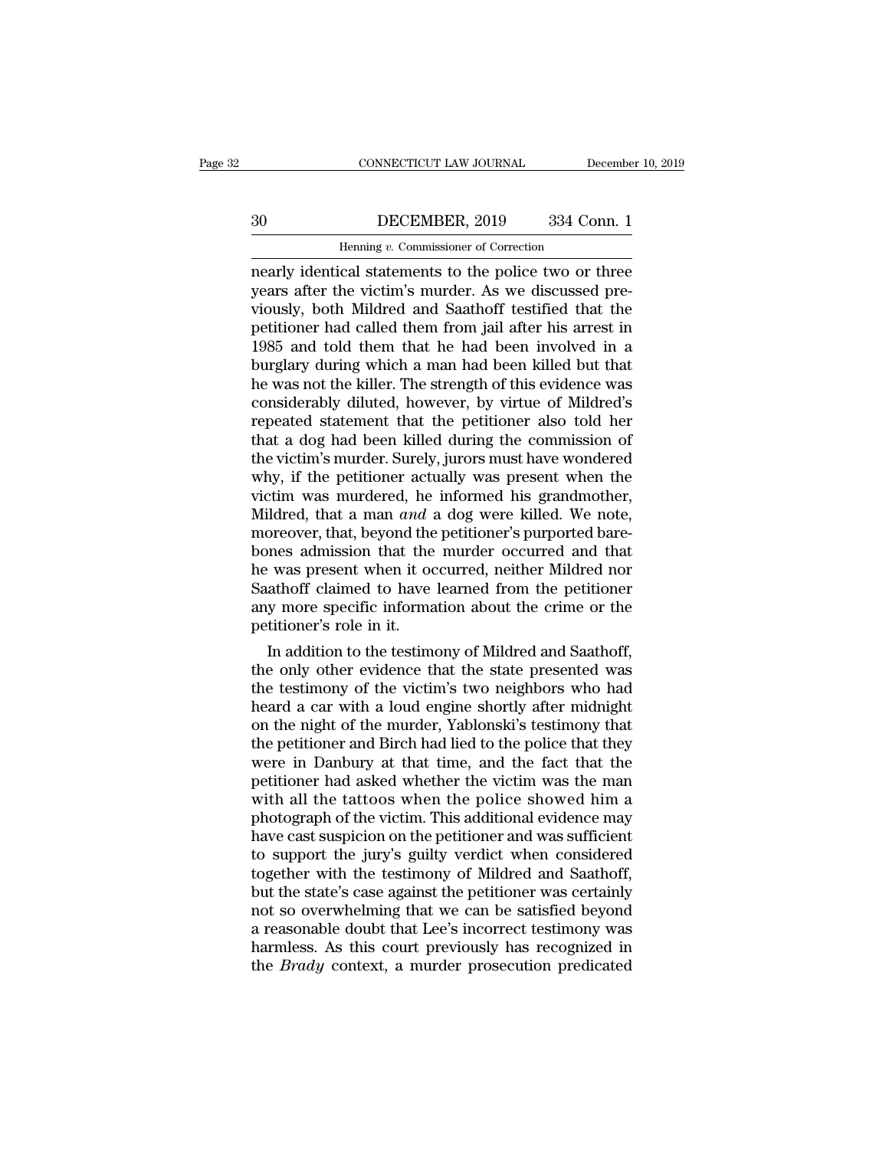### CONNECTICUT LAW JOURNAL December 10, 2019<br>30 DECEMBER, 2019 334 Conn. 1<br>Henning v. Commissioner of Correction CONNECTICUT LAW JOURNAL Defined the Default of Correction Henning *v.* Commissioner of Correction and Statements to the police two or the Definition of the Default of the police two or the Default of  $\frac{1}{2}$

CONNECTICUT LAW JOURNAL December 10, 2019<br>
30 DECEMBER, 2019 334 Conn. 1<br>
Henning v. Commissioner of Correction<br>
nearly identical statements to the police two or three<br>
years after the victim's murder. As we discussed pre-30 DECEMBER, 2019 334 Conn. 1<br>
Henning v. Commissioner of Correction<br>
nearly identical statements to the police two or three<br>
years after the victim's murder. As we discussed pre-<br>
viously, both Mildred and Saathoff testif 30 DECEMBER, 2019 334 Conn. 1<br>
Henning v. Commissioner of Correction<br>
nearly identical statements to the police two or three<br>
years after the victim's murder. As we discussed pre-<br>
viously, both Mildred and Saathoff testi 90 DECEMBER, 2019 334 Conn. 1<br>
Henning  $v$ . Commissioner of Correction<br>
nearly identical statements to the police two or three<br>
years after the victim's murder. As we discussed pre-<br>
viously, both Mildred and Saathoff tes Henning v. Commissioner of Correction<br>
nearly identical statements to the police two or three<br>
years after the victim's murder. As we discussed pre-<br>
viously, both Mildred and Saathoff testified that the<br>
petitioner had ca Henning v. Commissioner of Correction<br>
nearly identical statements to the police two or three<br>
years after the victim's murder. As we discussed pre-<br>
viously, both Mildred and Saathoff testified that the<br>
petitioner had ca he was not the police two or three<br>years after the victim's murder. As we discussed pre-<br>viously, both Mildred and Saathoff testified that the<br>petitioner had called them from jail after his arrest in<br>1985 and told them tha years after the victim's murder. As we discussed pre-<br>viously, both Mildred and Saathoff testified that the<br>petitioner had called them from jail after his arrest in<br>1985 and told them that he had been involved in a<br>burglar viously, both Mildred and Saathoff testified that the petitioner had called them from jail after his arrest in 1985 and told them that he had been involved in a burglary during which a man had been killed but that he was n petitioner had called them from jail after his arrest in 1985 and told them that he had been involved in a burglary during which a man had been killed but that he was not the killer. The strength of this evidence was consi 1985 and told them that he had been involved in a<br>burglary during which a man had been killed but that<br>he was not the killer. The strength of this evidence was<br>considerably diluted, however, by virtue of Mildred's<br>repeated burglary during which a man had been killed but that<br>he was not the killer. The strength of this evidence was<br>considerably diluted, however, by virtue of Mildred's<br>repeated statement that the petitioner also told her<br>that he was not the killer. The strength of this evidence was<br>considerably diluted, however, by virtue of Mildred's<br>repeated statement that the petitioner also told her<br>that a dog had been killed during the commission of<br>the vi considerably diluted, however, by virtue of Mildred's<br>repeated statement that the petitioner also told her<br>that a dog had been killed during the commission of<br>the victim's murder. Surely, jurors must have wondered<br>why, if repeated statement that the petitioner also told her<br>that a dog had been killed during the commission of<br>the victim's murder. Surely, jurors must have wondered<br>why, if the petitioner actually was present when the<br>victim wa that a dog had been killed during the commission of<br>the victim's murder. Surely, jurors must have wondered<br>why, if the petitioner actually was present when the<br>victim was murdered, he informed his grandmother,<br>Mildred, tha the victim's murder. Surely, jurors must have wondered<br>why, if the petitioner actually was present when the<br>victim was murdered, he informed his grandmother,<br>Mildred, that a man *and* a dog were killed. We note,<br>moreover, why, if the petitioner actually was present when the victim was murdered, he informed his grandmother, Mildred, that a man *and* a dog were killed. We note, moreover, that, beyond the petitioner's purported barebones admis victim was murdered, he informed his grandmother,<br>Mildred, that a man *and* a dog were killed. We note,<br>moreover, that, beyond the petitioner's purported bare-<br>bones admission that the murder occurred and that<br>he was prese Mildred, that a man *and* a<br>moreover, that, beyond the<br>bones admission that the<br>he was present when it oc<br>Saathoff claimed to have<br>any more specific informa<br>petitioner's role in it.<br>In addition to the testime Dever, that, beyond the petitioner's purported bare-<br>
Innes admission that the murder occurred and that<br>
In as present when it occurred, neither Mildred nor<br>
athoff claimed to have learned from the petitioner<br>
y more speci bones admission that the murder occurred and that<br>he was present when it occurred, neither Mildred nor<br>Saathoff claimed to have learned from the petitioner<br>any more specific information about the crime or the<br>petitioner's

the was present when it occurred, neither Mildred nor<br>Saathoff claimed to have learned from the petitioner<br>any more specific information about the crime or the<br>petitioner's role in it.<br>In addition to the testimony of Mildr Saathoff claimed to have learned from the petitioner<br>any more specific information about the crime or the<br>petitioner's role in it.<br>In addition to the testimony of Mildred and Saathoff,<br>the only other evidence that the stat any more specific information about the crime or the<br>petitioner's role in it.<br>In addition to the testimony of Mildred and Saathoff,<br>the only other evidence that the state presented was<br>the testimony of the victim's two nei petitioner's role in it.<br>
In addition to the testimony of Mildred and Saathoff,<br>
the only other evidence that the state presented was<br>
the testimony of the victim's two neighbors who had<br>
heard a car with a loud engine sho In addition to the testimony of Mildred and Saathoff,<br>the only other evidence that the state presented was<br>the testimony of the victim's two neighbors who had<br>heard a car with a loud engine shortly after midnight<br>on the ni the only other evidence that the state presented was<br>the testimony of the victim's two neighbors who had<br>heard a car with a loud engine shortly after midnight<br>on the night of the murder, Yablonski's testimony that<br>the peti the testimony of the victim's two neighbors who had<br>heard a car with a loud engine shortly after midnight<br>on the night of the murder, Yablonski's testimony that<br>the petitioner and Birch had lied to the police that they<br>wer heard a car with a loud engine shortly after midnight<br>on the night of the murder, Yablonski's testimony that<br>the petitioner and Birch had lied to the police that they<br>were in Danbury at that time, and the fact that the<br>pet on the night of the murder, Yablonski's testimony that<br>the petitioner and Birch had lied to the police that they<br>were in Danbury at that time, and the fact that the<br>petitioner had asked whether the victim was the man<br>with the petitioner and Birch had lied to the police that they<br>were in Danbury at that time, and the fact that the<br>petitioner had asked whether the victim was the man<br>with all the tattoos when the police showed him a<br>photograph were in Danbury at that time, and the fact that the petitioner had asked whether the victim was the man with all the tattoos when the police showed him a photograph of the victim. This additional evidence may have cast sus petitioner had asked whether the victim was the man<br>with all the tattoos when the police showed him a<br>photograph of the victim. This additional evidence may<br>have cast suspicion on the petitioner and was sufficient<br>to suppo with all the tattoos when the police showed him a<br>photograph of the victim. This additional evidence may<br>have cast suspicion on the petitioner and was sufficient<br>to support the jury's guilty verdict when considered<br>togethe photograph of the victim. This additional evidence may<br>have cast suspicion on the petitioner and was sufficient<br>to support the jury's guilty verdict when considered<br>together with the testimony of Mildred and Saathoff,<br>but have cast suspicion on the petitioner and was sufficient<br>to support the jury's guilty verdict when considered<br>together with the testimony of Mildred and Saathoff,<br>but the state's case against the petitioner was certainly<br>n to support the jury's guilty verdict when considered<br>together with the testimony of Mildred and Saathoff,<br>but the state's case against the petitioner was certainly<br>not so overwhelming that we can be satisfied beyond<br>a reas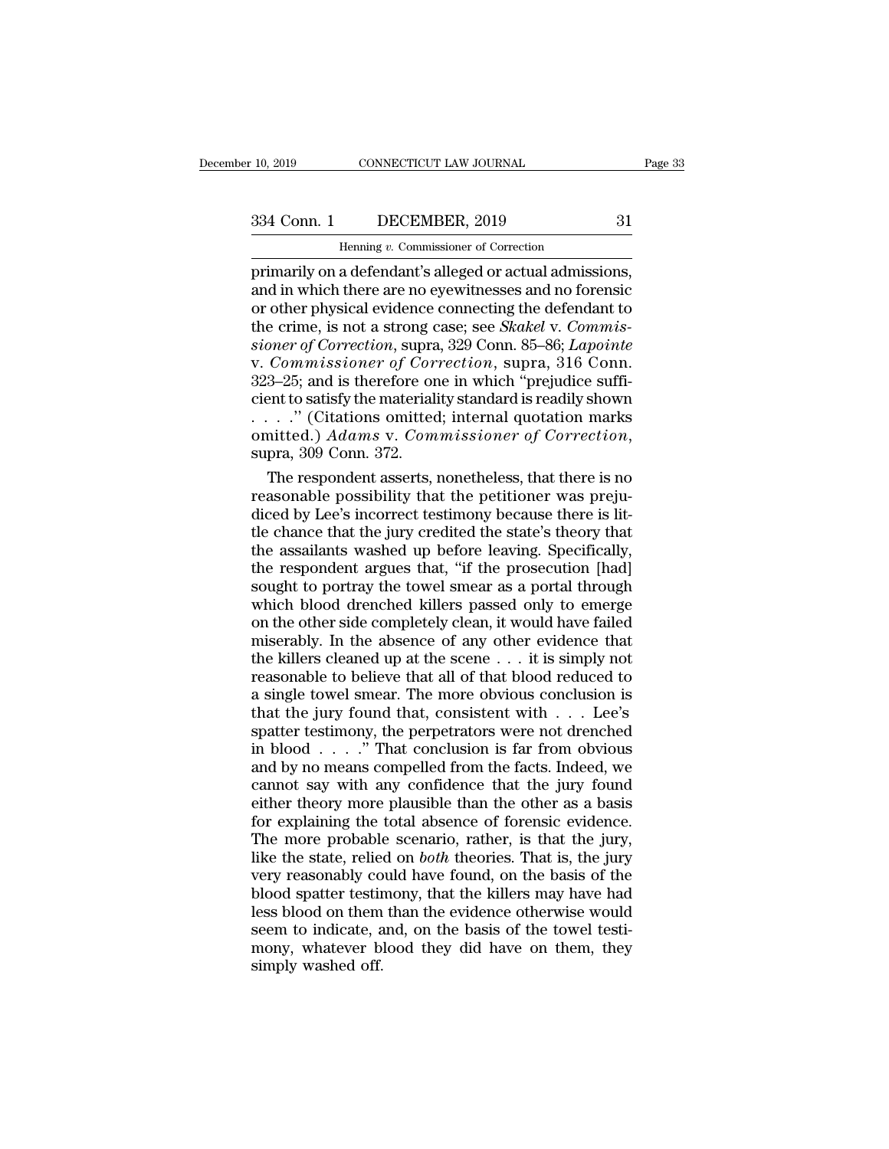## 10, 2019 CONNECTICUT LAW JOURNAL Page 33<br>334 Conn. 1 DECEMBER, 2019 31<br>Henning v. Commissioner of Correction

EXECTICUT LAW JOURNAL<br>DECEMBER, 2019<br>Henning *v.* Commissioner of Correction<br>a defendant's alleged or actual admissi Page<br>
10, 2019 CONNECTICUT LAW JOURNAL Page<br>
334 Conn. 1 DECEMBER, 2019 31<br>
Henning v. Commissioner of Correction<br>
primarily on a defendant's alleged or actual admissions,<br>
and in which there are no eyewitnesses and no for  $\begin{array}{c|c} \text{334 Conn.} & \text{DECEMBER, 2019} & \text{31} \\ \hline \text{Henning } v. \text{ Commissioner of Correction} \\ \hline \text{primarily on a defendant's alleged or actual admission,} \\ \text{and in which there are no eigenstates and no forensic} \\ \text{or other physical evidence connecting the defendant to} \\ \text{the crime is not a strong case: see *Skakel v. Commis.} \end{array}*$ 334 Conn. 1 DECEMBER, 2019 31<br>
Henning v. Commissioner of Correction<br>
primarily on a defendant's alleged or actual admissions,<br>
and in which there are no eyewitnesses and no forensic<br>
or other physical evidence connecting 334 Conn. 1 DECEMBER, 2019 31<br>
Henning v. Commissioner of Correction<br>
primarily on a defendant's alleged or actual admissions,<br>
and in which there are no eyewitnesses and no forensic<br>
or other physical evidence connecting *Henning v. Commissioner of Correction*<br>
primarily on a defendant's alleged or actual admissions,<br>
and in which there are no eyewitnesses and no forensic<br>
or other physical evidence connecting the defendant to<br>
the crime, Henning v. Commissioner of Correction<br>primarily on a defendant's alleged or actual admissions,<br>and in which there are no eyewitnesses and no forensic<br>or other physical evidence connecting the defendant to<br>the crime, is not primarily on a defendant's alleged or actual admissions,<br>and in which there are no eyewitnesses and no forensic<br>or other physical evidence connecting the defendant to<br>the crime, is not a strong case; see *Skakel* v. Commis and in which there are no eyewitnesses and no forensic<br>or other physical evidence connecting the defendant to<br>the crime, is not a strong case; see *Skakel* v. *Commis-<br>sioner of Correction*, supra, 329 Conn. 85–86; *Lapoi* or other physical evidence connecting the defendant to<br>the crime, is not a strong case; see *Skakel* v. *Commissioner of Correction*, supra, 329 Conn. 85–86; *Lapointe*<br>v. *Commissioner of Correction*, supra, 316 Conn.<br>323 the crime, is not a strong case; see *Skakel* v. *Commissioner of Correction*, supra, 329 Conn. 85–86; *Lapointe* v. *Commissioner of Correction*, supra, 316 Conn. 323–25; and is therefore one in which "prejudice sufficien Commissioner of Correction, supra, 316 Conn.<br>3–25; and is therefore one in which "prejudice suffi-<br>ent to satisfy the materiality standard is readily shown<br>..." (Citations omitted; internal quotation marks<br>mitted.) Adams 323–25; and is therefore one in which "prejudice sufficient to satisfy the materiality standard is readily shown<br>  $\ldots$   $\ldots$  " (Citations omitted; internal quotation marks<br>
omitted.)  $Adams$  v.  $Commissioner$  of  $Correction$ ,<br>
supra, 309 C

cient to satisfy the materiality standard is readily shown<br>
. . . . . " (Citations omitted; internal quotation marks<br>
omitted.)  $Adams$  v.  $Commissioner$  of  $Correction$ ,<br>
supra, 309 Conn. 372.<br>
The respondent asserts, nonetheless, that ther tle chance that the jury credited the state's theory that omitted.) Adams v. Commissioner of Correction,<br>supra, 309 Conn. 372.<br>The respondent asserts, nonetheless, that there is no<br>reasonable possibility that the petitioner was preju-<br>diced by Lee's incorrect testimony because t supra, 309 Conn. 372.<br>The respondent asserts, nonetheless, that there is no<br>reasonable possibility that the petitioner was preju-<br>diced by Lee's incorrect testimony because there is lit-<br>tle chance that the jury credited t The respondent asserts, nonetheless, that there is no<br>reasonable possibility that the petitioner was preju-<br>diced by Lee's incorrect testimony because there is lit-<br>tle chance that the jury credited the state's theory that reasonable possibility that the petitioner was prejudiced by Lee's incorrect testimony because there is little chance that the jury credited the state's theory that the assailants washed up before leaving. Specifically, th diced by Lee's incorrect testimony because there is lit-<br>tle chance that the jury credited the state's theory that<br>the assailants washed up before leaving. Specifically,<br>the respondent argues that, "if the prosecution [had the chance that the jury credited the state's theory that<br>the assailants washed up before leaving. Specifically,<br>the respondent argues that, "if the prosecution [had]<br>sought to portray the towel smear as a portal through<br>w the assailants washed up before leaving. Specifically,<br>the respondent argues that, "if the prosecution [had]<br>sought to portray the towel smear as a portal through<br>which blood drenched killers passed only to emerge<br>on the o the respondent argues that, "if the prosecution [had]<br>sought to portray the towel smear as a portal through<br>which blood drenched killers passed only to emerge<br>on the other side completely clean, it would have failed<br>misera sought to portray the towel smear as a portal through which blood drenched killers passed only to emerge<br>on the other side completely clean, it would have failed<br>miserably. In the absence of any other evidence that<br>the ki which blood drenched killers passed only to emerge<br>on the other side completely clean, it would have failed<br>miserably. In the absence of any other evidence that<br>the killers cleaned up at the scene  $\ldots$  it is simply not<br>r on the other side completely clean, it would have failed miserably. In the absence of any other evidence that<br>the killers cleaned up at the scene  $\dots$  it is simply not<br>reasonable to believe that all of that blood reduced miserably. In the absence of any other evidence that<br>the killers cleaned up at the scene  $\ldots$  it is simply not<br>reasonable to believe that all of that blood reduced to<br>a single towel smear. The more obvious conclusion is<br> the killers cleaned up at the scene  $\dots$  it is simply not reasonable to believe that all of that blood reduced to a single towel smear. The more obvious conclusion is that the jury found that, consistent with  $\dots$  Lee's s reasonable to believe that all of that blood reduced to<br>a single towel smear. The more obvious conclusion is<br>that the jury found that, consistent with  $\dots$  Lee's<br>spatter testimony, the perpetrators were not drenched<br>in bl a single towel smear. The more obvious conclusion is<br>that the jury found that, consistent with  $\ldots$  Lee's<br>spatter testimony, the perpetrators were not drenched<br>in blood  $\ldots$ ." That conclusion is far from obvious<br>and by that the jury found that, consistent with  $\ldots$  Lee's<br>spatter testimony, the perpetrators were not drenched<br>in blood  $\ldots$ ." That conclusion is far from obvious<br>and by no means compelled from the facts. Indeed, we<br>cannot spatter testimony, the perpetrators were not drenched<br>in blood  $\ldots$ ." That conclusion is far from obvious<br>and by no means compelled from the facts. Indeed, we<br>cannot say with any confidence that the jury found<br>either the in blood . . . . ." That conclusion is far from obvious<br>and by no means compelled from the facts. Indeed, we<br>cannot say with any confidence that the jury found<br>either theory more plausible than the other as a basis<br>for exp and by no means compelled from the facts. Indeed, we cannot say with any confidence that the jury found either theory more plausible than the other as a basis for explaining the total absence of forensic evidence. The more cannot say with any confidence that the jury found<br>either theory more plausible than the other as a basis<br>for explaining the total absence of forensic evidence.<br>The more probable scenario, rather, is that the jury,<br>like th either theory more plausible than the other as a basis<br>for explaining the total absence of forensic evidence.<br>The more probable scenario, rather, is that the jury,<br>like the state, relied on *both* theories. That is, the ju for explaining the total absence of forensic evidence.<br>The more probable scenario, rather, is that the jury,<br>like the state, relied on *both* theories. That is, the jury<br>very reasonably could have found, on the basis of th The more probable scenario, rather, is that the jury,<br>like the state, relied on *both* theories. That is, the jury<br>very reasonably could have found, on the basis of the<br>blood spatter testimony, that the killers may have ha like the state, relie<br>very reasonably co<br>blood spatter testin<br>less blood on them<br>seem to indicate, a<br>mony, whatever b<br>simply washed off.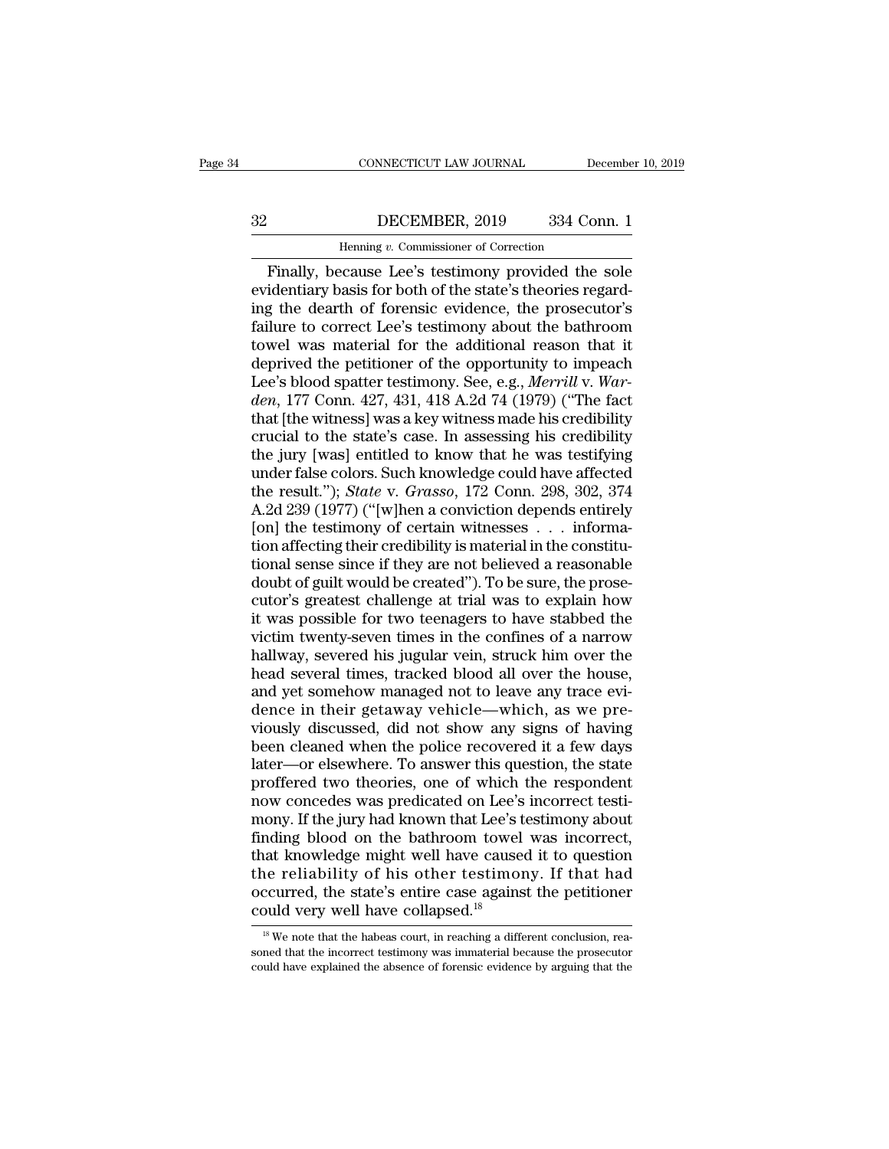### CONNECTICUT LAW JOURNAL December 10, 2019<br>32 DECEMBER, 2019 334 Conn. 1<br>Henning v. Commissioner of Correction CONNECTICUT LAW JOURNAL Deferences the DECEMBER, 2019 and 334 Correction<br>Henning *v.* Commissioner of Correction<br>Cause Lee's testimony provided the

CONNECTICUT LAW JOURNAL December 10, 2019<br>
DECEMBER, 2019 334 Conn. 1<br>
Henning v. Commissioner of Correction<br>
Finally, because Lee's testimony provided the sole<br>
identiary basis for both of the state's theories regard-EVENDER, 2019 334 Conn. 1<br>
Henning v. Commissioner of Correction<br>
Finally, because Lee's testimony provided the sole<br>
evidentiary basis for both of the state's theories regard-<br>
ing the dearth of forensic evidence, the pro **EXEMBER, 2019** 334 Conn. 1<br>
Henning v. Commissioner of Correction<br>
Finally, because Lee's testimony provided the sole<br>
evidentiary basis for both of the state's theories regard-<br>
ing the dearth of forensic evidence, the Frame and S22 and S22 and S22 and S22 and S22 and S22 and Henning v. Commissioner of Correction<br>Finally, because Lee's testimony provided the sole<br>evidentiary basis for both of the state's theories regard-<br>ing the dearth Finally, because Lee's testimony provided the sole<br>evidentiary basis for both of the state's theories regard-<br>ing the dearth of forensic evidence, the prosecutor's<br>failure to correct Lee's testimony about the bathroom<br>tow Henning v. Commissioner of Correction<br>
Finally, because Lee's testimony provided the sole<br>
evidentiary basis for both of the state's theories regard-<br>
ing the dearth of forensic evidence, the prosecutor's<br>
failure to corr Finally, because Lee's testimony provided the sole evidentiary basis for both of the state's theories regarding the dearth of forensic evidence, the prosecutor's failure to correct Lee's testimony about the bathroom towel evidentiary basis for both of the state's theories regard-<br>ing the dearth of forensic evidence, the prosecutor's<br>failure to correct Lee's testimony about the bathroom<br>towel was material for the additional reason that it<br>de ing the dearth of forensic evidence, the prosecutor's<br>failure to correct Lee's testimony about the bathroom<br>towel was material for the additional reason that it<br>deprived the petitioner of the opportunity to impeach<br>Lee's b failure to correct Lee's testimony about the bathroom<br>towel was material for the additional reason that it<br>deprived the petitioner of the opportunity to impeach<br>Lee's blood spatter testimony. See, e.g., *Merrill* v. War-<br> towel was material for the additional reason that it<br>deprived the petitioner of the opportunity to impeach<br>Lee's blood spatter testimony. See, e.g., *Merrill v. War-<br>den*, 177 Conn. 427, 431, 418 A.2d 74 (1979) ("The fact<br> deprived the petitioner of the opportunity to impeach<br>Lee's blood spatter testimony. See, e.g., *Merrill v. War-<br>den*, 177 Conn. 427, 431, 418 A.2d 74 (1979) ("The fact<br>that [the witness] was a key witness made his credibi Lee's blood spatter testimony. See, e.g., *Merrill v. Warden*, 177 Conn. 427, 431, 418 A.2d 74 (1979) ("The fact<br>that [the witness] was a key witness made his credibility<br>crucial to the state's case. In assessing his credi den, 177 Conn. 427, 431, 418 A.2d 74 (1979) ("The fact<br>that [the witness] was a key witness made his credibility<br>crucial to the state's case. In assessing his credibility<br>the jury [was] entitled to know that he was testif that [the witness] was a key witness made his credibility<br>crucial to the state's case. In assessing his credibility<br>the jury [was] entitled to know that he was testifying<br>under false colors. Such knowledge could have affec crucial to the state's case. In assessing his credibility<br>the jury [was] entitled to know that he was testifying<br>under false colors. Such knowledge could have affected<br>the result."); *State* v. *Grasso*, 172 Conn. 298, 30 the jury [was] entitled to know that he was testifying<br>under false colors. Such knowledge could have affected<br>the result."); *State* v. *Grasso*, 172 Conn. 298, 302, 374<br>A.2d 239 (1977) ("[w]hen a conviction depends entire under false colors. Such knowledge could have affected<br>the result."); *State* v. *Grasso*, 172 Conn. 298, 302, 374<br>A.2d 239 (1977) ("[w]hen a conviction depends entirely<br>[on] the testimony of certain witnesses . . . inform the result."); *State* v. *Grasso*, 172 Conn. 298, 302, 374<br>A.2d 239 (1977) ("[w]hen a conviction depends entirely<br>[on] the testimony of certain witnesses . . . informa-<br>tion affecting their credibility is material in the A.2d 239 (1977) ("[w]hen a conviction depends entirely<br>[on] the testimony of certain witnesses  $\ldots$  informa-<br>tion affecting their credibility is material in the constitu-<br>tional sense since if they are not believed a rea [on] the testimony of certain witnesses  $\ldots$  information affecting their credibility is material in the constitutional sense since if they are not believed a reasonable doubt of guilt would be created"). To be sure, the tion affecting their credibility is material in the constitutional sense since if they are not believed a reasonable<br>doubt of guilt would be created"). To be sure, the prose-<br>cutor's greatest challenge at trial was to expl tional sense since if they are not believed a reasonable<br>doubt of guilt would be created"). To be sure, the prose-<br>cutor's greatest challenge at trial was to explain how<br>it was possible for two teenagers to have stabbed th doubt of guilt would be created"). To be sure, the prose-<br>cutor's greatest challenge at trial was to explain how<br>it was possible for two teenagers to have stabbed the<br>victim twenty-seven times in the confines of a narrow<br>h cutor's greatest challenge at trial was to explain how<br>it was possible for two teenagers to have stabbed the<br>victim twenty-seven times in the confines of a narrow<br>hallway, severed his jugular vein, struck him over the<br>head it was possible for two teenagers to have stabbed the<br>victim twenty-seven times in the confines of a narrow<br>hallway, severed his jugular vein, struck him over the<br>head several times, tracked blood all over the house,<br>and y victim twenty-seven times in the confines of a narrow<br>hallway, severed his jugular vein, struck him over the<br>head several times, tracked blood all over the house,<br>and yet somehow managed not to leave any trace evi-<br>dence i hallway, severed his jugular vein, struck him over the<br>head several times, tracked blood all over the house,<br>and yet somehow managed not to leave any trace evi-<br>dence in their getaway vehicle—which, as we pre-<br>viously disc head several times, tracked blood all over the house,<br>and yet somehow managed not to leave any trace evi-<br>dence in their getaway vehicle—which, as we pre-<br>viously discussed, did not show any signs of having<br>been cleaned wh and yet somehow managed not to leave any trace evidence in their getaway vehicle—which, as we pre-<br>viously discussed, did not show any signs of having<br>been cleaned when the police recovered it a few days<br>later—or elsewhere dence in their getaway vehicle—which, as we pre-<br>viously discussed, did not show any signs of having<br>been cleaned when the police recovered it a few days<br>later—or elsewhere. To answer this question, the state<br>proffered two viously discussed, did not show any signs of having<br>been cleaned when the police recovered it a few days<br>later—or elsewhere. To answer this question, the state<br>proffered two theories, one of which the respondent<br>now conced been cleaned when the police recovered it a few days<br>later—or elsewhere. To answer this question, the state<br>proffered two theories, one of which the respondent<br>now concedes was predicated on Lee's incorrect testi-<br>mony. If later—or elsewhere. To answer this question, the state<br>proffered two theories, one of which the respondent<br>now concedes was predicated on Lee's incorrect testi-<br>mony. If the jury had known that Lee's testimony about<br>findin proffered two theories, one of which the respondent<br>now concedes was predicated on Lee's incorrect testi-<br>mony. If the jury had known that Lee's testimony about<br>finding blood on the bathroom towel was incorrect,<br>that knowl now concedes was predicated on Lee's<br>mony. If the jury had known that Lee's t<br>finding blood on the bathroom towel<br>that knowledge might well have cause<br>the reliability of his other testimor<br>occurred, the state's entire case nat knowledge might well have caused it to question<br>he reliability of his other testimony. If that had<br>ccurred, the state's entire case against the petitioner<br>puld very well have collapsed.<sup>18</sup><br><sup>18</sup> We note that the habeas the reliability of his other testimony. If that had occurred, the state's entire case against the petitioner could very well have collapsed.<sup>18</sup><br> $\frac{18}{18}$  We note that the habeas court, in reaching a different conclusio

occurred, the state's entire case against the petitioner could very well have collapsed.<sup>18</sup><br> $\frac{18}{18}$  We note that the habeas court, in reaching a different conclusion, reasoned that the incorrect testimony was immater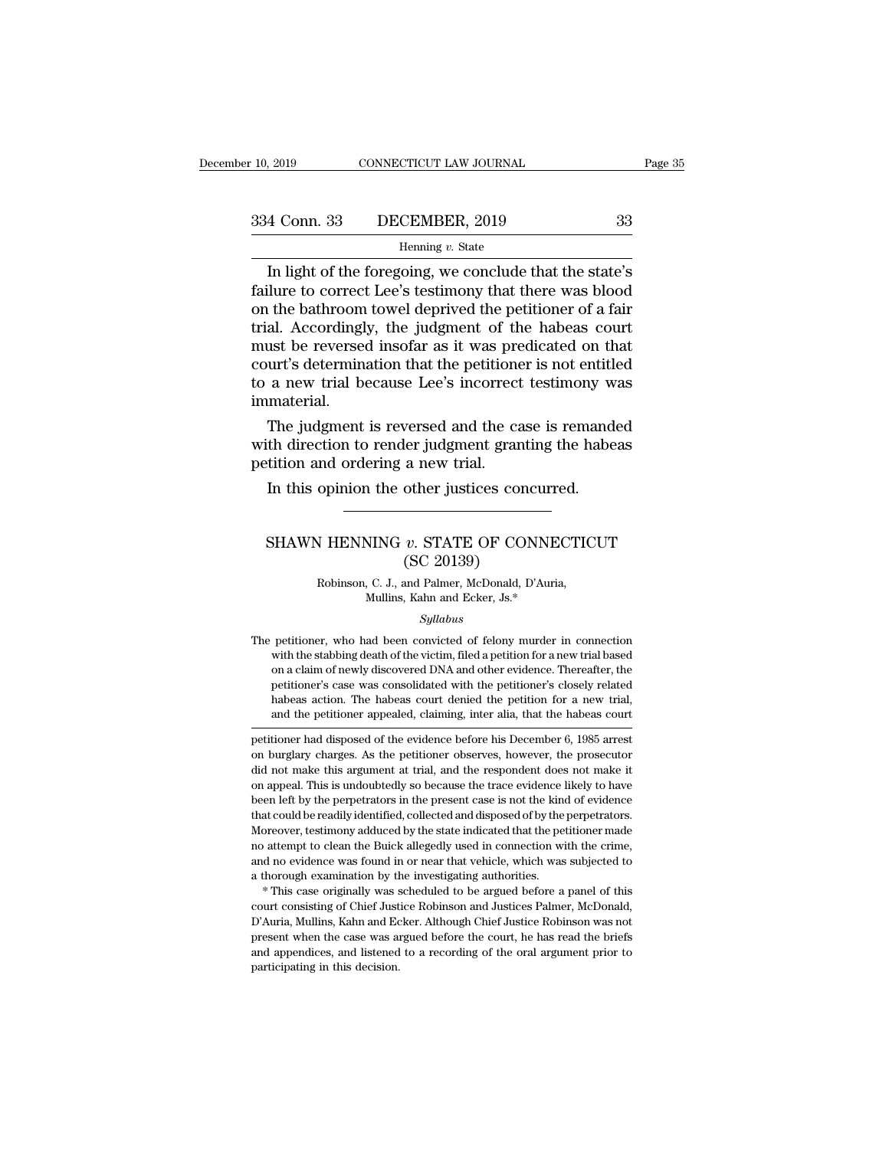## 10, 2019 CONNECTICUT LAW JOURNAL Page 35<br>334 Conn. 33 DECEMBER, 2019 33<br>Henning v. State

### Henning *v.* State

2019 CONNECTICUT LAW JOURNAL Page 35<br>
4 Conn. 33 DECEMBER, 2019 33<br>
Henning v. State<br>
In light of the foregoing, we conclude that the state's<br>
ilure to correct Lee's testimony that there was blood<br>
the bathroom towel dopr  $\begin{array}{r} \hline \text{334 Conn. } 33 \quad \text{DECEMBER, } 2019 \quad \text{33} \\\hline \text{Henning } v. \text{ State} \\\hline \text{In light of the foregoing, we conclude that the state's failure to correct Lee's testimony that there was blood on the bathroom towell deprived the petitioner of a fair trial. Accordingly, the judgment of the shapes court.} \end{array}$ 334 Conn. 33 DECEMBER, 2019 33<br>
Henning v. State<br>
In light of the foregoing, we conclude that the state's<br>
failure to correct Lee's testimony that there was blood<br>
on the bathroom towel deprived the petitioner of a fair<br> 334 Conn. 33 DECEMBER, 2019 33<br>
Henning  $v$ . State<br>
In light of the foregoing, we conclude that the state's<br>
failure to correct Lee's testimony that there was blood<br>
on the bathroom towel deprived the petitioner of a fair From the reversed insofar as it was predicated to a new trial because Lee's incorrect that the state's<br>failure to correct Lee's testimony that there was blood<br>on the bathroom towel deprived the petitioner of a fair<br>trial. Henning v. State<br>
In light of the foregoing, we conclude that the state's<br>
failure to correct Lee's testimony that there was blood<br>
on the bathroom towel deprived the petitioner of a fair<br>
trial. Accordingly, the judgment In light of the foregoing, we conclude that the state's<br>failure to correct Lee's testimony that there was blood<br>on the bathroom towel deprived the petitioner of a fair<br>trial. Accordingly, the judgment of the habeas court<br>m immaterial. If the bathroom towel deprived the petitioner of a fair<br>al. Accordingly, the judgment of the habeas court<br>ust be reversed insofar as it was predicated on that<br>urt's determination that the petitioner is not entitled<br>a new t trial. Accordingly, the judgment of the habeas court<br>must be reversed insofar as it was predicated on that<br>court's determination that the petitioner is not entitled<br>to a new trial because Lee's incorrect testimony was<br>imma must be reversed insofar as it was precourt's determination that the petitions<br>to a new trial because Lee's incorrect<br>immaterial.<br>The judgment is reversed and the ca<br>with direction to render judgment gram<br>petition and orde

a new trial because Lee's incorrect testimony w<br>a new trial because Lee's incorrect testimony w<br>material.<br>The judgment is reversed and the case is remand<br>th direction to render judgment granting the habe<br>tition and orderin The judgment is reversed and the case is remanded<br>th direction to render judgment granting the habeas<br>tition and ordering a new trial.<br>In this opinion the other justices concurred.<br>SHAWN HENNING *v*. STATE OF CONNECTICUT<br>(

### ler judgment granti<br>
a new trial.<br>
other justices conc<br>
v. STATE OF CON<br>
(SC 20139)<br>
and Palmer, McDonald, D'<br>
Kahn and Ecker Js \* V HENNING v. STATE OF CONNECTIO<br>
(SC 20139)<br>
Robinson, C. J., and Palmer, McDonald, D'Auria,<br>
Mullins, Kahn and Ecker, Js.\* NING v. STATE OF CONNEC<br>
(SC 20139)<br>
, C. J., and Palmer, McDonald, D'Auria<br>
Mullins, Kahn and Ecker, Js.\*<br>
Syllabus

### *Syllabus*

(SC 20139)<br>
Robinson, C. J., and Palmer, McDonald, D'Auria,<br>
Mullins, Kahn and Ecker, Js.\*<br>
Syllabus<br>
The petitioner, who had been convicted of felony murder in connection<br>
with the stabbing death of the victim, filed a p Robinson, C. J., and Palmer, McDonald, D'Auria,<br>Mullins, Kahn and Ecker, Js.\*<br>Syllabus<br>petitioner, who had been convicted of felony murder in connection<br>with the stabbing death of the victim, filed a petition for a new tr kobinson, C. J., and Palmer, McDonald, D Auria,<br>Mullins, Kahn and Ecker, Js.\*<br>Syllabus<br>petitioner, who had been convicted of felony murder in connection<br>with the stabbing death of the victim, filed a petition for a new tri multimes, hand and ecker, Js.<sup>32</sup><br>Syllabus<br>petitioner, who had been convicted of felony murder in connection<br>with the stabbing death of the victim, filed a petition for a new trial based<br>on a claim of newly discovered DNA  $\label{eq:2.1} Syllabus$  petitioner, who had been convicted of felony murder in connection with the stabbing death of the victim, filed a petition for a new trial based on a claim of newly discovered DNA and other evidence. Thereaf petitioner, who had been convicted of felony murder in connection<br>with the stabbing death of the victim, filed a petition for a new trial based<br>on a claim of newly discovered DNA and other evidence. Thereafter, the<br>petitio with the stabbing death of the victim, filed a petition for a new trial based<br>on a claim of newly discovered DNA and other evidence. Thereafter, the<br>petitioner's case was consolidated with the petitioner's closely related<br> on a claim of newly discovered DNA and other evidence. Thereafter, the petitioner's case was consolidated with the petitioner's closely related habeas action. The habeas court denied the petition for a new trial, and the p

petitioner's case was consolidated with the petitioner's closely related<br>habeas action. The habeas court denied the petition for a new trial,<br>and the petitioner appealed, claiming, inter alia, that the habeas court<br>petitio habeas action. The habeas court denied the petition for a new trial,<br>and the petitioner appealed, claiming, inter alia, that the habeas court<br>petitioner had disposed of the evidence before his December 6, 1985 arrest<br>on bu and the petitioner appealed, claiming, inter alia, that the habeas court<br>petitioner had disposed of the evidence before his December 6, 1985 arrest<br>on burglary charges. As the petitioner observes, however, the prosecutor<br>d petitioner had disposed of the evidence before his December 6, 1985 arrest<br>on burglary charges. As the petitioner observes, however, the prosecutor<br>did not make this argument at trial, and the respondent does not make it<br>o For on burglary charges. As the petitioner observes, however, the prosecutor did not make this argument at trial, and the respondent does not make it on appeal. This is undoubtedly so because the trace evidence likely to h or a constraint at the Buick allegedly and the respondent does not make it on appeal. This is undoubtedly so because the trace evidence likely to have been left by the perpetrators in the present case is not the kind of ev on appeal. This is undoubtedly so because the trace evidence likely to have been left by the perpetrators in the present case is not the kind of evidence that could be readily identified, collected and disposed of by the p been left by the perpetrators in the present case is not the kind of evidence that could be readily identified, collected and disposed of by the perpetrators. Moreover, testimony adduced by the state indicated that the pet Moreover, testimony adduced by the state indicated that the petitioner made<br>no attempt to clean the Buick allegedly used in connection with the crime,<br>and no evidence was found in or near that vehicle, which was subjected

no attempt to clean the Buick allegedly used in connection with the crime, and no evidence was found in or near that vehicle, which was subjected to a thorough examination by the investigating authorities.<br>
\* This case ori and no evidence was found in or near that vehicle, which was subjected to<br>a thorough examination by the investigating authorities.<br>\* This case originally was scheduled to be argued before a panel of this<br>court consisting and thorough examination by the investigating authorities.<br>
\* This case originally was scheduled to be argued before a panel of this<br>
court consisting of Chief Justice Robinson and Justices Palmer, McDonald,<br>
D'Auria, Mull \* This case originally was scheduled to be argued before a panel of this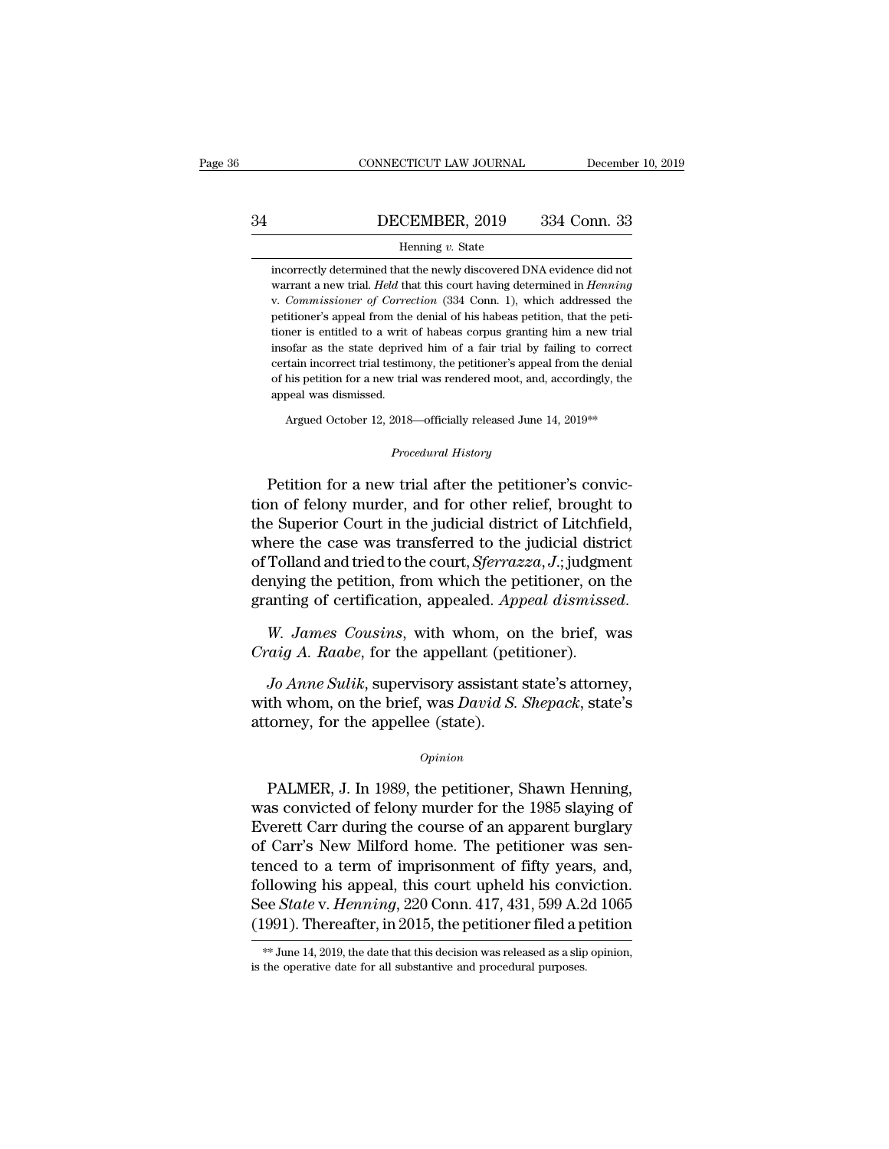## CONNECTICUT LAW JOURNAL December 10, 2019<br>34 DECEMBER, 2019 334 Conn. 33<br>Henning v. State

### Henning *v.* State

INCORTER, 2019 334 Conn. 33<br>
Henning v. State<br>
incorrectly determined that the newly discovered DNA evidence did not<br>
warrant a new trial. *Held* that this court having determined in *Henning* **EXEMBER, 2019** 334 Conn. 33<br>
Henning v. State<br>
incorrectly determined that the newly discovered DNA evidence did not<br>
warrant a new trial. *Held* that this court having determined in *Henning*<br>
v. Commissioner of Correcti **CORTENTER, 2019** 334 Conn. 33<br>
Henning v. State<br>
incorrectly determined that the newly discovered DNA evidence did not<br>
warrant a new trial. *Held* that this court having determined in *Henning*<br>
v. *Commissioner of Corre* Henning v. State<br>incorrectly determined that the newly discovered DNA evidence did not<br>warrant a new trial. *Held* that this court having determined in *Henning*<br>v. *Commissioner of Correction* (334 Conn. 1), which address Henning  $v$ . State<br>incorrectly determined that the newly discovered DNA evidence did not<br>warrant a new trial. *Held* that this court having determined in *Henning*<br>v. *Commissioner of Correction* (334 Conn. 1), which addr incorrectly determined that the newly discovered DNA evidence did not<br>warrant a new trial. *Held* that this court having determined in *Henning*<br>v. *Commissioner of Correction* (334 Conn. 1), which addressed the<br>petitioner warrant a new trial. *Held* that this court having determined in *Henning* v. *Commissioner of Correction* (334 Conn. 1), which addressed the petitioner's appeal from the denial of his habeas petition, that the petitioner v. Commissioner of Correction (334 Conn. 1), which addressed the petitioner's appeal from the denial of his habeas petition, that the petitioner is entitled to a writ of habeas corpus granting him a new trial insofar as t v. Commissioner of Correction  $(334 \text{ Conn. } 1)$ , which addressed the petitioner's appeal from the denial of his habeas petition, that the petitioner is entitled to a writ of habeas corpus granting him a new trial insofar as insofar as the state deprived him of a fair trial by failing to correct certain incorrect trial testimony, the petitioner's appeal from the denial of his petition for a new trial was rendered moot, and, accordingly, the a

Argued October 12, 2018—officially released June 14, 2019\*\*<br>*Procedural History*<br>Petition for a new trial after the petitioner's convic-Fetally incorrect that estationly, the petitioner's appear from the dental<br>of his petition for a new trial was rendered moot, and, accordingly, the<br>appeal was dismissed.<br>Argued October 12, 2018—officially released June 14, appeal was dismissed.<br>
Argued October 12, 2018—officially released June 14, 2019<sup>\*\*</sup><br>
Procedural History<br>
Petition for a new trial after the petitioner's conviction<br>
of felony murder, and for other relief, brought to<br>
the Argued October 12, 2018—officially released June 14, 2019\*\*<br>
Procedural History<br>
Petition for a new trial after the petitioner's convic-<br>
tion of felony murder, and for other relief, brought to<br>
the Superior Court in the j Procedural History<br>Procedural History<br>Petition for a new trial after the petitioner's convic-<br>tion of felony murder, and for other relief, brought to<br>the Superior Court in the judicial district of Litchfield,<br>where the cas *Procedural History*<br>Petition for a new trial after the petitioner's convic-<br>tion of felony murder, and for other relief, brought to<br>the Superior Court in the judicial district of Litchfield,<br>where the case was transferred Petition for a new trial after the petitioner's conviction of felony murder, and for other relief, brought to the Superior Court in the judicial district of Litchfield, where the case was transferred to the judicial distri Petition for a new trial after the petitioner's conviction of felony murder, and for other relief, brought to the Superior Court in the judicial district of Litchfield, where the case was transferred to the judicial distri *Craig A. Raabe*, for the appellant situation of Tolland and tried to the court, *Sferrazza*, *J*.; judgment, denying the petition, from which the petitioner, on the granting of certification, appealed. Appeal dismisse W. *Jo Anne Sulik*, supervisory assistant state's attorney, the whole perification, appealed. Appeal dismissed.<br>*W. James Cousins*, with whom, on the brief, was raig A. Raabe, for the appellant (petitioner).<br>*Jo Anne Sulik*,

derlying the petrion, from which the petrioner, on the granting of certification, appealed. Appeal dismissed.<br> *W. James Cousins*, with whom, on the brief, was<br> *Craig A. Raabe*, for the appellant (petitioner).<br> *Jo Anne S* granting of certification, appeared. App.<br>
W. James Cousins, with whom, or<br>
Craig A. Raabe, for the appellant (pet<br>
Jo Anne Sulik, supervisory assistant<br>
with whom, on the brief, was David S.<br>
attorney, for the appellee (s *Jo Anne Sulik*, supervisory assistant state's attorney,<br>th whom, on the brief, was *David S. Shepack*, state's<br>torney, for the appellee (state).<br> $opinion$ <br>PALMER, J. In 1989, the petitioner, Shawn Henning,<br>as convicted of felo

### *Opinion*

with whom, on the brief, was *David S. Shepack*, state's<br>attorney, for the appellee (state).<br> $opinion$ <br>PALMER, J. In 1989, the petitioner, Shawn Henning,<br>was convicted of felony murder for the 1985 slaying of<br>Everett Carr duri Mat Mish, of the strict, was Eureta S. Shepton, state S<br>attorney, for the appellee (state).<br> $o_{pinion}$ <br>PALMER, J. In 1989, the petitioner, Shawn Henning,<br>was convicted of felony murder for the 1985 slaying of<br>Everett Carr dur opinion<br>
opinion<br>
PALMER, J. In 1989, the petitioner, Shawn Henning,<br>
was convicted of felony murder for the 1985 slaying of<br>
Everett Carr during the course of an apparent burglary<br>
of Carr's New Milford home. The petition  $o$ *pinion*<br>
PALMER, J. In 1989, the petitioner, Shawn Henning,<br>
was convicted of felony murder for the 1985 slaying of<br>
Everett Carr during the course of an apparent burglary<br>
of Carr's New Milford home. The petitioner w PALMER, J. In 1989, the petitioner, Shawn Henning,<br>was convicted of felony murder for the 1985 slaying of<br>Everett Carr during the course of an apparent burglary<br>of Carr's New Milford home. The petitioner was sen-<br>tenced to PALMER, J. In 1989, the petitioner, Shawn Henning,<br>was convicted of felony murder for the 1985 slaying of<br>Everett Carr during the course of an apparent burglary<br>of Carr's New Milford home. The petitioner was sen-<br>tenced to was convicted of felony murder for the 1985 slaying of<br>Everett Carr during the course of an apparent burglary<br>of Carr's New Milford home. The petitioner was sen-<br>tenced to a term of imprisonment of fifty years, and,<br>follo tenced to a term of imprisonment of fifty years, and, following his appeal, this court upheld his conviction.<br>See *State* v. *Henning*, 220 Conn. 417, 431, 599 A.2d 1065 (1991). Thereafter, in 2015, the petitioner filed a See State v. Henning, 220 Conn. 417, 431, 599 A.2d 1065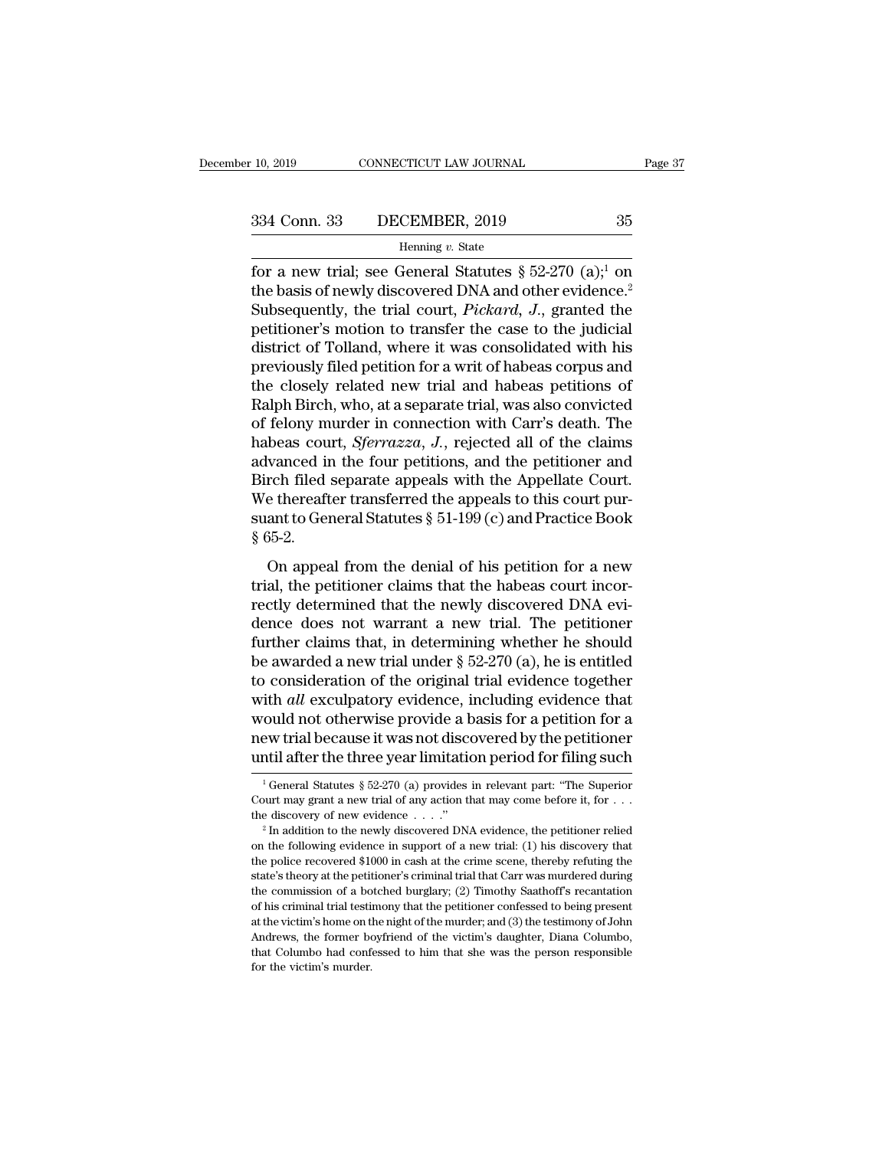### Henning *v.* State

Fage 37<br>
Fage 37<br>
S34 Conn. 33 DECEMBER, 2019 35<br>
Henning v. State<br>
for a new trial; see General Statutes § 52-270 (a);<sup>1</sup> on<br>
the basis of newly discovered DNA and other evidence.<sup>2</sup><br>
Subsequently, the trial gourt *Bicka* 334 Conn. 33 DECEMBER, 2019 35<br>
Henning v. State<br>
for a new trial; see General Statutes § 52-270 (a);<sup>1</sup> on<br>
the basis of newly discovered DNA and other evidence.<sup>2</sup><br>
Subsequently, the trial court, *Pickard*, *J*., grante 334 Conn. 33 DECEMBER, 2019 35<br>
Henning v. State<br>
for a new trial; see General Statutes § 52-270 (a);<sup>1</sup> on<br>
the basis of newly discovered DNA and other evidence.<sup>2</sup><br>
Subsequently, the trial court, *Pickard*, *J*., grante 334 Conn. 33 DECEMBER, 2019 35<br>
Henning v. State<br>
for a new trial; see General Statutes § 52-270 (a);<sup>1</sup> on<br>
the basis of newly discovered DNA and other evidence.<sup>2</sup><br>
Subsequently, the trial court, *Pickard*, *J.*, grante Henning v. State<br>
for a new trial; see General Statutes § 52-270 (a);<sup>1</sup> on<br>
the basis of newly discovered DNA and other evidence.<sup>2</sup><br>
Subsequently, the trial court, *Pickard*, *J*., granted the<br>
petitioner's motion to tr Henning v. state<br>
for a new trial; see General Statutes § 52-270 (a);<sup>1</sup> on<br>
the basis of newly discovered DNA and other evidence.<sup>2</sup><br>
Subsequently, the trial court, *Pickard*, *J*., granted the<br>
petitioner's motion to tr for a new trial; see General Statutes  $\S$  52-270 (a);<sup>1</sup> on<br>the basis of newly discovered DNA and other evidence.<sup>2</sup><br>Subsequently, the trial court, *Pickard*, *J*., granted the<br>petitioner's motion to transfer the case to the basis of newly discovered DNA and other evidence.<sup>2</sup><br>Subsequently, the trial court, *Pickard*, *J*., granted the<br>petitioner's motion to transfer the case to the judicial<br>district of Tolland, where it was consolidated w Subsequently, the trial court, *Pickard*, *J.*, granted the petitioner's motion to transfer the case to the judicial district of Tolland, where it was consolidated with his previously filed petition for a writ of habeas co petitioner's motion to transfer the case to the judicial<br>district of Tolland, where it was consolidated with his<br>previously filed petition for a writ of habeas corpus and<br>the closely related new trial and habeas petitions district of Tolland, where it was consolidated with his<br>previously filed petition for a writ of habeas corpus and<br>the closely related new trial and habeas petitions of<br>Ralph Birch, who, at a separate trial, was also convic previously filed petition for a writ of habeas corpus and<br>the closely related new trial and habeas petitions of<br>Ralph Birch, who, at a separate trial, was also convicted<br>of felony murder in connection with Carr's death. Th the closely related new trial and habeas petitions of<br>Ralph Birch, who, at a separate trial, was also convicted<br>of felony murder in connection with Carr's death. The<br>habeas court, *Sferrazza*, J., rejected all of the clai Ralph Birch, who, at a separate trial, was also convicted<br>of felony murder in connection with Carr's death. The<br>habeas court, *Sferrazza*, J., rejected all of the claims<br>advanced in the four petitions, and the petitioner a % of felony m<br>habeas cou<br>advanced in<br>Birch filed<br>We thereaft<br>suant to Ger<br>§ 65-2.<br>On appez vanced in the four petitions, and the petitioner and<br>rch filed separate appeals with the Appellate Court.<br>e thereafter transferred the appeals to this court pur-<br>ant to General Statutes § 51-199 (c) and Practice Book<br>55-2 trial, the petitioner and the habeas court.<br>
We thereafter transferred the appeals to this court pur-<br>
suant to General Statutes § 51-199 (c) and Practice Book<br>
§ 65-2.<br>
On appeal from the denial of his petition for a new<br>

Errectly determined that the newly discovered DNA evidence does not warrant a new trial, the petitioner claims that the habeas court incorrectly determined that the newly discovered DNA evidence does not warrant a new tri suant to General Statutes § 51-199 (c) and Practice Book<br>§ 65-2.<br>On appeal from the denial of his petition for a new<br>trial, the petitioner claims that the habeas court incor-<br>rectly determined that the newly discovered DN Salah is schema backarded s of 159 (c) and 1 neared book<br>  $\S$  65-2.<br>
On appeal from the denial of his petition for a new<br>
trial, the petitioner claims that the habeas court incor-<br>
rectly determined that the newly discove on appeal from the denial of his petition for a new<br>trial, the petitioner claims that the habeas court incor-<br>rectly determined that the newly discovered DNA evi-<br>dence does not warrant a new trial. The petitioner<br>further On appeal from the denial of his petition for a new<br>trial, the petitioner claims that the habeas court incor-<br>rectly determined that the newly discovered DNA evi-<br>dence does not warrant a new trial. The petitioner<br>further trial, the petitioner claims that the habeas court incorrectly determined that the newly discovered DNA evidence does not warrant a new trial. The petitioner further claims that, in determining whether he should be awarded rectly determined that the newly discovered DNA evidence does not warrant a new trial. The petitioner further claims that, in determining whether he should be awarded a new trial under § 52-270 (a), he is entitled to consi dence does not warrant a new trial. The petitioner<br>further claims that, in determining whether he should<br>be awarded a new trial under  $\S~52-270$  (a), he is entitled<br>to consideration of the original trial evidence together further claims that, in determining whether he should<br>be awarded a new trial under  $\S$  52-270 (a), he is entitled<br>to consideration of the original trial evidence together<br>with *all* exculpatory evidence, including evidenc with *all* exculpatory evidence, including evidence that<br>would not otherwise provide a basis for a petition for a<br>new trial because it was not discovered by the petitioner<br>until after the three year limitation period for

until after the three year limitation period for filing such<br>  $\frac{1}{1}$  General Statutes § 52-270 (a) provides in relevant part: "The Superior<br>
Court may grant a new trial of any action that may come before it, for . . .<br> the discovery of new evidence . . . .'' <sup>2</sup> In addition to the newly discovered DNA evidence, the petitioner relied

on the following evidence in support of a new trial: (1) his discovery that the police recovered \$1000 in cash at the crime scene, thereby refuting the <sup>1</sup> General Statutes § 52-270 (a) provides in relevant part: "The Superior Court may grant a new trial of any action that may come before it, for  $\ldots$  the discovery of new evidence  $\ldots$ ."<br><sup>2</sup> In addition to the newly di Court may grant a new trial of any action that may come before it, for  $\ldots$ <br>the discovery of new evidence  $\ldots$ ."<br><sup>2</sup> In addition to the newly discovered DNA evidence, the petitioner relied<br>on the following evidence in s the discovery of new evidence  $\dots$  ."<br>
<sup>2</sup> In addition to the newly discovered DNA evidence, the petitioner relied<br>
on the following evidence in support of a new trial: (1) his discovery that<br>
the police recovered \$1000 i <sup>2</sup> In addition to the newly discovered DNA evidence, the petitioner relied on the following evidence in support of a new trial: (1) his discovery that the police recovered \$1000 in cash at the crime scene, thereby refuti at the victim's evidence in support of a new trial: (1) his discovery that the police recovered \$1000 in cash at the crime scene, thereby refuting the state's theory at the petitioner's criminal trial that Carr was murder one the police recovered \$1000 in cash at the crime scene, thereby refuting the state's theory at the petitioner's criminal trial that Carr was murdered during the commission of a botched burglary; (2) Timothy Saathoff's r atte's theory at the petitioner's criminal trial that Carr was much reducing and the commission of a botched burglary; (2) Timothy Saathoff's recantation of his criminal trial testimony that the petitioner confessed to bei the commission of a botched burglary; (2) Timothy Saathoff's recantation of his criminal trial testimony that the petitioner confessed to being present at the victim's home on the night of the murder; and (3) the testimon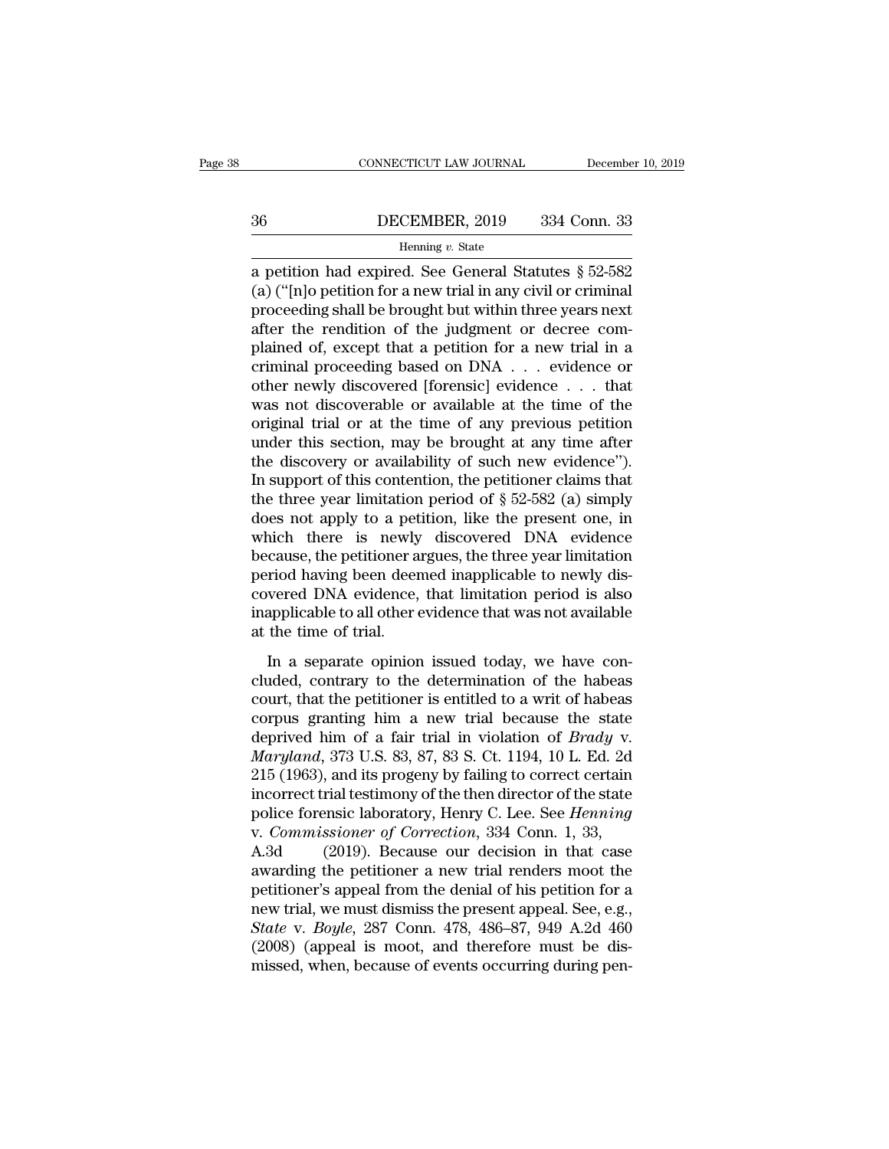## EXECUTE CONNECTICUT LAW JOURNAL December 10, 2019<br>36 DECEMBER, 2019 334 Conn. 33<br>Henning v. State

### Henning *v.* State

 $\begin{tabular}{ll} \multicolumn{1}{l}{{\small \textbf{COMPECTICUT LAW JOURNAL}}} & \multicolumn{1}{l}{\small \textbf{December 10, 2019}}\\ \hline & \multicolumn{1}{l}{\small \textbf{B}}\\ \hline & \multicolumn{1}{l}{\small \textbf{B}}\\ \hline & \multicolumn{1}{l}{\small \textbf{Henning }v}.\;\;\textbf{State} \\ \hline \end{tabular}$ (a) (''[n]o petition for a new trial in any civil or criminal **PECEMBER, 2019** 334 Conn. 33<br>
Henning v. State<br>
a petition had expired. See General Statutes  $\S$  52-582<br>
(a) ("[n]o petition for a new trial in any civil or criminal<br>
proceeding shall be brought but within three years ne 36 DECEMBER, 2019 334 Conn. 33<br>
Henning v. State<br>
a petition had expired. See General Statutes § 52-582<br>
(a) ("[n]o petition for a new trial in any civil or criminal<br>
proceeding shall be brought but within three years nex Framing v. State<br>
a petition had expired. See General Statutes § 52-582<br>
(a) ("[n]o petition for a new trial in any civil or criminal<br>
proceeding shall be brought but within three years next<br>
after the rendition of the ju Framing v. State<br>
(a) ("[n]o petition for a new trial in any civil or criminal<br>
proceeding shall be brought but within three years next<br>
after the rendition of the judgment or decree com-<br>
plained of, except that a petiti a petition had expired. See General Statutes  $\S$  52-582<br>(a) ("[n]o petition for a new trial in any civil or criminal<br>proceeding shall be brought but within three years next<br>after the rendition of the judgment or decree co (a) ("[n]o petition for a new trial in any civil or criminal<br>proceeding shall be brought but within three years next<br>after the rendition of the judgment or decree com-<br>plained of, except that a petition for a new trial in proceeding shall be brought but within three years next<br>after the rendition of the judgment or decree com-<br>plained of, except that a petition for a new trial in a<br>criminal proceeding based on DNA  $\ldots$  evidence or<br>other n after the rendition of the judgment or decree complained of, except that a petition for a new trial in a criminal proceeding based on DNA  $\ldots$  evidence or other newly discoverable or available at the time of the original plained of, except that a petition for a new trial in a<br>criminal proceeding based on DNA . . . evidence or<br>other newly discovered [forensic] evidence . . . that<br>was not discoverable or available at the time of the<br>origina criminal proceeding based on DNA . . . evidence or<br>other newly discovered [forensic] evidence . . . that<br>was not discoverable or available at the time of the<br>original trial or at the time of any previous petition<br>under th other newly discovered [forensic] evidence . . . that<br>was not discoverable or available at the time of the<br>original trial or at the time of any previous petition<br>under this section, may be brought at any time after<br>the di was not discoverable or available at the time of the original trial or at the time of any previous petition under this section, may be brought at any time after the discovery or availability of such new evidence"). In sup original trial or at the time of any previous petition<br>under this section, may be brought at any time after<br>the discovery or availability of such new evidence").<br>In support of this contention, the petitioner claims that<br>t under this section, may be brought at any time after<br>the discovery or availability of such new evidence").<br>In support of this contention, the petitioner claims that<br>the three year limitation period of  $\S 52-582$  (a) simpl the discovery or availability of such new evidence").<br>In support of this contention, the petitioner claims that<br>the three year limitation period of  $\S 52-582$  (a) simply<br>does not apply to a petition, like the present one, In support of this contention, the petitioner claims that<br>the three year limitation period of  $\S$  52-582 (a) simply<br>does not apply to a petition, like the present one, in<br>which there is newly discovered DNA evidence<br>becau the three year limitation period of  $\S$  52-582 (a) simply<br>does not apply to a petition, like the present one, in<br>which there is newly discovered DNA evidence<br>because, the petitioner argues, the three year limitation<br>perio does not apply to a pet<br>which there is newly<br>because, the petitioner a<br>period having been deer<br>covered DNA evidence,<br>inapplicable to all other  $\alpha$ <br>at the time of trial.<br>In a separate opinior The trace is newly discovered ETM evidence<br>cause, the petitioner argues, the three year limitation<br>riod having been deemed inapplicable to newly dis-<br>vered DNA evidence, that limitation period is also<br>applicable to all oth because, are penalistic argues, are after year inhibited<br>period having been deemed inapplicable to newly dis-<br>covered DNA evidence, that limitation period is also<br>inapplicable to all other evidence that was not available<br>a

period naving seen deemed imapprecise to newly dis-<br>covered DNA evidence, that limitation period is also<br>inapplicable to all other evidence that was not available<br>at the time of trial.<br>In a separate opinion issued today, w inapplicable to all other evidence that was not available<br>at the time of trial.<br>In a separate opinion issued today, we have con-<br>cluded, contrary to the determination of the habeas<br>court, that the petitioner is entitled t dependence of the time of trial.<br>
In a separate opinion issued today, we have concluded, contrary to the determination of the habeas<br>
court, that the petitioner is entitled to a writ of habeas<br>
corpus granting him a new tr In a separate opinion issued today, we have concluded, contrary to the determination of the habeas court, that the petitioner is entitled to a writ of habeas corpus granting him a new trial because the state deprived him o In a separate opinion issued today, we have concluded, contrary to the determination of the habeas court, that the petitioner is entitled to a writ of habeas corpus granting him a new trial because the state deprived him cluded, contrary to the determination of the habeas<br>court, that the petitioner is entitled to a writ of habeas<br>corpus granting him a new trial because the state<br>deprived him of a fair trial in violation of *Brady* v.<br>*Mary* court, that the petitioner is entitled to a writ of habeas<br>corpus granting him a new trial because the state<br>deprived him of a fair trial in violation of *Brady* v.<br>*Maryland*, 373 U.S. 83, 87, 83 S. Ct. 1194, 10 L. Ed. 2d corpus granting him a new trial because the state<br>deprived him of a fair trial in violation of *Brady* v.<br>*Maryland*, 373 U.S. 83, 87, 83 S. Ct. 1194, 10 L. Ed. 2d<br>215 (1963), and its progeny by failing to correct certain<br> deprived him of a fair trial in violation of *Brady* v.<br> *Maryland*, 373 U.S. 83, 87, 83 S. Ct. 1194, 10 L. Ed. 2d<br>
215 (1963), and its progeny by failing to correct certain<br>
incorrect trial testimony of the then director Maryland, 373 U.S. 83, 87, 83 S. Ct. 1194, 10 L. Ed. 2d<br>215 (1963), and its progeny by failing to correct certain<br>incorrect trial testimony of the then director of the state<br>police forensic laboratory, Henry C. Lee. See *H* 215 (1963), and its progeny by failing to correct certain<br>incorrect trial testimony of the then director of the state<br>police forensic laboratory, Henry C. Lee. See *Henning*<br>v. *Commissioner of Correction*, 334 Conn. 1, 3 incorrect trial testimony of the then director of the state<br>police forensic laboratory, Henry C. Lee. See *Henning*<br>v. Commissioner of Correction, 334 Conn. 1, 33,<br>A.3d (2019). Because our decision in that case<br>awarding th police forensic laboratory, Henry C. Lee. See *Henning*<br>v. *Commissioner of Correction*, 334 Conn. 1, 33,<br>A.3d (2019). Because our decision in that case<br>awarding the petitioner a new trial renders moot the<br>petitioner's app v. *Commissioner of Correction*, 334 Conn. 1, 33,<br>A.3d (2019). Because our decision in that case<br>awarding the petitioner a new trial renders moot the<br>petitioner's appeal from the denial of his petition for a<br>new trial, we A.3d (2019). Because our decision in that case<br>awarding the petitioner a new trial renders moot the<br>petitioner's appeal from the denial of his petition for a<br>new trial, we must dismiss the present appeal. See, e.g.,<br>*State*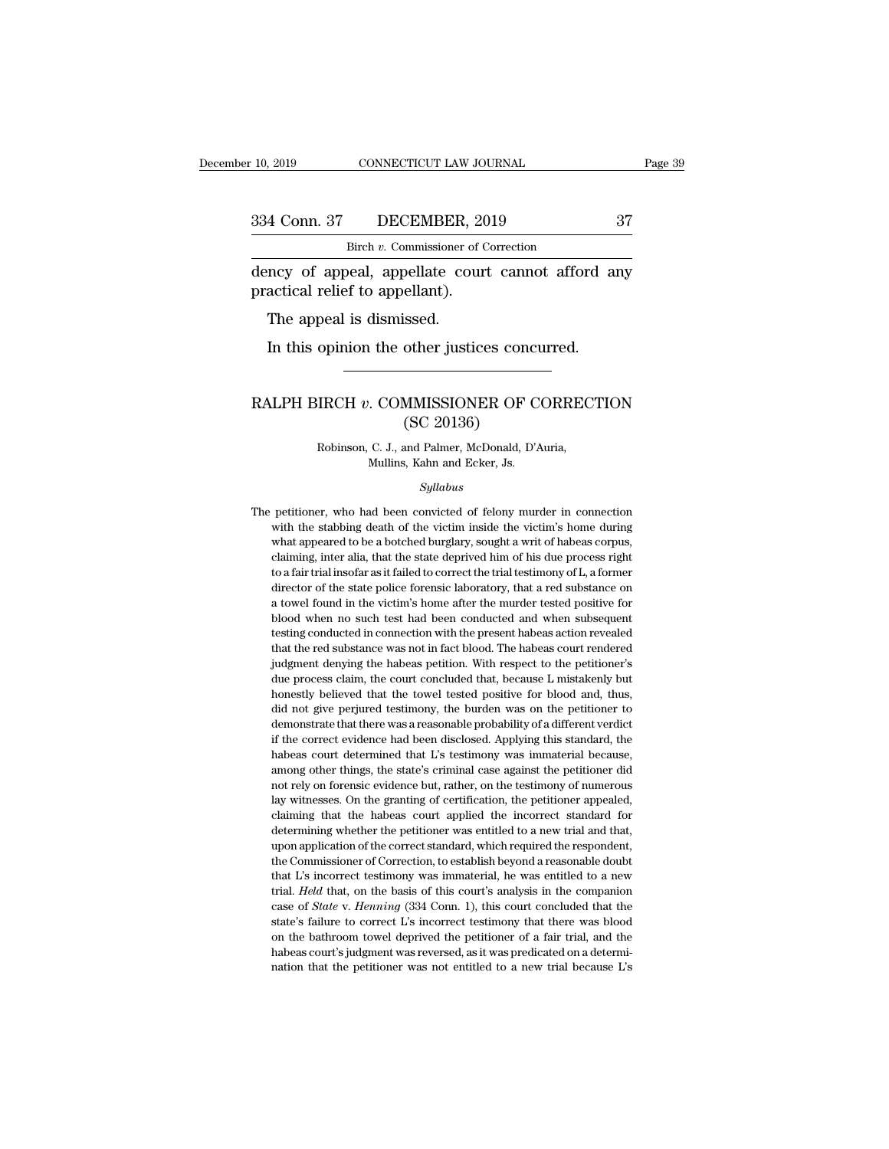10, 2019 CONNECTICUT LAW JOURNAL Page 39<br>334 Conn. 37 DECEMBER, 2019 37<br>Birch v. Commissioner of Correction<br>dency of appeal, appellate court cannot afford any<br>practical relief to appellant). 334 Conn. 37 DECEMBER, 20<br>Birch *v*. Commissioner of C<br>dency of appeal, appellate court<br>practical relief to appellant).<br>The appeal is dismissed. 4 Conn. 37 DECEMBER,<br>Birch v. Commissioner of<br>ncy of appeal, appellate councitical relief to appellant).<br>The appeal is dismissed.<br>In this opinion the other justi Birch v. Commissioner of Correction<br>
In this oppeal, appellate court cannot afford a<br>
actical relief to appellant).<br>
The appeal is dismissed.<br>
In this opinion the other justices concurred.

### practical relief to appellant).<br>
The appeal is dismissed.<br>
In this opinion the other justices concurred.<br>
RALPH BIRCH *v*. COMMISSIONER OF CORRECTION<br>
(SC 20136) Ssed.<br>
other justices conc<br>
MMISSIONER OF C<br>
(SC 20136)<br>
and Palmer, McDonald, D' IRCH v. COMMISSIONER OF CORREC<br>
(SC 20136)<br>
Robinson, C. J., and Palmer, McDonald, D'Auria,<br>
Mullins, Kahn and Ecker, Js. COMMISSIONER OF C<br>(SC 20136)<br>C. J., and Palmer, McDonald, D'A<br>Mullins, Kahn and Ecker, Js.<br>Sullabus

### *Syllabus*

The petitioner, who had been convicted of felony murder in connection<br>with the stabbing death of the victim inside the victim's home during Robinson, C. J., and Palmer, McDonald, D'Auria,<br>Mullins, Kahn and Ecker, Js.<br>Syllabus<br>petitioner, who had been convicted of felony murder in connection<br>with the stabbing death of the victim inside the victim's home during<br> Mullins, Kahn and Ecker, Js.<br>
Syllabus<br>
petitioner, who had been convicted of felony murder in connection<br>
with the stabbing death of the victim inside the victim's home during<br>
what appeared to be a botched burglary, soug Syllabus<br>petitioner, who had been convicted of felony murder in connection<br>with the stabbing death of the victim inside the victim's home during<br>what appeared to be a botched burglary, sought a writ of habeas corpus,<br>claim *Syllabus*<br>petitioner, who had been convicted of felony murder in connection<br>with the stabbing death of the victim inside the victim's home during<br>what appeared to be a botched burglary, sought a writ of habeas corpus,<br>cla petitioner, who had been convicted of felony murder in connection<br>with the stabbing death of the victim inside the victim's home during<br>what appeared to be a botched burglary, sought a writ of habeas corpus,<br>claiming, inte poth the stabbing death of the victim inside the victim's home during<br>what appeared to be a botched burglary, sought a writ of habeas corpus,<br>claiming, inter alia, that the state deprived him of his due process right<br>to a what appeared to be a botched burglary, sought a writ of habeas corpus, claiming, inter alia, that the state deprived him of his due process right to a fair trial insofar as it failed to correct the trial testimony of L, a relations, inter alia, that the state deprived him of his due process right to a fair trial insofar as it failed to correct the trial testimony of L, a former director of the state police forensic laboratory, that a red su to a fair trial insofar as it failed to correct the trial testimony of L, a former director of the state police forensic laboratory, that a red substance on a towel found in the victim's home after the murder tested positi director of the state police forensic laboratory, that a red substance on a towel found in the victim's home after the murder tested positive for blood when no such test had been conducted and when subsequent testing condu a towel found in the victim's home after the murder tested positive for blood when no such test had been conducted and when subsequent testing conducted in connection with the present habeas action revealed that the red su bood when no such test had been conducted and when subsequent testing conducted in connection with the present habeas action revealed that the red substance was not in fact blood. The habeas court rendered judgment denying testing conducted in connection with the present habeas action revealed that the red substance was not in fact blood. The habeas court rendered judgment denying the habeas petition. With respect to the petitioner's due pro that the red substance was not in fact blood. The habeas court rendered judgment denying the habeas petition. With respect to the petitioner's due process claim, the court concluded that, because L mistakenly but honestly independent denying the habeas petition. With respect to the petitioner's due process claim, the court concluded that, because L mistakenly but honestly believed that the towel tested positive for blood and, thus, did not baue process claim, the court concluded that, because L mistakenly but<br>due process claim, the court concluded that, because L mistakenly but<br>honestly believed that the towel tested positive for blood and, thus,<br>did not giv are homestly believed that the towel tested positive for blood and, thus, did not give perjured testimony, the burden was on the petitioner to demonstrate that there was a reasonable probability of a different verdict if t not all do not give perjured testimony, the burden was on the petitioner to demonstrate that there was a reasonable probability of a different verdict if the correct evidence had been disclosed. Applying this standard, the demonstrate that there was a reasonable probability of a different verdict<br>if the correct evidence had been disclosed. Applying this standard, the<br>habeas court determined that L's testimony was immaterial because,<br>among ot if the correct evidence had been disclosed. Applying this standard, the habeas court determined that L's testimony was immaterial because, among other things, the state's criminal case against the petitioner did not rely o determined that L's testimony was immaterial because, habeas court determined that L's testimony was immaterial because, among other things, the state's criminal case against the petitioner did not rely on forensic evidenc among other things, the state's criminal case against the petitioner did not rely on forensic evidence but, rather, on the testimony of numerous lay witnesses. On the granting of certification, the petitioner appealed, cla not rely on forensic evidence but, rather, on the testimony of numerous<br>lay witnesses. On the granting of certification, the petitioner appealed,<br>claiming that the habeas court applied the incorrect standard for<br>determinin lay witnesses. On the granting of certification, the petitioner appealed, claiming that the habeas court applied the incorrect standard for determining whether the petitioner was entitled to a new trial and that, upon appl elaiming that the habeas court applied the incorrect standard for determining whether the petitioner was entitled to a new trial and that, upon application of the correct standard, which required the respondent, the Commis determining whether the petitioner was entitled to a new trial and that, upon application of the correct standard, which required the respondent, the Commissioner of Correction, to establish beyond a reasonable doubt that upon application of the correct standard, which required the respondent, the Commissioner of Correction, to establish beyond a reasonable doubt that L's incorrect testimony was immaterial, he was entitled to a new trial. a form the Commissioner of Correction, to establish beyond a reasonable doubt that L's incorrect testimony was immaterial, he was entitled to a new trial. *Held* that, on the basis of this court's analysis in the companion the Commissioner of Correction, to establish beyond a reasonable doubt that L's incorrect testimony was immaterial, he was entitled to a new trial. *Held* that, on the basis of this court's analysis in the companion case trial. Held that, on the basis of this court's analysis in the companion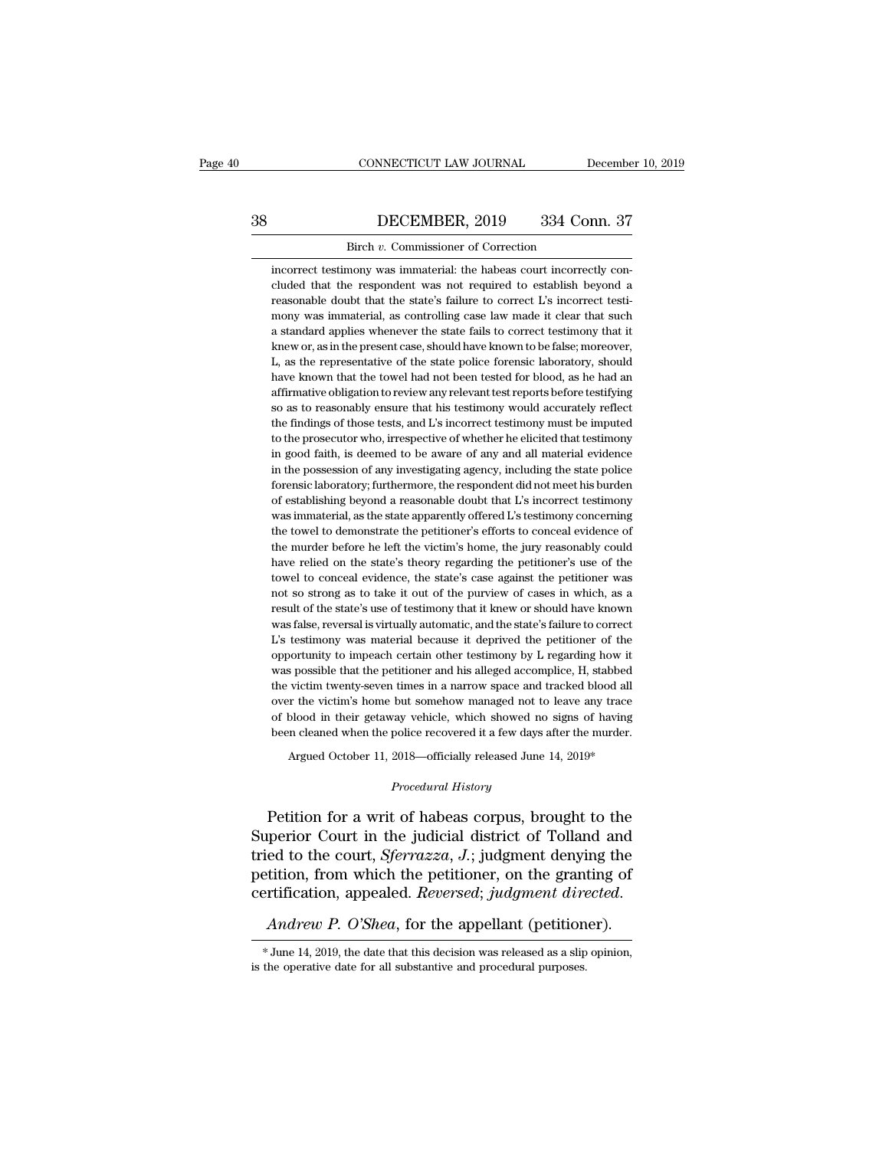# CONNECTICUT LAW JOURNAL December 10, 2019<br>38 DECEMBER, 2019 334 Conn. 37<br>Birch v. Commissioner of Correction CONNECTICUT LAW JOURNAL<br>DECEMBER, 2019 334 Cor<br>Birch *v*. Commissioner of Correction<br>mony was immaterial: the habeas court incorrect

**incorrect testimony was immaterial:** the habeas court incorrectly con-<br>cluded that the respondent was not required to establish beyond a DECEMBER, 2019 334 Conn. 37<br>Birch v. Commissioner of Correction<br>incorrect testimony was immaterial: the habeas court incorrectly con-<br>cluded that the respondent was not required to establish beyond a<br>reasonable doubt that DECEMBER, 2019 334 Conn. 37<br>Birch v. Commissioner of Correction<br>incorrect testimony was immaterial: the habeas court incorrectly con-<br>cluded that the respondent was not required to establish beyond a<br>reasonable doubt that Birch v. Commissioner of Correction<br>incorrect testimony was immaterial: the habeas court incorrectly con-<br>cluded that the respondent was not required to establish beyond a<br>reasonable doubt that the state's failure to corre Birch v. Commissioner of Correction<br>incorrect testimony was immaterial: the habeas court incorrectly con-<br>cluded that the respondent was not required to establish beyond a<br>reasonable doubt that the state's failure to corre incorrect testimony was immaterial: the habeas court incorrectly concluded that the respondent was not required to establish beyond a reasonable doubt that the state's failure to correct L's incorrect testimony was immater cluded that the respondent was not required to establish beyond a reasonable doubt that the state's failure to correct L's incorrect testimony was immaterial, as controlling case law made it clear that such a standard appl reasonable doubt that the state's failure to correct L's incorrect testi-<br>mony was immaterial, as controlling case law made it clear that such<br>a standard applies whenever the state fails to correct testimony that it<br>knew o mony was immaterial, as controlling case law made it clear that such<br>a standard applies whenever the state fails to correct testimony that it<br>knew or, as in the present case, should have known to be false; moreover,<br>L, as a standard applies whenever the state fails to correct testimony that it knew or, as in the present case, should have known to be false; moreover, L, as the representative of the state police forensic laboratory, should ha knew or, as in the present case, should have known to be false; moreover, L, as the representative of the state police forensic laboratory, should have known that the towel had not been tested for blood, as he had an affir L, as the representative of the state police forensic laboratory, should have known that the towel had not been tested for blood, as he had an affirmative obligation to review any relevant test reports before testifying so have known that the towel had not been tested for blood, as he had an affirmative obligation to review any relevant test reports before testifying so as to reasonably ensure that his testimony would accurately reflect the affirmative obligation to review any relevant test reports before testifying<br>so as to reasonably ensure that his testimony would accurately reflect<br>the findings of those tests, and L's incorrect testimony must be imputed<br>t so as to reasonably ensure that his testimony would accurately reflect<br>the findings of those tests, and L's incorrect testimony must be imputed<br>to the prosecutor who, irrespective of whether he elicited that testimony<br>in g the findings of those tests, and L's incorrect testimony must be imputed to the prosecutor who, irrespective of whether he elicited that testimony in good faith, is deemed to be aware of any and all material evidence in th to the prosecutor who, irrespective of whether he elicited that testimony<br>in good faith, is deemed to be aware of any and all material evidence<br>in the possession of any investigating agency, including the state police<br>fore to the prosecutor who, irrespective of whether he elicited that testimony<br>in good faith, is deemed to be aware of any and all material evidence<br>in the possession of any investigating agency, including the state police<br>fore in the possession of any investigating agency, including the state police forensic laboratory; furthermore, the respondent did not meet his burden of establishing beyond a reasonable doubt that L's incorrect testimony was forensic laboratory; furthermore, the respondent did not meet his burden<br>of establishing beyond a reasonable doubt that L's incorrect testimony<br>was immaterial, as the state apparently offered L's testimony concerning<br>the t of establishing beyond a reasonable doubt that L's incorrect testimony<br>was immaterial, as the state apparently offered L's testimony concerning<br>the towel to demonstrate the petitioner's efforts to conceal evidence of<br>the m was immaterial, as the state apparently offered L's testimony concerning<br>the towel to demonstrate the petitioner's efforts to conceal evidence of<br>the murder before he left the victim's home, the jury reasonably could<br>have the towel to demonstrate the petitioner's efforts to conceal evidence of the murder before he left the victim's home, the jury reasonably could have relied on the state's theory regarding the petitioner's use of the towel the murder before he left the victim's home, the jury reasonably could<br>have relied on the state's theory regarding the petitioner's use of the<br>towel to conceal evidence, the state's case against the petitioner was<br>not so s have relied on the state's theory regarding the petitioner's use of the towel to conceal evidence, the state's case against the petitioner was not so strong as to take it out of the purview of cases in which, as a result o towel to conceal evidence, the state's case against the petitioner was not so strong as to take it out of the purview of cases in which, as a result of the state's use of testimony that it knew or should have known was fal not so strong as to take it out of the purview of cases in which, as a<br>result of the state's use of testimony that it knew or should have known<br>was false, reversal is virtually automatic, and the state's failure to correct result of the state's use of testimony that it knew or should have known<br>was false, reversal is virtually automatic, and the state's failure to correct<br>L's testimony was material because it deprived the petitioner of the<br>o was false, reversal is virtually automatic, and the state's failure to correct L's testimony was material because it deprived the petitioner of the opportunity to impeach certain other testimony by L regarding how it was p L's testimony was material because it deprived the petitioner of the opportunity to impeach certain other testimony by L regarding how it was possible that the petitioner and his alleged accomplice, H, stabbed the victim t opportunity to impeach certain other testimony by L regarding how it<br>was possible that the petitioner and his alleged accomplice, H, stabbed<br>the victim twenty-seven times in a narrow space and tracked blood all<br>over the vi s possible that the petitioner and his alleged accomplice, H, stabbed<br>victim twenty-seven times in a narrow space and tracked blood all<br>r the victim's home but somehow managed not to leave any trace<br>blood in their getaway but somehow managed not to<br>*Procedure and History*<br>2018—officially released June<br>*Procedural History* 

% over the victim's home but somehow managed not to leave any trace<br>of blood in their getaway vehicle, which showed no signs of having<br>been cleaned when the police recovered it a few days after the murder.<br>Argued October of blood in their getaway vehicle, which showed no signs of having<br>been cleaned when the police recovered it a few days after the murder.<br>Argued October 11, 2018—officially released June 14, 2019\*<br>*Procedural History*<br>Peti Argued October 11, 2018—officially released June 14, 2019\*<br>*Procedural History*<br>Petition for a writ of habeas corpus, brought to the<br>Superior Court in the judicial district of Tolland and<br>tried to the court, *Sferrazza*, Argued October 11, 2018—officially released June 14, 2019\*<br> *Procedural History*<br>
Petition for a writ of habeas corpus, brought to the<br>
Superior Court in the judicial district of Tolland and<br>
tried to the court, *Sferrazza* Procedural History<br>
Petition for a writ of habeas corpus, brought to the<br>
Superior Court in the judicial district of Tolland and<br>
tried to the court, *Sferrazza*, *J*.; judgment denying the<br>
petition, from which the petiti petition, from which the petitioner, on the granting of certification, appealed. *Reversed*; *judgment directed.*<br>Andrew P. O'Shea, for the appellant (petitioner).<br>\*June 14, 2019, the date that this decision was released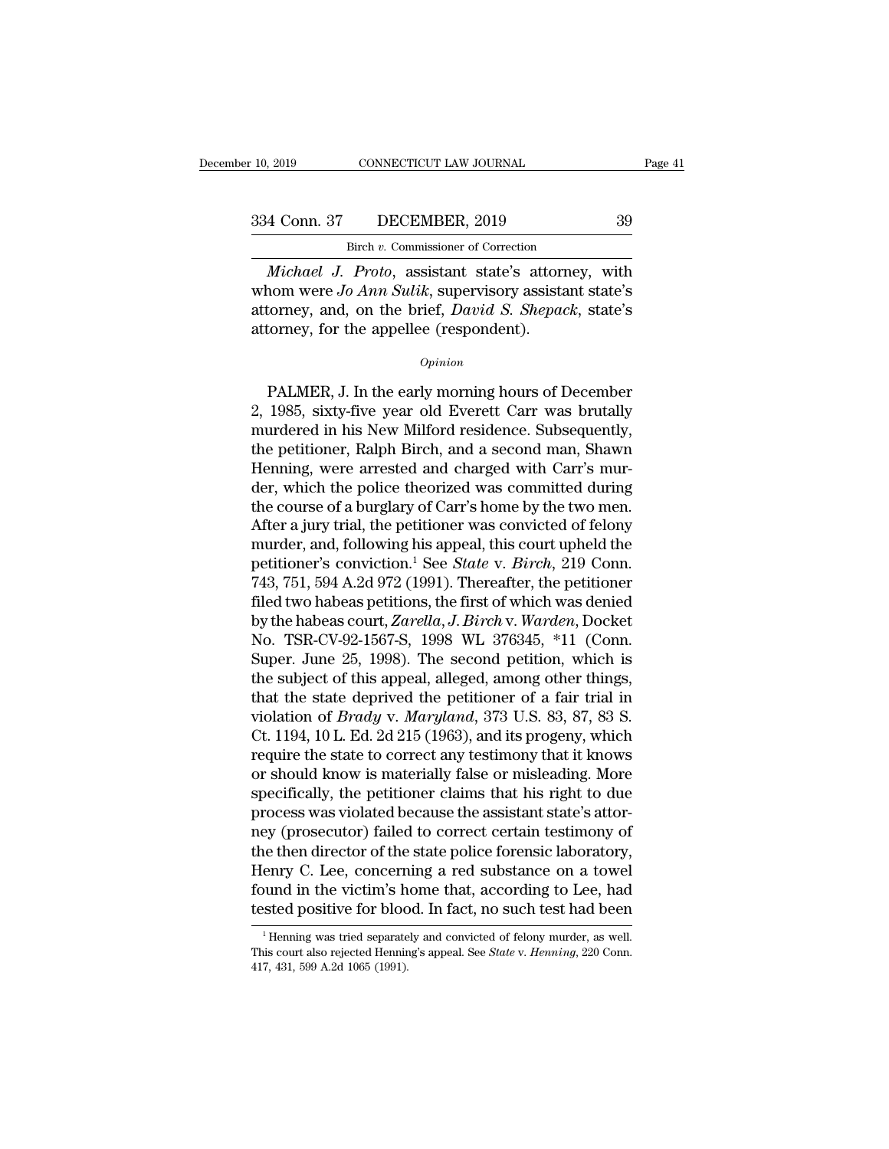CONNECTICUT LAW JOURNAL<br>DECEMBER, 2019<br>Birch *v.* Commissioner of Correction<br>Proto assistant state's attorney

*Page 41*<br> *Michael J. Proto, assistant state's attorney, with<br>
michael J. Proto, assistant state's attorney, with<br>
nom were Jo Ann Sulik, supervisory assistant state's<br>
torney, and on the brief David S. Shangel, state's* 334 Conn. 37 DECEMBER, 2019 39<br>Birch *v*. Commissioner of Correction<br>*Michael J. Proto*, assistant state's attorney, with<br>whom were *Jo Ann Sulik*, supervisory assistant state's<br>attorney, and, on the brief, *David S. Shepa* 334 Conn. 37 DECEMBER, 2019 39<br>Birch v. Commissioner of Correction<br>*Michael J. Proto*, assistant state's attorney, with<br>whom were *Jo Ann Sulik*, supervisory assistant state's<br>attorney, and, on the brief, *David S. Shepack* 334 Conn. 37 DECEMBER, 2019<br>
Birch v. Commissioner of Correction<br> *Michael J. Proto*, assistant state's attorn<br>
whom were *Jo Ann Sulik*, supervisory assistant<br>
attorney, and, on the brief, *David S. Shepael*<br>
attorney, fo michaet J. Proto, assistant state's attorney, with<br>nom were Jo Ann Sulik, supervisory assistant state's<br>torney, and, on the brief, David S. Shepack, state's<br>formey, for the appellee (respondent).<br> $o_{pinion}$ <br>PALMER, J. In the

### *Opinion*

whom were *Jo Ann Sutu*k, supervisory assistant state's<br>attorney, and, on the brief, *David S. Shepack*, state's<br>attorney, for the appellee (respondent).<br> $o_{pinion}$ <br>PALMER, J. In the early morning hours of December<br>2, 1985, s and, on the brief, *David S. Shepack*, state's<br>attorney, for the appellee (respondent).<br>*Opinion*<br>PALMER, J. In the early morning hours of December<br>2, 1985, sixty-five year old Everett Carr was brutally<br>murdered in his New opinion<br>
opinion<br>
DALMER, J. In the early morning hours of December<br>
2, 1985, sixty-five year old Everett Carr was brutally<br>
murdered in his New Milford residence. Subsequently,<br>
the petitioner, Ralph Birch, and a second m Opinion<br>
PALMER, J. In the early morning hours of December<br>
2, 1985, sixty-five year old Everett Carr was brutally<br>
murdered in his New Milford residence. Subsequently,<br>
the petitioner, Ralph Birch, and a second man, Shawn PALMER, J. In the early morning hours of December<br>2, 1985, sixty-five year old Everett Carr was brutally<br>murdered in his New Milford residence. Subsequently,<br>the petitioner, Ralph Birch, and a second man, Shawn<br>Henning, we PALMER, J. In the early morning hours of December<br>2, 1985, sixty-five year old Everett Carr was brutally<br>murdered in his New Milford residence. Subsequently,<br>the petitioner, Ralph Birch, and a second man, Shawn<br>Henning, we 2, 1985, sixty-five year old Everett Carr was brutally<br>murdered in his New Milford residence. Subsequently,<br>the petitioner, Ralph Birch, and a second man, Shawn<br>Henning, were arrested and charged with Carr's mur-<br>der, whic murdered in his New Milford residence. Subsequently,<br>the petitioner, Ralph Birch, and a second man, Shawn<br>Henning, were arrested and charged with Carr's mur-<br>der, which the police theorized was committed during<br>the course the petitioner, Ralph Birch, and a second man, Shawn<br>Henning, were arrested and charged with Carr's mur-<br>der, which the police theorized was committed during<br>the course of a burglary of Carr's home by the two men.<br>After a Henning, were arrested and charged with Carr's murder, which the police theorized was committed during<br>the course of a burglary of Carr's home by the two men.<br>After a jury trial, the petitioner was convicted of felony<br>murd der, which the police theorized was committed during<br>the course of a burglary of Carr's home by the two men.<br>After a jury trial, the petitioner was convicted of felony<br>murder, and, following his appeal, this court upheld t the course of a burglary of Carr's home by the two men.<br>After a jury trial, the petitioner was convicted of felony<br>murder, and, following his appeal, this court upheld the<br>petitioner's conviction.<sup>1</sup> See *State* v. *Birch* After a jury trial, the petitioner was convicted of felony<br>murder, and, following his appeal, this court upheld the<br>petitioner's conviction.<sup>1</sup> See *State* v. *Birch*, 219 Conn.<br>743, 751, 594 A.2d 972 (1991). Thereafter, t murder, and, following his appeal, this court upheld the<br>petitioner's conviction.<sup>1</sup> See *State* v. *Birch*, 219 Conn.<br>743, 751, 594 A.2d 972 (1991). Thereafter, the petitioner<br>filed two habeas petitions, the first of whic petitioner's conviction.<sup>1</sup> See *State* v. *Birch*, 219 Conn.<br>743, 751, 594 A.2d 972 (1991). Thereafter, the petitioner<br>filed two habeas petitions, the first of which was denied<br>by the habeas court, *Zarella*, *J. Birch* 743, 751, 594 A.2d 972 (1991). Thereafter, the petitioner<br>filed two habeas petitions, the first of which was denied<br>by the habeas court, *Zarella*, *J. Birch* v. *Warden*, Docket<br>No. TSR-CV-92-1567-S, 1998 WL 376345, \*11 filed two habeas petitions, the first of which was denied<br>by the habeas court, *Zarella*, *J. Birch* v. *Warden*, Docket<br>No. TSR-CV-92-1567-S, 1998 WL 376345, \*11 (Conn.<br>Super. June 25, 1998). The second petition, which is by the habeas court, *Zarella*, *J. Birch* v. *Warden*, Docket<br>No. TSR-CV-92-1567-S, 1998 WL 376345, \*11 (Conn.<br>Super. June 25, 1998). The second petition, which is<br>the subject of this appeal, alleged, among other things,<br> No. TSR-CV-92-1567-S, 1998 WL 376345, \*11 (Conn.<br>Super. June 25, 1998). The second petition, which is<br>the subject of this appeal, alleged, among other things,<br>that the state deprived the petitioner of a fair trial in<br>viola Super. June 25, 1998). The second petition, which is<br>the subject of this appeal, alleged, among other things,<br>that the state deprived the petitioner of a fair trial in<br>violation of *Brady* v. *Maryland*, 373 U.S. 83, 87, 8 the subject of this appeal, alleged, among other things,<br>that the state deprived the petitioner of a fair trial in<br>violation of *Brady* v. *Maryland*, 373 U.S. 83, 87, 83 S.<br>Ct. 1194, 10 L. Ed. 2d 215 (1963), and its proge that the state deprived the petitioner of a fair trial in violation of *Brady* v. *Maryland*, 373 U.S. 83, 87, 83 S. Ct. 1194, 10 L. Ed. 2d 215 (1963), and its progeny, which require the state to correct any testimony that violation of *Brady* v. *Maryland*, 373 U.S. 83, 87, 83 S.<br>Ct. 1194, 10 L. Ed. 2d 215 (1963), and its progeny, which<br>require the state to correct any testimony that it knows<br>or should know is materially false or misleadin Ct. 1194, 10 L. Ed. 2d 215 (1963), and its progeny, which<br>require the state to correct any testimony that it knows<br>or should know is materially false or misleading. More<br>specifically, the petitioner claims that his right t require the state to correct any testimony that it knows<br>or should know is materially false or misleading. More<br>specifically, the petitioner claims that his right to due<br>process was violated because the assistant state's a or should know is materially false or misleading. More<br>specifically, the petitioner claims that his right to due<br>process was violated because the assistant state's attor-<br>ney (prosecutor) failed to correct certain testimon specifically, the petitioner claims that his right to due<br>process was violated because the assistant state's attor-<br>ney (prosecutor) failed to correct certain testimony of<br>the then director of the state police forensic lab ie then director of the state poince forensic laboratory,<br>enry C. Lee, concerning a red substance on a towel<br>bund in the victim's home that, according to Lee, had<br>sted positive for blood. In fact, no such test had been<br><sup>1</sup> Henry C. Lee, concerning a red substance on a towel<br>found in the victim's home that, according to Lee, had<br>tested positive for blood. In fact, no such test had been<br><sup>1</sup> Henning was tried separately and convicted of felony

found in the victim's h<br>tested positive for bloc<br><sup>1</sup>Henning was tried separate<br>This court also rejected Hennin<br>417, 431, 599 A.2d 1065 (1991).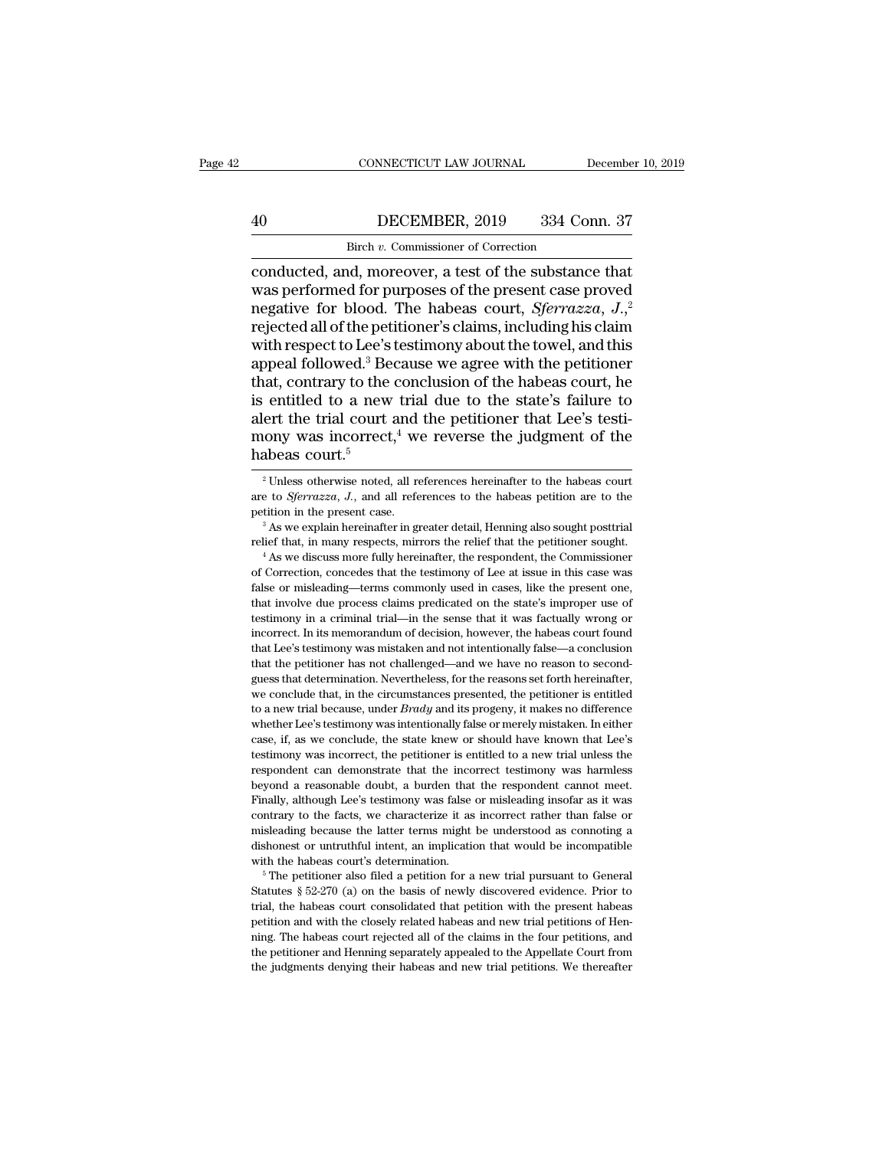# CONNECTICUT LAW JOURNAL December 10, 2019<br>
40 DECEMBER, 2019 334 Conn. 37<br>
Birch v. Commissioner of Correction CONNECTICUT LAW JOURNAL<br>DECEMBER, 2019 334 Correction<br>Birch *v.* Commissioner of Correction<br>nd moreover a test of the substance

CONNECTICUT LAW JOURNAL December 10, 2019<br> **ECEMBER**, 2019 334 Conn. 37<br>
Birch *v*. Commissioner of Correction<br>
conducted, and, moreover, a test of the substance that<br>
was performed for purposes of the present case proved<br> Magnetics of the purposes of the present case proved<br>mediated, and, moreover, a test of the substance that<br>was performed for purposes of the present case proved<br>negative for blood. The habeas court, *Sferrazza*, J.<sup>2</sup><br>reje DECEMBER, 2019 334 Conn. 37<br>
Birch v. Commissioner of Correction<br>
conducted, and, moreover, a test of the substance that<br>
was performed for purposes of the present case proved<br>
negative for blood. The habeas court, *Sferra* First all of the petitioners are agree with the petitioner and followed all of the petitioner's claims, including his claim with respect to Lee's testimony about the towel, and this anneal followed  $3$  Because we agree wi Birch *v*. Commissioner of Correction<br>
conducted, and, moreover, a test of the substance that<br>
was performed for purposes of the present case proved<br>
negative for blood. The habeas court, *Sferrazza*, *J*.<sup>2</sup><br>
rejected al Birch v. Commissioner of Correction<br>
conducted, and, moreover, a test of the substance that<br>
was performed for purposes of the present case proved<br>
negative for blood. The habeas court, *Sferrazza*,  $J_{,i}^2$ <br>
rejected al conducted, and, moreover, a test of the substance that<br>was performed for purposes of the present case proved<br>negative for blood. The habeas court, *Sferrazza*, J.,<sup>2</sup><br>rejected all of the petitioner's claims, including his was performed for purposes of the present case proved<br>negative for blood. The habeas court, *Sferrazza*,  $J$ <sup>2</sup>,<sup>2</sup><br>rejected all of the petitioner's claims, including his claim<br>with respect to Lee's testimony about the to negative for blood. The habeas court, *Sferrazza*, *J.*,<sup>2</sup> rejected all of the petitioner's claims, including his claim with respect to Lee's testimony about the towel, and this appeal followed.<sup>3</sup> Because we agree with rejected all of the petitioner's claims, including his claim<br>with respect to Lee's testimony about the towel, and this<br>appeal followed.<sup>3</sup> Because we agree with the petitioner<br>that, contrary to the conclusion of the habea with respect to Lee's<br>appeal followed.<sup>3</sup> Be<br>that, contrary to the<br>is entitled to a new<br>alert the trial court :<br>mony was incorrect<br>habeas court.<sup>5</sup> entitled to a new trial due to the state's failure to<br>ert the trial court and the petitioner that Lee's testi-<br>ony was incorrect,<sup>4</sup> we reverse the judgment of the<br>abeas court.<sup>5</sup><br><sup>2</sup> Unless otherwise noted, all reference alert the trial court and the petitioner that Lee's testi-<br>mony was incorrect,<sup>4</sup> we reverse the judgment of the<br>habeas court.<sup>5</sup><br><sup>2</sup>Unless otherwise noted, all references hereinafter to the habeas court<br>are to *Sferrazza* 

mony was incorrect,<sup>4</sup> we reverse the judgment of the habeas court.<sup>5</sup><br> $\rightarrow$ <sup>2</sup>Unless otherwise noted, all references hereinafter to the habeas court are to *Sferrazza*, *J*., and all references to the habeas petition are relief that, in many respects, mirrors the relief that the petition in the present case.<br>
<sup>3</sup> As we explain hereinafter in greater detail, Henning also sought posttrial relief that, in many respects, mirrors the relief th

are to *Sferrazza*, *J*., and all references to the habeas petition are to the petition in the present case.<br><sup>3</sup> As we explain hereinafter in greater detail, Henning also sought posttrial relief that, in many respects, mi petition in the present case.<br>
<sup>3</sup> As we explain hereinafter in greater detail, Henning also sought posttrial<br>
relief that, in many respects, mirrors the relief that the petitioner sought.<br>
<sup>4</sup> As we discuss more fully her <sup>3</sup> As we explain hereinafter in greater detail, Henning also sought posttrial relief that, in many respects, mirrors the relief that the petitioner sought.<br><sup>4</sup> As we discuss more fully hereinafter, the respondent, the Com relief that, in many respects, mirrors the relief that the petitioner sought.<br>
<sup>4</sup> As we discuss more fully hereinafter, the respondent, the Commissioner<br>
of Correction, concedes that the testimony of Lee at issue in this <sup>4</sup> As we discuss more fully hereinafter, the respondent, the Commissioner of Correction, concedes that the testimony of Lee at issue in this case was false or misleading—terms commonly used in cases, like the present one, of Correction, concedes that the testimony of Lee at issue in this case was false or misleading—terms commonly used in cases, like the present one, that involve due process claims predicated on the state's improper use of False or misleading—terms commonly used in cases, like the present one, that involve due process claims predicated on the state's improper use of testimony in a criminal trial—in the sense that it was factually wrong or in that involve due process claims predicated on the state's improper use of testimony in a criminal trial—in the sense that it was factually wrong or incorrect. In its memorandum of decision, however, the habeas court found testimony in a criminal trial—in the sense that it was factually wrong or incorrect. In its memorandum of decision, however, the habeas court found that Lee's testimony was mistaken and not intentionally false—a conclusio incorrect. In its memorandum of decision, however, the habeas court found that Lee's testimony was mistaken and not intentionally false—a conclusion that the petitioner has not challenged—and we have no reason to second-gu that Lee's testimony was mistaken and not intentionally false—a conclusion<br>that the petitioner has not challenged—and we have no reason to second-<br>guess that determination. Nevertheless, for the reasons set forth hereinaf that the petitioner has not challenged—and we have no reason to second-<br>that the petitioner has not challenged—and we have no reason to second-<br>guess that determination. Nevertheless, for the reasons set forth hereinafter, dues sthat determination. Nevertheless, for the reasons set forth hereinafter, we conclude that, in the circumstances presented, the petitioner is entitled to a new trial because, under *Brady* and its progeny, it makes no we conclude that, in the circumstances presented, the petitioner is entitled to a new trial because, under *Brady* and its progeny, it makes no difference whether Lee's testimony was intentionally false or merely mistaken to a new trial because, under *Brady* and its progeny, it makes no difference whether Lee's testimony was intentionally false or merely mistaken. In either case, if, as we conclude, the state knew or should have known tha whether Lee's testimony was intentionally false or merely mistaken. In either case, if, as we conclude, the state knew or should have known that Lee's testimony was incorrect, the petitioner is entitled to a new trial unle case, if, as we conclude, the state knew or should have known that Lee's<br>case, if, as we conclude, the state knew or should have known that Lee's<br>testimony was incorrect, the petitioner is entitled to a new trial unless th exer, in the peritoner is entitled to a new trial unless the respondent can demonstrate that the incorrect testimony was harmless beyond a reasonable doubt, a burden that the respondent cannot meet. Finally, although Lee's respondent can demonstrate that the incorrect testimony was harmless<br>beyond a reasonable doubt, a burden that the respondent cannot meet.<br>Finally, although Lee's testimony was false or misleading insofar as it was<br>contrary beyond a reasonable doubt, a burden that the respondent cannot meet.<br>Finally, although Lee's testimony was false or misleading insofar as it was contrary to the facts, we characterize it as incorrect rather than false or Statutes § 52-270 (a) on the basis of newly discovered evidence. Prior to the facts, we characterize it as incorrect rather than false or misleading because the latter terms might be understood as connoting a dishonest or

misleading because the latter terms might be understood as connoting a dishonest or untruthful intent, an implication that would be incompatible with the habeas court's determination.<br>
<sup>5</sup> The petitioner also filed a peti dishonest or untruthful intent, an implication that would be incompatible with the habeas court's determination.<br>
<sup>5</sup> The petitioner also filed a petition for a new trial pursuant to General Statutes  $\S 52-270$  (a) on the with the habeas court's determination.<br>
<sup>5</sup> The petitioner also filed a petition for a new trial pursuant to General<br>
Statutes  $\S 52-270$  (a) on the basis of newly discovered evidence. Prior to<br>
trial, the habeas court co The petitioner also filed a petition for a new trial pursuant to General Statutes  $\S 52-270$  (a) on the basis of newly discovered evidence. Prior to trial, the habeas court consolidated that petition with the present habe Statutes  $\S$  52-270 (a) on the basis of newly discovered evidence. Prior to trial, the habeas court consolidated that petition with the present habeas petition and with the closely related habeas and new trial petitions o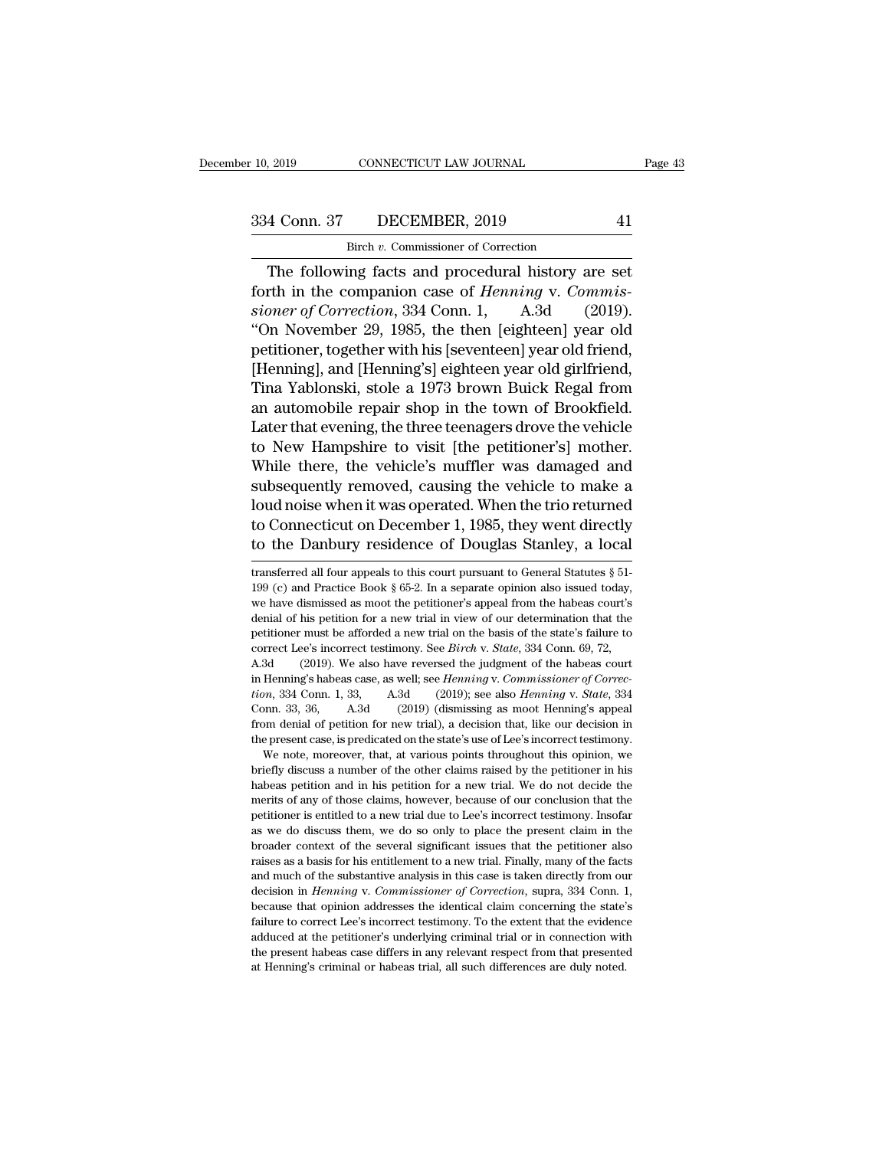CONNECTICUT LAW JOURNAL<br>DECEMBER, 2019<br>Birch *v.* Commissioner of Correction<br>ing facts, and procedural history an The following facts and procedural history are set<br>
The following facts and procedural history are set<br>
The following facts and procedural history are set<br>
The in the companion case of *Henning* v. *Commis*-Forth in the commissioner of Correction<br>
The following facts and procedural history are set<br>
forth in the companion case of *Henning* v. *Commis-*<br> *Sioner of Correction*, 334 Conn. 1, A.3d (2019).<br>
"On November 20, 1985, <sup>334</sup> Conn. 37 DECEMBER, 2019 41<br>
<sup>Birch v</sup>. Commissioner of Correction<br>
The following facts and procedural history are set<br>
forth in the companion case of *Henning* v. *Commissioner of Correction*, 334 Conn. 1, A.3d (2019 334 Conn. 37 DECEMBER, 2019 41<br>
Birch v. Commissioner of Correction<br>
The following facts and procedural history are set<br>
forth in the companion case of *Henning* v. *Commissioner of Correction*, 334 Conn. 1, A.3d (2019).<br> Birch v. Commissioner of Correction<br>
The following facts and procedural history are set<br>
forth in the companion case of *Henning* v. Commis-<br>
sioner of Correction, 334 Conn. 1, A.3d (2019).<br>
"On November 29, 1985, the then The following facts and procedural history are set<br>forth in the companion case of *Henning* v. *Commissioner of Correction*, 334 Conn. 1, A.3d (2019).<br>"On November 29, 1985, the then [eighteen] year old<br>petitioner, togeth The following facts and procedural history are set<br>forth in the companion case of *Henning* v. *Commissioner of Correction*, 334 Conn. 1, A.3d (2019).<br>"On November 29, 1985, the then [eighteen] year old<br>petitioner, togethe forth in the companion case of *Henning* v. *Commissioner of Correction*, 334 Conn. 1, A.3d (2019).<br>
"On November 29, 1985, the then [eighteen] year old<br>
petitioner, together with his [seventeen] year old friend,<br>
[Henning sioner of Correction, 334 Conn. 1, A.3d (2019).<br>
"On November 29, 1985, the then [eighteen] year old<br>
petitioner, together with his [seventeen] year old friend,<br>
[Henning], and [Henning's] eighteen year old girlfriend,<br>
Ti "On November 29, 1985, the then [eighteen] year old<br>petitioner, together with his [seventeen] year old friend,<br>[Henning], and [Henning's] eighteen year old girlfriend,<br>Tina Yablonski, stole a 1973 brown Buick Regal from<br>an petitioner, together with his [seventeen] year old friend,<br>[Henning], and [Henning's] eighteen year old girlfriend,<br>Tina Yablonski, stole a 1973 brown Buick Regal from<br>an automobile repair shop in the town of Brookfield.<br>L [Henning], and [Henning's] eighteen year old girlfriend,<br>Tina Yablonski, stole a 1973 brown Buick Regal from<br>an automobile repair shop in the town of Brookfield.<br>Later that evening, the three teenagers drove the vehicle<br>to Tina Yablonski, stole a 1973 brown Buick Regal from<br>an automobile repair shop in the town of Brookfield.<br>Later that evening, the three teenagers drove the vehicle<br>to New Hampshire to visit [the petitioner's] mother.<br>While an automobile repair shop in the town of Brookfield.<br>Later that evening, the three teenagers drove the vehicle<br>to New Hampshire to visit [the petitioner's] mother.<br>While there, the vehicle's muffler was damaged and<br>subsequ Later that evening, the three teenagers drove the vehicle<br>to New Hampshire to visit [the petitioner's] mother.<br>While there, the vehicle's muffler was damaged and<br>subsequently removed, causing the vehicle to make a<br>loud no subsequently removed, causing the venicle to make a<br>loud noise when it was operated. When the trio returned<br>to Connecticut on December 1, 1985, they went directly<br>to the Danbury residence of Douglas Stanley, a local<br>trans loud noise when it was operated. When the trio returned<br>to Connecticut on December 1, 1985, they went directly<br>to the Danbury residence of Douglas Stanley, a local<br>transferred all four appeals to this court pursuant to Gen

Conn. 33, 36, A.3d (2019) (dismissing as moot Henning's appeal<br>from denial of petition for new trial), a decision that, like our decision in<br>the present case, is predicated on the state's use of Lee's incorrect testimony. from denial of petition for new trial), a decision that, like our decision in the present case, is predicated on the state's use of Lee's incorrect testimony. We note, moreover, that, at various points throughout this opin the present case, is predicated on the state's use of Lee's incorrect testimony.<br>We note, moreover, that, at various points throughout this opinion, we briefly discuss a number of the other claims raised by the petitioner We note, moreover, that, at various points throughout this opinion, we briefly discuss a number of the other claims raised by the petitioner in his habeas petition and in his petition for a new trial. We do not decide the briefly discuss a number of the other claims raised by the petitioner in his habeas petition and in his petition for a new trial. We do not decide the merits of any of those claims, however, because of our conclusion that habeas petition and in his petition for a new trial. We do not decide the merits of any of those claims, however, because of our conclusion that the petitioner is entitled to a new trial due to Lee's incorrect testimony. I merits of any of those claims, however, because of our conclusion that the petitioner is entitled to a new trial due to Lee's incorrect testimony. Insofar as we do discuss them, we do so only to place the present claim in pertitioner is entitled to a new trial due to Lee's incorrect testimony. Insofar<br>as we do discuss them, we do so only to place the present claim in the<br>broader context of the several significant issues that the petitioner pass we do discuss them, we do so only to place the present claim in the broader context of the several significant issues that the petitioner also raises as a basis for his entitlement to a new trial. Finally, many of the above context of the several significant issues that the petitioner also<br>proader context of the several significant issues that the petitioner also<br>raises as a basis for his entitlement to a new trial. Finally, many of the Fraises as a basis for his entitlement to a new trial. Finally, many of the facts and much of the substantive analysis in this case is taken directly from our decision in *Henning* v. *Commissioner of Correction*, supra, and much of the substantive analysis in this case is taken directly from our decision in *Henning* v. *Commissioner of Correction*, supra, 334 Conn. 1, because that opinion addresses the identical claim concerning the stat and much of the substantive analysis in this case is taken directly from our decision in *Henning* v. *Commissioner of Correction*, supra, 334 Conn. 1, because that opinion addresses the identical claim concerning the sta

to Connecticut on December 1, 1985, they went directly<br>to the Danbury residence of Douglas Stanley, a local<br>transferred all four appeals to this court pursuant to General Statutes  $\S$  51-<br>199 (c) and Practice Book  $\S$  65to the Danbury residence of Douglas Stanley, a local<br>transferred all four appeals to this court pursuant to General Statutes § 51-<br>199 (c) and Practice Book § 65-2. In a separate opinion also issued today,<br>we have dismiss perfect of Douglas Statiley, a local<br>transferred all four appeals to this court pursuant to General Statutes § 51-<br>199 (c) and Practice Book § 65-2. In a separate opinion also issued today,<br>we have dismissed as moot the p transferred all four appeals to this court pursuant to General Statutes  $\S$  51-<br>199 (c) and Practice Book  $\S$  65-2. In a separate opinion also issued today,<br>we have dismissed as moot the petitioner's appeal from the habea 199 (c) and Practice Book § 65-2. In a separate opinion also issued today, we have dismissed as moot the petitioner's appeal from the habeas court's denial of his petition for a new trial in view of our determination that in Henning's habeas cost as well; see *Henning* of the habeas court's denial of his petition for a new trial in view of our determination that the petitioner must be afforded a new trial on the basis of the state's failure *the*nial of his petition for a new trial in view of our determination that the petitioner must be afforded a new trial on the basis of the state's failure to correct Lee's incorrect testimony. See *Birch* v. *State*, 334 petitioner must be afforded a new trial on the basis of the state's failure to correct Lee's incorrect testimony. See *Birch* v. *State*, 334 Conn. 69, 72, A.3d (2019). We also have reversed the judgment of the habeas cour from denial of petition for new trial), a decision that, like our denial of person denial of the habeas court in Henning's habeas case, as well; see *Henning v. Commissioner of Correction*, 334 Conn. 1, 33, A.3d (2019); se A.3d (2019). We also have reversed the judgment of the habeas court<br>in Henning's habeas case, as well; see *Henning v. Commissioner of Correction*, 334 Conn. 1, 33, A.3d (2019); see also *Henning v. State*, 334<br>Conn. 33, Henning's habeas case, as well; see *Henning* v. *Commissioner of Correction*, 334 Conn. 1, 33, A.3d (2019); see also *Henning* v. *State*, 334 pm. 33, 36, A.3d (2019) (dismissing as moot Henning's appeal am denial of pet *tion*, 334 Conn. 1, 33, A.3d (2019); see also *Henning* v. *State*, 334 Conn. 33, 36, A.3d (2019) (dismissing as moot Henning's appeal from denial of petition for new trial), a decision that, like our decision in the pres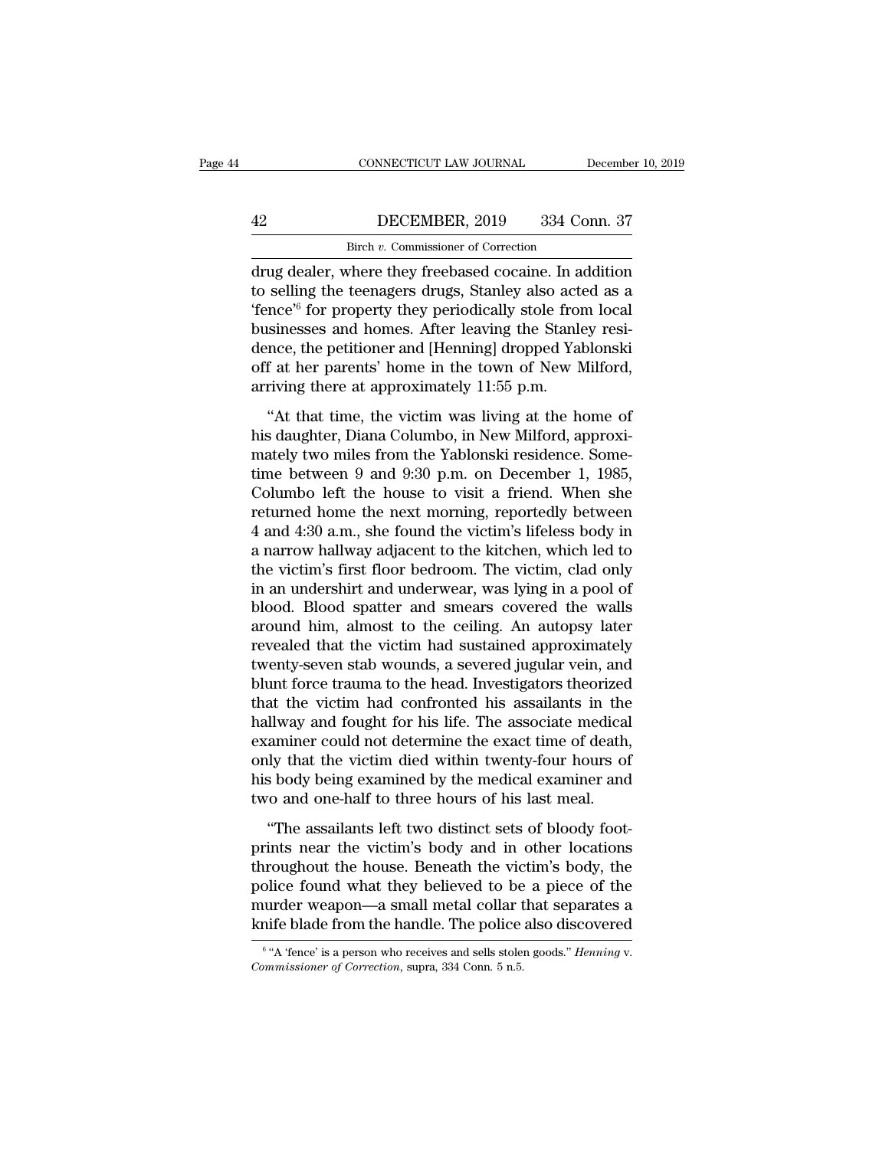# CONNECTICUT LAW JOURNAL December 10, 2019<br>
42 DECEMBER, 2019 334 Conn. 37<br>
Birch v. Commissioner of Correction CONNECTICUT LAW JOURNAL<br>DECEMBER, 2019 334 Correction<br>Birch *v.* Commissioner of Correction<br>where they freebased cocaine. In add

CONNECTICUT LAW JOURNAL December 10, 2019<br>
42 DECEMBER, 2019 334 Conn. 37<br>
Birch v. Commissioner of Correction<br>
drug dealer, where they freebased cocaine. In addition<br>
to selling the teenagers drugs, Stanley also acted as The Stanley Correction<br>
The teenagers drugs, Stanley also acted as a<br>
tence<sup>76</sup> for property they periodically stole from local<br>
teenagers drugs, Stanley also acted as a<br>
tence<sup>76</sup> for property they periodically stole from  $\frac{\text{Bireh }v. \text{ Commissioner of Correction}}{\text{drug dealer, where they freebased cocaine. In addition}}$ <br>to selling the teenagers drugs, Stanley also acted as a "fence" for property they periodically stole from local businesses and homes. After leaving the Stanley residence the petition **Businesses and homes. After leaving the Agent Standard Correction**<br>drug dealer, where they freebased cocaine. In addition<br>to selling the teenagers drugs, Stanley also acted as a<br>"fence" for property they periodically sto Birch v. Commissioner of Correction<br>drug dealer, where they freebased cocaine. In addition<br>to selling the teenagers drugs, Stanley also acted as a<br>"fence" for property they periodically stole from local<br>businesses and home shear v. Commissioner of Correction<br>drug dealer, where they freebased cocaine. In addition<br>to selling the teenagers drugs, Stanley also acted as a<br>"fence" for property they periodically stole from local<br>businesses and hom drug dealer, where they freebased cocaine. In a<br>to selling the teenagers drugs, Stanley also act<br>'fence'<sup>6</sup> for property they periodically stole from<br>businesses and homes. After leaving the Stanle<br>dence, the petitioner and beams are to changers analy, businesy and the at a more of form in the stanley resi-<br>
ince, the petitioner and [Henning] dropped Yablonski<br>
f at her parents' home in the town of New Milford,<br>
riving there at approximately businesses and homes. After leaving the Stanley residence, the petitioner and [Henning] dropped Yablonski off at her parents' home in the town of New Milford, arriving there at approximately 11:55 p.m.<br>"At that time, the

dence, the petitioner and [Henning] dropped Yablonski<br>off at her parents' home in the town of New Milford,<br>arriving there at approximately 11:55 p.m.<br>"At that time, the victim was living at the home of<br>his daughter, Diana off at her parents' home in the town of New Milford,<br>off at her parents' home in the town of New Milford,<br>arriving there at approximately 11:55 p.m.<br>"At that time, the victim was living at the home of<br>his daughter, Diana C arriving there at approximately 11:55 p.m.<br>
"At that time, the victim was living at the home of<br>
his daughter, Diana Columbo, in New Milford, approxi-<br>
mately two miles from the Yablonski residence. Some-<br>
time between 9 "At that time, the victim was living at the home of<br>his daughter, Diana Columbo, in New Milford, approxi-<br>mately two miles from the Yablonski residence. Some-<br>time between 9 and 9:30 p.m. on December 1, 1985,<br>Columbo left "At that time, the victim was living at the home of<br>his daughter, Diana Columbo, in New Milford, approxi-<br>mately two miles from the Yablonski residence. Some-<br>time between 9 and 9:30 p.m. on December 1, 1985,<br>Columbo left his daughter, Diana Columbo, in New Milford, approximately two miles from the Yablonski residence. Some-<br>time between 9 and 9:30 p.m. on December 1, 1985,<br>Columbo left the house to visit a friend. When she<br>returned home th mately two miles from the Yablonski residence. Some-<br>time between 9 and 9:30 p.m. on December 1, 1985,<br>Columbo left the house to visit a friend. When she<br>returned home the next morning, reportedly between<br>4 and 4:30 a.m., time between 9 and 9:30 p.m. on December 1, 1985,<br>Columbo left the house to visit a friend. When she<br>returned home the next morning, reportedly between<br>4 and 4:30 a.m., she found the victim's lifeless body in<br>a narrow hall Columbo left the house to visit a friend. When she<br>returned home the next morning, reportedly between<br>4 and 4:30 a.m., she found the victim's lifeless body in<br>a narrow hallway adjacent to the kitchen, which led to<br>the vict returned home the next morning, reportedly between<br>4 and 4:30 a.m., she found the victim's lifeless body in<br>a narrow hallway adjacent to the kitchen, which led to<br>the victim's first floor bedroom. The victim, clad only<br>in 4 and 4:30 a.m., she found the victim's lifeless body in<br>a narrow hallway adjacent to the kitchen, which led to<br>the victim's first floor bedroom. The victim, clad only<br>in an undershirt and underwear, was lying in a pool of a narrow hallway adjacent to the kitchen, which led to<br>the victim's first floor bedroom. The victim, clad only<br>in an undershirt and underwear, was lying in a pool of<br>blood. Blood spatter and smears covered the walls<br>around the victim's first floor bedroom. The victim, clad only<br>in an undershirt and underwear, was lying in a pool of<br>blood. Blood spatter and smears covered the walls<br>around him, almost to the ceiling. An autopsy later<br>revealed in an undershirt and underwear, was lying in a pool of<br>blood. Blood spatter and smears covered the walls<br>around him, almost to the ceiling. An autopsy later<br>revealed that the victim had sustained approximately<br>twenty-seven blood. Blood spatter and smears covered the walls<br>around him, almost to the ceiling. An autopsy later<br>revealed that the victim had sustained approximately<br>twenty-seven stab wounds, a severed jugular vein, and<br>blunt force t around him, almost to the ceiling. An autopsy later<br>revealed that the victim had sustained approximately<br>twenty-seven stab wounds, a severed jugular vein, and<br>blunt force trauma to the head. Investigators theorized<br>that th revealed that the victim had sustained approximately<br>twenty-seven stab wounds, a severed jugular vein, and<br>blunt force trauma to the head. Investigators theorized<br>that the victim had confronted his assailants in the<br>hallwa twenty-seven stab wounds, a severed jugular vein, and<br>blunt force trauma to the head. Investigators theorized<br>that the victim had confronted his assailants in the<br>hallway and fought for his life. The associate medical<br>exam blunt force trauma to the head. Investigators theorized<br>that the victim had confronted his assailants in the<br>hallway and fought for his life. The associate medical<br>examiner could not determine the exact time of death,<br>only Ilway and fought for his life. The associate medical<br>
llway and fought for his life. The associate medical<br>
aminer could not determine the exact time of death,<br>
ly that the victim died within twenty-four hours of<br>
s body b prints and is also the motion at the victimity denotes the season of death, only that the victim died within twenty-four hours of his body being examined by the medical examiner and two and one-half to three hours of his l

only that the victim died within twenty-four hours of<br>his body being examined by the medical examiner and<br>two and one-half to three hours of his last meal.<br>"The assailants left two distinct sets of bloody foot-<br>prints near believed by the medical examiner and<br>two and one-half to three hours of his last meal.<br>"The assailants left two distinct sets of bloody foot-<br>prints near the victim's body and in other locations<br>throughout the house. Benea murder weak and one-half to three hours of his last meal.<br>
"The assailants left two distinct sets of bloody foot-<br>
prints near the victim's body and in other locations<br>
throughout the house. Beneath the victim's body, the<br> The assailants left two distinct sets of bloody foot-<br>prints near the victim's body and in other locations<br>throughout the house. Beneath the victim's body, the<br>police found what they believed to be a piece of the<br>murder w throughout the house. Beneath the victim's body, the police found what they believed to be a piece of the murder weapon—a small metal collar that separates a knife blade from the handle. The police also discovered  $\frac{1}{6}$ 

 $6$  "A 'fence' is a person who receives and sells stolen goods." *Henning v*.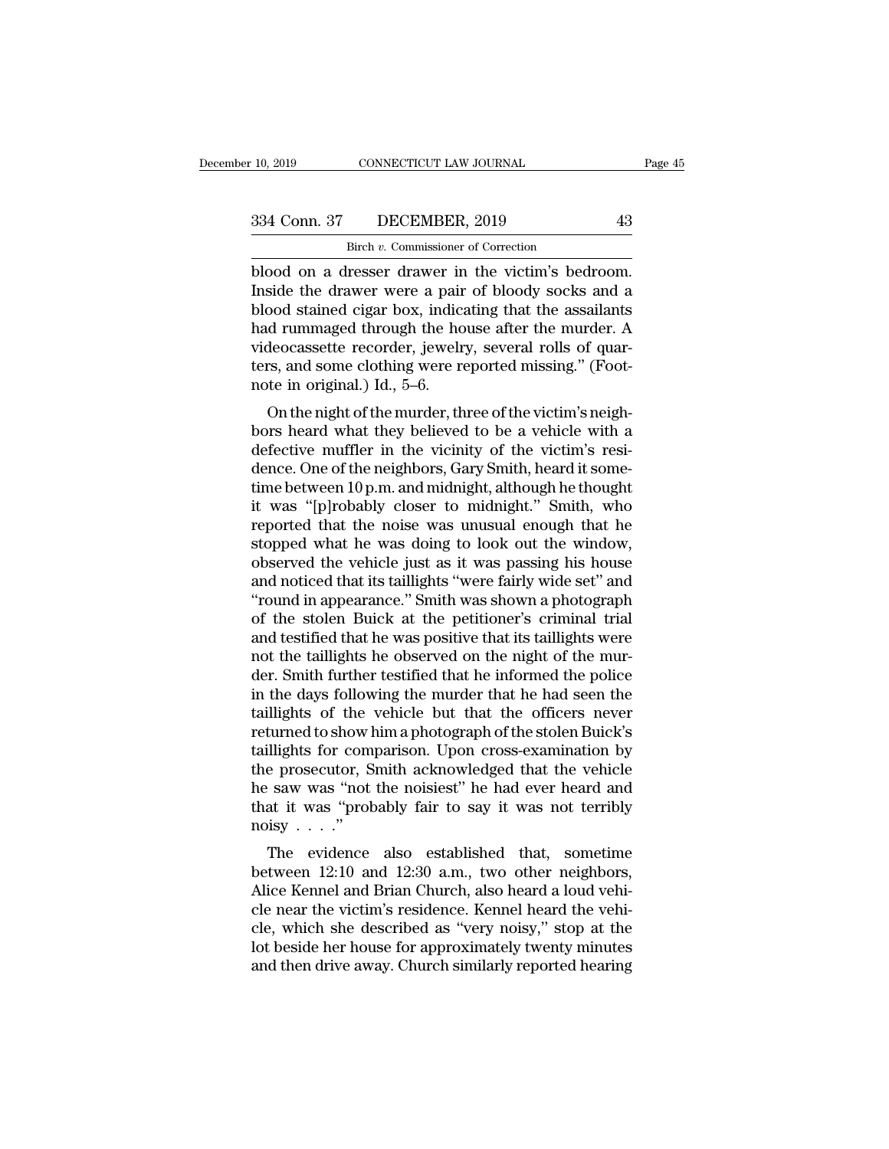CONNECTICUT LAW JOURNAL<br>DECEMBER, 2019<br>Birch *v.* Commissioner of Correction<br>resser drawer in the victim's bedu 10, 2019 CONNECTICUT LAW JOURNAL Page<br>
334 Conn. 37 DECEMBER, 2019 43<br>
Birch v. Commissioner of Correction<br>
blood on a dresser drawer in the victim's bedroom.<br>
Inside the drawer were a pair of bloody socks and a<br>
blood sta  $\begin{array}{c|c} \text{334 Conn. } 37 & \text{DECEMBER, 2019} & \text{43} \\ \hline \text{Bireh } v. \text{ Commissioner of Correction} \\ \text{blood on a dresser drawer in the victim's bedroom.} \\ \text{Inside the drawer were a pair of bloody socks and a blood stained cigar box, indicating that the assignments had rummaged through the house after the murder.} \end{array}$  $\begin{array}{c|c} \text{334 Conn. 37} & \text{DECEMBER, 2019} & \text{43} \\ \hline \text{Bireh } v. \text{ Commissioner of Correction} \\ \text{blood on a dresser drawer in the victim's bedroom.} \\ \text{Inside the drawer were a pair of bloody socks and a blood stained cigar box, indicating that the assaults had rummaged through the house after the murder. A videocassetto recordor, is well. 20021 rolls of query.$  $\frac{334 \text{ Conn. } 37}{\text{Bitch } v. \text{ Commissioner of Correction}}$ <br>blood on a dresser drawer in the victim's bedroom.<br>Inside the drawer were a pair of bloody socks and a<br>blood stained cigar box, indicating that the assailants<br>had rummaged through the ho Birch *v*. Commissioner of Correction<br>blood on a dresser drawer in the victim's bedroom.<br>Inside the drawer were a pair of bloody socks and a<br>blood stained cigar box, indicating that the assailants<br>had rummaged through the Birch v. Commissioner of Correction<br>blood on a dresser drawer in the victim's bedroom.<br>Inside the drawer were a pair of bloody socks and a<br>blood stained cigar box, indicating that the assailants<br>had rummaged through the h blood on a dresser drawer in<br>Inside the drawer were a pair<br>blood stained cigar box, indica<br>had rummaged through the ho<br>videocassette recorder, jewelr<br>ters, and some clothing were re<br>note in original.) Id., 5–6.<br>On the nigh Side the thawer were a pair of bloody socks and a<br>ood stained cigar box, indicating that the assailants<br>d rummaged through the house after the murder. A<br>deocassette recorder, jewelry, several rolls of quar-<br>rs, and some cl bood stained cigar box, indicating that the assanants<br>had rummaged through the house after the murder. A<br>videocassette recorder, jewelry, several rolls of quar-<br>ters, and some clothing were reported missing." (Foot-<br>note i

riad runninged unough the nouse arter the intrider. A<br>videocassette recorder, jewelry, several rolls of quar-<br>ters, and some clothing were reported missing." (Foot-<br>note in original.) Id., 5–6.<br>On the night of the murder, videocassette recorder, jeweny, several folls of quar-<br>ters, and some clothing were reported missing." (Foot-<br>note in original.) Id., 5–6.<br>On the night of the murder, three of the victim's neigh-<br>bors heard what they belie ters, and some clouding were reported missing. (Poot-<br>note in original.) Id., 5–6.<br>On the night of the murder, three of the victim's neigh-<br>bors heard what they believed to be a vehicle with a<br>defective muffler in the vici if we in original.) id., 5–0.<br>
On the night of the murder, three of the victim's neigh-<br>
bors heard what they believed to be a vehicle with a<br>
defective muffler in the vicinity of the victim's resi-<br>
dence. One of the neig On the night of the murder, three of the victim's neigh-<br>bors heard what they believed to be a vehicle with a<br>defective muffler in the vicinity of the victim's resi-<br>dence. One of the neighbors, Gary Smith, heard it some-<br> bors heard what they believed to be a vehicle with a<br>defective muffler in the vicinity of the victim's resi-<br>dence. One of the neighbors, Gary Smith, heard it some-<br>time between 10 p.m. and midnight, although he thought<br>it defective muffler in the vicinity of the victim's residence. One of the neighbors, Gary Smith, heard it sometime between 10 p.m. and midnight, although he thought it was "[p]robably closer to midnight." Smith, who reported dence. One of the neighbors, Gary Smith, heard it some-<br>time between 10 p.m. and midnight, although he thought<br>it was "[p]robably closer to midnight." Smith, who<br>reported that the noise was unusual enough that he<br>stopped w time between 10 p.m. and midnight, although he thought<br>
it was "[p]robably closer to midnight." Smith, who<br>
reported that the noise was unusual enough that he<br>
stopped what he was doing to look out the window,<br>
observed th it was "[p]robably closer to midnight." Smith, who<br>reported that the noise was unusual enough that he<br>stopped what he was doing to look out the window,<br>observed the vehicle just as it was passing his house<br>and noticed that reported that the noise was unusual enough that he<br>stopped what he was doing to look out the window,<br>observed the vehicle just as it was passing his house<br>and noticed that its taillights "were fairly wide set" and<br>"round i stopped what he was doing to look out the window, observed the vehicle just as it was passing his house and noticed that its taillights "were fairly wide set" and "round in appearance." Smith was shown a photograph of the observed the vehicle just as it was passing his house<br>and noticed that its taillights "were fairly wide set" and<br>"round in appearance." Smith was shown a photograph<br>of the stolen Buick at the petitioner's criminal trial<br>an and noticed that its taillights "were fairly wide set" and<br>"round in appearance." Smith was shown a photograph<br>of the stolen Buick at the petitioner's criminal trial<br>and testified that he was positive that its taillights w "round in appearance." Smith was shown a photograph<br>of the stolen Buick at the petitioner's criminal trial<br>and testified that he was positive that its taillights were<br>not the taillights he observed on the night of the murof the stolen Buick at the petitioner's criminal trial<br>and testified that he was positive that its taillights were<br>not the taillights he observed on the night of the mur-<br>der. Smith further testified that he informed the p and testified that he was positive that its taillights were<br>not the taillights he observed on the night of the mur-<br>der. Smith further testified that he informed the police<br>in the days following the murder that he had seen not the taillights he observed on the night of the murder. Smith further testified that he informed the police<br>in the days following the murder that he had seen the<br>taillights of the vehicle but that the officers never<br>ret der. Smith further testified that he informed the police<br>in the days following the murder that he had seen the<br>taillights of the vehicle but that the officers never<br>returned to show him a photograph of the stolen Buick's<br>t in the days following the murder that he had seen the taillights of the vehicle but that the officers never returned to show him a photograph of the stolen Buick's taillights for comparison. Upon cross-examination by the taillights of the<br>returned to show l<br>taillights for com<br>the prosecutor, S<br>he saw was "not<br>that it was "prok<br>noisy . . . ."<br>The evidence Ullights for comparison. Upon cross-examination by<br>
e prosecutor, Smith acknowledged that the vehicle<br>
e saw was "not the noisiest" he had ever heard and<br>
at it was "probably fair to say it was not terribly<br>
isy . . . ."<br> between 12:10 and Brian Church, also heard a loud vehicle<br>network was "not the noisiest" he had ever heard and<br>that it was "probably fair to say it was not terribly<br>noisy . . . ."<br>The evidence also established that, somet

the prosecutor, shiftli acknowledged that the ventcle<br>he saw was "not the noisiest" he had ever heard and<br>that it was "probably fair to say it was not terribly<br>noisy . . . ."<br>The evidence also established that, sometime<br>be cle saw was not the holisiest he had ever heard and<br>that it was "probably fair to say it was not terribly<br>noisy . . . ."<br>The evidence also established that, sometime<br>between 12:10 and 12:30 a.m., two other neighbors,<br>Alic clear it was "probably rain to say it was not terribly<br>noisy . . . ."<br>The evidence also established that, sometime<br>between 12:10 and 12:30 a.m., two other neighbors,<br>Alice Kennel and Brian Church, also heard a loud vehi-<br> The evidence also established that, sometime<br>between 12:10 and 12:30 a.m., two other neighbors,<br>Alice Kennel and Brian Church, also heard a loud vehi-<br>cle near the victim's residence. Kennel heard the vehi-<br>cle, which she The evidence also established that, sometime<br>between 12:10 and 12:30 a.m., two other neighbors,<br>Alice Kennel and Brian Church, also heard a loud vehi-<br>cle near the victim's residence. Kennel heard the vehi-<br>cle, which she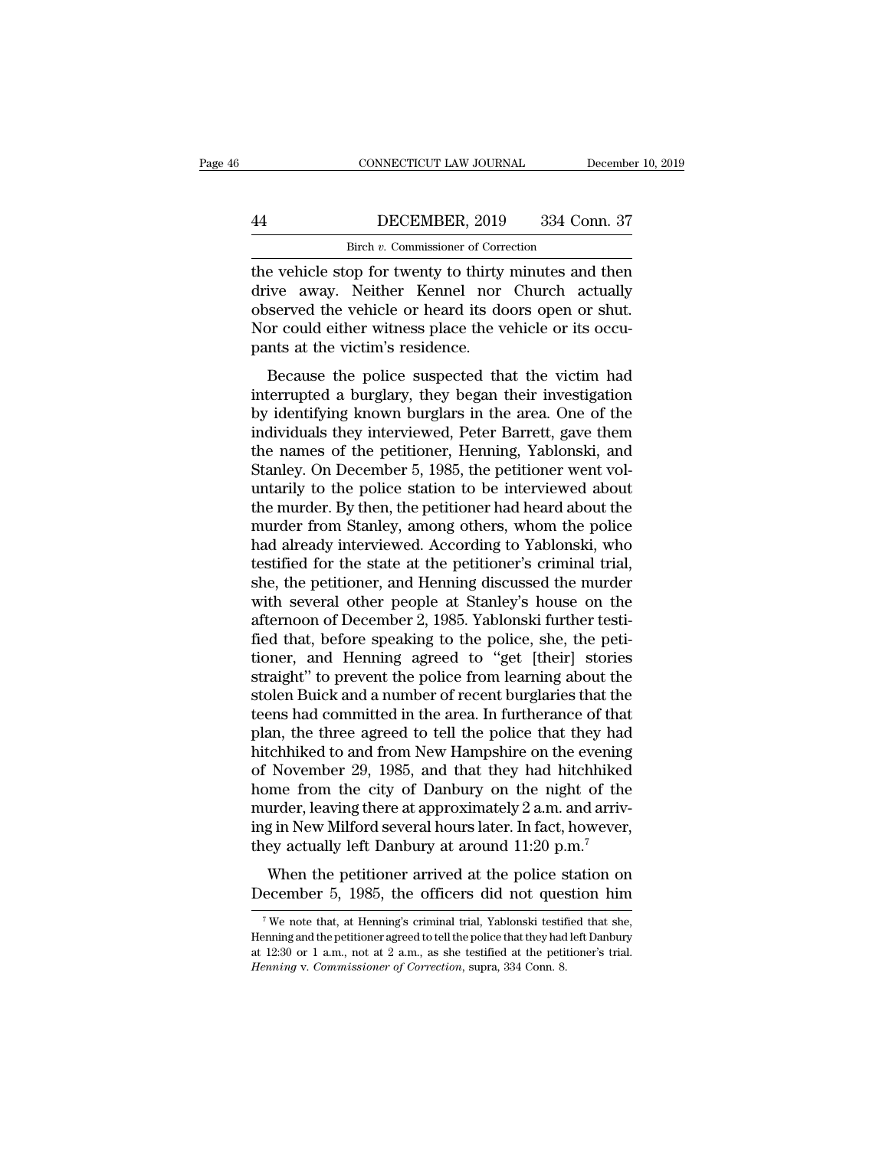# CONNECTICUT LAW JOURNAL December 10, 2019<br>
44 DECEMBER, 2019 334 Conn. 37<br>
Birch v. Commissioner of Correction CONNECTICUT LAW JOURNAL<br>DECEMBER, 2019 334 Correction<br>Birch *v.* Commissioner of Correction<br>on for twenty to thirty minutes and

CONNECTICUT LAW JOURNAL December 10, 2019<br>
44 DECEMBER, 2019 334 Conn. 37<br>
Birch v. Commissioner of Correction<br>
the vehicle stop for twenty to thirty minutes and then<br>
drive away. Neither Kennel nor Church actually<br>
observ Mature away. Neither weights also the vehicle stop for twenty to thirty minutes and then<br>drive away. Neither Kennel nor Church actually<br>observed the vehicle or heard its doors open or shut.<br>Nor could either witness also th **EXEMBER, 2019** 334 Conn. 37<br>Birch v. Commissioner of Correction<br>the vehicle stop for twenty to thirty minutes and then<br>drive away. Neither Kennel nor Church actually<br>observed the vehicle or heard its doors open or shut.<br>N Moreover, 1992 and Moreover, 1993<br>
Here with the vehicle stop for twenty to thirty minutes and then<br>
drive away. Neither Kennel nor Church actually<br>
observed the vehicle or heard its doors open or shut.<br>
Nor could either w Birch v. Commissioner of Correlation, 1999<br>The vehicle stop for twenty to thirty<br>drive away. Neither Kennel nor<br>observed the vehicle or heard its do<br>Nor could either witness place the v<br>pants at the victim's residence.<br>Bec Exercise the vehicle stop for twenty to thirty minutes and then<br>ive away. Neither Kennel nor Church actually<br>served the vehicle or heard its doors open or shut.<br>or could either witness place the vehicle or its occu-<br>ints a First excitence stop for twenty to thirty inhitities and then<br>drive away. Neither Kennel nor Church actually<br>observed the vehicle or heard its doors open or shut.<br>Nor could either witness place the vehicle or its occu-<br>pan

observed the vehicle or heard its doors open or shut.<br>Nor could either witness place the vehicle or its occupants at the victim's residence.<br>Because the police suspected that the victim had<br>interrupted a burglary, they beg boserved the vehicle of head its doors open of shat.<br>Nor could either witness place the vehicle or its occu-<br>pants at the victim's residence.<br>Because the police suspected that the victim had<br>interrupted a burglary, they be From collid efficit whiless place the ventere of its occupants at the victim's residence.<br>
Because the police suspected that the victim had<br>
interrupted a burglary, they began their investigation<br>
by identifying known burg Because the police suspected that the victim had<br>interrupted a burglary, they began their investigation<br>by identifying known burglars in the area. One of the<br>individuals they interviewed, Peter Barrett, gave them<br>the names Because the police suspected that the victim had<br>interrupted a burglary, they began their investigation<br>by identifying known burglars in the area. One of the<br>individuals they interviewed, Peter Barrett, gave them<br>the names interrupted a burglary, they began their investigation<br>by identifying known burglars in the area. One of the<br>individuals they interviewed, Peter Barrett, gave them<br>the names of the petitioner, Henning, Yablonski, and<br>Stanl by identifying known burglars in the area. One of the<br>individuals they interviewed, Peter Barrett, gave them<br>the names of the petitioner, Henning, Yablonski, and<br>Stanley. On December 5, 1985, the petitioner went vol-<br>untar individuals they interviewed, Peter Barrett, gave them<br>the names of the petitioner, Henning, Yablonski, and<br>Stanley. On December 5, 1985, the petitioner went vol-<br>untarily to the police station to be interviewed about<br>the the names of the petitioner, Henning, Yablonski, and<br>Stanley. On December 5, 1985, the petitioner went vol-<br>untarily to the police station to be interviewed about<br>the murder. By then, the petitioner had heard about the<br>mur Stanley. On December 5, 1985, the petitioner went voluntarily to the police station to be interviewed about<br>the murder. By then, the petitioner had heard about the<br>murder from Stanley, among others, whom the police<br>had alr untarily to the police station to be interviewed about<br>the murder. By then, the petitioner had heard about the<br>murder from Stanley, among others, whom the police<br>had already interviewed. According to Yablonski, who<br>testifi the murder. By then, the petitioner had heard about the murder from Stanley, among others, whom the police had already interviewed. According to Yablonski, who testified for the state at the petitioner's criminal trial, sh murder from Stanley, among others, whom the police<br>had already interviewed. According to Yablonski, who<br>testified for the state at the petitioner's criminal trial,<br>she, the petitioner, and Henning discussed the murder<br>with had already interviewed. According to Yablonski, who<br>testified for the state at the petitioner's criminal trial,<br>she, the petitioner, and Henning discussed the murder<br>with several other people at Stanley's house on the<br>aft testified for the state at the petitioner's criminal trial,<br>she, the petitioner, and Henning discussed the murder<br>with several other people at Stanley's house on the<br>afternoon of December 2, 1985. Yablonski further testi-<br> she, the petitioner, and Henning discussed the murder<br>with several other people at Stanley's house on the<br>afternoon of December 2, 1985. Yablonski further testi-<br>fied that, before speaking to the police, she, the peti-<br>tio with several other people at Stanley's house on the<br>afternoon of December 2, 1985. Yablonski further testi-<br>fied that, before speaking to the police, she, the peti-<br>tioner, and Henning agreed to "get [their] stories<br>straig afternoon of December 2, 1985. Yablonski further testi-<br>fied that, before speaking to the police, she, the peti-<br>tioner, and Henning agreed to "get [their] stories<br>straight" to prevent the police from learning about the<br>st fied that, before speaking to the police, she, the petitioner, and Henning agreed to "get [their] stories straight" to prevent the police from learning about the stolen Buick and a number of recent burglaries that the teen tioner, and Henning agreed to "get [their] stories<br>straight" to prevent the police from learning about the<br>stolen Buick and a number of recent burglaries that the<br>teens had committed in the area. In furtherance of that<br>pla straight" to prevent the police from learning about the<br>stolen Buick and a number of recent burglaries that the<br>teens had committed in the area. In furtherance of that<br>plan, the three agreed to tell the police that they ha stolen Buick and a number of recent burglaries that the<br>teens had committed in the area. In furtherance of that<br>plan, the three agreed to tell the police that they had<br>hitchhiked to and from New Hampshire on the evening<br>o teens had committed in the area. In furtherance of that<br>plan, the three agreed to tell the police that they had<br>hitchhiked to and from New Hampshire on the evening<br>of November 29, 1985, and that they had hitchhiked<br>home fr plan, the three agreed to tell the police that they had<br>hitchhiked to and from New Hampshire on the evening<br>of November 29, 1985, and that they had hitchhiked<br>home from the city of Danbury on the night of the<br>murder, leavi November 29, 1985, and that they had hitchhiked<br>me from the city of Danbury on the night of the<br>urder, leaving there at approximately 2 a.m. and arriv-<br>g in New Milford several hours later. In fact, however,<br>ey actually l be invertible: 25, 1985, and that they had internated<br>home from the city of Danbury on the night of the<br>murder, leaving there at approximately 2 a.m. and arriv-<br>ing in New Milford several hours later. In fact, however,<br>th

Figure 11:20 p.m.<sup>7</sup><br>When the petitioner arrived at the police station on<br>ecember 5, 1985, the officers did not question him<br><sup>7</sup>We note that, at Henning's criminal trial, Yablonski testified that she,<br>pring and the petiti

When the petitioner arrived at the police station on December 5, 1985, the officers did not question him<br>
<sup>7</sup> We note that, at Henning's criminal trial, Yablonski testified that she, Henning and the petitioner agreed to t When the petitioner arrived at the police station on December 5, 1985, the officers did not question him<br>Twe note that, at Henning's criminal trial, Yablonski testified that she, Henning and the petitioner agreed to tell **December 5, 1985, the officers did not question him**<br>
<sup>7</sup> We note that, at Henning's criminal trial, Yablonski testified that she,<br>
Henning and the petitioner agreed to tell the police that they had left Danbury<br>
at 12:30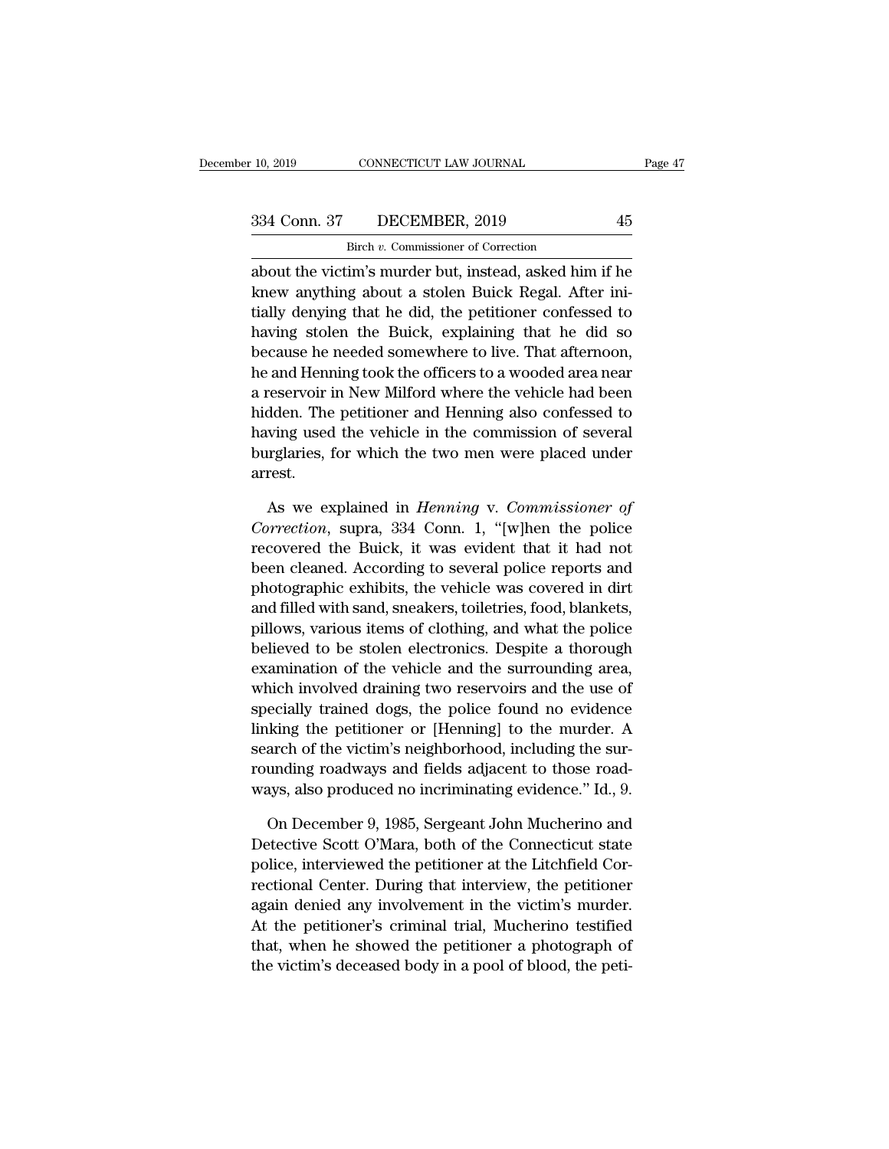CONNECTICUT LAW JOURNAL<br>DECEMBER, 2019<br>Birch *v.* Commissioner of Correction<br>im's murder but, instead, asked him 10, 2019 CONNECTICUT LAW JOURNAL Page 47<br>
334 Conn. 37 DECEMBER, 2019 45<br>
Birch v. Commissioner of Correction<br>
about the victim's murder but, instead, asked him if he<br>
knew anything about a stolen Buick Regal. After ini-334 Conn. 37 DECEMBER, 2019 45<br>Birch v. Commissioner of Correction<br>about the victim's murder but, instead, asked him if he<br>knew anything about a stolen Buick Regal. After ini-<br>tially denying that he did, the petitioner co 334 Conn. 37 DECEMBER, 2019 45<br>Birch v. Commissioner of Correction<br>about the victim's murder but, instead, asked him if he<br>knew anything about a stolen Buick Regal. After ini-<br>tially denying that he did, the petitioner co  $\frac{334 \text{ Conn. } 37}{\text{Birch } v. \text{ Commissioner of Correction}}$ <br>
about the victim's murder but, instead, asked him if he<br>
knew anything about a stolen Buick Regal. After ini-<br>
tially denying that he did, the petitioner confessed to<br>
having stolen th Birch v. Commissioner of Correction<br>about the victim's murder but, instead, asked him if he<br>knew anything about a stolen Buick Regal. After ini-<br>tially denying that he did, the petitioner confessed to<br>having stolen the Bui about the victim's murder but, instead, asked him if he<br>knew anything about a stolen Buick Regal. After ini-<br>tially denying that he did, the petitioner confessed to<br>having stolen the Buick, explaining that he did so<br>becaus about the victim's intrider but, instead, asked film if he<br>knew anything about a stolen Buick Regal. After ini-<br>tially denying that he did, the petitioner confessed to<br>having stolen the Buick, explaining that he did so<br>bec Kriew anything about a stolen Buick Regal. After Initially denying that he did, the petitioner confessed to having stolen the Buick, explaining that he did so because he needed somewhere to live. That afternoon, he and Hen having stolen the Buick, explaining that he did so<br>because he needed somewhere to live. That afternoon,<br>he and Henning took the officers to a wooded area near<br>a reservoir in New Milford where the vehicle had been<br>hidden. T having stolen the Buick, explaining that he did so<br>because he needed somewhere to live. That afternoon,<br>he and Henning took the officers to a wooded area near<br>a reservoir in New Milford where the vehicle had been<br>hidden. T arrest. reservoir in New Milford where the vehicle had been<br>dden. The petitioner and Henning also confessed to<br>ving used the vehicle in the commission of several<br>urglaries, for which the two men were placed under<br>rest.<br>As we expla *Follonia* Indicate The petitioner and Henning also confessed to<br>*Correction*, for which the two men were placed under<br>arrest.<br>As we explained in *Henning* v. *Commissioner of*<br>*Correction*, supra, 334 Conn. 1, "[w]hen the

having used the vehicle in the commission of several<br>burglaries, for which the two men were placed under<br>arrest.<br>As we explained in *Henning* v. *Commissioner of*<br>*Correction*, supra, 334 Conn. 1, "[w]hen the police<br>recove burglaries, for which the two men were placed under<br>arrest.<br>As we explained in *Henning* v. *Commissioner of*<br>*Correction*, supra, 334 Conn. 1, "[w]hen the police<br>recovered the Buick, it was evident that it had not<br>been cl arrest.<br>
As we explained in *Henning* v. *Commissioner of*<br> *Correction*, supra, 334 Conn. 1, "[w]hen the police<br>
recovered the Buick, it was evident that it had not<br>
been cleaned. According to several police reports and<br> As we explained in *Henning* v. *Commissioner of*<br>Correction, supra, 334 Conn. 1, "[w]hen the police<br>recovered the Buick, it was evident that it had not<br>been cleaned. According to several police reports and<br>photographic ex As we explained in *Henning* v. Commissioner of Correction, supra, 334 Conn. 1, "[w]hen the police recovered the Buick, it was evident that it had not been cleaned. According to several police reports and photographic exh Correction, supra, 554 Conn. 1, [w]nen the police<br>recovered the Buick, it was evident that it had not<br>been cleaned. According to several police reports and<br>photographic exhibits, the vehicle was covered in dirt<br>and filled recovered the Butck, it was evident that it had not<br>been cleaned. According to several police reports and<br>photographic exhibits, the vehicle was covered in dirt<br>and filled with sand, sneakers, toiletries, food, blankets,<br>p been cleaned. According to several police reports and<br>photographic exhibits, the vehicle was covered in dirt<br>and filled with sand, sneakers, toiletries, food, blankets,<br>pillows, various items of clothing, and what the poli photographic exhibits, the venicle was covered in dirt<br>and filled with sand, sneakers, toiletries, food, blankets,<br>pillows, various items of clothing, and what the police<br>believed to be stolen electronics. Despite a thorou and lined with sand, sheakers, tollethes, 100d, blankets,<br>pillows, various items of clothing, and what the police<br>believed to be stolen electronics. Despite a thorough<br>examination of the vehicle and the surrounding area,<br>w plinows, various fields of clothing, and what the police<br>believed to be stolen electronics. Despite a thorough<br>examination of the vehicle and the surrounding area,<br>which involved draining two reservoirs and the use of<br>spec beneved to be stolen electronics. Despite a thorough examination of the vehicle and the surrounding area, which involved draining two reservoirs and the use of specially trained dogs, the police found no evidence linking t examination of the venicle and the surrounding area,<br>which involved draining two reservoirs and the use of<br>specially trained dogs, the police found no evidence<br>linking the petitioner or [Henning] to the murder. A<br>search of ecially trained dogs, the police found no evidence<br>king the petitioner or [Henning] to the murder. A<br>arch of the victim's neighborhood, including the sur-<br>unding roadways and fields adjacent to those road-<br>ays, also produc linking the petitioner or [Henning] to the murder. A<br>search of the victim's neighborhood, including the sur-<br>rounding roadways and fields adjacent to those road-<br>ways, also produced no incriminating evidence." Id., 9.<br>On D

search of the victim's neighborhood, including the sur-<br>rounding roadways and fields adjacent to those road-<br>ways, also produced no incriminating evidence." Id., 9.<br>On December 9, 1985, Sergeant John Mucherino and<br>Detectiv rounding roadways and fields adjacent to those road-<br>ways, also produced no incriminating evidence." Id., 9.<br>On December 9, 1985, Sergeant John Mucherino and<br>Detective Scott O'Mara, both of the Connecticut state<br>police, in ways, also produced no incriminating evidence." Id., 9.<br>
On December 9, 1985, Sergeant John Mucherino and<br>
Detective Scott O'Mara, both of the Connecticut state<br>
police, interviewed the petitioner at the Litchfield Cor-<br>
r On December 9, 1985, Sergeant John Mucherino and<br>Detective Scott O'Mara, both of the Connecticut state<br>police, interviewed the petitioner at the Litchfield Cor-<br>rectional Center. During that interview, the petitioner<br>again On December 9, 1965, Sergeant John Mucherino and<br>Detective Scott O'Mara, both of the Connecticut state<br>police, interviewed the petitioner at the Litchfield Cor-<br>rectional Center. During that interview, the petitioner<br>again Detective Scott O Mara, both of the Connecticut state<br>police, interviewed the petitioner at the Litchfield Cor-<br>rectional Center. During that interview, the petitioner<br>again denied any involvement in the victim's murder.<br>A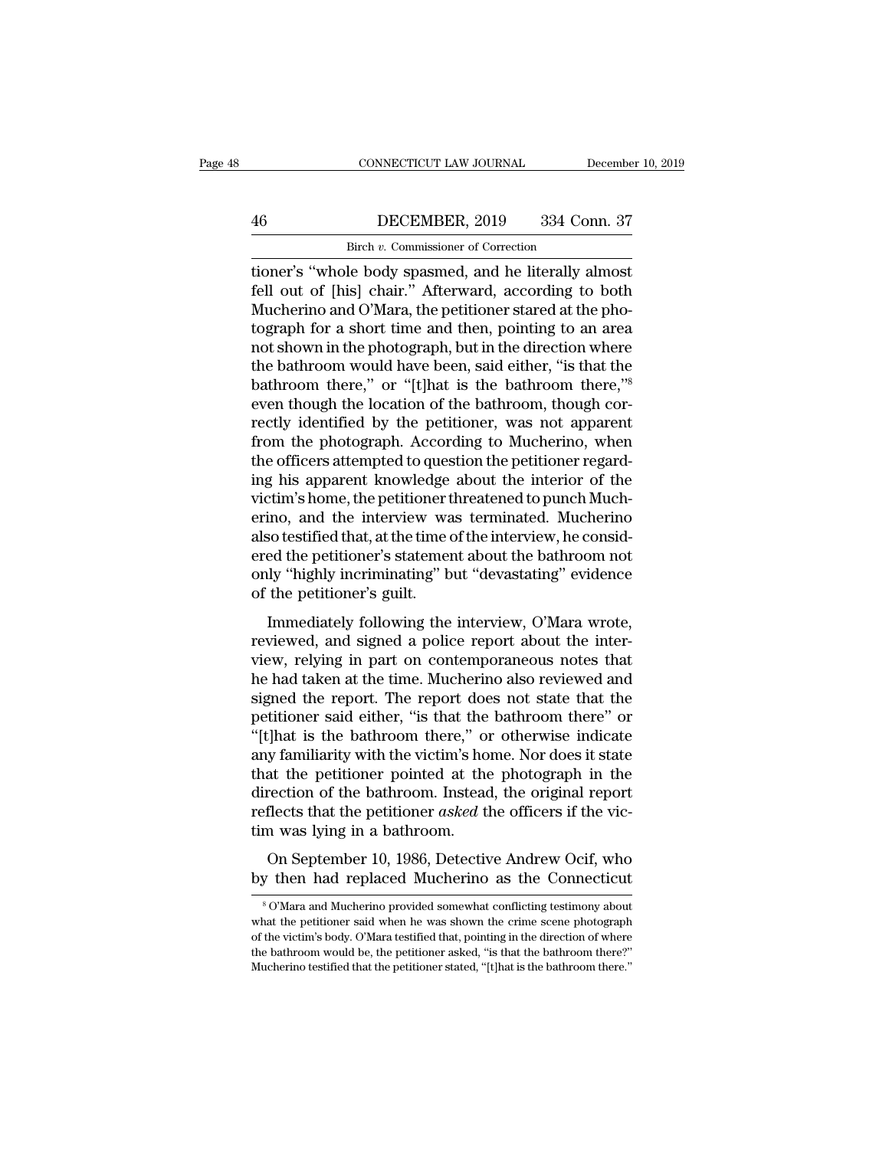# CONNECTICUT LAW JOURNAL December 10, 2019<br>
46 DECEMBER, 2019 334 Conn. 37<br>
Birch v. Commissioner of Correction CONNECTICUT LAW JOURNAL<br>DECEMBER, 2019 334 Cor<br>Birch *v.* Commissioner of Correction<br>le body spassmed and be literally a

tioner's ''whole body spasmed, and he literally almost Fell out of [his] chair." Afterward, according to both Mucherino and O'Mara, the petitioner stared at the photograph for a short time and then pointing to an area DECEMBER, 2019 334 Conn. 37<br>Birch v. Commissioner of Correction<br>tioner's "whole body spasmed, and he literally almost<br>fell out of [his] chair." Afterward, according to both<br>Mucherino and O'Mara, the petitioner stared at th Birch v. Commissioner of Correction<br>
ioner's "whole body spasmed, and he literally almost<br>
fell out of [his] chair." Afterward, according to both<br>
Mucherino and O'Mara, the petitioner stared at the pho-<br>
tograph for a shor Birch v. Commissioner of Correction<br>tioner's "whole body spasmed, and he literally almost<br>fell out of [his] chair." Afterward, according to both<br>Mucherino and O'Mara, the petitioner stared at the pho-<br>tograph for a short t **EXECT:** Butch v. Commissioner of Correction<br>tioner's "whole body spasmed, and he literally almost<br>fell out of [his] chair." Afterward, according to both<br>Mucherino and O'Mara, the petitioner stared at the pho-<br>tograph for tioner's "whole body spasmed, and he literally almost<br>fell out of [his] chair." Afterward, according to both<br>Mucherino and O'Mara, the petitioner stared at the pho-<br>tograph for a short time and then, pointing to an area<br>no fell out of [his] chair." Afterward, according to both<br>Mucherino and O'Mara, the petitioner stared at the pho-<br>tograph for a short time and then, pointing to an area<br>not shown in the photograph, but in the direction where<br> Mucherino and O'Mara, the petitioner stared at the photograph for a short time and then, pointing to an area<br>not shown in the photograph, but in the direction where<br>the bathroom would have been, said either, "is that the<br>b tograph for a short time and then, pointing to an area<br>not shown in the photograph, but in the direction where<br>the bathroom would have been, said either, "is that the<br>bathroom there," or "[t]hat is the bathroom there,"<sup>8</sup><br> not shown in the photograph, but in the direction where<br>the bathroom would have been, said either, "is that the<br>bathroom there," or "[t]hat is the bathroom there,"<sup>8</sup><br>even though the location of the bathroom, though cor-<br>r the bathroom would have been, said either, "is that the bathroom there," or "[t]hat is the bathroom there," even though the location of the bathroom, though correctly identified by the petitioner, was not apparent from the bathroom there," or "[t]hat is the bathroom there,"<sup>8</sup><br>even though the location of the bathroom, though cor-<br>rectly identified by the petitioner, was not apparent<br>from the photograph. According to Mucherino, when<br>the offic even though the location of the bathroom, though correctly identified by the petitioner, was not apparent from the photograph. According to Mucherino, when the officers attempted to question the petitioner regarding his ap rectly identified by the petitioner, was not apparent<br>from the photograph. According to Mucherino, when<br>the officers attempted to question the petitioner regard-<br>ing his apparent knowledge about the interior of the<br>victim' from the photograph. According to Mucherino, when<br>the officers attempted to question the petitioner regard-<br>ing his apparent knowledge about the interior of the<br>victim's home, the petitioner threatened to punch Much-<br>erino the officers attempted to question the petitioner regarding his apparent knowledge about the interior of the victim's home, the petitioner threatened to punch Mucherino, and the interview was terminated. Mucherino also tes ing his apparent knowledge<br>victim's home, the petitioner t<br>erino, and the interview wa<br>also testified that, at the time of<br>ered the petitioner's statement<br>only "highly incriminating" b<br>of the petitioner's guilt.<br>Immediatel Immediately following the interview, o'Mara wrote, with the petitioner's statement about the bathroom not ly "highly incriminating" but "devastating" evidence the petitioner's guilt.<br>Immediately following the interview, O' refine, and the materical was terminated. Interfering<br>also testified that, at the time of the interview, he consid-<br>ered the petitioner's statement about the bathroom not<br>only "highly incriminating" but "devastating" evide

also destince and, a the line of the interview, he considered the petitioner's statement about the bathroom not only "highly incriminating" but "devastating" evidence of the petitioner's guilt.<br>Immediately following the in only "highly incriminating" but "devastating" evidence<br>of the petitioner's guilt.<br>Immediately following the interview, O'Mara wrote,<br>reviewed, and signed a police report about the inter-<br>view, relying in part on contempora only highly incriminating but devastating evidence<br>of the petitioner's guilt.<br>Immediately following the interview, O'Mara wrote,<br>reviewed, and signed a police report about the inter-<br>view, relying in part on contemporaneou Immediately following the interview, O'Mara wrote,<br>reviewed, and signed a police report about the inter-<br>view, relying in part on contemporaneous notes that<br>he had taken at the time. Mucherino also reviewed and<br>signed the Immediately following the interview, O'Mara wrote,<br>reviewed, and signed a police report about the inter-<br>view, relying in part on contemporaneous notes that<br>he had taken at the time. Mucherino also reviewed and<br>signed the reviewed, and signed a police report about the inter-<br>view, relying in part on contemporaneous notes that<br>he had taken at the time. Mucherino also reviewed and<br>signed the report. The report does not state that the<br>petition view, relying in part on contemporaneous notes that<br>he had taken at the time. Mucherino also reviewed and<br>signed the report. The report does not state that the<br>petitioner said either, "is that the bathroom there" or<br>"[t]ha he had taken at the time. Mucherino also reviewed and<br>signed the report. The report does not state that the<br>petitioner said either, "is that the bathroom there" or<br>"[t]hat is the bathroom there," or otherwise indicate<br>any signed the report. The report does not state that the petitioner said either, "is that the bathroom there" or "[t]hat is the bathroom there," or otherwise indicate any familiarity with the victim's home. Nor does it state petitioner said either, "is that the<br>"[t]hat is the bathroom there," or<br>any familiarity with the victim's ho<br>that the petitioner pointed at the<br>direction of the bathroom. Instead<br>reflects that the petitioner *asked* tl<br>tim Matter is the standboth there, of other which indicate<br>y familiarity with the victim's home. Nor does it state<br>at the petitioner pointed at the photograph in the<br>rection of the bathroom. Instead, the original report<br>flects that the petitioner pointed at the photograph in the direction of the bathroom. Instead, the original report reflects that the petitioner *asked* the officers if the victim was lying in a bathroom.<br>On September 10, 1986, D

m was lying in a bathroom.<br>
On September 10, 1986, Detective Andrew Ocif, who<br>
y then had replaced Mucherino as the Connecticut<br>
<sup>8</sup>O'Mara and Mucherino provided somewhat conflicting testimony about<br>
at the petitioner said

On September 10, 1986, Detective Andrew Ocif, who<br>by then had replaced Mucherino as the Connecticut<br><sup>8</sup> O'Mara and Mucherino provided somewhat conflicting testimony about<br>what the petitioner said when he was shown the crim On September 10, 1986, Detective Andrew Ocif, who<br>by then had replaced Mucherino as the Connecticut<br> $^{\circ}$   $^{\circ}$  O'Mara and Mucherino provided somewhat conflicting testimony about<br>what the petitioner said when he was sho by then had replaced Mucherino as the Connecticut<br>
<sup>8</sup> O'Mara and Mucherino provided somewhat conflicting testimony about<br>
what the petitioner said when he was shown the crime scene photograph<br>
of the victim's body. O'Mara  $^8$  O'Mara and Mucherino provided somewhat conflicting testimony about what the petitioner said when he was shown the crime scene photograph of the victim's body. O'Mara testified that, pointing in the direction of where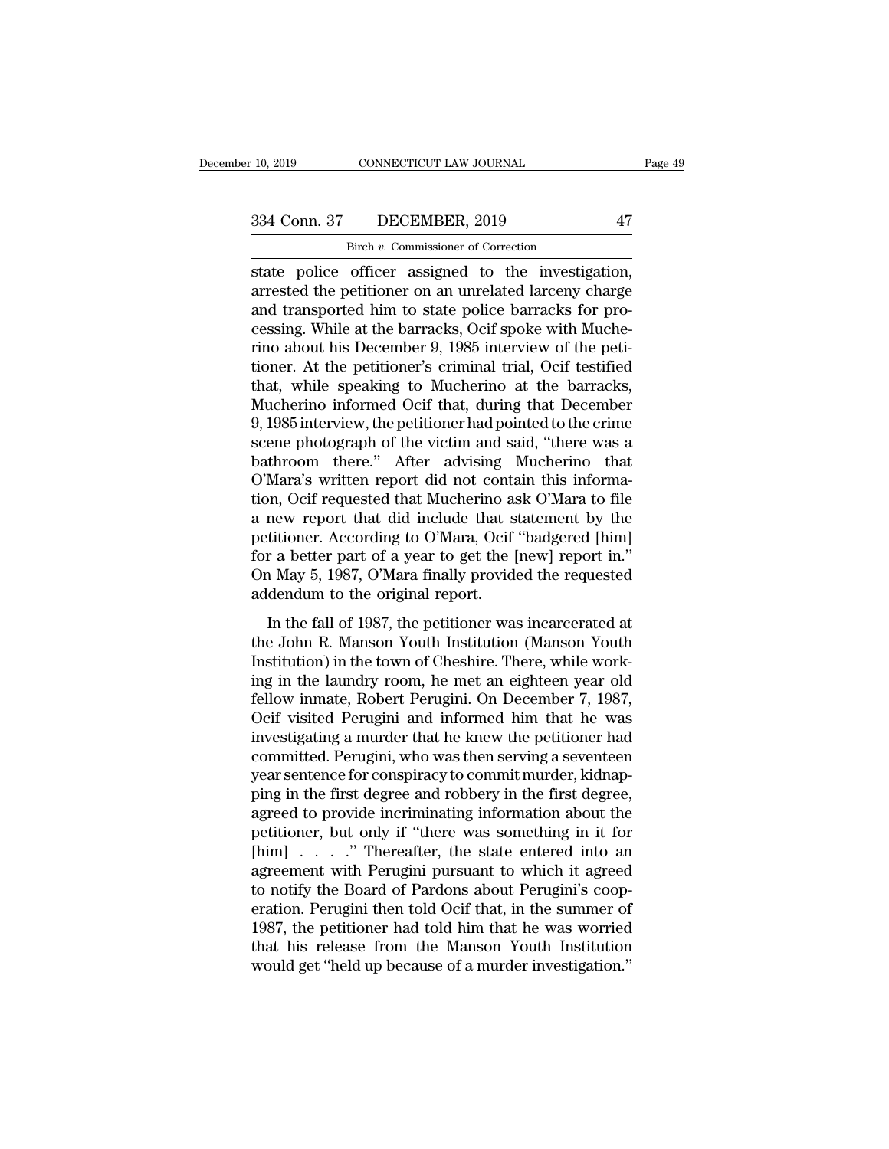CONNECTICUT LAW JOURNAL<br>DECEMBER, 2019<br>Birch *v.* Commissioner of Correction<br>officer assigned to the investige state police officer assigned to the investigation,<br>are the petitioner of correction<br>are police officer assigned to the investigation,<br>are state police officer assigned to the investigation,<br>are sted the petitioner on an u 334 Conn. 37 DECEMBER, 2019 47<br>Birch v. Commissioner of Correction<br>state police officer assigned to the investigation,<br>arrested the petitioner on an unrelated larceny charge<br>and transported him to state police barracks for 334 Conn. 37 DECEMBER, 2019 47<br>
Birch v. Commissioner of Correction<br>
state police officer assigned to the investigation,<br>
arrested the petitioner on an unrelated larceny charge<br>
and transported him to state police barrack 334 Conn. 37 DECEMBER, 2019 47<br>
Birch v. Commissioner of Correction<br>
state police officer assigned to the investigation,<br>
arrested the petitioner on an unrelated larceny charge<br>
and transported him to state police barrack Birch v. Commissioner of Correction<br>state police officer assigned to the investigation,<br>arrested the petitioner on an unrelated larceny charge<br>and transported him to state police barracks for pro-<br>cessing. While at the bar Example in the measure of Correction<br>state police officer assigned to the investigation,<br>arrested the petitioner on an unrelated larceny charge<br>and transported him to state police barracks for pro-<br>cessing. While at the b state police officer assigned to the investigation,<br>arrested the petitioner on an unrelated larceny charge<br>and transported him to state police barracks for pro-<br>cessing. While at the barracks, Ocif spoke with Muche-<br>rino a arrested the petitioner on an unrelated larceny charge<br>and transported him to state police barracks for pro-<br>cessing. While at the barracks, Ocif spoke with Muche-<br>rino about his December 9, 1985 interview of the peti-<br>tio and transported him to state police barracks for processing. While at the barracks, Ocif spoke with Mucherino about his December 9, 1985 interview of the petitioner. At the petitioner's criminal trial, Ocif testified that, cessing. While at the barracks, Ocif spoke with Mucherino about his December 9, 1985 interview of the petitioner. At the petitioner's criminal trial, Ocif testified that, while speaking to Mucherino at the barracks, Mucher rino about his December 9, 1985 interview of the petitioner. At the petitioner's criminal trial, Ocif testified<br>that, while speaking to Mucherino at the barracks,<br>Mucherino informed Ocif that, during that December<br>9, 1985 tioner. At the petitioner's criminal trial, Ocif testified<br>that, while speaking to Mucherino at the barracks,<br>Mucherino informed Ocif that, during that December<br>9, 1985 interview, the petitioner had pointed to the crime<br>sc that, while speaking to Mucherino at the barracks,<br>Mucherino informed Ocif that, during that December<br>9, 1985 interview, the petitioner had pointed to the crime<br>scene photograph of the victim and said, "there was a<br>bathroo Mucherino informed Ocif that, during that December<br>9, 1985 interview, the petitioner had pointed to the crime<br>scene photograph of the victim and said, "there was a<br>bathroom there." After advising Mucherino that<br>O'Mara's wr 9, 1985 interview, the petitioner had pointed to the crime<br>scene photograph of the victim and said, "there was a<br>bathroom—there." After—advising—Mucherino—that<br>O'Mara's written report did not contain this informa-<br>tion, Oc scene photograph of the victim and said, "there was a bathroom there." After advising Mucherino that O'Mara's written report did not contain this information, Ocif requested that Mucherino ask O'Mara to file a new report t bathroom there." After advising Mucherino that O'Mara's written report did not contain this information, Ocif requested that Mucherino ask O'Mara to file a new report that did include that statement by the petitioner. Acco O'Mara's written report did not contation, Ocif requested that Mucherino as<br>a new report that did include that s<br>petitioner. According to O'Mara, Ocif<br>for a better part of a year to get the [<br>On May 5, 1987, O'Mara finally In the fall of 1987, the petitioner was incarcerated at<br>
the fall of 1987, O'Mara, Ocif "badgered [him]<br>
r a better part of a year to get the [new] report in."<br>
May 5, 1987, O'Mara finally provided the requested<br>
dendum to the Holm R. According to O'Mara, Ocif "badgered [him]<br>for a better part of a year to get the [new] report in."<br>On May 5, 1987, O'Mara finally provided the requested<br>addendum to the original report.<br>In the fall of 1987, the

For a better part of a year to get the [new] report in."<br>
On May 5, 1987, O'Mara finally provided the requested<br>
addendum to the original report.<br>
In the fall of 1987, the petitioner was incarcerated at<br>
the John R. Manson For a seaser part of a year to get alle [new] report in:<br>On May 5, 1987, O'Mara finally provided the requested<br>addendum to the original report.<br>In the fall of 1987, the petitioner was incarcerated at<br>the John R. Manson You of thay b, 1891, b mata many provided are requested<br>addendum to the original report.<br>In the fall of 1987, the petitioner was incarcerated at<br>the John R. Manson Youth Institution (Manson Youth<br>Institution) in the town of Ch In the fall of 1987, the petitioner was incarcerated at<br>the John R. Manson Youth Institution (Manson Youth<br>Institution) in the town of Cheshire. There, while work-<br>ing in the laundry room, he met an eighteen year old<br>fello In the fall of 1987, the petitioner was incarcerated at<br>the John R. Manson Youth Institution (Manson Youth<br>Institution) in the town of Cheshire. There, while work-<br>ing in the laundry room, he met an eighteen year old<br>fello the John R. Manson Youth Institution (Manson Youth<br>Institution) in the town of Cheshire. There, while work-<br>ing in the laundry room, he met an eighteen year old<br>fellow inmate, Robert Perugini. On December 7, 1987,<br>Ocif vis Institution) in the town of Cheshire. There, while working in the laundry room, he met an eighteen year old fellow inmate, Robert Perugini. On December 7, 1987, Ocif visited Perugini and informed him that he was investigat ing in the laundry room, he met an eighteen year old<br>fellow inmate, Robert Perugini. On December 7, 1987,<br>Ocif visited Perugini and informed him that he was<br>investigating a murder that he knew the petitioner had<br>committed. fellow inmate, Robert Perugini. On December 7, 1987,<br>Ocif visited Perugini and informed him that he was<br>investigating a murder that he knew the petitioner had<br>committed. Perugini, who was then serving a seventeen<br>year sent Ocif visited Perugini and informed him that he was<br>investigating a murder that he knew the petitioner had<br>committed. Perugini, who was then serving a seventeen<br>year sentence for conspiracy to commit murder, kidnap-<br>ping in investigating a murder that he knew the petitioner had<br>committed. Perugini, who was then serving a seventeen<br>year sentence for conspiracy to commit murder, kidnap-<br>ping in the first degree and robbery in the first degree,<br> committed. Perugini, who was then serving a seventeen<br>year sentence for conspiracy to commit murder, kidnap-<br>ping in the first degree and robbery in the first degree,<br>agreed to provide incriminating information about the<br>p year sentence for conspiracy to commit murder, kidnapping in the first degree and robbery in the first degree, agreed to provide incriminating information about the petitioner, but only if "there was something in it for [h ping in the first degree and robbery in the first degree,<br>agreed to provide incriminating information about the<br>petitioner, but only if "there was something in it for<br>[him]  $\ldots$  ." Thereafter, the state entered into an<br>a agreed to provide incriminating information about the<br>petitioner, but only if "there was something in it for<br>[him] . . . . " Thereafter, the state entered into an<br>agreement with Perugini pursuant to which it agreed<br>to noti petitioner, but only if "there was something in it for [him]  $\ldots$  ." Thereafter, the state entered into an agreement with Perugini pursuant to which it agreed to notify the Board of Pardons about Perugini's cooperation. [him] . . . . . " Thereafter, the state entered into an agreement with Perugini pursuant to which it agreed to notify the Board of Pardons about Perugini's cooperation. Perugini then told Ocif that, in the summer of 1987,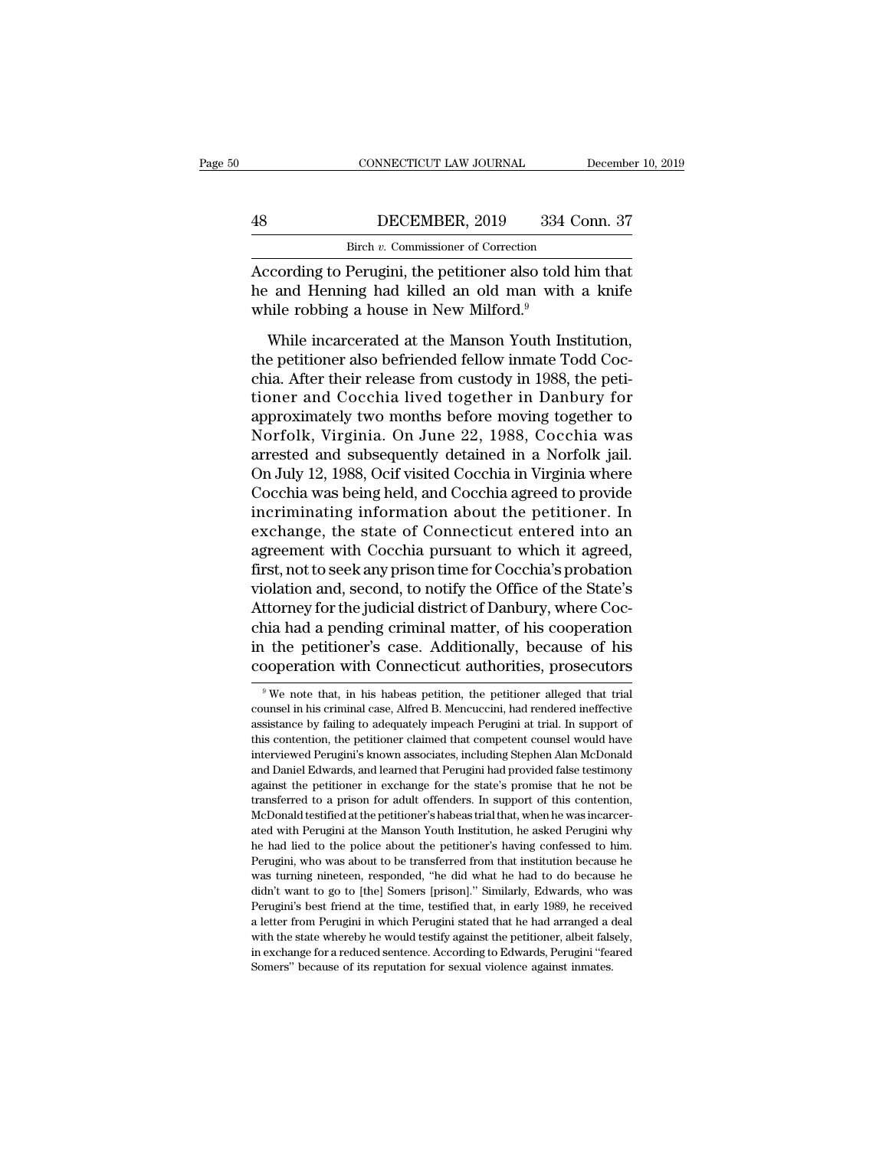# CONNECTICUT LAW JOURNAL December 10, 2019<br>
48 DECEMBER, 2019 334 Conn. 37<br>
Birch v. Commissioner of Correction CONNECTICUT LAW JOURNAL<br>DECEMBER, 2019 334 Correction<br>Birch *v.* Commissioner of Correction<br>Perwainis the netitioner also told bin

CONNECTICUT LAW JOURNAL December 10, 2019<br>
According to Perugini, the petitioner also told him that<br>
the and Henning had killed an old man with a knife<br>
while robbing a bouse in Now Milford <sup>9</sup> Henry Marian Commissioner of Correction<br>
Henry Marian Commissioner of Correction<br>
According to Perugini, the petitioner also told him that<br>
the and Henning had killed an old man with a knife<br>
while robbing a house in New M  $\begin{tabular}{ c c c} BicC} \multicolumn{1}{c|}{\textbf{BicR, 2019}} & \multicolumn{1}{c|}{\textbf{334}}\\ \hline \multicolumn{1}{c|}{\textbf{Bich $v$}. \textbf{Commissioner of Correction}}\\ \hline \multicolumn{1}{c|}{\textbf{According to Perugini, the pertinent also told}}\\ \hline \multicolumn{1}{c|}{\textbf{he and Henning had killed an old man with}}\\ \hline \multicolumn{1}{c|}{\textbf{while robust in New Milford.}}^9 \\ \hline \multicolumn{1}{c|}{\textbf{While increased at the Mason Youth Ins}}\\ \hline \multicolumn{1}{c|}{\text$ DECEMBER, 2019 334 Conn. 37<br>
Birch v. Commissioner of Correction<br>
coording to Perugini, the petitioner also told him that<br>
and Henning had killed an old man with a knife<br>
nile robbing a house in New Milford.<sup>9</sup><br>
While inc

Birch v. Commissioner of Correction<br>According to Perugini, the petitioner also told him that<br>he and Henning had killed an old man with a knife<br>while robbing a house in New Milford.<sup>9</sup><br>While incarcerated at the Manson Youth According to Perugini, the petitioner also told him that<br>he and Henning had killed an old man with a knife<br>while robbing a house in New Milford.<sup>9</sup><br>While incarcerated at the Manson Youth Institution,<br>the petitioner also be The and Henning had killed an old man with a knife<br>the and Henning had killed an old man with a knife<br>while incarcerated at the Manson Youth Institution,<br>the petitioner also befriended fellow inmate Todd Coc-<br>chia. After t while robbing a house in New Milford.<sup>9</sup><br>While incarcerated at the Manson Youth Institution,<br>the petitioner also befriended fellow inmate Todd Coc-<br>chia. After their release from custody in 1988, the peti-<br>tioner and Cocch While incarcerated at the Manson Youth Institution,<br>the petitioner also befriended fellow inmate Todd Coc-<br>chia. After their release from custody in 1988, the peti-<br>tioner and Cocchia lived together in Danbury for<br>approxim While incarcerated at the Manson Youth Institution,<br>the petitioner also befriended fellow inmate Todd Coc-<br>chia. After their release from custody in 1988, the peti-<br>tioner and Cocchia lived together in Danbury for<br>approxim the petitioner also befriended fellow inmate Todd Cocchia. After their release from custody in 1988, the petitioner and Cocchia lived together in Danbury for approximately two months before moving together to Norfolk, Virg chia. After their release from custody in 1988, the petitioner and Cocchia lived together in Danbury for approximately two months before moving together to Norfolk, Virginia. On June 22, 1988, Cocchia was arrested and subs tioner and Cocchia lived together in Danbury for<br>approximately two months before moving together to<br>Norfolk, Virginia. On June 22, 1988, Cocchia was<br>arrested and subsequently detained in a Norfolk jail.<br>On July 12, 1988, O approximately two months before moving together to<br>Norfolk, Virginia. On June 22, 1988, Cocchia was<br>arrested and subsequently detained in a Norfolk jail.<br>On July 12, 1988, Ocif visited Cocchia in Virginia where<br>Cocchia was Norfolk, Virginia. On June 22, 1988, Cocchia was<br>arrested and subsequently detained in a Norfolk jail.<br>On July 12, 1988, Ocif visited Cocchia in Virginia where<br>Cocchia was being held, and Cocchia agreed to provide<br>incrimin arrested and subsequently detained in a Norfolk jail.<br>On July 12, 1988, Ocif visited Cocchia in Virginia where<br>Cocchia was being held, and Cocchia agreed to provide<br>incriminating information about the petitioner. In<br>exchan On July 12, 1988, Ocif visited Cocchia in Virginia where<br>Cocchia was being held, and Cocchia agreed to provide<br>incriminating information about the petitioner. In<br>exchange, the state of Connecticut entered into an<br>agreement Cocchia was being held, and Cocchia agreed to provide<br>incriminating information about the petitioner. In<br>exchange, the state of Connecticut entered into an<br>agreement with Cocchia pursuant to which it agreed,<br>first, not to incriminating information about the petitioner. In<br>exchange, the state of Connecticut entered into an<br>agreement with Cocchia pursuant to which it agreed,<br>first, not to seek any prison time for Cocchia's probation<br>violation exchange, the state of Connecticut entered into an agreement with Cocchia pursuant to which it agreed, first, not to seek any prison time for Cocchia's probation violation and, second, to notify the Office of the State's A agreement with Cocchia pursuant to which it agreed,<br>first, not to seek any prison time for Cocchia's probation<br>violation and, second, to notify the Office of the State's<br>Attorney for the judicial district of Danbury, where ttorney for the judicial district of Danbury, where Cochia had a pending criminal matter, of his cooperation<br>the petitioner's case. Additionally, because of his<br>poperation with Connecticut authorities, prosecutors<br> $\frac{9}{9$ chia had a pending criminal matter, of his cooperation<br>in the petitioner's case. Additionally, because of his<br>cooperation with Connecticut authorities, prosecutors<br><sup>9</sup>We note that, in his habeas petition, the petitioner al

in the petitioner's case. Additionally, because of his cooperation with Connecticut authorities, prosecutors we we note that, in his habeas petition, the petitioner alleged that trial counsel in his criminal case, Alfred B The content of Contention Connecticut authorities, prosecutors<br>
<sup>9</sup> We note that, in his habeas petition, the petitioner alleged that trial<br>
counsel in his criminal case, Alfred B. Mencuccini, had rendered ineffective<br>
ass <sup>9</sup> We note that, in his habeas petition, the petitioner alleged that trial counsel in his criminal case, Alfred B. Mencuccini, had rendered ineffective assistance by failing to adequately impeach Perugini at trial. In sup <sup>9</sup> We note that, in his habeas petition, the petitioner alleged that trial counsel in his criminal case, Alfred B. Mencuccini, had rendered ineffective assistance by failing to adequately impeach Perugini at trial. In su counsel in his criminal case, Alfred B. Mencuccini, had rendered ineffective assistance by failing to adequately impeach Perugini at trial. In support of this contention, the petitioner claimed that competent counsel would assistance by failing to adequately impeach Perugini at trial. In support of this contention, the petitioner claimed that competent counsel would have interviewed Perugini's known associates, including Stephen Alan McDonal This contention, the petitioner claimed that competent counsel would have this contention, the petitioner claimed that competent counsel would have interviewed Perugini's known associates, including Stephen Alan McDonald a interviewed Perugini's known associates, including Stephen Alan McDonald and Daniel Edwards, and learned that Perugini had provided false testimony against the petitioner in exchange for the state's promise that he not be and Daniel Edwards, and learned that Perugini had provided false testimony against the petitioner in exchange for the state's promise that he not be transferred to a prison for adult offenders. In support of this contentio against the petitioner in exchange for the state's promise that he not be transferred to a prison for adult offenders. In support of this contention, McDonald testified at the petitioner's habeas trial that, when he was in transferred to a prison for adult offenders. In support of this contention, McDonald testified at the petitioner's habeas trial that, when he was incarcerated with Perugini at the Manson Youth Institution, he asked Perugin McDonald testified at the petitioner's habeas trial that, when he was incarcer-<br>ated with Perugini at the Manson Youth Institution, he asked Perugini why<br>he had lied to the police about the petitioner's having confessed to ated with Perugini at the Manson Youth Institution, he asked Perugini why he had lied to the police about the petitioner's having confessed to him. Perugini, who was about to be transferred from that institution because he he had lied to the police about the petitioner's having confessed to him. Perugini, who was about to be transferred from that institution because he was turning nineteen, responded, "he did what he had to do because he did Perugini, who was about to be transferred from that institution because he was turning nineteen, responded, "he did what he had to do because he didn't want to go to [the] Somers [prison]." Similarly, Edwards, who was Peru Franchi mind in exchange for a reduced sentence. According to Edwards, who was turning nineteen, responded, "he did what he had to do because he didn't want to go to [the] Somers [prison]." Similarly, Edwards, who was Peru didn't want to go to [the] Somers [prison]." Similarly, Edwards, who was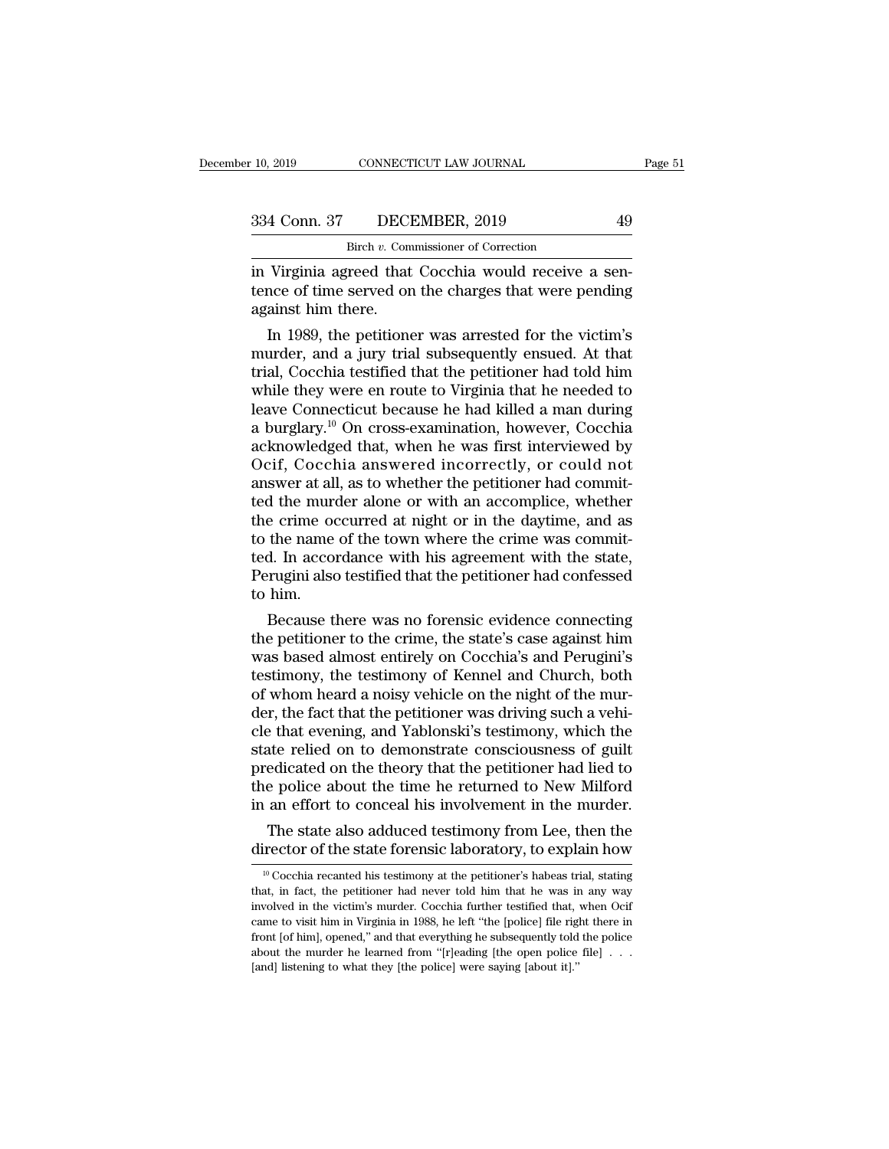10, 2019 CONNECTICUT LAW JOURNAL<br>
334 Conn. 37 DECEMBER, 2019 49<br>
<sup>Birch *v*. Commissioner of Correction<br>
in Virginia agreed that Cocchia would receive a sen-<br>
tence of time served on the charges that were pending<br>
against</sup> 334 Conn. 37 DECEMBER, 2019 49<br>Birch v. Commissioner of Correction<br>in Virginia agreed that Cocchia would receive a sen-<br>tence of time served on the charges that were pending<br>against him there.  $\frac{334 \text{ Conn. } 37 \quad \text{DECI}}{\text{Bireh } v. \text{ Com}}$ <br>in Virginia agreed that<br>tence of time served on<br>against him there.<br>In 1989, the petitione 4 Conn. 37 DECEMBER, 2019 49<br>
Birch v. Commissioner of Correction<br>
Virginia agreed that Cocchia would receive a sen-<br>
nce of time served on the charges that were pending<br>
ainst him there.<br>
In 1989, the petitioner was arres

 $\frac{a}{b}$  Birch v. Commissioner of Correction<br>
in Virginia agreed that Cocchia would receive a sen-<br>
tence of time served on the charges that were pending<br>
against him there.<br>
In 1989, the petitioner was arrested for the In Virginia agreed that Cocchia would receive a sent-<br>tence of time served on the charges that were pending<br>against him there.<br>In 1989, the petitioner was arrested for the victim's<br>murder, and a jury trial subsequently ens In Virginia agreed that Cocchia would receive a sentence of time served on the charges that were pending<br>against him there.<br>In 1989, the petitioner was arrested for the victim's<br>murder, and a jury trial subsequently ensued tence of time served on the charges that were pending<br>against him there.<br>In 1989, the petitioner was arrested for the victim's<br>murder, and a jury trial subsequently ensued. At that<br>trial, Cocchia testified that the petitio against him there.<br>
In 1989, the petitioner was arrested for the victim's<br>
murder, and a jury trial subsequently ensued. At that<br>
trial, Cocchia testified that the petitioner had told him<br>
while they were en route to Virgi In 1989, the petitioner was arrested for the victim's<br>murder, and a jury trial subsequently ensued. At that<br>trial, Cocchia testified that the petitioner had told him<br>while they were en route to Virginia that he needed to<br>l murder, and a jury trial subsequently ensued. At that<br>trial, Cocchia testified that the petitioner had told him<br>while they were en route to Virginia that he needed to<br>leave Connecticut because he had killed a man during<br>a trial, Cocchia testified that the petitioner had told him<br>while they were en route to Virginia that he needed to<br>leave Connecticut because he had killed a man during<br>a burglary.<sup>10</sup> On cross-examination, however, Cocchia<br>a while they were en route to Virginia that he needed to<br>leave Connecticut because he had killed a man during<br>a burglary.<sup>10</sup> On cross-examination, however, Cocchia<br>acknowledged that, when he was first interviewed by<br>Ocif, C leave Connecticut because he had killed a man during<br>a burglary.<sup>10</sup> On cross-examination, however, Cocchia<br>acknowledged that, when he was first interviewed by<br>Ocif, Cocchia answered incorrectly, or could not<br>answer at all a burglary.<sup>10</sup> On cross-examination, however, Cocchia acknowledged that, when he was first interviewed by Ocif, Cocchia answered incorrectly, or could not answer at all, as to whether the petitioner had committed the murd acknowledged that, when he was first interviewed by<br>Ocif, Cocchia answered incorrectly, or could not<br>answer at all, as to whether the petitioner had commit-<br>ted the murder alone or with an accomplice, whether<br>the crime occ Ocif, Cocchia answered incorrectly, or could not<br>answer at all, as to whether the petitioner had commit-<br>ted the murder alone or with an accomplice, whether<br>the crime occurred at night or in the daytime, and as<br>to the name answer at all<br>ted the murd<br>the crime oo<br>to the name<br>ted. In accor<br>Perugini also<br>to him.<br>Because t d the murder alone or with an accomplice, whether<br>e crime occurred at night or in the daytime, and as<br>the name of the town where the crime was commit-<br>d. In accordance with his agreement with the state,<br>rugini also testifi the crime occurred at night or in the daytime, and as<br>to the name of the town where the crime was commit-<br>ted. In accordance with his agreement with the state,<br>Perugini also testified that the petitioner had confessed<br>to h

to the name of the town where the crime was commit-<br>ted. In accordance with his agreement with the state,<br>Perugini also testified that the petitioner had confessed<br>to him.<br>Because there was no forensic evidence connecting<br> ted. In accordance with his agreement with the state,<br>Perugini also testified that the petitioner had confessed<br>to him.<br>Because there was no forensic evidence connecting<br>the petitioner to the crime, the state's case agains Perugini also testified that the petitioner had confessed<br>to him.<br>Because there was no forensic evidence connecting<br>the petitioner to the crime, the state's case against him<br>was based almost entirely on Cocchia's and Perug to him.<br>Because there was no forensic evidence connecting<br>the petitioner to the crime, the state's case against him<br>was based almost entirely on Cocchia's and Perugini's<br>testimony, the testimony of Kennel and Church, both<br> Because there was no forensic evidence connecting<br>the petitioner to the crime, the state's case against him<br>was based almost entirely on Cocchia's and Perugini's<br>testimony, the testimony of Kennel and Church, both<br>of whom the petitioner to the crime, the state's case against him<br>was based almost entirely on Cocchia's and Perugini's<br>testimony, the testimony of Kennel and Church, both<br>of whom heard a noisy vehicle on the night of the mur-<br>der was based almost entirely on Cocchia's and Perugini's<br>testimony, the testimony of Kennel and Church, both<br>of whom heard a noisy vehicle on the night of the mur-<br>der, the fact that the petitioner was driving such a vehi-<br>cl testimony, the testimony of Kennel and Church, both<br>of whom heard a noisy vehicle on the night of the mur-<br>der, the fact that the petitioner was driving such a vehi-<br>cle that evening, and Yablonski's testimony, which the<br>s of whom heard a noisy vehicle on the night of the murder, the fact that the petitioner was driving such a vehicle that evening, and Yablonski's testimony, which the state relied on to demonstrate consciousness of guilt pre r, the fact that the petitioner was driving such a vehi-<br>
e that evening, and Yablonski's testimony, which the<br>
atte relied on to demonstrate consciousness of guilt<br>
edicated on the theory that the petitioner had lied to<br> cle that evening, and Yablonski's testimony, which the<br>state relied on to demonstrate consciousness of guilt<br>predicated on the theory that the petitioner had lied to<br>the police about the time he returned to New Milford<br>in

the police about the time he returned to New Milford<br>in an effort to conceal his involvement in the murder.<br>The state also adduced testimony from Lee, then the<br>director of the state forensic laboratory, to explain how<br> $\frac$ In an errort to concear nis involvement in the murder.<br>The state also adduced testimony from Lee, then the director of the state forensic laboratory, to explain how  $\frac{10 \text{ Coechia} \text{ recanted his testimony at the performance's habeas trial, stating that, in fact, the performance had never told him that he was in any way involved in the victim's murder. Co$ The state also adduced testimony from Lee, then the director of the state forensic laboratory, to explain how  $\frac{10}{10}$  Cocchia recanted his testimony at the petitioner's habeas trial, stating that, in fact, the petitio The state also diduced essimiling from Lee, after the director of the state forensic laboratory, to explain how  $\frac{10}{10}$  Cocchia recanted his testimony at the petitioner's habeas trial, stating that, in fact, the petit Front [of him], opened,'' and that everything he subsequently to the police file in that, in fact, the petitioner had never told him that he was in any way involved in the victim's murder. Cocchia further testified that, <sup>10</sup> Cocchia recanted his testimony at the petitioner's habeas trial, stating that, in fact, the petitioner had never told him that he was in any way involved in the victim's murder. Cocchia further testified that, when O that, in fact, the petitioner had never told him that he was in any way involved in the victim's murder. Cocchia further testified that, when Ocif came to visit him in Virginia in 1988, he left "the [police] file right th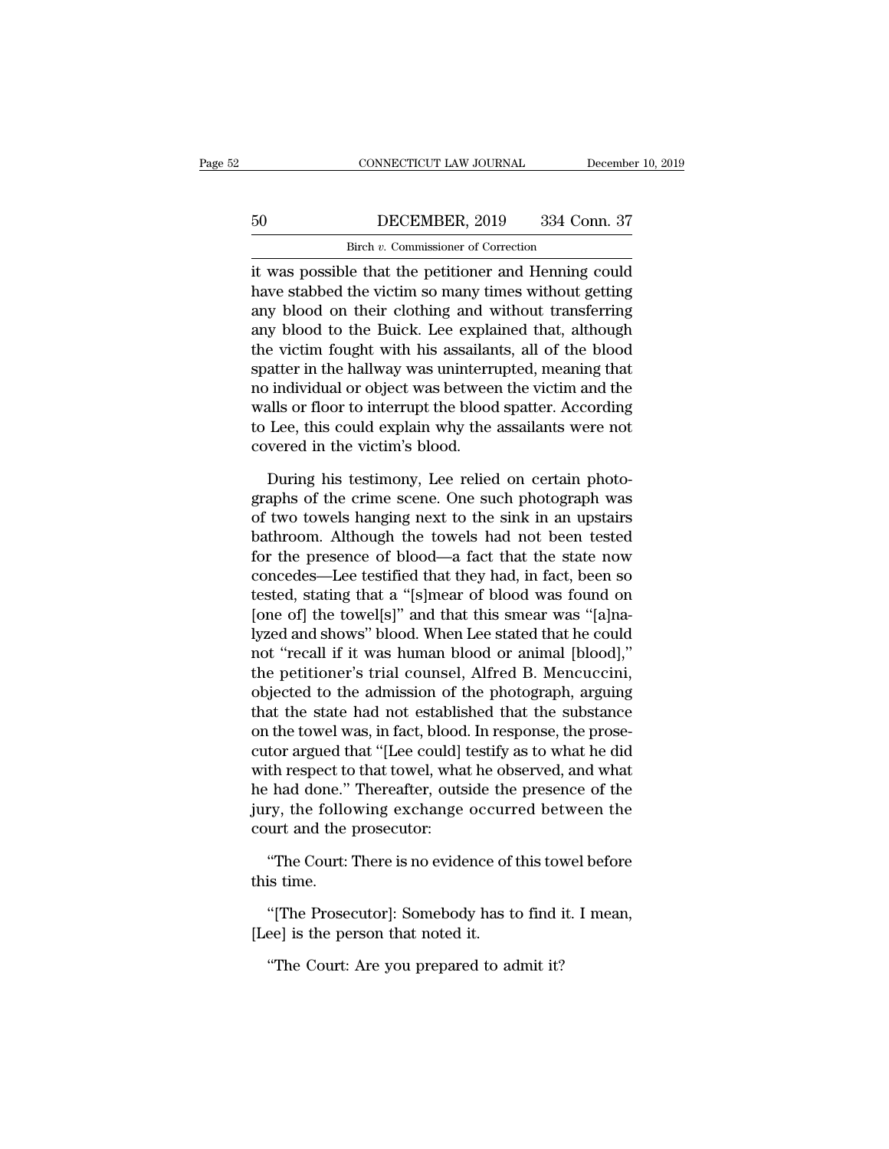# CONNECTICUT LAW JOURNAL December 10, 2019<br>50 DECEMBER, 2019 334 Conn. 37<br>Birch v. Commissioner of Correction CONNECTICUT LAW JOURNAL<br>DECEMBER, 2019 334 Correction<br>Birch *v.* Commissioner of Correction<br>le that the netitioner and Henning

CONNECTICUT LAW JOURNAL December 10, 2019<br> **EXECONDER, 2019** 334 Conn. 37<br>
Birch v. Commissioner of Correction<br>
it was possible that the petitioner and Henning could<br>
have stabbed the victim so many times without getting<br> FREE SEA 2019 334 Conn. 37<br>Birch v. Commissioner of Correction<br>it was possible that the petitioner and Henning could<br>have stabbed the victim so many times without getting<br>any blood on their clothing and without transferrin  $\begin{array}{ccc}\n 50 & \text{DECEMBER, 2019} & 334 \text{ Conn. } 37 \\
 \hline\n \text{Bireh } v. \text{ Commissioner of Correction} \\
 \text{it was possible that the pertinent and Henning could have stabbed the victim so many times without getting any blood on their clothing and without transferring any blood to the Bwick. Lee explained that, although the victim fourth his essentials, all of the blood.\n$ any blood to the Buick. Lee explained that, although Birch v. Commissioner of Correction<br>it was possible that the petitioner and Henning could<br>have stabbed the victim so many times without getting<br>any blood on their clothing and without transferring<br>any blood to the Buick. L shear v. commissioner of conection<br>it was possible that the petitioner and Henning could<br>have stabbed the victim so many times without getting<br>any blood on their clothing and without transferring<br>any blood to the Buick. L it was possible that the petitioner and Henning could<br>have stabbed the victim so many times without getting<br>any blood on their clothing and without transferring<br>any blood to the Buick. Lee explained that, although<br>the vict have stabbed the victim so many times without getting<br>any blood on their clothing and without transferring<br>any blood to the Buick. Lee explained that, although<br>the victim fought with his assailants, all of the blood<br>spatte any blood on their clothing and without transferring<br>any blood to the Buick. Lee explained that, although<br>the victim fought with his assailants, all of the blood<br>spatter in the hallway was uninterrupted, meaning that<br>no in any blood to the Buick. Lee expla<br>the victim fought with his assailan<br>spatter in the hallway was uninterru<br>no individual or object was between<br>walls or floor to interrupt the blood<br>to Lee, this could explain why the<br>covere atter in the hallway was uninterrupted, meaning that<br>individual or object was between the victim and the<br>alls or floor to interrupt the blood spatter. According<br>Lee, this could explain why the assailants were not<br>vered in no individual or object was between the victim and the<br>walls or floor to interrupt the blood spatter. According<br>to Lee, this could explain why the assailants were not<br>covered in the victim's blood.<br>During his testimony, Le

walls or floor to interrupt the blood spatter. According<br>to Lee, this could explain why the assailants were not<br>covered in the victim's blood.<br>During his testimony, Lee relied on certain photo-<br>graphs of the crime scene. O to Lee, this could explain why the assailants were not<br>covered in the victim's blood.<br>During his testimony, Lee relied on certain photo-<br>graphs of the crime scene. One such photograph was<br>of two towels hanging next to the covered in the victim's blood.<br>
During his testimony, Lee relied on certain photo-<br>
graphs of the crime scene. One such photograph was<br>
of two towels hanging next to the sink in an upstairs<br>
bathroom. Although the towels h During his testimony, Lee relied on certain photographs of the crime scene. One such photograph was<br>of two towels hanging next to the sink in an upstairs<br>bathroom. Although the towels had not been tested<br>for the presence o During his testimony, Lee relied on certain photo-<br>graphs of the crime scene. One such photograph was<br>of two towels hanging next to the sink in an upstairs<br>bathroom. Although the towels had not been tested<br>for the presence graphs of the crime scene. One such photograph was<br>of two towels hanging next to the sink in an upstairs<br>bathroom. Although the towels had not been tested<br>for the presence of blood—a fact that the state now<br>concedes—Lee te of two towels hanging next to the sink in an upstairs<br>bathroom. Although the towels had not been tested<br>for the presence of blood—a fact that the state now<br>concedes—Lee testified that they had, in fact, been so<br>tested, sta bathroom. Although the towels had not been tested<br>for the presence of blood—a fact that the state now<br>concedes—Lee testified that they had, in fact, been so<br>tested, stating that a "[s]mear of blood was found on<br>[one of] th for the presence of blood—a fact that the state now<br>concedes—Lee testified that they had, in fact, been so<br>tested, stating that a "[s]mear of blood was found on<br>[one of] the towel[s]" and that this smear was "[a]na-<br>lyzed concedes—Lee testified that they had, in fact, been so<br>tested, stating that a "[s]mear of blood was found on<br>[one of] the towel[s]" and that this smear was "[a]na-<br>lyzed and shows" blood. When Lee stated that he could<br>not tested, stating that a "[s]mear of blood was found on<br>[one of] the towel[s]" and that this smear was "[a]na-<br>lyzed and shows" blood. When Lee stated that he could<br>not "recall if it was human blood or animal [blood],"<br>the p [one of] the towel[s]" and that this smear was "[a]na-<br>lyzed and shows" blood. When Lee stated that he could<br>not "recall if it was human blood or animal [blood],"<br>the petitioner's trial counsel, Alfred B. Mencuccini,<br>objec lyzed and shows" blood. When Lee stated that he could<br>not "recall if it was human blood or animal [blood],"<br>the petitioner's trial counsel, Alfred B. Mencuccini,<br>objected to the admission of the photograph, arguing<br>that th not "recall if it was human blood or animal [blood],"<br>the petitioner's trial counsel, Alfred B. Mencuccini,<br>objected to the admission of the photograph, arguing<br>that the state had not established that the substance<br>on the the petitioner's trial counsel, Alfred B. Mencuccini,<br>objected to the admission of the photograph, arguing<br>that the state had not established that the substance<br>on the towel was, in fact, blood. In response, the prose-<br>cut objected to the admission of the photograph, arguing<br>that the state had not established that the substance<br>on the towel was, in fact, blood. In response, the prose-<br>cutor argued that "[Lee could] testify as to what he did<br> that the state had not establis<br>on the towel was, in fact, blood<br>cutor argued that "[Lee could] !<br>with respect to that towel, wha<br>he had done." Thereafter, outs<br>jury, the following exchange<br>court and the prosecutor:<br>"The C tor argued that "[Lee could] testify as to what he did<br>th respect to that towel, what he observed, and what<br>had done." Thereafter, outside the presence of the<br>ry, the following exchange occurred between the<br>urt and the pro with respect to<br>he had done."<br>jury, the follo<br>court and the<br>"The Court:"<br>this time.<br>"[The Prose The Following exchange occurred between the urt and the prosecutor:<br>"The Court: There is no evidence of this towel before is time.<br>"[The Prosecutor]: Somebody has to find it. I mean, ee] is the person that noted it.

(d), the following elemange ocean<br>court and the prosecutor:<br>"The Court: There is no evidence of<br>this time.<br>"[The Prosecutor]: Somebody has the person that noted it.<br>"The Court: Are you prepared to ac The Court: There is no evidence of this tow<br>is time.<br>"[The Prosecutor]: Somebody has to find i<br>ee] is the person that noted it.<br>"The Court: Are you prepared to admit it?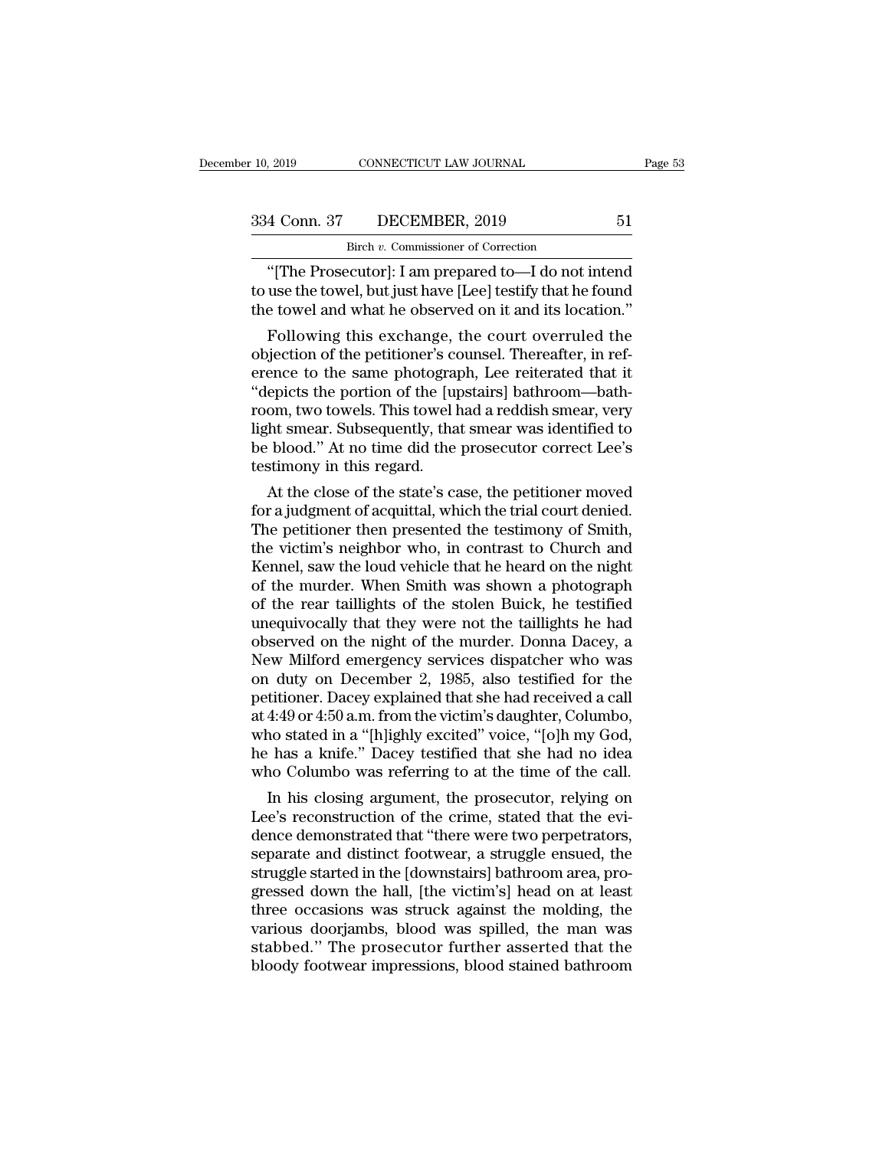2019 CONNECTICUT LAW JOURNAL Page 53<br>
4 Conn. 37 DECEMBER, 2019 51<br>
Birch v. Commissioner of Correction<br>
"[The Prosecutor]: I am prepared to—I do not intend<br>
use the towel, but just have [Lee] testify that he found<br>
a towe 334 Conn. 37 DECEMBER, 2019 51<br>Birch *v*. Commissioner of Correction<br>"[The Prosecutor]: I am prepared to—I do not intend<br>to use the towel, but just have [Lee] testify that he found<br>the towel and what he observed on it and  $\begin{tabular}{ c c c} \multicolumn{1}{c}{334}\textbf{Conn. }37 & DECEMBER, 2019 & 51 \\ \hline \textbf{Bireh }v.\textbf{ Commissioner of Correction} \\ \multicolumn{1}{c}{``[The Prosecutor]: I am prepared to—I do not intend to use the tower, but just have [Lee] testify that he found the tower and what he observed on it and its location."} \\ \multicolumn{1}{c}{\textbf{Following this exchange, the court overruled the} \end{tabular}$ 4 Conn. 37 DECEMBER, 2019 51<br>
Birch v. Commissioner of Correction<br>
"[The Prosecutor]: I am prepared to—I do not intend<br>
use the towel, but just have [Lee] testify that he found<br>
e towel and what he observed on it and its

Birch  $v$ . Commissioner of Correction<br>
"[The Prosecutor]: I am prepared to—I do not intend<br>
to use the towel, but just have [Lee] testify that he found<br>
the towel and what he observed on it and its location."<br>
Following t "[The Prosecutor]: I am prepared to—I do not intend<br>to use the towel, but just have [Lee] testify that he found<br>the towel and what he observed on it and its location."<br>Following this exchange, the court overruled the<br>objec The Prosecutor]: 1 am prepared to—1 do not intend<br>to use the towel, but just have [Lee] testify that he found<br>the towel and what he observed on it and its location."<br>Following this exchange, the court overruled the<br>objecti to use the towel, but just have [Lee] testly that he round<br>the towel and what he observed on it and its location."<br>Following this exchange, the court overruled the<br>objection of the petitioner's counsel. Thereafter, in refthe tower and what he observed on it and its location.<br>Following this exchange, the court overruled the<br>objection of the petitioner's counsel. Thereafter, in ref-<br>erence to the same photograph, Lee reiterated that it<br>"depi Following this exchange, the court overruled the<br>objection of the petitioner's counsel. Thereafter, in ref-<br>erence to the same photograph, Lee reiterated that it<br>"depicts the portion of the [upstairs] bathroom—bath-<br>room, objection of the petitioner's convergence to the same photogram<br>"depicts the portion of the [uprom, two towels. This towel]<br>light smear. Subsequently, tha<br>be blood." At no time did the<br>testimony in this regard.<br>At the clos ence to the same photograph, Lee reiterated that it<br>epicts the portion of the [upstairs] bathroom—bath-<br>om, two towels. This towel had a reddish smear, very<br>ht smear. Subsequently, that smear was identified to<br>blood." At n "depicts the portion of the [upstairs] bathroom—bathroom, two towels. This towel had a reddish smear, very<br>light smear. Subsequently, that smear was identified to<br>be blood." At no time did the prosecutor correct Lee's<br>test

room, two towers. This tower had a reddish smear, very<br>light smear. Subsequently, that smear was identified to<br>be blood." At no time did the prosecutor correct Lee's<br>testimony in this regard.<br>At the close of the state's ca fight smear. Subsequently, that smear was identified to<br>be blood." At no time did the prosecutor correct Lee's<br>testimony in this regard.<br>At the close of the state's case, the petitioner moved<br>for a judgment of acquittal, w be blood. At no time did the prosecutor correct Lee s<br>testimony in this regard.<br>At the close of the state's case, the petitioner moved<br>for a judgment of acquittal, which the trial court denied.<br>The petitioner then presente testimony in this regard.<br>
At the close of the state's case, the petitioner moved<br>
for a judgment of acquittal, which the trial court denied.<br>
The petitioner then presented the testimony of Smith,<br>
the victim's neighbor wh At the close of the state's case, the petitioner moved<br>for a judgment of acquittal, which the trial court denied.<br>The petitioner then presented the testimony of Smith,<br>the victim's neighbor who, in contrast to Church and<br>K for a judgment of acquittal, which the trial court denied.<br>The petitioner then presented the testimony of Smith,<br>the victim's neighbor who, in contrast to Church and<br>Kennel, saw the loud vehicle that he heard on the night<br> The petitioner then presented the testimony of Smith,<br>the victim's neighbor who, in contrast to Church and<br>Kennel, saw the loud vehicle that he heard on the night<br>of the murder. When Smith was shown a photograph<br>of the rea the victim's neighbor who, in contrast to Church and<br>Kennel, saw the loud vehicle that he heard on the night<br>of the murder. When Smith was shown a photograph<br>of the rear taillights of the stolen Buick, he testified<br>unequiv Kennel, saw the loud vehicle that he heard on the night<br>of the murder. When Smith was shown a photograph<br>of the rear taillights of the stolen Buick, he testified<br>unequivocally that they were not the taillights he had<br>obse of the murder. When Smith was shown a photograph<br>of the rear taillights of the stolen Buick, he testified<br>unequivocally that they were not the taillights he had<br>observed on the night of the murder. Donna Dacey, a<br>New Milfo of the rear taillights of the stolen Buick, he testified<br>unequivocally that they were not the taillights he had<br>observed on the night of the murder. Donna Dacey, a<br>New Milford emergency services dispatcher who was<br>on duty unequivocally that they were not the taillights he had<br>observed on the night of the murder. Donna Dacey, a<br>New Milford emergency services dispatcher who was<br>on duty on December 2, 1985, also testified for the<br>petitioner. D observed on the night of the murder. Donna Dacey, a<br>New Milford emergency services dispatcher who was<br>on duty on December 2, 1985, also testified for the<br>petitioner. Dacey explained that she had received a call<br>at 4:49 or New Milford emergency services dispatcher who was<br>on duty on December 2, 1985, also testified for the<br>petitioner. Dacey explained that she had received a call<br>at 4:49 or 4:50 a.m. from the victim's daughter, Columbo,<br>who s I duly on December 2, 1985, also testined for the<br>titioner. Dacey explained that she had received a call<br>4:49 or 4:50 a.m. from the victim's daughter, Columbo,<br>no stated in a "[h]ighly excited" voice, "[o]h my God,<br>has a k petitioner. Dacey explained that she had received a call<br>at 4:49 or 4:50 a.m. from the victim's daughter, Columbo,<br>who stated in a "[h]ighly excited" voice, "[o]h my God,<br>he has a knife." Dacey testified that she had no id

at 4:49 or 4:50 a.m. from the victim s daughter, Columbo,<br>who stated in a "[h]ighly excited" voice, "[o]h my God,<br>he has a knife." Dacey testified that she had no idea<br>who Columbo was referring to at the time of the call.<br> who stated in a [n]igniy excited voice, [0]n my God,<br>he has a knife." Dacey testified that she had no idea<br>who Columbo was referring to at the time of the call.<br>In his closing argument, the prosecutor, relying on<br>Lee's rec ne has a knife." Dacey testified that she had no idea<br>who Columbo was referring to at the time of the call.<br>In his closing argument, the prosecutor, relying on<br>Lee's reconstruction of the crime, stated that the evi-<br>dence who Columbo was referring to at the time of the call.<br>In his closing argument, the prosecutor, relying on<br>Lee's reconstruction of the crime, stated that the evi-<br>dence demonstrated that "there were two perpetrators,<br>separa In his closing argument, the prosecutor, relying on<br>Lee's reconstruction of the crime, stated that the evi-<br>dence demonstrated that "there were two perpetrators,<br>separate and distinct footwear, a struggle ensued, the<br>strug Lee's reconstruction of the crime, stated that the evi-<br>dence demonstrated that "there were two perpetrators,<br>separate and distinct footwear, a struggle ensued, the<br>struggle started in the [downstairs] bathroom area, pro-<br> dence demonstrated that "there were two perpetrators,<br>separate and distinct footwear, a struggle ensued, the<br>struggle started in the [downstairs] bathroom area, pro-<br>gressed down the hall, [the victim's] head on at least<br>t separate and distinct footwear, a struggle ensued, the struggle started in the [downstairs] bathroom area, progressed down the hall, [the victim's] head on at least three occasions was struck against the molding, the vario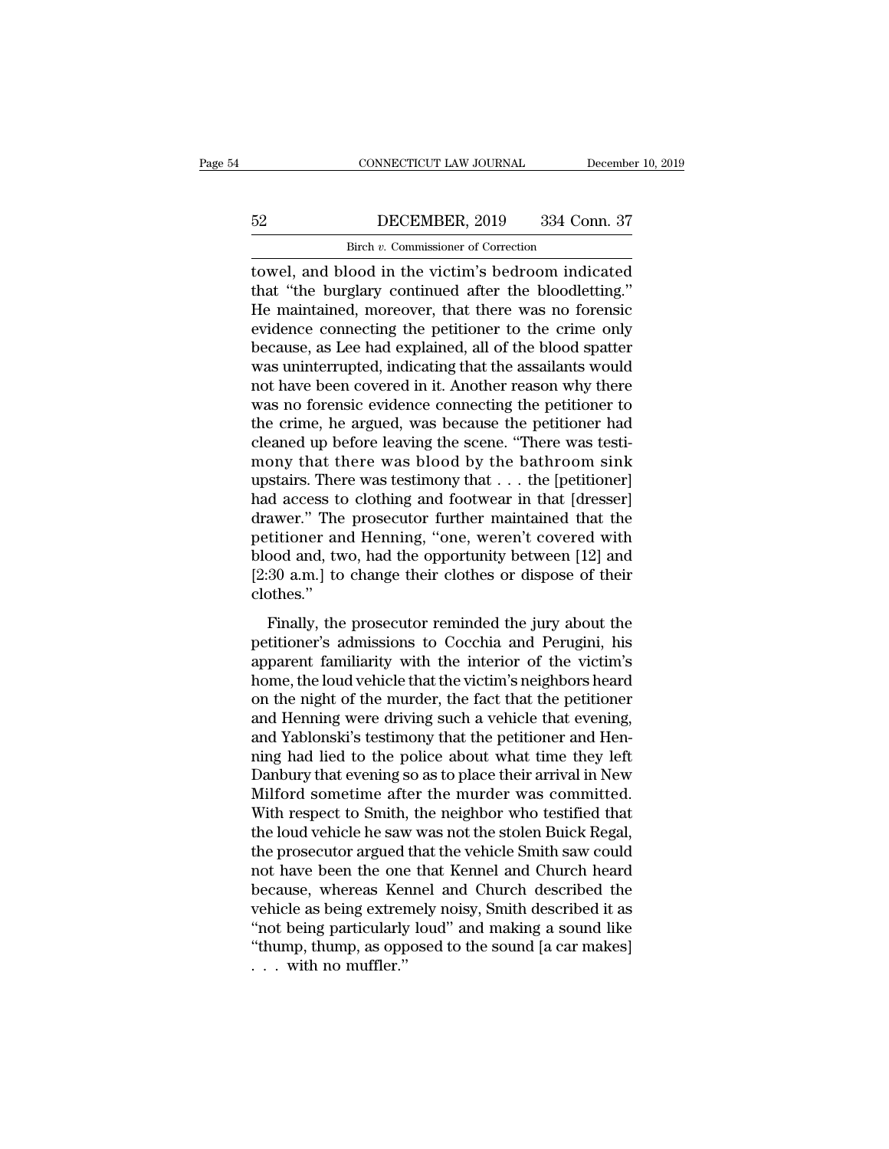# CONNECTICUT LAW JOURNAL December 10, 2019<br>52 DECEMBER, 2019 334 Conn. 37<br>Birch v. Commissioner of Correction

CONNECTICUT LAW JOURNAL December 10, 2019<br>Birch *v.* Commissioner of Correction<br>Towel, and blood in the victim's bedroom indicated CONNECTICUT LAW JOURNAL December 10, 2019<br>
52 DECEMBER, 2019 334 Conn. 37<br>
Birch v. Commissioner of Correction<br>
towel, and blood in the victim's bedroom indicated<br>
that "the burglary continued after the bloodletting."<br>
He DECEMBER, 2019 334 Conn. 37<br>Birch v. Commissioner of Correction<br>towel, and blood in the victim's bedroom indicated<br>that "the burglary continued after the bloodletting."<br>He maintained, moreover, that there was no forensic<br>o  $\begin{array}{ccc}\n 52 & \text{DECEMBER, 2019} & 334 \text{ Conn. } 37 \\
 \hline\n \text{Bireh } v. \text{ Commissioner of Correction} \\
 \text{towel, and blood in the victim's bedroom indicated} \\
 \text{that "the burglary continued after the bloodstream."} \\
 \text{He maintained, moreover, that there was no forensic evidence connecting the performance to the crime only} \\
 \text{because, as I, so had explained, all of the blood matter}\n \end{array}$ EVENTENT 2019 334 Conn. 37<br>
Eirch v. Commissioner of Correction<br>
towel, and blood in the victim's bedroom indicated<br>
that "the burglary continued after the bloodletting."<br>
He maintained, moreover, that there was no forensi Birch v. Commissioner of Correction<br>towel, and blood in the victim's bedroom indicated<br>that "the burglary continued after the bloodletting."<br>He maintained, moreover, that there was no forensic<br>evidence connecting the peti  $\frac{Bircn v. \text{ Commonssoner of Correction}}{Circen v. \text{ Commons} \cdot Circen}$ <br>towel, and blood in the victim's bedroom indicated<br>that "the burglary continued after the bloodletting."<br>He maintained, moreover, that there was no forensic<br>evidence connecting the pet towel, and blood in the victim's bedroom indicated<br>that "the burglary continued after the bloodletting."<br>He maintained, moreover, that there was no forensic<br>evidence connecting the petitioner to the crime only<br>because, as that "the burglary continued after the bloodletting."<br>He maintained, moreover, that there was no forensic<br>evidence connecting the petitioner to the crime only<br>because, as Lee had explained, all of the blood spatter<br>was uni He maintained, moreover, that there was no forensic<br>evidence connecting the petitioner to the crime only<br>because, as Lee had explained, all of the blood spatter<br>was uninterrupted, indicating that the assailants would<br>not h evidence connecting the petitioner to the crime only<br>because, as Lee had explained, all of the blood spatter<br>was uninterrupted, indicating that the assailants would<br>not have been covered in it. Another reason why there<br>was because, as Lee had explained, all of the blood spatter<br>was uninterrupted, indicating that the assailants would<br>not have been covered in it. Another reason why there<br>was no forensic evidence connecting the petitioner to<br>th was uninterrupted, indicating that the assailants would<br>not have been covered in it. Another reason why there<br>was no forensic evidence connecting the petitioner to<br>the crime, he argued, was because the petitioner had<br>clean not have been covered in it. Another reason why there<br>was no forensic evidence connecting the petitioner to<br>the crime, he argued, was because the petitioner had<br>cleaned up before leaving the scene. "There was testi-<br>mony t was no forensic evidence connecting the petitioner to<br>the crime, he argued, was because the petitioner had<br>cleaned up before leaving the scene. "There was testi-<br>mony that there was blood by the bathroom sink<br>upstairs. Th the crime, he argued, was because the petitioner had<br>cleaned up before leaving the scene. "There was testi-<br>mony that there was blood by the bathroom sink<br>upstairs. There was testimony that  $\ldots$  the [petitioner]<br>had acce cleaned up before leaving the scene. "There was testi-<br>mony that there was blood by the bathroom sink<br>upstairs. There was testimony that . . . the [petitioner]<br>had access to clothing and footwear in that [dresser]<br>drawer." mony that there was blood by the bathroom sink<br>upstairs. There was testimony that . . . the [petitioner]<br>had access to clothing and footwear in that [dresser]<br>drawer." The prosecutor further maintained that the<br>petitioner clothes.'' a different and Henning and Toothear II and [dielsber]<br>awer." The prosecutor further maintained that the<br>titioner and Henning, "one, weren't covered with<br>pood and, two, had the opportunity between [12] and<br>30 a.m.] to chan maked and the prosecutor radiater manufalmed and the<br>petitioner and Henning, "one, weren't covered with<br>blood and, two, had the opportunity between [12] and<br>[2:30 a.m.] to change their clothes or dispose of their<br>clothes."

permanter and fleming, one, weren't evvered with<br>blood and, two, had the opportunity between [12] and<br>[2:30 a.m.] to change their clothes or dispose of their<br>clothes."<br>Finally, the prosecutor reminded the jury about the<br>pe [2.30 a.m.] to change their clothes or dispose of their<br>[2.30 a.m.] to change their clothes or dispose of their<br>clothes."<br>Finally, the prosecutor reminded the jury about the<br>petitioner's admissions to Cocchia and Perugini pair. The prosecutor reminded the jury about the petitioner's admissions to Cocchia and Perugini, his apparent familiarity with the interior of the victim's home, the loud vehicle that the victim's neighbors heard on the n Finally, the prosecutor reminded the jury about the<br>petitioner's admissions to Cocchia and Perugini, his<br>apparent familiarity with the interior of the victim's<br>home, the loud vehicle that the victim's neighbors heard<br>on th Finally, the prosecutor reminded the jury about the petitioner's admissions to Cocchia and Perugini, his apparent familiarity with the interior of the victim's home, the loud vehicle that the victim's neighbors heard on th petitioner's admissions to Cocchia and Perugini, his<br>apparent familiarity with the interior of the victim's<br>home, the loud vehicle that the victim's neighbors heard<br>on the night of the murder, the fact that the petitioner<br> apparent familiarity with the interior of the victim's<br>home, the loud vehicle that the victim's neighbors heard<br>on the night of the murder, the fact that the petitioner<br>and Henning were driving such a vehicle that evening, home, the loud vehicle that the victim's neighbors heard<br>on the night of the murder, the fact that the petitioner<br>and Henning were driving such a vehicle that evening,<br>and Yablonski's testimony that the petitioner and Henon the night of the murder, the fact that the petitioner<br>and Henning were driving such a vehicle that evening,<br>and Yablonski's testimony that the petitioner and Hen-<br>ning had lied to the police about what time they left<br>Da and Henning were driving such a vehicle that evening,<br>and Yablonski's testimony that the petitioner and Hen-<br>ning had lied to the police about what time they left<br>Danbury that evening so as to place their arrival in New<br>Mi and Yablonski's testimony that the petitioner and Henning had lied to the police about what time they left Danbury that evening so as to place their arrival in New Milford sometime after the murder was committed.<br>With resp ning had lied to the police about what time they left<br>Danbury that evening so as to place their arrival in New<br>Milford sometime after the murder was committed.<br>With respect to Smith, the neighbor who testified that<br>the lou Danbury that evening so as to place their arrival in New<br>Milford sometime after the murder was committed.<br>With respect to Smith, the neighbor who testified that<br>the loud vehicle he saw was not the stolen Buick Regal,<br>the p Milford sometime after the murder was committed.<br>With respect to Smith, the neighbor who testified that<br>the loud vehicle he saw was not the stolen Buick Regal,<br>the prosecutor argued that the vehicle Smith saw could<br>not hav With respect to Smith, the neighbor who testified that<br>the loud vehicle he saw was not the stolen Buick Regal,<br>the prosecutor argued that the vehicle Smith saw could<br>not have been the one that Kennel and Church heard<br>becau the loud vehicle he saw was not the stolen Buick Regal,<br>the prosecutor argued that the vehicle Smith saw could<br>not have been the one that Kennel and Church heard<br>because, whereas Kennel and Church described the<br>vehicle as the prosecutor argued<br>not have been the one<br>because, whereas Ker<br>vehicle as being extrer<br>"not being particularly<br>"thump, thump, as opp<br>...with no muffler."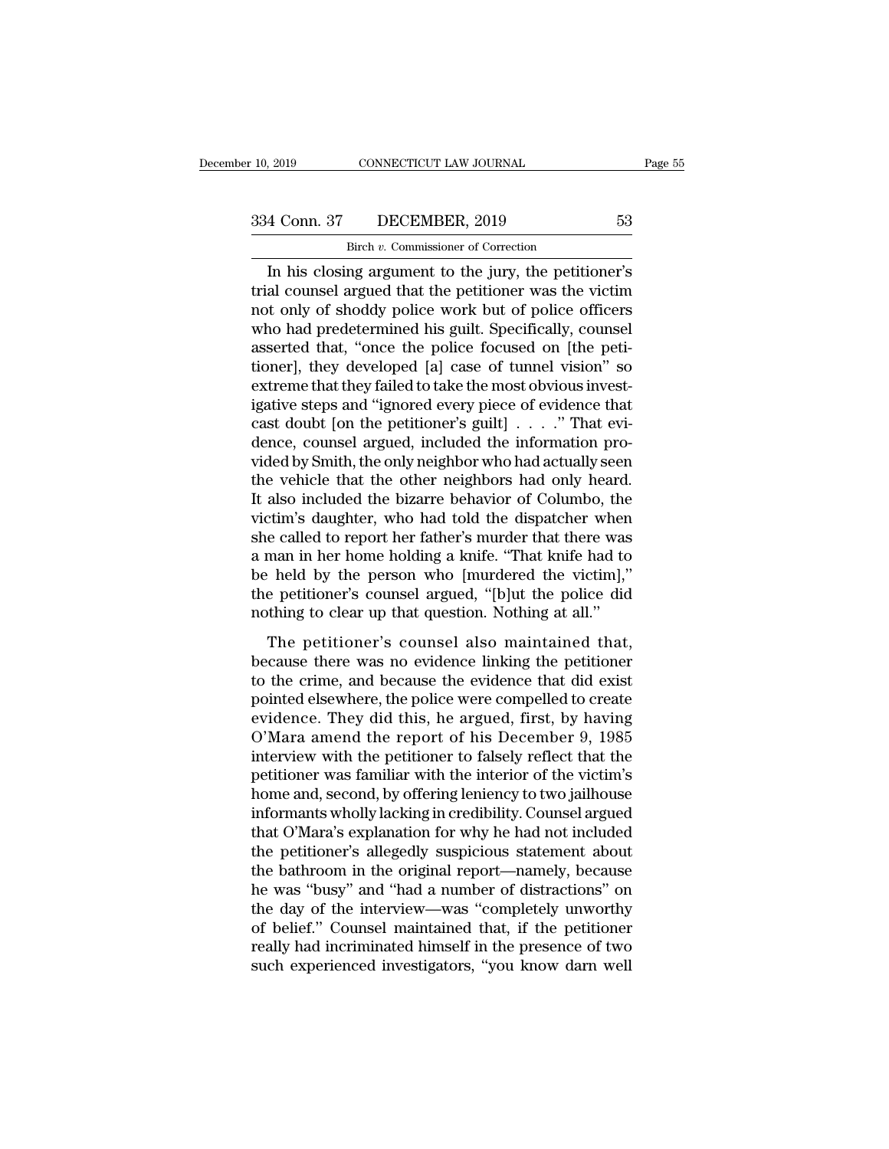# 10, 2019 CONNECTICUT LAW JOURNAL Page 55<br>334 Conn. 37 DECEMBER, 2019 53<br>Birch v. Commissioner of Correction CONNECTICUT LAW JOURNAL<br>DECEMBER, 2019<br>Birch *v.* Commissioner of Correction<br>ng argument to the jury the netitic

Fage 55<br>
In his closing argument to the jury, the petitioner's<br>
In his closing argument to the jury, the petitioner's<br>
al counsel argued that the petitioner was the victim<br>
In his closing argument to the jury, the petition  $\begin{array}{ccc}\n 334 \text{ Conn. } 37 & \text{DECEMBER, } 2019 & 53 \\
 \hline\n \text{Bireh } v. \text{ Commissioner of Correction} \\
 \hline\n \text{In his closing argument to the jury, the petitioner's trial, course, I and I do not include a good strategy.} \end{array}$  $\frac{334 \text{ Conn. } 37 \qquad \text{DECEMBER, } 2019 \qquad \qquad 53}{\text{Bireh } v. \text{ Commissioner of Correction}}$ <br>
In his closing argument to the jury, the petitioner's<br>
trial counsel argued that the petitioner was the victim<br>
not only of shoddy police work but of police of  $\frac{334 \text{ Conn. } 37}{\text{Bireh } v. \text{ Commissioner of Correction}}$ <br>In his closing argument to the jury, the petitioner's<br>trial counsel argued that the petitioner was the victim<br>not only of shoddy police work but of police officers<br>who had predetermined Birch v. Commissioner of Correction<br>
In his closing argument to the jury, the petitioner's<br>
trial counsel argued that the petitioner was the victim<br>
not only of shoddy police work but of police officers<br>
who had predetermi Birch *v*. Commissioner of Correction<br>In his closing argument to the jury, the petitioner's<br>trial counsel argued that the petitioner was the victim<br>not only of shoddy police work but of police officers<br>who had predetermin In his closing argument to the jury, the petitioner's<br>trial counsel argued that the petitioner was the victim<br>not only of shoddy police work but of police officers<br>who had predetermined his guilt. Specifically, counsel<br>ass trial counsel argued that the petitioner was the victim<br>not only of shoddy police work but of police officers<br>who had predetermined his guilt. Specifically, counsel<br>asserted that, "once the police focused on [the peti-<br>tio not only of shoddy police work but of police officers<br>who had predetermined his guilt. Specifically, counsel<br>asserted that, "once the police focused on [the peti-<br>tioner], they developed [a] case of tunnel vision" so<br>extre who had predetermined his guilt. Specifically, counsel<br>asserted that, "once the police focused on [the peti-<br>tioner], they developed [a] case of tunnel vision" so<br>extreme that they failed to take the most obvious invest-<br> asserted that, "once the police focused on [the petitioner], they developed [a] case of tunnel vision" so<br>extreme that they failed to take the most obvious invest-<br>igative steps and "ignored every piece of evidence that<br>ca tioner], they developed [a] case of tunnel vision" so<br>extreme that they failed to take the most obvious invest-<br>igative steps and "ignored every piece of evidence that<br>cast doubt [on the petitioner's guilt] . . . . ." That extreme that they failed to take the most obvious invest-<br>igative steps and "ignored every piece of evidence that<br>cast doubt [on the petitioner's guilt]  $\ldots$ ." That evi-<br>dence, counsel argued, included the information pr igative steps and "ignored every piece of evidence that<br>
cast doubt [on the petitioner's guilt]  $\ldots$ ." That evi-<br>
dence, counsel argued, included the information pro-<br>
vided by Smith, the only neighbor who had actually s cast doubt [on the petitioner's guilt]  $\ldots$  ." That evidence, counsel argued, included the information provided by Smith, the only neighbor who had actually seen the vehicle that the other neighbors had only heard. It al dence, counsel argued, included the information pro-<br>vided by Smith, the only neighbor who had actually seen<br>the vehicle that the other neighbors had only heard.<br>It also included the bizarre behavior of Columbo, the<br>victim vided by Smith, the only neighbor who had actually seen<br>the vehicle that the other neighbors had only heard.<br>It also included the bizarre behavior of Columbo, the<br>victim's daughter, who had told the dispatcher when<br>she cal the vehicle that the other neighbors had only heard.<br>It also included the bizarre behavior of Columbo, the<br>victim's daughter, who had told the dispatcher when<br>she called to report her father's murder that there was<br>a man i It also included the bizarre behavior of Columbo, the victim's daughter, who had told the dispatcher when she called to report her father's murder that there was a man in her home holding a knife. "That knife had to be hel e called to report her father's murder that there was<br>man in her home holding a knife. "That knife had to<br>held by the person who [murdered the victim],"<br>e petitioner's counsel argued, "[b]ut the police did<br>thing to clear u a man in her home holding a knife. "That knife had to<br>be held by the person who [murdered the victim],"<br>the petitioner's counsel argued, "[b]ut the police did<br>nothing to clear up that question. Nothing at all."<br>The petitio

to the held by the person who [murdered the victim],"<br>the petitioner's counsel argued, "[b]ut the police did<br>nothing to clear up that question. Nothing at all."<br>The petitioner's counsel also maintained that,<br>because there be heat by the person who pharacted the vielant),<br>the petitioner's counsel argued, "[b]ut the police did<br>nothing to clear up that question. Nothing at all."<br>The petitioner's counsel also maintained that,<br>because there was even because the general angulary point of the point of the point of the petitioner's counsel also maintained that, because there was no evidence linking the petitioner to the crime, and because the evidence that did exist The petitioner's counsel also maintained that,<br>because there was no evidence linking the petitioner<br>to the crime, and because the evidence that did exist<br>pointed elsewhere, the police were compelled to create<br>evidence. The The petitioner's counsel also maintained that,<br>because there was no evidence linking the petitioner<br>to the crime, and because the evidence that did exist<br>pointed elsewhere, the police were compelled to create<br>evidence. The because there was no evidence linking the petitioner<br>to the crime, and because the evidence that did exist<br>pointed elsewhere, the police were compelled to create<br>evidence. They did this, he argued, first, by having<br>O'Mara to the crime, and because the evidence that did exist<br>pointed elsewhere, the police were compelled to create<br>evidence. They did this, he argued, first, by having<br>O'Mara amend the report of his December 9, 1985<br>interview wi pointed elsewhere, the police were compelled to create<br>evidence. They did this, he argued, first, by having<br>O'Mara amend the report of his December 9, 1985<br>interview with the petitioner to falsely reflect that the<br>petition evidence. They did this, he argued, first, by having<br>O'Mara amend the report of his December 9, 1985<br>interview with the petitioner to falsely reflect that the<br>petitioner was familiar with the interior of the victim's<br>home O'Mara amend the report of his December 9, 1985<br>interview with the petitioner to falsely reflect that the<br>petitioner was familiar with the interior of the victim's<br>home and, second, by offering leniency to two jailhouse<br>in interview with the petitioner to falsely reflect that the petitioner was familiar with the interior of the victim's home and, second, by offering leniency to two jailhouse informants wholly lacking in credibility. Counsel petitioner was familiar with the interior of the victim's<br>home and, second, by offering leniency to two jailhouse<br>informants wholly lacking in credibility. Counsel argued<br>that O'Mara's explanation for why he had not includ home and, second, by offering leniency to two jailhouse<br>informants wholly lacking in credibility. Counsel argued<br>that O'Mara's explanation for why he had not included<br>the petitioner's allegedly suspicious statement about<br>t informants wholly lacking in credibility. Counsel argued<br>that O'Mara's explanation for why he had not included<br>the petitioner's allegedly suspicious statement about<br>the bathroom in the original report—namely, because<br>he wa that O'Mara's explanation for why he had not included<br>the petitioner's allegedly suspicious statement about<br>the bathroom in the original report—namely, because<br>he was "busy" and "had a number of distractions" on<br>the day of the petitioner's allegedly suspicious statement about<br>the bathroom in the original report—namely, because<br>he was "busy" and "had a number of distractions" on<br>the day of the interview—was "completely unworthy<br>of belief." Co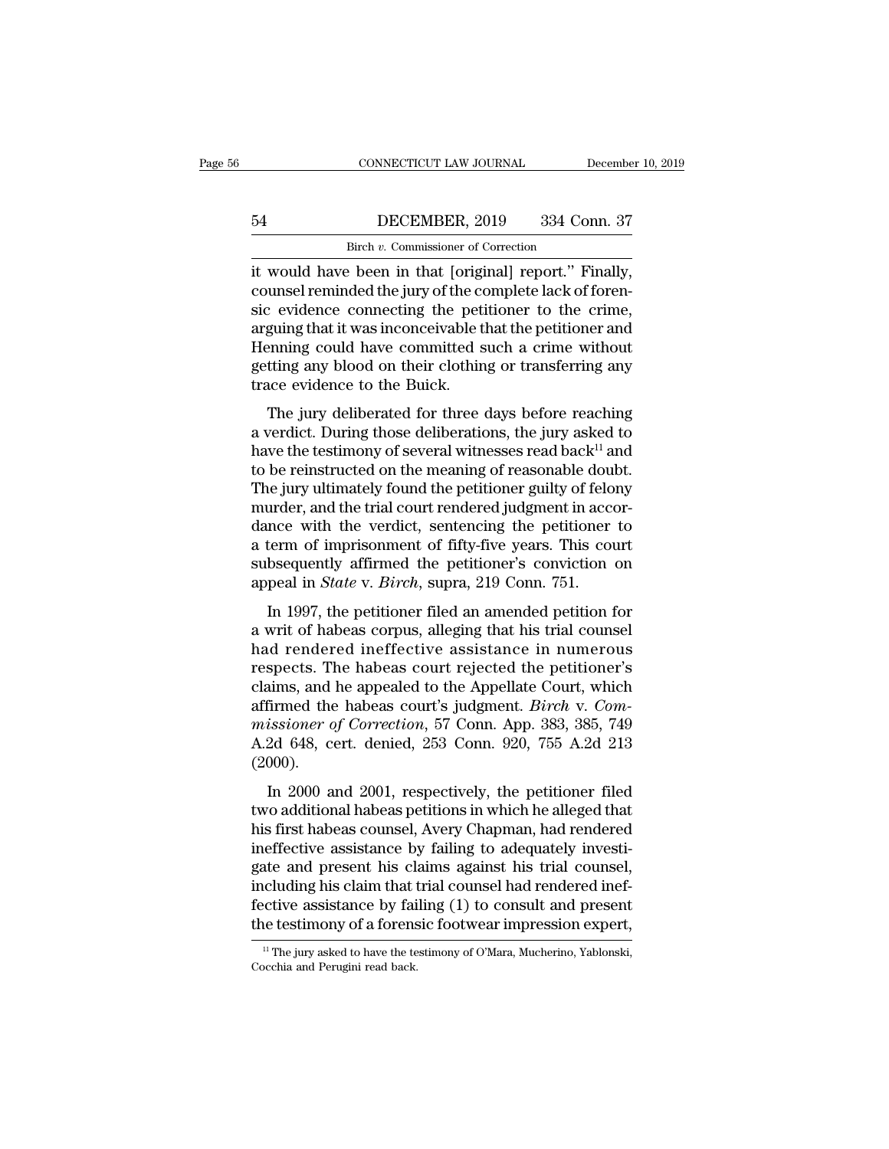# CONNECTICUT LAW JOURNAL December 10, 2019<br>54 DECEMBER, 2019 334 Conn. 37<br>Birch v. Commissioner of Correction CONNECTICUT LAW JOURNAL<br>DECEMBER, 2019 334 Correction<br>Birch *v*. Commissioner of Correction<br>Peen in that [original] report "Fi

CONNECTICUT LAW JOURNAL December 10, 2<br>
54 DECEMBER, 2019 334 Conn. 37<br>
Birch v. Commissioner of Correction<br>
it would have been in that [original] report.'' Finally,<br>
counsel reminded the jury of the complete lack of foren EXECOUTER, 2019 334 Conn. 37<br>Birch v. Commissioner of Correction<br>it would have been in that [original] report." Finally,<br>counsel reminded the jury of the complete lack of foren-<br>sic evidence connecting the petitioner to th  $\begin{tabular}{ll} \bf 54 & DECEMBER, 2019 & 334 Conn. 37 \\ \hline & \bf 8ireh $v$. Commissioner of Correction \\ \hline it would have been in that [original] report." Finally, \\ \bf counds remained the jury of the complete lack of foren-  
sic evidence connecting the performance to the crime, \\ \hline \bf 5 arguing that it was inconceivable that the performance and  
\nHanning could have committed such a crime without$  $\frac{\text{Bicm}}{\text{Bicm}}$  DECEMBER, 2019 334 Conn. 37<br>
it would have been in that [original] report." Finally,<br>
counsel reminded the jury of the complete lack of foren-<br>
sic evidence connecting the petitioner to the crime,<br>
argu Birch v. Commissioner of Correction<br>it would have been in that [original] report." Finally,<br>counsel reminded the jury of the complete lack of foren-<br>sic evidence connecting the petitioner to the crime,<br>arguing that it was getting any blood on their clothing or transferring any it would have been in that [origin]<br>counsel reminded the jury of the cosic evidence connecting the petiar<br>arguing that it was inconceivable to<br>Henning could have committed s<br>getting any blood on their clothin<br>trace evidenc The jury deliberated for three days before reaching<br>that it was inconceivable that the petitioner and<br>enning could have committed such a crime without<br>tting any blood on their clothing or transferring any<br>ace evidence to are evidence connecting the petrioder to the effine,<br>arguing that it was inconceivable that the petitioner and<br>Henning could have committed such a crime without<br>getting any blood on their clothing or transferring any<br>trac

Henning could have committed such a crime without<br>getting any blood on their clothing or transferring any<br>trace evidence to the Buick.<br>The jury deliberated for three days before reaching<br>a verdict. During those deliberati Terming collid rave committed such a crime whilout<br>getting any blood on their clothing or transferring any<br>trace evidence to the Buick.<br>The jury deliberated for three days before reaching<br>a verdict. During those deliberati The jury deliberated for three days before reaching any trace evidence to the Buick.<br>The jury deliberated for three days before reaching a verdict. During those deliberations, the jury asked to have the testimony of sever The jury deliberated for three days before reaching<br>a verdict. During those deliberations, the jury asked to<br>have the testimony of several witnesses read back<sup>11</sup> and<br>to be reinstructed on the meaning of reasonable doubt. The jury deliberated for three days before reaching<br>a verdict. During those deliberations, the jury asked to<br>have the testimony of several witnesses read back<sup>11</sup> and<br>to be reinstructed on the meaning of reasonable doubt. a verdict. During those deliberations, the jury asked to<br>have the testimony of several witnesses read back<sup>11</sup> and<br>to be reinstructed on the meaning of reasonable doubt.<br>The jury ultimately found the petitioner guilty of have the testimony of several witnesses read back<sup>11</sup> and<br>to be reinstructed on the meaning of reasonable doubt.<br>The jury ultimately found the petitioner guilty of felony<br>murder, and the trial court rendered judgment in ac to be reinstructed on the meaning of reasonable dou<br>The jury ultimately found the petitioner guilty of felo<br>murder, and the trial court rendered judgment in acce<br>dance with the verdict, sentencing the petitioner<br>a term of In 1997, the petitioner filed and amended petitioner in accor-<br>Ince with the verdict, sentencing the petitioner to<br>term of imprisonment of fifty-five years. This court<br>bsequently affirmed the petitioner's conviction on<br>pea matuce, and the trial court rendered judgment in accordance with the verdict, sentencing the petitioner to a term of imprisonment of fifty-five years. This court subsequently affirmed the petitioner's conviction on appeal

a term of imprisonment of fifty-five years. This court<br>subsequently affirmed the petitioner's conviction on<br>appeal in *State* v. *Birch*, supra, 219 Conn. 751.<br>In 1997, the petitioner filed an amended petition for<br>a writ o a term of imprisonment of may-ive years. This court<br>subsequently affirmed the petitioner's conviction on<br>appeal in *State* v. *Birch*, supra, 219 Conn. 751.<br>In 1997, the petitioner filed an amended petition for<br>a writ of h appeal in *State* v. *Birch*, supra, 219 Conn. 751.<br>In 1997, the petitioner filed an amended petition for<br>a writ of habeas corpus, alleging that his trial counsel<br>had rendered ineffective assistance in numerous<br>respects. In 1997, the petitioner filed an amended petition for<br>a writ of habeas corpus, alleging that his trial counsel<br>had rendered ineffective assistance in numerous<br>respects. The habeas court rejected the petitioner's<br>claims, an In 1997, the petitioner filed an amended petition for<br>a writ of habeas corpus, alleging that his trial counsel<br>had rendered ineffective assistance in numerous<br>respects. The habeas court rejected the petitioner's<br>claims, an a writ of habeas corpus, alleging that his trial counsel<br>had rendered ineffective assistance in numerous<br>respects. The habeas court rejected the petitioner's<br>claims, and he appealed to the Appellate Court, which<br>affirmed t (2000). is a mind of the Appellate Court, which<br>
is a mind the habeas court's judgment. *Birch* v. *Com-*<br> *issioner of Correction*, 57 Conn. App. 383, 385, 749<br>
2d 648, cert. denied, 253 Conn. 920, 755 A.2d 213<br>
000).<br>
In 2000 an affirmed the habeas court's judgment. *Birch* v. *Commissioner of Correction*, 57 Conn. App. 383, 385, 749<br>A.2d 648, cert. denied, 253 Conn. 920, 755 A.2d 213<br>(2000).<br>In 2000 and 2001, respectively, the petitioner filed<br>t

missioner of Correction, 57 Conn. App. 383, 385, 749<br>A.2d 648, cert. denied, 253 Conn. 920, 755 A.2d 213<br>(2000).<br>In 2000 and 2001, respectively, the petitioner filed<br>two additional habeas petitions in which he alleged that missioner by correction, or comit. App. 555, 556, 445<br>A.2d 648, cert. denied, 253 Conn. 920, 755 A.2d 213<br>(2000).<br>In 2000 and 2001, respectively, the petitioner filed<br>two additional habeas petitions in which he alleged tha (2000).<br>In 2000 and 2001, respectively, the petitioner filed<br>two additional habeas petitions in which he alleged that<br>his first habeas counsel, Avery Chapman, had rendered<br>ineffective assistance by failing to adequately i In 2000 and 2001, respectively, the petitioner filed<br>two additional habeas petitions in which he alleged that<br>his first habeas counsel, Avery Chapman, had rendered<br>ineffective assistance by failing to adequately investi-<br>g In 2000 and 2001, respectively, the petitioner filed<br>two additional habeas petitions in which he alleged that<br>his first habeas counsel, Avery Chapman, had rendered<br>ineffective assistance by failing to adequately investi-<br>g two additional habeas petitions in which he alleged that<br>his first habeas counsel, Avery Chapman, had rendered<br>ineffective assistance by failing to adequately investi-<br>gate and present his claims against his trial counsel, gate and present his claims against his trial counsel, including his claim that trial counsel had rendered ineffective assistance by failing (1) to consult and present the testimony of a forensic footwear impression exper fective assistance by failing (1) to consult and present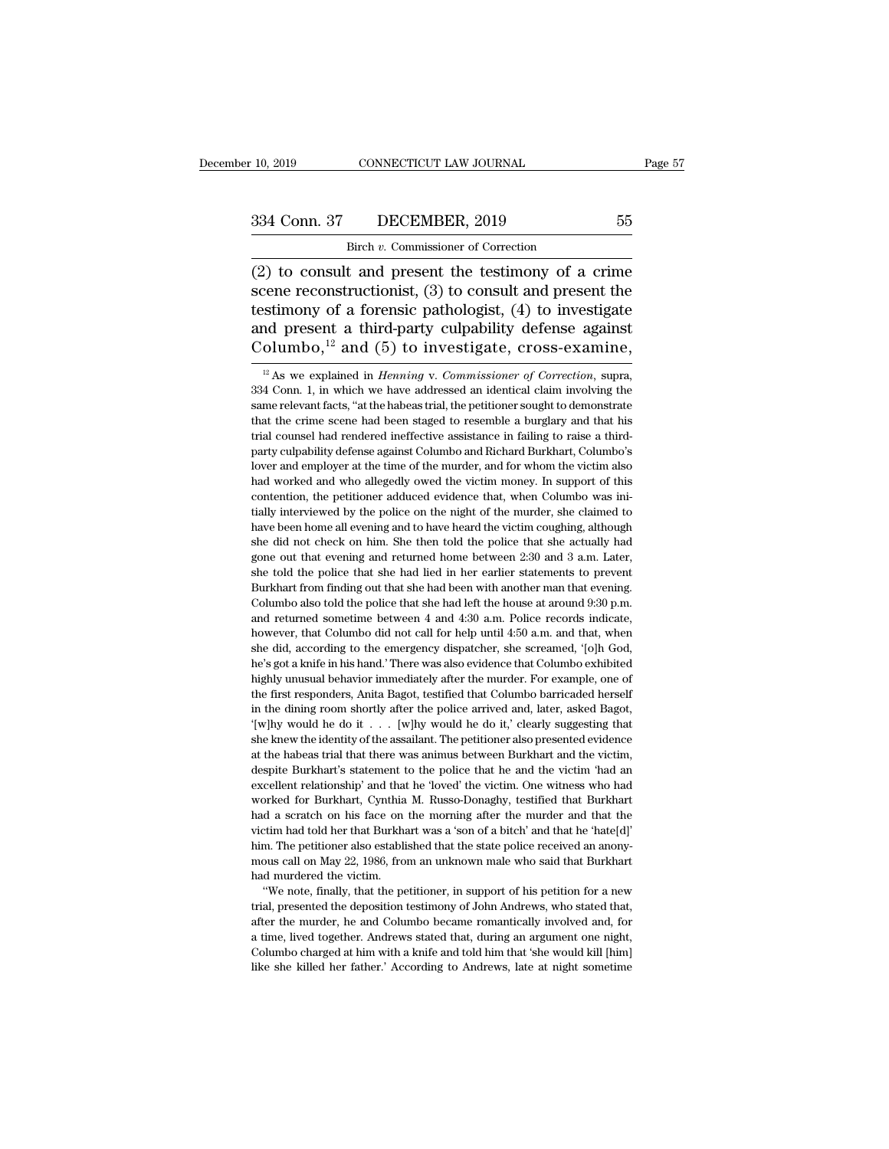CONNECTICUT LAW JOURNAL<br>DECEMBER, 2019<br>Birch *v.* Commissioner of Correction<br>t. and present the testimony of a (2) to consult and present the testimony of a crime<br>technical present the testimony of a crime<br>scene reconstructionist, (3) to consult and present the<br>testimony of a forensial present the testimony of a crime<br>testimony of 334 Conn. 37 DECEMBER, 2019 55<br>Birch v. Commissioner of Correction<br>(2) to consult and present the testimony of a crime<br>scene reconstructionist, (3) to consult and present the<br>testimony of a forensic pathologist, (4) to in 334 Conn. 37 DECEMBER, 2019 55<br>
Birch v. Commissioner of Correction<br>
(2) to consult and present the testimony of a crime<br>
scene reconstructionist, (3) to consult and present the<br>
testimony of a forensic pathologist, (4) t 334 Conn. 37 DECEMBER, 2019 55<br>
Birch v. Commissioner of Correction<br>
(2) to consult and present the testimony of a crime<br>
scene reconstructionist, (3) to consult and present the<br>
testimony of a forensic pathologist, (4) t Birch v. Commissioner of Correction<br>
(2) to consult and present the testimony of a crime<br>
scene reconstructionist, (3) to consult and present the<br>
testimony of a forensic pathologist, (4) to investigate<br>
and present a thi Example 12 As we explained in *Henning* v. *Commissioner of Correction*, supra,  $\frac{12}{10}$  As we explained in *Henning* v. *Commissioner of Correction*, supra, 4 Conn. 1, in which we have addressed an identical claim inv testimony of a forensic pathologist, (4) to investigate<br>and present a third-party culpability defense against<br>Columbo,<sup>12</sup> and (5) to investigate, cross-examine,<br> $\frac{12}{12}$  As we explained in *Henning v. Commissioner of* 

and present a third-party culpability defense against Columbo,<sup>12</sup> and (5) to investigate, cross-examine,<br> $\frac{12}{12}$  As we explained in *Henning v. Commissioner of Correction*, supra, 334 Conn. 1, in which we have addres Columbo,<sup>12</sup> and (5) to investigate, cross-examine,<br> $\frac{12}{12}$  As we explained in *Henning v. Commissioner of Correction*, supra,<br>334 Conn. 1, in which we have addressed an identical claim involving the<br>same relevant fac Example, and (3) to investigate, cross-examine,<br>
<sup>12</sup> As we explained in *Henning* v. *Commissioner of Correction*, supra,<br>
334 Conn. 1, in which we have addressed an identical claim involving the<br>
same relevant facts, "a <sup>12</sup> As we explained in *Henning* v. *Commissioner of Correction*, supra, 334 Conn. 1, in which we have addressed an identical claim involving the same relevant facts, "at the habeas trial, the petitioner sought to demons 334 Conn. 1, in which we have addressed an identical claim involving the same relevant facts, "at the habeas trial, the petitioner sought to demonstrate that the crime scene had been staged to resemble a burglary and that same relevant facts, "at the habeas trial, the petitioner sought to demonstrate that the crime scene had been staged to resemble a burglary and that his trial counsel had rendered ineffective assistance in failing to raise but that the crime scene had been staged to resemble a burglary and that his<br>that the crime scene had been staged to resemble a burglary and that his<br>trial counsel had rendered ineffective assistance in failing to raise a trial counsel had rendered ineffective assistance in failing to raise a third-<br>party culpability defense against Columbo and Richard Burkhart, Columbo's<br>lover and employer at the time of the murder, and for whom the victim have been home all evening and to have heard the police that Surkhart, Columbo's lover and employer at the time of the murder, and for whom the victim also had worked and who allegedly owed the victim money. In support of lover and employer at the time of the murder, and for whom the victim also had worked and who allegedly owed the victim money. In support of this contention, the petitioner adduced evidence that, when Columbo was initially had worked and who allegedly owed the victim money. In support of this contention, the petitioner adduced evidence that, when Columbo was initially interviewed by the police on the night of the murder, she claimed to have contention, the petitioner adduced evidence that, when Columbo was initially interviewed by the police on the night of the murder, she claimed to have been home all evening and to have heard the victim coughing, although s East that she had been with another man that evening columbo also told the police on the night of the murder, she claimed to have been home all evening and to have heard the victim coughing, although she did not check on have been home all evening and to have heard the victim coughing, although she did not check on him. She then told the police that she actually had gone out that evening and returned home between 2:30 and 3 a.m. Later, she and returned sometime between 4 and 4:30 a.m. and that, when we were, that Columbo also told the police that she had lied in her earlier statements to prevent Burkhart from finding out that she had been with another man t gone out that evening and returned home between 2:30 and 3 a.m. Later, she told the police that she had lied in her earlier statements to prevent Burkhart from finding out that she had been with another man that evening. C she told the police that she had lied in her earlier statements to prevent Burkhart from finding out that she had been with another man that evening. Columbo also told the police that she had left the house at around 9:30 Burkhart from finding out that she had been with another man that evening.<br>Columbo also told the police that she had left the house at around 9:30 p.m.<br>and returned sometime between 4 and 4:30 a.m. Police records indicate, Columbo also told the police that she had left the house at around 9:30 p.m.<br>and returned sometime between 4 and 4:30 a.m. Police records indicate,<br>however, that Columbo did not call for help until 4:50 a.m. and that, whe and returned sometime between 4 and 4:30 a.m. Police records indicate, however, that Columbo did not call for help until 4:50 a.m. and that, when she did, according to the emergency dispatcher, she screamed, '[o]h God, he' however, that Columbo did not call for help until 4:50 a.m. and that, when she did, according to the emergency dispatcher, she screamed, '[o]h God, he's got a knife in his hand.' There was also evidence that Columbo exhib she did, according to the emergency dispatcher, she screamed, '[o]h God, he's got a knife in his hand.' There was also evidence that Columbo exhibited highly unusual behavior immediately after the murder. For example, one she knew the inhibital contribution of the is got a knife in his hand. There was also evidence that Columbo exhibited highly unusual behavior immediately after the murder. For example, one of the first responders, Anita B At the habeas trial that there was animus between Burkhart and the victim, the habeas trial that Columbo barricaded herself in the dining room shortly after the police arrived and, later, asked Bagot,  $[w]$ lly would he do the first responders, Anita Bagot, testified that Columbo barricaded herself in the dining room shortly after the police arrived and, later, asked Bagot,  $[$ w]hy would he do it  $\ldots$  [w]hy would he do it,' clearly suggest in the dining room shortly after the police arrived and, later, asked Bagot,  $\{[w]\}$  would he do it  $\ldots$  [w]hy would he do it,' clearly suggesting that she knew the identity of the assailant. The petitioner also present "We would he do it  $\ldots$  [w]hy would he do it,' clearly suggesting that she knew the identity of the assailant. The petitioner also presented evidence at the habeas trial that there was animus between Burkhart and the vic Finity in the distribution and the assailant. The petitioner also presented evidence at the habeas trial that there was animus between Burkhart and the victim, despite Burkhart's statement to the police that he and the vi at the habeas trial that there was animus between Burkhart and the victim, despite Burkhart's statement to the police that he and the victim 'had an excellent relationship' and that he 'loved' the victim. One witness who h despite Burkhart's statement to the police that he and the victim 'had an excellent relationship' and that he 'loved' the victim. One witness who had worked for Burkhart, Cynthia M. Russo-Donaghy, testified that Burkhart h excellent relationship' and that he 'loved' the victim. One witness who had worked for Burkhart, Cynthia M. Russo-Donaghy, testified that Burkhart had a scratch on his face on the morning after the murder and that the vict worked for Burkhart, Cynthia<br>had a scratch on his face on<br>victim had told her that Burkha<br>him. The petitioner also establi<br>mous call on May 22, 1986, fro<br>had murdered the victim.<br>"We note, finally, that the pe of a scratch on his face on the morning after the murder and that the test of a base on the morning after the murder and that the testim had told her that Burkhart was a 'son of a bitch' and that he 'hate[d]'<br>m. The petiti Finally in the deposition of a bitch' and that he 'hate'[d]'<br>
him. The petitioner also established that the state police received an anony-<br>
mous call on May 22, 1986, from an unknown male who said that Burkhart<br>
had murd

him. The petitioner also established that the state police received an anony-<br>mous call on May 22, 1986, from an unknown male who said that Burkhart<br>had murdered the victim.<br>"We note, finally, that the petitioner, in supp mous call on May 22, 1986, from an unknown male who said that Burkhart<br>had murdered the victim.<br>"We note, finally, that the petitioner, in support of his petition for a new<br>trial, presented the deposition testimony of John And murdered the victim.<br>
"We note, finally, that the petitioner, in support of his petition for a new<br>
trial, presented the deposition testimony of John Andrews, who stated that,<br>
after the murder, he and Columbo became r like she killed the deposition testimony of John Andrews, who stated that, after the murder, he and Columbo became romantically involved and, for a time, lived together. Andrews stated that, during an argument one night, C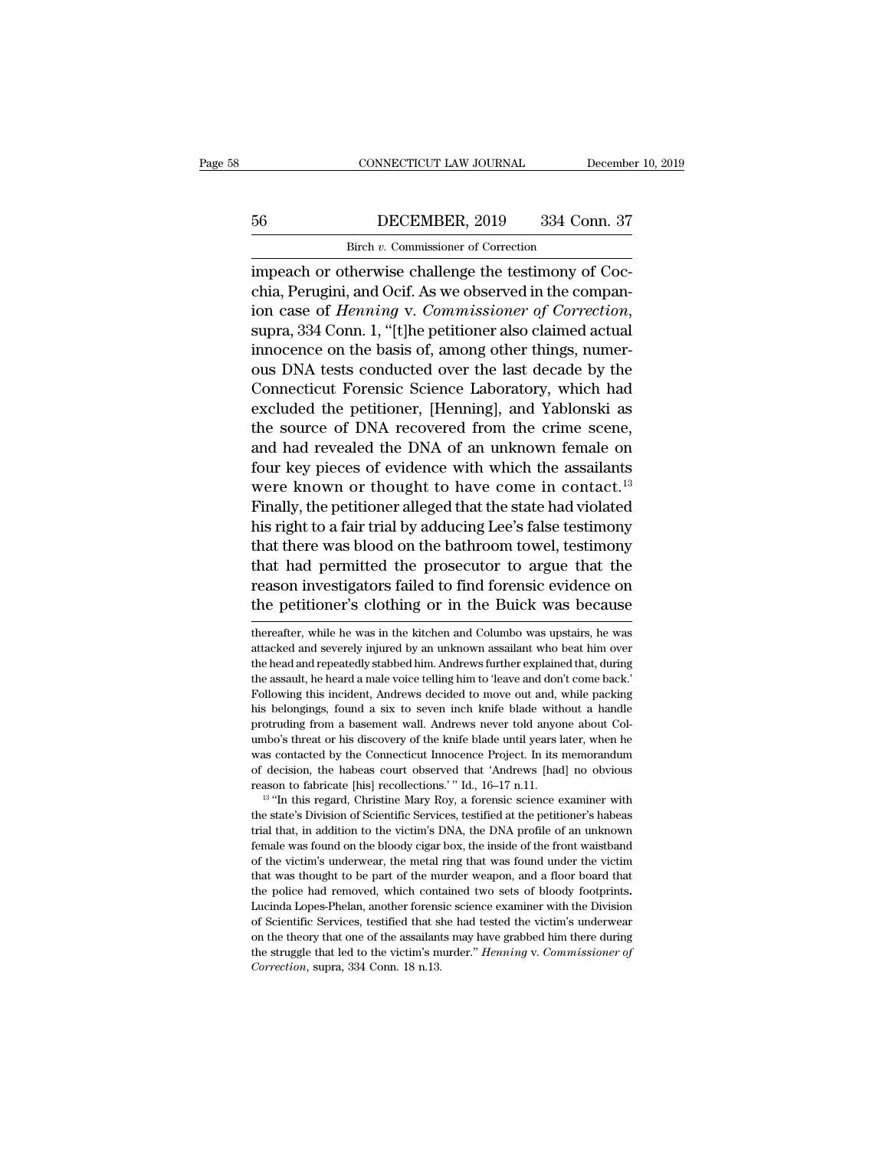# CONNECTICUT LAW JOURNAL December 10, 2019<br>56 DECEMBER, 2019 334 Conn. 37<br>Birch v. Commissioner of Correction CONNECTICUT LAW JOURNAL<br>DECEMBER, 2019 334 Correction<br>Birch *v.* Commissioner of Correction<br>therwise challenge the testimony of

CONNECTICUT LAW JOURNAL December<br>
56 DECEMBER, 2019 334 Conn. 37<br>
Birch v. Commissioner of Correction<br>
impeach or otherwise challenge the testimony of Coc-<br>
chia, Perugini, and Ocif. As we observed in the compan-<br>
in case ECEMBER, 2019 334 Conn. 37<br>Birch v. Commissioner of Correction<br>impeach or otherwise challenge the testimony of Coc-<br>chia, Perugini, and Ocif. As we observed in the compan-<br>ion case of *Henning* v. Commissioner of Correctio EXEMBER, 2019 334 Conn. 37<br>
Birch *v*. Commissioner of Correction<br>
impeach or otherwise challenge the testimony of Coc-<br>
chia, Perugini, and Ocif. As we observed in the compan-<br>
ion case of *Henning* v. *Commissioner of Co* Birch v. Commissioner of Correction<br>
impeach or otherwise challenge the testimony of Coc-<br>
chia, Perugini, and Ocif. As we observed in the compan-<br>
ion case of *Henning* v. Commissioner of Correction,<br>
supra, 334 Conn. 1, meach or otherwise challenge the testimony of Cocchia, Perugini, and Ocif. As we observed in the companion case of *Henning* v. *Commissioner of Correction*, supra, 334 Conn. 1, "[t]he petitioner also claimed actual innoce impeach or otherwise challenge the testimony of Coc-<br>chia, Perugini, and Ocif. As we observed in the compan-<br>ion case of *Henning* v. *Commissioner of Correction*,<br>supra, 334 Conn. 1, "[t]he petitioner also claimed actual<br> chia, Perugini, and Ocif. As we observed in the companion case of *Henning* v. *Commissioner of Correction*, supra, 334 Conn. 1, "[t]he petitioner also claimed actual innocence on the basis of, among other things, numerous ion case of *Henning* v. *Commissioner of Correction*,<br>supra, 334 Conn. 1, "[t]he petitioner also claimed actual<br>innocence on the basis of, among other things, numer-<br>ous DNA tests conducted over the last decade by the<br>Con supra, 334 Conn. 1, "[t]he petitioner also claimed actual<br>innocence on the basis of, among other things, numer-<br>ous DNA tests conducted over the last decade by the<br>Connecticut Forensic Science Laboratory, which had<br>exclude mnocence on the basis of, among other things, numer-<br>ous DNA tests conducted over the last decade by the<br>Connecticut Forensic Science Laboratory, which had<br>excluded the petitioner, [Henning], and Yablonski as<br>the source of ous DNA tests conducted over the last decade by the<br>Connecticut Forensic Science Laboratory, which had<br>excluded the petitioner, [Henning], and Yablonski as<br>the source of DNA recovered from the crime scene,<br>and had revealed Connecticut Forensic Science Laboratory, which had<br>excluded the petitioner, [Henning], and Yablonski as<br>the source of DNA recovered from the crime scene,<br>and had revealed the DNA of an unknown female on<br>four key pieces of excluded the petitioner, [Henning], and Yablonski as<br>the source of DNA recovered from the crime scene,<br>and had revealed the DNA of an unknown female on<br>four key pieces of evidence with which the assailants<br>were known or th the source of DNA recovered from the crime scene,<br>and had revealed the DNA of an unknown female on<br>four key pieces of evidence with which the assailants<br>were known or thought to have come in contact.<sup>13</sup><br>Finally, the petit and had revealed the DNA of an unknown temale on<br>four key pieces of evidence with which the assailants<br>were known or thought to have come in contact.<sup>13</sup><br>Finally, the petitioner alleged that the state had violated<br>his righ rour key pieces of evidence with which the assailants<br>were known or thought to have come in contact.<sup>13</sup><br>Finally, the petitioner alleged that the state had violated<br>his right to a fair trial by adducing Lee's false testimo were known or thought to have come in contact.<sup>13</sup><br>Finally, the petitioner alleged that the state had violated<br>his right to a fair trial by adducing Lee's false testimony<br>that there was blood on the bathroom towel, testimo that there was blood on the bathroom towel, testimony<br>that had permitted the prosecutor to argue that the<br>reason investigators failed to find forensic evidence on<br>the petitioner's clothing or in the Buick was because<br>there that had permitted the prosecutor to argue that the reason investigators failed to find forensic evidence on the petitioner's clothing or in the Buick was because thereafter, while he was in the kitchen and Columbo was ups

reason investigators failed to find forensic evidence on<br>the petitioner's clothing or in the Buick was because<br>thereafter, while he was in the kitchen and Columbo was upstairs, he was<br>attacked and severely injured by an un the petitioner's clothing or in the Buick was because<br>thereafter, while he was in the kitchen and Columbo was upstairs, he was<br>attacked and severely injured by an unknown assailant who beat him over<br>the head and repeatedly The petitioner S Crothing Of III the Butck was because<br>thereafter, while he was in the kitchen and Columbo was upstairs, he was<br>attacked and severely injured by an unknown assailant who beat him over<br>the head and repeatedl thereafter, while he was in the kitchen and Columbo was upstairs, he was attacked and severely injured by an unknown assailant who beat him over the head and repeatedly stabbed him. Andrews further explained that, during t the head and repeatedly stabbed him. Andrews further explained that, during the assault, he heard a male voice telling him to 'leave and don't come back.' Following this incident, Andrews decided to move out and, while pac the head and repeatedly stabbed him. Andrews further explained that, during the assault, he heard a male voice telling him to 'leave and don't come back.' Following this incident, Andrews decided to move out and, while pac the assault, he heard a male voice telling him to 'leave and don't come back.'<br>Hollowing this incident, Andrews decided to move out and, while packing<br>his belongings, found a six to seven inch knife blade without a handle<br> Following this incident, Andrews decided to move out and, while packing<br>his belongings, found a six to seven inch knife blade without a handle<br>protruding from a basement wall. Andrews never told anyone about Col-<br>umbo's th reason to fabricate [his] recollections.' "Id., 16–17 n.11.  $\mu$  "if this regard, the science examiner with  $\mu$  is discovery of the knife blade until years later, when he was contacted by the Connecticut Innocence Projec prowards the state of the knife blade until years later, when he umbo's threat or his discovery of the knife blade until years later, when he was contacted by the Connecticut Innocence Project. In its memorandum of decisi

was contacted by the Connecticut Innocence Project. In its memorandum<br>of decision, the habeas court observed that 'Andrews [had] no obvious<br>reason to fabricate [his] recollections.'" Id., 16–17 n.11.<br><sup>13</sup> "In this regard, of decision, the habeas court observed that 'Andrews [had] no obvious reason to fabricate [his] recollections.'" Id., 16–17 n.11.<br><sup>13</sup> "In this regard, Christine Mary Roy, a forensic science examiner with the state's Divi reason to fabricate [his] recollections.'" Id., 16–17 n.11.<br><sup>13</sup> "In this regard, Christine Mary Roy, a forensic science examiner with<br>the state's Division of Scientific Services, testified at the petitioner's habeas<br>trial <sup>13</sup> "In this regard, Christine Mary Roy, a forensic science examiner with the state's Division of Scientific Services, testified at the petitioner's habeas trial that, in addition to the victim's DNA, the DNA profile of the state's Division of Scientific Services, testified at the petitioner's habeas trial that, in addition to the victim's DNA, the DNA profile of an unknown female was found on the bloody cigar box, the inside of the front female was found on the bloody cigar box, the inside of the front waistband of the victim's underwear, the metal ring that was found under the victim that was thought to be part of the murder weapon, and a floor board tha For the victim's underwear, the metal ring that was found under the victim that was thought to be part of the murder weapon, and a floor board that the police had removed, which contained two sets of bloody footprints. Lu that was thought to be part of the murder weapon, and a floor board that<br>the police had removed, which contained two sets of bloody footprints.<br>Lucinda Lopes-Phelan, another forensic science examiner with the Division<br>of S the police had removed, which contained two sets of bloody footprints.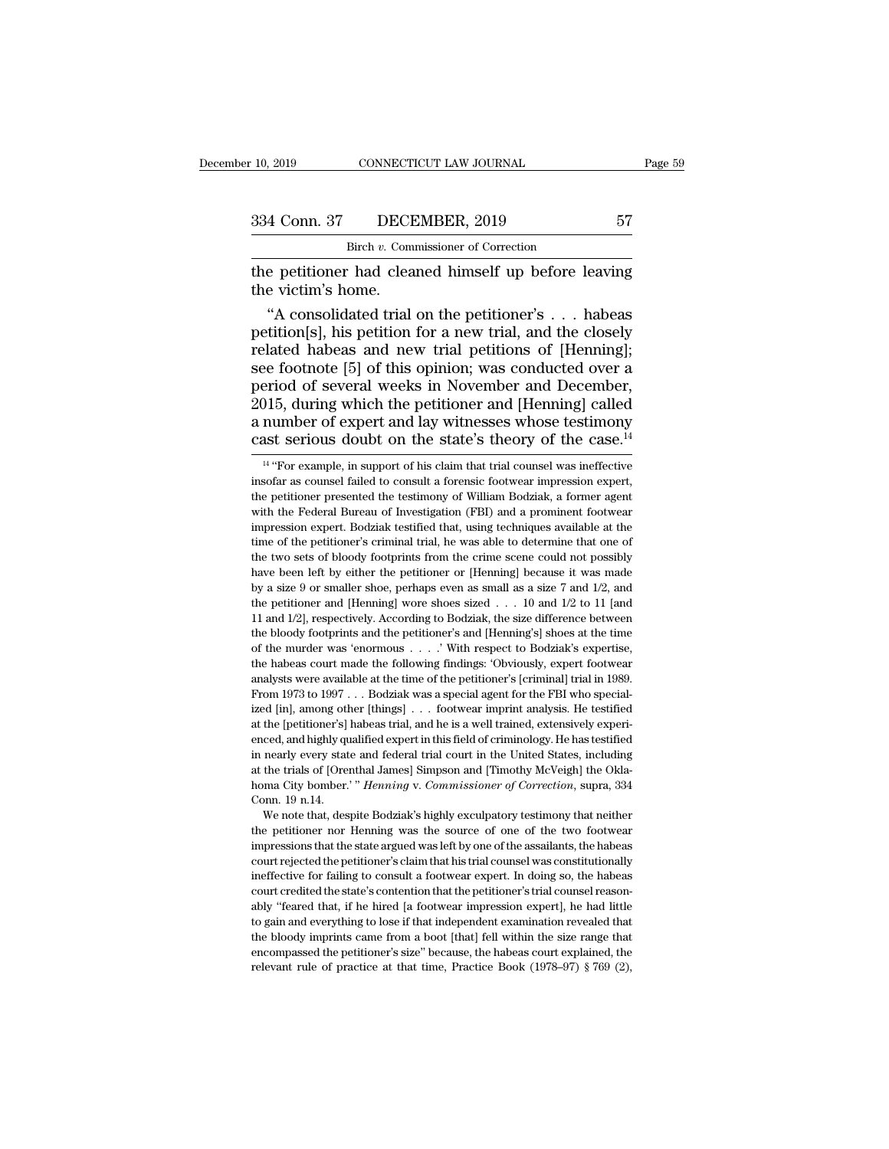the petitioner had cleaned himself up before leaving<br>
the petitioner had cleaned himself up before leaving<br>
the victim's home. 334 Conn. 37 DECE<br>Birch v. Comm<br>the petitioner had clea<br>the victim's home.<br>"A consolidated trial"

4 Conn. 37 DECEMBER, 2019 57<br>
Birch v. Commissioner of Correction<br>
e petitioner had cleaned himself up before leaving<br>
e victim's home.<br>
"A consolidated trial on the petitioner's . . . habeas<br>
tition[s], his petition for a 334 Conn. 37 DECEMBER, 2019 57<br>
Birch v. Commissioner of Correction<br>
the petitioner had cleaned himself up before leaving<br>
the victim's home.<br>
"A consolidated trial on the petitioner's . . . habeas<br>
petition[s], his petit Birch v. Commissioner of Correction<br>the petitioner had cleaned himself up before leaving<br>the victim's home.<br>"A consolidated trial on the petitioner's . . . habeas<br>petition[s], his petition for a new trial, and the closely see for the petitioner had cleaned himself up before leaving<br>the victim's home.<br>"A consolidated trial on the petitioner's . . . habeas<br>petition[s], his petition for a new trial, and the closely<br>related habeas and new tria the petitioner had cleaned himself up before leaving<br>the victim's home.<br>"A consolidated trial on the petitioner's . . . habeas<br>petition[s], his petition for a new trial, and the closely<br>related habeas and new trial petitio the victim's home.<br>
"A consolidated trial on the petitioner's . . . habeas<br>
petition[s], his petition for a new trial, and the closely<br>
related habeas and new trial petitions of [Henning];<br>
see footnote [5] of this opinio "A consolidated trial on the petitioner's . . . habeas<br>petition[s], his petition for a new trial, and the closely<br>related habeas and new trial petitions of [Henning];<br>see footnote [5] of this opinion; was conducted over a petition[s], his petition for a new trial, and the closely<br>related habeas and new trial petitions of [Henning];<br>see footnote [5] of this opinion; was conducted over a<br>period of several weeks in November and December,<br>2015 eriod of several weeks in November and December,<br>
)15, during which the petitioner and [Henning] called<br>
number of expert and lay witnesses whose testimony<br>
ast serious doubt on the state's theory of the case.<sup>14</sup><br>
<sup>14</sup> "F 2015, during which the petitioner and [Henning] called a number of expert and lay witnesses whose testimony cast serious doubt on the state's theory of the case.<sup>14</sup>  $\frac{14 \text{ }^{\circ} \text{For example, in support of his claim that trial, course it is inefficient as a course of failed to consult a forensic footwaer impression expert, the performance presented the$ 

We note that, despite Bodziak's highly exculpatory testimony that neither<br>the petitioner nor Henning was the source of one of the two footwear<br>impressions that the state argued was left by one of the assailants, the habeas impressions that the state argued was left by one of the assailants, the Oklahoma City bomber.' " *Henning v. Commissioner of Correction*, supra, 334 Conn. 19 n.14.<br>We note that, despite Bodziak's highly exculpatory testim homa City bomber.' " *Henning* v. *Commissioner of Correction*, supra, 334<br>Conn. 19 n.14.<br>We note that, despite Bodziak's highly exculpatory testimony that neither<br>the petitioner nor Henning was the source of one of the tw Conn. 19 n.14.<br>We note that, despite Bodziak's highly exculpatory testimony that neither<br>the petitioner nor Henning was the source of one of the two footwear<br>impressions that the state argued was left by one of the assail We note that, despite Bodziak's highly exculpatory testimony that neither<br>the petitioner nor Henning was the source of one of the two footwear<br>impressions that the state argued was left by one of the assailants, the habeas the petitioner nor Henning was the source of one of the two footwear impressions that the state argued was left by one of the assailants, the habeas court rejected the petitioner's claim that his trial counsel was constitu impressions that the state argued was left by one of the assailants, the habeas court rejected the petitioner's claim that his trial counsel was constitutionally ineffective for failing to consult a footwear expert. In doi my trejected the petitioner's claim that his trial counsel was constitutionally ineffective for failing to consult a footwear expert. In doing so, the habeas court credited the state's contention that the petitioner's tria encompassed the petitioner's size." because, the habeas court credited the state's contention that the petitioner's trial counsel reasonably "feared that, if he hired [a footwear impression expert], he had little to gain court credited the state's contention that the petitioner's trial counsel reasonably "feared that, if he hired [a footwear impression expert], he had little to gain and everything to lose if that independent examination r

a number of expert and lay witnesses whose testimony<br>cast serious doubt on the state's theory of the case.<sup>14</sup><br><sup>14</sup> "For example, in support of his claim that trial counsel was ineffective<br>insofar as counsel failed to con cast serious doubt on the state's theory of the case.<sup>14</sup><br>
<sup>14</sup> "For example, in support of his claim that trial counsel was ineffective<br>
insofar as counsel failed to consult a forensic footwear impression expert,<br>
the pe Cast Serious doubt on the state s theory of the case.<sup>22</sup><br><sup>14</sup> "For example, in support of his claim that trial counsel was ineffective<br>insofar as counsel failed to consult a forensic footwear impression expert,<br>the petit <sup>14</sup> "For example, in support of his claim that trial counsel was ineffective insofar as counsel failed to consult a forensic footwear impression expert, the petitioner presented the testimony of William Bodziak, a former insofar as counsel failed to consult a forensic footwear impression expert, the petitioner presented the testimony of William Bodziak, a former agent with the Federal Bureau of Investigation (FBI) and a prominent footwear the petitioner presented the testimony of William Bodziak, a former agent<br>with the Federal Bureau of Investigation (FBI) and a prominent footwear<br>impression expert. Bodziak testified that, using techniques available at the with the Federal Bureau of Investigation (FBI) and a prominent footwear impression expert. Bodziak testified that, using techniques available at the time of the petitioner's criminal trial, he was able to determine that o mare solon expert. Bodziak testified that, using techniques available at the time of the petitioner's criminal trial, he was able to determine that one of the two sets of bloody footprints from the crime scene could not p If the of the petitioner's criminal trial, he was able to determine that one of the two sets of bloody footprints from the crime scene could not possibly have been left by either the petitioner or [Henning] because it was the two sets of bloody footprints from the crime scene could not possibly have been left by either the petitioner or [Henning] because it was made by a size 9 or smaller shoe, perhaps even as small as a size 7 and 1/2, an have been left by either the petitioner or [Henning] because it was made by a size 9 or smaller shoe, perhaps even as small as a size 7 and  $1/2$ , and the petitioner and [Henning] wore shoes sized . . . 10 and  $1/2$  to 11 by a size 9 or smaller shoe, perhaps even as small as a size 7 and 1/2, and<br>the petitioner and [Henning] wore shoes sized . . . 10 and 1/2 to 11 [and<br>11 and 1/2], respectively. According to Bodziak, the size difference be be petitioner and [Henning] wore shoes sized  $\ldots$  10 and 1/2 to 11 [and 11 and 1/2], respectively. According to Bodziak, the size difference between the bloody footprints and the petitioner's and [Henning's] shoes at the From 1973 to 1997 ... Bodziak was a special agent for the FBI who species that the bloody footprints and the petitioner's and [Henning's] shoes at the time of the murder was 'enormous . . . . ' With respect to Bodziak's e ized the bloody footprints and the petitioner's and [Henning's] shoes at the time of the murder was 'enormous . . . . ' With respect to Bodziak's expertise, the habeas court made the following findings: 'Obviously, expert the bloody footprints and the petitioner's and [Henning's] shoes at the time<br>of the murder was 'enormous  $\ldots$ .' With respect to Bodziak's expertise,<br>the habeas court made the following findings: 'Obviously, expert footwe enced, and highly qualified expert in this field of criminology. Hence the habeas court made the following findings: 'Obviously, expert footwear analysts were available at the time of the petitioner's [criminal] trial in 1 analysts were available at the time of the petitioner's [criminal] trial in 1989.<br>From 1973 to 1997 . . . Bodziak was a special agent for the FBI who special-<br>ized [in], among other [things] . . . footwear imprint analysis From 1973 to 1997 . . . Bodziak was a special agent for the FBI who specialized [in], among other [things] . . . footwear imprint analysis. He testified at the [petitioner's] habeas trial, and he is a well trained, extens homa City bomber.' '' *Henning* v. *Commissioner* of Correcting State I at the [petitioner's] habeas trial, and he is a well trained, extensively experienced, and highly qualified expert in this field of criminology. He ha at the [petitioner's] habeas trial, and he is a well trained, extensively experienced, and highly qualified expert in this field of criminology. He has testified in nearly every state and federal trial court in the United in nearly every state and federal trial court in the United States, including<br>in nearly every state and federal trial court in the United States, including<br>at the trials of [Orenthal James] Simpson and [Timothy McVeigh] th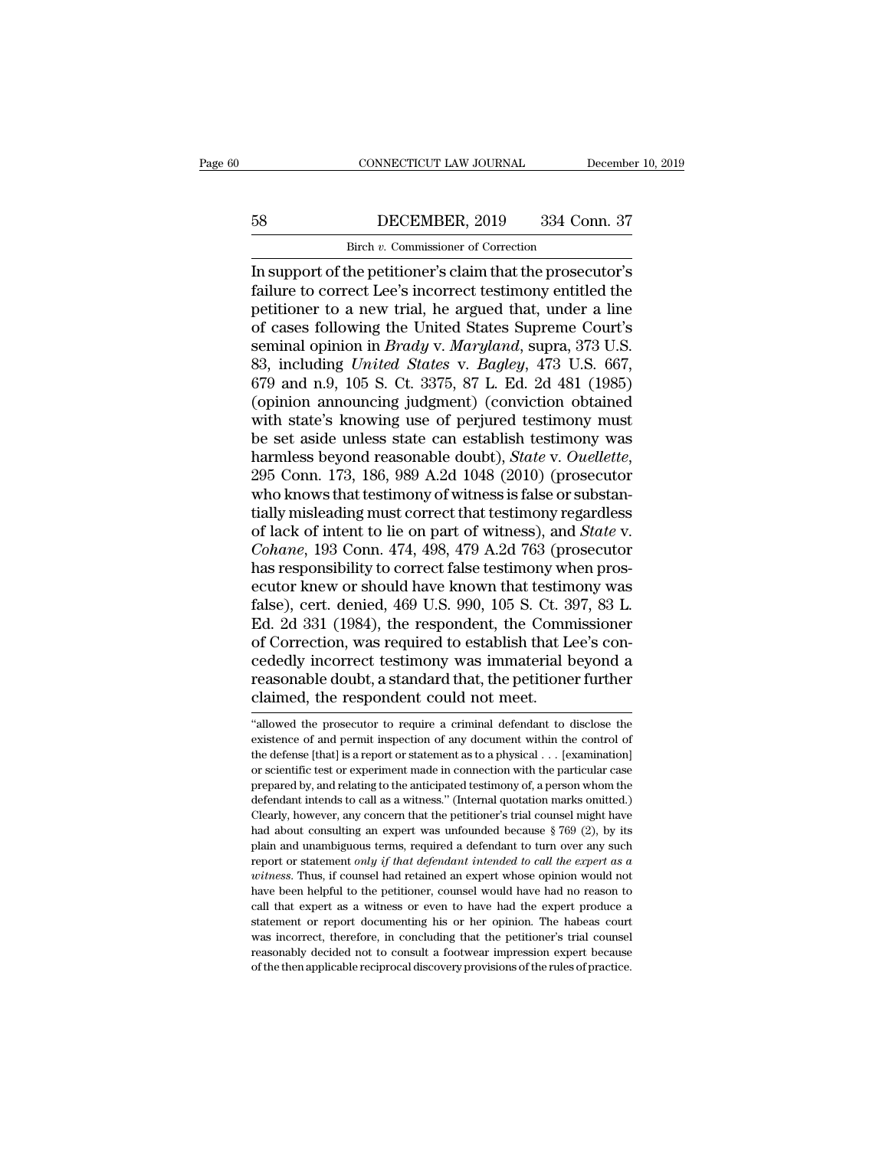# CONNECTICUT LAW JOURNAL December 10, 2019<br>58 DECEMBER, 2019 334 Conn. 37<br>Birch v. Commissioner of Correction CONNECTICUT LAW JOURNAL<br>DECEMBER, 2019 334 Correction<br>Birch *v.* Commissioner of Correction<br>he petitioner's claim that the prosect

CONNECTICUT LAW JOURNAL December 10, 2019<br>
ISS DECEMBER, 2019 334 Conn. 37<br>
Birch v. Commissioner of Correction<br>
In support of the petitioner's claim that the prosecutor's<br>
failure to correct Lee's incorrect testimony enti Failure to correct Lee's incorrect testimony entitled the petitioner to a new trial, he argued that, under a line<br>and cases following the United States Supreme Court's per a new trial, he argued that, under a line<br>similar performance of the petitioner's claim that the prosecutor's<br>failure to correct Lee's incorrect testimony entitled the<br>petitioner to a new trial, he argued that, under 58 DECEMBER, 2019 334 Conn. 37<br>
Firch *v*. Commissioner of Correction<br>
In support of the petitioner's claim that the prosecutor's<br>
failure to correct Lee's incorrect testimony entitled the<br>
petitioner to a new trial, he a **EXEMPLE, 2018** 631 COMES.<br>
In support of the petitioner's claim that the prosecutor's<br>
failure to correct Lee's incorrect testimony entitled the<br>
petitioner to a new trial, he argued that, under a line<br>
of cases following Birch *v.* Commissioner of Correction<br>In support of the petitioner's claim that the prosecutor's<br>failure to correct Lee's incorrect testimony entitled the<br>petitioner to a new trial, he argued that, under a line<br>of cases fo In support of the petitioner's claim that the prosecutor's<br>failure to correct Lee's incorrect testimony entitled the<br>petitioner to a new trial, he argued that, under a line<br>of cases following the United States Supreme Cour failure to correct Lee's incorrect testimony entitled the<br>petitioner to a new trial, he argued that, under a line<br>of cases following the United States Supreme Court's<br>seminal opinion in *Brady* v. *Maryland*, supra, 373 U. petitioner to a new trial, he argued that, under a line<br>of cases following the United States Supreme Court's<br>seminal opinion in *Brady* v. *Maryland*, supra, 373 U.S.<br>83, including *United States* v. *Bagley*, 473 U.S. 667 of cases following the United States Supreme Court's<br>seminal opinion in *Brady* v. *Maryland*, supra, 373 U.S.<br>83, including *United States* v. *Bagley*, 473 U.S. 667,<br>679 and n.9, 105 S. Ct. 3375, 87 L. Ed. 2d 481 (1985)<br> seminal opinion in *Brady* v. *Maryland*, supra, 373 U.S.<br>83, including *United States* v. *Bagley*, 473 U.S. 667,<br>679 and n.9, 105 S. Ct. 3375, 87 L. Ed. 2d 481 (1985)<br>(opinion announcing judgment) (conviction obtained<br>wi 679 and n.9, 105 S. Ct. 3375, 87 L. Ed. 2d 481 (1985) (opinion announcing judgment) (conviction obtained with state's knowing use of perjured testimony must be set aside unless state can establish testimony was harmless b (opinion announcing judgment) (conviction obtained<br>with state's knowing use of perjured testimony must<br>be set aside unless state can establish testimony was<br>harmless beyond reasonable doubt), *State* v. *Ouellette*,<br>295 C with state's knowing use of perjured testimony must<br>be set aside unless state can establish testimony was<br>harmless beyond reasonable doubt), *State* v. *Ouellette*,<br>295 Conn. 173, 186, 989 A.2d 1048 (2010) (prosecutor<br>who be set aside unless state can establish testimony was<br>harmless beyond reasonable doubt), *State* v. *Ouellette*,<br>295 Conn. 173, 186, 989 A.2d 1048 (2010) (prosecutor<br>who knows that testimony of witness is false or substanharmless beyond reasonable doubt), *State v. Ouellette*, 295 Conn. 173, 186, 989 A.2d 1048 (2010) (prosecutor who knows that testimony of witness is false or substantially misleading must correct that testimony regardless 295 Conn. 173, 186, 989 A.2d 1048 (2010) (prosecutor<br>who knows that testimony of witness is false or substan-<br>tially misleading must correct that testimony regardless<br>of lack of intent to lie on part of witness), and *Stat* who knows that testimony of witness is false or substantially misleading must correct that testimony regardless<br>of lack of intent to lie on part of witness), and *State* v.<br>*Cohane*, 193 Conn. 474, 498, 479 A.2d 763 (prose tially misleading must correct that testimony regardless<br>of lack of intent to lie on part of witness), and *State* v.<br>*Cohane*, 193 Conn. 474, 498, 479 A.2d 763 (prosecutor<br>has responsibility to correct false testimony whe of lack of intent to lie on part of witness), and *State* v.<br>Cohane, 193 Conn. 474, 498, 479 A.2d 763 (prosecutor<br>has responsibility to correct false testimony when pros-<br>ecutor knew or should have known that testimony was Cohane, 193 Conn. 474, 498, 479 A.2d 763 (prosecutor<br>has responsibility to correct false testimony when pros-<br>ecutor knew or should have known that testimony was<br>false), cert. denied, 469 U.S. 990, 105 S. Ct. 397, 83 L.<br>Ed has responsibility to correct false testimony when prosecutor knew or should have known that testimony was false), cert. denied, 469 U.S. 990, 105 S. Ct. 397, 83 L. Ed. 2d 331 (1984), the respondent, the Commissioner of Co ecutor knew or should have known that testim<br>false), cert. denied, 469 U.S. 990, 105 S. Ct. 3<br>Ed. 2d 331 (1984), the respondent, the Comn<br>of Correction, was required to establish that L<br>cededly incorrect testimony was imma of Correction, was required to establish that Lee's concededly incorrect testimony was immaterial beyond a reasonable doubt, a standard that, the petitioner further claimed, the respondent could not meet.<br>The prosecutor of cededly incorrect testimony was immaterial beyond a<br>reasonable doubt, a standard that, the petitioner further<br>claimed, the respondent could not meet.<br>"allowed the prosecutor to require a criminal defendant to disclose the<br>

reasonable doubt, a standard that, the petitioner further<br>claimed, the respondent could not meet.<br>"allowed the prosecutor to require a criminal defendant to disclose the<br>existence of and permit inspection of any document w claimed, the respondent could not meet.<br>
"allowed the prosecutor to require a criminal defendant to disclose the<br>
existence of and permit inspection of any document within the control of<br>
the defense [that] is a report or exampled, the respondent Could Hot Ineet.<br>
"allowed the prosecutor to require a criminal defendant to disclose the<br>
existence of and permit inspection of any document within the control of<br>
the defense [that] is a report o "allowed the prosecutor to require a criminal defendant to disclose the existence of and permit inspection of any document within the control of the defense [that] is a report or statement as to a physical . . . [examinati existence of and permit inspection of any document within the control of<br>the defense [that] is a report or statement as to a physical . . . [examination]<br>or scientific test or experiment made in connection with the partic the defense [that] is a report or statement as to a physical . . [examination]<br>or scientific test or experiment made in connection with the particular case<br>prepared by, and relating to the anticipated testimony of, a pers for scientific test or experiment made in connection with the particular case<br>prepared by, and relating to the anticipated testimony of, a person whom the<br>defendant intends to call as a witness." (Internal quotation marks prepared by, and relating to the anticipated testimony of, a person whom the defendant intends to call as a witness." (Internal quotation marks omitted.) Clearly, however, any concern that the petitioner's trial counsel mi defendant intends to call as a witness." (Internal quotation marks omitted.)<br>Clearly, however, any concern that the petitioner's trial counsel might have<br>had about consulting an expert was unfounded because § 769 (2), by i Clearly, however, any concern that the petitioner's trial counsel might have had about consulting an expert was unfounded because  $\S 769 (2)$ , by its plain and unambiguous terms, required a defendant to turn over any such call that diffuse an expert was unfounded because  $\S$  769 (2), by its plain and unambiguous terms, required a defendant to turn over any such report or statement *only if that defendant intended to call the expert as a wi* From and unambiguous terms, required a defendant to turn over any such report or statement *only if that defendant intended to call the expert as a witness*. Thus, if counsel had retained an expert whose opinion would not Frame was incorrect, therefore, in concluding that the petitioner's are writess. Thus, if counsel had retained an expert whose opinion would not have been helpful to the petitioner, counsel would have had no reason to cal *voitness*. Thus, if counsel had retained an expert whose opinion would not have been helpful to the petitioner, counsel would have had no reason to call that expert as a witness or even to have had the expert produce a st witness. Thus, if counsel had retained an expert whose opinion would not have been helpful to the petitioner, counsel would have had no reason to call that expert as a witness or even to have had the expert produce a state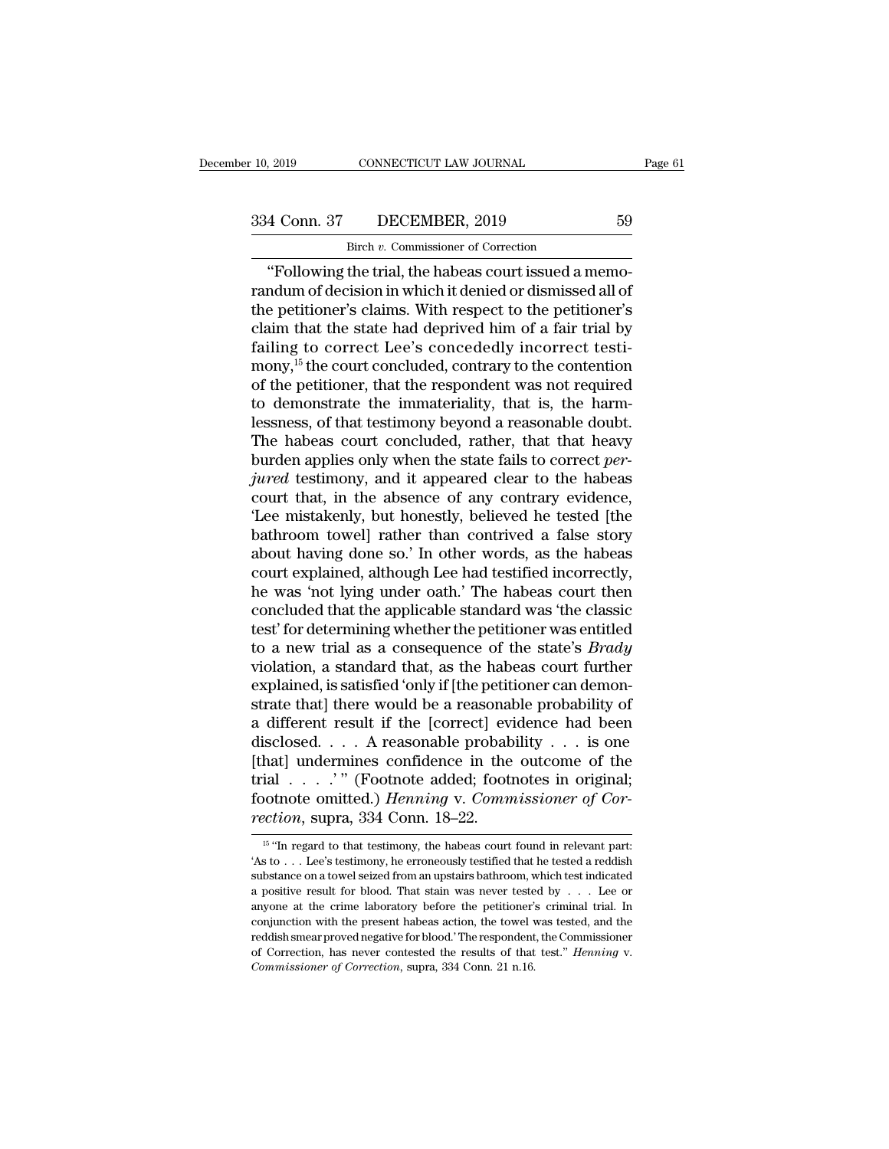CONNECTICUT LAW JOURNAL<br>DECEMBER, 2019<br>Birch *v.* Commissioner of Correction<br>the trial the babeas court issued a m <sup>2019</sup> CONNECTICUT LAW JOURNAL<br>
4 Conn. 37 DECEMBER, 2019 59<br>
<sup>Birch v</sup>. Commissioner of Correction<br>
"Following the trial, the habeas court issued a memo-<br>
ndum of decision in which it denied or dismissed all of 334 Conn. 37 DECEMBER, 2019 59<br>Birch v. Commissioner of Correction<br>
"Following the trial, the habeas court issued a memo-<br>
randum of decision in which it denied or dismissed all of<br>
the petitioner's claims. With respect t 334 Conn. 37 DECEMBER, 2019 59<br>Birch v. Commissioner of Correction<br>"Following the trial, the habeas court issued a memo-<br>randum of decision in which it denied or dismissed all of<br>the petitioner's claims. With respect to t 334 Conn. 37 DECEMBER, 2019 59<br>
Birch v. Commissioner of Correction<br>
"Following the trial, the habeas court issued a memo-<br>
randum of decision in which it denied or dismissed all of<br>
the petitioner's claims. With respect Failing to commissioner of Correction<br>
"Following the trial, the habeas court issued a memo-<br>
randum of decision in which it denied or dismissed all of<br>
the petitioner's claims. With respect to the petitioner's<br>
claim tha  $\frac{1}{2}$  Birch *v*. Commissioner of Correction<br>
"Following the trial, the habeas court issued a memo-<br>
randum of decision in which it denied or dismissed all of<br>
the petitioner's claims. With respect to the petitioner's<br> "Following the trial, the habeas court issued a memo-<br>randum of decision in which it denied or dismissed all of<br>the petitioner's claims. With respect to the petitioner's<br>claim that the state had deprived him of a fair tri randum of decision in which it denied or dismissed all of<br>the petitioner's claims. With respect to the petitioner's<br>claim that the state had deprived him of a fair trial by<br>failing to correct Lee's concededly incorrect tes the petitioner's claims. With respect to the petitioner's<br>claim that the state had deprived him of a fair trial by<br>failing to correct Lee's concededly incorrect testi-<br>mony,<sup>15</sup> the court concluded, contrary to the content claim that the state had deprived him of a fair trial by<br>failing to correct Lee's concededly incorrect testi-<br>mony,<sup>15</sup> the court concluded, contrary to the contention<br>of the petitioner, that the respondent was not require failing to correct Lee's concededly incorrect testi-<br>mony,<sup>15</sup> the court concluded, contrary to the contention<br>of the petitioner, that the respondent was not required<br>to demonstrate the immateriality, that is, the harm-<br>le mony,<sup>15</sup> the court concluded, contrary to the contention<br>of the petitioner, that the respondent was not required<br>to demonstrate the immateriality, that is, the harm-<br>lessness, of that testimony beyond a reasonable doubt.<br> of the petitioner, that the respondent was not required<br>to demonstrate the immateriality, that is, the harm-<br>lessness, of that testimony beyond a reasonable doubt.<br>The habeas court concluded, rather, that that heavy<br>burden to demonstrate the immateriality, that is, the harm-<br>lessness, of that testimony beyond a reasonable doubt.<br>The habeas court concluded, rather, that that heavy<br>burden applies only when the state fails to correct *per-*<br>*ju* lessness, of that testimony beyond a reasonable doubt.<br>The habeas court concluded, rather, that that heavy<br>burden applies only when the state fails to correct *per-<br>jured* testimony, and it appeared clear to the habeas<br>cou The habeas court concluded, rather, that that heavy<br>burden applies only when the state fails to correct *per-*<br>*jured* testimony, and it appeared clear to the habeas<br>court that, in the absence of any contrary evidence,<br>'Le burden applies only when the state fails to correct *per-*<br>jured testimony, and it appeared clear to the habeas<br>court that, in the absence of any contrary evidence,<br>'Lee mistakenly, but honestly, believed he tested [the<br>ba jured testimony, and it appeared clear to the habeas<br>court that, in the absence of any contrary evidence,<br>'Lee mistakenly, but honestly, believed he tested [the<br>bathroom towel] rather than contrived a false story<br>about hav court that, in the absence of any contrary evidence,<br>'Lee mistakenly, but honestly, believed he tested [the<br>bathroom towel] rather than contrived a false story<br>about having done so.' In other words, as the habeas<br>court exp "Lee mistakenly, but honestly, believed he tested [the bathroom towel] rather than contrived a false story about having done so." In other words, as the habeas court explained, although Lee had testified incorrectly, he w bathroom towel] rather than contrived a false story<br>about having done so.' In other words, as the habeas<br>court explained, although Lee had testified incorrectly,<br>he was 'not lying under oath.' The habeas court then<br>conclud about having done so.' In other words, as the habeas<br>court explained, although Lee had testified incorrectly,<br>he was 'not lying under oath.' The habeas court then<br>concluded that the applicable standard was 'the classic<br>tes court explained, although Lee had testified incorrectly,<br>he was 'not lying under oath.' The habeas court then<br>concluded that the applicable standard was 'the classic<br>test' for determining whether the petitioner was entitle he was 'not lying under oath.' The habeas court then<br>concluded that the applicable standard was 'the classic<br>test' for determining whether the petitioner was entitled<br>to a new trial as a consequence of the state's *Brady* concluded that the applicable standard was 'the classic<br>test' for determining whether the petitioner was entitled<br>to a new trial as a consequence of the state's *Brady*<br>violation, a standard that, as the habeas court furt test' for determining whether the petitioner was entitled<br>to a new trial as a consequence of the state's *Brady*<br>violation, a standard that, as the habeas court further<br>explained, is satisfied 'only if [the petitioner can to a new trial as a consequence of the state's *Brady*<br>violation, a standard that, as the habeas court further<br>explained, is satisfied 'only if [the petitioner can demon-<br>strate that] there would be a reasonable probabili violation, a standard that, as the habeas court further explained, is satisfied 'only if [the petitioner can demonstrate that] there would be a reasonable probability of a different result if the [correct] evidence had be explained, is satisfied 'only if [the petitioner can demonstrate that] there would be a reasonable probability of a different result if the [correct] evidence had been disclosed. . . . A reasonable probability . . . is one strate that] there would be a reasonal<br>a different result if the [correct] evidisclosed. . . . A reasonable probab<br>[that] undermines confidence in the<br>trial . . . . . " (Footnote added; footn<br>footnote omitted.) *Henning* v nat] undermines confidence in the outcome of the<br>ial . . . . " (Footnote added; footnotes in original;<br>potnote omitted.) *Henning* v. *Commissioner of Cor-*<br>*ection*, supra, 334 Conn. 18–22.<br><sup>15</sup> "In regard to that testim trial . . . . . " " (Footnote added; footnotes in original;<br>footnote omitted.) *Henning* v. *Commissioner of Cor-*<br>*rection*, supra, 334 Conn. 18–22.<br><sup>15</sup> "In regard to that testimony, the habeas court found in relevant p

footnote omitted.) Henning v. Commissioner of Correction, supra, 334 Conn. 18–22.<br>
<sup>15</sup> "In regard to that testimony, the habeas court found in relevant part:<br>
'As to . . . Lee's testimony, he erroneously testified that h **Processor Constrained States of the positive results for the process of the state of the state of that testimony, the habeas court found in relevant part:<br>
As to . . . Lee's testimony, he erroneously testified that he te** Fection, Supra, 334 COIII.  $10-22$ .<br>
<sup>15</sup> "In regard to that testimony, the habeas court found in relevant part:<br>
'As to . . . Lee's testimony, he erroneously testified that he tested a reddish<br>
substance on a towel seize <sup>15</sup> "In regard to that testimony, the habeas court found in relevant part:<br>
'As to . . . Lee's testimony, he erroneously testified that he tested a reddish substance on a towel seized from an upstairs bathroom, which tes 'As to . . . Lee's testimony, he erroneously testified that he tested a reddish substance on a towel seized from an upstairs bathroom, which test indicated a positive result for blood. That stain was never tested by . . . substance on a towel seized from an upstairs bathroom, which test indicated a positive result for blood. That stain was never tested by . . . Lee or anyone at the crime laboratory before the petitioner's criminal trial. In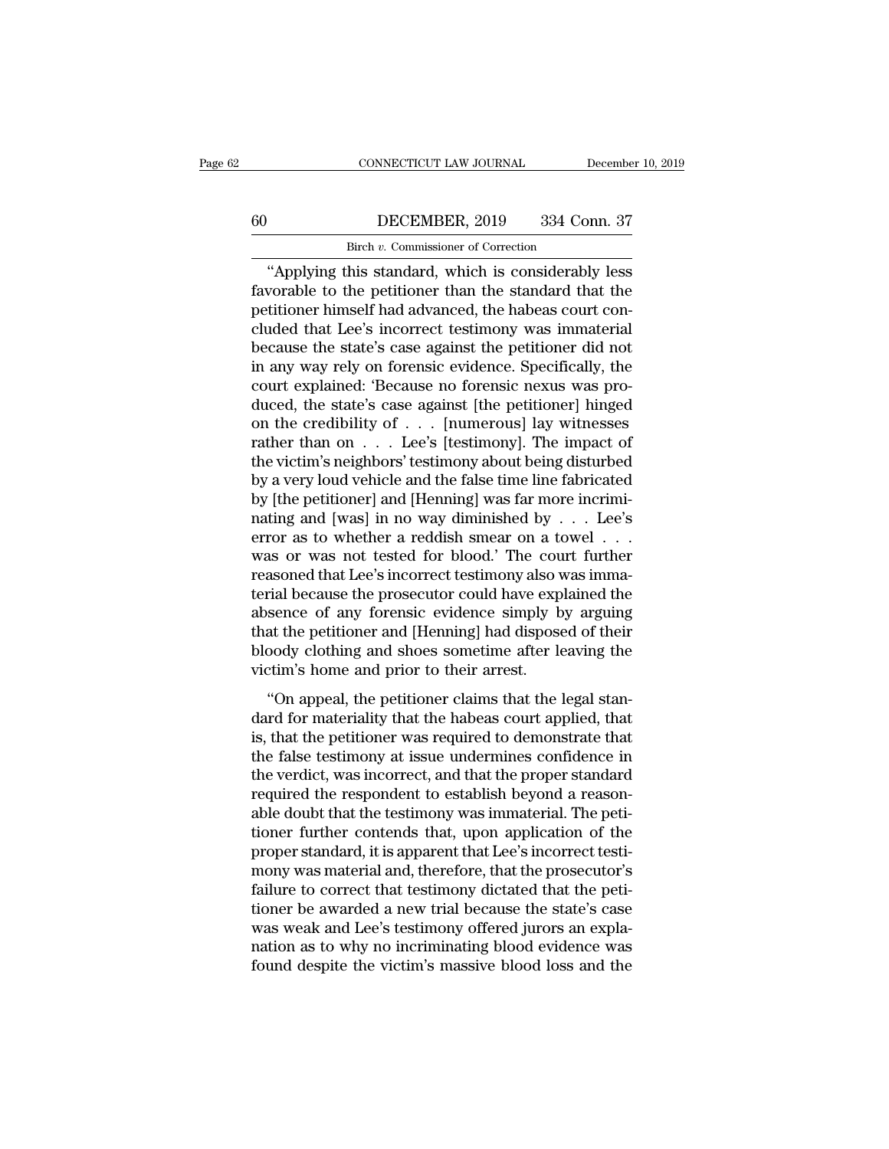# CONNECTICUT LAW JOURNAL December 10, 2019<br>60 DECEMBER, 2019 334 Conn. 37<br>Birch v. Commissioner of Correction CONNECTICUT LAW JOURNAL<br>DECEMBER, 2019 334 Correction<br>Birch *v.* Commissioner of Correction<br>his standard which is considerably

CONNECTICUT LAW JOURNAL December 10, 2019<br>
DECEMBER, 2019 334 Conn. 37<br>
Birch v. Commissioner of Correction<br>
"Applying this standard, which is considerably less<br>
vorable to the petitioner than the standard that the<br>
tition Favorable to the petitioner than the standard that the petitioner himself had advanced, the habeas court concluded that I oc's incorrect testimony was immeterial  $\begin{array}{c|c} 60 & \text{DECEMBER, 2019} & 334 \text{ Conn. } 37 \\ \hline \text{Bireh } v. \text{ Commissioner of Correction} \\ \hline \text{``Applying this standard, which is considerably less favorable to the pertinent than the standard that the pertinent himself had advanced, the habeas court concluded that Lee's incorrect testimony was immaterial because the state's ages against the notification or did not.} \end{array}$ 60 DECEMBER, 2019 334 Conn. 37<br>
Birch v. Commissioner of Correction<br>
"Applying this standard, which is considerably less<br>
favorable to the petitioner than the standard that the<br>
petitioner himself had advanced, the habeas Birch *v*. Commissioner of Correction<br>
"Applying this standard, which is considerably less<br>
favorable to the petitioner than the standard that the<br>
petitioner himself had advanced, the habeas court con-<br>
cluded that Lee's **EXECUTE:** Example in the standard, which is considerably less favorable to the petitioner than the standard that the petitioner himself had advanced, the habeas court concluded that Lee's incorrect testimony was immateri "Applying this standard, which is considerably less<br>favorable to the petitioner than the standard that the<br>petitioner himself had advanced, the habeas court con-<br>cluded that Lee's incorrect testimony was immaterial<br>because favorable to the petitioner than the standard that the petitioner himself had advanced, the habeas court concluded that Lee's incorrect testimony was immaterial because the state's case against the petitioner did not in a petitioner himself had advanced, the habeas court concluded that Lee's incorrect testimony was immaterial<br>because the state's case against the petitioner did not<br>in any way rely on forensic evidence. Specifically, the<br>cour cluded that Lee's incorrect testimony was immaterial<br>because the state's case against the petitioner did not<br>in any way rely on forensic evidence. Specifically, the<br>court explained: 'Because no forensic nexus was pro-<br>duce because the state's case against the petitioner did not<br>in any way rely on forensic evidence. Specifically, the<br>court explained: 'Because no forensic nexus was pro-<br>duced, the state's case against [the petitioner] hinged<br> in any way rely on forensic evidence. Specifically, the<br>court explained: 'Because no forensic nexus was pro-<br>duced, the state's case against [the petitioner] hinged<br>on the credibility of  $\ldots$  [numerous] lay witnesses<br>rat court explained: 'Because no forensic nexus was pro-<br>duced, the state's case against [the petitioner] hinged<br>on the credibility of . . . [numerous] lay witnesses<br>rather than on . . . Lee's [testimony]. The impact of<br>the v duced, the state's case against [the petitioner] hinged<br>on the credibility of . . . [numerous] lay witnesses<br>rather than on . . . Lee's [testimony]. The impact of<br>the victim's neighbors' testimony about being disturbed<br>by on the credibility of . . . [numerous] lay witnesses<br>rather than on . . . Lee's [testimony]. The impact of<br>the victim's neighbors' testimony about being disturbed<br>by a very loud vehicle and the false time line fabricated<br> rather than on  $\dots$  Lee's [testimony]. The impact of<br>the victim's neighbors' testimony about being disturbed<br>by a very loud vehicle and the false time line fabricated<br>by [the petitioner] and [Henning] was far more incrimi the victim's neighbors' testimony about being disturbed<br>by a very loud vehicle and the false time line fabricated<br>by [the petitioner] and [Henning] was far more incrimi-<br>nating and [was] in no way diminished by  $\dots$  Lee's by a very loud vehicle and the false time line fabricated<br>by [the petitioner] and [Henning] was far more incrimi-<br>nating and [was] in no way diminished by  $\ldots$  Lee's<br>error as to whether a reddish smear on a towel  $\ldots$ <br>w by [the petitioner] and [Henning] was far more incrimi-<br>nating and [was] in no way diminished by  $\dots$  Lee's<br>error as to whether a reddish smear on a towel  $\dots$ <br>was or was not tested for blood.' The court further<br>reasoned nating and [was] in no way diminished by  $\dots$  Lee's<br>error as to whether a reddish smear on a towel  $\dots$ <br>was or was not tested for blood.' The court further<br>reasoned that Lee's incorrect testimony also was imma-<br>terial bec error as to whether a reddish smear on a towel . . .<br>was or was not tested for blood.' The court further<br>reasoned that Lee's incorrect testimony also was imma-<br>terial because the prosecutor could have explained the<br>absence was or was not tested for blood.' The course<br>reasoned that Lee's incorrect testimony also v<br>terial because the prosecutor could have exp<br>absence of any forensic evidence simply b<br>that the petitioner and [Henning] had dispo The petitioner was required to demonstrate that the petitioner and [Henning] had disposed of their cody clothing and shoes sometime after leaving the climation of the cody clothing and shoes sometime after leaving the clim dark and seculate the prosecutor could have explained are<br>absence of any forensic evidence simply by arguing<br>that the petitioner and [Henning] had disposed of their<br>bloody clothing and shoes sometime after leaving the<br>vict

disserted of any forcinate evidence simply by argaing<br>that the petitioner and [Henning] had disposed of their<br>bloody clothing and shoes sometime after leaving the<br>victim's home and prior to their arrest.<br>"On appeal, the pe the false testimony and shoes sometime after leaving the victim's home and prior to their arrest.<br>
"On appeal, the petitioner claims that the legal standard for materiality that the habeas court applied, that<br>
is, that the biology croating and shock sometime after reaving are<br>victim's home and prior to their arrest.<br>"On appeal, the petitioner claims that the legal stan-<br>dard for materiality that the habeas court applied, that<br>is, that the pe Frequired the petitioner claims that the legal standard for materiality that the habeas court applied, that is, that the petitioner was required to demonstrate that the false testimony at issue undermines confidence in the "On appeal, the petitioner claims that the legal standard for materiality that the habeas court applied, that is, that the petitioner was required to demonstrate that the false testimony at issue undermines confidence in dard for materiality that the habeas court applied, that<br>is, that the petitioner was required to demonstrate that<br>the false testimony at issue undermines confidence in<br>the verdict, was incorrect, and that the proper standa is, that the petitioner was required to demonstrate that<br>the false testimony at issue undermines confidence in<br>the verdict, was incorrect, and that the proper standard<br>required the respondent to establish beyond a reason-<br> the false testimony at issue undermines confidence in<br>the verdict, was incorrect, and that the proper standard<br>required the respondent to establish beyond a reason-<br>able doubt that the testimony was immaterial. The peti-<br>t the verdict, was incorrect, and that the proper standard<br>required the respondent to establish beyond a reason-<br>able doubt that the testimony was immaterial. The peti-<br>tioner further contends that, upon application of the<br>p required the respondent to establish beyond a reason-<br>able doubt that the testimony was immaterial. The peti-<br>tioner further contends that, upon application of the<br>proper standard, it is apparent that Lee's incorrect testi able doubt that the testimony was immaterial. The petitioner further contends that, upon application of the proper standard, it is apparent that Lee's incorrect testimony was material and, therefore, that the prosecutor's tioner further contends that, upon application of the<br>proper standard, it is apparent that Lee's incorrect testi-<br>mony was material and, therefore, that the prosecutor's<br>failure to correct that testimony dictated that the proper standard, it is apparent that Lee's incorrect testimony was material and, therefore, that the prosecutor's failure to correct that testimony dictated that the petitioner be awarded a new trial because the state's ca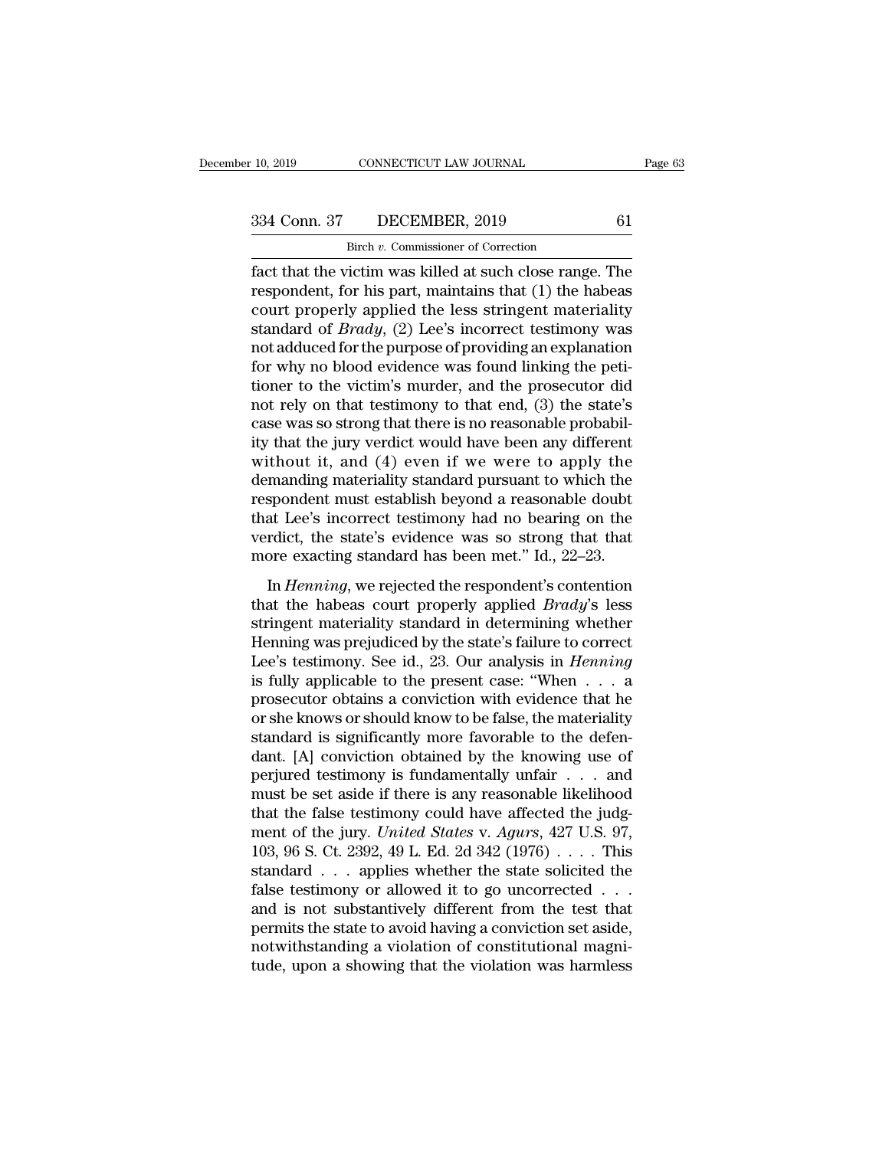CONNECTICUT LAW JOURNAL<br>DECEMBER, 2019<br>Birch *v.* Commissioner of Correction<br>rictim was killed at such close range Fage 63<br>
Fage 63<br>
10, 2019 CONNECTICUT LAW JOURNAL Page 63<br>
334 Conn. 37 DECEMBER, 2019 61<br>
5 Birch v. Commissioner of Correction<br>
fact that the victim was killed at such close range. The<br>
respondent, for his part, maintai 334 Conn. 37 DECEMBER, 2019 61<br>Birch v. Commissioner of Correction<br>fact that the victim was killed at such close range. The<br>respondent, for his part, maintains that (1) the habeas<br>court properly applied the less stringent 334 Conn. 37 DECEMBER, 2019 61<br>
Birch v. Commissioner of Correction<br>
fact that the victim was killed at such close range. The<br>
respondent, for his part, maintains that (1) the habeas<br>
court properly applied the less strin 334 Conn. 37 DECEMBER, 2019 61<br>
Birch *v*. Commissioner of Correction<br>
fact that the victim was killed at such close range. The<br>
respondent, for his part, maintains that (1) the habeas<br>
court properly applied the less stri Birch v. Commissioner of Correction<br>
fact that the victim was killed at such close range. The<br>
respondent, for his part, maintains that (1) the habeas<br>
court properly applied the less stringent materiality<br>
standard of *B* **EXAMPLE 1999 Blood EXECUTE:**<br>
fact that the victim was killed at such close range. The<br>
respondent, for his part, maintains that (1) the habeas<br>
court properly applied the less stringent materiality<br>
standard of *Brady*, fact that the victim was killed at such close range. The<br>respondent, for his part, maintains that (1) the habeas<br>court properly applied the less stringent materiality<br>standard of *Brady*, (2) Lee's incorrect testimony was<br> respondent, for his part, maintains that (1) the habeas<br>court properly applied the less stringent materiality<br>standard of *Brady*, (2) Lee's incorrect testimony was<br>not adduced for the purpose of providing an explanation<br>f court properly applied the less stringent materiality<br>standard of *Brady*, (2) Lee's incorrect testimony was<br>not adduced for the purpose of providing an explanation<br>for why no blood evidence was found linking the peti-<br>ti standard of *Brady*, (2) Lee's incorrect testimony was<br>not adduced for the purpose of providing an explanation<br>for why no blood evidence was found linking the peti-<br>tioner to the victim's murder, and the prosecutor did<br>no not adduced for the purpose of providing an explanation<br>for why no blood evidence was found linking the peti-<br>tioner to the victim's murder, and the prosecutor did<br>not rely on that testimony to that end, (3) the state's<br>ca for why no blood evidence was found linking the petitioner to the victim's murder, and the prosecutor did<br>not rely on that testimony to that end, (3) the state's<br>case was so strong that there is no reasonable probabil-<br>ity tioner to the victim's murder, and the prosecutor did<br>not rely on that testimony to that end, (3) the state's<br>case was so strong that there is no reasonable probabil-<br>ity that the jury verdict would have been any different not rely on that testimony to that end,  $(3)$  the state's<br>case was so strong that there is no reasonable probabil-<br>ity that the jury verdict would have been any different<br>without it, and  $(4)$  even if we were to apply the case was so strong that there is no reasonable probabil-<br>ity that the jury verdict would have been any different<br>without it, and (4) even if we were to apply the<br>demanding materiality standard pursuant to which the<br>respond ity that the jury verdict would have been any different without it, and  $(4)$  even if we were to apply the demanding materiality standard pursuant to which the respondent must establish beyond a reasonable doubt that Lee' In *Henning*, we rejected the respondent's contention the spondent must establish beyond a reasonable doubt at Lee's incorrect testimony had no bearing on the rdict, the state's evidence was so strong that that ore exactin ternations materially standard pulsaant to which the<br>respondent must establish beyond a reasonable doubt<br>that Lee's incorrect testimony had no bearing on the<br>verdict, the state's evidence was so strong that that<br>more exact

that Lee's incorrect testimony had no bearing on the<br>verdict, the state's evidence was so strong that that<br>more exacting standard has been met." Id., 22–23.<br>In *Henning*, we rejected the respondent's contention<br>that the h werdict, the state's evidence was so strong that that<br>more exacting standard has been met." Id., 22–23.<br>In *Henning*, we rejected the respondent's contention<br>that the habeas court properly applied *Brady*'s less<br>stringent more exacting standard has been met." Id., 22–23.<br>In *Henning*, we rejected the respondent's contention<br>that the habeas court properly applied *Brady's* less<br>stringent materiality standard in determining whether<br>Henning w In *Henning*, we rejected the respondent's contention<br>that the habeas court properly applied *Brady*'s less<br>stringent materiality standard in determining whether<br>Henning was prejudiced by the state's failure to correct<br>Le In *Henning*, we rejected the respondent's contention<br>that the habeas court properly applied *Brady's* less<br>stringent materiality standard in determining whether<br>Henning was prejudiced by the state's failure to correct<br>Le that the habeas court properly applied *Brady's* less<br>stringent materiality standard in determining whether<br>Henning was prejudiced by the state's failure to correct<br>Lee's testimony. See id., 23. Our analysis in *Henning*<br> stringent materiality standard in determining whether<br>Henning was prejudiced by the state's failure to correct<br>Lee's testimony. See id., 23. Our analysis in *Henning*<br>is fully applicable to the present case: "When  $\dots$  a<br> Henning was prejudiced by the state's failure to correct<br>Lee's testimony. See id., 23. Our analysis in *Henning*<br>is fully applicable to the present case: "When  $\dots$  a<br>prosecutor obtains a conviction with evidence that he<br> Lee's testimony. See id., 23. Our analysis in *Henning*<br>is fully applicable to the present case: "When  $\dots$  a<br>prosecutor obtains a conviction with evidence that he<br>or she knows or should know to be false, the materiality<br> is fully applicable to the present case: "When  $\dots$  a<br>prosecutor obtains a conviction with evidence that he<br>or she knows or should know to be false, the materiality<br>standard is significantly more favorable to the defen-<br>d prosecutor obtains a conviction with evidence that he<br>or she knows or should know to be false, the materiality<br>standard is significantly more favorable to the defen-<br>dant. [A] conviction obtained by the knowing use of<br>per or she knows or should know to be false, the materiality<br>standard is significantly more favorable to the defen-<br>dant. [A] conviction obtained by the knowing use of<br>perjured testimony is fundamentally unfair . . . and<br>must standard is significantly more favorable to the defendant. [A] conviction obtained by the knowing use of perjured testimony is fundamentally unfair . . . and must be set aside if there is any reasonable likelihood that th dant. [A] conviction obtained by the knowing use of<br>perjured testimony is fundamentally unfair . . . and<br>must be set aside if there is any reasonable likelihood<br>that the false testimony could have affected the judg-<br>ment perjured testimony is fundamentally unfair . . . and<br>must be set aside if there is any reasonable likelihood<br>that the false testimony could have affected the judg-<br>ment of the jury. *United States* v. *Agurs*, 427 U.S. 97 must be set aside if there is any reasonable likelihood<br>that the false testimony could have affected the judg-<br>ment of the jury. *United States* v. *Agurs*, 427 U.S. 97,<br>103, 96 S. Ct. 2392, 49 L. Ed. 2d 342 (1976) . . . that the false testimony could have affected the judg-<br>ment of the jury. *United States v. Agurs*, 427 U.S. 97,<br>103, 96 S. Ct. 2392, 49 L. Ed. 2d 342 (1976) . . . . This<br>standard . . . applies whether the state solicited ment of the jury. United States v. Agurs, 427 U.S. 97, 103, 96 S. Ct. 2392, 49 L. Ed. 2d 342 (1976) . . . . This standard . . . applies whether the state solicited the false testimony or allowed it to go uncorrected . . . 103, 96 S. Ct. 2392, 49 L. Ed. 2d 342 (1976)  $\dots$ . This standard  $\dots$  applies whether the state solicited the false testimony or allowed it to go uncorrected  $\dots$  and is not substantively different from the test that perm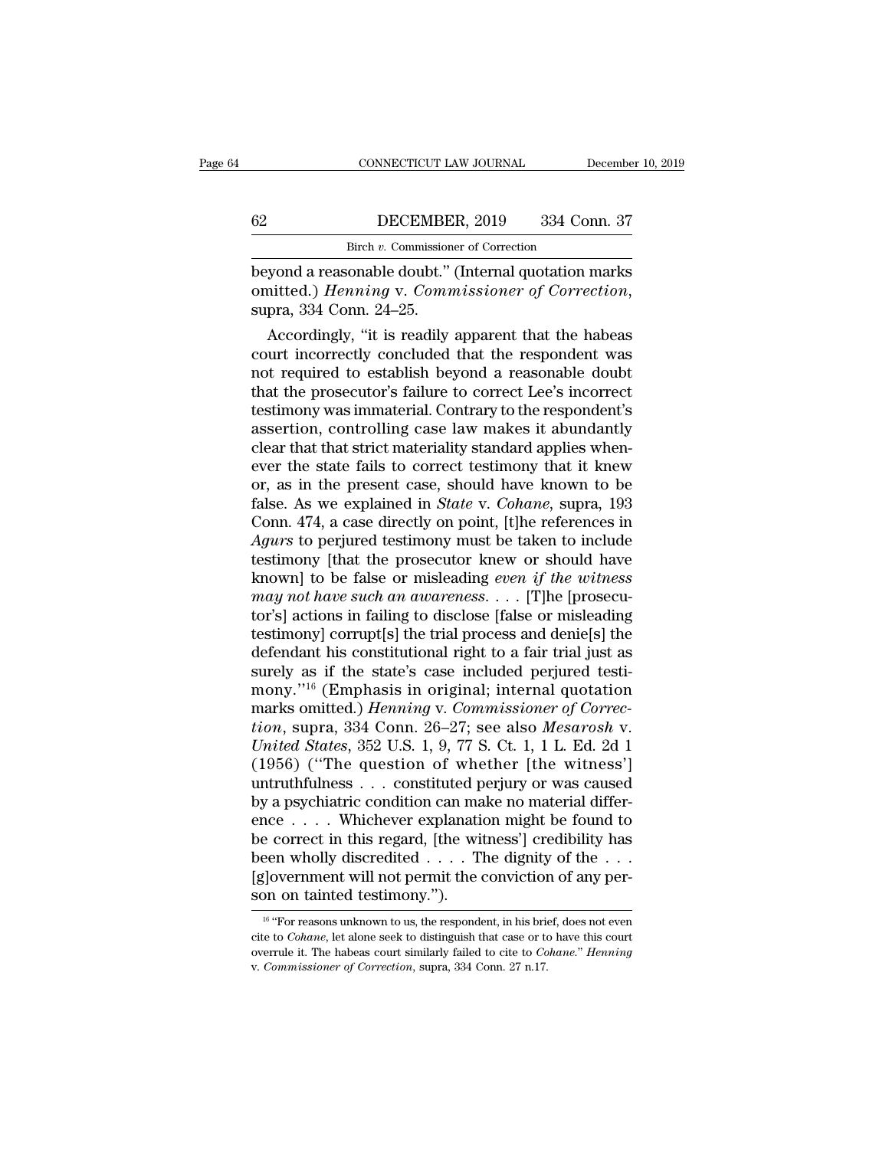# CONNECTICUT LAW JOURNAL December 10, 2019<br>62 DECEMBER, 2019 334 Conn. 37<br>Birch v. Commissioner of Correction CONNECTICUT LAW JOURNAL<br>DECEMBER, 2019 334 Cor<br>Birch *v.* Commissioner of Correction<br>Conable doubt " (Internal quotation r

CONNECTICUT LAW JOURNAL December 10, 2019<br> **62** DECEMBER, 2019 334 Conn. 37<br>
Birch v. Commissioner of Correction<br>
beyond a reasonable doubt.'' (Internal quotation marks<br>
omitted.) *Henning* v. *Commissioner of Correction*, **EXEMBER, 2019** 334 Conn. 37<br>
Birch v. Commissioner of Correction<br>
beyond a reasonable doubt." (Internal quotation marks<br>
comitted.) *Henning* v. *Commissioner of Correction*,<br>
supra, 334 Conn. 24–25.<br>
Accordingly, "it is DECEMBER, 2019 334 Conn. 37<br>
Birch v. Commissioner of Correction<br>
yond a reasonable doubt." (Internal quotation marks<br>
nitted.) *Henning* v. *Commissioner of Correction*,<br>
pra, 334 Conn. 24–25.<br>
Accordingly, "it is readil

Birch v. Commissioner of Correction<br>beyond a reasonable doubt." (Internal quotation marks<br>omitted.) *Henning* v. Commissioner of Correction,<br>supra, 334 Conn. 24–25.<br>Accordingly, "it is readily apparent that the habeas<br>cou beyond a reasonable doubt." (Internal quotation marks<br>omitted.) *Henning* v. *Commissioner of Correction*,<br>supra, 334 Conn. 24–25.<br>Accordingly, "it is readily apparent that the habeas<br>court incorrectly concluded that the r beyond a reasonable doubt. (Internal quotation marks<br>
omitted.) *Henning* v. *Commissioner of Correction*,<br>
supra, 334 Conn. 24–25.<br>
Accordingly, "it is readily apparent that the habeas<br>
court incorrectly concluded that th omitted.) *Henning* v. Commissioner of Correction,<br>supra, 334 Conn. 24–25.<br>Accordingly, "it is readily apparent that the habeas<br>court incorrectly concluded that the respondent was<br>not required to establish beyond a reasona supra, 334 Conn. 24–25.<br>
Accordingly, "it is readily apparent that the habeas<br>
court incorrectly concluded that the respondent was<br>
not required to establish beyond a reasonable doubt<br>
that the prosecutor's failure to corr Accordingly, "it is readily apparent that the habeas<br>court incorrectly concluded that the respondent was<br>not required to establish beyond a reasonable doubt<br>that the prosecutor's failure to correct Lee's incorrect<br>testimon court incorrectly concluded that the respondent was<br>not required to establish beyond a reasonable doubt<br>that the prosecutor's failure to correct Lee's incorrect<br>testimony was immaterial. Contrary to the respondent's<br>assert not required to establish beyond a reasonable doubt<br>that the prosecutor's failure to correct Lee's incorrect<br>testimony was immaterial. Contrary to the respondent's<br>assertion, controlling case law makes it abundantly<br>clear that the prosecutor's failure to correct Lee's incorrect<br>testimony was immaterial. Contrary to the respondent's<br>assertion, controlling case law makes it abundantly<br>clear that that strict materiality standard applies when-<br> testimony was immaterial. Contrary to the respondent's<br>assertion, controlling case law makes it abundantly<br>clear that that strict materiality standard applies when-<br>ever the state fails to correct testimony that it knew<br>or assertion, controlling case law makes it abundantly<br>clear that that strict materiality standard applies when-<br>ever the state fails to correct testimony that it knew<br>or, as in the present case, should have known to be<br>false clear that that strict materiality standard applies when-<br>ever the state fails to correct testimony that it knew<br>or, as in the present case, should have known to be<br>false. As we explained in *State* v. *Cohane*, supra, 193 ever the state fails to correct testimony that it knew<br>or, as in the present case, should have known to be<br>false. As we explained in *State* v. *Cohane*, supra, 193<br>Conn. 474, a case directly on point, [t]he references in<br> or, as in the present case, should have known to be false. As we explained in *State* v. *Cohane*, supra, 193 Conn. 474, a case directly on point, [t]he references in *Agurs* to perjured testimony must be taken to include false. As we explained in *State* v. *Cohane*, supra, 193<br>Conn. 474, a case directly on point, [t]he references in<br>Agurs to perjured testimony must be taken to include<br>testimony [that the prosecutor knew or should have<br>kn Conn. 474, a case directly on point, [t]he references in Agurs to perjured testimony must be taken to include testimony [that the prosecutor knew or should have known] to be false or misleading *even if the witness may no* Agurs to perjured testimony must be taken to include<br>testimony [that the prosecutor knew or should have<br>known] to be false or misleading *even if the witness*<br>may not have such an awareness.... [T]he [prosecu-<br>tor's] acti testimony [that the prosecutor knew or should have<br>known] to be false or misleading *even if the witness*<br>*may not have such an awareness.* . . . [T]he [prosecu-<br>tor's] actions in failing to disclose [false or misleading<br> known] to be false or misleading *even if the witness*<br>may not have such an awareness. . . . [T]he [prosecu-<br>tor's] actions in failing to disclose [false or misleading<br>testimony] corrupt[s] the trial process and denie[s] may not have such an awareness. . . . [T]he [prosecutor's] actions in failing to disclose [false or misleading testimony] corrupt[s] the trial process and denie[s] the defendant his constitutional right to a fair trial ju *tor's*] actions in failing to disclose [false or misleading<br>*testimony*] corrupt[s] the trial process and denie[s] the<br>defendant his constitutional right to a fair trial just as<br>surely as if the state's case included perj *United States*, 2015) the trial process and denie[s] the defendant his constitutional right to a fair trial just as surely as if the state's case included perjured testimony."<sup>16</sup> (Emphasis in original; internal quotation defendant his constitutional right to a fair trial just as<br>surely as if the state's case included perjured testi-<br>mony."<sup>16</sup> (Emphasis in original; internal quotation<br>marks omitted.) *Henning* v. *Commissioner of Correc*surely as if the state's case included perjured testi-<br>mony."<sup>16</sup> (Emphasis in original; internal quotation<br>marks omitted.) *Henning* v. *Commissioner of Correc-<br>tion*, supra, 334 Conn. 26–27; see also *Mesarosh* v.<br>*Unit* mony."<sup>16</sup> (Emphasis in original; internal quotation<br>marks omitted.) *Henning* v. *Commissioner of Correction*, supra, 334 Conn. 26–27; see also *Mesarosh* v.<br>*United States*, 352 U.S. 1, 9, 77 S. Ct. 1, 1 L. Ed. 2d 1<br>(19 marks omitted.) Henning v. Commissioner of Correction, supra, 334 Conn. 26–27; see also Mesarosh v.<br>
United States, 352 U.S. 1, 9, 77 S. Ct. 1, 1 L. Ed. 2d 1<br>
(1956) ("The question of whether [the witness"]<br>
untruthfulnes tion, supra, 334 Conn. 26–27; see also *Mesarosh* v.<br>
United States, 352 U.S. 1, 9, 77 S. Ct. 1, 1 L. Ed. 2d 1<br>
(1956) ("The question of whether [the witness']<br>
untruthfulness ... constituted perjury or was caused<br>
by a p United States, 352 U.S. 1, 9, 77 S. Ct. 1, 1 L. Ed. 2d 1 (1956) ("The question of whether [the witness'] untruthfulness . . . constituted perjury or was caused by a psychiatric condition can make no material difference . (1956) ("The question of whether [the witness'] untruthfulness . . . constituted perjury or was caused by a psychiatric condition can make no material difference . . . . Whichever explanation might be found to be correct untruthfulness . . . constituted p<br>by a psychiatric condition can ma<br>ence . . . . Whichever explanatie<br>be correct in this regard, [the wii<br>been wholly discredited . . . . T<br>[g]overnment will not permit the c<br>son on tainte e correct in this regard, [the witness'] credibility has<br>
een wholly discredited . . . . The dignity of the . . .<br>
[]overnment will not permit the conviction of any per-<br>
in "For reasons unknown to us, the respondent, in been wholly discredited . . . . . The dignity of the . . .<br>[g]overnment will not permit the conviction of any per-<br>son on tainted testimony.").<br><sup>16</sup> "For reasons unknown to us, the respondent, in his brief, does not even<br>c

<sup>[</sup>g] overnment will not permit the conviction of any person on tainted testimony.").<br>
<sup>16</sup> "For reasons unknown to us, the respondent, in his brief, does not even cite to *Cohane*, let alone seek to distinguish that case or <sup>16</sup> "For reasons unknown to us, the respondent, in his brief, does not even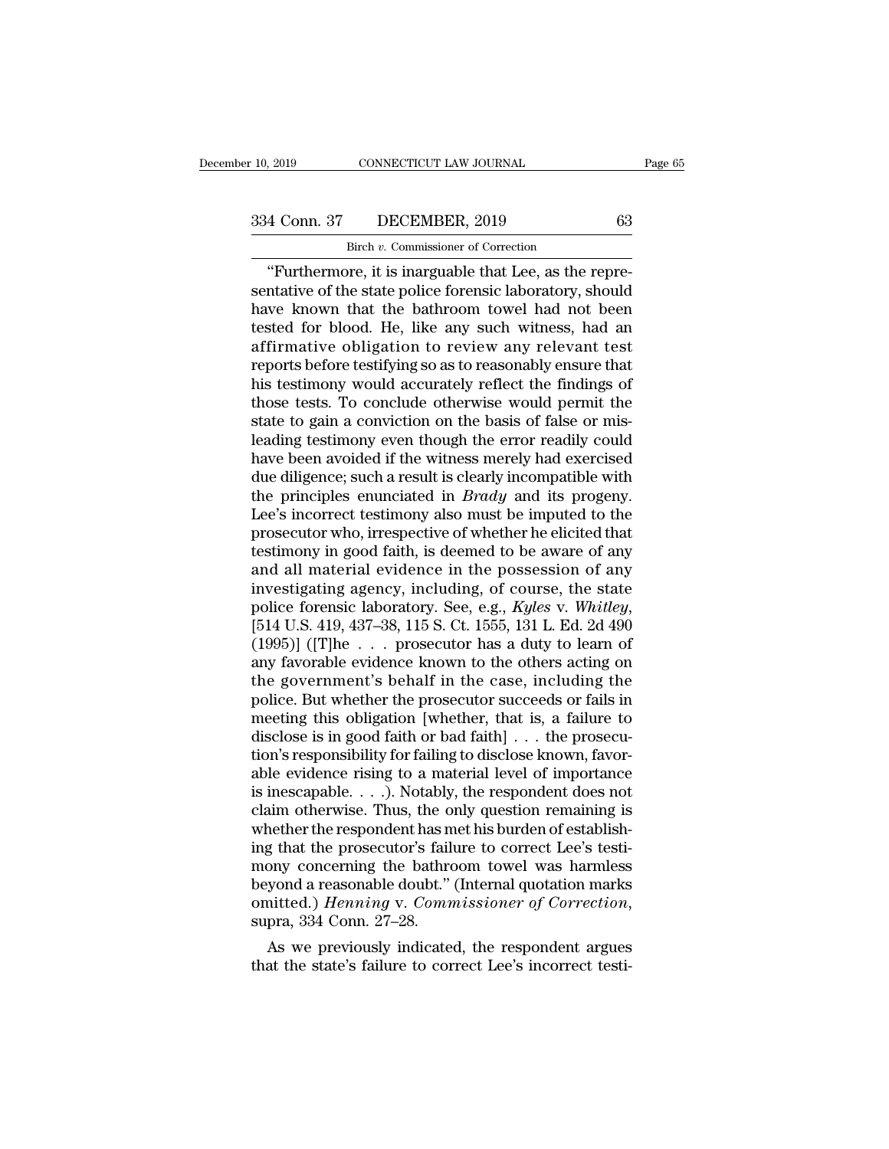Fig. 2019 CONNECTICUT LAW JOURNAL<br>
4 Conn. 37 DECEMBER, 2019 63<br>
"Birch *v.* Commissioner of Correction<br>
"Furthermore, it is inarguable that Lee, as the repre-<br>
ntative of the state police forensic laboratory, should<br>
yo k  $\begin{array}{ccc}\n 334 \text{ Conn. } 37 & \text{DECEMBER, } 2019 & 63 \\
 \hline\n \text{Bireh } v. \text{ Commissioner of Correction} \\
 \text{``Furthermore, it is inarguable that Lee, as the representative of the state police forensic laboratory, should have known that the bathroom towel had not been tested for blood. He like any such witness had an$  $\frac{334 \text{ Conn. } 37 \qquad \text{DECEMBER, } 2019 \qquad \qquad 63}{\text{Bireh } v. \text{ Commissioner of Correction}}$ <br>
"Furthermore, it is inarguable that Lee, as the representative of the state police forensic laboratory, should have known that the bathroom towel had not been 334 Conn. 37 DECEMBER, 2019 63<br>
Birch v. Commissioner of Correction<br>
"Furthermore, it is inarguable that Lee, as the repre-<br>
sentative of the state police forensic laboratory, should<br>
have known that the bathroom towel ha Birch v. Commissioner of Correction<br>
"Furthermore, it is inarguable that Lee, as the repre-<br>
sentative of the state police forensic laboratory, should<br>
have known that the bathroom towel had not been<br>
tested for blood. He Birch *v*. Commissioner of Correction<br>
"Furthermore, it is inarguable that Lee, as the repre-<br>
sentative of the state police forensic laboratory, should<br>
have known that the bathroom towel had not been<br>
tested for blood. "Furthermore, it is inarguable that Lee, as the representative of the state police forensic laboratory, should have known that the bathroom towel had not been tested for blood. He, like any such witness, had an affirmative sentative of the state police forensic laboratory, should<br>have known that the bathroom towel had not been<br>tested for blood. He, like any such witness, had an<br>affirmative obligation to review any relevant test<br>reports befor have known that the bathroom towel had not been<br>tested for blood. He, like any such witness, had an<br>affirmative obligation to review any relevant test<br>reports before testifying so as to reasonably ensure that<br>his testimony tested for blood. He, like any such witness, had an affirmative obligation to review any relevant test<br>reports before testifying so as to reasonably ensure that<br>his testimony would accurately reflect the findings of<br>those affirmative obligation to review any relevant test<br>reports before testifying so as to reasonably ensure that<br>his testimony would accurately reflect the findings of<br>those tests. To conclude otherwise would permit the<br>state reports before testifying so as to reasonably ensure that<br>his testimony would accurately reflect the findings of<br>those tests. To conclude otherwise would permit the<br>state to gain a conviction on the basis of false or mis-<br> his testimony would accurately reflect the findings of<br>those tests. To conclude otherwise would permit the<br>state to gain a conviction on the basis of false or mis-<br>leading testimony even though the error readily could<br>have those tests. To conclude otherwise would permit the<br>state to gain a conviction on the basis of false or mis-<br>leading testimony even though the error readily could<br>have been avoided if the witness merely had exercised<br>due d state to gain a conviction on the basis of false or mis-<br>leading testimony even though the error readily could<br>have been avoided if the witness merely had exercised<br>due diligence; such a result is clearly incompatible with leading testimony even though the error readily could<br>have been avoided if the witness merely had exercised<br>due diligence; such a result is clearly incompatible with<br>the principles enunciated in *Brady* and its progeny.<br>Le have been avoided if the witness merely had exercised<br>due diligence; such a result is clearly incompatible with<br>the principles enunciated in *Brady* and its progeny.<br>Lee's incorrect testimony also must be imputed to the<br>p due diligence; such a result is clearly incompatible with<br>the principles enunciated in *Brady* and its progeny.<br>Lee's incorrect testimony also must be imputed to the<br>prosecutor who, irrespective of whether he elicited that the principles enunciated in *Brady* and its progeny.<br>Lee's incorrect testimony also must be imputed to the<br>prosecutor who, irrespective of whether he elicited that<br>testimony in good faith, is deemed to be aware of any<br>and prosecutor who, irrespective of whether he elicited that<br>testimony in good faith, is deemed to be aware of any<br>and all material evidence in the possession of any<br>investigating agency, including, of course, the state<br>police testimony in good faith, is deemed to be aware of any<br>and all material evidence in the possession of any<br>investigating agency, including, of course, the state<br>police forensic laboratory. See, e.g., Kyles v. Whitley,<br>[514 U and all material evidence in the possession of any<br>investigating agency, including, of course, the state<br>police forensic laboratory. See, e.g., Kyles v. Whitley,<br>[514 U.S. 419, 437–38, 115 S. Ct. 1555, 131 L. Ed. 2d 490<br>( investigating agency, including, of course, the state<br>police forensic laboratory. See, e.g., Kyles v. Whitley,<br>[514 U.S. 419, 437–38, 115 S. Ct. 1555, 131 L. Ed. 2d 490<br>(1995)] ([T]he  $\ldots$  prosecutor has a duty to learn police forensic laboratory. See, e.g., Kyles v. Whitley,<br>[514 U.S. 419, 437–38, 115 S. Ct. 1555, 131 L. Ed. 2d 490<br>(1995)] ([T]he . . . prosecutor has a duty to learn of<br>any favorable evidence known to the others acting o [514 U.S. 419, 437–38, 115 S. Ct. 1555, 131 L. Ed. 2d 490 (1995)] ([T]he  $\ldots$  prosecutor has a duty to learn of any favorable evidence known to the others acting on the government's behalf in the case, including the poli (1995)] ([T]he . . . prosecutor has a duty to learn of<br>any favorable evidence known to the others acting on<br>the government's behalf in the case, including the<br>police. But whether the prosecutor succeeds or fails in<br>meetin any favorable evidence known to the others acting on<br>the government's behalf in the case, including the<br>police. But whether the prosecutor succeeds or fails in<br>meeting this obligation [whether, that is, a failure to<br>discl the government's behalf in the case, including the<br>police. But whether the prosecutor succeeds or fails in<br>meeting this obligation [whether, that is, a failure to<br>disclose is in good faith or bad faith] . . . the prosecu-<br> police. But whether the prosecutor succeeds or fails in<br>meeting this obligation [whether, that is, a failure to<br>disclose is in good faith or bad faith] . . . the prosecu-<br>tion's responsibility for failing to disclose known meeting this obligation [whether, that is, a failure to disclose is in good faith or bad faith] . . . the prosecution's responsibility for failing to disclose known, favorable evidence rising to a material level of import disclose is in good faith or bad faith] . . . the prosecution's responsibility for failing to disclose known, favorable evidence rising to a material level of importance is inescapable. . . .). Notably, the respondent does tion's responsibility for failing to disclose known, favorable evidence rising to a material level of importance<br>is inescapable. . . .). Notably, the respondent does not<br>claim otherwise. Thus, the only question remaining able evidence rising to a material level of importance<br>is inescapable. . . .). Notably, the respondent does not<br>claim otherwise. Thus, the only question remaining is<br>whether the respondent has met his burden of establishis inescapable. . . .). Notably, the respondent does not claim otherwise. Thus, the only question remaining is whether the respondent has met his burden of establishing that the prosecutor's failure to correct Lee's testim nether the respondent has met his burden of establish-<br>g that the prosecutor's failure to correct Lee's testi-<br>ony concerning the bathroom towel was harmless<br>yond a reasonable doubt." (Internal quotation marks<br>nitted.) *He* Ing that the prosecutor's failure to correct Lee's testi-<br>mony concerning the bathroom towel was harmless<br>beyond a reasonable doubt." (Internal quotation marks<br>omitted.) *Henning* v. *Commissioner of Correction*,<br>supra, 33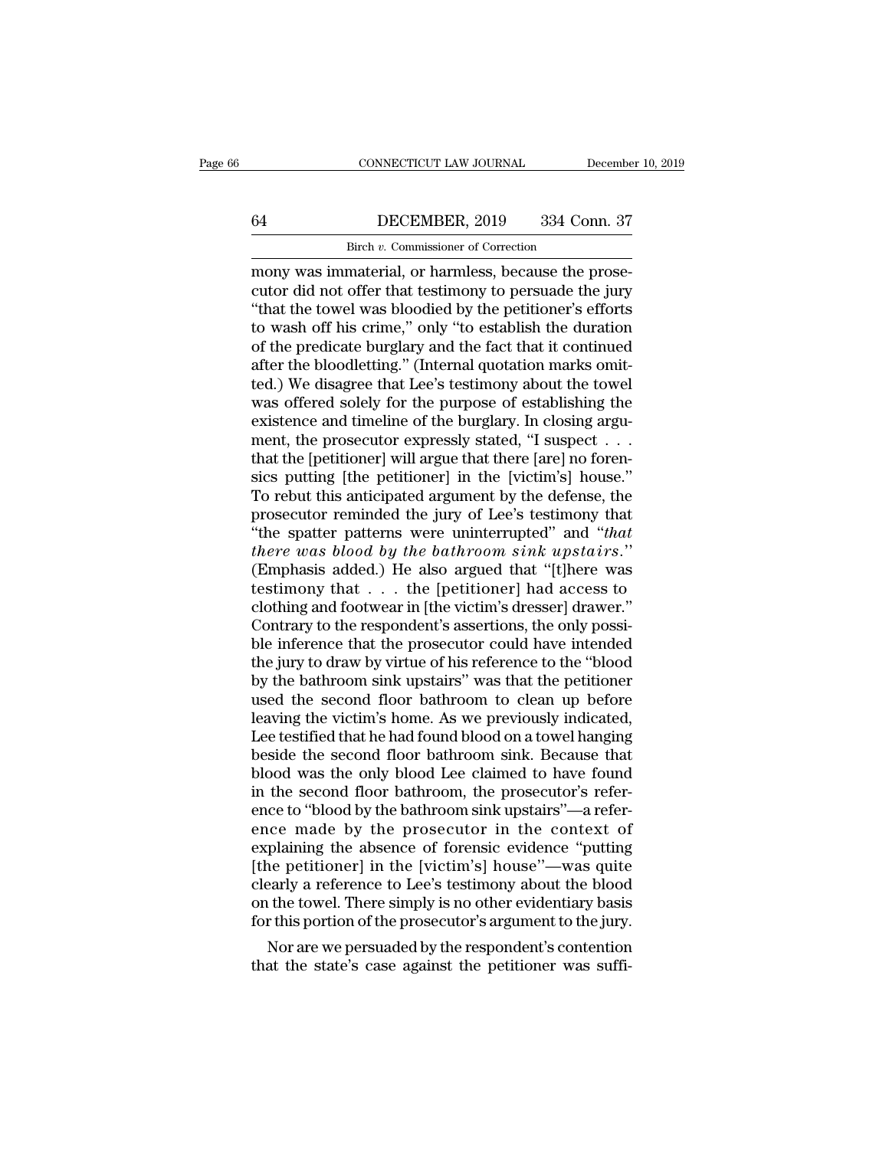# CONNECTICUT LAW JOURNAL December 10, 2019<br>64 DECEMBER, 2019 334 Conn. 37<br>Birch v. Commissioner of Correction CONNECTICUT LAW JOURNAL<br>DECEMBER, 2019 334 Cor<br>Birch *v.* Commissioner of Correction<br>material or harmless because the r

CONNECTICUT LAW JOURNAL December<br> **EXECT DECEMBER, 2019** 334 Conn. 37<br>
Birch v. Commissioner of Correction<br>
mony was immaterial, or harmless, because the prose-<br>
cutor did not offer that testimony to persuade the jury<br>
"th ECEMBER, 2019 334 Conn. 37<br>Birch v. Commissioner of Correction<br>mony was immaterial, or harmless, because the prose-<br>cutor did not offer that testimony to persuade the jury<br>"that the towel was bloodied by the petitioner's e  $\frac{\text{Bireh }v \cdot \text{Commissioner of Correction}}{\text{Bireh }v \cdot \text{Commissioner of Correction}}$ <br>
mony was immaterial, or harmless, because the prosecutor did not offer that testimony to persuade the jury<br>
"that the towel was bloodied by the petitioner's efforts<br>
to wash off h  $\frac{64}{2}$  DECEMBER, 2019 334 Conn. 37<br>Birch v. Commissioner of Correction<br>mony was immaterial, or harmless, because the prose-<br>cutor did not offer that testimony to persuade the jury<br>"that the towel was bloodied by the p Birch *v*. Commissioner of Correction<br>
mony was immaterial, or harmless, because the prose-<br>
cutor did not offer that testimony to persuade the jury<br>
"that the towel was bloodied by the petitioner's efforts<br>
to wash off h Birch v. Commissioner of Correction<br>mony was immaterial, or harmless, because the prose-<br>cutor did not offer that testimony to persuade the jury<br>"that the towel was bloodied by the petitioner's efforts<br>to wash off his cri mony was immaterial, or harmless, because the prose-<br>cutor did not offer that testimony to persuade the jury<br>"that the towel was bloodied by the petitioner's efforts<br>to wash off his crime," only "to establish the duration<br> cutor did not offer that testimony to persuade the jury<br>
"that the towel was bloodied by the petitioner's efforts<br>
to wash off his crime," only "to establish the duration<br>
of the predicate burglary and the fact that it con "that the towel was bloodied by the petitioner's efforts<br>to wash off his crime," only "to establish the duration<br>of the predicate burglary and the fact that it continued<br>after the bloodletting." (Internal quotation marks o to wash off his crime," only "to establish the duration<br>of the predicate burglary and the fact that it continued<br>after the bloodletting." (Internal quotation marks omit-<br>ted.) We disagree that Lee's testimony about the tow of the predicate burglary and the fact that it continued<br>after the bloodletting." (Internal quotation marks omit-<br>ted.) We disagree that Lee's testimony about the towel<br>was offered solely for the purpose of establishing th after the bloodletting." (Internal quotation marks omitted.) We disagree that Lee's testimony about the towel<br>was offered solely for the purpose of establishing the<br>existence and timeline of the burglary. In closing argu-<br> ted.) We disagree that Lee's testimony about the towel<br>was offered solely for the purpose of establishing the<br>existence and timeline of the burglary. In closing argu-<br>ment, the prosecutor expressly stated, "I suspect . . . was offered solely for the purpose of establishing the existence and timeline of the burglary. In closing argument, the prosecutor expressly stated, "I suspect  $\ldots$  that the [petitioner] will argue that there [are] no fo existence and timeline of the burglary. In closing argument, the prosecutor expressly stated, "I suspect . . . that the [petitioner] will argue that there [are] no forensics putting [the petitioner] in the [victim's] house ment, the prosecutor expressly stated, "I suspect . . . .<br>that the [petitioner] will argue that there [are] no forensics putting [the petitioner] in the [victim's] house."<br>To rebut this anticipated argument by the defense, that the [petitioner] will argue that there [are] no forensics putting [the petitioner] in the [victim's] house."<br>To rebut this anticipated argument by the defense, the<br>prosecutor reminded the jury of Lee's testimony that sics putting [the petitioner] in the [victim's] house."<br>To rebut this anticipated argument by the defense, the<br>prosecutor reminded the jury of Lee's testimony that<br>"the spatter patterns were uninterrupted" and "that<br>there To rebut this anticipated argument by the defense, the prosecutor reminded the jury of Lee's testimony that "the spatter patterns were uninterrupted" and "that there was blood by the bathroom sink upstairs." (Emphasis adde prosecutor reminded the jury of Lee's testimony that<br>
"the spatter patterns were uninterrupted" and "that<br>
there was blood by the bathroom sink upstairs."<br>
(Emphasis added.) He also argued that "[t]here was<br>
testimony that "the spatter patterns were uninterrupted" and "that<br>there was blood by the bathroom sink upstairs."<br>(Emphasis added.) He also argued that "[t]here was<br>testimony that  $\dots$  the [petitioner] had access to<br>clothing and footwe there was blood by the bathroom sink upstairs."<br>(Emphasis added.) He also argued that "[t]here was<br>testimony that  $\ldots$  the [petitioner] had access to<br>clothing and footwear in [the victim's dresser] drawer."<br>Contrary to t (Emphasis added.) He also argued that "[t]here was<br>testimony that  $\ldots$  the [petitioner] had access to<br>clothing and footwear in [the victim's dresser] drawer."<br>Contrary to the respondent's assertions, the only possi-<br>ble testimony that . . . the [petitioner] had access to<br>clothing and footwear in [the victim's dresser] drawer."<br>Contrary to the respondent's assertions, the only possi-<br>ble inference that the prosecutor could have intended<br>th clothing and footwear in [the victim's dresser] drawer."<br>Contrary to the respondent's assertions, the only possi-<br>ble inference that the prosecutor could have intended<br>the jury to draw by virtue of his reference to the "bl Contrary to the respondent's assertions, the only possi-<br>ble inference that the prosecutor could have intended<br>the jury to draw by virtue of his reference to the "blood<br>by the bathroom sink upstairs" was that the petitione ble inference that the prosecutor could have intended<br>the jury to draw by virtue of his reference to the "blood<br>by the bathroom sink upstairs" was that the petitioner<br>used the second floor bathroom to clean up before<br>leavi the jury to draw by virtue of his reference to the "blood<br>by the bathroom sink upstairs" was that the petitioner<br>used the second floor bathroom to clean up before<br>leaving the victim's home. As we previously indicated,<br>Lee by the bathroom sink upstairs" was that the petitioner<br>used the second floor bathroom to clean up before<br>leaving the victim's home. As we previously indicated,<br>Lee testified that he had found blood on a towel hanging<br>besid used the second floor bathroom to clean up before<br>leaving the victim's home. As we previously indicated,<br>Lee testified that he had found blood on a towel hanging<br>beside the second floor bathroom sink. Because that<br>blood wa leaving the victim's home. As we previously indicated,<br>Lee testified that he had found blood on a towel hanging<br>beside the second floor bathroom sink. Because that<br>blood was the only blood Lee claimed to have found<br>in the Lee testified that he had found blood on a towel hanging<br>beside the second floor bathroom sink. Because that<br>blood was the only blood Lee claimed to have found<br>in the second floor bathroom, the prosecutor's refer-<br>ence to beside the second floor bathroom sink. Because that<br>blood was the only blood Lee claimed to have found<br>in the second floor bathroom, the prosecutor's refer-<br>ence to "blood by the bathroom sink upstairs"—a refer-<br>ence made blood was the only blood Lee claimed to have found<br>in the second floor bathroom, the prosecutor's refer-<br>ence to "blood by the bathroom sink upstairs"—a refer-<br>ence made by the prosecutor in the context of<br>explaining the a in the second floor bathroom, the prosecutor's reference to "blood by the bathroom sink upstairs"—a reference made by the prosecutor in the context of explaining the absence of forensic evidence "putting [the petitioner] i ence to "blood by the bathroom sink upstairs"—a reference made by the prosecutor in the context of explaining the absence of forensic evidence "putting [the petitioner] in the [victim's] house"—was quite clearly a referenc ice made by the prosecutor in the context of<br>plaining the absence of forensic evidence "putting<br>ne petitioner] in the [victim's] house"—was quite<br>early a reference to Lee's testimony about the blood<br>i the towel. There simp explaining the absence of forensic evidence "putting"<br>[the petitioner] in the [victim's] house"—was quite<br>clearly a reference to Lee's testimony about the blood<br>on the towel. There simply is no other evidentiary basis<br>for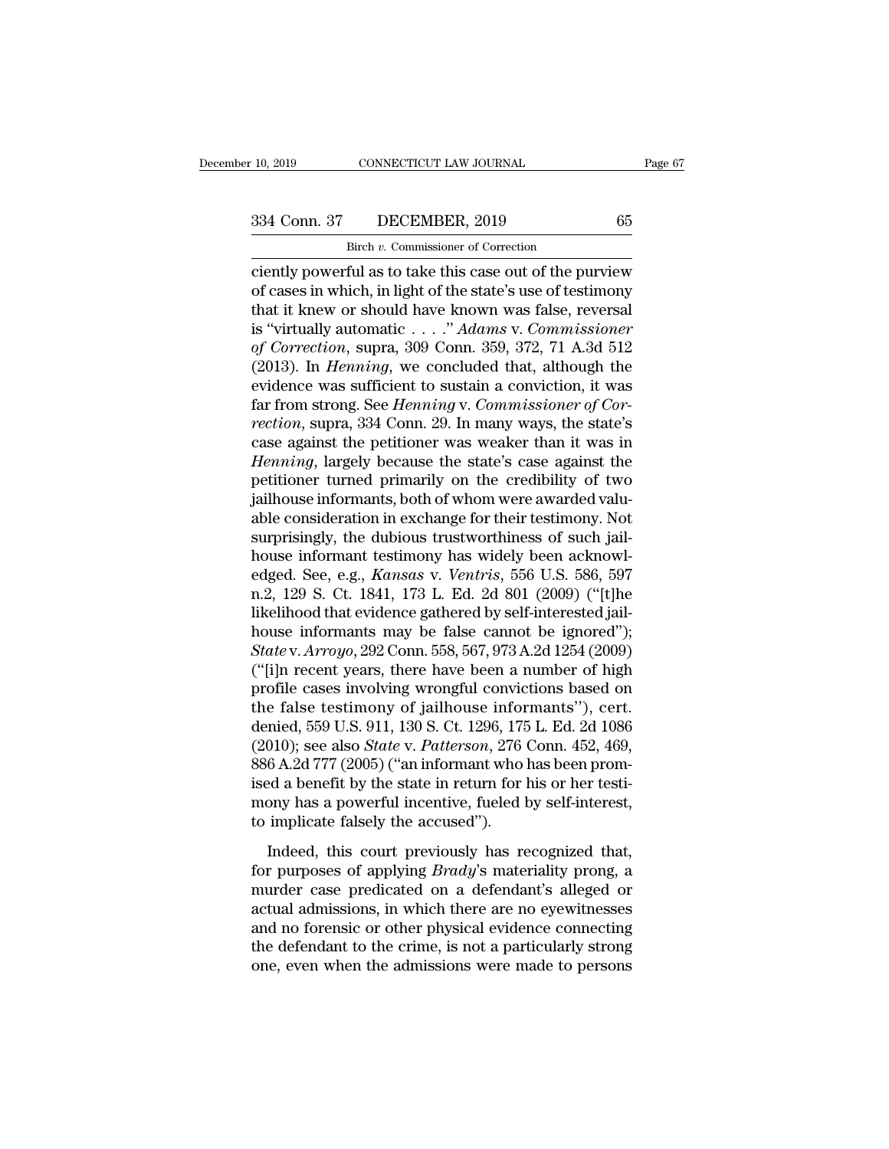CONNECTICUT LAW JOURNAL<br>DECEMBER, 2019<br>Birch *v.* Commissioner of Correction<br>ful as to take this case out of the put connectricut LAW JOURNAL Page 67<br>
234 Conn. 37 DECEMBER, 2019 65<br>
<sup>Birch v</sup>. Commissioner of Correction<br>
ciently powerful as to take this case out of the purview<br>
of cases in which, in light of the state's use of testimony 334 Conn. 37 DECEMBER, 2019 65<br>Birch v. Commissioner of Correction<br>Ciently powerful as to take this case out of the purview<br>of cases in which, in light of the state's use of testimony<br>that it knew or should have known was 334 Conn. 37 DECEMBER, 2019 65<br>
Birch v. Commissioner of Correction<br>
ciently powerful as to take this case out of the purview<br>
of cases in which, in light of the state's use of testimony<br>
that it knew or should have known 334 Conn. 37 DECEMBER, 2019 65<br>
Birch *v*. Commissioner of Correction<br>
ciently powerful as to take this case out of the purview<br>
of cases in which, in light of the state's use of testimony<br>
that it knew or should have know *Birch v. Commissioner of Correction*<br> *Ciently powerful as to take this case out of the purview*<br> *of cases in which, in light of the state's use of testimony*<br> *that it knew or should have known was false, reversal*<br> *is* **EXECUTE:** Break v. Commissioner of Correction<br>
ciently powerful as to take this case out of the purview<br>
of cases in which, in light of the state's use of testimony<br>
that it knew or should have known was false, reversal<br> ciently powerful as to take this case out of the purview<br>of cases in which, in light of the state's use of testimony<br>that it knew or should have known was false, reversal<br>is "virtually automatic . . . . " Adams v. Commiss of cases in which, in light of the state's use of testimony<br>that it knew or should have known was false, reversal<br>is "virtually automatic . . . ." *Adams* v. *Commissioner*<br>of Correction, supra, 309 Conn. 359, 372, 71 A.3d *rection*, supraeses the state's case against the *Hemning* length of *Rection*, supra, 309 Conn. 359, 372, 71 A.3d 512 (2013). In *Henning*, we concluded that, although the evidence was sufficient to sustain a conviction, is "virtually automatic . . . ." Adams v. Commissioner<br>of Correction, supra, 309 Conn. 359, 372, 71 A.3d 512<br>(2013). In *Henning*, we concluded that, although the<br>evidence was sufficient to sustain a conviction, it was<br>fa *of Correction*, supra, 309 Conn. 359, 372, 71 A.3d 512 (2013). In *Henning*, we concluded that, although the evidence was sufficient to sustain a conviction, it was far from strong. See *Henning* v. *Commissioner of Corre* (2013). In *Henning*, we concluded that, although the evidence was sufficient to sustain a conviction, it was far from strong. See *Henning* v. *Commissioner of Correction*, supra, 334 Conn. 29. In many ways, the state's evidence was sufficient to sustain a conviction, it was<br>far from strong. See *Henning* v. *Commissioner of Cor-*<br>*rection*, supra, 334 Conn. 29. In many ways, the state's<br>case against the petitioner was weaker than it was far from strong. See *Henning* v. *Commissioner of Correction*, supra, 334 Conn. 29. In many ways, the state's case against the petitioner was weaker than it was in *Henning*, largely because the state's case against the p rection, supra, 334 Conn. 29. In many ways, the state's case against the petitioner was weaker than it was in *Henning*, largely because the state's case against the petitioner turned primarily on the credibility of two ja case against the petitioner was weaker than it was in<br>*Henning*, largely because the state's case against the<br>petitioner turned primarily on the credibility of two<br>jailhouse informants, both of whom were awarded valu-<br>abl Henning, largely because the state's case against the petitioner turned primarily on the credibility of two jailhouse informants, both of whom were awarded valuable consideration in exchange for their testimony. Not surpri petitioner turned primarily on the credibility of two<br>jailhouse informants, both of whom were awarded valu-<br>able consideration in exchange for their testimony. Not<br>surprisingly, the dubious trustworthiness of such jail-<br>ho jailhouse informants, both of whom were awarded valuable consideration in exchange for their testimony. Not surprisingly, the dubious trustworthiness of such jailhouse informant testimony has widely been acknowledged. See, able consideration in exchange for their testimony. Not<br>surprisingly, the dubious trustworthiness of such jail-<br>house informant testimony has widely been acknowl-<br>edged. See, e.g., *Kansas* v. *Ventris*, 556 U.S. 586, 597<br> surprisingly, the dubious trustworthiness of such jailhouse informant testimony has widely been acknowledged. See, e.g., *Kansas* v. *Ventris*, 556 U.S. 586, 597 n.2, 129 S. Ct. 1841, 173 L. Ed. 2d 801 (2009) ("[t]he likel house informant testimony has widely been acknowledged. See, e.g., *Kansas v. Ventris*, 556 U.S. 586, 597 n.2, 129 S. Ct. 1841, 173 L. Ed. 2d 801 (2009) ("[t]he likelihood that evidence gathered by self-interested jailhous edged. See, e.g., *Kansas v. Ventris*, 556 U.S. 586, 597<br>n.2, 129 S. Ct. 1841, 173 L. Ed. 2d 801 (2009) ("[t]he<br>likelihood that evidence gathered by self-interested jail-<br>house informants may be false cannot be ignored");<br> n.2, 129 S. Ct. 1841, 173 L. Ed. 2d 801 (2009) ("[t]he<br>likelihood that evidence gathered by self-interested jail-<br>house informants may be false cannot be ignored");<br>State v. Arroyo, 292 Conn. 558, 567, 973 A.2d 1254 (2009) likelihood that evidence gathered by self-interested jail-<br>house informants may be false cannot be ignored");<br>State v. Arroyo, 292 Conn. 558, 567, 973 A.2d 1254 (2009)<br>("[i]n recent years, there have been a number of high<br> house informants may be false cannot be ignored");<br> *State* v. *Arroyo*, 292 Conn. 558, 567, 973 A.2d 1254 (2009)<br>
("[i]n recent years, there have been a number of high<br>
profile cases involving wrongful convictions based o State v. Arroyo, 292 Conn. 558, 567, 973 A.2d 1254 (2009)<br>("[i]n recent years, there have been a number of high<br>profile cases involving wrongful convictions based on<br>the false testimony of jailhouse informants"), cert.<br>den ("[i]n recent years, there have been a number of high<br>profile cases involving wrongful convictions based on<br>the false testimony of jailhouse informants"), cert.<br>denied, 559 U.S. 911, 130 S. Ct. 1296, 175 L. Ed. 2d 1086<br>(2 profile cases involving wrongful convictions based on<br>the false testimony of jailhouse informants"), cert.<br>denied, 559 U.S. 911, 130 S. Ct. 1296, 175 L. Ed. 2d 1086<br>(2010); see also *State* v. *Patterson*, 276 Conn. 452, 4 the false testimony of jailhouse infor denied, 559 U.S. 911, 130 S. Ct. 1296, 175 (2010); see also *State v. Patterson*, 276 (386 A.2d 777 (2005) ("an informant who ised a benefit by the state in return for l mony has a p Inclusive cases of the *Natterson*, 276 Conn. 452, 469, 6 A.2d 777 (2005) ("an informant who has been prom-<br>ed a benefit by the state in return for his or her testi-<br>ony has a powerful incentive, fueled by self-interest,<br> (2010), see also with alternative, 2005) ("an informant who has been promised a benefit by the state in return for his or her testi-<br>mony has a powerful incentive, fueled by self-interest,<br>to implicate falsely the accused"

murder cases) (and the state in return for his or her testi-<br>mony has a powerful incentive, fueled by self-interest,<br>to implicate falsely the accused").<br>Indeed, this court previously has recognized that,<br>for purposes of ap actual admissions, in which there are no eyewitnesses<br>and a powerful incentive, fueled by self-interest,<br>to implicate falsely the accused").<br>Indeed, this court previously has recognized that,<br>for purposes of applying *Brad* and  $\sigma$  for formula methanics, and  $\sigma$  for an interest,<br>to implicate falsely the accused").<br>Indeed, this court previously has recognized that,<br>for purposes of applying *Brady's* materiality prong, a<br>murder case predicat Indeed, this court previously has recognized that,<br>for purposes of applying *Brady*'s materiality prong, a<br>murder case predicated on a defendant's alleged or<br>actual admissions, in which there are no eyewitnesses<br>and no for Indeed, this court previously has recognized that, for purposes of applying *Brady's* materiality prong, a murder case predicated on a defendant's alleged or actual admissions, in which there are no eyewitnesses and no for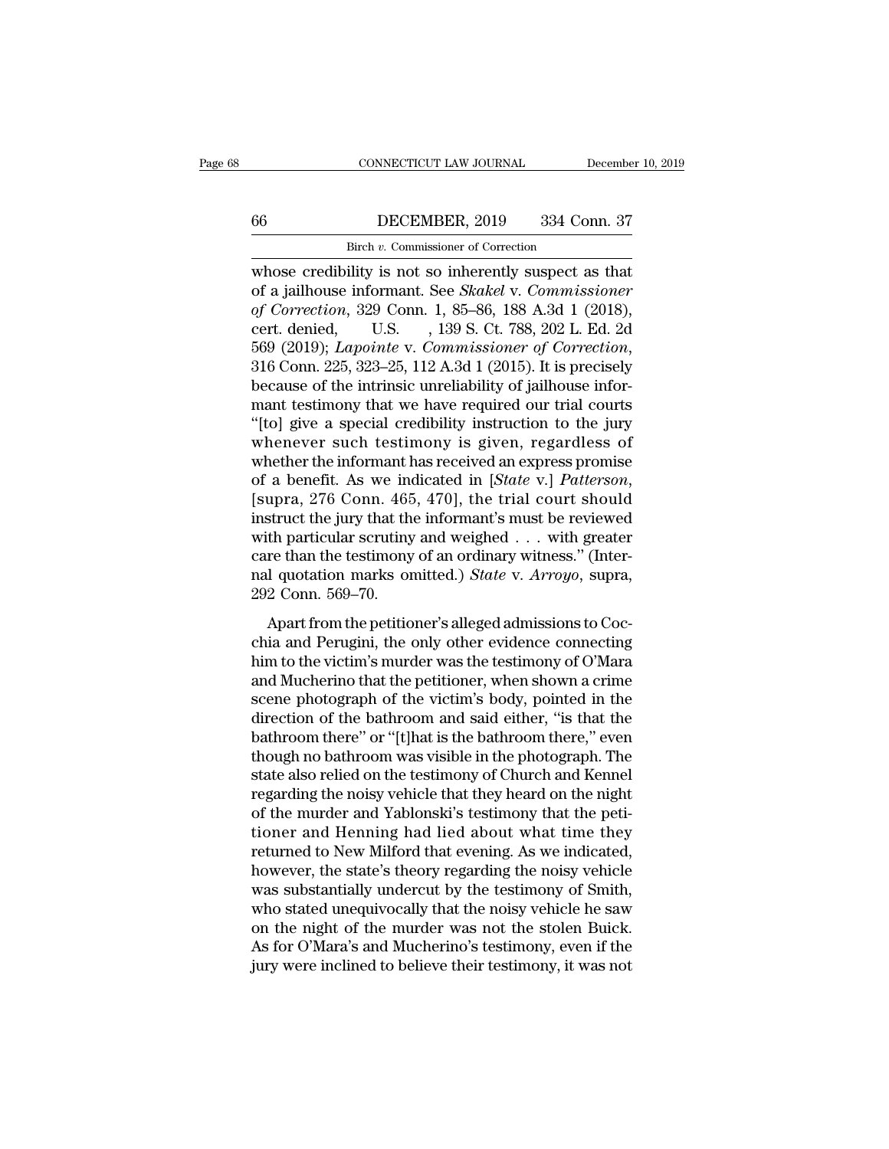# CONNECTICUT LAW JOURNAL December 10, 2019<br>66 DECEMBER, 2019 334 Conn. 37<br>Birch v. Commissioner of Correction CONNECTICUT LAW JOURNAL<br>DECEMBER, 2019 334 Correction<br>Birch *v.* Commissioner of Correction<br>ility is not so inherently suspect as

CONNECTICUT LAW JOURNAL December 10, 2019<br>
Birch v. Commissioner of Correction<br>
whose credibility is not so inherently suspect as that<br>
of a jailhouse informant. See *Skakel* v. Commissioner<br>
of Correction 220 Conn 1, 25, **of a set and the internal control of Correction**<br> **of a jailhouse informant. See** *Skakel* **v.** *Commissioner***<br>
of** *Correction***, 329 Conn. 1, 85–86, 188 A.3d 1 (2018),<br>
sept donied U.S. 130 S. Ct. 788–902 L.Ed. 2d. of Correction**<br> **of Correction**<br> **of Correction**<br> **of Correction**, 329 Conn. 1, 85–86, 188 A.3d 1 (2018),<br> **of Correction**, 329 Conn. 1, 85–86, 188 A.3d 1 (2018),<br>
cert. denied, U.S. , 139 S. Ct. 788, 202 L. Ed. 2d<br>
560 ( EXEMBER, 2019 334 Conn. 37<br>
Birch *v.* Commissioner of Correction<br>
whose credibility is not so inherently suspect as that<br>
of a jailhouse informant. See *Skakel* v. Commissioner<br>
of Correction, 329 Conn. 1, 85–86, 188 A.3d Birch v. Commissioner of Correction<br>whose credibility is not so inherently suspect as that<br>of a jailhouse informant. See *Skakel* v. *Commissioner*<br>of Correction, 329 Conn. 1, 85–86, 188 A.3d 1 (2018),<br>cert. denied, U.S., whose credibility is not so inherently suspect as that<br>of a jailhouse informant. See *Skakel* v. Commissioner<br>of Correction, 329 Conn. 1, 85–86, 188 A.3d 1 (2018),<br>cert. denied, U.S. , 139 S. Ct. 788, 202 L. Ed. 2d<br>569 (2 of a jailhouse informant. See *Skakel* v. Commissioner<br>of Correction, 329 Conn. 1, 85–86, 188 A.3d 1 (2018),<br>cert. denied, U.S. , 139 S. Ct. 788, 202 L. Ed. 2d<br>569 (2019); *Lapointe* v. Commissioner of Correction,<br>316 Con of Correction, 329 Conn. 1, 85–86, 188 A.3d 1 (2018),<br>
cert. denied, U.S., 139 S. Ct. 788, 202 L. Ed. 2d<br>
569 (2019); *Lapointe* v. Commissioner of Correction,<br>
316 Conn. 225, 323–25, 112 A.3d 1 (2015). It is precisely<br>
be cert. denied, U.S. , 139 S. Ct. 788, 202 L. Ed. 2d<br>569 (2019); *Lapointe* v. *Commissioner of Correction*,<br>316 Conn. 225, 323–25, 112 A.3d 1 (2015). It is precisely<br>because of the intrinsic unreliability of jailhouse infor 569 (2019); *Lapointe* v. *Commissioner of Correction*,<br>316 Conn. 225, 323–25, 112 A.3d 1 (2015). It is precisely<br>because of the intrinsic unreliability of jailhouse infor-<br>mant testimony that we have required our trial c 316 Conn. 225, 323–25, 112 A.3d 1 (2015). It is precisely<br>because of the intrinsic unreliability of jailhouse infor-<br>mant testimony that we have required our trial courts<br>"(to) give a special credibility instruction to the mant testimony that we have required our trial courts<br>"[to] give a special credibility instruction to the jury<br>whenever such testimony is given, regardless of<br>whether the informant has received an express promise<br>of a ben "[to] give a special credibility instruction to the jury<br>whenever such testimony is given, regardless of<br>whether the informant has received an express promise<br>of a benefit. As we indicated in [*State v.] Patterson*,<br>[supr whenever such testimony is given, regardless of<br>whether the informant has received an express promise<br>of a benefit. As we indicated in [*State v.*] Patterson,<br>[supra, 276 Conn. 465, 470], the trial court should<br>instruct t whether the informant has received an express promise<br>of a benefit. As we indicated in [*State* v.] *Patterson*,<br>[supra, 276 Conn. 465, 470], the trial court should<br>instruct the jury that the informant's must be reviewed<br>w of a benefit. As we ine<br>[supra, 276 Conn. 465<br>instruct the jury that the<br>with particular scrutiny<br>care than the testimony<br>nal quotation marks or<br>292 Conn. 569–70.<br>Apart from the petitio Solution, 2.15 Collin, 100, 110], the that court should<br>struct the jury that the informant's must be reviewed<br>th particular scrutiny and weighed . . . with greater<br>re than the testimony of an ordinary witness." (Inter-<br>l matrice are  $f_{\text{diff}}$  and the mormal between with particular scrutiny and weighed . . . with greater care than the testimony of an ordinary witness." (Internal quotation marks omitted.) *State v. Arroyo*, supra, 292 Conn.

what paracellar serially did weighted  $\cdot \cdot \cdot$  what greater<br>care than the testimony of an ordinary witness." (Inter-<br>nal quotation marks omitted.) *State* v. *Arroyo*, supra,<br>292 Conn. 569–70.<br>Apart from the petitioner's and quotation marks omitted.) *State* v. *Arroyo*, supra,<br>292 Conn. 569–70.<br>Apart from the petitioner's alleged admissions to Coc-<br>chia and Perugini, the only other evidence connecting<br>him to the victim's murder was the te scene photograph of the victim's body, pointed in the victim's alleged admissions to Cocchia and Perugini, the only other evidence connecting<br>him to the victim's murder was the testimony of O'Mara<br>and Mucherino that the p Apart from the petitioner's alleged admissions to Cocchia and Perugini, the only other evidence connecting<br>him to the victim's murder was the testimony of O'Mara<br>and Mucherino that the petitioner, when shown a crime<br>scene Apart from the petitioner's alleged admissions to Cocchia and Perugini, the only other evidence connecting<br>him to the victim's murder was the testimony of O'Mara<br>and Mucherino that the petitioner, when shown a crime<br>scene chia and Perugini, the only other evidence connecting<br>him to the victim's murder was the testimony of O'Mara<br>and Mucherino that the petitioner, when shown a crime<br>scene photograph of the victim's body, pointed in the<br>direc him to the victim's murder was the testimony of O'Mara<br>and Mucherino that the petitioner, when shown a crime<br>scene photograph of the victim's body, pointed in the<br>direction of the bathroom and said either, "is that the<br>bat and Mucherino that the petitioner, when shown a crime<br>scene photograph of the victim's body, pointed in the<br>direction of the bathroom and said either, "is that the<br>bathroom there" or "[t]hat is the bathroom there," even<br>th scene photograph of the victim's body, pointed in the direction of the bathroom and said either, "is that the bathroom there" or "[t]hat is the bathroom there," even though no bathroom was visible in the photograph. The st direction of the bathroom and said either, "is that the bathroom there" or "[t]hat is the bathroom there," even though no bathroom was visible in the photograph. The state also relied on the testimony of Church and Kennel bathroom there" or "[t]hat is the bathroom there," even<br>though no bathroom was visible in the photograph. The<br>state also relied on the testimony of Church and Kennel<br>regarding the noisy vehicle that they heard on the night though no bathroom was visible in the photograph. The<br>state also relied on the testimony of Church and Kennel<br>regarding the noisy vehicle that they heard on the night<br>of the murder and Yablonski's testimony that the peti-<br> state also relied on the testimony of Church and Kennel<br>regarding the noisy vehicle that they heard on the night<br>of the murder and Yablonski's testimony that the peti-<br>tioner and Henning had lied about what time they<br>retur regarding the noisy vehicle that they heard on the night<br>of the murder and Yablonski's testimony that the peti-<br>tioner and Henning had lied about what time they<br>returned to New Milford that evening. As we indicated,<br>howeve of the murder and Yablonski's testimony that the petitioner and Henning had lied about what time they returned to New Milford that evening. As we indicated, however, the state's theory regarding the noisy vehicle was subst tioner and Henning had lied about what time they<br>returned to New Milford that evening. As we indicated,<br>however, the state's theory regarding the noisy vehicle<br>was substantially undercut by the testimony of Smith,<br>who stat returned to New Milford that evening. As we indicated,<br>however, the state's theory regarding the noisy vehicle<br>was substantially undercut by the testimony of Smith,<br>who stated unequivocally that the noisy vehicle he saw<br>on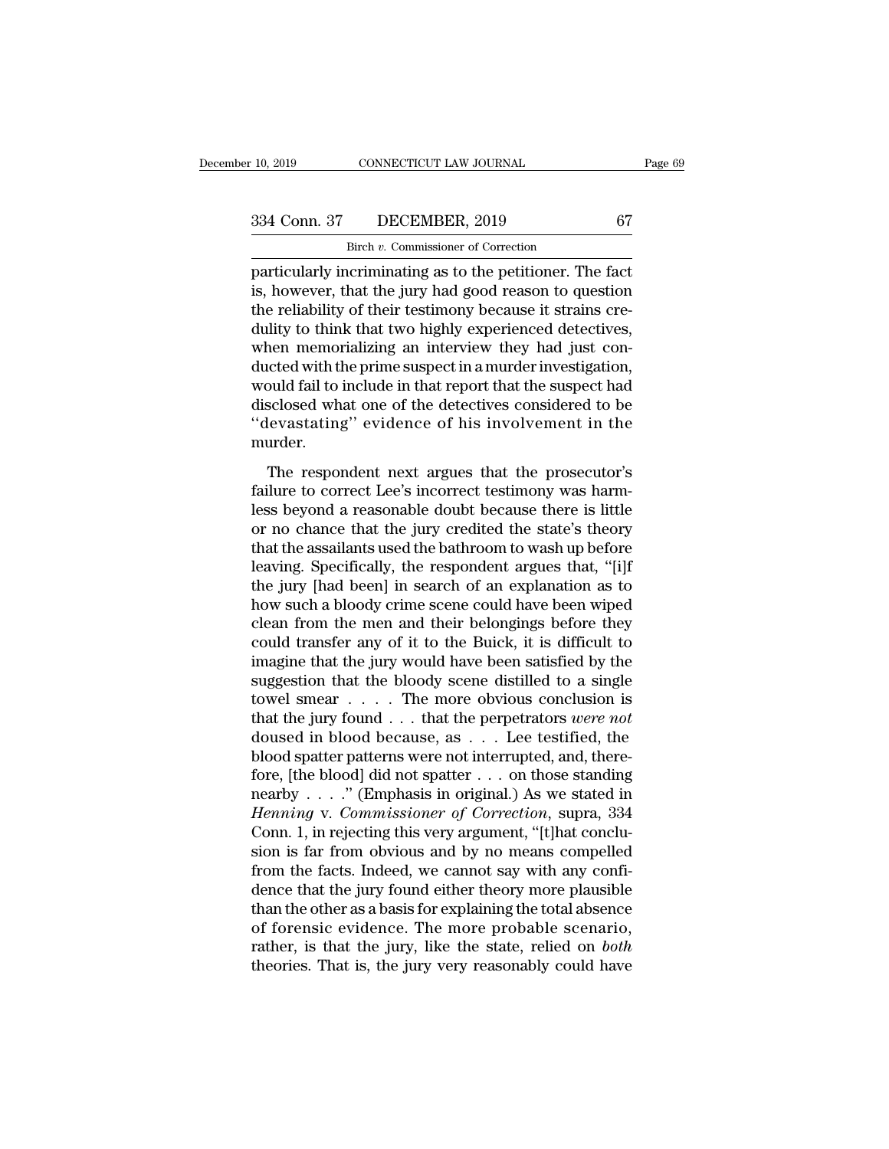CONNECTICUT LAW JOURNAL<br>DECEMBER, 2019<br>Birch *v.* Commissioner of Correction<br>oriminating as to the petitioner. The particularly incriminating as to the petitioner. The fact<br>is, however, that the jury had good reason to question<br>the reliability of their testimony because it strains are  $\begin{array}{ccc}\n 334 \text{ Conn. } 37 & \text{DECEMBER, } 2019 & 67 \\
 \text{Birch } v. \text{ Commissioner of Correction} \text{particularly incriminating as to the pertinent. The fact is, however, that the jury had good reason to question the reliability of their testimony because it strains cre-dulity to think that two highly experienced dotectives.\n$ 334 Conn. 37 DECEMBER, 2019 67<br>
Birch v. Commissioner of Correction<br>
particularly incriminating as to the petitioner. The fact<br>
is, however, that the jury had good reason to question<br>
the reliability of their testimony be  $\begin{array}{c|c} \text{334 Conn. } 37 & \text{DECEMBER, } 2019 & 67 \\ \hline \text{Bitch } v. \text{ Commissioner of Correction} \end{array}$  particularly incriminating as to the petitioner. The fact is, however, that the jury had good reason to question the reliability of their testimony becaus Birch v. Commissioner of Correction<br>particularly incriminating as to the petitioner. The fact<br>is, however, that the jury had good reason to question<br>the reliability of their testimony because it strains cre-<br>dulity to thin  $\frac{1}{2}$  Birch *v*. Commissioner of Correction<br>particularly incriminating as to the petitioner. The fact<br>is, however, that the jury had good reason to question<br>the reliability of their testimony because it strains cre-<br>d particularly incriminating as to the petitioner. The fact<br>is, however, that the jury had good reason to question<br>the reliability of their testimony because it strains cre-<br>dulity to think that two highly experienced detect is, however, that the jury had good reason to question<br>the reliability of their testimony because it strains cre-<br>dulity to think that two highly experienced detectives,<br>when memorializing an interview they had just con-<br>d the reliability of their testimony because it strains cre-<br>dulity to think that two highly experienced detectives,<br>when memorializing an interview they had just con-<br>ducted with the prime suspect in a murder investigation, murder. The respondent next argues that the prosecutor's horizontal fail to include in that report that the suspect had<br>sclosed what one of the detectives considered to be<br>levastating'' evidence of his involvement in the<br>urder.<br>Th model and the subject that the suspect had disclosed what one of the detectives considered to be "devastating" evidence of his involvement in the murder.<br>The respondent next argues that the prosecutor's failure to correct

modal han to meradde in that report that the star-percentation<br>disclosed what one of the detectives considered to be<br>"devastating" evidence of his involvement in the<br>murder.<br>The respondent next argues that the prosecutor's devastating" evidence of his involvement in the<br>
"devastating" evidence of his involvement in the<br>
murder.<br>
The respondent next argues that the prosecutor's<br>
failure to correct Lee's incorrect testimony was harm-<br>
less bey The respondent next argues that the prosecutor's<br>failure to correct Lee's incorrect testimony was harm-<br>less beyond a reasonable doubt because there is little<br>or no chance that the jury credited the state's theory<br>that the The respondent next argues that the prosecutor's<br>failure to correct Lee's incorrect testimony was harm-<br>less beyond a reasonable doubt because there is little<br>or no chance that the jury credited the state's theory<br>that the The respondent next argues that the prosecutor's<br>failure to correct Lee's incorrect testimony was harm-<br>less beyond a reasonable doubt because there is little<br>or no chance that the jury credited the state's theory<br>that the failure to correct Lee's incorrect testimony was harm-<br>less beyond a reasonable doubt because there is little<br>or no chance that the jury credited the state's theory<br>that the assailants used the bathroom to wash up before<br>l less beyond a reasonable doubt because there is little<br>or no chance that the jury credited the state's theory<br>that the assailants used the bathroom to wash up before<br>leaving. Specifically, the respondent argues that, "[i]f or no chance that the jury credited the state's theory<br>that the assailants used the bathroom to wash up before<br>leaving. Specifically, the respondent argues that, "[i]f<br>the jury [had been] in search of an explanation as to<br> that the assailants used the bathroom to wash up before<br>leaving. Specifically, the respondent argues that, "[i]f<br>the jury [had been] in search of an explanation as to<br>how such a bloody crime scene could have been wiped<br>cle leaving. Specifically, the respondent argues that, "[i]f<br>the jury [had been] in search of an explanation as to<br>how such a bloody crime scene could have been wiped<br>clean from the men and their belongings before they<br>could the jury [had been] in search of an explanation as to<br>how such a bloody crime scene could have been wiped<br>clean from the men and their belongings before they<br>could transfer any of it to the Buick, it is difficult to<br>imagi how such a bloody crime scene could have been wiped<br>clean from the men and their belongings before they<br>could transfer any of it to the Buick, it is difficult to<br>imagine that the jury would have been satisfied by the<br>sugg clean from the men and their belongings before they<br>could transfer any of it to the Buick, it is difficult to<br>imagine that the jury would have been satisfied by the<br>suggestion that the bloody scene distilled to a single<br>t could transfer any of it to the Buick, it is difficult to imagine that the jury would have been satisfied by the suggestion that the bloody scene distilled to a single towel smear  $\dots$ . The more obvious conclusion is that imagine that the jury would have been satisfied by the<br>suggestion that the bloody scene distilled to a single<br>towel smear . . . . The more obvious conclusion is<br>that the jury found . . . that the perpetrators *were not*<br>d suggestion that the bloody scene distilled to a single<br>towel smear . . . . The more obvious conclusion is<br>that the jury found . . . that the perpetrators were not<br>doused in blood because, as . . . Lee testified, the<br>blood rational smear  $\ldots$  . The more obvious conclusion is<br>that the jury found  $\ldots$  that the perpetrators *were not*<br>doused in blood because, as  $\ldots$  Lee testified, the<br>blood spatter patterns were not interrupted, and, there that the jury found . . . that the perpetrators *were not* doused in blood because, as . . . Lee testified, the blood spatter patterns were not interrupted, and, therefore, [the blood] did not spatter . . . on those stand doused in blood because, as . . . Lee testified, the<br>blood spatter patterns were not interrupted, and, there-<br>fore, [the blood] did not spatter . . . on those standing<br>nearby . . . . ." (Emphasis in original.) As we state blood spatter patterns were not interrupted, and, therefore, [the blood] did not spatter . . . on those standing nearby . . . ." (Emphasis in original.) As we stated in *Henning* v. *Commissioner of Correction*, supra, 33 fore, [the blood] did not spatter . . . on those standing<br>nearby . . . . " (Emphasis in original.) As we stated in<br>*Henning v. Commissioner of Correction*, supra, 334<br>Conn. 1, in rejecting this very argument, "[t]hat conc nearby . . . ." (Emphasis in original.) As we stated in *Henning* v. *Commissioner of Correction*, supra, 334 Conn. 1, in rejecting this very argument, "[t]hat conclusion is far from obvious and by no means compelled from Henning v. Commissioner of Correction, supra, 334<br>Conn. 1, in rejecting this very argument, "[t]hat conclu-<br>sion is far from obvious and by no means compelled<br>from the facts. Indeed, we cannot say with any confi-<br>dence tha Conn. 1, in rejecting this very argument, "[t]hat conclusion is far from obvious and by no means compelled from the facts. Indeed, we cannot say with any confidence that the jury found either theory more plausible than the sion is far from obvious and by no means compelled<br>from the facts. Indeed, we cannot say with any confi-<br>dence that the jury found either theory more plausible<br>than the other as a basis for explaining the total absence<br>of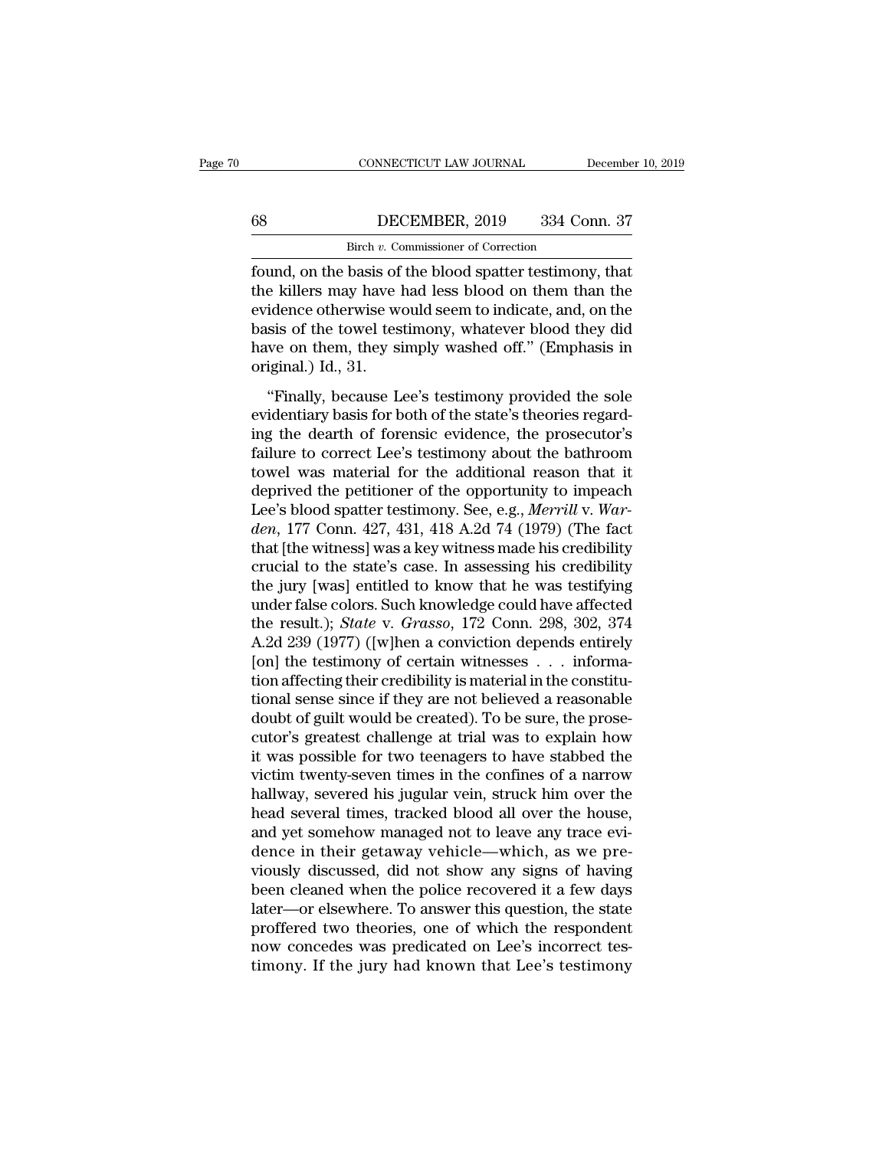# CONNECTICUT LAW JOURNAL December 10, 2019<br>68 DECEMBER, 2019 334 Conn. 37<br>Birch v. Commissioner of Correction CONNECTICUT LAW JOURNAL<br>DECEMBER, 2019 334 Correction<br>Birch *v.* Commissioner of Correction<br>basis of the blood spatter testimony

FOUNDECTICUT LAW JOURNAL December 10, 2019<br>
FOUNDER, 2019 334 Conn. 37<br>
First v. Commissioner of Correction<br>
Found, on the basis of the blood spatter testimony, that<br>
the killers may have had less blood on them than the<br>
e the killers may have had less blood on them than the evidence otherwise would seem to indicate, and, on the basis of the towal testimony, what have had less blood on them than the evidence otherwise would seem to indicate, EVIDEE OF  $\frac{1}{2}$  DECEMBER, 2019 334 Conn. 37<br>
Birch v. Commissioner of Correction<br>
found, on the basis of the blood spatter testimony, that<br>
the killers may have had less blood on them than the<br>
evidence otherwise woul  $\begin{array}{ll}\n 68 & \text{DECEMBER, 2019} & \text{334 Conn. 37} \\
 \hline\n \text{Bitch } v. \text{ Commissioner of Correction} \\
 \text{found, on the basis of the blood spatter testimony, that the kilometers may have had less blood on them than the evidence otherwise would seem to indicate, and, on the basis of the tower testimony, whatever blood they did have on them, they simply washed off." (Emphasis in original) 1d<sup>-31</sup>.\n$ Birch *v*. Commissioner of Correction<br>found, on the basis of the blood spatter testimony, that<br>the killers may have had less blood on them than the<br>evidence otherwise would seem to indicate, and, on the<br>basis of the towel  $\frac{\text{Birch } v. \text{CG}}{\text{found, on the basis of}}$ <br>found, on the basis of<br>the killers may have levidence otherwise we<br>basis of the towel tes<br>have on them, they si<br>original.) Id., 31.<br>"Finally, because L inally, on the stass of the stood spatter testimony, that<br>
is a killers may have had less blood on them than the<br>
sis of the towel testimony, whatever blood they did<br>
we on them, they simply washed off." (Emphasis in<br>
igin evidence otherwise would seem to indicate, and, on the<br>evidence otherwise would seem to indicate, and, on the<br>basis of the towel testimony, whatever blood they did<br>have on them, they simply washed off." (Emphasis in<br>origin

basis of the towel testimony, whatever blood they did<br>have on them, they simply washed off." (Emphasis in<br>original.) Id., 31.<br>"Finally, because Lee's testimony provided the sole<br>evidentiary basis for both of the state's th Failure on them, they simply washed off." (Emphasis in original.) Id., 31.<br>
"Finally, because Lee's testimony provided the sole<br>
evidentiary basis for both of the state's theories regard-<br>
ing the dearth of forensic eviden original.) Id., 31.<br>
"Finally, because Lee's testimony provided the sole<br>
evidentiary basis for both of the state's theories regard-<br>
ing the dearth of forensic evidence, the prosecutor's<br>
failure to correct Lee's testimo "Finally, because Lee's testimony provided the sole<br>evidentiary basis for both of the state's theories regard-<br>ing the dearth of forensic evidence, the prosecutor's<br>failure to correct Lee's testimony about the bathroom<br>to "Finally, because Lee's testimony provided the sole evidentiary basis for both of the state's theories regarding the dearth of forensic evidence, the prosecutor's failure to correct Lee's testimony about the bathroom towel evidentiary basis for both of the state's theories regarding the dearth of forensic evidence, the prosecutor's failure to correct Lee's testimony about the bathroom towel was material for the additional reason that it depr ing the dearth of forensic evidence, the prosecutor's<br>failure to correct Lee's testimony about the bathroom<br>towel was material for the additional reason that it<br>deprived the petitioner of the opportunity to impeach<br>Lee's b failure to correct Lee's testimony about the bathroom<br>towel was material for the additional reason that it<br>deprived the petitioner of the opportunity to impeach<br>Lee's blood spatter testimony. See, e.g., *Merrill* v. War-<br>d towel was material for the additional reason that it<br>deprived the petitioner of the opportunity to impeach<br>Lee's blood spatter testimony. See, e.g., *Merrill* v. War-<br>den, 177 Conn. 427, 431, 418 A.2d 74 (1979) (The fact<br> deprived the petitioner of the opportunity to impeach<br>Lee's blood spatter testimony. See, e.g., *Merrill v. War-<br>den*, 177 Conn. 427, 431, 418 A.2d 74 (1979) (The fact<br>that [the witness] was a key witness made his credibi Lee's blood spatter testimony. See, e.g., *Merrill v. Warden*, 177 Conn. 427, 431, 418 A.2d 74 (1979) (The fact that [the witness] was a key witness made his credibility crucial to the state's case. In assessing his credib den, 177 Conn. 427, 431, 418 A.2d 74 (1979) (The fact<br>that [the witness] was a key witness made his credibility<br>crucial to the state's case. In assessing his credibility<br>the jury [was] entitled to know that he was testify that [the witness] was a key witness made his credibility<br>crucial to the state's case. In assessing his credibility<br>the jury [was] entitled to know that he was testifying<br>under false colors. Such knowledge could have affe crucial to the state's case. In assessing his credibility<br>the jury [was] entitled to know that he was testifying<br>under false colors. Such knowledge could have affected<br>the result.); *State* v. *Grasso*, 172 Conn. 298, 302 the jury [was] entitled to know that he was testifying<br>under false colors. Such knowledge could have affected<br>the result.); *State* v. *Grasso*, 172 Conn. 298, 302, 374<br>A.2d 239 (1977) ([w]hen a conviction depends entirely under false colors. Such knowledge could have affected<br>the result.); *State* v. *Grasso*, 172 Conn. 298, 302, 374<br>A.2d 239 (1977) ([w]hen a conviction depends entirely<br>[on] the testimony of certain witnesses . . . informa the result.); *State* v. *Grasso*, 172 Conn. 298, 302, 374<br>A.2d 239 (1977) ([w]hen a conviction depends entirely<br>[on] the testimony of certain witnesses . . . informa-<br>tion affecting their credibility is material in the c A.2d 239 (1977) ([w]hen a conviction depends entirely<br>[on] the testimony of certain witnesses  $\ldots$  informa-<br>tion affecting their credibility is material in the constitu-<br>tional sense since if they are not believed a reas [on] the testimony of certain witnesses  $\ldots$  information affecting their credibility is material in the constitutional sense since if they are not believed a reasonable doubt of guilt would be created). To be sure, the p tion affecting their credibility is material in the constitutional sense since if they are not believed a reasonable<br>doubt of guilt would be created). To be sure, the prosecutor's greatest challenge at trial was to explain tional sense since if they are not believed a reasonable<br>doubt of guilt would be created). To be sure, the prose-<br>cutor's greatest challenge at trial was to explain how<br>it was possible for two teenagers to have stabbed the doubt of guilt would be created). To be sure, the prose-<br>cutor's greatest challenge at trial was to explain how<br>it was possible for two teenagers to have stabbed the<br>victim twenty-seven times in the confines of a narrow<br>ha cutor's greatest challenge at trial was to explain how<br>it was possible for two teenagers to have stabbed the<br>victim twenty-seven times in the confines of a narrow<br>hallway, severed his jugular vein, struck him over the<br>head it was possible for two teenagers to have stabbed the<br>victim twenty-seven times in the confines of a narrow<br>hallway, severed his jugular vein, struck him over the<br>head several times, tracked blood all over the house,<br>and y victim twenty-seven times in the confines of a narrow<br>hallway, severed his jugular vein, struck him over the<br>head several times, tracked blood all over the house,<br>and yet somehow managed not to leave any trace evi-<br>dence i hallway, severed his jugular vein, struck him over the<br>head several times, tracked blood all over the house,<br>and yet somehow managed not to leave any trace evi-<br>dence in their getaway vehicle—which, as we pre-<br>viously disc head several times, tracked blood all over the house,<br>and yet somehow managed not to leave any trace evi-<br>dence in their getaway vehicle—which, as we pre-<br>viously discussed, did not show any signs of having<br>been cleaned wh and yet somehow managed not to leave any trace evidence in their getaway vehicle—which, as we previously discussed, did not show any signs of having been cleaned when the police recovered it a few days later—or elsewhere. dence in their getaway vehicle—which, as we previously discussed, did not show any signs of having<br>been cleaned when the police recovered it a few days<br>later—or elsewhere. To answer this question, the state<br>proffered two t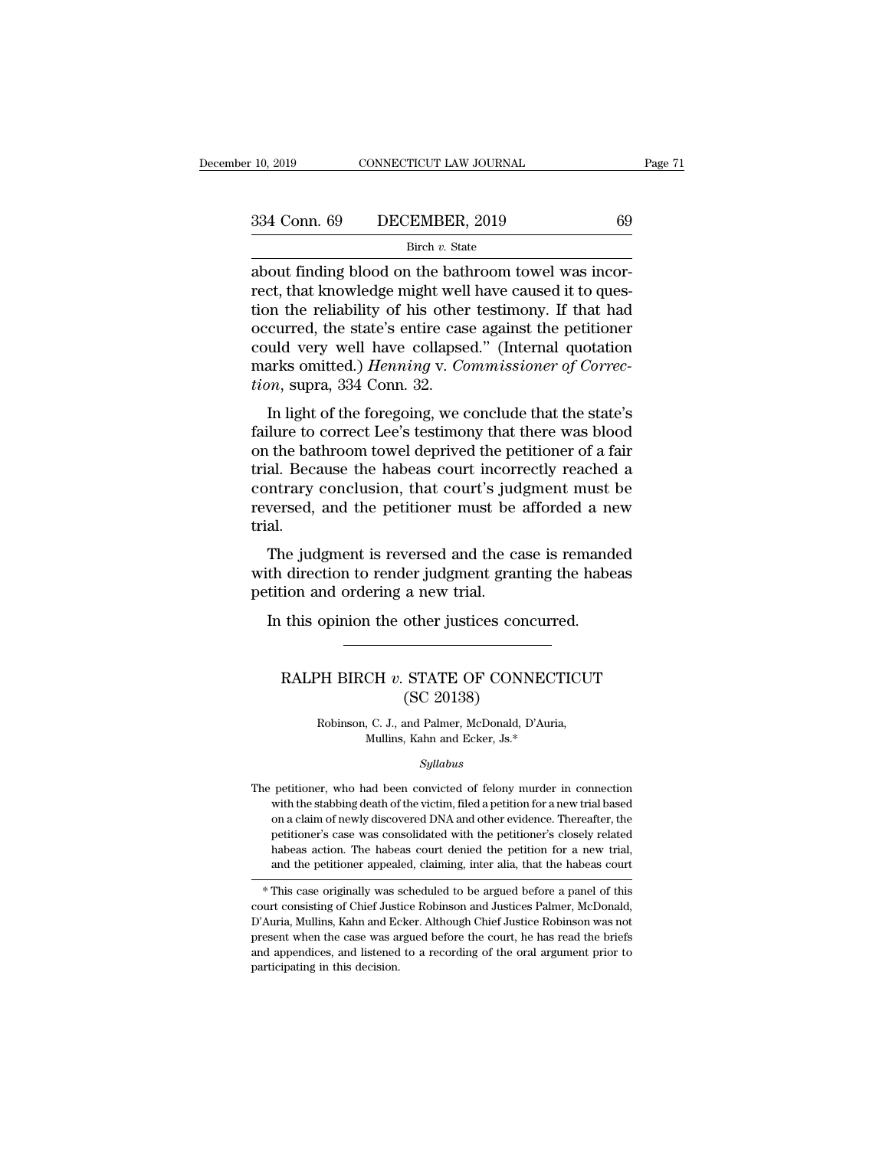### Birch *v.* State

10, 2019 CONNECTICUT LAW JOURNAL<br>
334 Conn. 69 DECEMBER, 2019 69<br>
<sup>Birch v.</sup> State<br>
about finding blood on the bathroom towel was incor-<br>
rect, that knowledge might well have caused it to ques-<br>
tion the reliability of his  $\begin{array}{ll}\n 334 \text{ Conn. } 69 \quad \text{DECEMBER, } 2019 \quad \text{69}\n \end{array}$ <br>  $\begin{array}{ll}\n \text{Bireh } v. \text{ State} \\
 \text{about finding blood on the bathroom towel was incorrect, that knowledge might well have caused it to question the reliability of his other testimony. If that had occurred the state's entire case against the performance.\n \end{array}$  $\begin{array}{ccc}\n 334 \text{ Conn. } 69 \quad \text{DECEMBER, } 2019 \quad \text{69}\n \end{array}$ <br>  $\begin{array}{ccc}\n \text{Bireh } v. \text{ State} \\
 \text{about finding blood on the bathroom towel was incorrect, that knowledge might well have caused it to question the reliability of his other testimony. If that had occurred, the state's entire case against the petitioner could very well have collapsed "(Internal question)$ 334 Conn. 69 DECEMBER, 2019 69<br>
Birch v. State  $\overline{\phantom{a}}$ <br>
about finding blood on the bathroom towel was incor-<br>
rect, that knowledge might well have caused it to ques-<br>
tion the reliability of his other testimony. If th Birch v. State<br>Birch v. State<br>about finding blood on the bathroom towel was incor-<br>rect, that knowledge might well have caused it to ques-<br>tion the reliability of his other testimony. If that had<br>occurred, the state's ent Birch *v*. State<br>about finding blood on the bathroom towel was incor-<br>rect, that knowledge might well have caused it to ques-<br>tion the reliability of his other testimony. If that had<br>occurred, the state's entire case again about finding blood on the bath<br>rect, that knowledge might well<br>tion the reliability of his other<br>occurred, the state's entire cas<br>could very well have collapse<br>marks omitted.) *Henning* v. *Co*<br>tion, supra, 334 Conn. 32.<br> Eq., that knowledge might wen have caused it to ques-<br>on the reliability of his other testimony. If that had<br>curred, the state's entire case against the petitioner<br>uld very well have collapsed." (Internal quotation<br>arks om factor the Fehability of his other testimony. It that had<br>occurred, the state's entire case against the petitioner<br>could very well have collapsed." (Internal quotation<br>marks omitted.) *Henning v. Commissioner of Correc-<br>ti* 

occurred, the state's entire case against the petitioner<br>could very well have collapsed." (Internal quotation<br>marks omitted.) *Henning* v. *Commissioner of Correc-<br>tion*, supra, 334 Conn. 32.<br>In light of the foregoing, we trial. Because the habeas countries are the previous marks omitted.) *Henning v. Commissioner of Correction*, supra, 334 Conn. 32.<br>
In light of the foregoing, we conclude that the state's failure to correct Lee's testimony marks onlined.) *Henning* v. Commissioner of Correction, supra, 334 Conn. 32.<br>
In light of the foregoing, we conclude that the state's<br>
failure to correct Lee's testimony that there was blood<br>
on the bathroom towel deprive reversed, supprationally and the state's failure to correct Lee's testimony that there was blood on the bathroom towel deprived the petitioner of a fair trial. Because the habeas court incorrectly reached a contrary conclu trial. The bathroom towel deprived the petitioner of a fair<br>al. Because the habeas court incorrectly reached a<br>ntrary conclusion, that court's judgment must be<br>versed, and the petitioner must be afforded a new<br>al.<br>The judgment is on the bathoom tower deprived the petholical of a fail<br>trial. Because the habeas court incorrectly reached a<br>contrary conclusion, that court's judgment must be<br>reversed, and the petitioner must be afforded a new<br>trial.<br>The Final. Because the nabeles court incorrelation<br>contrary conclusion, that court's jud<br>reversed, and the petitioner must be<br>trial.<br>The judgment is reversed and the ca<br>with direction to render judgment gran<br>petition and order

versed, and the petitioner must be afforded a nearly all.<br>
In the judgment is reversed and the case is remand<br>
th direction to render judgment granting the habe<br>
tition and ordering a new trial.<br>
In this opinion the other RALPH BIRCH *v*. STATE OF CONNECTICUT<br>
(SEC 20138)

### a new trial.<br>
a new trial.<br>
other justices concernations.<br>
STATE OF CONN.<br>
(SC 20138)<br>
and Palmer, McDonald, D' PH BIRCH v. STATE OF CONNECTICU<br>
(SC 20138)<br>
Robinson, C. J., and Palmer, McDonald, D'Auria,<br>
Mullins, Kahn and Ecker, Js.\* CH v. STATE OF CONNECT<br>
(SC 20138)<br>
, C. J., and Palmer, McDonald, D'Auria<br>
Mullins, Kahn and Ecker, Js.\*<br>
Sullabus

### *Syllabus*

Robinson, C. J., and Palmer, McDonald, D'Auria,<br>Mullins, Kahn and Ecker, Js.\*<br>Syllabus<br>The petitioner, who had been convicted of felony murder in connection<br>with the stabbing death of the victim, filed a petition for a ne Robinson, C. J., and Palmer, McDonald, D'Auria,<br>Mullins, Kahn and Ecker, Js.\*<br> $Syllabus$ <br>petitioner, who had been convicted of felony murder in connection<br>with the stabbing death of the victim, filed a petition for a new tria Mullins, Kahn and Ecker, Js.\*<br>Syllabus<br>petitioner, who had been convicted of felony murder in connection<br>with the stabbing death of the victim, filed a petition for a new trial based<br>on a claim of newly discovered DNA and Syllabus<br>
petitioner, who had been convicted of felony murder in connection<br>
with the stabbing death of the victim, filed a petition for a new trial based<br>
on a claim of newly discovered DNA and other evidence. Thereafter, The petitioner, who had been convicted of felony murder in connection<br>with the stabbing death of the victim, filed a petition for a new trial based<br>on a claim of newly discovered DNA and other evidence. Thereafter, the<br>pet are petitioner, who had been convicted of felony murder in connection<br>with the stabbing death of the victim, filed a petition for a new trial based<br>on a claim of newly discovered DNA and other evidence. Thereafter, the<br>pet on a cianti of newly discovered DNA and other evidence. Inerealiter, the<br>petitioner's case was consolidated with the petitioner's closely related<br>habeas action. The habeas court denied the petition for a new trial,<br>and the

peutioner's case was consolidated with the petitioner's closely related<br>habeas action. The habeas court denied the petition for a new trial,<br>and the petitioner appealed, claiming, inter alia, that the habeas court<br> $*$  This mabeas action. The nabeas court defiled the petition for a new trial,<br>and the petitioner appealed, claiming, inter alia, that the habeas court<br>\* This case originally was scheduled to be argued before a panel of this<br>court and the pethoner appealed, claiming, inter ana, that the habeas court<br>
\* This case originally was scheduled to be argued before a panel of this<br>
court consisting of Chief Justice Robinson and Justices Palmer, McDonald,<br>
D' \* This case originally was s<br>court consisting of Chief Just<br>D'Auria, Mullins, Kahn and Ec<br>present when the case was an<br>and appendices, and listened<br>participating in this decision.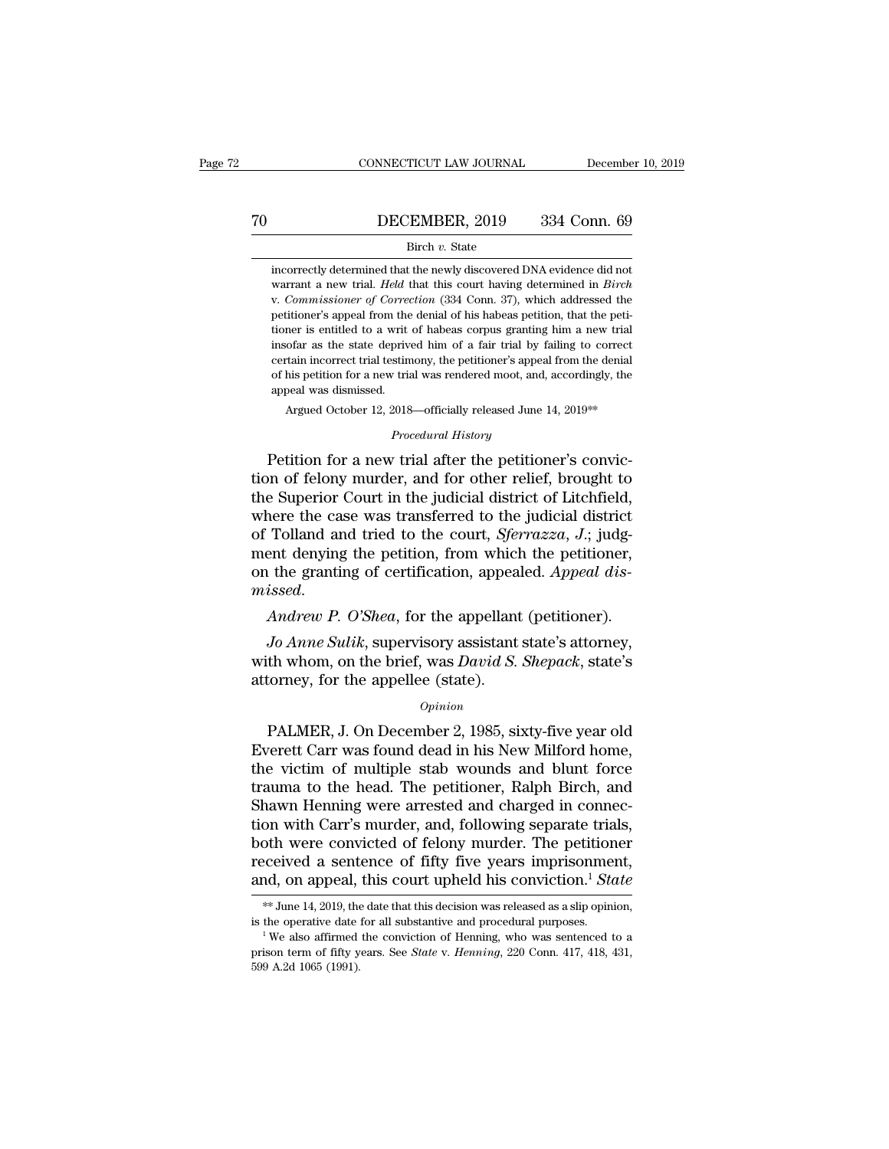# CONNECTICUT LAW JOURNAL December 10, 2019<br>
TO DECEMBER, 2019 334 Conn. 69<br>
Birch v. State

### Birch *v.* State

**incorrectly determined that the newly discovered DNA evidence did not**<br>warrant a new trial. *Held* that this court having determined in *Birch* **EXEMBER, 2019** 334 Conn. 69<br>Birch v. State<br>incorrectly determined that the newly discovered DNA evidence did not<br>warrant a new trial. *Held* that this court having determined in *Birch*<br>v. Commissioner of Correction (334 **DECEMBER, 2019** 334 Conn. 69<br>Birch v. State<br>incorrectly determined that the newly discovered DNA evidence did not<br>warrant a new trial. *Held* that this court having determined in *Birch*<br>v. *Commissioner of Correction* (3 Birch v. State<br>incorrectly determined that the newly discovered DNA evidence did not<br>warrant a new trial. *Held* that this court having determined in *Birch*<br>v. Commissioner of Correction (334 Conn. 37), which addressed th Birch v. State<br>incorrectly determined that the newly discovered DNA evidence did not<br>warrant a new trial. *Held* that this court having determined in *Birch*<br>v. Commissioner of Correction (334 Conn. 37), which addressed th incorrectly determined that the newly discovered DNA evidence did not<br>warrant a new trial. *Held* that this court having determined in *Birch*<br>v. Commissioner of Correction (334 Conn. 37), which addressed the<br>petitioner's metallies and the trial testimony discovered DMT enterty<br>warrant a new trial. *Held* that this court having determined in *Birch*<br>v. *Commissioner of Correction* (334 Conn. 37), which addressed the<br>petitioner's appeal from wariant a new trial. *I read tracta dia* and 334 Conn. 37), which addressed the petitioner's appeal from the denial of his habeas petition, that the petitioner is entitled to a writ of habeas corpus granting him a new tria resonances<br>appeal from the<br>tioner is entitled to a writ<br>insofar as the state deprive<br>certain incorrect trial testin<br>of his petition for a new tria<br>appeal was dismissed.<br>Argued October 12, 2018 mer is entitled to a writ of habeas corpus granting him a new trial<br>ofar as the state deprived him of a fair trial by failing to correct<br>tain incorrect trial testimony, the petitioner's appeal from the denial<br>his petition *Procedural of a land and by Assimony, the petitioner's appeal Procedural History*<br>2018—officially released June 1<br>*Procedural History*<br>7 *Procedural History* insofar as the state deprived him of a fair trial by failing to correct<br>certain incorrect trial testimony, the petitioner's appeal from the denial<br>of his petition for a new trial was rendered moot, and, accordingly, the<br>a

certain incorrect trial testimony, the petitioner's appeal from the denial<br>of his petition for a new trial was rendered moot, and, accordingly, the<br>appeal was dismissed.<br>Argued October 12, 2018—officially released June 14, the Superior Court in the judicial district of Tolland and tried to the court *Sferrazza I* index Tolland and tried to the court *Sferrazza I* index in the full and tried to the court *Sferrazza I* index in the court Argued October 12, 2018—officially released June 14, 2019<sup>\*\*</sup><br> *Procedural History*<br>
Petition for a new trial after the petitioner's convic-<br>
tion of felony murder, and for other relief, brought to<br>
the Superior Court in t *Procedural History*<br>Petition for a new trial after the petitioner's conviction of felony murder, and for other relief, brought to<br>the Superior Court in the judicial district of Litchfield,<br>where the case was transferred t Procedural History<br>Petition for a new trial after the petitioner's convic-<br>tion of felony murder, and for other relief, brought to<br>the Superior Court in the judicial district of Litchfield,<br>where the case was transferred t Petition for a new trial after the petitioner's conviction of felony murder, and for other relief, brought to the Superior Court in the judicial district of Litchfield, where the case was transferred to the judicial distri the Superior Court in the judicial district of Litchfield,<br>where the case was transferred to the judicial district<br>of Tolland and tried to the court, *Sferrazza*, *J*.; judg-<br>ment denying the petition, from which the petit *Tolland and tried to the court, Sferrazza, J.*; judgent denying the petition, from which the petitioner, <br>*L* the granting of certification, appealed. *Appeal dis-*<br>*issed.*<br>*Andrew P. O'Shea*, for the appellant (petition where the brief of the brief, was *David and the petitioner*,<br>on the granting of certification, appealed. *Appeal dis-*<br>*Madrew P. O'Shea*, for the appellant (petitioner).<br>*Jo Anne Sulik*, supervisory assistant state's att

on the granting of certification, appea<br>missed.<br>Andrew P. O'Shea, for the appellant<br>Jo Anne Sulik, supervisory assistant<br>with whom, on the brief, was David S.<br>attorney, for the appellee (state).<br>opinion Andrew P. O'Shea, for the appellant (petitioner).<br>
Jo Anne Sulik, supervisory assistant state's attorney,<br>
th whom, on the brief, was David S. Shepack, state's<br>
torney, for the appellee (state).<br>
Opinion<br>
PALMER, J. On Dec

### *Opinion*

*Jo Anne Sulik*, supervisory assistant state's attorney,<br>with whom, on the brief, was *David S. Shepack*, state's<br>attorney, for the appellee (state).<br> $opinion$ <br>PALMER, J. On December 2, 1985, sixty-five year old<br>Everett Carr wa with whom, on the brief, was *David S. Shepack*, state's<br>attorney, for the appellee (state).<br> $o_{pinion}$ <br>PALMER, J. On December 2, 1985, sixty-five year old<br>Everett Carr was found dead in his New Milford home,<br>the victim of m opinion<br>
Trauma to the appellee (state).<br>
Opinion<br>
PALMER, J. On December 2, 1985, sixty-five year old<br>
Everett Carr was found dead in his New Milford home,<br>
the victim of multiple stab wounds and blunt force<br>
trauma to th opinion<br>
Opinion<br>
PALMER, J. On December 2, 1985, sixty-five year old<br>
Everett Carr was found dead in his New Milford home,<br>
the victim of multiple stab wounds and blunt force<br>
trauma to the head. The petitioner, Ralph Bir opinion<br>
PALMER, J. On December 2, 1985, sixty-five year old<br>
Everett Carr was found dead in his New Milford home,<br>
the victim of multiple stab wounds and blunt force<br>
trauma to the head. The petitioner, Ralph Birch, and<br> PALMER, J. On December 2, 1985, sixty-five year old<br>Everett Carr was found dead in his New Milford home,<br>the victim of multiple stab wounds and blunt force<br>trauma to the head. The petitioner, Ralph Birch, and<br>Shawn Henning Everett Carr was found dead in his New Milford home,<br>the victim of multiple stab wounds and blunt force<br>trauma to the head. The petitioner, Ralph Birch, and<br>Shawn Henning were arrested and charged in connec-<br>tion with Car the victim of multiple stab wounds and blunt force<br>trauma to the head. The petitioner, Ralph Birch, and<br>Shawn Henning were arrested and charged in connec-<br>tion with Carr's murder, and, following separate trials,<br>both were % on with Carr's murder, and, following separate trials,<br>oth were convicted of felony murder. The petitioner<br>ceived a sentence of fifty five years imprisonment,<br>ad, on appeal, this court upheld his conviction.<sup>1</sup> *State*<br> both were convicted of felony murder. The petitioner received a sentence of fifty five years imprisonment, and, on appeal, this court upheld his conviction.<sup>1</sup> *State*  $**$  June 14, 2019, the date that this decision was re

and, on appeal, this court upheld his conviction.<sup>1</sup> State **weat** weak as a state that this decision was released as a slip opinion, is the operative date for all substantive and procedural purposes.<br><sup>1</sup> We also affirmed t and, Off appear,<br>  $*$  June 14, 2019, the<br>
is the operative date<br>
<sup>1</sup> We also affirmed<br>
prison term of fifty y<br>
599 A.2d 1065 (1991).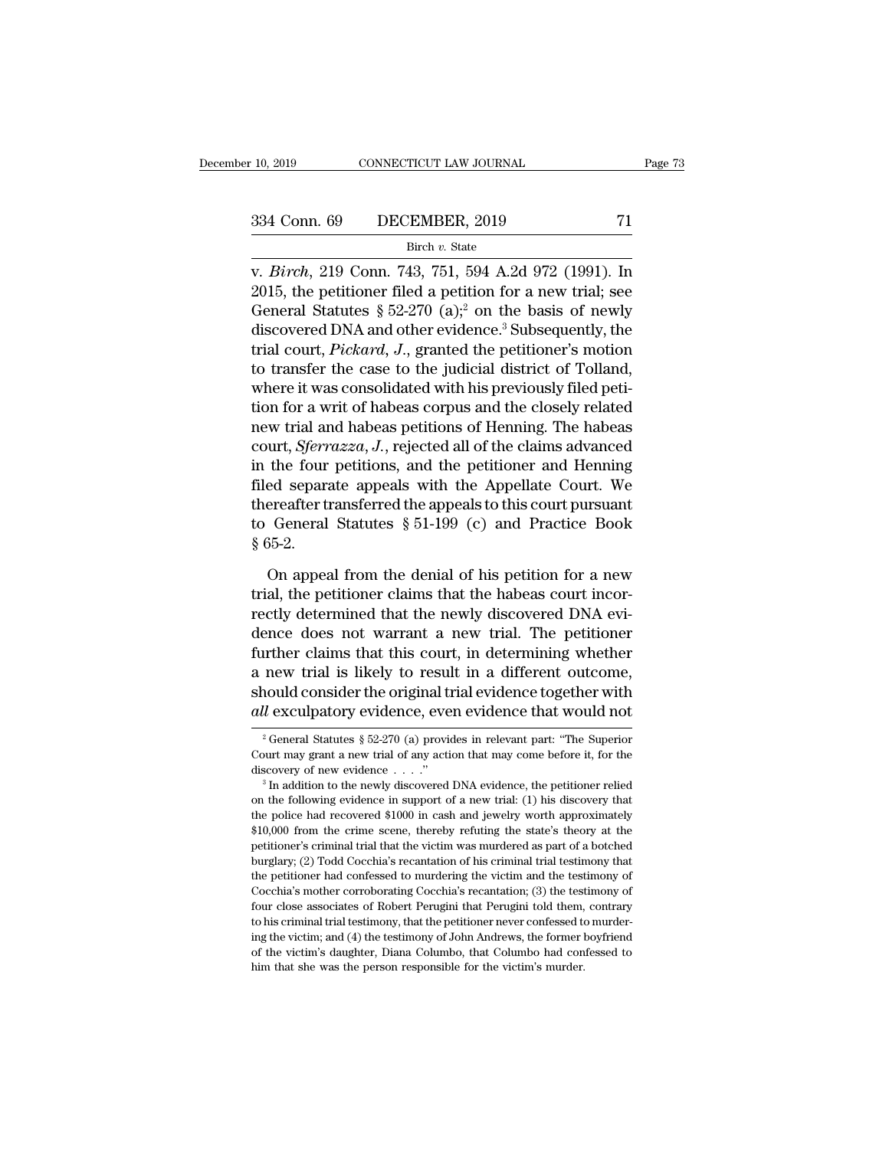### Birch *v.* State

v. 10, 2019 CONNECTICUT LAW JOURNAL Page 73<br>
334 Conn. 69 DECEMBER, 2019 71<br>
<sup>Birch</sup> v. State<br>
v. *Birch*, 219 Conn. 743, 751, 594 A.2d 972 (1991). In<br>
2015, the petitioner filed a petition for a new trial; see<br>
Conoral St 2015, 334 Conn. 69 DECEMBER, 2019 71<br>
Birch v. State<br>
v. *Birch*, 219 Conn. 743, 751, 594 A.2d 972 (1991). In<br>
2015, the petitioner filed a petition for a new trial; see<br>
General Statutes § 52-270 (a);<sup>2</sup> on the basis of 334 Conn. 69 DECEMBER, 2019 71<br>
Birch v. State<br>
v. *Birch*, 219 Conn. 743, 751, 594 A.2d 972 (1991). In<br>
2015, the petitioner filed a petition for a new trial; see<br>
General Statutes § 52-270 (a);<sup>2</sup> on the basis of newly<br> 334 Conn. 69 DECEMBER, 2019 71<br>
Birch v. State<br>
v. *Birch*, 219 Conn. 743, 751, 594 A.2d 972 (1991). In<br>
2015, the petitioner filed a petition for a new trial; see<br>
General Statutes § 52-270 (a);<sup>2</sup> on the basis of newly<br> Birch v. State<br>
v. *Birch*, 219 Conn. 743, 751, 594 A.2d 972 (1991). In<br>
2015, the petitioner filed a petition for a new trial; see<br>
General Statutes § 52-270 (a);<sup>2</sup> on the basis of newly<br>
discovered DNA and other evidenc one of the case to the judicial district of Tolland,<br>2015, the petitioner filed a petition for a new trial; see<br>General Statutes § 52-270 (a);<sup>2</sup> on the basis of newly<br>discovered DNA and other evidence.<sup>3</sup> Subsequently, t v. *Birch*, 219 Conn. 743, 751, 594 A.2d 972 (1991). In 2015, the petitioner filed a petition for a new trial; see General Statutes § 52-270 (a);<sup>2</sup> on the basis of newly discovered DNA and other evidence.<sup>3</sup> Subsequently 2015, the petitioner filed a petition for a new trial; see<br>General Statutes § 52-270 (a);<sup>2</sup> on the basis of newly<br>discovered DNA and other evidence.<sup>3</sup> Subsequently, the<br>trial court, *Pickard*, *J*., granted the petition General Statutes § 52-270 (a);<sup>2</sup> on the basis of newly<br>discovered DNA and other evidence.<sup>3</sup> Subsequently, the<br>trial court, *Pickard*, *J.*, granted the petitioner's motion<br>to transfer the case to the judicial district o discovered DNA and other evidence.<sup>3</sup> Subsequently, the<br>trial court, *Pickard*, *J.*, granted the petitioner's motion<br>to transfer the case to the judicial district of Tolland,<br>where it was consolidated with his previously trial court, *Pickard*, J., granted the petitioner's motion<br>to transfer the case to the judicial district of Tolland,<br>where it was consolidated with his previously filed peti-<br>tion for a writ of habeas corpus and the close to transfer the case to the judicial district of Tolland,<br>where it was consolidated with his previously filed peti-<br>tion for a writ of habeas corpus and the closely related<br>new trial and habeas petitions of Henning. The h where it was consolidated with his previously filed petition for a writ of habeas corpus and the closely related<br>new trial and habeas petitions of Henning. The habeas<br>court, *Sferrazza*, J., rejected all of the claims adv tion for a writ of habeas corpus and the closely related<br>new trial and habeas petitions of Henning. The habeas<br>court, *Sferrazza*, J., rejected all of the claims advanced<br>in the four petitions, and the petitioner and Henn new trial ar<br>court, *Sferr*<br>in the four<br>filed separa<br>thereafter tr<br>to General<br>§ 65-2.<br>On appea the four petitions, and the petitioner and Henning<br>ed separate appeals with the Appellate Court. We<br>ereafter transferred the appeals to this court pursuant<br>General Statutes  $\S 51-199$  (c) and Practice Book<br>55-2.<br>On appeal filed separate appeals with the Appellate Court. We<br>thereafter transferred the appeals to this court pursuant<br>to General Statutes § 51-199 (c) and Practice Book<br>§ 65-2.<br>On appeal from the denial of his petition for a new<br>t

thereafter transferred the appeals to this court pursuant<br>to General Statutes  $\S 51-199$  (c) and Practice Book<br> $\S 65-2$ .<br>On appeal from the denial of his petition for a new<br>trial, the petitioner claims that the habeas cou to General Statutes  $\S 51-199$  (c) and Practice Book<br>  $\S 65-2$ .<br>
On appeal from the denial of his petition for a new<br>
trial, the petitioner claims that the habeas court incor-<br>
rectly determined that the newly discovered § 65-2.<br>
On appeal from the denial of his petition for a new<br>
trial, the petitioner claims that the habeas court incor-<br>
rectly determined that the newly discovered DNA evi-<br>
dence does not warrant a new trial. The petitio On appeal from the denial of his petition for a new<br>trial, the petitioner claims that the habeas court incor-<br>rectly determined that the newly discovered DNA evi-<br>dence does not warrant a new trial. The petitioner<br>further On appeal from the denial of his petition for a new<br>trial, the petitioner claims that the habeas court incor-<br>rectly determined that the newly discovered DNA evi-<br>dence does not warrant a new trial. The petitioner<br>further trial, the petitioner claims that the habeas court incorrectly determined that the newly discovered DNA evidence does not warrant a new trial. The petitioner further claims that this court, in determining whether a new tri Trumary trial is likely to result in a different outcome,<br>nould consider the original trial evidence together with<br> $u$  exculpatory evidence, even evidence that would not<br> $u^2$  General Statutes § 52-270 (a) provides in rel a new trial is likely to result in a different outcome,<br>should consider the original trial evidence together with<br>*all* exculpatory evidence, even evidence that would not<br> $\frac{1}{2}$  General Statutes § 52-270 (a) provides i

should consider the original trial evidence together with  $all$  exculpatory evidence, even evidence that would not  $\frac{1}{3}$  General Statutes  $\frac{1}{3}$  52-270 (a) provides in relevant part: "The Superior Court may grant a n

<sup>&</sup>lt;sup>2</sup> General Statutes § 52-270 (a) provides in relevant part: "The Superior Court may grant a new trial of any action that may come before it, for the discovery of new evidence  $\ldots$ ."<br><sup>3</sup> In addition to the newly discover <sup>2</sup> General Statutes § 52-270 (a) provides in relevant part: "The Superior Court may grant a new trial of any action that may come before it, for the discovery of new evidence . . . ."<br><sup>3</sup> In addition to the newly discove Court may grant a new trial of any action that may come before it, for the discovery of new evidence  $\ldots$ ."<br><sup>3</sup> In addition to the newly discovered DNA evidence, the petitioner relied on the following evidence in support discovery of new evidence  $\ldots$ ."<br>
<sup>3</sup> In addition to the newly discovered DNA evidence, the petitioner relied<br>
on the following evidence in support of a new trial: (1) his discovery that<br>
the police had recovered \$1000 i <sup>3</sup> In addition to the newly discovered DNA evidence, the petitioner relied on the following evidence in support of a new trial: (1) his discovery that the police had recovered \$1000 in cash and jewelry worth approximatel on the following evidence in support of a new trial: (1) his discovery that the police had recovered \$1000 in cash and jewelry worth approximately \$10,000 from the crime scene, thereby refuting the state's theory at the pe the police had recovered \$1000 in cash and jewelry worth approximately \$10,000 from the crime scene, thereby refuting the state's theory at the petitioner's criminal trial that the victim was murdered as part of a botched  $$10,000$  from the crime scene, thereby refuting the state's theory at the petitioner's criminal trial that the victim was murdered as part of a botched burglary; (2) Todd Cocchia's recantation of his criminal trial testi pretitioner's criminal trial that the victim was murdered as part of a botched<br>burglary; (2) Todd Cocchia's recantation of his criminal trial testimony that<br>the petitioner had confessed to murdering the victim and the test burglary; (2) Todd Cocchia's recantation of his criminal trial testimony that the petitioner had confessed to murdering the victim and the testimony of Cocchia's mother corroborating Cocchia's recantation; (3) the testimon of the petitioner had confessed to murdering the victim and the testimony of Cocchia's mother corroborating Cocchia's recantation; (3) the testimony of four close associates of Robert Perugini that Perugini told them, con the petitioner had confessed to murdering the victim and the testimony of Cocchia's mother corroborating Cocchia's recantation; (3) the testimony of four close associates of Robert Perugini that Perugini told them, contrar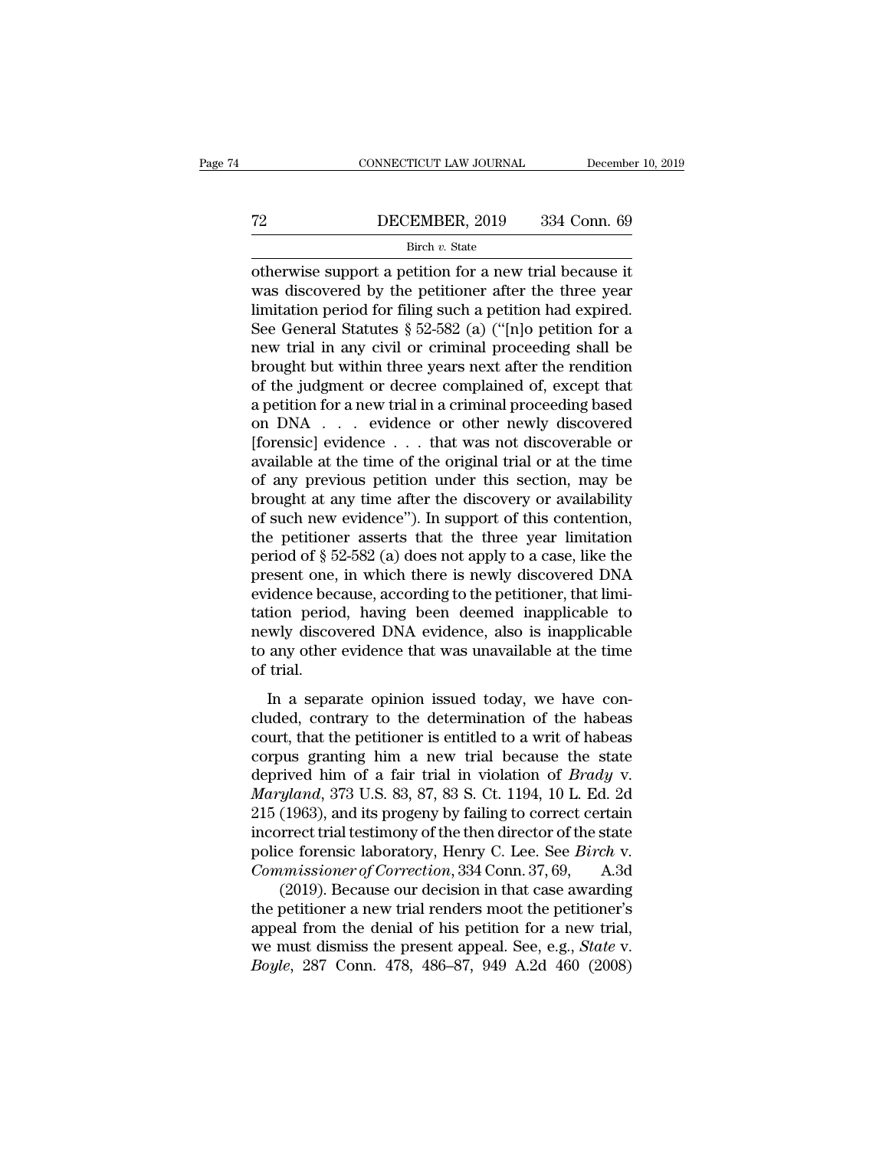# CONNECTICUT LAW JOURNAL December 10, 2019<br>
T2 DECEMBER, 2019 334 Conn. 69<br>
Birch v. State

### Birch *v.* State

CONNECTICUT LAW JOURNAL December 10, 2019<br>
DECEMBER, 2019 334 Conn. 69<br>
Birch v. State<br>
otherwise support a petition for a new trial because it<br>
was discovered by the petitioner after the three year<br>
limitation period for The period of the petition of the petition of the petition of the petition of the petitioner after the three year limitation period for filing such a petition had expired.<br>See General Statutes  $8.52.582$  (a) ("Inle petiti The State of the State of Filing such a petition for a new trial because it<br>determines support a petition for a new trial because it<br>was discovered by the petitioner after the three year<br>limitation period for filing such The State General Statutes State State otherwise support a petition for a new trial because it<br>was discovered by the petitioner after the three year<br>limitation period for filing such a petition had expired.<br>See General St Birch v. State<br>Birch v. State<br>otherwise support a petition for a new trial because it<br>was discovered by the petitioner after the three year<br>limitation period for filing such a petition had expired.<br>See General Statutes § Broad with the support a petition for a new trial because it<br>was discovered by the petitioner after the three year<br>limitation period for filing such a petition had expired.<br>See General Statutes § 52-582 (a) ("[n]o petitio otherwise support a petition for a new trial because it<br>was discovered by the petitioner after the three year<br>limitation period for filing such a petition had expired.<br>See General Statutes § 52-582 (a) ("[n]o petition for was discovered by the petitioner after the three year<br>limitation period for filing such a petition had expired.<br>See General Statutes § 52-582 (a) ("[n]o petition for a<br>new trial in any civil or criminal proceeding shall b limitation period for filing such a petition had expired.<br>See General Statutes § 52-582 (a) ("[n]o petition for a<br>new trial in any civil or criminal proceeding shall be<br>brought but within three years next after the rendit See General Statutes § 52-582 (a) ("[n]o petition for a<br>new trial in any civil or criminal proceeding shall be<br>brought but within three years next after the rendition<br>of the judgment or decree complained of, except that<br>a new trial in any civil or criminal proceeding shall be<br>brought but within three years next after the rendition<br>of the judgment or decree complained of, except that<br>a petition for a new trial in a criminal proceeding based<br> brought but within three years next after the rendition<br>of the judgment or decree complained of, except that<br>a petition for a new trial in a criminal proceeding based<br>on DNA  $\ldots$  evidence or other newly discoverable or<br>[ of the judgment or decree complained of, except that<br>a petition for a new trial in a criminal proceeding based<br>on DNA  $\ldots$  evidence or other newly discoverable or<br>[forensic] evidence  $\ldots$  that was not discoverable or<br>av a petition for a new trial in a criminal proceeding based<br>on DNA . . . evidence or other newly discovered<br>[forensic] evidence . . . that was not discoverable or<br>available at the time of the original trial or at the time<br>o on DNA . . . evidence or other newly discovered<br>[forensic] evidence . . . that was not discoverable or<br>available at the time of the original trial or at the time<br>of any previous petition under this section, may be<br>brought [forensic] evidence  $\ldots$  that was not discoverable or available at the time of the original trial or at the time<br>of any previous petition under this section, may be<br>brought at any time after the discovery or availability available at the time of the original trial or at the time<br>of any previous petition under this section, may be<br>brought at any time after the discovery or availability<br>of such new evidence"). In support of this contention,<br> of any previous petition under this section, may be<br>brought at any time after the discovery or availability<br>of such new evidence"). In support of this contention,<br>the petitioner asserts that the three year limitation<br>peri brought at any time after the discovery or availability<br>of such new evidence"). In support of this contention,<br>the petitioner asserts that the three year limitation<br>period of § 52-582 (a) does not apply to a case, like the of such new evidence"). In support of this contention,<br>the petitioner asserts that the three year limitation<br>period of § 52-582 (a) does not apply to a case, like the<br>present one, in which there is newly discovered DNA<br>evi the petitioner asserts that the three year limitation<br>period of  $\S 52-582$  (a) does not apply to a case, like the<br>present one, in which there is newly discovered DNA<br>evidence because, according to the petitioner, that lim period of § 5<br>present one,<br>evidence bec<br>tation perio<br>newly discov<br>to any other<br>of trial.<br>In a separ In a separate opinion issued today, we have con-<br>Internal internal dense because, according to the petitioner, that limi-<br>tion period, having been deemed inapplicable to<br>wly discovered DNA evidence, also is inapplicable<br>an contained because, according to the perfection, and that<br>tation period, having been deemed inapplicable to<br>newly discovered DNA evidence, also is inapplicable<br>to any other evidence that was unavailable at the time<br>of trial

court period, naving seen decided independence to<br>newly discovered DNA evidence, also is inapplicable<br>to any other evidence that was unavailable at the time<br>of trial.<br>In a separate opinion issued today, we have con-<br>cluded corpus granting him a new trial because the state of trial.<br>In a separate opinion issued today, we have concluded, contrary to the determination of the habeas court, that the petitioner is entitled to a writ of habeas cor deprived to the contract of trial.<br>In a separate opinion issued today, we have concluded, contrary to the determination of the habeas<br>court, that the petitioner is entitled to a writ of habeas<br>corpus granting him a new tri In a separate opinion issued today, we have concluded, contrary to the determination of the habeas court, that the petitioner is entitled to a writ of habeas corpus granting him a new trial because the state deprived him o In a separate opinion issued today, we have concluded, contrary to the determination of the habeas court, that the petitioner is entitled to a writ of habeas corpus granting him a new trial because the state deprived him cluded, contrary to the determination of the habeas<br>court, that the petitioner is entitled to a writ of habeas<br>corpus granting him a new trial because the state<br>deprived him of a fair trial in violation of *Brady* v.<br>*Mar* court, that the petitioner is entitled to a writ of habeas<br>corpus granting him a new trial because the state<br>deprived him of a fair trial in violation of *Brady* v.<br>*Maryland*, 373 U.S. 83, 87, 83 S. Ct. 1194, 10 L. Ed. 2d corpus granting him a new trial because the state<br>deprived him of a fair trial in violation of *Brady* v.<br>*Maryland*, 373 U.S. 83, 87, 83 S. Ct. 1194, 10 L. Ed. 2d<br>215 (1963), and its progeny by failing to correct certain<br> rived him of a fair trial in violation of *Brady* v.<br> *yland*, 373 U.S. 83, 87, 83 S. Ct. 1194, 10 L. Ed. 2d<br>
(1963), and its progeny by failing to correct certain<br>
rrect trial testimony of the then director of the state<br> Maryland, 373 U.S. 83, 87, 83 S. Ct. 1194, 10 L. Ed. 2d<br>215 (1963), and its progeny by failing to correct certain<br>incorrect trial testimony of the then director of the state<br>police forensic laboratory, Henry C. Lee. See *B* 

215 (1963), and its progeny by failing to correct certain<br>incorrect trial testimony of the then director of the state<br>police forensic laboratory, Henry C. Lee. See *Birch* v.<br>*Commissioner of Correction*, 334 Conn. 37, 69 incorrect trial testimony of the then director of the state<br>police forensic laboratory, Henry C. Lee. See *Birch* v.<br>*Commissioner of Correction*, 334 Conn. 37, 69, A.3d<br>(2019). Because our decision in that case awarding<br>t police forensic laboratory, Henry C. Lee. See *Birch* v.<br> *Commissioner of Correction*, 334 Conn. 37, 69, A.3d<br>
(2019). Because our decision in that case awarding<br>
the petitioner a new trial renders moot the petitioner's<br>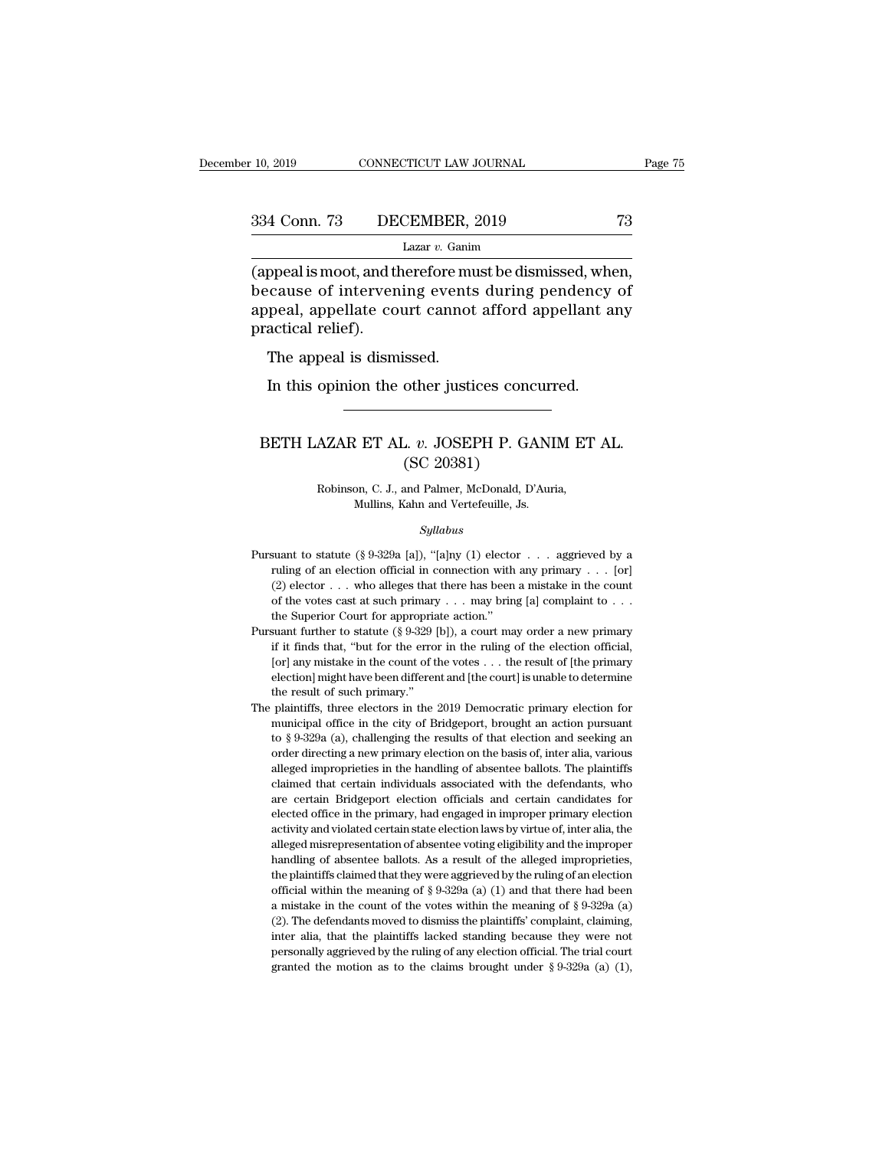# 10, 2019 CONNECTICUT LAW JOURNAL Page 75<br>334 Conn. 73 DECEMBER, 2019 73<br>Lazar v. Ganim

Lazar *v.* Ganim

(appeal is moot, and therefore must be dismissed, when,<br>there are of intervening events during pendency of<br>the dismissed, when,<br>because of intervening events during pendency of<br>appeal appellate court cannot afford appellan  $\begin{array}{ll} \textbf{334} \text{ Conn.} \text{ 73} & \textbf{DECEMBER, 2019} & \textbf{73} \\ \textbf{1221} & \textbf{133} \\ \textbf{(append is moot, and therefore must be dismissed, when, because of intervening events during pendency of appeal, appellate court cannot afford appellant any practical relief.} \end{array}$ 334 Conn. 73 DECEMBER, 2019 73<br>
Lazar v. Ganim<br>
(appeal is moot, and therefore must be dismissed, when, because of intervening events during pendency of appellate court cannot afford appellant any practical relief). 334 Conn. 73 DE<br>
(appeal is moot, and the<br>
because of interven<br>
appeal, appellate co<br>
practical relief).<br>
The appeal is dism  $\begin{array}{c} \text{Lazar } v. \text{ Ganim} \\ \text{ppeal is moot, and therefore mu} \\ \text{cause of intervening events} \\ \text{peal, appellate court cannot} \\ \text{actical relief).} \\ \text{The appeal is dismissed.} \\ \text{In this opinion the other just} \end{array}$ ppeal is moot, and therefore must be dismissed, where<br>ause of intervening events during pendency<br>peal, appellate court cannot afford appellant a<br>actical relief).<br>The appeal is dismissed.<br>In this opinion the other justices

### ractical relief).<br>The appeal is dismissed.<br>In this opinion the other justices concurred.<br>BETH LAZAR ET AL. *v.* JOSEPH P. GANIM ET AL.<br>(SC 20381) Ssed.<br>
other justices conc<br>
2. v. JOSEPH P. GA<br>
(SC 20381)<br>
and Palmer, McDonald, D' AZAR ET AL. v. JOSEPH P. GANIM ET<br>
(SC 20381)<br>
Robinson, C. J., and Palmer, McDonald, D'Auria,<br>
Mullins, Kahn and Vertefeuille, Js. ET AL. v. JOSEPH P. GANI<br>
(SC 20381)<br>
on, C. J., and Palmer, McDonald, D'Aur<br>
Mullins, Kahn and Vertefeuille, Js.<br>
Sullabus

### *Syllabus*

Robinson, C. J., and Palmer, McDonald, D'Auria,<br>Mullins, Kahn and Vertefeuille, Js.<br>Syllabus<br>Pursuant to statute (§ 9-329a [a]), "[a]ny (1) elector . . . aggrieved by a<br>ruling of an election official in connection with any Robinson, C. J., and Palmer, McDonald, D'Auria,<br>Mullins, Kahn and Vertefeuille, Js.<br>Syllabus<br>suant to statute (§ 9-329a [a]), "[a]ny (1) elector . . . aggrieved by a<br>ruling of an election official in connection with any p Mullins, Kahn and Vertefeuille, Js.<br>  $Syllabus$ <br>
suant to statute (§ 9-329a [a]), "[a]ny (1) elector . . . aggrieved by a<br>
ruling of an election official in connection with any primary . . . [or]<br>
(2) elector . . . who alleges *Syllabus*<br>
suant to statute (§ 9-329a [a]), "[a]ny (1) elector . . . aggrieved by a<br>
ruling of an election official in connection with any primary . . . [or]<br>
(2) elector . . . who alleges that there has been a mistake i Pursuant to statute (§ 9-329a [a]), "[a]ny (1) elector  $\ldots$  aggrieved by a ruling of an election official in connection with any primary  $\ldots$  [or] (2) elector  $\ldots$  who alleges that there has been a mistake in the count Pursuant to statute (§ 9-329a [a]), "[a]ny (1) elector . . . aggrieved by a<br>ruling of an election official in connection with any primary . . . [or]<br>(2) elector . . . who alleges that there has been a mistake in the count Figure 1.1 The relation of ficial, in connection with any primary . . . [or] (2) elector . . . who alleges that there has been a mistake in the count of the votes cast at such primary . . . may bring [a] complaint to . .

(2) elector . . . who alleges that there has been a mistake in the count of the votes cast at such primary . . . may bring [a] complaint to . . . the Superior Court for appropriate action."<br>suant further to statute (§ 9-3 election] might have been different and [the court] is unable to determine result of superior Court for appropriate action."<br>
suant further to statute (§ 9-329 [b]), a court may order a new primary<br>
if it finds that, "but the Superior Court for appropriation<br>the Superior Court for appropriation further to statute (§ 9-329)<br>if it finds that, "but for the error of f<br>(or] any mistake in the count of t<br>election] might have been different<br>the r [or] any mistake in the count of the votes  $\ldots$  the result of [the primary election] might have been different and [the court] is unable to determine the result of such primary."<br>The plaintiffs, three electors in the 201 if it finds that, "but for the error in the ruling of the election official, [or] any mistake in the count of the votes . . . the result of [the primary election] might have been different and [the court] is unable to det

[or] any mistake in the count of the votes . . . the result of [the primary election] might have been different and [the court] is unable to determine the result of such primary."<br>plaintiffs, three electors in the 2019 De election] might have been different and [the court] is unable to determine<br>the result of such primary."<br>plaintiffs, three electors in the 2019 Democratic primary election for<br>municipal office in the city of Bridgeport, br the result of such primary."<br>
plaintiffs, three electors in the 2019 Democratic primary election for<br>
municipal office in the city of Bridgeport, brought an action pursuant<br>
to § 9-329a (a), challenging the results of that plaintiffs, three electors in the 2019 Democratic primary election for municipal office in the city of Bridgeport, brought an action pursuant to  $\S 9-329a$  (a), challenging the results of that election and seeking an orde municipal office in the city of Bridgeport, brought an action pursuant to  $\S 9-329a$  (a), challenging the results of that election and seeking an order directing a new primary election on the basis of, inter alia, various to  $\S$  9-329a (a), challenging the results of that election and seeking an order directing a new primary election on the basis of, inter alia, various alleged improprieties in the handling of absentee ballots. The plainti activity and we primary election on the basis of, inter alia, various<br>alleged improprieties in the handling of absentee ballots. The plaintiffs<br>claimed that certain individuals associated with the defendants, who<br>are certa alleged improprieties in the handling of absentee ballots. The plaintiffs claimed that certain individuals associated with the defendants, who are certain Bridgeport election officials and certain candidates for elected of elaimed that certain individuals associated with the defendants, who are certain Bridgeport election officials and certain candidates for elected office in the primary, had engaged in improper primary election activity and are certain Bridgeport election officials and certain candidates for elected office in the primary, had engaged in improper primary election activity and violated certain state election laws by virtue of, inter alia, the elected office in the primary, had engaged in improper primary election activity and violated certain state election laws by virtue of, inter alia, the alleged misrepresentation of absentee voting eligibility and the impr activity and violated certain state election laws by virtue of, inter alia, the alleged misrepresentation of absentee voting eligibility and the improper handling of absentee ballots. As a result of the alleged impropriet alleged misrepresentation of absentee voting eligibility and the improper handling of absentee ballots. As a result of the alleged improprieties, the plaintiffs claimed that they were aggrieved by the ruling of an electio handling of absentee ballots. As a result of the alleged improprieties, the plaintiffs claimed that they were aggrieved by the ruling of an election official within the meaning of § 9-329a (a) (1) and that there had been the plaintiffs claimed that they were aggrieved by the ruling of an election official within the meaning of § 9-329a (a) (1) and that there had been a mistake in the count of the votes within the meaning of § 9-329a (a) ( the plaintiffs claimed that they were aggrieved by the ruling of an election official within the meaning of § 9-329a (a) (1) and that there had been a mistake in the count of the votes within the meaning of § 9-329a (a) (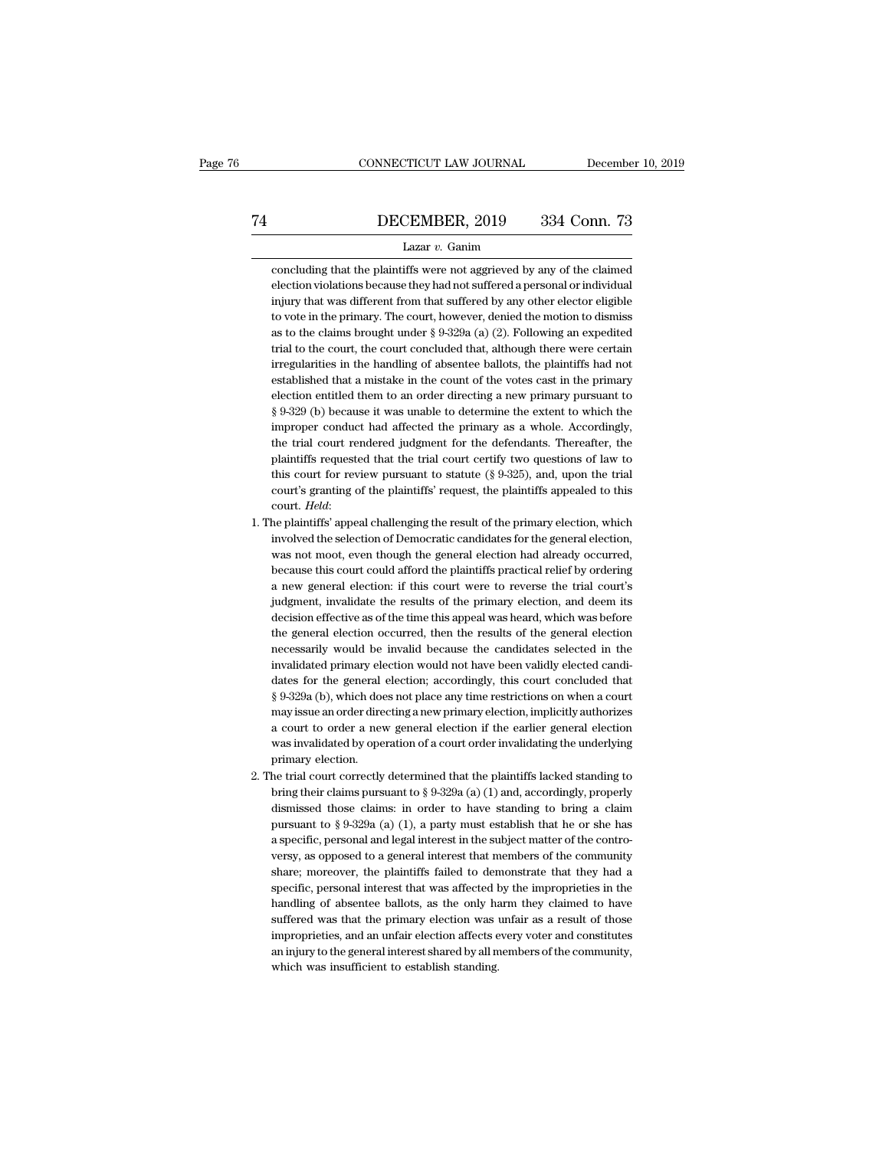# EXECUTE CONNECTICUT LAW JOURNAL December 10, 2019<br>
T4 DECEMBER, 2019 334 Conn. 73<br>
Lazar v. Ganim

### Lazar *v.* Ganim

DECEMBER, 2019 334 Conn. 73<br>Lazar v. Ganim<br>concluding that the plaintiffs were not aggrieved by any of the claimed<br>election violations because they had not suffered a personal or individual **ELEMBER, 2019** 334 Conn. 73<br>
Lazar v. Ganim<br>
concluding that the plaintiffs were not aggrieved by any of the claimed<br>
election violations because they had not suffered a personal or individual<br>
injury that was different **inference in the DECEMBER, 2019** 334 Conn. 73<br>Lazar v. Ganim<br>concluding that the plaintiffs were not aggrieved by any of the claimed<br>election violations because they had not suffered a personal or individual<br>injury that w Lazar  $v$ . Ganim<br>concluding that the plaintiffs were not aggrieved by any of the claimed<br>election violations because they had not suffered a personal or individual<br>injury that was different from that suffered by any other Lazar v. Ganim<br>concluding that the plaintiffs were not aggrieved by any of the claimed<br>election violations because they had not suffered a personal or individual<br>injury that was different from that suffered by any other e concluding that the plaintiffs were not aggrieved by any of the claimed<br>election violations because they had not suffered a personal or individual<br>injury that was different from that suffered by any other elector eligible<br> election violations because they had not suffered a personal or individual<br>injury that was different from that suffered by any other elector eligible<br>to vote in the primary. The court, however, denied the motion to dismis injury that was different from that suffered by any other elector eligible<br>to vote in the primary. The court, however, denied the motion to dismiss<br>as to the claims brought under § 9-329a (a) (2). Following an expedited<br>tr to vote in the primary. The court, however, denied the motion to dismiss as to the claims brought under  $\S 9-329a$  (a) (2). Following an expedited trial to the court, the court concluded that, although there were certain as to the claims brought under  $\S$  9-329a (a) (2). Following an expedited<br>trial to the court, the court concluded that, although there were certain<br>irregularities in the handling of absentee ballots, the plaintiffs had no trial to the court, the court concluded that, although there were certain irregularities in the handling of absentee ballots, the plaintiffs had not established that a mistake in the count of the votes cast in the primary irregularities in the handling of absentee ballots, the plaintiffs had not established that a mistake in the count of the votes cast in the primary election entitled them to an order directing a new primary pursuant to § 9 established that a mistake in the count of the votes cast in the primary<br>election entitled them to an order directing a new primary pursuant to<br>§ 9-329 (b) because it was unable to determine the extent to which the<br>imprope election entitled them to an order directing a new primary pursuant to  $\S 9-329$  (b) because it was unable to determine the extent to which the improper conduct had affected the primary as a whole. Accordingly, the trial § 9-329 (b) because it was unable to determine the extent to which the improper conduct had affected the primary as a whole. Accordingly, the trial court rendered judgment for the defendants. Thereafter, the plaintiffs re the trial court rendered judgment for the defendants. Thereafter, the plaintiffs requested that the trial court certify two questions of law to this court for review pursuant to statute (§ 9-325), and, upon the trial court plaintiffs requested that the trial court certify two questions of law to<br>this court for review pursuant to statute (§ 9-325), and, upon the trial<br>court's granting of the plaintiffs' request, the plaintiffs appealed to thi

- this court for review pursuant to statute  $(\S 9-325)$ , and, upon the trial court's granting of the plaintiffs' request, the plaintiffs appealed to this court. *Held*:<br>he plaintiffs' appeal challenging the result of the pr court's granting of the plaintiffs' request, the plaintiffs appealed to this court. *Held*:<br>he plaintiffs' appeal challenging the result of the primary election, which<br>involved the selection of Democratic candidates for th court. Held:<br>he plaintiffs' appeal challenging the result of the primary election, which<br>involved the selection of Democratic candidates for the general election,<br>was not moot, even though the general election had already he plaintiffs' appeal challenging the result of the primary election, which involved the selection of Democratic candidates for the general election, was not moot, even though the general election had already occurred, bec involved the selection of Democratic candidates for the general election, was not moot, even though the general election had already occurred, because this court could afford the plaintiffs practical relief by ordering a n was not moot, even though the general election had already occurred,<br>because this court could afford the plaintiffs practical relief by ordering<br>a new general election: if this court were to reverse the trial court's<br>judgm because this court could afford the plaintiffs practical relief by ordering<br>a new general election: if this court were to reverse the trial court's<br>judgment, invalidate the results of the primary election, and deem its<br>dec a new general election: if this court were to reverse the trial court's judgment, invalidate the results of the primary election, and deem its decision effective as of the time this appeal was heard, which was before the g judgment, invalidate the results of the primary election, and deem its decision effective as of the time this appeal was heard, which was before the general election occurred, then the results of the general election neces decision effective as of the time this appeal was heard, which was before<br>the general election occurred, then the results of the general election<br>necessarily would be invalid because the candidates selected in the<br>invalida the general election occurred, then the results of the general election necessarily would be invalid because the candidates selected in the invalidated primary election would not have been validly elected candidates for th necessarily would be invalid because the candidates selected in the<br>invalidated primary election would not have been validly elected candi-<br>dates for the general election; accordingly, this court concluded that<br>§ 9-329a (b invalidated primary election would not have been validly elected candi-<br>dates for the general election; accordingly, this court concluded that<br>§ 9-329a (b), which does not place any time restrictions on when a court<br>may is  $\S$  9-329a (b), which does not place any time restrictions on when a court<br>may issue an order directing a new primary election, implicitly authorizes<br>a court to order a new general election if the earlier general election  $\S$  9-329a (b), which does not place any time restrictions on when a court<br>may issue an order directing a new primary election, implicitly authorizes<br>a court to order a new general election if the earlier general election may issue an order directing a new primary election, implicitly authorizes<br>a court to order a new general election if the earlier general election<br>was invalidated by operation of a court order invalidating the underlying<br>p
- a court to order a new general election if the earlier general election<br>was invalidated by operation of a court order invalidating the underlying<br>primary election.<br>he trial court correctly determined that the plaintiffs l was invalidated by operation of a court order invalidating the underlying<br>primary election.<br>he trial court correctly determined that the plaintiffs lacked standing to<br>bring their claims pursuant to  $\S 9-329a$  (a) (1) and, bring their claims pursuant to § 9-329a (a) (1) and, accordingly, properly dismissed those claims: in order to have standing to bring a claim pursuant to § 9-329a (a) (1), a party must establish that he or she has a speci he trial court correctly determined that the plaintiffs lacked standing to bring their claims pursuant to  $\S 9-329a$  (a) (1) and, accordingly, properly dismissed those claims: in order to have standing to bring a claim pu bring their claims pursuant to § 9-329a (a) (1) and, accordingly, properly dismissed those claims: in order to have standing to bring a claim pursuant to § 9-329a (a) (1), a party must establish that he or she has a speci dismissed those claims: in order to have standing to bring a claim<br>pursuant to  $\S$  9-329a (a) (1), a party must establish that he or she has<br>a specific, personal and legal interest in the subject matter of the contro-<br>ver pursuant to § 9-329a (a) (1), a party must establish that he or she has a specific, personal and legal interest in the subject matter of the controversy, as opposed to a general interest that members of the community shar a specific, personal and legal interest in the subject matter of the controversy, as opposed to a general interest that members of the community share; moreover, the plaintiffs failed to demonstrate that they had a specifi versy, as opposed to a general interest that members of the community share; moreover, the plaintiffs failed to demonstrate that they had a specific, personal interest that was affected by the improprieties in the handling share; moreover, the plaintiffs failed to demonstrate that they had a specific, personal interest that was affected by the improprieties in the handling of absentee ballots, as the only harm they claimed to have suffered w specific, personal interest that was affected handling of absentee ballots, as the only has<br>uffered was that the primary election was improprieties, and an unfair election affects e<br>an injury to the general interest shared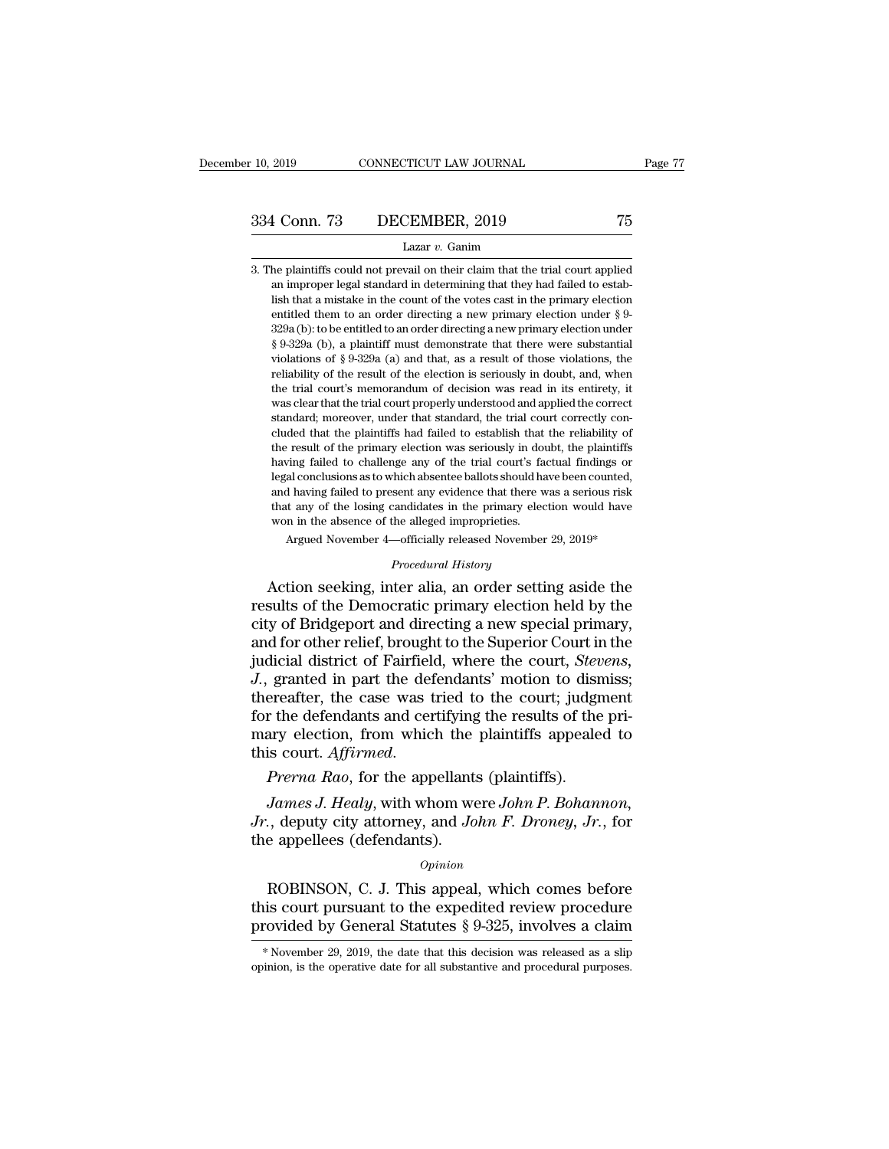334 Conn. 73 DECEMBER, 2019 75<br>
Lazar v. Ganim<br>
3. The plaintiffs could not prevail on their claim that the trial court applied<br>
an improper legal standard in determining that they had failed to estab-1 Conn. 73 DECEMBER, 2019 75<br>
Lazar v. Ganim<br>
he plaintiffs could not prevail on their claim that the trial court applied<br>
an improper legal standard in determining that they had failed to estab-<br>
lish that a mistake in th 1 Conn. 73 DECEMBER, 2019 75<br>Lazar v. Ganim<br>he plaintiffs could not prevail on their claim that the trial court applied<br>an improper legal standard in determining that they had failed to estab-<br>lish that a mistake in the co Lazar v. Ganim<br>Lazar v. Ganim<br>he plaintiffs could not prevail on their claim that the trial court applied<br>an improper legal standard in determining that they had failed to estab-<br>lish that a mistake in the count of the vo Lazar v. Ganim<br>
he plaintiffs could not prevail on their claim that the trial court applied<br>
an improper legal standard in determining that they had failed to estab-<br>
lish that a mistake in the count of the votes cast in he plaintiffs could not prevail on their claim that the trial court applied<br>an improper legal standard in determining that they had failed to estab-<br>lish that a mistake in the count of the votes cast in the primary electi and interpretent in the previous of an interpretent and the transformant interpreted an improper legal standard in determining that they had failed to establish that a mistake in the count of the votes cast in the primary an improper regar standard in determining diat they had fanced to establish that a mistake in the count of the votes cast in the primary election entitled them to an order directing a new primary election under  $\S$  9-329a the trial court's memorandum of decision was read in its entirety, it was clear that the read in the primary election under  $\S$  9-329a (b); to be entitled to an order directing a new primary election under  $\S$  9-329a (b),  $\frac{1}{8}$  and  $\frac{1}{2}$  court is an order unecting a new primary election under  $\frac{1}{8}$   $\frac{329a}{229a}$  (b); to be entitled to an order directing a new primary election under  $\frac{1}{8}$   $\frac{9-329a}{22a}$  (a) and that, as szsa (b). We entired to another diecting a new primary electron dider<br>§ 9-329a (b), a plaintiff must demonstrate that there were substantial<br>violations of § 9-329a (a) and that, as a result of those violations, the<br>reliab  $\frac{1}{8}$   $\frac{3}{3}$   $\frac{3}{2}$   $\frac{2}{24}$  (*b)*, a plaintiff must demonstrate that there were substantial violations of  $\frac{8}{3}$  9-329a (a) and that, as a result of those violations, the reliability of the result of the e The result of the result of the election is seriously in doubt, and, when the trial court's memorandum of decision was read in its entirety, it was clear that the trial court properly understood and applied the correct sta rehability of the result of the electron is seriously in toubt, and, when<br>the trial court's memorandum of decision was read in its entirety, it<br>was clear that the trial court properly understood and applied the correct<br>sta legal conclusions as the more version was tead in its entirety, it was clear that the trial court properly understood and applied the correct standard; moreover, under that standard, the trial court correctly concluded tha was ciear that the that court property unterstood and applied the correct<br>standard; moreover, under that standard, the trial court correctly con-<br>cluded that the plaintiffs had failed to establish that the reliability of<br>t standard, indever, under that standard, the that court correctly concluded that the plaintiffs had failed to establish that the reliability of the result of the primary election was seriously in doubt, the plaintiffs havin cluded that the plaintiffs had failed to establish that the reliability of the result of the primary election was seriously in doubt, the plaintiffs having failed to challenge any of the trial court's factual findings or having failed to challenge any of the trial court's factual findings or legal conclusions as to which absentee ballots should have been counted, and having failed to present any evidence that there was a serious risk that and having failed to present any evidence that there was a serious risk<br>that any of the losing candidates in the primary election would have<br>won in the absence of the alleged improprieties.<br>Argued November 4—officially rel legal conclusions as to which absentee ballots should have been counted,<br>and having failed to present any evidence that there was a serious risk<br>that any of the losing candidates in the primary election would have<br>won in t

and having failed to present any evidence that there was a serious risk<br>that any of the losing candidates in the primary election would have<br>won in the absence of the alleged improprieties.<br>Argued November 4—officially rel that any of the losing candidates in the primary election would have<br>won in the absence of the alleged improprieties.<br>Argued November 4—officially released November 29, 2019\*<br>*Procedural History*<br>Action seeking, inter alia Argued November 4—officially released November 29, 2019\*<br> *Procedural History*<br>
Action seeking, inter alia, an order setting aside the<br>
results of the Democratic primary election held by the<br>
city of Bridgeport and directi Frocedural History<br>
Procedural History<br>
Action seeking, inter alia, an order setting aside the<br>
results of the Democratic primary election held by the<br>
city of Bridgeport and directing a new special primary,<br>
and for other *Procedural History*<br>
Action seeking, inter alia, an order setting aside the<br>
results of the Democratic primary election held by the<br>
city of Bridgeport and directing a new special primary,<br>
and for other relief, brought t Action seeking, inter alia, an order setting aside the<br>results of the Democratic primary election held by the<br>city of Bridgeport and directing a new special primary,<br>and for other relief, brought to the Superior Court in t results of the Democratic primary election held by the<br>city of Bridgeport and directing a new special primary,<br>and for other relief, brought to the Superior Court in the<br>judicial district of Fairfield, where the court, *St* city of Bridgeport and directing a new special primary,<br>and for other relief, brought to the Superior Court in the<br>judicial district of Fairfield, where the court, *Stevens*,<br>*J.*, granted in part the defendants' motion to and for other relief, brought to the Superior Court in judicial district of Fairfield, where the court, *Steuding*. *Affined* in part the defendants' motion to dist thereafter, the case was tried to the court; judger for t *Granted in part the defendants motion to dismiss,*<br> *James T.* the case was tried to the court; judgment<br>
r the defendants and certifying the results of the pri-<br>
ary election, from which the plaintiffs appealed to<br> *Jame Jr.*, the case was fried to the codit, Judgment for the defendants and certifying the results of the primary election, from which the plaintiffs appealed to this court. *Affirmed.*<br>*Prerna Rao*, for the appellants (plaint

the appellees (defendants) and eventy  $\lim_{t \to \infty} \frac{d}{dt}$  mary election, from which the this court. Affirmed.<br>Prerna Rao, for the appellants<br>James J. Healy, with whom we Jr., deputy city attorney, and Jo<br>the appellees (de *Prerna Rao*, for the appellants (plaintiffs).<br> *James J. Healy*, with whom were *John P. Bohannon*,<br>
., deputy city attorney, and *John F. Droney*, *Jr.*, for<br>
e appellees (defendants).<br>
.<br>
.<br>
. . .<br>
. . .<br>
. . . . This a *James J. Healy*, with whom were *John P. Bohannon*,<br> *Jr.*, deputy city attorney, and *John F. Droney*, *Jr.*, for<br>
the appellees (defendants).<br> *Opinion*<br>
ROBINSON, C. J. This appeal, which comes before<br>
this court purs

### *Opinion*

*J. Soluty city attorney, and John F. Droney, Jr., for*<br>*Droney, Jr., for*<br>the appellees (defendants).<br>*Opinion*<br>ROBINSON, C. J. This appeal, which comes before<br>this court pursuant to the expedited review procedure<br>provid EXECUTE: DETERTMONIVE THE REFRIDUAL ROBINSON, C. J. This appeal, which comes before this court pursuant to the expedited review procedure rovided by General Statutes § 9-325, involves a claim  $*$  November 29, 2019, the da ROBINSON, C. J. This appeal, which comes before this court pursuant to the expedited review procedure provided by General Statutes  $\S 9-325$ , involves a claim  $*$  November 29, 2019, the date that this decision was release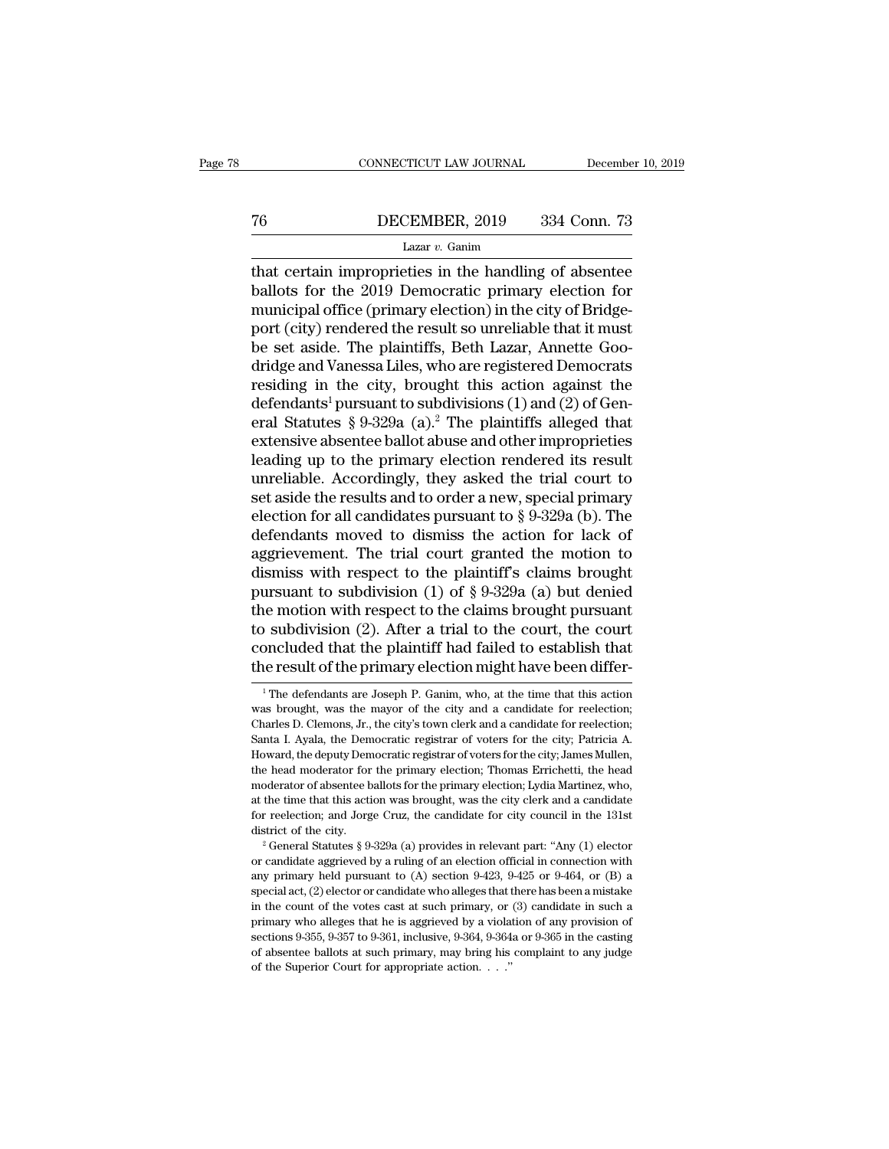# CONNECTICUT LAW JOURNAL December 10, 2019<br>
T6 DECEMBER, 2019 334 Conn. 73<br>
Lazar v. Ganim

### Lazar *v.* Ganim

CONNECTICUT LAW JOURNAL December 10, 2019<br>
T6 DECEMBER, 2019 334 Conn. 73<br>
Lazar v. Ganim<br>
that certain improprieties in the handling of absentee<br>
ballots for the 2019 Democratic primary election for<br>
municipal office (pr DECEMBER, 2019 334 Conn. 73<br>
Lazar v. Ganim<br>
that certain improprieties in the handling of absentee<br>
ballots for the 2019 Democratic primary election for<br>
municipal office (primary election) in the city of Bridge-<br>
port (c The Samuel office (primary election) in the city of Bridge-<br>municipal office (primary election) in the city of Bridge-<br>port (city) rendered the result so unreliable that it must<br>be set aside. The plaintiffs. Both Lazar, A Port (city) rendered the results of the results of the results of the results for the 2019 Democratic primary election for municipal office (primary election) in the city of Bridge-port (city) rendered the result so unrel Lazar v. Ganim<br>Lazar v. Ganim<br>that certain improprieties in the handling of absentee<br>ballots for the 2019 Democratic primary election for<br>municipal office (primary election) in the city of Bridge-<br>port (city) rendered the Lazar v. Ganim<br>that certain improprieties in the handling of absentee<br>ballots for the 2019 Democratic primary election for<br>municipal office (primary election) in the city of Bridge-<br>port (city) rendered the result so unre that certain improprieties in the handling of absentee<br>ballots for the 2019 Democratic primary election for<br>municipal office (primary election) in the city of Bridge-<br>port (city) rendered the result so unreliable that it ballots for the 2019 Democratic primary election for<br>municipal office (primary election) in the city of Bridge-<br>port (city) rendered the result so unreliable that it must<br>be set aside. The plaintiffs, Beth Lazar, Annette municipal office (primary election) in the city of Bridge-<br>port (city) rendered the result so unreliable that it must<br>be set aside. The plaintiffs, Beth Lazar, Annette Goo-<br>dridge and Vanessa Liles, who are registered Demo port (city) rendered the result so unreliable that it must<br>be set aside. The plaintiffs, Beth Lazar, Annette Goo-<br>dridge and Vanessa Liles, who are registered Democrats<br>residing in the city, brought this action against the be set aside. The plaintiffs, Beth Lazar, Annette Goodridge and Vanessa Liles, who are registered Democrats<br>residing in the city, brought this action against the<br>defendants<sup>1</sup> pursuant to subdivisions (1) and (2) of Gen-<br>e dridge and Vanessa Liles, who are registered Democrats<br>residing in the city, brought this action against the<br>defendants<sup>1</sup> pursuant to subdivisions (1) and (2) of Gen-<br>eral Statutes § 9-329a (a).<sup>2</sup> The plaintiffs alleged residing in the city, brought this action against the<br>defendants<sup>1</sup> pursuant to subdivisions (1) and (2) of Gen-<br>eral Statutes § 9-329a (a).<sup>2</sup> The plaintiffs alleged that<br>extensive absentee ballot abuse and other impropr defendants<sup>1</sup> pursuant to subdivisions (1) and (2) of General Statutes § 9-329a (a).<sup>2</sup> The plaintiffs alleged that extensive absentee ballot abuse and other improprieties leading up to the primary election rendered its re eral Statutes § 9-329a (a).<sup>2</sup> The plaintiffs alleged that extensive absentee ballot abuse and other improprieties leading up to the primary election rendered its result unreliable. Accordingly, they asked the trial court extensive absentee ballot abuse and other improprieties<br>leading up to the primary election rendered its result<br>unreliable. Accordingly, they asked the trial court to<br>set aside the results and to order a new, special prima leading up to the primary election rendered its result<br>unreliable. Accordingly, they asked the trial court to<br>set aside the results and to order a new, special primary<br>election for all candidates pursuant to  $\S 9{\text -}329a$ unreliable. Accordingly, they asked the trial court to<br>set aside the results and to order a new, special primary<br>election for all candidates pursuant to § 9-329a (b). The<br>defendants moved to dismiss the action for lack of set aside the results and to order a new, special primary<br>election for all candidates pursuant to § 9-329a (b). The<br>defendants moved to dismiss the action for lack of<br>aggrievement. The trial court granted the motion to<br>di election for all candidates pursuant to § 9-329a (b). The<br>defendants moved to dismiss the action for lack of<br>aggrievement. The trial court granted the motion to<br>dismiss with respect to the plaintiff's claims brought<br>pursu defendants moved to dismiss the action for lack of aggrievement. The trial court granted the motion to dismiss with respect to the plaintiff's claims brought pursuant to subdivision (1) of  $\S 9{\text -}329a$  (a) but denied the aggrievement. The trial court granted the motion to<br>dismiss with respect to the plaintiff's claims brought<br>pursuant to subdivision (1) of § 9-329a (a) but denied<br>the motion with respect to the claims brought pursuant<br>to s 1 The motion with respect to the claims brought pursuant<br>
1 Subdivision (2). After a trial to the court, the court<br>
2 Subdivision (2). After a trial to the court, the court<br>
1 The defendants are Joseph P. Ganim, who, at t to subdivision (2). After a trial to the court, the court concluded that the plaintiff had failed to establish that the result of the primary election might have been differ-<br><sup>1</sup>The defendants are Joseph P. Ganim, who, at

concluded that the plaintiff had failed to establish that<br>the result of the primary election might have been differ-<br><sup>1</sup>The defendants are Joseph P. Ganim, who, at the time that this action<br>was brought, was the mayor of th the result of the primary election might have been differ-<br>
<sup>1</sup>The defendants are Joseph P. Ganim, who, at the time that this action<br>
was brought, was the mayor of the city and a candidate for reelection;<br>
Charles D. Clemo <sup>1</sup> The defendants are Joseph P. Ganim, who, at the time that this action was brought, was the mayor of the city and a candidate for reelection; Charles D. Clemons, Jr., the city's town clerk and a candidate for reelectio <sup>1</sup> The defendants are Joseph P. Ganim, who, at the time that this action was brought, was the mayor of the city and a candidate for reelection; Charles D. Clemons, Jr., the city's town clerk and a candidate for reelectio was brought, was the mayor of the city and a candidate for reelection;<br>Charles D. Clemons, Jr., the city's town clerk and a candidate for reelection;<br>Santa I. Ayala, the Democratic registrar of voters for the city; Patrici That the time that this action was brown was determined that the time that is and the time that is and a candidate for reelection; Santa I. Ayala, the Democratic registrar of voters for the city; Patricia A. Howard, the de at the time that this action was brought, was the city clerk and a candidate for reelection; and Jorge Cruz, the candidate for city council in the 131st district of the city.<br><sup>2</sup> General Statutes § 9-329a (a) provides in Howard, the deputy Democratic registrar of voters for the city; James Muln, the head moderator for the primary election; Thomas Errichetti, the head moderator of absentee ballots for the primary election; Lydia Martinez, moderator of absentee ballots for the primary election; Lydia Martinez, who, at the time that this action was brought, was the city clerk and a candidate for reelection; and Jorge Cruz, the candidate for city council in t

any at the time that this action was brought, was the city clerk and a candidate for reelection; and Jorge Cruz, the candidate for city council in the 131st district of the city.<br>
<sup>2</sup> General Statutes § 9-329a (a) provide special act, (2) elector or candidate who alleges that there has been a mistake or candidate aggrieved by a ruling of an election official in connection with any primary held pursuant to (A) section  $9-423$ ,  $9-425$  or  $9$ district of the city.<br>
<sup>2</sup> General Statutes § 9-329a (a) provides in relevant part: "Any (1) elector or candidate aggrieved by a ruling of an election official in connection with any primary held pursuant to (A) section 9 or candidate aggrieved by a ruling of an election official in connection with<br>any primary held pursuant to (A) section  $9-423$ ,  $9-425$  or  $9-464$ , or (B) a<br>special act, (2) elector or candidate who alleges that there has or candidate aggrieved by a ruling of an election official in connection with<br>any primary held pursuant to (A) section 9-423, 9-425 or 9-464, or (B) a<br>special act, (2) elector or candidate who alleges that there has been any primary held pursuant to (A) section 9-423, 9-425 or 9-464, or (B) a special act, (2) elector or candidate who alleges that there has been a mistake in the count of the votes cast at such primary, or (3) candidate in special act, (2) elector or candidate who alleges that there has been a mistake<br>in the count of the votes cast at such primary, or (3) candidate in such a<br>primary who alleges that he is aggrieved by a violation of any pro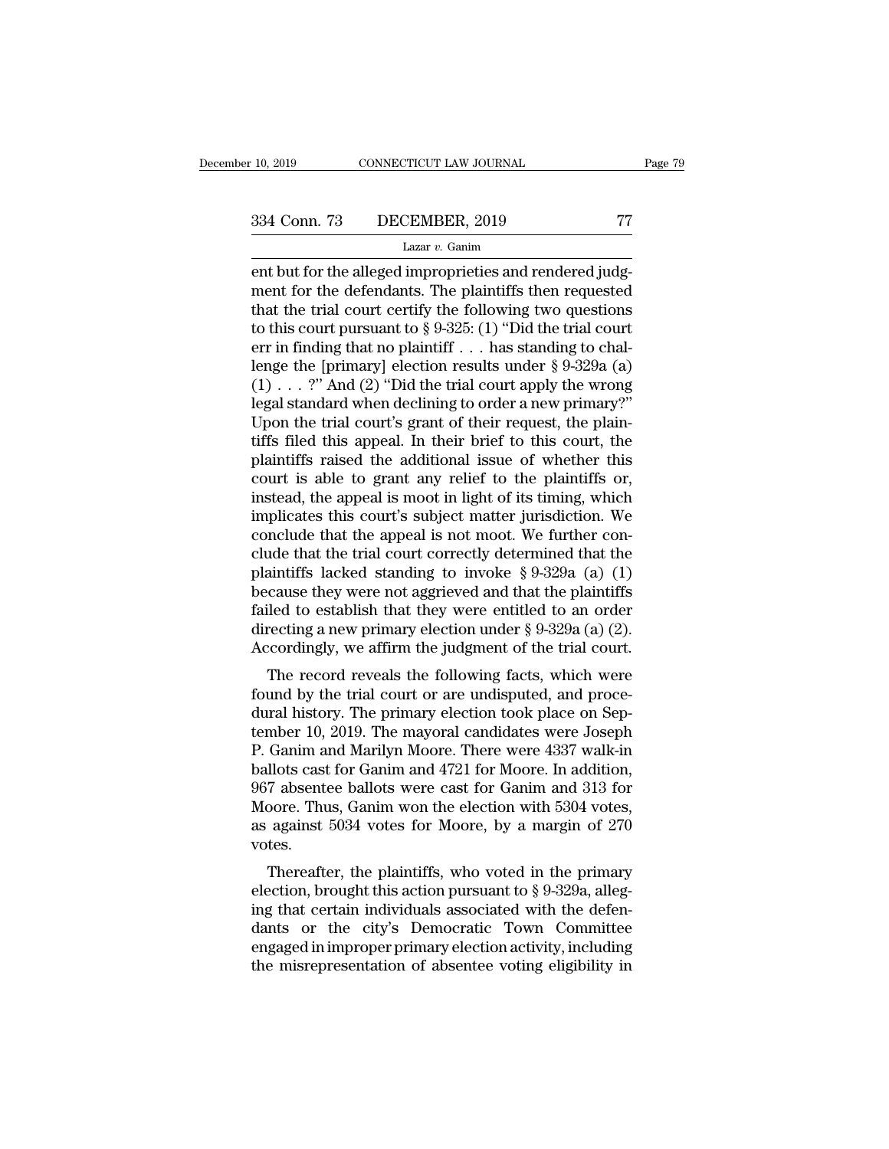ent but for the alleged improprieties and rendered judg-<br>
tazar v. Ganim<br>
ent but for the alleged improprieties and rendered judg-<br>
ent for the defendants. The plaintiffs then requested<br>
that the trial court certify the fo 334 Conn. 73 DECEMBER, 2019 77<br>Lazar v. Ganim<br>ent but for the alleged improprieties and rendered judg-<br>ment for the defendants. The plaintiffs then requested<br>that the trial court certify the following two questions<br>to thi 334 Conn. 73 DECEMBER, 2019 77<br>
Lazar v. Ganim<br>
ent but for the alleged improprieties and rendered judg-<br>
ment for the defendants. The plaintiffs then requested<br>
that the trial court certify the following two questions<br>
t 334 Conn. 73 DECEMBER, 2019 77<br>
Lazar v. Ganim<br>
ent but for the alleged improprieties and rendered judg-<br>
ment for the defendants. The plaintiffs then requested<br>
that the trial court certify the following two questions<br>
t Lazar v. Ganim<br>
Lazar v. Ganim<br>
ent but for the alleged improprieties and rendered judg-<br>
ment for the defendants. The plaintiffs then requested<br>
that the trial court certify the following two questions<br>
to this court pur Lazar v. Ganim<br>
ent but for the alleged improprieties and rendered judg-<br>
ment for the defendants. The plaintiffs then requested<br>
that the trial court certify the following two questions<br>
to this court pursuant to § 9-325 ent but for the alleged improprieties and rendered judgment for the defendants. The plaintiffs then requested<br>that the trial court certify the following two questions<br>to this court pursuant to § 9-325: (1) "Did the trial ment for the defendants. The plaintiffs then requested<br>that the trial court certify the following two questions<br>to this court pursuant to § 9-325: (1) "Did the trial court<br>err in finding that no plaintiff . . . has standi that the trial court certify the following two questions<br>to this court pursuant to § 9-325: (1) "Did the trial court<br>err in finding that no plaintiff . . . has standing to chal-<br>lenge the [primary] election results under to this court pursuant to § 9-325: (1) "Did the trial court<br>err in finding that no plaintiff . . . has standing to chal-<br>lenge the [primary] election results under § 9-329a (a)<br>(1) . . . ?" And (2) "Did the trial court ap err in finding that no plaintiff . . . has standing to chal-<br>lenge the [primary] election results under § 9-329a (a)<br>(1) . . . ?" And (2) "Did the trial court apply the wrong<br>legal standard when declining to order a new p lenge the [primary] election results under § 9-329a (a)  $(1) \ldots$  ?" And  $(2)$  "Did the trial court apply the wrong legal standard when declining to order a new primary?"<br>Upon the trial court's grant of their request, the (1) . . . ?" And (2) "Did the trial court apply the wrong<br>legal standard when declining to order a new primary?"<br>Upon the trial court's grant of their request, the plain-<br>tiffs filed this appeal. In their brief to this co legal standard when declining to order a new primary?"<br>Upon the trial court's grant of their request, the plain-<br>tiffs filed this appeal. In their brief to this court, the<br>plaintiffs raised the additional issue of whether Upon the trial court's grant of their request, the plain-<br>tiffs filed this appeal. In their brief to this court, the<br>plaintiffs raised the additional issue of whether this<br>court is able to grant any relief to the plaintif tiffs filed this appeal. In their brief to this court, the plaintiffs raised the additional issue of whether this court is able to grant any relief to the plaintiffs or, instead, the appeal is moot in light of its timing, plaintiffs raised the additional issue of whether this<br>court is able to grant any relief to the plaintiffs or,<br>instead, the appeal is moot in light of its timing, which<br>implicates this court's subject matter jurisdiction. court is able to grant any relief to the plaintiffs or,<br>instead, the appeal is moot in light of its timing, which<br>implicates this court's subject matter jurisdiction. We<br>conclude that the appeal is not moot. We further co instead, the appeal is moot in light of its timing, which<br>implicates this court's subject matter jurisdiction. We<br>conclude that the appeal is not moot. We further con-<br>clude that the trial court correctly determined that implicates this court's subject matter jurisdiction. We conclude that the appeal is not moot. We further conclude that the trial court correctly determined that the plaintiffs lacked standing to invoke § 9-329a (a) (1) be conclude that the appeal is not moot. We further conclude that the trial court correctly determined that the plaintiffs lacked standing to invoke  $\S 9-329a$  (a) (1) because they were not aggrieved and that the plaintiffs and the that court correctly determined that the annitiffs lacked standing to invoke  $\S 9-329a$  (a) (1) cause they were not aggrieved and that the plaintiffs iled to establish that they were entitled to an order recting a plantins facked standing to fivoke  $\frac{1}{3}$   $\frac{3-2}{3-2}$  (a) (1) because they were not aggrieved and that the plaintiffs failed to establish that they were entitled to an order directing a new primary election under  $\frac$ 

because they were not aggrieved and that the plantinis<br>failed to establish that they were entitled to an order<br>directing a new primary election under § 9-329a (a) (2).<br>Accordingly, we affirm the judgment of the trial cour raned to establish that they were entitied to an order<br>directing a new primary election under § 9-329a (a) (2).<br>Accordingly, we affirm the judgment of the trial court.<br>The record reveals the following facts, which were<br>fo Accordingly, we affirm the judgment of the trial court.<br>The record reveals the following facts, which were<br>found by the trial court or are undisputed, and proce-<br>dural history. The primary election took place on Sep-<br>temb Accordingly, we all that glughield of the that court.<br>
The record reveals the following facts, which were<br>
found by the trial court or are undisputed, and proce-<br>
dural history. The primary election took place on Sep-<br>
tem The record reveals the following facts, which were<br>found by the trial court or are undisputed, and proce-<br>dural history. The primary election took place on Sep-<br>tember 10, 2019. The mayoral candidates were Joseph<br>P. Ganim found by the trial court or are undisputed, and proce-<br>dural history. The primary election took place on Sep-<br>tember 10, 2019. The mayoral candidates were Joseph<br>P. Ganim and Marilyn Moore. There were 4337 walk-in<br>ballots dural history. The primary election took place on September 10, 2019. The mayoral candidates were Joseph P. Ganim and Marilyn Moore. There were 4337 walk-in ballots cast for Ganim and 4721 for Moore. In addition, 967 absen votes. Gamm and Marhyn Moore. There were 4557 wark-in<br>llots cast for Ganim and 4721 for Moore. In addition,<br>7 absentee ballots were cast for Ganim and 313 for<br>oore. Thus, Ganim won the election with 5304 votes,<br>against 5034 vote bands cast for Gaulin and 4721 for Moore. In addition,<br>967 absentee ballots were cast for Ganim and 313 for<br>Moore. Thus, Ganim won the election with 5304 votes,<br>as against 5034 votes for Moore, by a margin of 270<br>votes.<br>T

For absentee bands were cast for Gamm and 515 for<br>Moore. Thus, Ganim won the election with 5304 votes,<br>as against 5034 votes for Moore, by a margin of 270<br>votes.<br>Thereafter, the plaintiffs, who voted in the primary<br>electi moore. Thus, Gamin won the electron whit  $3504$  votes,<br>as against 5034 votes for Moore, by a margin of 270<br>votes.<br>Thereafter, the plaintiffs, who voted in the primary<br>election, brought this action pursuant to  $\S 9-329a$ , as against 5054 votes for moore, by a margin of 270<br>votes.<br>Thereafter, the plaintiffs, who voted in the primary<br>election, brought this action pursuant to § 9-329a, alleg-<br>ing that certain individuals associated with the d Thereafter, the plaintiffs, who voted in the primary<br>election, brought this action pursuant to  $\S$  9-329a, alleg-<br>ing that certain individuals associated with the defen-<br>dants or the city's Democratic Town Committee<br>engag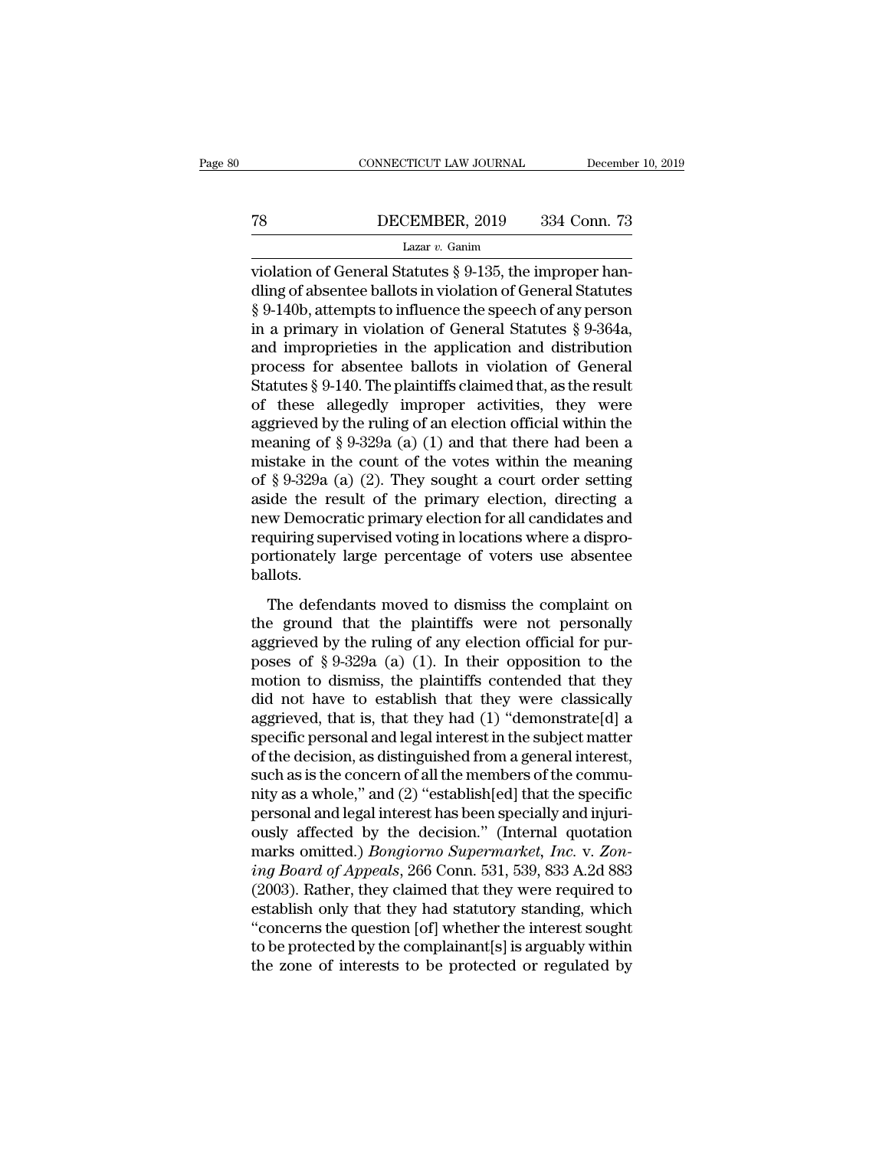# CONNECTICUT LAW JOURNAL December 10, 2019<br>
T8 DECEMBER, 2019 334 Conn. 73<br>
Lazar v. Ganim

### Lazar *v.* Ganim

CONNECTICUT LAW JOURNAL December<br>
TREER DECEMBER, 2019 334 Conn. 73<br>
Lazar v. Ganim<br>
Violation of General Statutes § 9-135, the improper han-<br>
dling of absentee ballots in violation of General Statutes<br>
S. 0.140b, attempts TR DECEMBER, 2019 334 Conn. 73<br>
Lazar v. Ganim<br>
violation of General Statutes § 9-135, the improper handling of absentee ballots in violation of General Statutes<br>
§ 9-140b, attempts to influence the speech of any person<br> **EXEMBER, 2019** 334 Conn. 73<br>
Lazar v. Ganim<br>
violation of General Statutes § 9-135, the improper handling of absentee ballots in violation of General Statutes<br>
§ 9-140b, attempts to influence the speech of any person<br>
in TR DECEMBER, 2019 334 Conn. 73<br>
Lazar v. Ganim<br>
violation of General Statutes § 9-135, the improper handling of absentee ballots in violation of General Statutes<br>
§ 9-140b, attempts to influence the speech of any person<br> Lazar v. Ganim<br>Lazar v. Ganim<br>violation of General Statutes § 9-135, the improper handling of absentee ballots in violation of General Statutes<br>§ 9-140b, attempts to influence the speech of any person<br>in a primary in viol Lazar v. Ganim<br>
violation of General Statutes § 9-135, the improper han-<br>
dling of absentee ballots in violation of General Statutes<br>
§ 9-140b, attempts to influence the speech of any person<br>
in a primary in violation of violation of General Statutes § 9-135, the improper handling of absentee ballots in violation of General Statutes § 9-140b, attempts to influence the speech of any person in a primary in violation of General Statutes § 9-3 dling of absentee ballots in violation of General Statutes<br>
§ 9-140b, attempts to influence the speech of any person<br>
in a primary in violation of General Statutes § 9-364a,<br>
and improprieties in the application and distr § 9-140b, attempts to influence the speech of any person<br>in a primary in violation of General Statutes § 9-364a,<br>and improprieties in the application and distribution<br>process for absentee ballots in violation of General<br>S in a primary in violation of General Statutes § 9-364a,<br>and improprieties in the application and distribution<br>process for absentee ballots in violation of General<br>Statutes § 9-140. The plaintiffs claimed that, as the resu and improprieties in the application and distribution<br>process for absentee ballots in violation of General<br>Statutes § 9-140. The plaintiffs claimed that, as the result<br>of these allegedly improper activities, they were<br>agg process for absentee ballots in violation of General<br>Statutes § 9-140. The plaintiffs claimed that, as the result<br>of these allegedly improper activities, they were<br>aggrieved by the ruling of an election official within th Statutes § 9-140. The plaintiffs claimed that, as the result<br>of these allegedly improper activities, they were<br>aggrieved by the ruling of an election official within the<br>meaning of § 9-329a (a) (1) and that there had been of these allegedly improper activities, they were<br>aggrieved by the ruling of an election official within the<br>meaning of  $\S 9{\text -}329a$  (a) (1) and that there had been a<br>mistake in the count of the votes within the meaning<br> aggrieved by the ruling of an election official within the<br>meaning of  $\S 9\text{-}329a$  (a) (1) and that there had been a<br>mistake in the count of the votes within the meaning<br>of  $\S 9\text{-}329a$  (a) (2). They sought a court orde meaning of  $\S 9\text{-}329a$  (a) (1) and that there had been a<br>mistake in the count of the votes within the meaning<br>of  $\S 9\text{-}329a$  (a) (2). They sought a court order setting<br>aside the result of the primary election, directi ballots. ide the result of the primary election, directing a<br>ide the result of the primary election, directing a<br>w Democratic primary election for all candidates and<br>quiring supervised voting in locations where a dispro-<br>ritionate the ground that the plant of all candidates and<br>requiring supervised voting in locations where a dispro-<br>portionately large percentage of voters use absentee<br>ballots.<br>The defendants moved to dismiss the complaint on<br>the g

recursively large percentrical distributions where a dispro-<br>portionately large percentage of voters use absentee<br>ballots.<br>The defendants moved to dismiss the complaint on<br>the ground that the plaintiffs were not personally portionately large percentage of voters use absentee<br>ballots.<br>The defendants moved to dismiss the complaint on<br>the ground that the plaintiffs were not personally<br>aggrieved by the ruling of any election official for pur-<br>po bordonately hage percentage of voces ase assented<br>ballots.<br>The defendants moved to dismiss the complaint on<br>the ground that the plaintiffs were not personally<br>aggrieved by the ruling of any election official for pur-<br>pose The defendants moved to dismiss the complaint on<br>the ground that the plaintiffs were not personally<br>aggrieved by the ruling of any election official for pur-<br>poses of § 9-329a (a) (1). In their opposition to the<br>motion to The defendants moved to dismiss the complaint on<br>the ground that the plaintiffs were not personally<br>aggrieved by the ruling of any election official for pur-<br>poses of § 9-329a (a) (1). In their opposition to the<br>motion to the ground that the plaintiffs were not personally<br>aggrieved by the ruling of any election official for pur-<br>poses of § 9-329a (a) (1). In their opposition to the<br>motion to dismiss, the plaintiffs contended that they<br>did aggrieved by the ruling of any election official for pur-<br>poses of § 9-329a (a) (1). In their opposition to the<br>motion to dismiss, the plaintiffs contended that they<br>did not have to establish that they were classically<br>ag poses of § 9-329a (a) (1). In their opposition to the<br>motion to dismiss, the plaintiffs contended that they<br>did not have to establish that they were classically<br>aggrieved, that is, that they had (1) "demonstrate[d] a<br>spec motion to dismiss, the plaintiffs contended that they<br>did not have to establish that they were classically<br>aggrieved, that is, that they had (1) "demonstrate[d] a<br>specific personal and legal interest in the subject matter<br> did not have to establish that they were classically<br>aggrieved, that is, that they had (1) "demonstrate[d] a<br>specific personal and legal interest in the subject matter<br>of the decision, as distinguished from a general inte aggrieved, that is, that they had (1) "demonstrate[d] a<br>specific personal and legal interest in the subject matter<br>of the decision, as distinguished from a general interest,<br>such as is the concern of all the members of th specific personal and legal interest in the subject matter<br>of the decision, as distinguished from a general interest,<br>such as is the concern of all the members of the commu-<br>nity as a whole," and (2) "establish[ed] that th of the decision, as distinguished from a general interest,<br>such as is the concern of all the members of the commu-<br>nity as a whole," and (2) "establish[ed] that the specific<br>personal and legal interest has been specially a such as is the concern of all the members of the community as a whole," and (2) "establish[ed] that the specific<br>personal and legal interest has been specially and injuri-<br>ously affected by the decision." (Internal quotati nity as a whole," and (2) "establish[ed] that the specific<br>personal and legal interest has been specially and injuri-<br>ously affected by the decision." (Internal quotation<br>marks omitted.) *Bongiorno Supermarket*, *Inc.* v. personal and legal interest has been specially and injuriously affected by the decision." (Internal quotation marks omitted.) *Bongiorno Supermarket, Inc.* v. Zoning Board of Appeals, 266 Conn. 531, 539, 833 A.2d 883 (2003 ously affected by the decision." (Internal quotation<br>marks omitted.) *Bongiorno Supermarket*, *Inc.* v. Zon-<br>ing Board of Appeals, 266 Conn. 531, 539, 833 A.2d 883<br>(2003). Rather, they claimed that they were required to<br>es marks omitted.) *Bongiorno Supermarket, Inc.* v. Zon-<br>ing Board of Appeals, 266 Conn. 531, 539, 833 A.2d 883<br>(2003). Rather, they claimed that they were required to<br>establish only that they had statutory standing, which<br>"c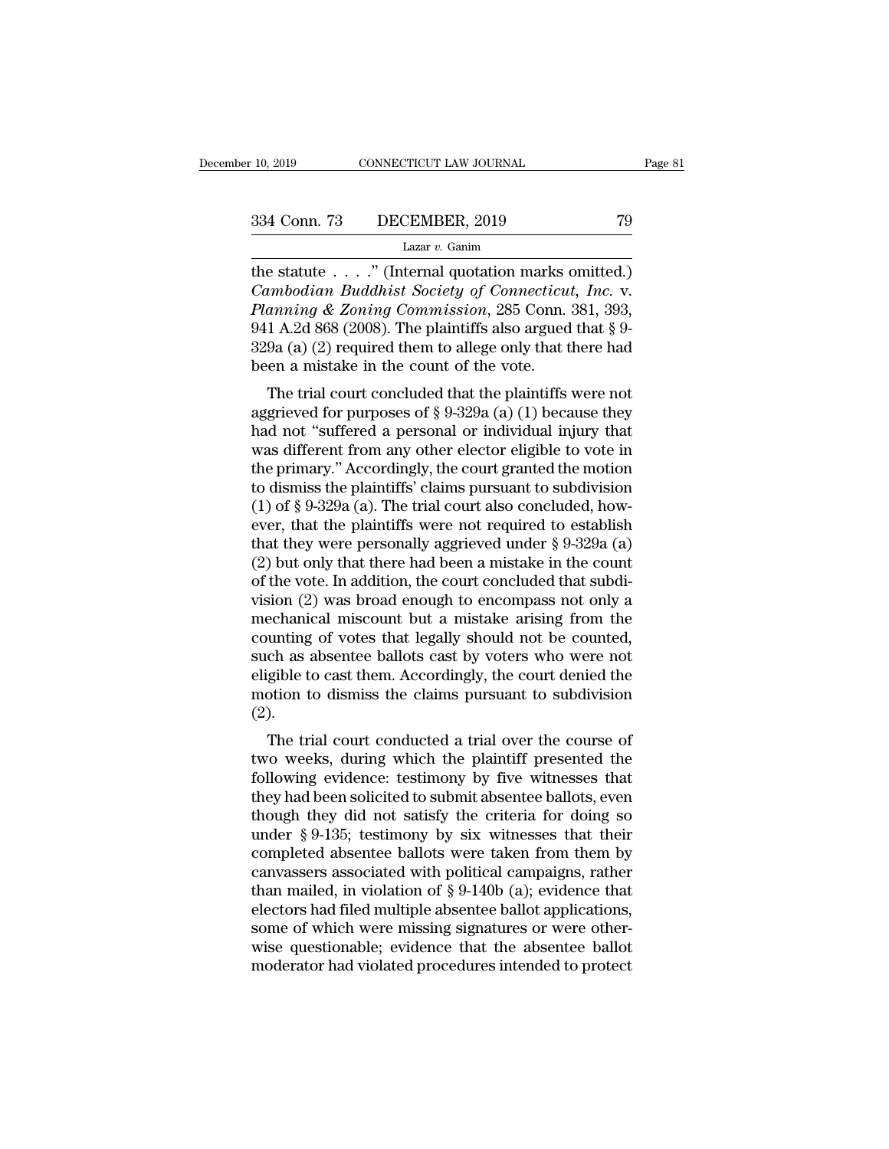the statute . . . ." (Internal quotation marks omitted.)<br>
The statute . . . .." (Internal quotation marks omitted.)<br>
Cambodian Buddhist Society of Connecticut, Inc. v.<br>
Planning & Zoning Commission 285 Conn 281 202 <sup>234</sup> Conn. 73 DECEMBER, 2019 79<br>
<sup>Lazar v. Ganim<br>
the statute . . . . " (Internal quotation marks omitted.)<br> *Cambodian Buddhist Society of Connecticut, Inc.* v.<br> *Planning & Zoning Commission*, 285 Conn. 381, 393,<br>
041 A</sup> *Planning & Zoning Commission*, 2019<br> *Planning & Zoning Commission*, 285 Conn. 381, 393, 3941 A.2d 868 (2008). The plaintiffs also argued that § 9-<br> *Planning & Zoning Commission*, 285 Conn. 381, 393, 3941 A.2d 868 (2008) 334 Conn. 73 DECEMBER, 2019 79<br>
Lazar v. Ganim<br>
the statute . . . . " (Internal quotation marks omitted.)<br>
Cambodian Buddhist Society of Connecticut, Inc. v.<br>
Planning & Zoning Commission, 285 Conn. 381, 393,<br>
941 A.2d 86 Lazar v. Ganim<br>Lazar v. Ganim<br>the statute . . . . " (Internal quotation marks omitted.)<br>Cambodian Buddhist Society of Connecticut, Inc. v.<br>Planning & Zoning Commission, 285 Conn. 381, 393,<br>941 A.2d 868 (2008). The plainti Lazar v. Ganim<br>the statute . . . ." (Internal quotation marks of<br>*Cambodian Buddhist Society of Connecticu*<br>*Planning & Zoning Commission*, 285 Conn.<br>941 A.2d 868 (2008). The plaintiffs also argued<br>329a (a) (2) required t E statute . . . . (Internal quotation marks ontitied.)<br>
umbodian Buddhist Society of Connecticut, Inc. v.<br>
anning & Zoning Commission, 285 Conn. 381, 393,<br>
1 A.2d 868 (2008). The plaintiffs also argued that  $\S$  9-<br>
9a (a) Camoodian Badanist Society of Connectical, The. v.<br>Planning & Zoning Commission, 285 Conn. 381, 393,<br>941 A.2d 868 (2008). The plaintiffs also argued that § 9-<br>329a (a) (2) required them to allege only that there had<br>been

Funning & 2011 Commission, 285 Collict 361, 395, 941 A.2d 868 (2008). The plaintiffs also argued that § 9-<br>329a (a) (2) required them to allege only that there had<br>been a mistake in the count of the vote.<br>The trial court  $^{941}$  A.2d 606 (2006). The plaintins also argued that 8  $^{92}$ <br>329a (a) (2) required them to allege only that there had<br>been a mistake in the count of the vote.<br>The trial court concluded that the plaintiffs were not<br>agg  $525a$  (a) (2) required then to anege only that there had<br>been a mistake in the count of the vote.<br>The trial court concluded that the plaintiffs were not<br>aggrieved for purposes of § 9-329a (a) (1) because they<br>had not "su The trial court concluded that the plaintiffs were not<br>aggrieved for purposes of § 9-329a (a) (1) because they<br>had not "suffered a personal or individual injury that<br>was different from any other elector eligible to vote i The trial court concluded that the plaintiffs were not aggrieved for purposes of § 9-329a (a) (1) because they had not "suffered a personal or individual injury that was different from any other elector eligible to vote i aggrieved for purposes of § 9-329a (a) (1) because they<br>had not "suffered a personal or individual injury that<br>was different from any other elector eligible to vote in<br>the primary." Accordingly, the court granted the moti had not "suffered a personal or individual injury that<br>was different from any other elector eligible to vote in<br>the primary." Accordingly, the court granted the motion<br>to dismiss the plaintiffs' claims pursuant to subdivi was different from any other elector eligible to vote in<br>the primary." Accordingly, the court granted the motion<br>to dismiss the plaintiffs' claims pursuant to subdivision<br>(1) of § 9-329a (a). The trial court also conclude the primary." Accordingly, the court granted the motion<br>to dismiss the plaintiffs' claims pursuant to subdivision<br>(1) of § 9-329a (a). The trial court also concluded, how-<br>ever, that the plaintiffs were not required to es to dismiss the plaintiffs' claims pursuant to subdivision (1) of  $\S$  9-329a (a). The trial court also concluded, how-<br>ever, that the plaintiffs were not required to establish<br>that they were personally aggrieved under  $\S$  (1) of § 9-329a (a). The trial court also concluded, how-<br>ever, that the plaintiffs were not required to establish<br>that they were personally aggrieved under § 9-329a (a)<br>(2) but only that there had been a mistake in the c ever, that the plaintiffs were not required to establish<br>that they were personally aggrieved under  $\S$  9-329a (a)<br>(2) but only that there had been a mistake in the count<br>of the vote. In addition, the court concluded that that they were personally aggrieved under  $\S$  9-329a (a) (2) but only that there had been a mistake in the count<br>of the vote. In addition, the court concluded that subdi-<br>vision (2) was broad enough to encompass not only (2) but only that there had been a mistake in the count<br>of the vote. In addition, the court concluded that subdi-<br>vision (2) was broad enough to encompass not only a<br>mechanical miscount but a mistake arising from the<br>coun of the vote. In addition, the court concluded that subdivision (2) was broad enough to encompass not only a mechanical miscount but a mistake arising from the counting of votes that legally should not be counted, such as a (2). Echanical miscount but a mistake arising from the<br>unting of votes that legally should not be counted,<br>ch as absentee ballots cast by voters who were not<br>gible to cast them. Accordingly, the court denied the<br>botion to dismi tounting or votes that legany should not be counted,<br>such as absentee ballots cast by voters who were not<br>eligible to cast them. Accordingly, the court denied the<br>motion to dismiss the claims pursuant to subdivision<br>(2).<br>T

such as absentee bands cast by votels who were not<br>eligible to cast them. Accordingly, the court denied the<br>motion to dismiss the claims pursuant to subdivision<br>(2).<br>The trial court conducted a trial over the course of<br>two they had been solicited to subdivision<br>they had been solid a trial over the course of<br>two weeks, during which the plaintiff presented the<br>following evidence: testimony by five witnesses that<br>they had been solicited to sub The trial court conducted a trial over the course of<br>two weeks, during which the plaintiff presented the<br>following evidence: testimony by five witnesses that<br>they had been solicited to submit absentee ballots, even<br>though ( $\angle$ ).<br>The trial court conducted a trial over the course of<br>two weeks, during which the plaintiff presented the<br>following evidence: testimony by five witnesses that<br>they had been solicited to submit absentee ballots, eve The trial court conducted a trial over the course of<br>two weeks, during which the plaintiff presented the<br>following evidence: testimony by five witnesses that<br>they had been solicited to submit absentee ballots, even<br>though two weeks, during which the plaintiff presented the following evidence: testimony by five witnesses that they had been solicited to submit absentee ballots, even though they did not satisfy the criteria for doing so under following evidence: testimony by five witnesses that<br>they had been solicited to submit absentee ballots, even<br>though they did not satisfy the criteria for doing so<br>under § 9-135; testimony by six witnesses that their<br>comp they had been solicited to submit absentee ballots, even<br>though they did not satisfy the criteria for doing so<br>under § 9-135; testimony by six witnesses that their<br>completed absentee ballots were taken from them by<br>canvass though they did not satisfy the criteria for doing so<br>under  $\S 9$ -135; testimony by six witnesses that their<br>completed absentee ballots were taken from them by<br>canvassers associated with political campaigns, rather<br>than m under  $\S$  9-135; testimony by six witnesses that their<br>completed absentee ballots were taken from them by<br>canvassers associated with political campaigns, rather<br>than mailed, in violation of  $\S$  9-140b (a); evidence that<br>e completed absentee ballots were taken from them by canvassers associated with political campaigns, rather than mailed, in violation of  $\S 9-140b$  (a); evidence that electors had filed multiple absentee ballot applications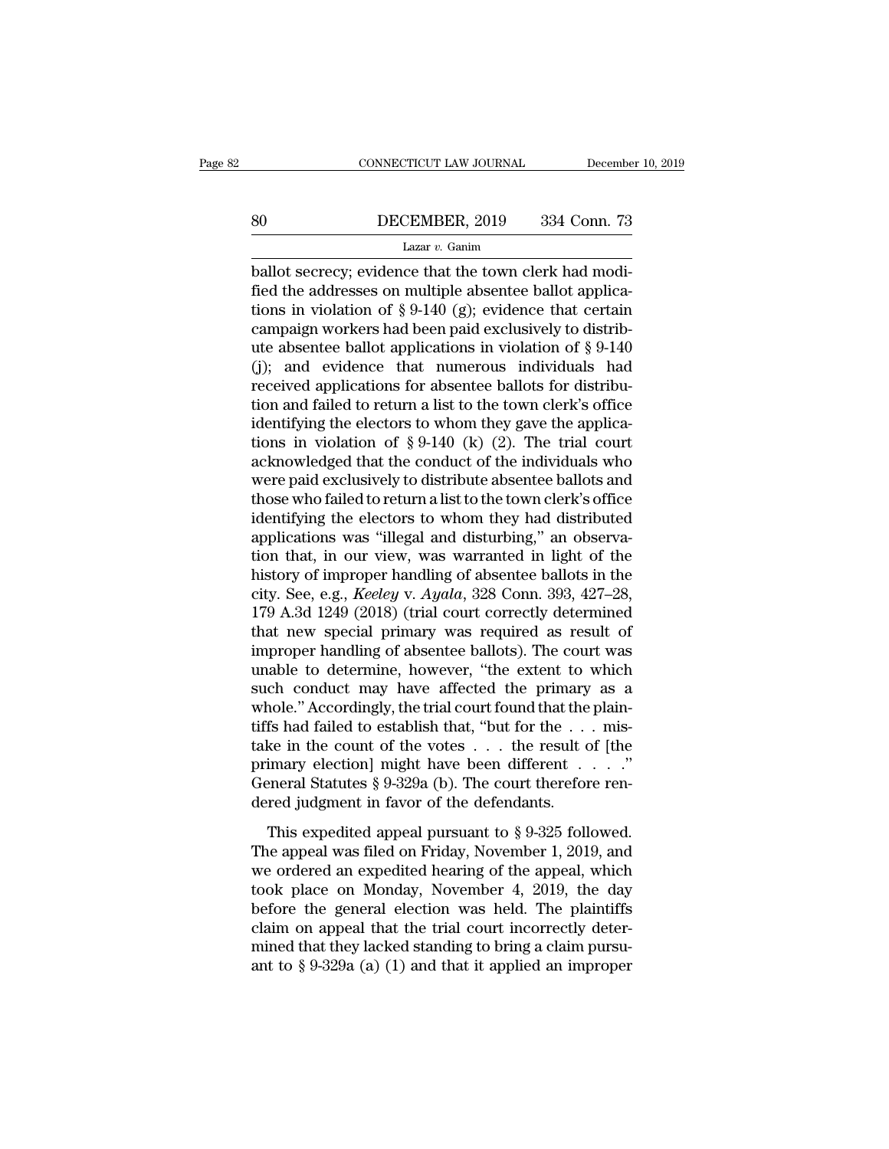# EXECUTE CONNECTICUT LAW JOURNAL December 10, 2019<br>B0 DECEMBER, 2019 334 Conn. 73<br>Lazar v. Ganim

### Lazar *v.* Ganim

 $\begin{array}{ccc}\n & \text{COMPECTICUT LAW JOURNAL} & \text{December} \\
 \hline\n 80 & \text{DECEMBER, } 2019 & 334 \text{ Conn. } 73 \\
 \hline\n & \text{Lazar } v. \text{ Ganim} \\
 \text{ballot secrecy; evidence that the town clerk had modified the addresses on multiple absence to be a solution of 8, 0, 140 (a): evidence that certain conditions in violation of 8, 0, 140 (a): evidence that certain conditions are not provided.} \end{array}$ Fig. 2019 534 Conn. 73<br>
Lazar v. Ganim<br>
ballot secrecy; evidence that the town clerk had modi-<br>
fied the addresses on multiple absentee ballot applica-<br>
tions in violation of  $\S 9-140$  (g); evidence that certain<br>
compaign SO DECEMBER, 2019 334 Conn. 73<br>
Lazar v. Ganim<br>
ballot secrecy; evidence that the town clerk had modified the addresses on multiple absentee ballot applications in violation of § 9-140 (g); evidence that certain campaign **EXEMBER, 2019** 334 Conn. 73<br>
Lazar v. Ganim<br>
ballot secrecy; evidence that the town clerk had modi-<br>
fied the addresses on multiple absentee ballot applica-<br>
tions in violation of § 9-140 (g); evidence that certain<br>
camp Lazar v. Ganim<br>Lazar v. Ganim<br>ballot secrecy; evidence that the town clerk had modi-<br>fied the addresses on multiple absentee ballot applica-<br>tions in violation of § 9-140 (g); evidence that certain<br>campaign workers had be Lazar v. Ganm<br>
ballot secrecy; evidence that the town clerk had modi-<br>
fied the addresses on multiple absentee ballot applica-<br>
tions in violation of § 9-140 (g); evidence that certain<br>
campaign workers had been paid excl ballot secrecy; evidence that the town clerk had modified the addresses on multiple absentee ballot applications in violations in violations for distribute absentee ballot applications in violation of  $\S 9-140$  (j); and e fied the addresses on multiple absentee ballot applications in violation of § 9-140 (g); evidence that certain campaign workers had been paid exclusively to distribute absentee ballot applications in violation of § 9-140 tions in violation of  $\S 9-140$  (g); evidence that certain<br>campaign workers had been paid exclusively to distrib-<br>ute absentee ballot applications in violation of  $\S 9-140$ <br>(j); and evidence that numerous individuals had<br> campaign workers had been paid exclusively to distribute absentee ballot applications in violation of § 9-140 (j); and evidence that numerous individuals had received applications for absentee ballots for distribution and ute absentee ballot applications in violation of  $\S 9-140$ <br>(j); and evidence that numerous individuals had<br>received applications for absentee ballots for distribu-<br>tion and failed to return a list to the town clerk's offi (j); and evidence that numerous individuals had<br>received applications for absentee ballots for distribu-<br>tion and failed to return a list to the town clerk's office<br>identifying the electors to whom they gave the applica-<br> received applications for absentee ballots for distribution and failed to return a list to the town clerk's office<br>identifying the electors to whom they gave the applica-<br>tions in violation of §9-140 (k) (2). The trial cou tion and failed to return a list to the town clerk's office<br>identifying the electors to whom they gave the applica-<br>tions in violation of  $\S 9-140$  (k) (2). The trial court<br>acknowledged that the conduct of the individuals identifying the electors to whom they gave the applications in violation of  $\S 9-140$  (k) (2). The trial court acknowledged that the conduct of the individuals who were paid exclusively to distribute absentee ballots and tions in violation of § 9-140 (k) (2). The trial court<br>acknowledged that the conduct of the individuals who<br>were paid exclusively to distribute absentee ballots and<br>those who failed to return a list to the town clerk's of acknowledged that the conduct of the individuals who<br>were paid exclusively to distribute absentee ballots and<br>those who failed to return a list to the town clerk's office<br>identifying the electors to whom they had distribut were paid exclusively to distribute absentee ballots and<br>those who failed to return a list to the town clerk's office<br>identifying the electors to whom they had distributed<br>applications was "illegal and disturbing," an obse those who failed to return a list to the town clerk's office<br>identifying the electors to whom they had distributed<br>applications was "illegal and disturbing," an observa-<br>tion that, in our view, was warranted in light of th identifying the electors to whom they had distributed<br>applications was "illegal and disturbing," an observa-<br>tion that, in our view, was warranted in light of the<br>history of improper handling of absentee ballots in the<br>cit applications was "illegal and disturbing," an observa-<br>tion that, in our view, was warranted in light of the<br>history of improper handling of absentee ballots in the<br>city. See, e.g., *Keeley v. Ayala*, 328 Conn. 393, 427–28 tion that, in our view, was warranted in light of the<br>history of improper handling of absentee ballots in the<br>city. See, e.g., *Keeley* v. *Ayala*, 328 Conn. 393, 427–28,<br>179 A.3d 1249 (2018) (trial court correctly determi history of improper handling of absentee ballots in the<br>city. See, e.g., *Keeley* v. *Ayala*, 328 Conn. 393, 427–28,<br>179 A.3d 1249 (2018) (trial court correctly determined<br>that new special primary was required as result of city. See, e.g., *Keeley* v. *Ayala*, 328 Conn. 393, 427–28, 179 A.3d 1249 (2018) (trial court correctly determined that new special primary was required as result of improper handling of absentee ballots). The court was 179 A.3d 1249 (2018) (trial court correctly determined<br>that new special primary was required as result of<br>improper handling of absentee ballots). The court was<br>unable to determine, however, "the extent to which<br>such condu that new special primary was required as result of<br>improper handling of absentee ballots). The court was<br>unable to determine, however, "the extent to which<br>such conduct may have affected the primary as a<br>whole." According improper handling of absentee ballots). The court was<br>unable to determine, however, "the extent to which<br>such conduct may have affected the primary as a<br>whole." Accordingly, the trial court found that the plain-<br>tiffs had unable to determine, however, "the extent to which<br>such conduct may have affected the primary as a<br>whole." Accordingly, the trial court found that the plain-<br>tiffs had failed to establish that, "but for the  $\dots$  mis-<br>take such conduct may have affected the primary<br>whole." Accordingly, the trial court found that the<br>tiffs had failed to establish that, "but for the . .<br>take in the count of the votes . . . the result c<br>primary election] might The independent and substrated and the plant<br>fs had failed to establish that, "but for the  $\dots$  mis-<br>ke in the count of the votes  $\dots$  the result of [the<br>imary election] might have been different  $\dots$ ."<br>reneral Statutes § take in the count of the votes . . . the result of [the<br>primary election] might have been different . . . ."<br>General Statutes § 9-329a (b). The court therefore ren-<br>dered judgment in favor of the defendants.<br>This expedite

when the count of the vector  $\cdot \cdot \cdot$  are result of the<br>primary election] might have been different  $\dots$ . The<br>General Statutes § 9-329a (b). The court therefore ren-<br>dered judgment in favor of the defendants.<br>This expedit France, becausing matrix sector dimersion in the Section of the court therefore rendered judgment in favor of the defendants.<br>This expedited appeal pursuant to § 9-325 followed.<br>The appeal was filed on Friday, November 1, dered judgment in favor of the defendants.<br>This expedited appeal pursuant to § 9-325 followed.<br>The appeal was filed on Friday, November 1, 2019, and<br>we ordered an expedited hearing of the appeal, which<br>took place on Monda This expedited appeal pursuant to  $\S$  9-325 followed.<br>The appeal was filed on Friday, November 1, 2019, and<br>we ordered an expedited hearing of the appeal, which<br>took place on Monday, November 4, 2019, the day<br>before the g This expedited appeal pursuant to  $\S 9-325$  followed.<br>The appeal was filed on Friday, November 1, 2019, and<br>we ordered an expedited hearing of the appeal, which<br>took place on Monday, November 4, 2019, the day<br>before the g The appeal was filed on Friday, November 1, 2019, and<br>we ordered an expedited hearing of the appeal, which<br>took place on Monday, November 4, 2019, the day<br>before the general election was held. The plaintiffs<br>claim on appe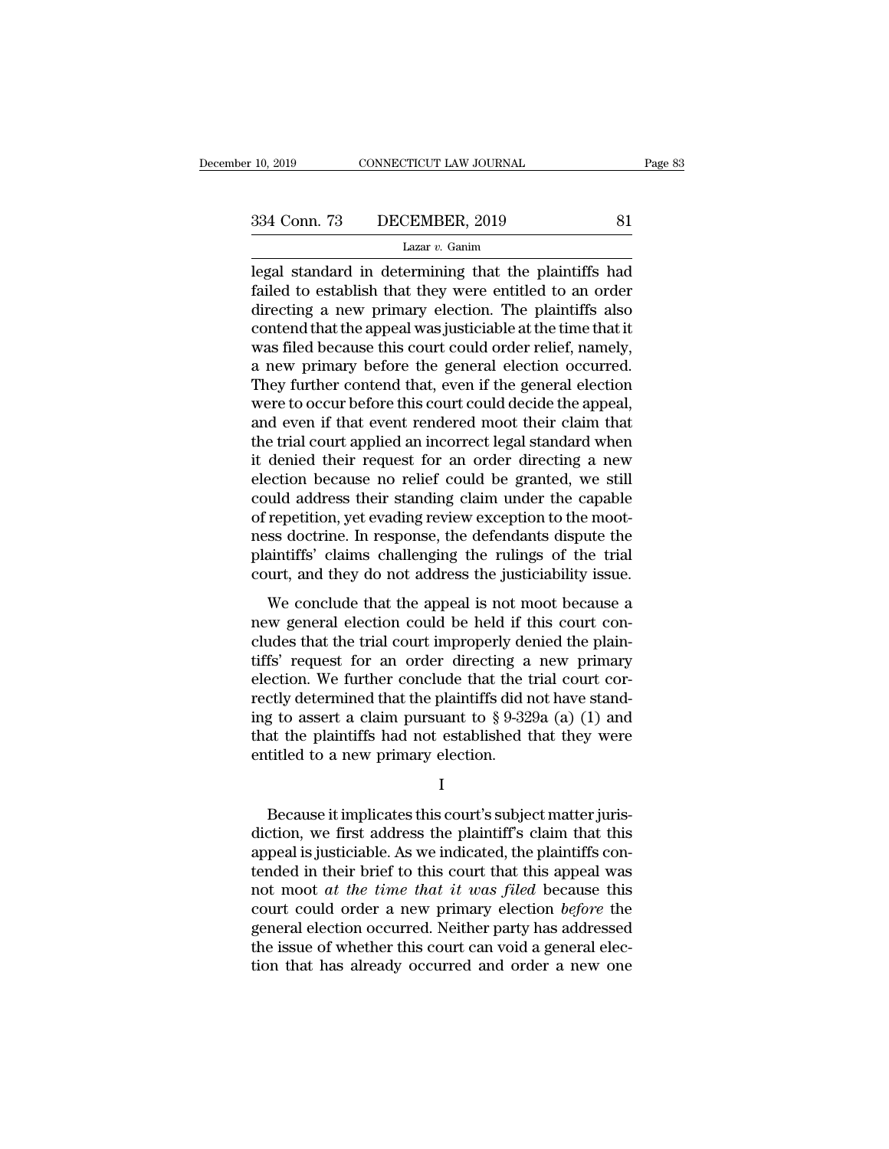legal standard in determining that the plaintiffs had<br>dialed to establish that they were entitled to an order<br>directing a new primary election. The plaintiffs had  $f_{\text{234}}$  Conn. 73 DECEMBER, 2019 81<br>
Lazar v. Ganim<br>
legal standard in determining that the plaintiffs had<br>
failed to establish that they were entitled to an order<br>
directing a new primary election. The plaintiffs also  $\frac{334 \text{ Conn. } 73 \qquad \text{DECEMBER, } 2019 \qquad \qquad 81}{\text{Lazar } v. \text{ Ganim}}$ <br>
legal standard in determining that the plaintiffs had<br>
failed to establish that they were entitled to an order<br>
directing a new primary election. The plaintiffs a 334 Conn. 73 DECEMBER, 2019 81<br>
Lazar v. Ganim<br>
legal standard in determining that the plaintiffs had<br>
failed to establish that they were entitled to an order<br>
directing a new primary election. The plaintiffs also<br>
conten Lazar v. Ganim<br>Legal standard in determining that the plaintiffs had<br>failed to establish that they were entitled to an order<br>directing a new primary election. The plaintiffs also<br>contend that the appeal was justiciable at Lazar v. Ganm<br>
legal standard in determining that the plaintiffs had<br>
failed to establish that they were entitled to an order<br>
directing a new primary election. The plaintiffs also<br>
contend that the appeal was justiciable legal standard in determining that the plaintiffs had<br>failed to establish that they were entitled to an order<br>directing a new primary election. The plaintiffs also<br>contend that the appeal was justiciable at the time that i failed to establish that they were entitled to an order<br>directing a new primary election. The plaintiffs also<br>contend that the appeal was justiciable at the time that it<br>was filed because this court could order relief, nam directing a new primary election. The plaintiffs also<br>contend that the appeal was justiciable at the time that it<br>was filed because this court could order relief, namely,<br>a new primary before the general election occurred. contend that the appeal was justiciable at the time that it<br>was filed because this court could order relief, namely,<br>a new primary before the general election occurred.<br>They further contend that, even if the general electi was filed because this court could order relief, namely,<br>a new primary before the general election occurred.<br>They further contend that, even if the general election<br>were to occur before this court could decide the appeal,<br> a new primary before the general election occurred.<br>They further contend that, even if the general election<br>were to occur before this court could decide the appeal,<br>and even if that event rendered moot their claim that<br>the They further contend that, even if the general election<br>were to occur before this court could decide the appeal,<br>and even if that event rendered moot their claim that<br>the trial court applied an incorrect legal standard whe were to occur before this court could decide the appeal,<br>and even if that event rendered moot their claim that<br>the trial court applied an incorrect legal standard when<br>it denied their request for an order directing a new<br>e and even if that event rendered moot their claim that<br>the trial court applied an incorrect legal standard when<br>it denied their request for an order directing a new<br>election because no relief could be granted, we still<br>coul the trial court applied an incorrect legal standard when<br>it denied their request for an order directing a new<br>election because no relief could be granted, we still<br>could address their standing claim under the capable<br>of re it denied their request for an order directing a new<br>election because no relief could be granted, we still<br>could address their standing claim under the capable<br>of repetition, yet evading review exception to the moot-<br>ness and address their standing claim under the capable<br>repetition, yet evading review exception to the moot-<br>ss doctrine. In response, the defendants dispute the<br>aintiffs' claims challenging the rulings of the trial<br>urt, and t Fourth dialents when standing chain ander are explored of repetition, yet evading review exception to the moot-<br>ness doctrine. In response, the defendants dispute the<br>plaintiffs' claims challenging the rulings of the trial

cludes that the trial court improperly denied that the plaintiffs' claims challenging the rulings of the trial court, and they do not address the justiciability issue.<br>We conclude that the appeal is not moot because a new these docaline. In response, are detendants dispute are plaintiffs' claims challenging the rulings of the trial court, and they do not address the justiciability issue.<br>We conclude that the appeal is not moot because a new election. The conclude that the appeal is not moot because a<br>new general election could be held if this court con-<br>cludes that the trial court improperly denied the plain-<br>tiffs' request for an order directing a new prima We conclude that the appeal is not moot because a<br>new general election could be held if this court con-<br>cludes that the trial court improperly denied the plain-<br>tiffs' request for an order directing a new primary<br>election We conclude that the appeal is not moot because a<br>new general election could be held if this court con-<br>cludes that the trial court improperly denied the plain-<br>tiffs' request for an order directing a new primary<br>election new general election could be held if this court concludes that the trial court improperly denied the plaintiffs' request for an order directing a new primary election. We further conclude that the trial court correctly d cludes that the trial court improperly de<br>tiffs' request for an order directing a<br>election. We further conclude that the t<br>rectly determined that the plaintiffs did r<br>ing to assert a claim pursuant to  $\S 9-32$ <br>that the pl ctly determined that the plaintiffs did not have stand-<br>g to assert a claim pursuant to § 9-329a (a) (1) and<br>at the plaintiffs had not established that they were<br>titled to a new primary election.<br>I<br>Because it implicates th

I

ing to assert a claim pursuant to  $\S 9-329a$  (a) (1) and<br>that the plaintiffs had not established that they were<br>entitled to a new primary election.<br> $I$ <br>Because it implicates this court's subject matter juris-<br>diction, we that the plaintiffs had not established that they were<br>entitled to a new primary election.<br> $I$ <br>Because it implicates this court's subject matter juris-<br>diction, we first address the plaintiff's claim that this<br>appeal is j Fig. 2.1 In the set of the implicates this court's subject matter jurisdiction, we first address the plaintiff's claim that this appeal is justiciable. As we indicated, the plaintiffs contended in their brief to this cour I<br>Because it implicates this court's subject matter juris-<br>diction, we first address the plaintiff's claim that this<br>appeal is justiciable. As we indicated, the plaintiffs con-<br>tended in their brief to this court that this Because it implicates this court's subject matter juris-<br>diction, we first address the plaintiff's claim that this<br>appeal is justiciable. As we indicated, the plaintiffs con-<br>tended in their brief to this court that this a Because it implicates this court's subject matter juris-<br>diction, we first address the plaintiff's claim that this<br>appeal is justiciable. As we indicated, the plaintiffs con-<br>tended in their brief to this court that this diction, we first address the plaintiff's claim that this<br>appeal is justiciable. As we indicated, the plaintiffs con-<br>tended in their brief to this court that this appeal was<br>not moot *at the time that it was filed* becau appeal is justiciable. As we indicated, the plaintiffs contended in their brief to this court that this appeal was not moot *at the time that it was filed* because this court could order a new primary election *before* th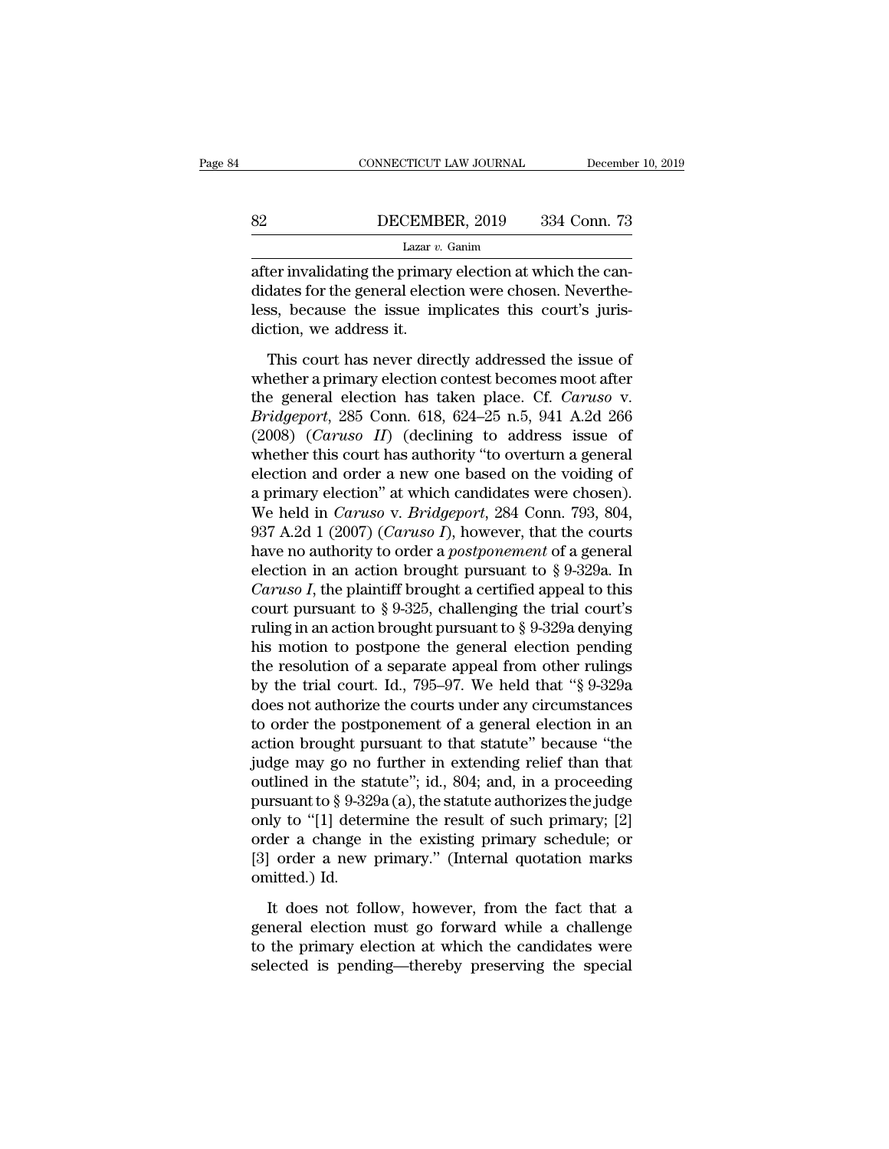### EXECUTE CONNECTICUT LAW JOURNAL December 10, 2019<br>B2 DECEMBER, 2019 334 Conn. 73<br>Lazar v. Ganim Lazar *v.* Ganim

CONNECTICUT LAW JOURNAL December<br>
Because DECEMBER, 2019 334 Conn. 73<br>
Lazar v. Ganim<br>
Lazar v. Ganim<br>
Lazar v. Ganim<br>
Lazar v. Ganim<br>
didates for the general election were chosen. Neverthe-BECEMBER, 2019 334 Conn. 73<br>
Lazar v. Ganim<br>
after invalidating the primary election at which the can-<br>
didates for the general election were chosen. Neverthe-<br>
less, because the issue implicates this court's juris-<br>
dicti Because the issue implicates this court's juris-<br>
Lazar v. Ganim<br>
Lazar v. Ganim<br>
Lazar v. Ganim<br>
didates for the general election were chosen. Neverthe-<br>
less, because the issue implicates this court's juris-<br>
diction, w  $\begin{array}{ll} \textbf{0.82} & \textbf{DECEMB} \\ \hline \\ \textbf{after invalidating the primar} \\ \textbf{didates for the general elect} \\ \textbf{less, because the issue im} \\ \textbf{diction, we address it.} \\ \textbf{This court has never dire} \end{array}$ Lazar  $v$ . Ganim<br>
ter invalidating the primary election at which the can-<br>
dates for the general election were chosen. Neverthe-<br>
ss, because the issue implicates this court's juris-<br>
tion, we address it.<br>
This court has Fraction at which the candidates for the general election were chosen. Nevertheless, because the issue implicates this court's jurisdiction, we address it.<br>This court has never directly addressed the issue of whether a pr

didates for the general election were chosen. Nevertheless, because the issue implicates this court's juris-<br>diction, we address it.<br>This court has never directly addressed the issue of<br>whether a primary election contest b *Bridgeporta execute the interests free the single designal executive* clears. This court's jurisdiction, we address it.<br> **Bridgeport** has never directly addressed the issue of whether a primary election contest becomes mo (2008) (*Caruso III*) (declining to address issue of whether a primary election contest becomes moot after the general election has taken place. Cf. *Caruso v. Bridgeport*, 285 Conn. 618, 624–25 n.5, 941 A.2d 266 (2008) This court has never directly addressed the issue of<br>whether a primary election contest becomes moot after<br>the general election has taken place. Cf. Caruso v.<br>Bridgeport, 285 Conn. 618, 624–25 n.5, 941 A.2d 266<br>(2008) (Ca This court has never directly addressed the issue of<br>whether a primary election contest becomes moot after<br>the general election has taken place. Cf. *Caruso* v.<br>*Bridgeport*, 285 Conn. 618, 624–25 n.5, 941 A.2d 266<br>(2008) whether a primary election contest becomes moot after<br>the general election has taken place. Cf. *Caruso* v.<br>*Bridgeport*, 285 Conn. 618, 624–25 n.5, 941 A.2d 266<br>(2008) (*Caruso II*) (declining to address issue of<br>whether the general election has taken place. Cf. *Caruso* v.<br>*Bridgeport*, 285 Conn. 618, 624–25 n.5, 941 A.2d 266<br>(2008) (*Caruso II*) (declining to address issue of<br>whether this court has authority "to overturn a general<br>electi *Bridgeport*, 285 Conn. 618, 624–25 n.5, 941 A.2d 266 (2008) (*Caruso II*) (declining to address issue of whether this court has authority "to overturn a general election and order a new one based on the voiding of a prima (2008) (*Caruso II*) (declining to address issue of whether this court has authority "to overturn a general election and order a new one based on the voiding of a primary election" at which candidates were chosen). We hel whether this court has authority "to overturn a general<br>election and order a new one based on the voiding of<br>a primary election" at which candidates were chosen).<br>We held in *Caruso v. Bridgeport*, 284 Conn. 793, 804,<br>937 election and order a new one based on the voiding of<br>a primary election" at which candidates were chosen).<br>We held in *Caruso v. Bridgeport*, 284 Conn. 793, 804,<br>937 A.2d 1 (2007) (*Caruso I*), however, that the courts<br>ha a primary election" at which candidates were chosen).<br>We held in *Caruso v. Bridgeport*, 284 Conn. 793, 804,<br>937 A.2d 1 (2007) (*Caruso I*), however, that the courts<br>have no authority to order a *postponement* of a genera We held in *Caruso v. Bridgeport*, 284 Conn. 793, 804, 937 A.2d 1 (2007) (*Caruso I*), however, that the courts have no authority to order a *postponement* of a general election in an action brought pursuant to § 9-329a. 937 A.2d 1 (2007) (*Caruso I*), however, that the courts<br>have no authority to order a *postponement* of a general<br>election in an action brought pursuant to § 9-329a. In<br>*Caruso I*, the plaintiff brought a certified appeal have no authority to order a *postponement* of a general<br>election in an action brought pursuant to § 9-329a. In<br>*Caruso I*, the plaintiff brought a certified appeal to this<br>court pursuant to § 9-325, challenging the trial election in an action brought pursuant to § 9-329a. In *Caruso I*, the plaintiff brought a certified appeal to this court pursuant to § 9-325, challenging the trial court's ruling in an action brought pursuant to § 9-329a Caruso I, the plaintiff brought a certified appeal to this<br>court pursuant to § 9-325, challenging the trial court's<br>ruling in an action brought pursuant to § 9-329a denying<br>his motion to postpone the general election pend court pursuant to § 9-325, challenging the trial court's<br>ruling in an action brought pursuant to § 9-329a denying<br>his motion to postpone the general election pending<br>the resolution of a separate appeal from other rulings<br> ruling in an action brought pursuant to  $\S$  9-329a denying<br>his motion to postpone the general election pending<br>the resolution of a separate appeal from other rulings<br>by the trial court. Id., 795–97. We held that " $\S$  9-32 his motion to postpone the general election pending<br>the resolution of a separate appeal from other rulings<br>by the trial court. Id., 795–97. We held that "§ 9-329a<br>does not authorize the courts under any circumstances<br>to o the resolution of a separate appeal from other rulings<br>by the trial court. Id., 795–97. We held that "§ 9-329a<br>does not authorize the courts under any circumstances<br>to order the postponement of a general election in an<br>ac by the trial court. Id., 795–97. We held that "§ 9-329a<br>does not authorize the courts under any circumstances<br>to order the postponement of a general election in an<br>action brought pursuant to that statute" because "the<br>jud does not authorize the courts under any circumstances<br>to order the postponement of a general election in an<br>action brought pursuant to that statute" because "the<br>judge may go no further in extending relief than that<br>outlin to order the postponement of a general election in an<br>action brought pursuant to that statute" because "the<br>judge may go no further in extending relief than that<br>outlined in the statute"; id., 804; and, in a proceeding<br>pu action brought pursuant to that statute" because "the judge may go no further in extending relief than that outlined in the statute"; id., 804; and, in a proceeding pursuant to  $\S 9\text{-}329a$  (a), the statute authorizes th judge may go no further in extending relief than that<br>outlined in the statute"; id., 804; and, in a proceeding<br>pursuant to § 9-329a (a), the statute authorizes the judge<br>only to "[1] determine the result of such primary; It does not follow, however, from the fact that a<br>new result of such primary; [2]<br>der a change in the existing primary schedule; or<br>a lorder a new primary." (Internal quotation marks<br>nitted.) Id.<br>It does not follow, howev only to "[1] determine the result of such primary; [2]<br>order a change in the existing primary schedule; or<br>[3] order a new primary." (Internal quotation marks<br>omitted.) Id.<br>It does not follow, however, from the fact that a

order a change in the existing primary schedule; or [3] order a new primary." (Internal quotation marks omitted.) Id.<br>It does not follow, however, from the fact that a general election must go forward while a challenge to [3] order a new primary." (Internal quotation marks omitted.) Id.<br>It does not follow, however, from the fact that a general election must go forward while a challenge<br>to the primary election at which the candidates were<br>se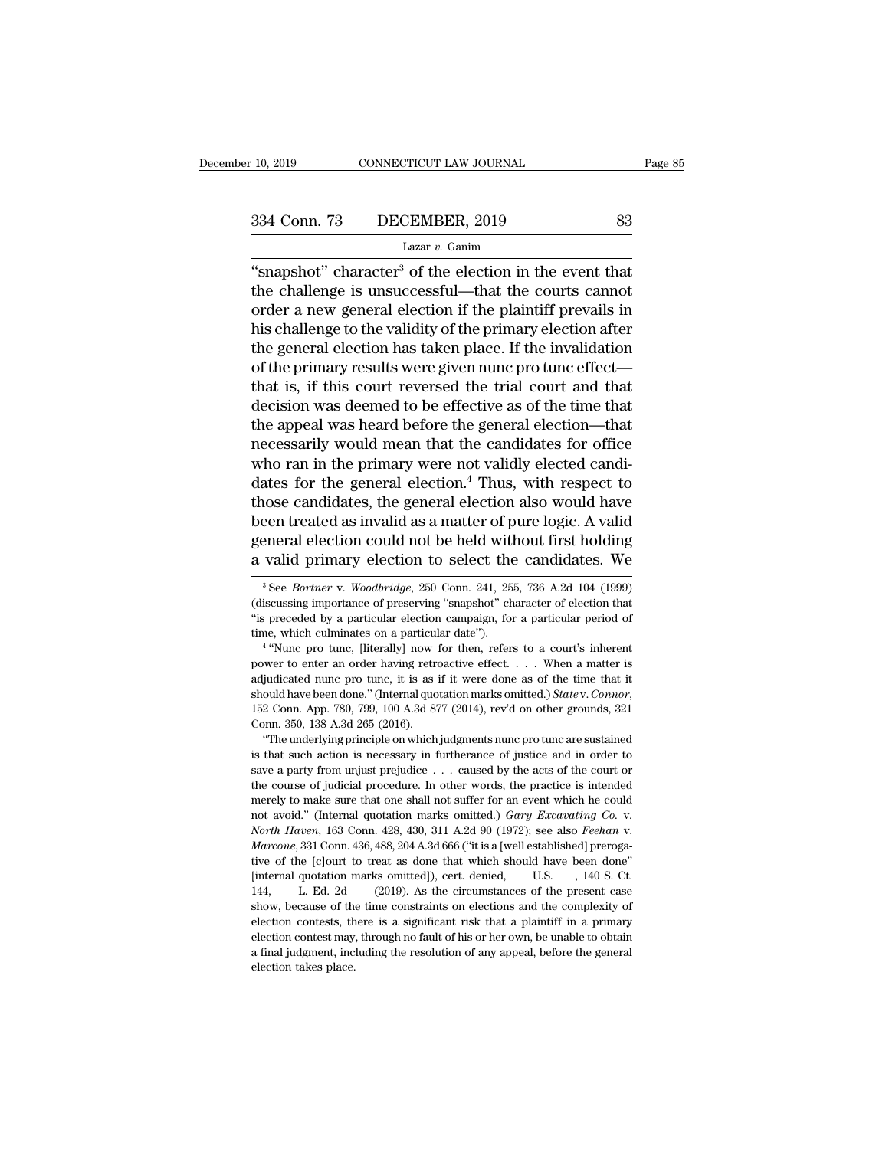<sup>10, 2019</sup> CONNECTICUT LAW JOURNAL Page 8<br>
334 Conn. 73 DECEMBER, 2019 83<br>
Lazar v. Ganim<br>
"snapshot" character<sup>3</sup> of the election in the event that<br>
the challenge is unsuccessful—that the courts cannot<br>
order a now genera 334 Conn. 73 DECEMBER, 2019 83<br>
Lazar v. Ganim<br>
"snapshot" character<sup>3</sup> of the election in the event that<br>
the challenge is unsuccessful—that the courts cannot<br>
order a new general election if the plaintiff prevails in<br>
h 334 Conn. 73 DECEMBER, 2019 83<br>
Lazar v. Ganim<br>
"snapshot" character<sup>3</sup> of the election in the event that<br>
the challenge is unsuccessful—that the courts cannot<br>
order a new general election if the plaintiff prevails in<br>
h 334 Conn. 73 DECEMBER, 2019 83<br>  $\frac{1}{2}$  Lazar v. Ganim<br>
"snapshot" character<sup>3</sup> of the election in the event that<br>
the challenge is unsuccessful—that the courts cannot<br>
order a new general election if the plaintiff prev Lazar v. Ganim<br>
"snapshot" character<sup>3</sup> of the election in the event that<br>
the challenge is unsuccessful—that the courts cannot<br>
order a new general election if the plaintiff prevails in<br>
his challenge to the validity of  $\frac{1}{2}$  the election in the event that<br>
"snapshot" character<sup>3</sup> of the election in the event that<br>
the challenge is unsuccessful—that the courts cannot<br>
order a new general election if the plaintiff prevails in<br>
his cha "snapshot" character" of the election in the event that<br>the challenge is unsuccessful—that the courts cannot<br>order a new general election if the plaintiff prevails in<br>his challenge to the validity of the primary election the challenge is unsuccessful—that the courts cannot<br>order a new general election if the plaintiff prevails in<br>his challenge to the validity of the primary election after<br>the general election has taken place. If the invali order a new general election if the plaintiff prevails in<br>his challenge to the validity of the primary election after<br>the general election has taken place. If the invalidation<br>of the primary results were given nunc pro tun his challenge to the validity of the primary election after<br>the general election has taken place. If the invalidation<br>of the primary results were given nunc pro tunc effect—<br>that is, if this court reversed the trial court the general election has taken place. If the invalidation<br>of the primary results were given nunc pro tunc effect—<br>that is, if this court reversed the trial court and that<br>decision was deemed to be effective as of the time of the primary results were given nunc pro tunc effect—<br>that is, if this court reversed the trial court and that<br>decision was deemed to be effective as of the time that<br>the appeal was heard before the general election—that that is, if this court reversed the trial court and that<br>decision was deemed to be effective as of the time that<br>the appeal was heard before the general election—that<br>necessarily would mean that the candidates for office<br>w decision was deemed to be effective as of the time that<br>the appeal was heard before the general election—that<br>necessarily would mean that the candidates for office<br>who ran in the primary were not validly elected candi-<br>dat the appeal was heard before the general election—that<br>necessarily would mean that the candidates for office<br>who ran in the primary were not validly elected candi-<br>dates for the general election.<sup>4</sup> Thus, with respect to<br>th necessarily would mean that the candidates for office<br>who ran in the primary were not validly elected candi-<br>dates for the general election.<sup>4</sup> Thus, with respect to<br>those candidates, the general election also would have<br> 10086 candidates, the general election also would have<br>
2010 een treated as invalid as a matter of pure logic. A valid<br>
2010 eneral election could not be held without first holding<br>
2011 valid primary election to select th been treated as invalid as a matter of pure logic. A valid general election could not be held without first holding a valid primary election to select the candidates. We  $\frac{1}{\sqrt{2}}$  See *Bortner* v. *Woodbridge*, 250 Con

general election could not be held without first holding<br>a valid primary election to select the candidates. We<br><sup>3</sup>See *Bortner* v. *Woodbridge*, 250 Conn. 241, 255, 736 A.2d 104 (1999)<br>(discussing importance of preserving a valid primary election to select the candidates. We<br>
<sup>3</sup> See *Bortner* v. *Woodbridge*, 250 Conn. 241, 255, 736 A.2d 104 (1999)<br>
(discussing importance of preserving "snapshot" character of election that<br>
"is preceded b See *Bortner* v. *Woodbridge*, 250 Conn. 241, 255, 736 A.2d 104 (1999) equality in the *See Bortner* v. *Woodbridge*, 250 Conn. 241, 255, 736 A.2d 104 (1999) equasing importance of preserving "snapshot" character of electi <sup>3</sup> See *Bortner* v. *Woodbridge*, 250 Conn. 241, 255, 736 A.2d 104 (1999) (discussing importance of preserving "snapshot" character of election that "is preceded by a particular election campaign, for a particular period

<sup>(</sup>discussing importance of preserving "snapshot" character of election that "is preceded by a particular election campaign, for a particular period of time, which culminates on a particular date").<br>
<sup>4</sup> "Nunc pro tunc, [li <sup>st</sup> is preceded by a particular election campaign, for a particular period of time, which culminates on a particular date").<br>
<sup>4</sup> "Nunc pro tunc, [literally] now for then, refers to a court's inherent power to enter an or <sup>4</sup> "Nunc pro tunc, [literally] now i<br>
power to enter an order having retreadjudicated nunc pro tunc, it is as i<br>
should have been done." (Internal quo<br>
152 Conn. App. 780, 799, 100 A.3d 87<br>
Conn. 350, 138 A.3d 265 (2016). From the proton of the underlying prefroactive effect.  $\ldots$  When a matter is giudicated nunc pro tunc, it is as if it were done as of the time that it ould have been done." (Internal quotation marks omitted.) *State* v. adjudicated nunc pro tune, it is as if it were done as of the time that it adjudicated nunc pro tune, it is as if it were done as of the time that it should have been done." (Internal quotation marks omitted.) *State v. C* 

assolution above been done." (Internal quotation marks omitted.) *State v. Connor*, 152 Conn. App. 780, 799, 100 A.3d 877 (2014), rev'd on other grounds, 321 Conn. 350, 138 A.3d 265 (2016).<br>
"The underlying principle on w 152 Conn. App. 780, 799, 100 A.3d 877 (2014), rev'd on other grounds, 321 Conn. 350, 138 A.3d 265 (2016).<br>
"The underlying principle on which judgments nunc pro tunc are sustained<br>
is that such action is necessary in furt Conn. 350, 138 A.3d 265 (2016).<br>
"The underlying principle on which judgments nunc pro tunc are sustained<br>
is that such action is necessary in furtherance of justice and in order to<br>
save a party from unjust prejudice . . "The underlying principle on which judgments nunc pro tunc are sustained<br>is that such action is necessary in furtherance of justice and in order to<br>save a party from unjust prejudice . . . caused by the acts of the court the course of judicial procedure. In other words, the practice is intended merely to make sure that one shall not suffer for an event which he could not avoid." (Internal quotation marks omitted.) *Gary Excavating Co. v.* merely to make sure that one shall not suffer for an event which he could not avoid." (Internal quotation marks omitted.) *Gary Excavating Co.* v. *North Haven*, 163 Conn. 428, 430, 311 A.2d 90 (1972); see also *Feehan* v. not avoid." (Internal quotation marks omitted.) *Gary Excavating Co. v.*<br>North Haven, 163 Conn. 428, 430, 311 A.2d 90 (1972); see also *Feehan v.*<br>Marcone, 331 Conn. 436, 488, 204 A.3d 666 ("it is a [well established] pre North Haven, 163 Conn. 428, 430, 311 A.2d 90 (1972); see also *Feehan v.* Marcone, 331 Conn. 436, 488, 204 A.3d 666 ("it is a [well established] prerogative of the [c]ourt to treat as done that which should have been done Marcone, 331 Conn. 436, 488, 204 A.3d 666 ("it is a [well established] prerogative of the [c]ourt to treat as done that which should have been done" [internal quotation marks omitted]), cert. denied, U.S. , 140 S. Ct. 144, Five of the [c]ourt to treat as done that which should have been done" [internal quotation marks omitted]), cert. denied, U.S. , 140 S. Ct. 144, L. Ed. 2d (2019). As the circumstances of the present case show, because of Final quotation marks omitted]), cert. denied, U.S. , 140 S. Ct.<br>144, L. Ed. 2d (2019). As the circumstances of the present case<br>show, because of the time constraints on elections and the complexity of<br>election contests, t show, because of the time constraints on elections and the complexity of election contests, there is a significant risk that a plaintiff in a primary election contest may, through no fault of his or her own, be unable to o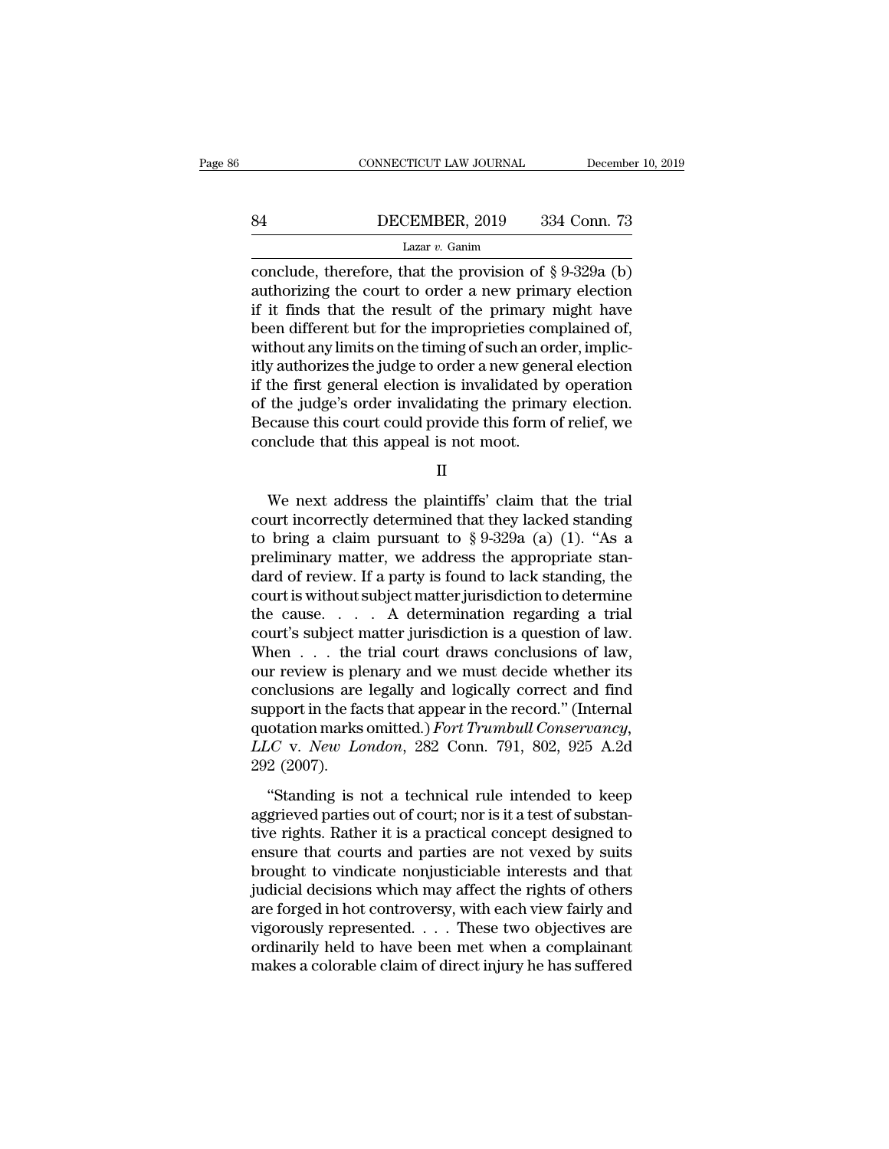### EXECUTE CONNECTICUT LAW JOURNAL December 10, 2019<br>B4 DECEMBER, 2019 334 Conn. 73<br>Lazar v. Ganim Lazar *v.* Ganim

CONNECTICUT LAW JOURNAL December 10, 2019<br>
B4 DECEMBER, 2019 334 Conn. 73<br>
Lazar v. Ganim<br>
Conclude, therefore, that the provision of § 9-329a (b)<br>
authorizing the court to order a new primary election<br>
if it finds that t B4 DECEMBER, 2019 334 Conn. 73<br>
Lazar v. Ganim<br>
conclude, therefore, that the provision of § 9-329a (b)<br>
authorizing the court to order a new primary election<br>
if it finds that the result of the primary might have<br>
been d EXEMBER, 2019 334 Conn. 73<br>
Lazar v. Ganim<br>
conclude, therefore, that the provision of § 9-329a (b)<br>
authorizing the court to order a new primary election<br>
if it finds that the result of the primary might have<br>
been diffe Been different but for the impropriation of  $\S 9-329a$  (b)<br>authorizing the court to order a new primary election<br>if it finds that the result of the primary might have<br>been different but for the improprieties complained of Lazar v. Ganim<br>Lazar v. Ganim<br>conclude, therefore, that the provision of § 9-329a (b)<br>authorizing the court to order a new primary election<br>if it finds that the result of the primary might have<br>been different but for the Lazar v. Ganm<br>
conclude, therefore, that the provision of § 9-329a (b)<br>
authorizing the court to order a new primary election<br>
if it finds that the result of the primary might have<br>
been different but for the improprietie conclude, therefore, that the provision of  $\S$  9-329a (b) authorizing the court to order a new primary election<br>if it finds that the result of the primary might have<br>been different but for the improprieties complained of, authorizing the court to order a new primary election<br>if it finds that the result of the primary might have<br>been different but for the improprieties complained of,<br>without any limits on the timing of such an order, implicif it finds that the result of the primary might have<br>been different but for the improprieties complained of,<br>without any limits on the timing of such an order, implic-<br>itly authorizes the judge to order a new general elec been different but for the improprieties com<br>without any limits on the timing of such an or<br>itly authorizes the judge to order a new genes<br>if the first general election is invalidated by<br>of the judge's order invalidating t the first general election is invalidated by operation<br>the judge's order invalidating the primary election.<br>ecause this court could provide this form of relief, we<br>nclude that this appeal is not moot.<br> $II$ <br>We next address

II

of the judge's order invalidating the primary election.<br>
Because this court could provide this form of relief, we<br>
conclude that this appeal is not moot.<br>
II<br>
We next address the plaintiffs' claim that the trial<br>
court in Because this court could provide this form of relief, we<br>conclude that this appeal is not moot.<br> $II$ <br>We next address the plaintiffs' claim that the trial<br>court incorrectly determined that they lacked standing<br>to bring a cl conclude that this appeal is not moot.<br>
II<br>
We next address the plaintiffs' claim that the trial<br>
court incorrectly determined that they lacked standing<br>
to bring a claim pursuant to  $\S 9-329a$  (a) (1). "As a<br>
preliminary II<br>We next address the plaintiffs' claim that the trial<br>court incorrectly determined that they lacked standing<br>to bring a claim pursuant to § 9-329a (a) (1). "As a<br>preliminary matter, we address the appropriate stan-<br>dard We next address the plaintiffs' claim that the trial<br>court incorrectly determined that they lacked standing<br>to bring a claim pursuant to  $\S 9{\text -}329a$  (a) (1). "As a<br>preliminary matter, we address the appropriate stan-<br>da We next address the plaintiffs' claim that the trial<br>court incorrectly determined that they lacked standing<br>to bring a claim pursuant to  $\S 9{\text -}329a$  (a) (1). "As a<br>preliminary matter, we address the appropriate stan-<br>da court incorrectly determined that they lacked standing<br>to bring a claim pursuant to § 9-329a (a) (1). "As a<br>preliminary matter, we address the appropriate stan-<br>dard of review. If a party is found to lack standing, the<br>co to bring a claim pursuant to § 9-329a (a) (1). "As a<br>preliminary matter, we address the appropriate stan-<br>dard of review. If a party is found to lack standing, the<br>court is without subject matter jurisdiction to determine preliminary matter, we address the appropriate standard of review. If a party is found to lack standing, the court is without subject matter jurisdiction to determine the cause. . . . . A determination regarding a trial co dard of review. If a party is found to lack standing, the<br>court is without subject matter jurisdiction to determine<br>the cause. . . . . A determination regarding a trial<br>court's subject matter jurisdiction is a question of court is without subject matter jurisdiction to determine<br>the cause.... A determination regarding a trial<br>court's subject matter jurisdiction is a question of law.<br>When ... the trial court draws conclusions of law,<br>our re the cause. . . . . A determination regarding a trial<br>court's subject matter jurisdiction is a question of law.<br>When . . . the trial court draws conclusions of law,<br>our review is plenary and we must decide whether its<br>concl court's subject matter jurisdiction is a question of law.<br>When . . . the trial court draws conclusions of law,<br>our review is plenary and we must decide whether its<br>conclusions are legally and logically correct and find<br>sup When . . . the<br>our review is ple<br>conclusions are<br>support in the fa<br>quotation marks<br>LLC v. New Lo<br>292 (2007).<br>"Standing is r The referred is presently and we mass declare wheater as<br>
nelusions are legally and logically correct and find<br>
pport in the facts that appear in the record." (Internal<br>
otation marks omitted.) Fort Trumbull Conservancy,<br> support in the facts that appear in the record." (Internal<br>support in the facts that appear in the record." (Internal<br>quotation marks omitted.) Fort Trumbull Conservancy,<br>LLC v. New London, 282 Conn. 791, 802, 925 A.2d<br>292

support in the rates and appear in the record. (Internation marks omitted.) Fort Trumbull Conservancy, LLC v. New London, 282 Conn. 791, 802, 925 A.2d 292 (2007).<br>
"Standing is not a technical rule intended to keep aggriev LLC v. New London, 282 Conn. 791, 802, 925 A.2d<br>292 (2007).<br>"Standing is not a technical rule intended to keep<br>aggrieved parties out of court; nor is it a test of substan-<br>tive rights. Rather it is a practical concept des  $292 (2007)$ .<br>
"Standing is not a technical rule intended to keep<br>
aggrieved parties out of court; nor is it a test of substan-<br>
tive rights. Rather it is a practical concept designed to<br>
ensure that courts and parties are "Standing is not a technical rule intended to keep<br>aggrieved parties out of court; nor is it a test of substan-<br>tive rights. Rather it is a practical concept designed to<br>ensure that courts and parties are not vexed by sui "Standing is not a technical rule intended to keep<br>aggrieved parties out of court; nor is it a test of substan-<br>tive rights. Rather it is a practical concept designed to<br>ensure that courts and parties are not vexed by sui aggrieved parties out of court; nor is it a test of substantive rights. Rather it is a practical concept designed to ensure that courts and parties are not vexed by suits brought to vindicate nonjusticiable interests and t tive rights. Rather it is a practical concept designed to<br>ensure that courts and parties are not vexed by suits<br>brought to vindicate nonjusticiable interests and that<br>judicial decisions which may affect the rights of other ensure that courts and parties are not vexed by suits<br>brought to vindicate nonjusticiable interests and that<br>judicial decisions which may affect the rights of others<br>are forged in hot controversy, with each view fairly and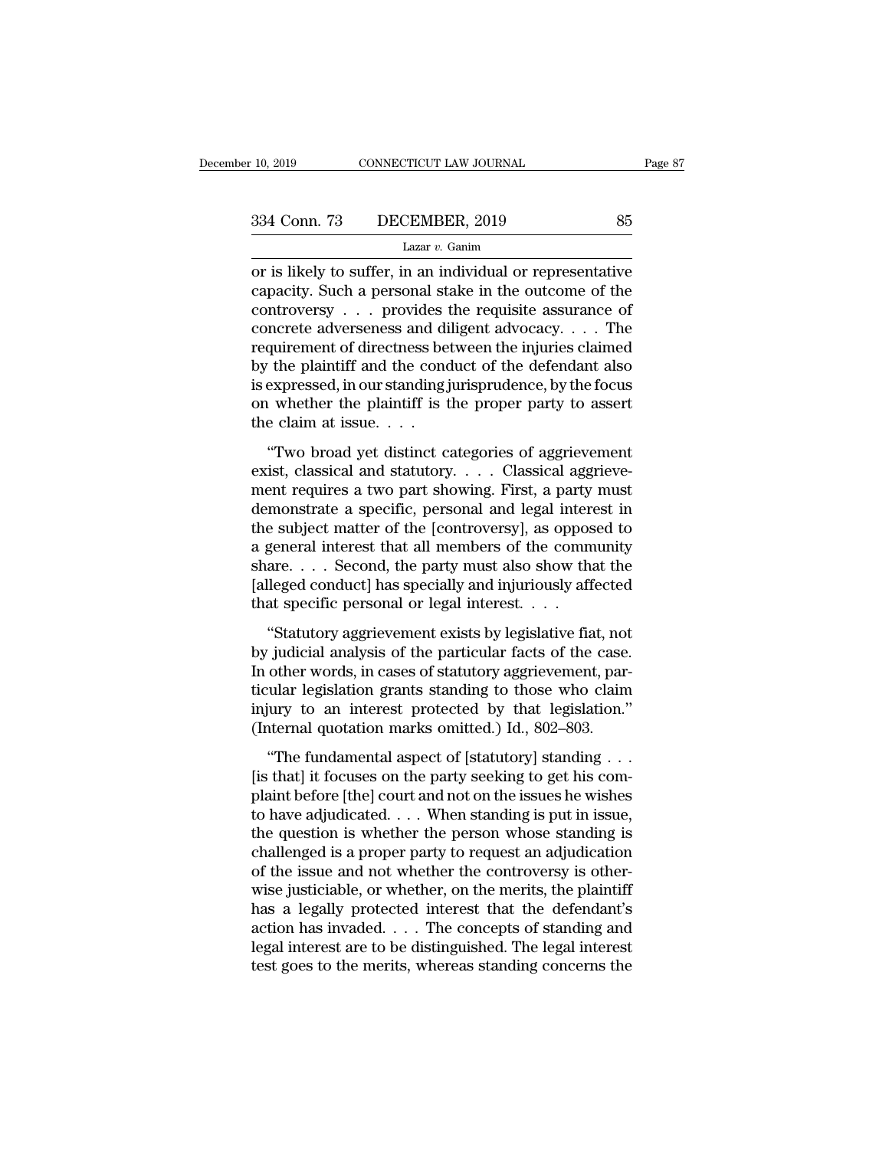10, 2019 CONNECTICUT LAW JOURNAL Page 87<br>
334 Conn. 73 DECEMBER, 2019 85<br>
Lazar v. Ganim<br>
or is likely to suffer, in an individual or representative<br>
capacity. Such a personal stake in the outcome of the<br>
controvery 334 Conn. 73 DECEMBER, 2019 85<br>
Lazar v. Ganim<br>
or is likely to suffer, in an individual or representative<br>
capacity. Such a personal stake in the outcome of the<br>
controversy . . . provides the requisite assurance of<br>
con 334 Conn. 73 DECEMBER, 2019 85<br>
Lazar v. Ganim<br>
or is likely to suffer, in an individual or representative<br>
capacity. Such a personal stake in the outcome of the<br>
controversy . . . provides the requisite assurance of<br>
con 334 Conn. 73 DECEMBER, 2019 85<br>
Lazar v. Ganim<br>
or is likely to suffer, in an individual or representative<br>
capacity. Such a personal stake in the outcome of the<br>
controversy . . . provides the requisite assurance of<br>
con Lazar v. Ganim<br>
Lazar v. Ganim<br>
or is likely to suffer, in an individual or representative<br>
capacity. Such a personal stake in the outcome of the<br>
controversy . . . provides the requisite assurance of<br>
concrete adversenes Lazar v. Ganm<br>
or is likely to suffer, in an individual or representative<br>
capacity. Such a personal stake in the outcome of the<br>
controversy . . . provides the requisite assurance of<br>
concrete adverseness and diligent ad or is likely to suffer, in an individual or representative<br>capacity. Such a personal stake in the outcome of the<br>controversy . . . provides the requisite assurance of<br>concrete adverseness and diligent advocacy. . . . The<br>r capacity. Such a personal stake in the outcome of the controversy . . . provides the requisite assurance of concrete adverseness and diligent advocacy. . . . The requirement of directness between the injuries claimed by t controversy . . . . provides t<br>concrete adverseness and di<br>requirement of directness be<br>by the plaintiff and the cond<br>is expressed, in our standing j<br>on whether the plaintiff is t<br>the claim at issue. . . . .<br>"Two broad yet There is also distinct and different and different of directness between the injuries claimed<br>  $\alpha$  the plaintiff and the conduct of the defendant also<br>  $\alpha$  whether the plaintiff is the proper party to assert<br>  $\alpha$  the c by the plaintiff and the conduct of the defendant also<br>is expressed, in our standing jurisprudence, by the focus<br>on whether the plaintiff is the proper party to assert<br>the claim at issue. . . .<br>"Two broad yet distinct cate

 $\mathbf{E}_{\mathbf{S}}$  are plant that are conduct of the detendant disomination is expressed, in our standing jurisprudence, by the focus on whether the plaintiff is the proper party to assert the claim at issue.  $\ldots$  "Two broad demonstrate a specific, personal and legal interest in the subject means of a specific, personal and statutory  $\ldots$  Classical and statutory  $\ldots$  Classical and statutory  $\ldots$  Classical and statutory  $\ldots$  Classical and the claim at issue.  $\ldots$ <br>
"Two broad yet distinct categories of aggrievement<br>
exist, classical and statutory.  $\ldots$  Classical aggrieve-<br>
ment requires a two part showing. First, a party must<br>
demonstrate a specific, pers "Two broad yet distinct categories of aggrievement<br>exist, classical and statutory.... Classical aggrieve-<br>ment requires a two part showing. First, a party must<br>demonstrate a specific, personal and legal interest in<br>the su "Two broad yet distinct categories of aggrievement<br>exist, classical and statutory. . . . Classical aggrieve-<br>ment requires a two part showing. First, a party must<br>demonstrate a specific, personal and legal interest in<br>the exist, classical and statutory. . . . Classical aggrieve-<br>ment requires a two part showing. First, a party must<br>demonstrate a specific, personal and legal interest in<br>the subject matter of the [controversy], as opposed to<br> ment requires a two part showing. First, a party<br>demonstrate a specific, personal and legal inter<br>the subject matter of the [controversy], as oppos<br>a general interest that all members of the comm<br>share. . . . Second, the p Increased a specific, personal and regal interest in<br>
e subject matter of the [controversy], as opposed to<br>
general interest that all members of the community<br>
are.... Second, the party must also show that the<br>
lleged cond are subject matter of the [controversy], as opposed to<br>a general interest that all members of the community<br>share.... Second, the party must also show that the<br>[alleged conduct] has specially and injuriously affected<br>that

In our contribution of the commands<br>
share.... Second, the party must also show that the<br>
[alleged conduct] has specially and injuriously affected<br>
that specific personal or legal interest....<br>
"Statutory aggrievement exis [alleged conduct] has specially and injuriously affected<br>that specific personal or legal interest.  $\dots$ <br>"Statutory aggrievement exists by legislative fiat, not<br>by judicial analysis of the particular facts of the case.<br>In function conductly has spectarly that hydrodary affected that specific personal or legal interest.  $\ldots$ .<br>
"Statutory aggrievement exists by legislative fiat, not by judicial analysis of the particular facts of the case.<br> "Statutory aggrievement exists by legislative fiat, not<br>by judicial analysis of the particular facts of the case.<br>In other words, in cases of statutory aggrievement, par-<br>ticular legislation grants standing to those who c ''The fundamental aspect of [statutory] standing to the case.<br>
other words, in cases of statutory aggrievement, par-<br>
cular legislation grants standing to those who claim<br>
iury to an interest protected by that legislation by judicial dialysis of the particular facts of the case.<br>In other words, in cases of statutory aggrievement, par-<br>ticular legislation grants standing to those who claim<br>injury to an interest protected by that legislation.

m oater words, in cases of statutory aggreventent, particular legislation grants standing to those who claim<br>injury to an interest protected by that legislation."<br>(Internal quotation marks omitted.) Id., 802–803.<br>"The fun injury to an interest protected by that legislation."<br>(Internal quotation marks omitted.) Id., 802–803.<br>"The fundamental aspect of [statutory] standing . . .<br>[is that] it focuses on the party seeking to get his com-<br>plain The fundamental aspect of statutory standing (Internal quotation marks omitted.) Id., 802–803.<br>
"The fundamental aspect of [statutory] standing . . .<br>
[is that] it focuses on the party seeking to get his complaint before "The fundamental aspect of [statutory] standing  $\ldots$ <br>[is that] it focuses on the party seeking to get his com-<br>plaint before [the] court and not on the issues he wishes<br>to have adjudicated.  $\ldots$  When standing is put in "The fundamental aspect of [statutory] standing  $\ldots$ <br>[is that] it focuses on the party seeking to get his com-<br>plaint before [the] court and not on the issues he wishes<br>to have adjudicated.  $\ldots$  When standing is put in [is that] it focuses on the party seeking to get his complaint before [the] court and not on the issues he wishes<br>to have adjudicated. . . . When standing is put in issue,<br>the question is whether the person whose standing plaint before [the] court and not on the issues he wishes<br>to have adjudicated. . . . When standing is put in issue,<br>the question is whether the person whose standing is<br>challenged is a proper party to request an adjudicati to have adjudicated. . . . When standing is put in issue,<br>the question is whether the person whose standing is<br>challenged is a proper party to request an adjudication<br>of the issue and not whether the controversy is otherthe question is whether the person whose standing is<br>challenged is a proper party to request an adjudication<br>of the issue and not whether the controversy is other-<br>wise justiciable, or whether, on the merits, the plaintiff challenged is a proper party to request an adjudication<br>of the issue and not whether the controversy is other-<br>wise justiciable, or whether, on the merits, the plaintiff<br>has a legally protected interest that the defendant'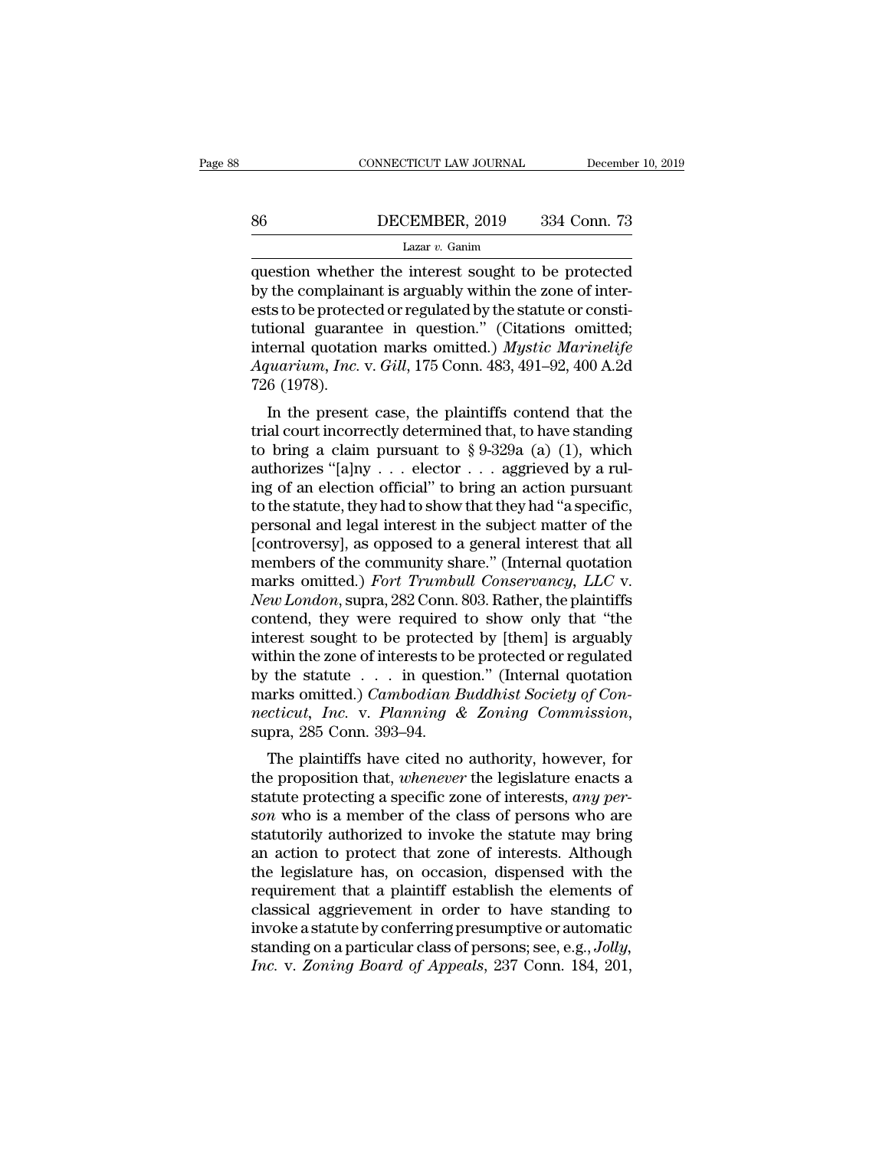# EXECUTE CONNECTICUT LAW JOURNAL December 10, 2019<br>B6 DECEMBER, 2019 334 Conn. 73<br>Lazar v. Ganim

### Lazar *v.* Ganim

 $\begin{tabular}{ll} \multicolumn{2}{l}{{\small \textbf{COMPECTCUT LAW JOURNAL}}} & \multicolumn{2}{l}{December 10, 2019} \\ \hline & \multicolumn{2}{l}{\small \textbf{BECEMBER, 2019}} & \multicolumn{2}{l}{334} & \textbf{Conn. 73} \\ \hline & \multicolumn{2}{l}{\small \textbf{Lazar } v. Ganim} \\ \hline \end{tabular}$ Better BECEMBER, 2019 334 Conn. 73<br>
Lazar v. Ganim<br>
question whether the interest sought to be protected<br>
by the complainant is arguably within the zone of inter-<br>
ests to be protected or regulated by the statute or consti EXEMBER, 2019 334 Conn. 73<br>
Lazar v. Ganim<br>
question whether the interest sought to be protected<br>
by the complainant is arguably within the zone of inter-<br>
ests to be protected or regulated by the statute or consti-<br>
tuti EXEMBER, 2019 334 Conn. 73<br>
Lazar v. Ganim<br>
question whether the interest sought to be protected<br>
by the complainant is arguably within the zone of inter-<br>
ests to be protected or regulated by the statute or consti-<br>
tuti Lazar v. Ganim<br>Lazar v. Ganim<br>question whether the interest sought to be protected<br>by the complainant is arguably within the zone of inter-<br>ests to be protected or regulated by the statute or consti-<br>tutional guarantee in Lazar *v*. Ganim<br>question whether the interest sought to be protected<br>by the complainant is arguably within the zone of inter-<br>ests to be protected or regulated by the statute or consti-<br>tutional guarantee in question." (C question whethe<br>by the complaina<br>ests to be protect<br>tutional guarant<br>internal quotatic<br>Aquarium, Inc.<br>726 (1978).<br>In the presen In the complainant is arguably whill the zone of inter-<br>
Its to be protected or regulated by the statute or consti-<br>
Itional guarantee in question." (Citations omitted;<br>
ternal quotation marks omitted.) Mystic Marinelife<br> tutional guarantee in question." (Citations omitted;<br>internal quotation marks omitted.) Mystic Marinelife<br>Aquarium, Inc. v. Gill, 175 Conn. 483, 491–92, 400 A.2d<br>726 (1978).<br>In the present case, the plaintiffs contend tha

tutional guarantee in question. (Chations onlitted,<br>internal quotation marks omitted.) Mystic Marinelife<br>Aquarium, Inc. v. Gill, 175 Conn. 483, 491–92, 400 A.2d<br>726 (1978).<br>In the present case, the plaintiffs contend that Aquarium, Inc. v. Gill, 175 Conn. 483, 491–92, 400 A.2d<br>
726 (1978).<br>
In the present case, the plaintiffs contend that the<br>
trial court incorrectly determined that, to have standing<br>
to bring a claim pursuant to § 9-329a Equation,  $m$ ,  $m$ .  $\sim$  04,  $\sim$  175 Coluli. 465, 491–92, 400 A.2d 726 (1978).<br>
In the present case, the plaintiffs contend that the trial court incorrectly determined that, to have standing to bring a claim pursuant to The status of the plaintiffs contend that the trial court incorrectly determined that, to have standing to bring a claim pursuant to  $\S 9-329a$  (a) (1), which authorizes "[a]ny . . . elector . . . aggrieved by a ruling of In the present case, the plaintiffs contend that the<br>trial court incorrectly determined that, to have standing<br>to bring a claim pursuant to § 9-329a (a) (1), which<br>authorizes "[a]ny . . . elector . . . aggrieved by a rultrial court incorrectly determined that, to have standing<br>to bring a claim pursuant to § 9-329a (a) (1), which<br>authorizes "[a]ny . . . elector . . . aggrieved by a rul-<br>ing of an election official" to bring an action purs to bring a claim pursuant to § 9-329a (a) (1), which<br>authorizes "[a]ny . . . elector . . . aggrieved by a rul-<br>ing of an election official" to bring an action pursuant<br>to the statute, they had to show that they had "a spe authorizes "[a]ny . . . elector . . . aggrieved by a rul-<br>ing of an election official" to bring an action pursuant<br>to the statute, they had to show that they had "a specific,<br>personal and legal interest in the subject matt ing of an election official" to bring an action pursuant<br>to the statute, they had to show that they had "a specific,<br>personal and legal interest in the subject matter of the<br>[controversy], as opposed to a general interest to the statute, they had to show that they had "a specific,<br>personal and legal interest in the subject matter of the<br>[controversy], as opposed to a general interest that all<br>members of the community share." (Internal quota personal and legal interest in the subject matter of the [controversy], as opposed to a general interest that all<br>members of the community share." (Internal quotation<br>marks omitted.) *Fort Trumbull Conservancy, LLC* v.<br>*Ne* [controversy], as opposed to a general interest that all<br>members of the community share." (Internal quotation<br>marks omitted.) *Fort Trumbull Conservancy*, *LLC* v.<br>*New London*, supra, 282 Conn. 803. Rather, the plaintiff members of the community share." (Internal quotation<br>marks omitted.) *Fort Trumbull Conservancy*, *LLC* v.<br>*New London*, supra, 282 Conn. 803. Rather, the plaintiffs<br>contend, they were required to show only that "the<br>inter marks omitted.) *Fort Trumbull Conservancy, LLC* v.<br> *New London*, supra, 282 Conn. 803. Rather, the plaintiffs<br>
contend, they were required to show only that "the<br>
interest sought to be protected by [them] is arguably<br>
wi *New London*, supra, 282 Conn. 803. Rather, the plaintiffs contend, they were required to show only that "the interest sought to be protected by [them] is arguably within the zone of interests to be protected or regulated The plaintiffs have cited no authority, however, for<br>errors being professed or regulated<br>the statute . . . in question." (Internal quotation<br>arks omitted.) Cambodian Buddhist Society of Con-<br>cticut, Inc. v. Planning & Zon by the statute . . . in question." (Internal quotation<br>harks omitted.) *Cambodian Buddhist Society of Con-*<br>*necticut, Inc.* v. *Planning & Zoning Commission*,<br>supra, 285 Conn. 393–94.<br>The plaintiffs have cited no authori

by the statute between the question. (Internal quotation<br>marks omitted.) Cambodian Buddhist Society of Con-<br>necticut, *Inc.* v. Planning & Zoning Commission,<br>supra, 285 Conn. 393–94.<br>The plaintiffs have cited no authority, *soluted.) Cambodian Buddhist Society of Connecticut, Inc. v. Planning & Zoning Commission,*<br>supra, 285 Conn. 393–94.<br>The plaintiffs have cited no authority, however, for<br>the proposition that, *whenever* the legislature en mettical, The. v. Talling a Zohthy Commission,<br>supra, 285 Conn. 393–94.<br>The plaintiffs have cited no authority, however, for<br>the proposition that, whenever the legislature enacts a<br>statute protecting a specific zone of int supra, 285 Colul. 385–84.<br>
The plaintiffs have cited no authority, however, for<br>
the proposition that, *whenever* the legislature enacts a<br>
statute protecting a specific zone of interests, *any per-*<br>
son who is a member The plaintiffs have cited no authority, however, for<br>the proposition that, *whenever* the legislature enacts a<br>statute protecting a specific zone of interests, *any per-*<br>son who is a member of the class of persons who are the proposition that, *whenever* the legislature enacts a<br>statute protecting a specific zone of interests, *any per-*<br>son who is a member of the class of persons who are<br>statutorily authorized to invoke the statute may bri statute protecting a specific zone of interests, *any person* who is a member of the class of persons who are statutorily authorized to invoke the statute may bring an action to protect that zone of interests. Although th son who is a member of the class of persons who are<br>statutorily authorized to invoke the statute may bring<br>an action to protect that zone of interests. Although<br>the legislature has, on occasion, dispensed with the<br>requirem statutorily authorized to invoke the statute may bring<br>an action to protect that zone of interests. Although<br>the legislature has, on occasion, dispensed with the<br>requirement that a plaintiff establish the elements of<br>class an action to protect that zone of interests. Although<br>the legislature has, on occasion, dispensed with the<br>requirement that a plaintiff establish the elements of<br>classical aggrievement in order to have standing to<br>invoke a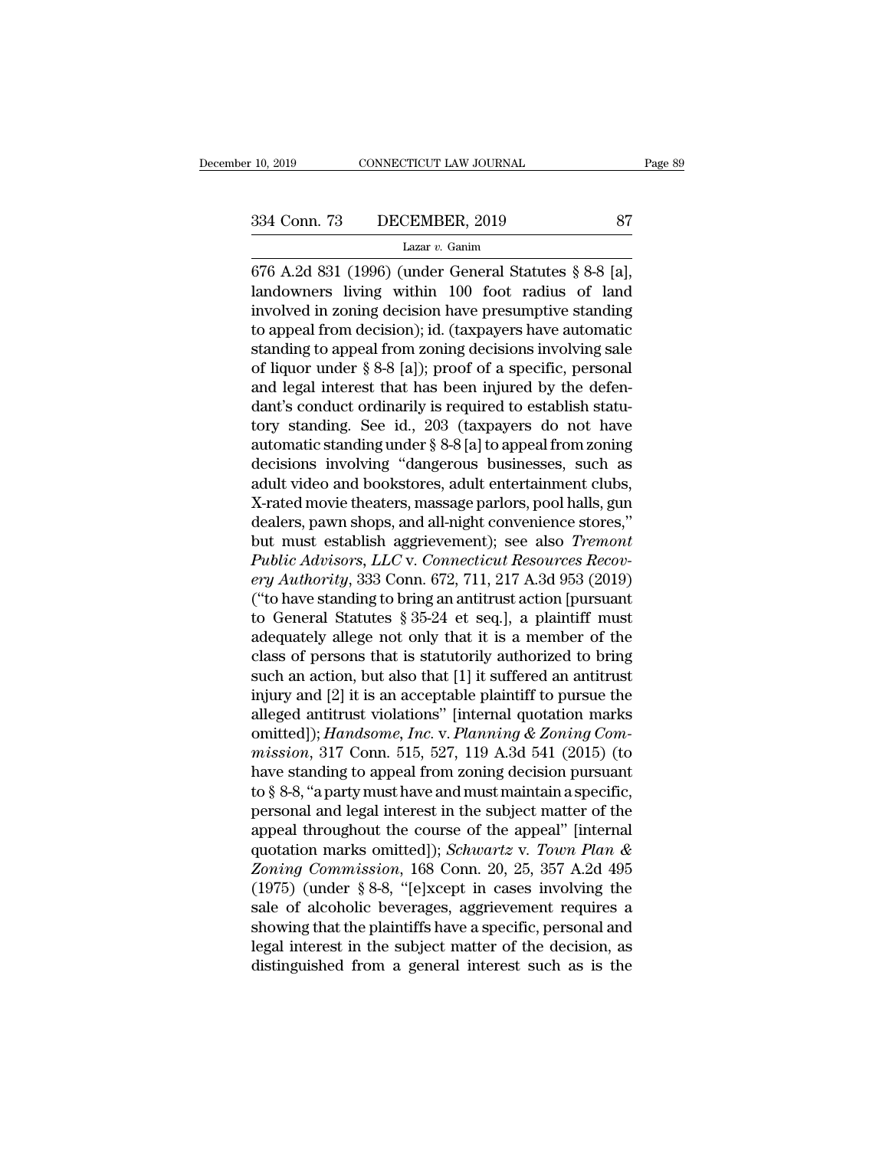Fage CONNECTICUT LAW JOURNAL Page<br>
334 Conn. 73 DECEMBER, 2019 87<br>
Lazar v. Ganim<br>
676 A.2d 831 (1996) (under General Statutes § 8-8 [a],<br>
landowners living within 100 foot radius of land<br>
involved in zoning decision have 334 Conn. 73 DECEMBER, 2019 87<br>
Lazar v. Ganim<br>
676 A.2d 831 (1996) (under General Statutes § 8-8 [a],<br>
landowners living within 100 foot radius of land<br>
involved in zoning decision have presumptive standing<br>
to appeal fr 334 Conn. 73 DECEMBER, 2019 87<br>
Lazar v. Ganim<br>
676 A.2d 831 (1996) (under General Statutes § 8-8 [a],<br>
landowners living within 100 foot radius of land<br>
involved in zoning decision have presumptive standing<br>
to appeal fr 334 Conn. 73 DECEMBER, 2019 87<br>
Lazar v. Ganim<br>
676 A.2d 831 (1996) (under General Statutes § 8-8 [a],<br>
landowners living within 100 foot radius of land<br>
involved in zoning decision have presumptive standing<br>
to appeal fr Lazar v. Ganim<br>676 A.2d 831 (1996) (under General Statutes § 8-8 [a],<br>landowners living within 100 foot radius of land<br>involved in zoning decision have presumptive standing<br>to appeal from decision); id. (taxpayers have au Lazar v. Gamm<br>
676 A.2d 831 (1996) (under General Statutes § 8-8 [a],<br>
landowners living within 100 foot radius of land<br>
involved in zoning decision have presumptive standing<br>
to appeal from decision); id. (taxpayers have 676 A.2d 831 (1996) (under General Statutes § 8-8 [a],<br>landowners living within 100 foot radius of land<br>involved in zoning decision have presumptive standing<br>to appeal from decision); id. (taxpayers have automatic<br>standin landowners living within 100 foot radius of land<br>involved in zoning decision have presumptive standing<br>to appeal from decision); id. (taxpayers have automatic<br>standing to appeal from zoning decisions involving sale<br>of liq involved in zoning decision have presumptive standing<br>to appeal from decision); id. (taxpayers have automatic<br>standing to appeal from zoning decisions involving sale<br>of liquor under § 8-8 [a]); proof of a specific, persona to appeal from decision); id. (taxpayers have automatic<br>standing to appeal from zoning decisions involving sale<br>of liquor under § 8-8 [a]); proof of a specific, personal<br>and legal interest that has been injured by the defe standing to appeal from zoning decisions involving sale<br>of liquor under § 8-8 [a]); proof of a specific, personal<br>and legal interest that has been injured by the defen-<br>dant's conduct ordinarily is required to establish st of liquor under § 8-8 [a]); proof of a specific, personal<br>and legal interest that has been injured by the defen-<br>dant's conduct ordinarily is required to establish statu-<br>tory standing. See id., 203 (taxpayers do not have<br> and legal interest that has been injured by the defen-<br>dant's conduct ordinarily is required to establish statu-<br>tory standing. See id., 203 (taxpayers do not have<br>automatic standing under § 8-8 [a] to appeal from zoning<br>d dant's conduct ordinarily is required to establish statu-<br>tory standing. See id., 203 (taxpayers do not have<br>automatic standing under  $\S 8-8[a]$  to appeal from zoning<br>decisions involving "dangerous businesses, such as<br>adul tory standing. See id., 203 (taxpayers do not have<br>automatic standing under § 8-8 [a] to appeal from zoning<br>decisions involving "dangerous businesses, such as<br>adult video and bookstores, adult entertainment clubs,<br>X-rated automatic standing under § 8-8 [a] to appeal from zoning<br>decisions involving "dangerous businesses, such as<br>adult video and bookstores, adult entertainment clubs,<br>X-rated movie theaters, massage parlors, pool halls, gun<br>de decisions involving "dangerous businesses, such as<br>adult video and bookstores, adult entertainment clubs,<br>X-rated movie theaters, massage parlors, pool halls, gun<br>dealers, pawn shops, and all-night convenience stores,"<br>but adult video and bookstores, adult entertainment clubs,<br>X-rated movie theaters, massage parlors, pool halls, gun<br>dealers, pawn shops, and all-night convenience stores,"<br>but must establish aggrievement); see also *Tremont*<br>P X-rated movie theaters, massage parlors, pool halls, gun<br>dealers, pawn shops, and all-night convenience stores,"<br>but must establish aggrievement); see also *Tremont*<br>Public Advisors, LLC v. Connecticut Resources Recov-<br>ery dealers, pawn shops, and all-night convenience stores,"<br>but must establish aggrievement); see also *Tremont*<br>*Public Advisors, LLC* v. *Connecticut Resources Recov-*<br>*ery Authority*, 333 Conn. 672, 711, 217 A.3d 953 (2019) but must establish aggrievement); see also *Tremont*<br> *Public Advisors, LLC v. Connecticut Resources Recov-*<br> *ery Authority,* 333 Conn. 672, 711, 217 A.3d 953 (2019)<br>
("to have standing to bring an antitrust action [pursu Public Advisors, LLC v. Connecticut Resources Recov-<br>ery Authority, 333 Conn. 672, 711, 217 A.3d 953 (2019)<br>("to have standing to bring an antitrust action [pursuant<br>to General Statutes § 35-24 et seq.], a plaintiff must<br>a ery Authority, 333 Conn. 672, 711, 217 A.3d 953 (2019)<br>("to have standing to bring an antitrust action [pursuant<br>to General Statutes § 35-24 et seq.], a plaintiff must<br>adequately allege not only that it is a member of the ("to have standing to bring an antitrust action [pursuant<br>to General Statutes § 35-24 et seq.], a plaintiff must<br>adequately allege not only that it is a member of the<br>class of persons that is statutorily authorized to bri to General Statutes § 35-24 et seq.], a plaintiff must<br>adequately allege not only that it is a member of the<br>class of persons that is statutorily authorized to bring<br>such an action, but also that [1] it suffered an antitru adequately allege not only that it is a member of the<br>class of persons that is statutorily authorized to bring<br>such an action, but also that [1] it suffered an antitrust<br>injury and [2] it is an acceptable plaintiff to purs class of persons that is statutorily authorized to bring<br>such an action, but also that [1] it suffered an antitrust<br>injury and [2] it is an acceptable plaintiff to pursue the<br>alleged antitrust violations" [internal quotat such an action, but also that [1] it suffered an antitrust<br>injury and [2] it is an acceptable plaintiff to pursue the<br>alleged antitrust violations" [internal quotation marks<br>omitted]); *Handsome, Inc.* v. *Planning* & Zoni injury and [2] it is an acceptable plaintiff to pursue the<br>alleged antitrust violations" [internal quotation marks<br>omitted]); *Handsome*, *Inc.* v. *Planning* & Zoning Com-<br>mission, 317 Conn. 515, 527, 119 A.3d 541 (2015) alleged antitrust violations" [internal quotation marks<br>
omitted]); *Handsome, Inc.* v. *Planning & Zoning Com-*<br>
mission, 317 Conn. 515, 527, 119 A.3d 541 (2015) (to<br>
have standing to appeal from zoning decision pursuant omitted]); *Handsome, Inc.* v. *Planning* & *Zoning Commission*, 317 Conn. 515, 527, 119 A.3d 541 (2015) (to have standing to appeal from zoning decision pursuant to § 8-8, "a party must have and must maintain a specific, *mission*, 317 Conn. 515, 527, 119 A.3d 541 (2015) (to<br>have standing to appeal from zoning decision pursuant<br>to § 8-8, "a party must have and must maintain a specific,<br>personal and legal interest in the subject matter of t have standing to appeal from zoning decision pursuant<br>to § 8-8, "a party must have and must maintain a specific,<br>personal and legal interest in the subject matter of the<br>appeal throughout the course of the appeal" [intern to § 8-8, "a party must have and must maintain a specific,<br>personal and legal interest in the subject matter of the<br>appeal throughout the course of the appeal" [internal<br>quotation marks omitted]); *Schwartz* v. Town Plan personal and legal interest in the subject matter of the<br>appeal throughout the course of the appeal" [internal<br>quotation marks omitted]); *Schwartz* v. Town Plan &<br>Zoning Commission, 168 Conn. 20, 25, 357 A.2d 495<br>(1975) ( appeal throughout the course of the appeal" [internal<br>quotation marks omitted]); *Schwartz* v. Town Plan &<br>Zoning Commission, 168 Conn. 20, 25, 357 A.2d 495<br>(1975) (under § 8-8, "[e]xcept in cases involving the<br>sale of alc quotation marks omitted]); *Schwartz v. Town Plan & Zoning Commission*, 168 Conn. 20, 25, 357 A.2d 495 (1975) (under § 8-8, "[e]xcept in cases involving the sale of alcoholic beverages, aggrievement requires a showing t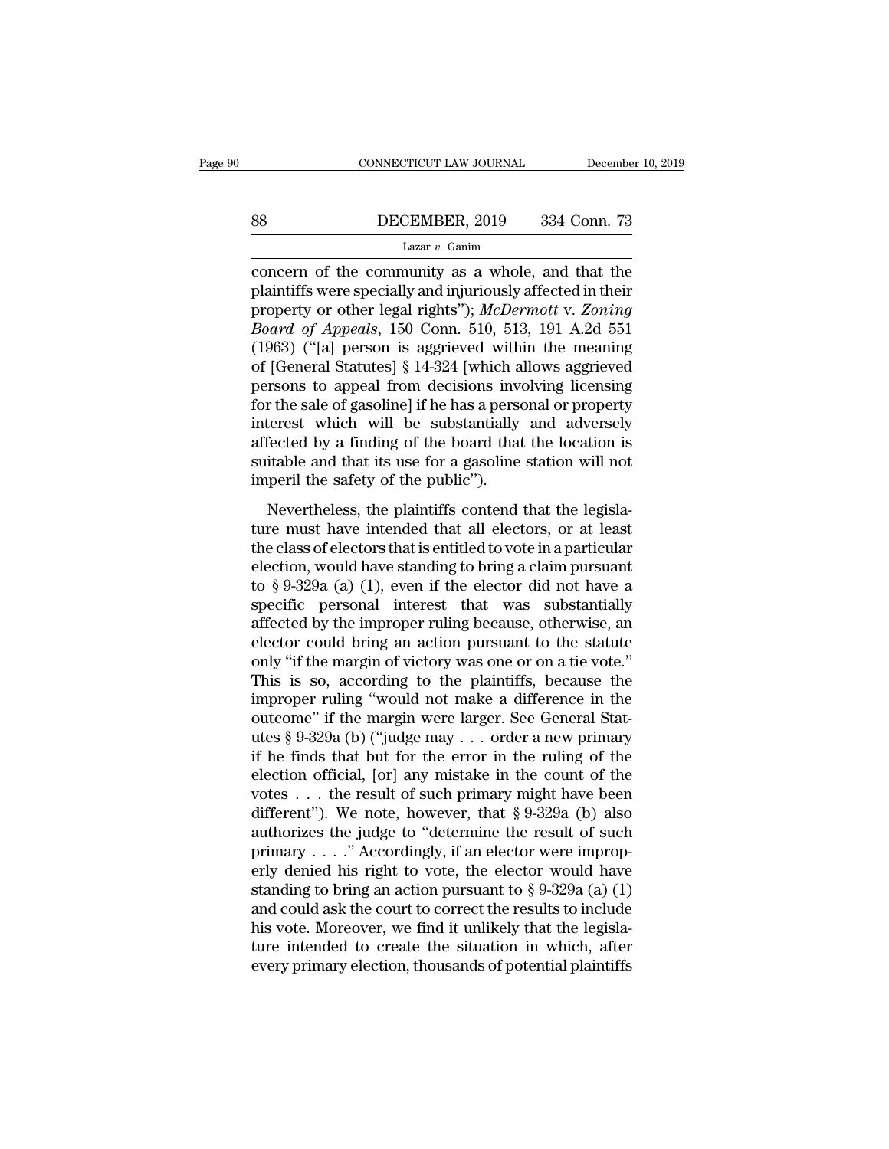# EXECUTE CONNECTICUT LAW JOURNAL December 10, 2019<br>B8 DECEMBER, 2019 334 Conn. 73<br>Lazar v. Ganim

### Lazar *v.* Ganim

CONNECTICUT LAW JOURNAL December 10, 2019<br>
BECEMBER, 2019 334 Conn. 73<br>
Lazar v. Ganim<br>
Concern of the community as a whole, and that the<br>
plaintiffs were specially and injuriously affected in their<br>
proporty or other loga **Planning Manuson September 150 Comparison September 2019**<br> **Examin Concern of the community as a whole, and that the plaintiffs were specially and injuriously affected in their property or other legal rights"); McDermott property or other legal rightstand rate rightstand respectively.**<br> **property or other legal rights'');** *McDermott* v. *Zoning*<br> *Board of Appeals*, 150 Conn. 510, 513, 191 A.2d 551<br>
(1063) ("Ial porson is addrigated with *Board of the community as a whole, and that the*<br> *Lazar v. Ganim*<br> *Lazar v. Ganim*<br> *Concern of the community as a whole, and that the*<br>
plaintiffs were specially and injuriously affected in their<br>
property or other leg Lazar v. Ganim<br>
Lazar v. Ganim<br>
concern of the community as a whole, and that the<br>
plaintiffs were specially and injuriously affected in their<br>
property or other legal rights"); McDermott v. Zoning<br>
Board of Appeals, 150 Lazar v. Ganm<br>
concern of the community as a whole, and that the<br>
plaintiffs were specially and injuriously affected in their<br>
property or other legal rights"); McDermott v. Zoning<br>
Board of Appeals, 150 Conn. 510, 513, 1 concern of the community as a whole, and that the<br>plaintiffs were specially and injuriously affected in their<br>property or other legal rights"); McDermott v. Zoning<br>Board of Appeals, 150 Conn. 510, 513, 191 A.2d 551<br>(1963) plaintiffs were specially and injuriously affected in their<br>property or other legal rights"); McDermott v. Zoning<br>Board of Appeals, 150 Conn. 510, 513, 191 A.2d 551<br>(1963) ("[a] person is aggrieved within the meaning<br>of [G property or other legal rights"); *McDermott v. Zoning*<br>Board of Appeals, 150 Conn. 510, 513, 191 A.2d 551<br>(1963) ("[a] person is aggrieved within the meaning<br>of [General Statutes] § 14-324 [which allows aggrieved<br>persons Board of Appeals, 150 Conn. 510, 513, 191 A.2d 551 (1963) ("[a] person is aggrieved within the meaning of [General Statutes]  $\S$  14-324 [which allows aggrieved persons to appeal from decisions involving licensing for the (1963) ("[a] person is aggrieved within the meaning<br>of [General Statutes]  $\S$  14-324 [which allows aggrieved<br>persons to appeal from decisions involving licensing<br>for the sale of gasoline] if he has a personal or property<br> of [General Statutes] § 14-324 [which a<br>persons to appeal from decisions invertor the sale of gasoline] if he has a perse<br>interest which will be substantially<br>affected by a finding of the board that<br>suitable and that its u The sale of gasoline] if he has a personal or property<br>terest which will be substantially and adversely<br>fected by a finding of the board that the location is<br>itable and that its use for a gasoline station will not<br>peril th For an safe of gasoning in the tast a personal of property<br>interest which will be substantially and adversely<br>affected by a finding of the board that the location is<br>suitable and that its use for a gasoline station will no

affected by a finding of the board that the location is<br>suitable and that its use for a gasoline station will not<br>imperil the safety of the public").<br>Nevertheless, the plaintiffs contend that the legisla-<br>ture must have i suitable and that its use for a gasoline station will not<br>imperil the safety of the public").<br>Nevertheless, the plaintiffs contend that the legisla-<br>ture must have intended that all electors, or at least<br>the class of elec imperil the safety of the public").<br>
Nevertheless, the plaintiffs contend that the legislature must have intended that all electors, or at least<br>
the class of electors that is entitled to vote in a particular<br>
election, w Nevertheless, the plaintiffs contend that the legislature must have intended that all electors, or at least<br>the class of electors that is entitled to vote in a particular<br>election, would have standing to bring a claim pur Nevertheless, the plaintiffs contend that the legislature must have intended that all electors, or at least<br>the class of electors that is entitled to vote in a particular<br>election, would have standing to bring a claim pur ture must have intended that all electors, or at least<br>the class of electors that is entitled to vote in a particular<br>election, would have standing to bring a claim pursuant<br>to § 9-329a (a) (1), even if the elector did not the class of electors that is entitled to vote in a particular<br>election, would have standing to bring a claim pursuant<br>to § 9-329a (a) (1), even if the elector did not have a<br>specific personal interest that was substantial election, would have standing to bring a claim pursuant<br>to § 9-329a (a) (1), even if the elector did not have a<br>specific personal interest that was substantially<br>affected by the improper ruling because, otherwise, an<br>elect to § 9-329a (a) (1), even if the elector did not have a<br>specific personal interest that was substantially<br>affected by the improper ruling because, otherwise, an<br>elector could bring an action pursuant to the statute<br>only " specific personal interest that was substantially<br>affected by the improper ruling because, otherwise, an<br>elector could bring an action pursuant to the statute<br>only "if the margin of victory was one or on a tie vote."<br>This affected by the improper ruling because, otherwise, an<br>elector could bring an action pursuant to the statute<br>only "if the margin of victory was one or on a tie vote."<br>This is so, according to the plaintiffs, because the<br>im elector could bring an action pursuant to the statute<br>only "if the margin of victory was one or on a tie vote."<br>This is so, according to the plaintiffs, because the<br>improper ruling "would not make a difference in the<br>outco only "if the margin of victory was one or on a tie vote."<br>This is so, according to the plaintiffs, because the<br>improper ruling "would not make a difference in the<br>outcome" if the margin were larger. See General Stat-<br>utes This is so, according to the plaintiffs, because the<br>improper ruling "would not make a difference in the<br>outcome" if the margin were larger. See General Stat-<br>utes § 9-329a (b) ("judge may . . . order a new primary<br>if he improper ruling "would not make a difference in the<br>outcome" if the margin were larger. See General Stat-<br>utes § 9-329a (b) ("judge may . . . order a new primary<br>if he finds that but for the error in the ruling of the<br>ele outcome" if the margin were larger. See General Stat-<br>utes § 9-329a (b) ("judge may . . . order a new primary<br>if he finds that but for the error in the ruling of the<br>election official, [or] any mistake in the count of the utes § 9-329a (b) ("judge may . . . order a new primary<br>if he finds that but for the error in the ruling of the<br>election official, [or] any mistake in the count of the<br>votes . . . the result of such primary might have bee if he finds that but for the error in the ruling of the<br>election official, [or] any mistake in the count of the<br>votes . . . the result of such primary might have been<br>different"). We note, however, that § 9-329a (b) also<br> election official, [or] any mistake in the count of the<br>votes . . . the result of such primary might have been<br>different"). We note, however, that § 9-329a (b) also<br>authorizes the judge to "determine the result of such<br>pr votes . . . the result of such primary might have been<br>different"). We note, however, that § 9-329a (b) also<br>authorizes the judge to "determine the result of such<br>primary . . . ." Accordingly, if an elector were improp-<br>e different"). We note, however, that § 9-329a (b) also<br>authorizes the judge to "determine the result of such<br>primary . . . ." Accordingly, if an elector were improp-<br>erly denied his right to vote, the elector would have<br>st authorizes the judge to "determine the result of such primary . . . ." Accordingly, if an elector were improperly denied his right to vote, the elector would have standing to bring an action pursuant to  $\S 9-329a$  (a) (1) primary  $\ldots$  ." Accordingly, if an elector were improperly denied his right to vote, the elector would have standing to bring an action pursuant to § 9-329a (a) (1) and could ask the court to correct the results to inclu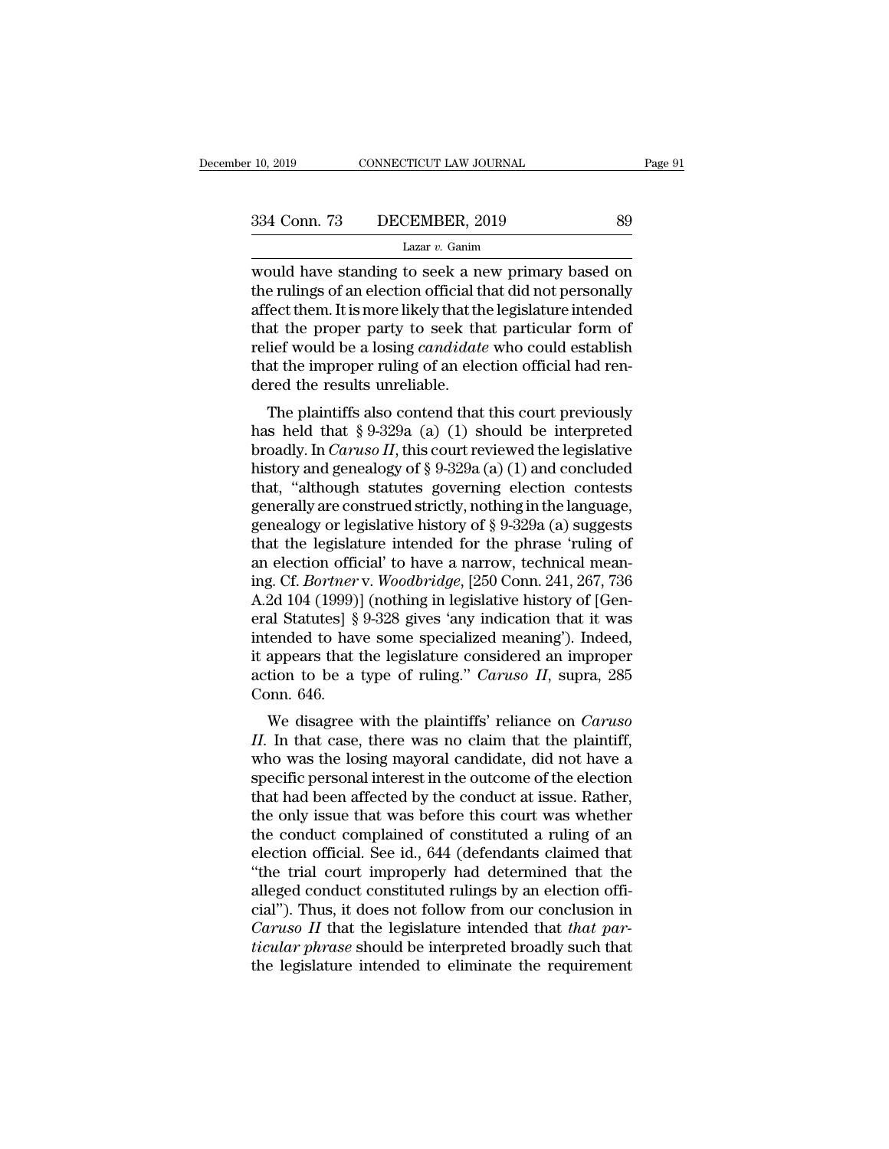10, 2019 CONNECTICUT LAW JOURNAL Page 91<br>  $\begin{array}{r} \text{Page 91} \\ \text{334 Conn.} \text{73} \end{array}$  DECEMBER, 2019 89<br>
Lazar v. Ganim<br>
would have standing to seek a new primary based on<br>
the rulings of an election official that did not pers 334 Conn. 73 DECEMBER, 2019 89<br>
Lazar v. Ganim<br>
would have standing to seek a new primary based on<br>
the rulings of an election official that did not personally<br>
affect them. It is more likely that the legislature intended 334 Conn. 73 DECEMBER, 2019 89<br>
Lazar v. Ganim<br>
would have standing to seek a new primary based on<br>
the rulings of an election official that did not personally<br>
affect them. It is more likely that the legislature intended 334 Conn. 73 DECEMBER, 2019 89<br>
Lazar v. Ganim<br>
would have standing to seek a new primary based on<br>
the rulings of an election official that did not personally<br>
affect them. It is more likely that the legislature intended Lazar *v*. Ganim<br>Lazar *v*. Ganim<br>would have standing to seek a new primary based on<br>the rulings of an election official that did not personally<br>affect them. It is more likely that the legislature intended<br>that the proper Lazar  $v$ . Ganim<br>would have standing to seek a new primary based on<br>the rulings of an election official that did not personally<br>affect them. It is more likely that the legislature intended<br>that the proper party to seek th would have standing to seek a nother rulings of an election official the rulings of an election official that the proper party to seek that the that the improper ruling of an election that the improper ruling of an electio Fect them. It is more likely that the legislature intended<br>at the proper party to seek that particular form of<br>lief would be a losing *candidate* who could establish<br>at the improper ruling of an election official had renanect them. It is note likely that the registature interded<br>that the proper party to seek that particular form of<br>relief would be a losing *candidate* who could establish<br>that the improper ruling of an election official h

broadly. In *Caruso II*, this court reviewed the legislative<br>has held that  $\S 9-329a$  (a) (1) should be interpreted<br>broadly. In *Caruso II*, this court reviewed the legislative<br>history and genealogy of  $\S 9-329a$  (a) (1) a Fener would be a fosing canadate who could establish<br>that the improper ruling of an election official had ren-<br>dered the results unreliable.<br>The plaintiffs also contend that this court previously<br>has held that § 9-329a (a that the improper runng or an efection official nad rendered the results unreliable.<br>The plaintiffs also contend that this court previously has held that § 9-329a (a) (1) should be interpreted broadly. In *Caruso II*, thi The plaintiffs also contend that this court previously<br>has held that  $\S 9-329a$  (a) (1) should be interpreted<br>broadly. In *Caruso II*, this court reviewed the legislative<br>history and genealogy of  $\S 9-329a$  (a) (1) and co The plaintiffs also contend that this court previously<br>has held that § 9-329a (a) (1) should be interpreted<br>broadly. In *Caruso II*, this court reviewed the legislative<br>history and genealogy of § 9-329a (a) (1) and conclu has held that § 9-329a (a) (1) should be interpreted<br>broadly. In *Caruso II*, this court reviewed the legislative<br>history and genealogy of § 9-329a (a) (1) and concluded<br>that, "although statutes governing election contest broadly. In *Caruso II*, this court reviewed the legislative<br>history and genealogy of  $\S$  9-329a (a) (1) and concluded<br>that, "although statutes governing election contests<br>genealogy or legislative history of  $\S$  9-329a (a history and genealogy of § 9-329a (a) (1) and concluded<br>that, "although statutes governing election contests<br>geneally are construed strictly, nothing in the language,<br>genealogy or legislative history of § 9-329a (a) sugges that, "although statutes governing election contests<br>generally are construed strictly, nothing in the language,<br>genealogy or legislative history of § 9-329a (a) suggests<br>that the legislature intended for the phrase 'ruling generally are construed strictly, nothing in the language,<br>genealogy or legislative history of § 9-329a (a) suggests<br>that the legislature intended for the phrase 'ruling of<br>an election official' to have a narrow, technical genealogy or legislative history of § 9-329a (a) suggests<br>that the legislature intended for the phrase 'ruling of<br>an election official' to have a narrow, technical mean-<br>ing. Cf. *Bortner* v. *Woodbridge*, [250 Conn. 241, that the legislature intended for the phrase 'ruling of<br>an election official' to have a narrow, technical mean-<br>ing. Cf. *Bortner* v. *Woodbridge*, [250 Conn. 241, 267, 736<br>A.2d 104 (1999)] (nothing in legislative history an election official' to have a narrow, technical meaning. Cf. *Bortner* v. *Woodbridge*, [250 Conn. 241, 267, 736 A.2d 104 (1999)] (nothing in legislative history of [General Statutes] § 9-328 gives 'any indication that i ing. Cf. *Bortner*<br>A.2d 104 (1999)<br>eral Statutes] §<br>intended to hav<br>it appears that i<br>action to be a<br>Conn. 646.<br>We disagree Ed 104 (1999)] (houning in regislative filstory of [Gerl-<br>al Statutes] § 9-328 gives 'any indication that it was<br>tended to have some specialized meaning'). Indeed,<br>appears that the legislature considered an improper<br>tion t **II.** II. In that case, there was no claim that it was intended to have some specialized meaning'). Indeed, it appears that the legislature considered an improper action to be a type of ruling." *Caruso II*, supra, 285 Con

mended to have some specialized meaning). Indeed,<br>it appears that the legislature considered an improper<br>action to be a type of ruling." *Caruso II*, supra, 285<br>Conn. 646.<br>We disagree with the plaintiffs' reliance on *Caru* it appears that the legislature considered an improper<br>action to be a type of ruling." *Caruso II*, supra, 285<br>Conn. 646.<br>We disagree with the plaintiffs' reliance on *Caruso*<br>II. In that case, there was no claim that the action to be a type of fulling. Caraso H, supra, 265<br>Conn. 646.<br>We disagree with the plaintiffs' reliance on *Caruso*<br>II. In that case, there was no claim that the plaintiff,<br>who was the losing mayoral candidate, did not h We disagree with the plaintiffs' reliance on *Caruso*<br>II. In that case, there was no claim that the plaintiff,<br>who was the losing mayoral candidate, did not have a<br>specific personal interest in the outcome of the election<br> We disagree with the plaintiffs' reliance on *Caruso*  $II$ . In that case, there was no claim that the plaintiff, who was the losing mayoral candidate, did not have a specific personal interest in the outcome of the electio II. In that case, there was no claim that the plaintiff,<br>who was the losing mayoral candidate, did not have a<br>specific personal interest in the outcome of the election<br>that had been affected by the conduct at issue. Rather who was the losing mayoral candidate, did not have a<br>specific personal interest in the outcome of the election<br>that had been affected by the conduct at issue. Rather,<br>the only issue that was before this court was whether<br>t specific personal interest in the outcome of the election<br>that had been affected by the conduct at issue. Rather,<br>the only issue that was before this court was whether<br>the conduct complained of constituted a ruling of an<br> that had been affected by the conduct at issue. Rather,<br>
the only issue that was before this court was whether<br>
the conduct complained of constituted a ruling of an<br>
election official. See id., 644 (defendants claimed tha the only issue that was before this court was whether<br>the conduct complained of constituted a ruling of an<br>election official. See id., 644 (defendants claimed that<br>"the trial court improperly had determined that the<br>allege the conduct complained of constituted a ruling of an election official. See id., 644 (defendants claimed that "the trial court improperly had determined that the alleged conduct constituted rulings by an election official" election official. See id., 644 (defendants claimed that "the trial court improperly had determined that the alleged conduct constituted rulings by an election official"). Thus, it does not follow from our conclusion in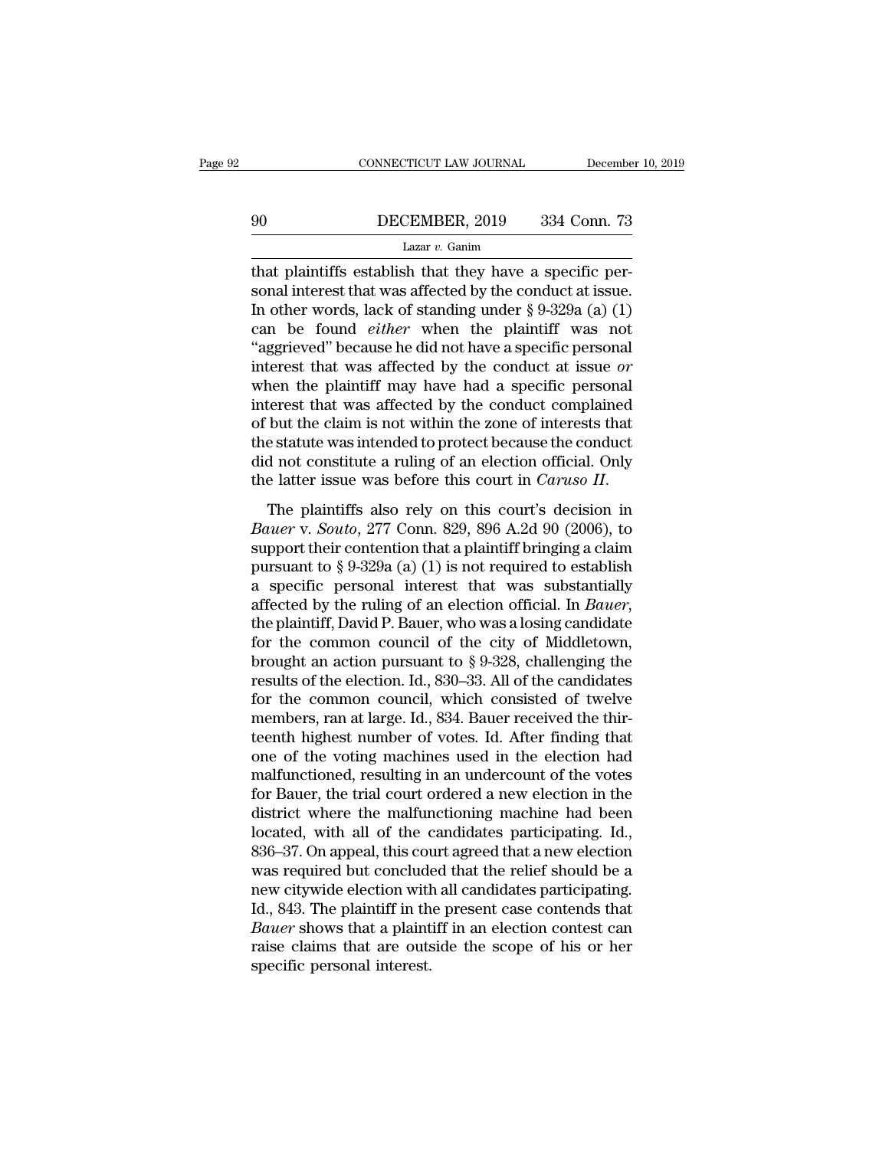# EXECUTE CONNECTICUT LAW JOURNAL December 10, 2019<br>190 DECEMBER, 2019 334 Conn. 73<br>Lazar v. Ganim

### Lazar *v.* Ganim

CONNECTICUT LAW JOURNAL December<br>
90 DECEMBER, 2019 334 Conn. 73<br>
Lazar v. Ganim<br>
that plaintiffs establish that they have a specific per-<br>
sonal interest that was affected by the conduct at issue.<br>
In other words, leak o Sonal interest that was affected by the conduct at issue.<br>
In other words, lack of standing under  $\S 9-329a$  (a) (1)<br>
Sonal interest that was affected by the conduct at issue.<br>
In other words, lack of standing under  $\S 9-$ 90 DECEMBER, 2019 334 Conn. 73<br>
Lazar v. Ganim<br>
that plaintiffs establish that they have a specific personal interest that was affected by the conduct at issue.<br>
In other words, lack of standing under § 9-329a (a) (1)<br>
ca **EXEMBER, 2019** 334 Conn. 73<br>
Lazar v. Ganim<br>
that plaintiffs establish that they have a specific per-<br>
sonal interest that was affected by the conduct at issue.<br>
In other words, lack of standing under  $\S 9-329a$  (a) (1)<br> Lazar v. Ganim<br>Lazar v. Ganim<br>that plaintiffs establish that they have a specific per-<br>sonal interest that was affected by the conduct at issue.<br>In other words, lack of standing under § 9-329a (a) (1)<br>can be found *either* Lazar v. Ganim<br>that plaintiffs establish that they have a specific per-<br>sonal interest that was affected by the conduct at issue.<br>In other words, lack of standing under  $\S$  9-329a (a) (1)<br>can be found *either* when the p that plaintiffs establish that they have a specific personal interest that was affected by the conduct at issue.<br>In other words, lack of standing under  $\S$  9-329a (a) (1) can be found *either* when the plaintiff was not " sonal interest that was affected by the conduct at issue.<br>In other words, lack of standing under  $\S 9{\text -}329a$  (a) (1)<br>can be found *either* when the plaintiff was not<br>"aggrieved" because he did not have a specific person In other words, lack of standing under  $\S 9-329a$  (a) (1)<br>can be found *either* when the plaintiff was not<br>"aggrieved" because he did not have a specific personal<br>interest that was affected by the conduct at issue *or*<br>wh can be found *either* when the plaintiff was not<br>"aggrieved" because he did not have a specific personal<br>interest that was affected by the conduct at issue *or*<br>when the plaintiff may have had a specific personal<br>interest "aggrieved" because he did not have a specific personal<br>interest that was affected by the conduct at issue *or*<br>when the plaintiff may have had a specific personal<br>interest that was affected by the conduct complained<br>of b interest that was affected by the conduct at issue *or*<br>when the plaintiff may have had a specific personal<br>interest that was affected by the conduct complained<br>of but the claim is not within the zone of interests that<br>the *Bauer* v. *Bauer* v. *Bauer* is not within the zone of interests that the statute was intended to protect because the conduct did not constitute a ruling of an election official. Only the latter issue was before this c

of backet claim is not whall the zone of interests that<br>the statute was intended to protect because the conduct<br>did not constitute a ruling of an election official. Only<br>the latter issue was before this court in *Caruso I* did not constitute a ruling of an election official. Only<br>the latter issue was before this court in *Caruso II*.<br>The plaintiffs also rely on this court's decision in<br>*Bauer* v. *Souto*, 277 Conn. 829, 896 A.2d 90 (2006), the latter issue was before this court in *Caruso II*.<br>The plaintiffs also rely on this court's decision in<br>*Bauer* v. *Souto*, 277 Conn. 829, 896 A.2d 90 (2006), to<br>support their contention that a plaintiff bringing a cl The plaintiffs also rely on this court's decision in<br>*Bauer* v. *Souto*, 277 Conn. 829, 896 A.2d 90 (2006), to<br>support their contention that a plaintiff bringing a claim<br>pursuant to § 9-329a (a) (1) is not required to est *Bauer* v. *Souto*, 277 Conn. 829, 896 A.2d 90 (2006), to<br>support their contention that a plaintiff bringing a claim<br>pursuant to § 9-329a (a) (1) is not required to establish<br>a specific personal interest that was substant support their contention that a plaintiff bringing a claim<br>pursuant to § 9-329a (a) (1) is not required to establish<br>a specific personal interest that was substantially<br>affected by the ruling of an election official. In pursuant to § 9-329a (a) (1) is not required to establish<br>a specific personal interest that was substantially<br>affected by the ruling of an election official. In *Bauer*,<br>the plaintiff, David P. Bauer, who was a losing can a specific personal interest that was substantially<br>affected by the ruling of an election official. In *Bauer*,<br>the plaintiff, David P. Bauer, who was a losing candidate<br>for the common council of the city of Middletown,<br>b affected by the ruling of an election official. In *Bauer*, the plaintiff, David P. Bauer, who was a losing candidate for the common council of the city of Middletown, brought an action pursuant to  $\S 9-328$ , challenging the plaintiff, David P. Bauer, who was a losing candidate<br>for the common council of the city of Middletown,<br>brought an action pursuant to  $\S 9{\text -}328$ , challenging the<br>results of the election. Id., 830–33. All of the cand for the common council of the city of Middletown,<br>brought an action pursuant to  $\S 9{\text -}328$ , challenging the<br>results of the election. Id., 830–33. All of the candidates<br>for the common council, which consisted of twelve<br>m brought an action pursuant to § 9-328, challenging the<br>results of the election. Id., 830–33. All of the candidates<br>for the common council, which consisted of twelve<br>members, ran at large. Id., 834. Bauer received the thir results of the election. Id., 830–33. All of the candidates<br>for the common council, which consisted of twelve<br>members, ran at large. Id., 834. Bauer received the thir-<br>teenth highest number of votes. Id. After finding that for the common council, which consisted of twelve<br>members, ran at large. Id., 834. Bauer received the thir-<br>teenth highest number of votes. Id. After finding that<br>one of the voting machines used in the election had<br>malfunc members, ran at large. Id., 834. Bauer received the thir-<br>teenth highest number of votes. Id. After finding that<br>one of the voting machines used in the election had<br>malfunctioned, resulting in an undercount of the votes<br>fo teenth highest number of votes. Id. After finding that<br>one of the voting machines used in the election had<br>malfunctioned, resulting in an undercount of the votes<br>for Bauer, the trial court ordered a new election in the<br>dis one of the voting machines used in the election had<br>malfunctioned, resulting in an undercount of the votes<br>for Bauer, the trial court ordered a new election in the<br>district where the malfunctioning machine had been<br>located malfunctioned, resulting in an undercount of the votes<br>for Bauer, the trial court ordered a new election in the<br>district where the malfunctioning machine had been<br>located, with all of the candidates participating. Id.,<br>836 for Bauer, the trial court ordered a new election in the district where the malfunctioning machine had been located, with all of the candidates participating. Id.,  $836-37$ . On appeal, this court agreed that a new electio district where the malfunctioning machine had been<br>located, with all of the candidates participating. Id.,<br>836–37. On appeal, this court agreed that a new election<br>was required but concluded that the relief should be a<br>new located, with all of the candidates participating. Id., 836–37. On appeal, this court agreed that a new election was required but concluded that the relief should be a new citywide election with all candidates participatin 836–37. On appeal, this cours<br>was required but conclude<br>new citywide election with<br>Id., 843. The plaintiff in th<br>*Bauer* shows that a plaint<br>raise claims that are outs<br>specific personal interest.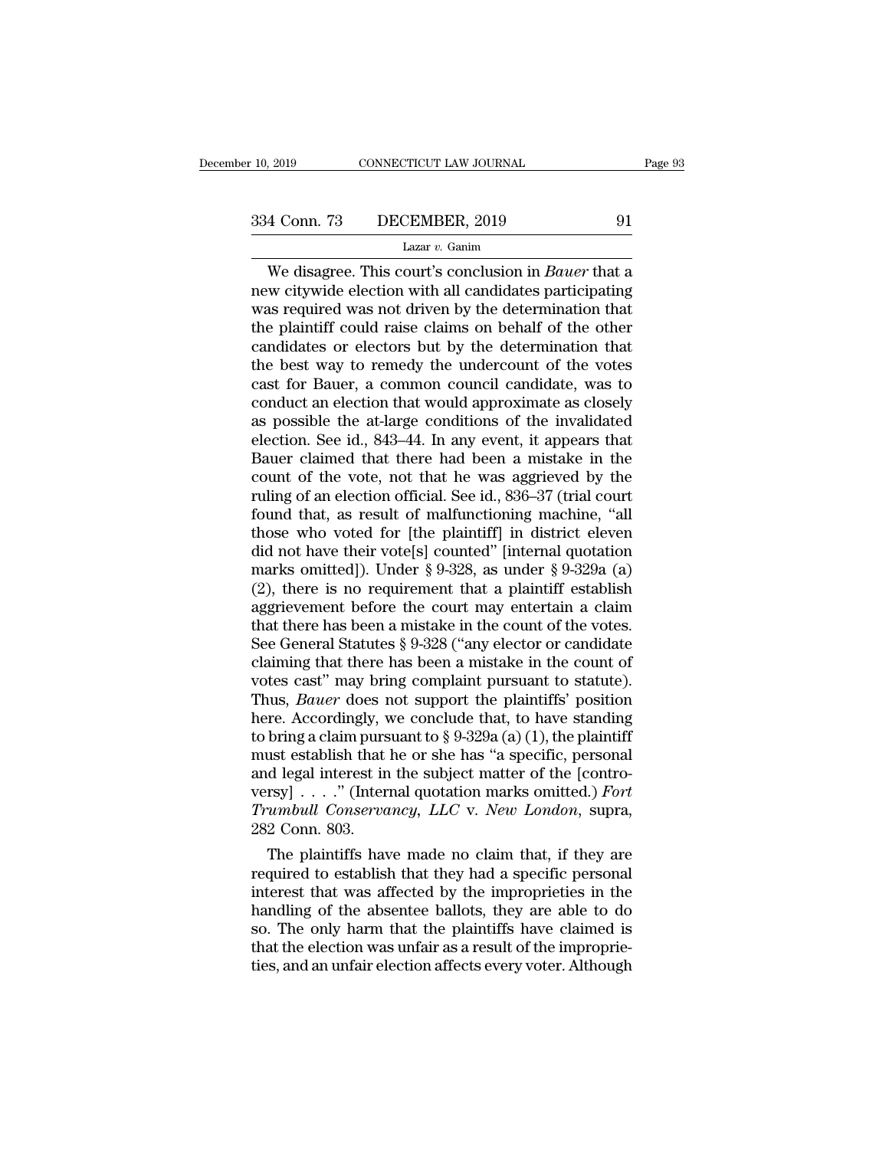Xapple 2019 CONNECTICUT LAW JOURNAL Page 93<br>
4 Conn. 73 DECEMBER, 2019 91<br>
Lazar v. Ganim<br>
We disagree. This court's conclusion in *Bauer* that a<br>
we citywide election with all candidates participating<br>
as required was not  $\begin{array}{c|c} \text{334 Conn.} \text{73} & \text{DECEMBER, 2019} & \text{91} \\ \hline \text{Lazar } v. \text{Gainim} & \text{1} \\ \hline \text{We disagree. This court's conclusion in } Bauer \text{ that a new citywide election with all candidates participating was required was not driven by the determination that the plaintiff could raise claims on behalf of the other.} \end{array}$  $\frac{334 \text{ Conn. } 73 \qquad \text{DECEMBER, } 2019 \qquad \qquad 91}{\text{Lazar } v. \text{ Ganim}}$ <br>We disagree. This court's conclusion in *Bauer* that a<br>new citywide election with all candidates participating<br>was required was not driven by the determination tha 334 Conn. 73 DECEMBER, 2019 91<br>
Lazar v. Ganim<br>
We disagree. This court's conclusion in *Bauer* that a<br>
new citywide election with all candidates participating<br>
was required was not driven by the determination that<br>
the p Lazar v. Ganim<br>Lazar v. Ganim<br>We disagree. This court's conclusion in *Bauer* that a<br>new citywide election with all candidates participating<br>was required was not driven by the determination that<br>the plaintiff could raise Lazar v. Ganim<br>We disagree. This court's conclusion in *Bauer* that a<br>new citywide election with all candidates participating<br>was required was not driven by the determination that<br>the plaintiff could raise claims on behal We disagree. This court's conclusion in *Bauer* that a<br>new citywide election with all candidates participating<br>was required was not driven by the determination that<br>the plaintiff could raise claims on behalf of the other<br>c new citywide election with all candidates participating<br>was required was not driven by the determination that<br>the plaintiff could raise claims on behalf of the other<br>candidates or electors but by the determination that<br>the was required was not driven by the determination that<br>the plaintiff could raise claims on behalf of the other<br>candidates or electors but by the determination that<br>the best way to remedy the undercount of the votes<br>cast for the plaintiff could raise claims on behalf of the other candidates or electors but by the determination that the best way to remedy the undercount of the votes cast for Bauer, a common council candidate, was to conduct an candidates or electors but by the determination that<br>the best way to remedy the undercount of the votes<br>cast for Bauer, a common council candidate, was to<br>conduct an election that would approximate as closely<br>as possible t the best way to remedy the undercount of the votes<br>cast for Bauer, a common council candidate, was to<br>conduct an election that would approximate as closely<br>as possible the at-large conditions of the invalidated<br>election. S cast for Bauer, a common council candidate, was to conduct an election that would approximate as closely as possible the at-large conditions of the invalidated election. See id., 843–44. In any event, it appears that Bauer conduct an election that would approximate as closely<br>as possible the at-large conditions of the invalidated<br>election. See id., 843–44. In any event, it appears that<br>Bauer claimed that there had been a mistake in the<br>count as possible the at-large conditions of the invalidated<br>election. See id., 843–44. In any event, it appears that<br>Bauer claimed that there had been a mistake in the<br>count of the vote, not that he was aggrieved by the<br>ruling election. See id., 843–44. In any event, it appears that<br>Bauer claimed that there had been a mistake in the<br>count of the vote, not that he was aggrieved by the<br>ruling of an election official. See id., 836–37 (trial court<br> Bauer claimed that there had been a mistake in the count of the vote, not that he was aggrieved by the ruling of an election official. See id., 836–37 (trial court found that, as result of malfunctioning machine, "all tho count of the vote, not that he was aggrieved by the<br>ruling of an election official. See id., 836–37 (trial court<br>found that, as result of malfunctioning machine, "all<br>those who voted for [the plaintiff] in district eleven ruling of an election official. See id., 836–37 (trial court<br>found that, as result of malfunctioning machine, "all<br>those who voted for [the plaintiff] in district eleven<br>did not have their vote[s] counted" [internal quota found that, as result of malfunctioning machine, "all<br>those who voted for [the plaintiff] in district eleven<br>did not have their vote[s] counted" [internal quotation<br>marks omitted]). Under  $\S 9{\text -}328$ , as under  $\S 9{\text -}32$ those who voted for [the plaintiff] in district eleven<br>did not have their vote[s] counted" [internal quotation<br>marks omitted]). Under § 9-328, as under § 9-329a (a)<br>(2), there is no requirement that a plaintiff establish<br> did not have their vote[s] counted" [internal quotation<br>marks omitted]). Under § 9-328, as under § 9-329a (a)<br>(2), there is no requirement that a plaintiff establish<br>aggrievement before the court may entertain a claim<br>tha marks omitted]). Under § 9-328, as under § 9-329a (a) (2), there is no requirement that a plaintiff establish aggrievement before the court may entertain a claim that there has been a mistake in the count of the votes. Se (2), there is no requirement that a plaintiff establish<br>aggrievement before the court may entertain a claim<br>that there has been a mistake in the count of the votes.<br>See General Statutes § 9-328 ("any elector or candidate<br> aggrievement before the court may entertain a claim<br>that there has been a mistake in the count of the votes.<br>See General Statutes § 9-328 ("any elector or candidate<br>claiming that there has been a mistake in the count of<br>v that there has been a mistake in the count of the votes.<br>See General Statutes § 9-328 ("any elector or candidate<br>claiming that there has been a mistake in the count of<br>votes cast" may bring complaint pursuant to statute). See General Statutes § 9-328 ("any elector or candidate claiming that there has been a mistake in the count of votes cast" may bring complaint pursuant to statute).<br>Thus, *Bauer* does not support the plaintiffs' position claiming that there has been a mistake in the count of<br>votes cast" may bring complaint pursuant to statute).<br>Thus, *Bauer* does not support the plaintiffs' position<br>here. Accordingly, we conclude that, to have standing<br>to votes cast" may bring complaint pursuant to statute).<br>Thus, *Bauer* does not support the plaintiffs' position<br>here. Accordingly, we conclude that, to have standing<br>to bring a claim pursuant to § 9-329a (a) (1), the plainti Thus, *Bauer* does not support the plaintiffs' position<br>here. Accordingly, we conclude that, to have standing<br>to bring a claim pursuant to  $\S 9{\text -}329a$  (a) (1), the plaintiff<br>must establish that he or she has "a specific here. Accordingly, v<br>to bring a claim purs<br>must establish that<br>and legal interest in<br>versy] . . . . " (Inter<br>Trumbull Conserva<br>282 Conn. 803.<br>The plaintiffs hav bring a claim pursuant to  $\S 9-329a$  (a) (1), the plaintiff<br>ust establish that he or she has "a specific, personal<br>d legal interest in the subject matter of the [contro-<br>rsy] . . . . " (Internal quotation marks omitted.) must establish that he or sne has "a specific, personal<br>and legal interest in the subject matter of the [contro-<br>versy] . . . ." (Internal quotation marks omitted.) *Fort<br>Trumbull Conservancy, LLC* v. *New London*, supra,

and legal interest in the subject matter of the [contro-<br>versy] . . . ." (Internal quotation marks omitted.) *Fort*<br>Trumbull Conservancy, LLC v. New London, supra,<br>282 Conn. 803.<br>The plaintiffs have made no claim that, if versy<br>
Frumbull Conservancy, LLC v. New London, supra,<br>
282 Conn. 803.<br>
The plaintiffs have made no claim that, if they are<br>
required to establish that they had a specific personal<br>
interest that was affected by the impro Trumoult Conservancy, LLC v. New London, supra,<br>282 Conn. 803.<br>The plaintiffs have made no claim that, if they are<br>required to establish that they had a specific personal<br>interest that was affected by the improprieties in 282 Conn. 803.<br>The plaintiffs have made no claim that, if they are<br>required to establish that they had a specific personal<br>interest that was affected by the improprieties in the<br>handling of the absentee ballots, they are a The plaintiffs have made no claim that, if they are required to establish that they had a specific personal interest that was affected by the improprieties in the handling of the absentee ballots, they are able to do so. T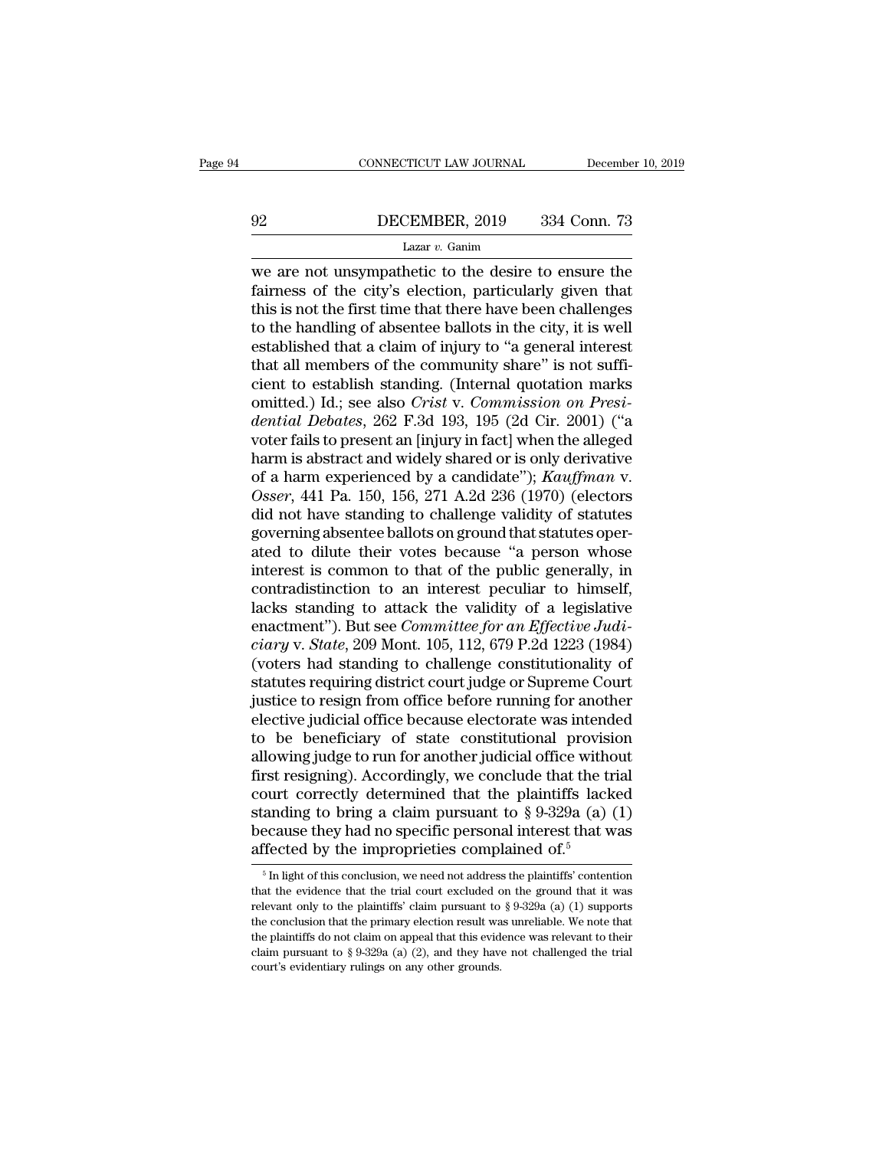# EXECUTE CONNECTICUT LAW JOURNAL December 10, 2019<br>192 DECEMBER, 2019 334 Conn. 73<br>1 Lazar v. Ganim

### Lazar *v.* Ganim

CONNECTICUT LAW JOURNAL December 10, 2019<br>  $\begin{array}{r}\n 92 \quad \text{DECEMBER, 2019} \quad 334 \text{ Conn. } 73 \\
 \hline \text{Lazar } v. \text{ Ganim} \n\end{array}$ We are not unsympathetic to the desire to ensure the fairness of the city's election, particularly given that 92 DECEMBER, 2019 334 Conn. 73<br>
Lazar v. Ganim<br>
we are not unsympathetic to the desire to ensure the<br>
fairness of the city's election, particularly given that<br>
this is not the first time that there have been challenges<br>
t DECEMBER, 2019 334 Conn. 73<br>
Lazar v. Ganim<br>
we are not unsympathetic to the desire to ensure the<br>
fairness of the city's election, particularly given that<br>
this is not the first time that there have been challenges<br>
to t DECEMBER, 2019 334 Conn. 73<br>
Lazar v. Ganim<br>
we are not unsympathetic to the desire to ensure the<br>
fairness of the city's election, particularly given that<br>
this is not the first time that there have been challenges<br>
to t Example, 2018 1922 1932 1934. To<br>
Lazar v. Ganim<br>
we are not unsympathetic to the desire to ensure the<br>
fairness of the city's election, particularly given that<br>
this is not the first time that there have been challenges<br> Lazar v. Ganim<br>we are not unsympathetic to the desire to ensure the<br>fairness of the city's election, particularly given that<br>this is not the first time that there have been challenges<br>to the handling of absentee ballots i we are not unsympathetic to the desire to ensure the<br>fairness of the city's election, particularly given that<br>this is not the first time that there have been challenges<br>to the handling of absentee ballots in the city, it fairness of the city's election, particularly given that<br>this is not the first time that there have been challenges<br>to the handling of absentee ballots in the city, it is well<br>established that a claim of injury to "a gener this is not the first time that there have been challenges<br>to the handling of absentee ballots in the city, it is well<br>established that a claim of injury to "a general interest<br>that all members of the community share" is n to the handling of absentee ballots in the city, it is well<br>established that a claim of injury to "a general interest<br>that all members of the community share" is not suffi-<br>cient to establish standing. (Internal quotation established that a claim of injury to "a general interest<br>that all members of the community share" is not suffi-<br>cient to establish standing. (Internal quotation marks<br>omitted.) Id.; see also *Crist* v. *Commission on Pre* that all members of the community share" is not sufficient to establish standing. (Internal quotation marks<br>omitted.) Id.; see also *Crist v. Commission on Presi-*<br>*dential Debates*, 262 F.3d 193, 195 (2d Cir. 2001) ("a<br>vo cient to establish standing. (Internal quotation marks<br>omitted.) Id.; see also *Crist* v. *Commission on Presi-<br>dential Debates*, 262 F.3d 193, 195 (2d Cir. 2001) ("a<br>voter fails to present an [injury in fact] when the all omitted.) Id.; see also *Crist* v. *Commission on Presidential Debates*, 262 F.3d 193, 195 (2d Cir. 2001) ("a<br>voter fails to present an [injury in fact] when the alleged<br>harm is abstract and widely shared or is only deriva dential Debates, 262 F.3d 193, 195 (2d Cir. 2001) ("a voter fails to present an [injury in fact] when the alleged harm is abstract and widely shared or is only derivative of a harm experienced by a candidate");  $Kauffman$  v. voter fails to present an [injury in fact] when the alleged<br>harm is abstract and widely shared or is only derivative<br>of a harm experienced by a candidate"); Kauffman v.<br>Osser, 441 Pa. 150, 156, 271 A.2d 236 (1970) (elector harm is abstract and widely shared or is only derivative<br>of a harm experienced by a candidate"); Kauffman v.<br>Osser, 441 Pa. 150, 156, 271 A.2d 236 (1970) (electors<br>did not have standing to challenge validity of statutes<br>go of a harm experienced by a candidate");  $Kauffman$  v.<br>  $Osser$ , 441 Pa. 150, 156, 271 A.2d 236 (1970) (electors<br>
did not have standing to challenge validity of statutes<br>
governing absentee ballots on ground that statutes oper-<br> Osser, 441 Pa. 150, 156, 271 A.2d 236 (1970) (electors<br>did not have standing to challenge validity of statutes<br>governing absentee ballots on ground that statutes oper-<br>ated to dilute their votes because "a person whose<br>in did not have standing to challenge validity of statutes<br>governing absentee ballots on ground that statutes oper-<br>ated to dilute their votes because "a person whose<br>interest is common to that of the public generally, in<br>con governing absentee ballots on ground that statutes operated to dilute their votes because "a person whose<br>interest is common to that of the public generally, in<br>contradistinction to an interest peculiar to himself,<br>lacks s ated to dilute their votes because "a person whose<br>interest is common to that of the public generally, in<br>contradistinction to an interest peculiar to himself,<br>lacks standing to attack the validity of a legislative<br>enactme interest is common to that of the public generally, in contradistinction to an interest peculiar to himself, lacks standing to attack the validity of a legislative enactment"). But see *Committee for an Effective Judiciary* contradistinction to an interest peculiar to himself,<br>lacks standing to attack the validity of a legislative<br>enactment"). But see *Committee for an Effective Judi-*<br>ciary v. *State*, 209 Mont. 105, 112, 679 P.2d 1223 (1984 lacks standing to attack the validity of a legislative<br>enactment"). But see *Committee for an Effective Judi-<br>ciary* v. *State*, 209 Mont. 105, 112, 679 P.2d 1223 (1984)<br>(voters had standing to challenge constitutionality enactment"). But see *Committee for an Effective Judi-*<br>ciary v. *State*, 209 Mont. 105, 112, 679 P.2d 1223 (1984)<br>(voters had standing to challenge constitutionality of<br>statutes requiring district court judge or Supreme C ciary v. State, 209 Mont. 105, 112, 679 P.2d 1223 (1984)<br>(voters had standing to challenge constitutionality of<br>statutes requiring district court judge or Supreme Court<br>justice to resign from office before running for anot (voters had standing to challenge constitutionality of<br>statutes requiring district court judge or Supreme Court<br>justice to resign from office before running for another<br>elective judicial office because electorate was inte statutes requiring district court judge or Supreme Court<br>justice to resign from office before running for another<br>elective judicial office because electorate was intended<br>to be beneficiary of state constitutional provisio justice to resign from office before running for another<br>elective judicial office because electorate was intended<br>to be beneficiary of state constitutional provision<br>allowing judge to run for another judicial office witho elective judicial office because electorate was intended<br>to be beneficiary of state constitutional provision<br>allowing judge to run for another judicial office without<br>first resigning). Accordingly, we conclude that the tr to be beneficiary of state constitutional provisi<br>allowing judge to run for another judicial office with<br>first resigning). Accordingly, we conclude that the tr<br>court correctly determined that the plaintiffs lack<br>standing burt correctly determined that the plaintiffs lacked<br>anding to bring a claim pursuant to § 9-329a (a) (1)<br>ecause they had no specific personal interest that was<br>fected by the improprieties complained of.<sup>5</sup><br> $\frac{5 \text{ In light of this conclusion,$ standing to bring a claim pursuant to § 9-329a (a) (1) because they had no specific personal interest that was affected by the improprieties complained of.<sup>5</sup>  $\frac{1}{\frac{5}{2}}$  In light of this conclusion, we need not addres

because they had no specific personal interest that was affected by the improprieties complained of.<sup>5</sup><br> $\frac{5}{10}$  light of this conclusion, we need not address the plaintiffs' contention that the evidence that the trial affected by the improprieties complained of.<sup>5</sup><br>
<sup>5</sup> In light of this conclusion, we need not address the plaintiffs' contention that the evidence that the trial court excluded on the ground that it was relevant only to t The plantiffs do not claim on appeal that the evidence was relevant only to the plaintiffs do not excluded on the ground that it was relevant only to the plaintiffs' claim pursuant to  $\S 9-329a$  (a) (1) supports the concl <sup>5</sup> In light of this conclusion, we need not address the plaintiffs' contention that the evidence that the trial court excluded on the ground that it was relevant only to the plaintiffs' claim pursuant to § 9-329a (a) (1) that the evidence that the trial court excluded  $\epsilon$  relevant only to the plaintiffs' claim pursuant to the conclusion that the primary election result was the plaintiffs do not claim on appeal that this evident claim pur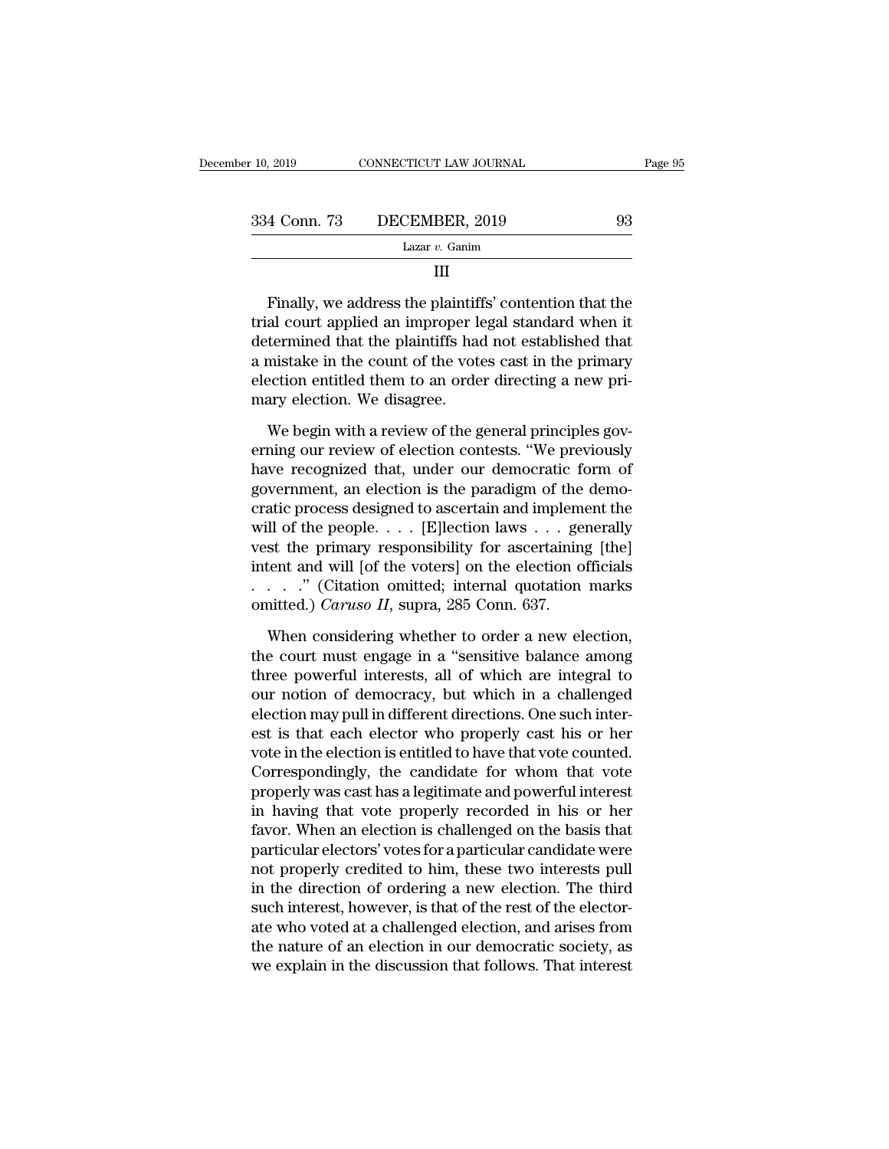| Page 95 |    | CONNECTICUT LAW JOURNAL | er 10, 2019  |
|---------|----|-------------------------|--------------|
|         | 93 | DECEMBER, 2019          | 334 Conn. 73 |
|         |    | Lazar $v$ . Ganim       |              |
|         |    | Ш                       |              |

334 Conn. 73 DECEMBER, 2019 93<br>
Lazar v. Ganim<br>
III<br>
Finally, we address the plaintiffs' contention that the<br>
trial court applied an improper legal standard when it<br>
determined that the plaintiffs had not established that  $\frac{1}{\text{d}zar v. \text{Gainm}}$  and  $\frac{1}{\text{d}zar v. \text{Gainm}}$  and  $\frac{1}{\text{d}zar v. \text{Gainm}}$  and  $\frac{1}{\text{d}zar v. \text{Gainm}}$  and  $\frac{1}{\text{d}zar v. \text{Gainm}}$  and  $\frac{1}{\text{d}zar v. \text{Left}c}$  and  $\frac{1}{\text{d}zar v. \text{Left}c}$  and  $\frac{1}{\text{d}zar v. \text{Left}c}$  and  $\$ Lazar  $v$ . Ganim<br>
III<br>
Finally, we address the plaintiffs' contention that the<br>
trial court applied an improper legal standard when it<br>
determined that the plaintiffs had not established that<br>
a mistake in the count of th III<br>Finally, we address the plaintiffs' contention that the<br>trial court applied an improper legal standard when it<br>determined that the plaintiffs had not established that<br>a mistake in the count of the votes cast in the pri Finally, we address the plaintifiertial court applied an improper leftermined that the plaintiffs has a mistake in the count of the vote election entitled them to an orde mary election. We disagree.<br>We begin with a review al court applied an improper legal standard when it<br>termined that the plaintiffs had not established that<br>mistake in the count of the votes cast in the primary<br>ection entitled them to an order directing a new pri-<br>ary elec determined that the plaintiffs had not established that<br>a mistake in the count of the votes cast in the primary<br>election entitled them to an order directing a new pri-<br>mary election. We disagree.<br>We begin with a review of

a mistake in the count of the votes cast in the primary<br>election entitled them to an order directing a new pri-<br>mary election. We disagree.<br>We begin with a review of the general principles gov-<br>erning our review of electio election entitled them to an order directing a new pri-<br>mary election. We disagree.<br>We begin with a review of the general principles gov-<br>erning our review of election contests. "We previously<br>have recognized that, under o mary election. We disagree.<br>
We begin with a review of the general principles governing our review of election contests. "We previously<br>
have recognized that, under our democratic form of<br>
government, an election is the pa We begin with a review of the general principles governing our review of election contests. "We previously have recognized that, under our democratic form of government, an election is the paradigm of the democratic proce We begin with a review of the general principles governing our review of election contests. "We previously have recognized that, under our democratic form of government, an election is the paradigm of the democratic proce erning our review of election contests. "We previously<br>have recognized that, under our democratic form of<br>government, an election is the paradigm of the demo-<br>cratic process designed to ascertain and implement the<br>will of have recognized that, under our democratic form of government, an election is the paradigm of the democratic process designed to ascertain and implement the will of the people. . . . [E]lection laws . . . generally vest t government, an election is the paradigm of the democratic process designed to ascertain and implement the will of the people. . . . [E]lection laws . . . generally vest the primary responsibility for ascertaining [the] in Il of the people. . . . [E]lection laws . . . generally<br>st the primary responsibility for ascertaining [the]<br>tent and will [of the voters] on the election officials<br>. . . . " (Citation omitted; internal quotation marks<br>ni vest the primary responsibility for ascertaining [the]<br>intent and will [of the voters] on the election officials<br>. . . . . . " (Citation omitted; internal quotation marks<br>omitted.) *Caruso II*, supra, 285 Conn. 637.<br>When

intent and will [of the voters] on the election officials<br>
. . . . . " (Citation omitted; internal quotation marks<br>
omitted.) *Caruso II*, supra, 285 Conn. 637.<br>
When considering whether to order a new election,<br>
the cour  $\therefore$   $\therefore$  '' (Citation omitted; internal quotation marks omitted.) *Caruso II*, supra, 285 Conn. 637.<br>When considering whether to order a new election, the court must engage in a "sensitive balance among three powerful omitted.) *Caruso II*, supra, 285 Conn. 637.<br>When considering whether to order a new election,<br>the court must engage in a "sensitive balance among<br>three powerful interests, all of which are integral to<br>our notion of democ When considering whether to order a new election,<br>the court must engage in a "sensitive balance among<br>three powerful interests, all of which are integral to<br>our notion of democracy, but which in a challenged<br>election may p When considering whether to order a new election,<br>the court must engage in a "sensitive balance among<br>three powerful interests, all of which are integral to<br>our notion of democracy, but which in a challenged<br>election may p the court must engage in a "sensitive balance among<br>three powerful interests, all of which are integral to<br>our notion of democracy, but which in a challenged<br>election may pull in different directions. One such inter-<br>est i three powerful interests, all of which are integral to<br>our notion of democracy, but which in a challenged<br>election may pull in different directions. One such inter-<br>est is that each elector who properly cast his or her<br>vot our notion of democracy, but which in a challenged<br>election may pull in different directions. One such inter-<br>est is that each elector who properly cast his or her<br>vote in the election is entitled to have that vote counted election may pull in different directions. One such inter-<br>est is that each elector who properly cast his or her<br>vote in the election is entitled to have that vote counted.<br>Correspondingly, the candidate for whom that vote est is that each elector who properly cast his or her<br>vote in the election is entitled to have that vote counted.<br>Correspondingly, the candidate for whom that vote<br>properly was cast has a legitimate and powerful interest<br>i vote in the election is entitled to have that vote counted.<br>Correspondingly, the candidate for whom that vote<br>properly was cast has a legitimate and powerful interest<br>in having that vote properly recorded in his or her<br>fav Correspondingly, the candidate for whom that vote<br>properly was cast has a legitimate and powerful interest<br>in having that vote properly recorded in his or her<br>favor. When an election is challenged on the basis that<br>particu properly was cast has a legitimate and powerful interest<br>in having that vote properly recorded in his or her<br>favor. When an election is challenged on the basis that<br>particular electors' votes for a particular candidate wer in having that vote properly recorded in his or her<br>favor. When an election is challenged on the basis that<br>particular electors' votes for a particular candidate were<br>not properly credited to him, these two interests pull<br> favor. When an election is challenged on the basis that<br>particular electors' votes for a particular candidate were<br>not properly credited to him, these two interests pull<br>in the direction of ordering a new election. The thi particular electors' votes for a particular candidate were<br>not properly credited to him, these two interests pull<br>in the direction of ordering a new election. The third<br>such interest, however, is that of the rest of the el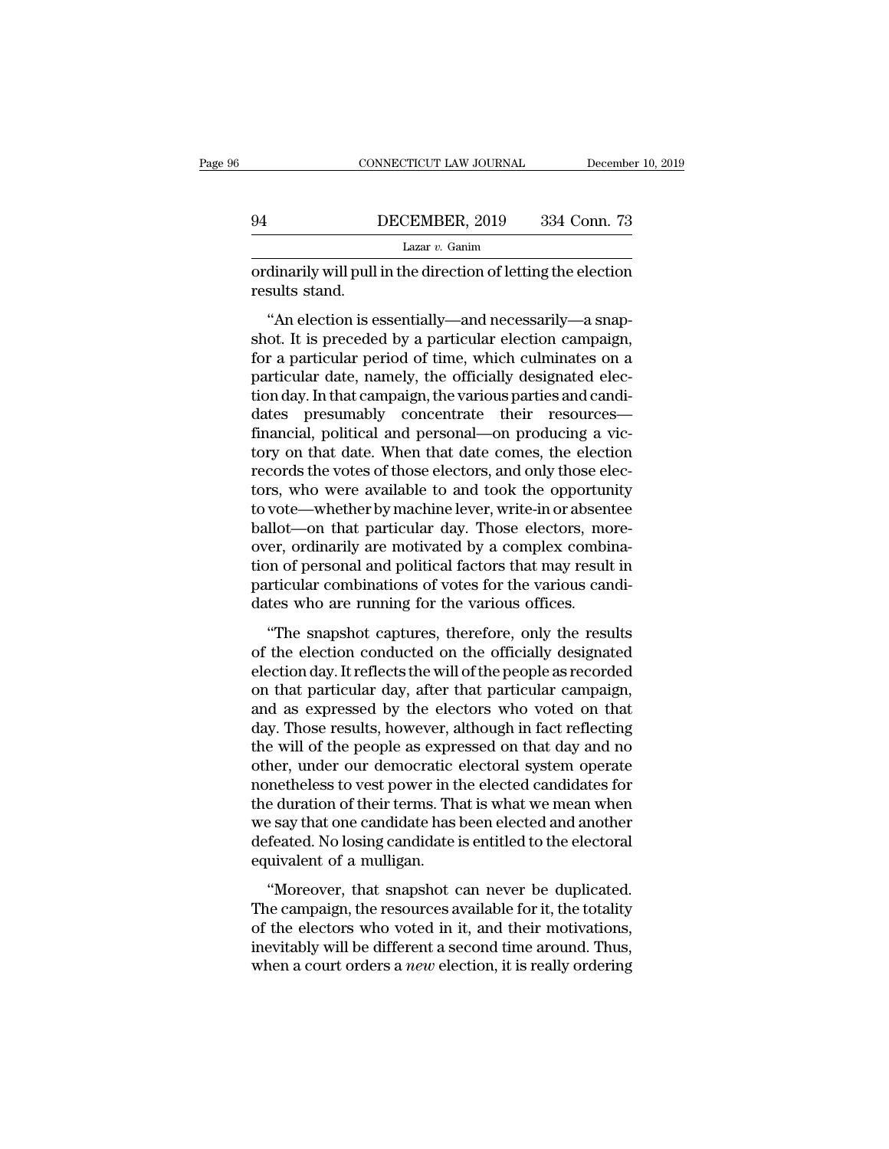# CONNECTICUT LAW JOURNAL December 10, 2019<br>
94 DECEMBER, 2019 334 Conn. 73<br>
Lazar v. Ganim

Lazar *v.* Ganim

CONNECTICUT LAW JOURNAL December 10, 2019<br>
DECEMBER, 2019 334 Conn. 73<br>
Lazar v. Ganim<br>
Cordinarily will pull in the direction of letting the election<br>
results stand. 94<br>
I<br>
ordinarily will pull<br>
results stand.<br>
"An election is e

DECEMBER, 2019 334 Conn. 73<br>
Lazar v. Ganim<br>
dinarily will pull in the direction of letting the election<br>
sults stand.<br>
"An election is essentially—and necessarily—a snap-<br>
ot. It is preceded by a particular election campa 94 DECEMBER, 2019 334 Conn. 73<br>
Lazar v. Ganim<br>
ordinarily will pull in the direction of letting the election<br>
results stand.<br>
"An election is essentially—and necessarily—a snapshot. It is preceded by a particular electio Lazar  $v$ . Ganim<br>
ordinarily will pull in the direction of letting the election<br>
results stand.<br>
"An election is essentially—and necessarily—a snap-<br>
shot. It is preceded by a particular election campaign,<br>
for a particul ordinarily will pull in the direction of letting the election<br>results stand.<br>"An election is essentially—and necessarily—a snap-<br>shot. It is preceded by a particular election campaign,<br>for a particular period of time, whic ordinarity will put it alternate the creation of retains the various results stand.<br>
"An election is essentially—and necessarily—a snapshot. It is preceded by a particular election campaign,<br>
for a particular period of tim "An election is essentially—and necessarily—a snapshot. It is preceded by a particular election campaign,<br>for a particular period of time, which culminates on a<br>particular date, namely, the officially designated elec-<br>tion "An election is essentially—and necessarily—a snapshot. It is preceded by a particular election campaign, for a particular period of time, which culminates on a particular date, namely, the officially designated election d shot. It is preceded by a particular election campaign,<br>for a particular period of time, which culminates on a<br>particular date, namely, the officially designated elec-<br>tion day. In that campaign, the various parties and ca for a particular period of time, which culminates on a<br>particular date, namely, the officially designated elec-<br>tion day. In that campaign, the various parties and candi-<br>dates presumably concentrate their resources—<br>finan particular date, namely, the officially designated election day. In that campaign, the various parties and candidates presumably concentrate their resources—<br>financial, political and personal—on producing a victory on that tion day. In that campaign, the various parties and candi-<br>dates—presumably—concentrate—their—resources—<br>financial, political and personal—on producing a vic-<br>tory on that date. When that date comes, the election<br>records t dates presumably concentrate their resources—<br>financial, political and personal—on producing a vic-<br>tory on that date. When that date comes, the election<br>records the votes of those electors, and only those elec-<br>tors, who financial, political and personal—on producing a victory on that date. When that date comes, the election records the votes of those electors, and only those electors, who were available to and took the opportunity to vote tory on that date. When that date comes, the election<br>records the votes of those electors, and only those elec-<br>tors, who were available to and took the opportunity<br>to vote—whether by machine lever, write-in or absentee<br>ba records the votes of those electors, and only those electors, who were available to and took the opportunity to vote—whether by machine lever, write-in or absentee ballot—on that particular day. Those electors, moreover, o tors, who were available to and took the opportur<br>to vote—whether by machine lever, write-in or absen<br>ballot—on that particular day. Those electors, mo<br>over, ordinarily are motivated by a complex combi<br>tion of personal and The snapshot captures, three forests, more-<br>
The snapshot complex combination of personal and political factors that may result in<br>
rticular combinations of votes for the various candi-<br>
tes who are running for the various bandon of the paracelalar day. Those electors, more<br>over, ordinarily are motivated by a complex combina-<br>tion of personal and political factors that may result in<br>particular combinations of votes for the various candi-<br>dat

by a complex combination of personal and political factors that may result in particular combinations of votes for the various candidates who are running for the various offices.<br>
"The snapshot captures, therefore, only th particular combinations of votes for the various candi-<br>dates who are running for the various offices.<br>"The snapshot captures, therefore, only the results<br>of the election conducted on the officially designated<br>election day paracedar comondations of votes for the various candal<br>dates who are running for the various offices.<br>"The snapshot captures, therefore, only the results<br>of the election conducted on the officially designated<br>election day. "The snapshot captures, therefore, only the results<br>of the election conducted on the officially designated<br>election day. It reflects the will of the people as recorded<br>on that particular day, after that particular campaign "The snapshot captures, therefore, only the results<br>of the election conducted on the officially designated<br>election day. It reflects the will of the people as recorded<br>on that particular day, after that particular campaign of the election conducted on the officially designated<br>election day. It reflects the will of the people as recorded<br>on that particular day, after that particular campaign,<br>and as expressed by the electors who voted on that election day. It reflects the will of the people as recorded<br>on that particular day, after that particular campaign,<br>and as expressed by the electors who voted on that<br>day. Those results, however, although in fact reflecti on that particular day, after that particular campaign,<br>and as expressed by the electors who voted on that<br>day. Those results, however, although in fact reflecting<br>the will of the people as expressed on that day and no<br>oth and as expressed by the electors who voted on that<br>day. Those results, however, although in fact reflecting<br>the will of the people as expressed on that day and no<br>other, under our democratic electoral system operate<br>noneth day. Those results, however, although in fact reflecting<br>the will of the people as expressed on that day and no<br>other, under our democratic electoral system operate<br>nonetheless to vest power in the elected candidates for<br>t the will of the people as expre<br>other, under our democratic<br>nonetheless to vest power in tl<br>the duration of their terms. Th<br>we say that one candidate has<br>defeated. No losing candidate i<br>equivalent of a mulligan.<br>"Moreover, The shortest can be derived and the elected candidates for<br>
e duration of their terms. That is what we mean when<br>
e say that one candidate has been elected and another<br>
feated. No losing candidate is entitled to the electo The duration of their terms. That is what we mean when<br>we say that one candidate has been elected and another<br>defeated. No losing candidate is entitled to the electoral<br>equivalent of a mulligan.<br>"Moreover, that snapshot ca

are diadron of their terms. That is what we field when<br>we say that one candidate has been elected and another<br>defeated. No losing candidate is entitled to the electoral<br>equivalent of a mulligan.<br>"Moreover, that snapshot ca ineversity and one candidate has seen elected and another<br>defeated. No losing candidate is entitled to the electoral<br>equivalent of a mulligan.<br>"Moreover, that snapshot can never be duplicated.<br>The campaign, the resources a equivalent of a mulligan.<br>
"Moreover, that snapshot can never be duplicated.<br>
The campaign, the resources available for it, the totality<br>
of the electors who voted in it, and their motivations,<br>
inevitably will be differen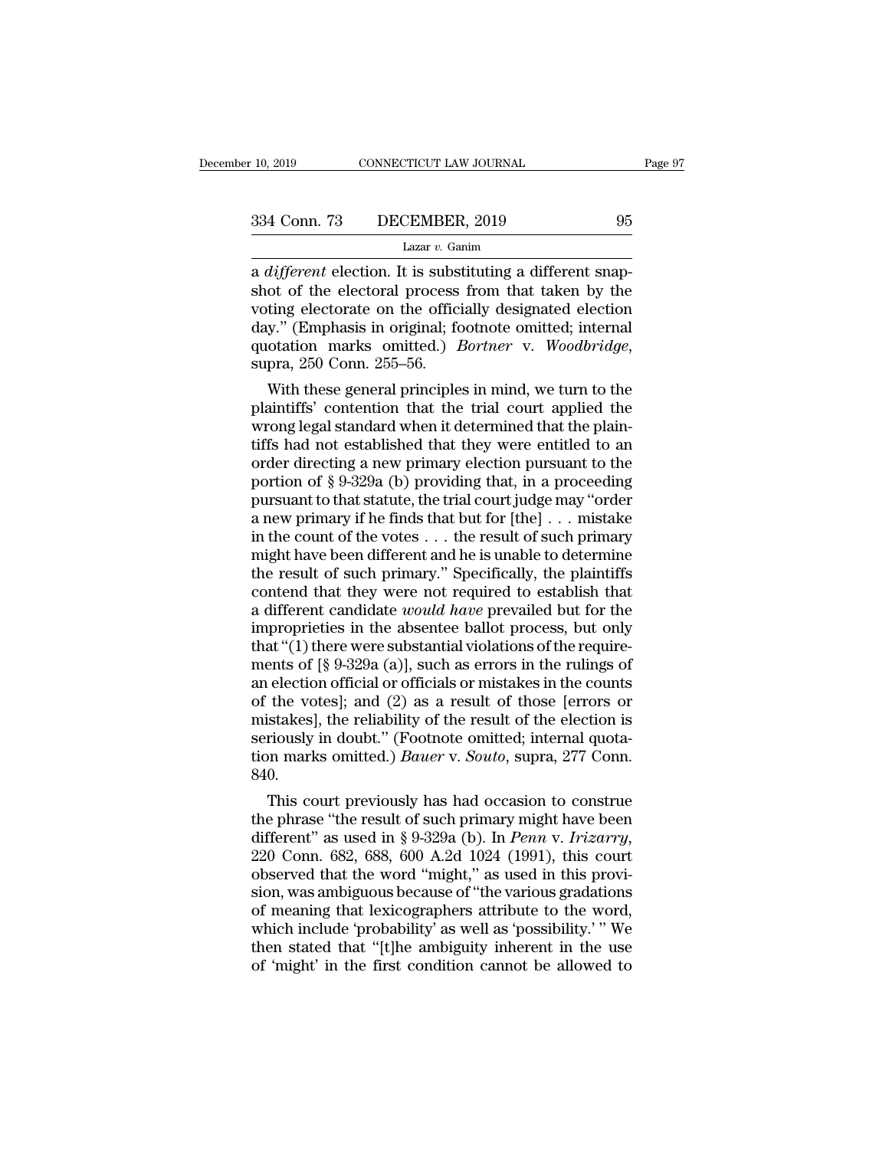10, 2019 CONNECTICUT LAW JOURNAL<br>
334 Conn. 73 DECEMBER, 2019 95<br>
Lazar *v*. Ganim<br>
a *different* election. It is substituting a different snap-<br>
shot of the electoral process from that taken by the<br>
voting electorate on t 334 Conn. 73 DECEMBER, 2019 95<br>
Lazar v. Ganim<br>
a *different* election. It is substituting a different snapshot of the electoral process from that taken by the<br>
voting electorate on the officially designated election<br>
day 334 Conn. 73 DECEMBER, 2019 95<br>
Lazar v. Ganim<br>
a different election. It is substituting a different snapshot of the electoral process from that taken by the<br>
voting electorate on the officially designated election<br>
day." 334 Conn. 73 DECEMBER, 2019 95<br>
Lazar *v*. Ganim<br>
a *different* election. It is substituting a different snapshot of the electoral process from that taken by the<br>
voting electorate on the officially designated election<br>
d Lazar *v.* Ganim Lazar *v.* Ganim Lazar *v.* Ganim and different election. It is substituting a different snapshot of the electoral process from that taken by the voting electorate on the officially designated election day different election. It is substituting a different snap-<br>ot of the electoral process from that taken by the<br>ting electorate on the officially designated election<br>y." (Emphasis in original; footnote omitted; internal<br>otatio shot of the electoral process from that taken by the<br>voting electorate on the officially designated election<br>day." (Emphasis in original; footnote omitted; internal<br>quotation marks omitted.) *Bortner* v. *Woodbridge*,<br>supr

voting electorate on the officially designated election<br>day." (Emphasis in original; footnote omitted; internal<br>quotation marks omitted.) *Bortner* v. *Woodbridge*,<br>supra, 250 Conn. 255–56.<br>With these general principles in day." (Emphasis in original; footnote omitted; internal<br>quotation marks omitted.) *Bortner* v. *Woodbridge*,<br>supra, 250 Conn. 255–56.<br>With these general principles in mind, we turn to the<br>plaintiffs' contention that the t quotation marks omitted.) *Bortner* v. *Woodbridge*,<br>supra, 250 Conn. 255–56.<br>With these general principles in mind, we turn to the<br>plaintiffs' contention that the trial court applied the<br>wrong legal standard when it dete supra, 250 Conn. 255–56.<br>
With these general principles in mind, we turn to the<br>
plaintiffs' contention that the trial court applied the<br>
wrong legal standard when it determined that the plain-<br>
tiffs had not established t With these general principles in mind, we turn to the plaintiffs' contention that the trial court applied the wrong legal standard when it determined that the plaintiffs had not established that they were entitled to an o plaintiffs' contention that the trial court applied the<br>wrong legal standard when it determined that the plain-<br>tiffs had not established that they were entitled to an<br>order directing a new primary election pursuant to th wrong legal standard when it determined that the plain-<br>tiffs had not established that they were entitled to an<br>order directing a new primary election pursuant to the<br>portion of § 9-329a (b) providing that, in a proceedin tiffs had not established that they were entitled to an order directing a new primary election pursuant to the portion of § 9-329a (b) providing that, in a proceeding pursuant to that statute, the trial court judge may "o order directing a new primary election pursuant to the<br>portion of § 9-329a (b) providing that, in a proceeding<br>pursuant to that statute, the trial court judge may "order<br>a new primary if he finds that but for [the]  $\dots$  m portion of § 9-329a (b) providing that, in a proceeding<br>pursuant to that statute, the trial court judge may "order<br>a new primary if he finds that but for [the] . . . mistake<br>in the count of the votes . . . the result of s pursuant to that statute, the trial court judge may "order<br>a new primary if he finds that but for [the]  $\ldots$  mistake<br>in the count of the votes  $\ldots$  the result of such primary<br>might have been different and he is unable t a new primary if he finds that but for [the]  $\ldots$  mistake<br>in the count of the votes  $\ldots$  the result of such primary<br>might have been different and he is unable to determine<br>the result of such primary." Specifically, the in the count of the votes . . . the result of such primary<br>
might have been different and he is unable to determine<br>
the result of such primary." Specifically, the plaintiffs<br>
contend that they were not required to establ might have been different and he is unable to determine<br>the result of such primary." Specifically, the plaintiffs<br>contend that they were not required to establish that<br>a different candidate *would have* prevailed but for the result of such primary." Specifically, the plaintiffs<br>contend that they were not required to establish that<br>a different candidate *would have* prevailed but for the<br>improprieties in the absentee ballot process, but on contend that they were not required to establish that<br>a different candidate *would have* prevailed but for the<br>improprieties in the absentee ballot process, but only<br>that "(1) there were substantial violations of the requi a different candidate *would have* prevailed but for the improprieties in the absentee ballot process, but only that "(1) there were substantial violations of the requirements of [§ 9-329a (a)], such as errors in the ruli improprieties in the absentee ballot process, but only that "(1) there were substantial violations of the requirements of [§ 9-329a (a)], such as errors in the rulings of an election official or officials or mistakes in t that "(1) there were substantial violations of the require-<br>ments of [§ 9-329a (a)], such as errors in the rulings of<br>an election official or officials or mistakes in the counts<br>of the votes]; and (2) as a result of those 840. election official or officials or mistakes in the counts<br>the votes]; and (2) as a result of those [errors or<br>istakes], the reliability of the result of the election is<br>riously in doubt." (Footnote omitted; internal quotaof the votes]; and (2) as a result of those [errors or<br>mistakes], the reliability of the result of the election is<br>seriously in doubt." (Footnote omitted; internal quota-<br>tion marks omitted.) *Bauer* v. *Souto*, supra, 27

mistakes], the reliability of the result of the election is<br>seriously in doubt." (Footnote omitted; internal quota-<br>tion marks omitted.) *Bauer* v. *Souto*, supra, 277 Conn.<br>840.<br>This court previously has had occasion to c tion marks omitted.) *Bauer* v. *Souto*, supra, 277 Conn.<br>840.<br>This court previously has had occasion to construe<br>the phrase "the result of such primary might have been<br>different" as used in § 9-329a (b). In *Penn v. Iriz* S40.<br>
This court previously has had occasion to construe<br>
the phrase "the result of such primary might have been<br>
different" as used in § 9-329a (b). In *Penn v. Irizarry*,<br>
220 Conn. 682, 688, 600 A.2d 1024 (1991), this This court previously has had occasion to construe<br>the phrase "the result of such primary might have been<br>different" as used in § 9-329a (b). In *Penn v. Irizarry*,<br>220 Conn. 682, 688, 600 A.2d 1024 (1991), this court<br>obs the phrase "the result of such primary might have been<br>different" as used in § 9-329a (b). In *Penn v. Irizarry*,<br>220 Conn. 682, 688, 600 A.2d 1024 (1991), this court<br>observed that the word "might," as used in this providifferent" as used in § 9-329a (b). In *Penn v. Irizarry*, 220 Conn. 682, 688, 600 A.2d 1024 (1991), this court observed that the word "might," as used in this provision, was ambiguous because of "the various gradations o 220 Conn. 682, 688, 600 A.2d 1024 (1991), this court<br>observed that the word "might," as used in this provi-<br>sion, was ambiguous because of "the various gradations<br>of meaning that lexicographers attribute to the word,<br>which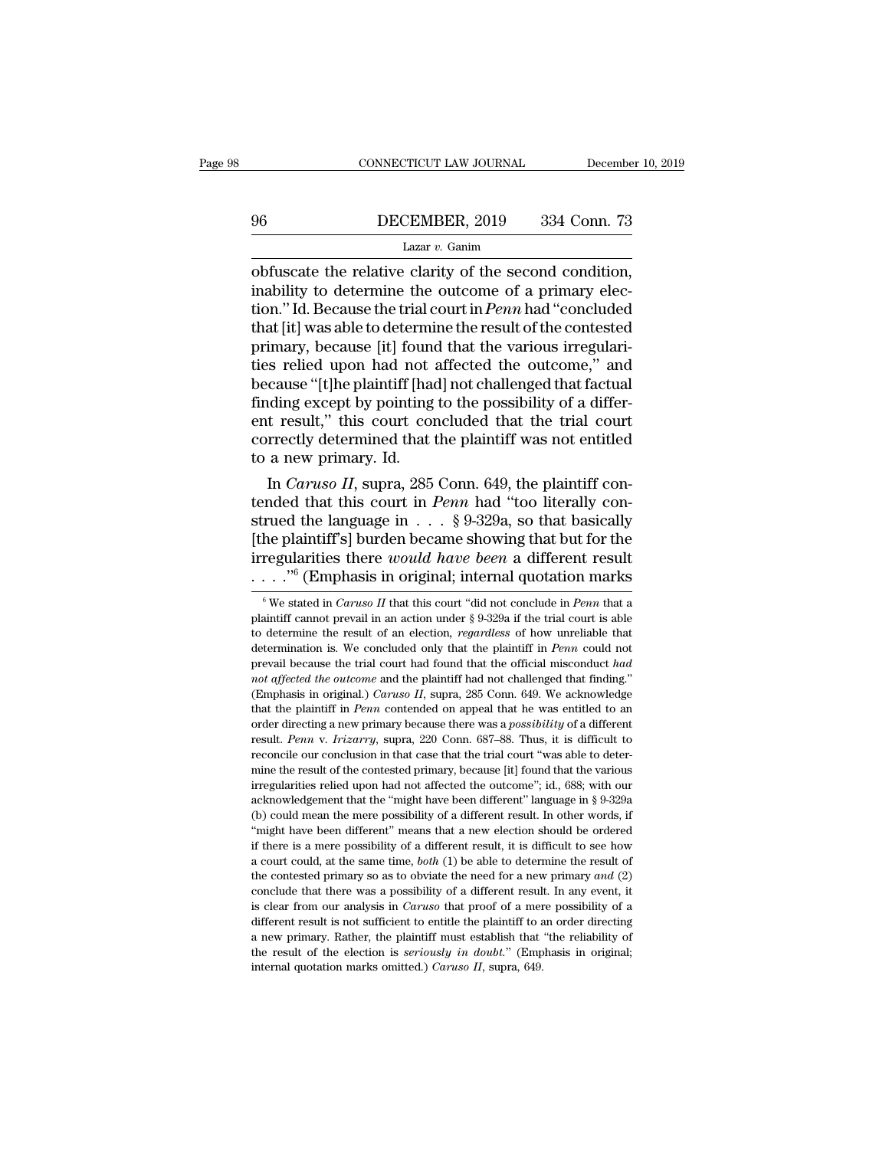# CONNECTICUT LAW JOURNAL December 10, 2019<br>
96 DECEMBER, 2019 334 Conn. 73<br>
Lazar v. Ganim

### Lazar *v.* Ganim

CONNECTICUT LAW JOURNAL December 10, 2<br>  $\frac{96}{2}$  DECEMBER, 2019 334 Conn. 73<br>
Lazar v. Ganim<br>
obfuscate the relative clarity of the second condition,<br>
inability to determine the outcome of a primary elec-<br>
tion, "Id Boc 96 DECEMBER, 2019 334 Conn. 73<br>
Lazar v. Ganim<br>
obfuscate the relative clarity of the second condition,<br>
inability to determine the outcome of a primary elec-<br>
tion." Id. Because the trial court in *Penn* had "concluded<br> DECEMBER, 2019 334 Conn. 73<br>
Lazar v. Ganim<br>
obfuscate the relative clarity of the second condition,<br>
inability to determine the outcome of a primary elec-<br>
tion." Id. Because the trial court in *Penn* had "concluded<br>
tha DECEMBER, 2019 334 Conn. 73<br>
Lazar v. Ganim<br>
obfuscate the relative clarity of the second condition,<br>
inability to determine the outcome of a primary elec-<br>
tion." Id. Because the trial court in *Penn* had "concluded<br>
tha Lazar v. Ganim<br>Lazar v. Ganim<br>obfuscate the relative clarity of the second condition,<br>inability to determine the outcome of a primary elec-<br>tion." Id. Because the trial court in *Penn* had "concluded<br>that [it] was able to Lazar v. Ganim<br>
obfuscate the relative clarity of the second condition,<br>
inability to determine the outcome of a primary elec-<br>
tion." Id. Because the trial court in *Penn* had "concluded<br>
that [it] was able to determine obfuscate the relative clarity of the second condition,<br>inability to determine the outcome of a primary elec-<br>tion." Id. Because the trial court in *Penn* had "concluded<br>that [it] was able to determine the result of the co inability to determine the outcome of a primary election." Id. Because the trial court in *Penn* had "concluded that [it] was able to determine the result of the contested primary, because [it] found that the various irreg tion." Id. Because the trial court in *Penn* had "concluded<br>that [it] was able to determine the result of the contested<br>primary, because [it] found that the various irregulari-<br>ties relied upon had not affected the outcome that [it] was able to determine the result of the contested<br>primary, because [it] found that the various irregulari-<br>ties relied upon had not affected the outcome," and<br>because "[t]he plaintiff [had] not challenged that fa primary, because [it] found<br>ties relied upon had not a<br>because "[t]he plaintiff [had<br>finding except by pointing<br>ent result," this court con<br>correctly determined that to<br>a new primary. Id.<br>In *Caruso II*, supra, 285 is relied upon had not affected the outcome," and<br>
cause "[t]he plaintiff [had] not challenged that factual<br>
inding except by pointing to the possibility of a differ-<br>
t result," this court concluded that the trial court<br> because "[t]ne plantlif [had] not challenged that factual<br>finding except by pointing to the possibility of a differ-<br>ent result," this court concluded that the trial court<br>correctly determined that the plaintiff was not e

finding except by pointing to the possibility of a different result," this court concluded that the trial court<br>correctly determined that the plaintiff was not entitled<br>to a new primary. Id.<br>In *Caruso II*, supra, 285 Con ent result," this court concluded that the trial court<br>correctly determined that the plaintiff was not entitled<br>to a new primary. Id.<br>In *Caruso II*, supra, 285 Conn. 649, the plaintiff con-<br>tended that this court in *Pen* correctly determined that the plaintiff was not entitled<br>to a new primary. Id.<br>In *Caruso II*, supra, 285 Conn. 649, the plaintiff con-<br>tended that this court in *Penn* had "too literally con-<br>strued the language in  $\dots$  to a new primary. Id.<br>
In *Caruso II*, supra, 285 Conn. 649, the plaintiff con-<br>
tended that this court in *Penn* had "too literally con-<br>
strued the language in . . . § 9-329a, so that basically<br>
[the plaintiff's] burden rued the language in  $\ldots$  § 9-329a, so that basically<br>he plaintiff's] burden became showing that but for the<br>regularities there *would have been* a different result<br> $\ldots$ <sup>16</sup> (Emphasis in original; internal quotation mar [the plaintiff's] burden became showing that but for the irregularities there *would have been* a different result . . . . . "<sup>6</sup> (Emphasis in original; internal quotation marks  $\frac{1}{\pi}$  we stated in *Caruso II* that th

irregularities there *would have been* a different result  $\cdots$ ."<sup>6</sup> (Emphasis in original; internal quotation marks  $\sqrt[6]{ }$  We stated in *Caruso II* that this court "did not conclude in *Penn* that a plaintiff cannot pr  $\cdots$ ."<sup>6</sup> (Emphasis in original; internal quotation marks  $\frac{1}{100}$  we stated in *Caruso II* that this court "did not conclude in *Penn* that a plaintiff cannot prevail in an action under § 9-329a if the trial court is **prevail because the trial court in the trial court of the trial court is able to determine the result of an election,** *regardless* **of how unreliable that determination is. We concluded only that the plaintiff in** *Penn* **c** <sup>6</sup> We stated in *Caruso II* that this court "did not conclude in *Penn* that a plaintiff cannot prevail in an action under § 9-329a if the trial court is able to determine the result of an election, *regardless* of how u Fund the result of an action under § 9-329a if the trial court is able<br>to determine the result of an election, *regardless* of how unreliable that<br>determination is. We concluded only that the plaintiff in *Penn* could not<br> to determine the result of an election, *regardless* of how unreliable that determination is. We concluded only that the plaintiff in *Penn* could not prevail because the trial court had found that the official misconduct determination is. We concluded only that the plaintiff in *Penn* could not prevail because the trial court had found that the official misconduct had not affected the outcome and the plaintiff had not challenged that findi prevail because the trial court had found that the official misconduct had *not affected the outcome* and the plaintiff had not challenged that finding." (Emphasis in original.) *Caruso II*, supra, 285 Conn. 649. We acknow *reconcile the outcome* and the plaintiff had not challenged that finding."<br>(Emphasis in original.) *Caruso II*, supra, 285 Conn. 649. We acknowledge<br>that the plaintiff in *Penn* contended on appeal that he was entitled to (Emphasis in original.) *Caruso II*, supra, 285 Conn. 649. We acknowledge that the plaintiff in *Penn* contended on appeal that he was entitled to an order directing a new primary because there was a *possibility* of a di that the plaintiff in *Penn* contended on appeal that he was entitled to an order directing a new primary because there was a *possibility* of a different result. *Penn* v. *Irizarry*, supra, 220 Conn. 687–88. Thus, it is acknowledgement that the ''might have been different'' language in § 9-329a Connected primary, supprae, 220 Conn. 687–88. Thus, it is difficult to reconcile our conclusion in that case that the trial court "was able to de Fresult. *Penn* v. *Irizarry*, supra, 220 Conn. 687–88. Thus, it is difficult to reconcile our conclusion in that case that the trial court "was able to determine the result of the contested primary, because [it] found th The reconcile our conclusion in that case that the trial court "was able to deter-<br>mine the result of the contested primary, because [it] found that the various<br>irregularities relied upon had not affected the outcome"; id if there is a mere possibility of a different result. In other words, if  $\mu$  mine the result of the contested primary, because [it] found that the various irregularities relied upon had not affected the outcome"; id., 68 irregularities relied upon had not affected the outcome"; id., 688; with our acknowledgement that the "might have been different" language in § 9-329a (b) could mean the mere possibility of a different result. In other wo acknowledgement that the "might have been different" language in § 9-329a<br>(b) could mean the mere possibility of a different result. In other words, if<br>"might have been different" means that a new election should be ordere (b) could mean the mere possibility of a different result. In other words, if "might have been different" means that a new election should be ordered if there is a mere possibility of a different result, it is difficult t "might have been different" means that a new election should be ordered if there is a mere possibility of a different result, it is difficult to see how a court could, at the same time, *both* (1) be able to determine the if there is a mere possibility of a different result, it is difficult to see how a court could, at the same time, *both* (1) be able to determine the result of the contested primary so as to obviate the need for a new pri if there is a mere possibility of a different result, it is difficult to see how a court could, at the same time, *both* (1) be able to determine the result of the contested primary so as to obviate the need for a new pri the contested primary so as to obviate the need for a new primary and (2) conclude that there was a possibility of a different result. In any event, it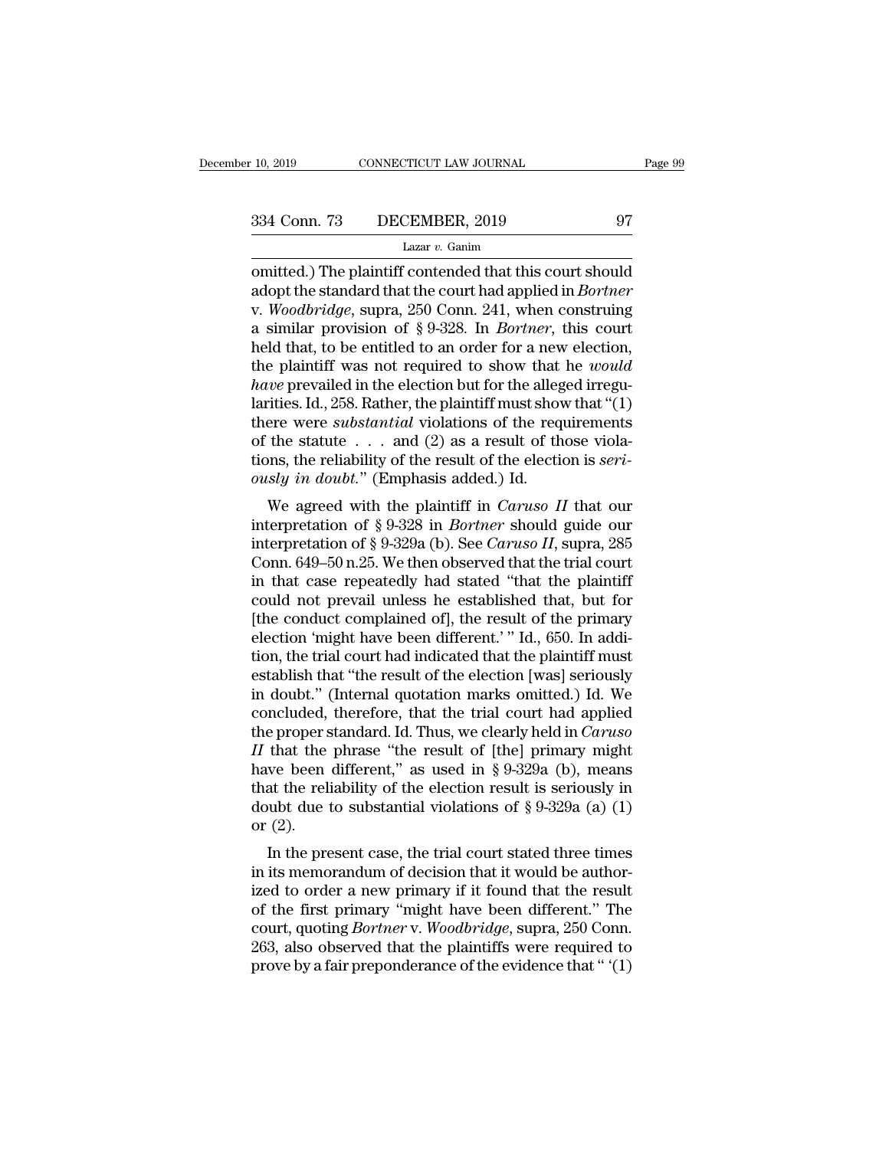omitted.) The plaintiff contended that this court should<br>adopt the standard that the court had applied in *Bortner*<br>Wedderidge supper 250 Conn 241, when constrained values 334 Conn. 73 DECEMBER, 2019 97<br>Lazar v. Ganim<br>
Lazar v. Ganim<br>
comitted.) The plaintiff contended that this court should<br>
adopt the standard that the court had applied in *Bortner*<br>
v. *Woodbridge*, supra, 250 Conn. 241, w 334 Conn. 73 DECEMBER, 2019 97<br>
Lazar v. Ganim<br>
comitted.) The plaintiff contended that this court should<br>
adopt the standard that the court had applied in *Bortner*<br>
v. *Woodbridge*, supra, 250 Conn. 241, when construing 334 Conn. 73 DECEMBER, 2019 97<br>
Lazar v. Ganim<br>
comitted.) The plaintiff contended that this court should<br>
adopt the standard that the court had applied in *Bortner*<br>
v. *Woodbridge*, supra, 250 Conn. 241, when construing Lazar v. Ganim<br>Lazar v. Ganim<br>
Lazar v. Ganim<br>
adopt the standard that the court had applied in *Bortner*<br>
v. *Woodbridge*, supra, 250 Conn. 241, when construing<br>
a similar provision of § 9-328. In *Bortner*, this court<br> Lazar v. Ganm<br>
omitted.) The plaintiff contended that this court should<br>
adopt the standard that the court had applied in *Bortner*<br>
v. *Woodbridge*, supra, 250 Conn. 241, when construing<br>
a similar provision of § 9-328. omitted.) The plaintiff contended that this court should<br>adopt the standard that the court had applied in *Bortner*<br>v. *Woodbridge*, supra, 250 Conn. 241, when construing<br>a similar provision of § 9-328. In *Bortner*, this adopt the standard that the court had applied in *Bortner*<br>v. *Woodbridge*, supra, 250 Conn. 241, when construing<br>a similar provision of § 9-328. In *Bortner*, this court<br>held that, to be entitled to an order for a new el v. *Woodbridge*, supra, 250 Conn. 241, when construing<br>a similar provision of § 9-328. In *Bortner*, this court<br>held that, to be entitled to an order for a new election,<br>the plaintiff was not required to show that he *wou* a similar provision of § 9-328. In *Bortner*, this court<br>held that, to be entitled to an order for a new election,<br>the plaintiff was not required to show that he *would*<br>have prevailed in the election but for the alleged held that, to be entitled to an order for a new election,<br>the plaintiff was not required to show that he *would*<br>*have* prevailed in the election but for the alleged irregu-<br>larities. Id., 258. Rather, the plaintiff must s the plaintiff was not required to show that<br>*have* prevailed in the election but for the alleg<br>larities. Id., 258. Rather, the plaintiff must show<br>there were *substantial* violations of the req<br>of the statute . . . and (2 *We* prevalled in the electron but for the aneged irregu-<br>
itties. Id., 258. Rather, the plaintiff must show that "(1)<br>
ere were *substantial* violations of the requirements<br>
the statute . . . and (2) as a result of those Figures. Id., 250. Italier, the plantificant fluist show that (1)<br>there were *substantial* violations of the requirements<br>of the statute . . . and (2) as a result of those viola-<br>tions, the reliability of the result of th

intere were *substantial* violations of the requirements<br>of the statute . . . and (2) as a result of those viola-<br>tions, the reliability of the result of the election is *seri-*<br>ously in doubt." (Emphasis added.) Id.<br>We ag of the statute  $\therefore$  and (2) as a result of those violations, the reliability of the result of the election is *seriously in doubt.*" (Emphasis added.) Id.<br>We agreed with the plaintiff in *Caruso II* that our interpretati ously in doubt." (Emphasis added.) Id.<br>We agreed with the plaintiff in *Caruso II* that our<br>interpretation of § 9-328 in *Bortner* should guide our<br>interpretation of § 9-329a (b). See *Caruso II*, supra, 285<br>Conn. 649–50 busty *th* dodot. (Emphasis added.) Id.<br>
We agreed with the plaintiff in *Caruso II* that our<br>
interpretation of § 9-328 in *Bortner* should guide our<br>
interpretation of § 9-329a (b). See *Caruso II*, supra, 285<br>
Conn. 64 We agreed with the plaintiff in *Caruso II* that our<br>interpretation of § 9-328 in *Bortner* should guide our<br>interpretation of § 9-329a (b). See *Caruso II*, supra, 285<br>Conn. 649–50 n.25. We then observed that the trial c interpretation of § 9-328 in *Bortner* should guide our interpretation of § 9-329a (b). See *Caruso II*, supra, 285 Conn. 649–50 n.25. We then observed that the trial court in that case repeatedly had stated "that the pla interpretation of § 9-329a (b). See *Caruso II*, supra, 285<br>Conn. 649–50 n.25. We then observed that the trial court<br>in that case repeatedly had stated "that the plaintiff<br>could not prevail unless he established that, but Conn. 649–50 n.25. We then observed that the trial court<br>in that case repeatedly had stated "that the plaintiff<br>could not prevail unless he established that, but for<br>[the conduct complained of], the result of the primary<br>e in that case repeatedly had stated "that the plaintiff<br>could not prevail unless he established that, but for<br>[the conduct complained of], the result of the primary<br>election 'might have been different.' " Id., 650. In addicould not prevail unless he established that, but for<br>[the conduct complained of], the result of the primary<br>election 'might have been different.' " Id., 650. In addi-<br>tion, the trial court had indicated that the plaintif [the conduct complained of], the result of the primary<br>election 'might have been different.' " Id., 650. In addi-<br>tion, the trial court had indicated that the plaintiff must<br>establish that "the result of the election [was election 'might have been different.' " Id., 650. In addition, the trial court had indicated that the plaintiff must establish that "the result of the election [was] seriously in doubt." (Internal quotation marks omitted.) tion, the trial court had indicated that the plaintiff must<br>establish that "the result of the election [was] seriously<br>in doubt." (Internal quotation marks omitted.) Id. We<br>concluded, therefore, that the trial court had a establish that "the result of the election [was] seriously<br>in doubt." (Internal quotation marks omitted.) Id. We<br>concluded, therefore, that the trial court had applied<br>the proper standard. Id. Thus, we clearly held in *Ca* in doubt." (Internal quotation marks omitted.) Id. We concluded, therefore, that the trial court had applied the proper standard. Id. Thus, we clearly held in *Caruso II* that the phrase "the result of [the] primary mig concluded,<br>the proper s<br> $II$  that the<br>have been<br>that the reli<br>doubt due t<br>or  $(2)$ .<br>In the pre E proper standard. Id. Thus, we clearly held in Caraso<br>that the phrase "the result of [the] primary might<br>we been different," as used in § 9-329a (b), means<br>at the reliability of the election result is seriously in<br>ubt du If that the phrase the result of [the] printary hight<br>have been different," as used in § 9-329a (b), means<br>that the reliability of the election result is seriously in<br>doubt due to substantial violations of § 9-329a (a) (1

rave been unferent, as used in  $\frac{1}{8}$  9-329a (b), means<br>that the reliability of the election result is seriously in<br>doubt due to substantial violations of  $\frac{8}{8}$  9-329a (a) (1)<br>or (2).<br>In the present case, the trial diat the Fehability of the efection result is seriously in<br>doubt due to substantial violations of § 9-329a (a) (1)<br>or (2).<br>In the present case, the trial court stated three times<br>in its memorandum of decision that it woul count due to substantial violations of y *s*-525a (a) (1)<br>or (2).<br>In the present case, the trial court stated three times<br>in its memorandum of decision that it would be author-<br>ized to order a new primary if it found that In the present case, the trial court stated three times<br>in its memorandum of decision that it would be author-<br>ized to order a new primary if it found that the result<br>of the first primary "might have been different." The<br> In the present case, the trial court stated three times<br>in its memorandum of decision that it would be author-<br>ized to order a new primary if it found that the result<br>of the first primary "might have been different." The<br>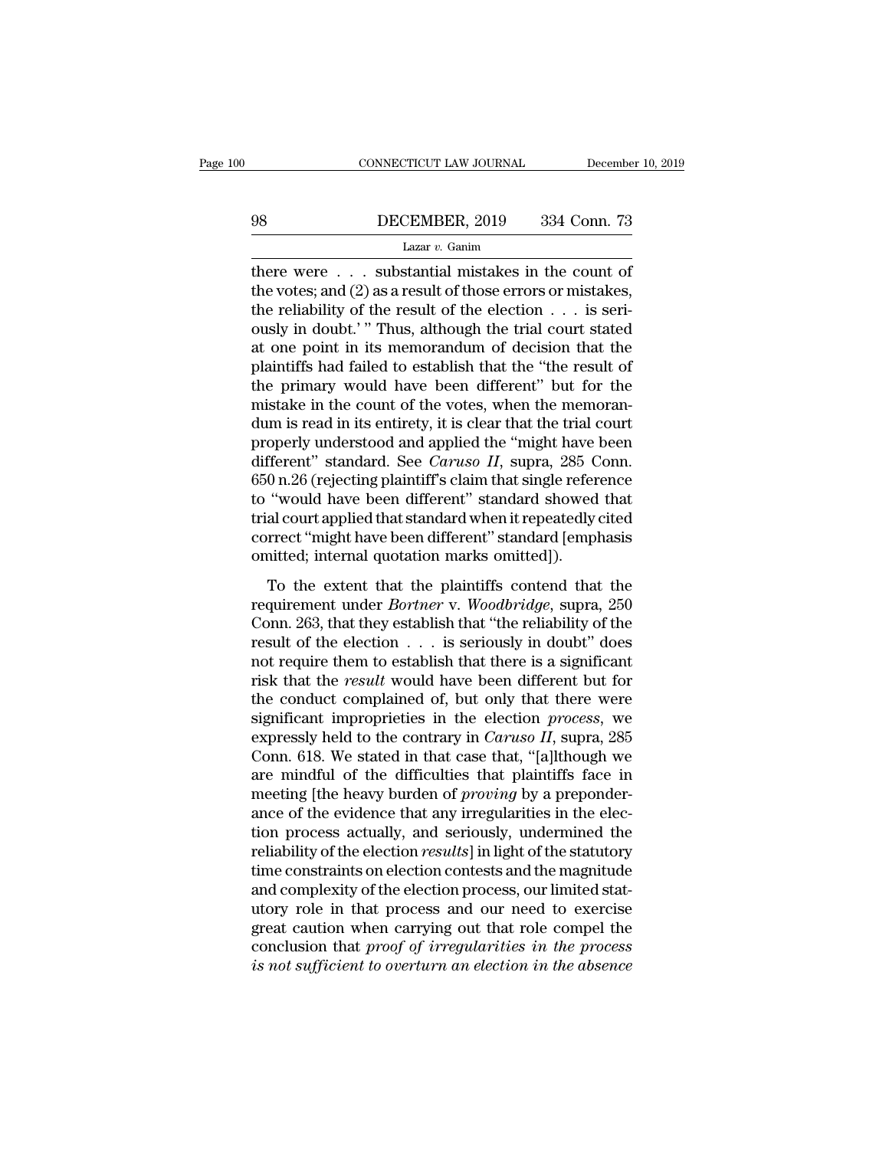# EXECUTE CONNECTICUT LAW JOURNAL December 10, 2019<br>198 DECEMBER, 2019 334 Conn. 73<br>1 Lazar v. Ganim

### Lazar *v.* Ganim

CONNECTICUT LAW JOURNAL December 10, 2019<br>
DECEMBER, 2019 334 Conn. 73<br>
Lazar v. Ganim<br>
there were . . . substantial mistakes in the count of<br>
the votes; and (2) as a result of those errors or mistakes,<br>
the reliability o 98 DECEMBER, 2019 334 Conn. 73<br>
Lazar v. Ganim<br>
there were . . . substantial mistakes in the count of<br>
the votes; and (2) as a result of those errors or mistakes,<br>
the reliability of the result of the election . . . is se 98 DECEMBER, 2019 334 Conn. 73<br>
Lazar *v*. Ganim<br>
there were . . . substantial mistakes in the count of<br>
the votes; and (2) as a result of those errors or mistakes,<br>
the reliability of the result of the election . . . is **EXEMBER, 2019** 334 Conn. 73<br>
Lazar v. Ganim<br>
there were . . . substantial mistakes in the count of<br>
the votes; and (2) as a result of those errors or mistakes,<br>
the reliability of the result of the election . . . is seri Lazar v. Ganim<br>Lazar v. Ganim<br>there were . . . substantial mistakes in the count of<br>the votes; and (2) as a result of those errors or mistakes,<br>the reliability of the result of the election . . . is seri-<br>ously in doubt.' Lazar v. Ganm<br>there were . . . substantial mistakes in the count of<br>the votes; and (2) as a result of those errors or mistakes,<br>the reliability of the result of the election . . . is seri-<br>ously in doubt.' " Thus, althoug there were  $\dots$  substantial mistakes in the count of<br>the votes; and (2) as a result of those errors or mistakes,<br>the reliability of the result of the election  $\dots$  is seri-<br>ously in doubt.'" Thus, although the trial court the votes; and  $(2)$  as a result of those errors or mistakes,<br>the reliability of the result of the election  $\ldots$  is seri-<br>ously in doubt.' " Thus, although the trial court stated<br>at one point in its memorandum of decisio the reliability of the result of the election  $\ldots$  is seri-<br>ously in doubt.' " Thus, although the trial court stated<br>at one point in its memorandum of decision that the<br>plaintiffs had failed to establish that the "the re ously in doubt.' " Thus, although the trial court stated<br>at one point in its memorandum of decision that the<br>plaintiffs had failed to establish that the "the result of<br>the primary would have been different" but for the<br>mis at one point in its memorandum of decision that the plaintiffs had failed to establish that the "the result of the primary would have been different" but for the mistake in the count of the votes, when the memorandum is re plaintiffs had failed to establish that the "the result of<br>the primary would have been different" but for the<br>mistake in the count of the votes, when the memoran-<br>dum is read in its entirety, it is clear that the trial cou the primary would have been different" but for the mistake in the count of the votes, when the memorandum is read in its entirety, it is clear that the trial court properly understood and applied the "might have been diff mistake in the count of the votes, when the memorandum is read in its entirety, it is clear that the trial court<br>properly understood and applied the "might have been<br>different" standard. See *Caruso II*, supra, 285 Conn.<br>6 dum is read in its entirety, it is clear that the trial court<br>properly understood and applied the "might have been<br>different" standard. See *Caruso II*, supra, 285 Conn.<br>650 n.26 (rejecting plaintiff's claim that single re properly understood and applied the "might have been different" standard. See *Caruso II*, supra, 285 Conn. 650 n.26 (rejecting plaintiff's claim that single reference to "would have been different" standard showed that t on the extent that the plaintiff's change is that single reference<br>
"would have been different" standard showed that<br>
al court applied that standard when it repeatedly cited<br>
rrect "might have been different" standard [em regularity (regularity star) of the distribution of the trial court applied that standard when it repeatedly cited<br>correct "might have been different" standard [emphasis<br>omitted; internal quotation marks omitted]).<br>To the

trial court applied that standard more standard showed and<br>trial court applied that standard when it repeatedly cited<br>correct "might have been different" standard [emphasis<br>omitted; internal quotation marks omitted]).<br>To t correct "might have been different" standard [emphasis omitted; internal quotation marks omitted]).<br>To the extent that the plaintiffs contend that the requirement under *Bortner* v. *Woodbridge*, supra, 250 Conn. 263, tha omitted; internal quotation marks omitted]).<br>
To the extent that the plaintiffs contend that the<br>
requirement under *Bortner* v. *Woodbridge*, supra, 250<br>
Conn. 263, that they establish that "the reliability of the<br>
resul To the extent that the plaintiffs contend that the<br>requirement under *Bortner* v. *Woodbridge*, supra, 250<br>Conn. 263, that they establish that "the reliability of the<br>result of the election . . . is seriously in doubt" doe To the extent that the plaintiffs contend that the<br>requirement under *Bortner* v. *Woodbridge*, supra, 250<br>Conn. 263, that they establish that "the reliability of the<br>result of the election  $\dots$  is seriously in doubt" doe requirement under *Bortner* v. *Woodbridge*, supra, 250<br>Conn. 263, that they establish that "the reliability of the<br>result of the election  $\ldots$  is seriously in doubt" does<br>not require them to establish that there is a si Conn. 263, that they establish that "the reliability of the result of the election  $\ldots$  is seriously in doubt" does not require them to establish that there is a significant risk that the *result* would have been differe result of the election  $\ldots$  is seriously in doubt" does<br>not require them to establish that there is a significant<br>risk that the *result* would have been different but for<br>the conduct complained of, but only that there we not require them to establish that there is a significant<br>risk that the *result* would have been different but for<br>the conduct complained of, but only that there were<br>significant improprieties in the election *process*, w risk that the *result* would have been different but for<br>the conduct complained of, but only that there were<br>significant improprieties in the election *process*, we<br>expressly held to the contrary in *Caruso II*, supra, 285 the conduct complained of, but only that there were significant improprieties in the election *process*, we expressly held to the contrary in *Caruso II*, supra, 285 Conn. 618. We stated in that case that, "[a]lthough we significant improprieties in the election *process*, we<br>expressly held to the contrary in *Caruso II*, supra, 285<br>Conn. 618. We stated in that case that, "[a]lthough we<br>are mindful of the difficulties that plaintiffs face expressly held to the contrary in *Caruso II*, supra, 285<br>Conn. 618. We stated in that case that, "[a]lthough we<br>are mindful of the difficulties that plaintiffs face in<br>meeting [the heavy burden of *proving* by a preponder Conn. 618. We stated in that case that, "[a]lthough we<br>are mindful of the difficulties that plaintiffs face in<br>meeting [the heavy burden of *proving* by a preponder-<br>ance of the evidence that any irregularities in the elec are mindful of the difficulties that plaintiffs face in<br>meeting [the heavy burden of *proving* by a preponder-<br>ance of the evidence that any irregularities in the elec-<br>tion process actually, and seriously, undermined the<br> meeting [the heavy burden of *proving* by a preponder-<br>ance of the evidence that any irregularities in the elec-<br>tion process actually, and seriously, undermined the<br>reliability of the election *results*] in light of the s ance of the evidence that any irregularities in the election process actually, and seriously, undermined the reliability of the election *results*] in light of the statutory time constraints on election contests and the ma tion process actually, and seriously, undermined the reliability of the election *results*] in light of the statutory time constraints on election contests and the magnitude and complexity of the election process, our limi reliability of the election *results*] in light of the statutory<br>time constraints on election contests and the magnitude<br>and complexity of the election process, our limited stat-<br>utory role in that process and our need to